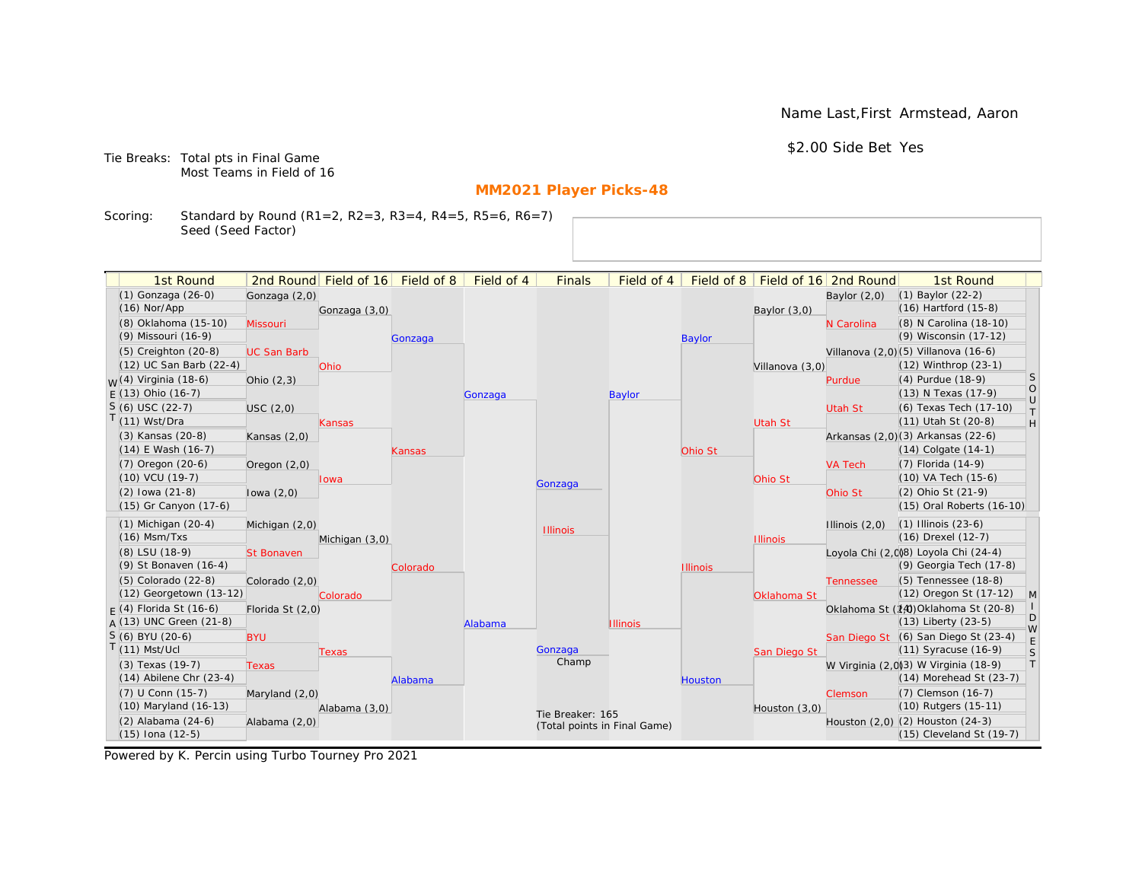Name Last,First Armstead, Aaron

\$2.00 Side Bet Yes

Tie Breaks: Total pts in Final Game Most Teams in Field of 16

# **MM2021 Player Picks-48**

Scoring: Standard by Round (R1=2, R2=3, R3=4, R4=5, R5=6, R6=7) Seed (Seed Factor)

| 1st Round                        |                    | 2nd Round Field of 16 | Field of 8 | Field of 4 | <b>Finals</b>    | Field of 4                   | Field of 8      |                 | Field of 16 2nd Round | 1st Round                            |                   |
|----------------------------------|--------------------|-----------------------|------------|------------|------------------|------------------------------|-----------------|-----------------|-----------------------|--------------------------------------|-------------------|
| (1) Gonzaga (26-0)               | Gonzaga (2,0)      |                       |            |            |                  |                              |                 |                 | Baylor $(2,0)$        | $(1)$ Baylor $(22-2)$                |                   |
| $(16)$ Nor/App                   |                    | Gonzaga (3,0)         |            |            |                  |                              |                 | Baylor $(3,0)$  |                       | (16) Hartford (15-8)                 |                   |
| (8) Oklahoma (15-10)             | Missouri           |                       |            |            |                  |                              |                 |                 | N Carolina            | (8) N Carolina (18-10)               |                   |
| (9) Missouri (16-9)              |                    |                       | Gonzaga    |            |                  |                              | <b>Baylor</b>   |                 |                       | (9) Wisconsin (17-12)                |                   |
| $(5)$ Creighton $(20-8)$         | <b>UC San Barb</b> |                       |            |            |                  |                              |                 |                 |                       | Villanova (2,0) (5) Villanova (16-6) |                   |
| (12) UC San Barb (22-4)          |                    | Ohio                  |            |            |                  |                              |                 | Villanova (3,0) |                       | (12) Winthrop (23-1)                 |                   |
| <sub>W</sub> (4) Virginia (18-6) | Ohio $(2,3)$       |                       |            |            |                  |                              |                 |                 | Purdue                | (4) Purdue (18-9)                    | S                 |
| $E(13)$ Ohio (16-7)              |                    |                       |            | Gonzaga    |                  | Baylor                       |                 |                 |                       | (13) N Texas (17-9)                  | $\circ$<br>$\cup$ |
| $S(6)$ USC (22-7)                | USC(2,0)           |                       |            |            |                  |                              |                 |                 | <b>Utah St</b>        | (6) Texas Tech (17-10)               | $\top$            |
| T(11) Wst/Dra                    |                    | <b>Kansas</b>         |            |            |                  |                              |                 | <b>Utah St</b>  |                       | (11) Utah St (20-8)                  | H                 |
| (3) Kansas (20-8)                | Kansas $(2,0)$     |                       |            |            |                  |                              |                 |                 |                       | Arkansas (2,0)(3) Arkansas (22-6)    |                   |
| $(14)$ E Wash $(16-7)$           |                    |                       | Kansas     |            |                  |                              | Ohio St         |                 |                       | $(14)$ Colgate $(14-1)$              |                   |
| (7) Oregon (20-6)                | Oregon $(2,0)$     |                       |            |            |                  |                              |                 |                 | <b>VA Tech</b>        | (7) Florida (14-9)                   |                   |
| (10) VCU (19-7)                  |                    | lowa                  |            |            | Gonzaga          |                              |                 | Ohio St         |                       | (10) VA Tech (15-6)                  |                   |
| $(2)$ lowa $(21-8)$              | lowa $(2,0)$       |                       |            |            |                  |                              |                 |                 | Ohio St               | (2) Ohio St (21-9)                   |                   |
| (15) Gr Canyon (17-6)            |                    |                       |            |            |                  |                              |                 |                 |                       | (15) Oral Roberts (16-10)            |                   |
| $(1)$ Michigan $(20-4)$          | Michigan (2,0)     |                       |            |            | <b>Illinois</b>  |                              |                 |                 | Illinois $(2,0)$      | $(1)$ Illinois $(23-6)$              |                   |
| $(16)$ Msm/Txs                   |                    | Michigan (3,0)        |            |            |                  |                              |                 | <b>Illinois</b> |                       | (16) Drexel (12-7)                   |                   |
| (8) LSU (18-9)                   | <b>St Bonaven</b>  |                       |            |            |                  |                              |                 |                 |                       | Loyola Chi (2,0)8) Loyola Chi (24-4) |                   |
| (9) St Bonaven (16-4)            |                    |                       | Colorado   |            |                  |                              | <b>Illinois</b> |                 |                       | (9) Georgia Tech (17-8)              |                   |
| $(5)$ Colorado $(22-8)$          | Colorado (2,0)     |                       |            |            |                  |                              |                 |                 | <b>Tennessee</b>      | (5) Tennessee (18-8)                 |                   |
| (12) Georgetown (13-12)          |                    | Colorado              |            |            |                  |                              |                 | Oklahoma St     |                       | (12) Oregon St (17-12)               | $\mathsf{M}$      |
| $F(4)$ Florida St (16-6)         | Florida St (2,0)   |                       |            |            |                  |                              |                 |                 |                       | Oklahoma St (14) Oklahoma St (20-8)  | D                 |
| $A(13)$ UNC Green (21-8)         |                    |                       |            | Alabama    |                  | <b>Illinois</b>              |                 |                 |                       | (13) Liberty (23-5)                  | W                 |
| S (6) BYU (20-6)                 | <b>BYU</b>         |                       |            |            |                  |                              |                 |                 |                       | San Diego St (6) San Diego St (23-4) | E                 |
| $T(11)$ Mst/Ucl                  |                    | Texas                 |            |            | Gonzaga          |                              |                 | San Diego St    |                       | (11) Syracuse (16-9)                 | S                 |
| (3) Texas (19-7)                 | <b>Texas</b>       |                       |            |            | Champ            |                              |                 |                 |                       | W Virginia (2,0)3) W Virginia (18-9) | T                 |
| $(14)$ Abilene Chr $(23-4)$      |                    |                       | Alabama    |            |                  |                              | Houston         |                 |                       | (14) Morehead St (23-7)              |                   |
| (7) U Conn (15-7)                | Maryland $(2,0)$   |                       |            |            |                  |                              |                 |                 | Clemson               | (7) Clemson (16-7)                   |                   |
| (10) Maryland (16-13)            |                    | Alabama (3,0)         |            |            | Tie Breaker: 165 |                              |                 | Houston (3,0)   |                       | (10) Rutgers (15-11)                 |                   |
| (2) Alabama (24-6)               | Alabama (2,0)      |                       |            |            |                  | (Total points in Final Game) |                 |                 |                       | Houston (2,0) (2) Houston (24-3)     |                   |
| $(15)$ Iona $(12-5)$             |                    |                       |            |            |                  |                              |                 |                 |                       | (15) Cleveland St (19-7)             |                   |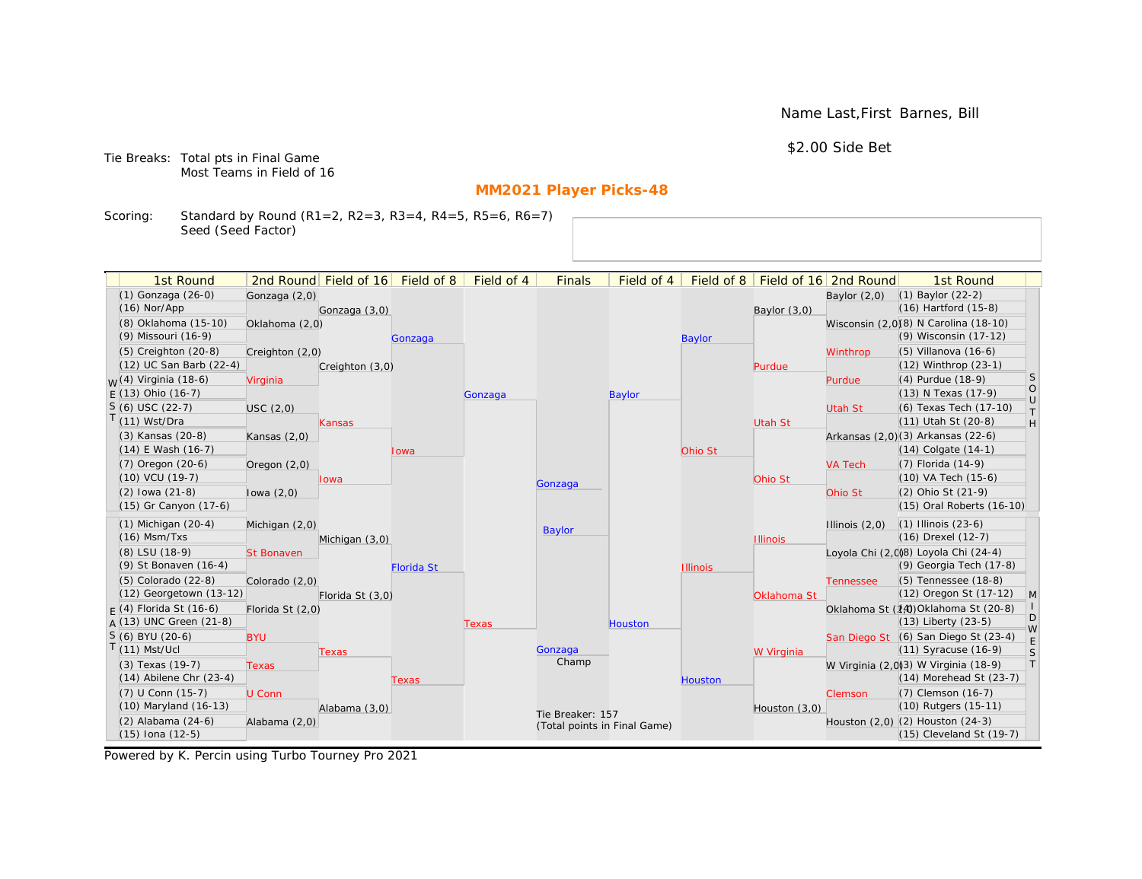Name Last,First Barnes, Bill

\$2.00 Side Bet

Tie Breaks: Total pts in Final Game Most Teams in Field of 16

# **MM2021 Player Picks-48**

Scoring: Standard by Round (R1=2, R2=3, R3=4, R4=5, R5=6, R6=7) Seed (Seed Factor)

| 1st Round                        |                   | 2nd Round Field of 16 | Field of 8        | Field of 4 | <b>Finals</b>                | Field of 4 | Field of 8      |                 | Field of 16 2nd Round | 1st Round                             |                   |
|----------------------------------|-------------------|-----------------------|-------------------|------------|------------------------------|------------|-----------------|-----------------|-----------------------|---------------------------------------|-------------------|
| (1) Gonzaga (26-0)               | Gonzaga (2,0)     |                       |                   |            |                              |            |                 |                 | Baylor $(2,0)$        | $(1)$ Baylor $(22-2)$                 |                   |
| $(16)$ Nor/App                   |                   | Gonzaga (3,0)         |                   |            |                              |            |                 | Baylor (3,0)    |                       | $(16)$ Hartford $(15-8)$              |                   |
| (8) Oklahoma (15-10)             | Oklahoma (2,0)    |                       |                   |            |                              |            |                 |                 |                       | Wisconsin (2,0)(8) N Carolina (18-10) |                   |
| (9) Missouri (16-9)              |                   |                       | Gonzaga           |            |                              |            | <b>Baylor</b>   |                 |                       | (9) Wisconsin (17-12)                 |                   |
| (5) Creighton (20-8)             | Creighton (2,0)   |                       |                   |            |                              |            |                 |                 | Winthrop              | $(5)$ Villanova $(16-6)$              |                   |
| (12) UC San Barb (22-4)          |                   | Creighton (3,0)       |                   |            |                              |            |                 | Purdue          |                       | (12) Winthrop (23-1)                  |                   |
| <sub>W</sub> (4) Virginia (18-6) | Virginia          |                       |                   |            |                              |            |                 |                 | Purdue                | (4) Purdue (18-9)                     | <sub>S</sub>      |
| $E(13)$ Ohio (16-7)              |                   |                       |                   | Gonzaga    |                              | Baylor     |                 |                 |                       | (13) N Texas (17-9)                   | $\circ$<br>$\cup$ |
| $S(6)$ USC (22-7)                | USC(2,0)          |                       |                   |            |                              |            |                 |                 | Utah St               | (6) Texas Tech (17-10)                | $\top$            |
| T(11) Wst/Dra                    |                   | Kansas                |                   |            |                              |            |                 | Utah St         |                       | (11) Utah St (20-8)                   | H                 |
| (3) Kansas (20-8)                | Kansas $(2,0)$    |                       |                   |            |                              |            |                 |                 |                       | Arkansas (2,0)(3) Arkansas (22-6)     |                   |
| $(14)$ E Wash $(16-7)$           |                   |                       | Iowa              |            |                              |            | Ohio St         |                 |                       | $(14)$ Colgate $(14-1)$               |                   |
| (7) Oregon (20-6)                | Oregon $(2,0)$    |                       |                   |            |                              |            |                 |                 | <b>VA Tech</b>        | (7) Florida (14-9)                    |                   |
| (10) VCU (19-7)                  |                   | lowa                  |                   |            | Gonzaga                      |            |                 | Ohio St         |                       | (10) VA Tech (15-6)                   |                   |
| $(2)$ lowa $(21-8)$              | lowa $(2,0)$      |                       |                   |            |                              |            |                 |                 | Ohio St               | (2) Ohio St (21-9)                    |                   |
| (15) Gr Canyon (17-6)            |                   |                       |                   |            |                              |            |                 |                 |                       | (15) Oral Roberts (16-10)             |                   |
| $(1)$ Michigan $(20-4)$          | Michigan (2,0)    |                       |                   |            | <b>Baylor</b>                |            |                 |                 | Illinois $(2,0)$      | $(1)$ Illinois $(23-6)$               |                   |
| $(16)$ Msm/Txs                   |                   | Michigan (3,0)        |                   |            |                              |            |                 | <b>Illinois</b> |                       | (16) Drexel (12-7)                    |                   |
| (8) LSU (18-9)                   | <b>St Bonaven</b> |                       |                   |            |                              |            |                 |                 |                       | Loyola Chi (2,0)8) Loyola Chi (24-4)  |                   |
| (9) St Bonaven (16-4)            |                   |                       | <b>Florida St</b> |            |                              |            | <b>Illinois</b> |                 |                       | (9) Georgia Tech (17-8)               |                   |
| (5) Colorado (22-8)              | Colorado (2,0)    |                       |                   |            |                              |            |                 |                 | <b>Tennessee</b>      | (5) Tennessee (18-8)                  |                   |
| (12) Georgetown (13-12)          |                   | Florida St (3,0)      |                   |            |                              |            |                 | Oklahoma St     |                       | (12) Oregon St (17-12)                | $\mathsf{M}$      |
| $F(4)$ Florida St (16-6)         | Florida St (2,0)  |                       |                   |            |                              |            |                 |                 |                       | Oklahoma St (14) Oklahoma St (20-8)   | D                 |
| $A(13)$ UNC Green (21-8)         |                   |                       |                   | Texas      |                              | Houston    |                 |                 |                       | $(13)$ Liberty $(23-5)$               | W                 |
| S (6) BYU (20-6)                 | <b>BYU</b>        |                       |                   |            |                              |            |                 |                 |                       | San Diego St (6) San Diego St (23-4)  | E                 |
| $T(11)$ Mst/Ucl                  |                   | Texas                 |                   |            | Gonzaga<br>Champ             |            |                 | W Virginia      |                       | $(11)$ Syracuse $(16-9)$              | S                 |
| (3) Texas (19-7)                 | <b>Texas</b>      |                       |                   |            |                              |            |                 |                 |                       | W Virginia (2,0)3) W Virginia (18-9)  | T                 |
| $(14)$ Abilene Chr $(23-4)$      |                   |                       | Texas             |            |                              |            | <b>Houston</b>  |                 |                       | (14) Morehead St (23-7)               |                   |
| (7) U Conn (15-7)                | U Conn            |                       |                   |            |                              |            |                 |                 | Clemson               | (7) Clemson (16-7)                    |                   |
| (10) Maryland (16-13)            |                   | Alabama (3,0)         |                   |            | Tie Breaker: 157             |            |                 | Houston $(3,0)$ |                       | (10) Rutgers (15-11)                  |                   |
| (2) Alabama (24-6)               | Alabama (2,0)     |                       |                   |            | (Total points in Final Game) |            |                 |                 |                       | Houston (2,0) (2) Houston (24-3)      |                   |
| $(15)$ Iona $(12-5)$             |                   |                       |                   |            |                              |            |                 |                 |                       | (15) Cleveland St (19-7)              |                   |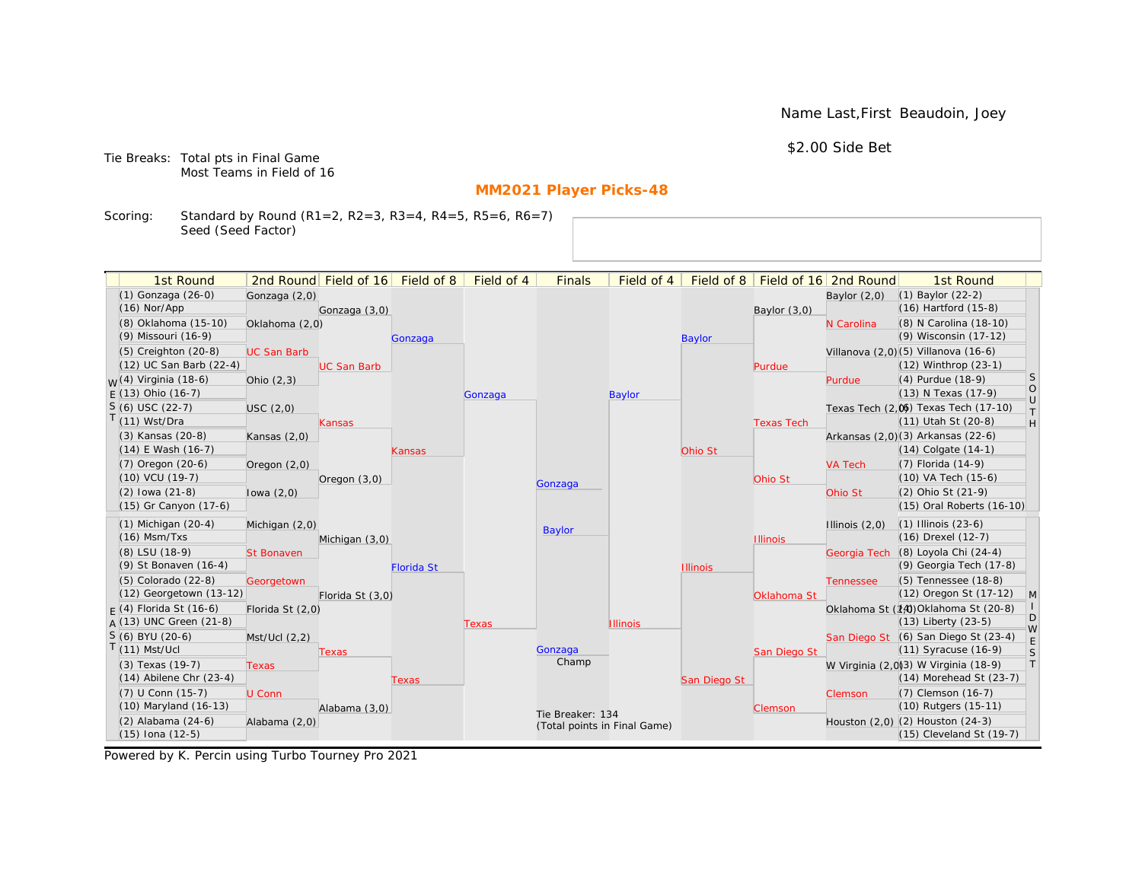Name Last,First Beaudoin, Joey

\$2.00 Side Bet

Tie Breaks: Total pts in Final Game Most Teams in Field of 16

# **MM2021 Player Picks-48**

Scoring: Standard by Round (R1=2, R2=3, R3=4, R4=5, R5=6, R6=7) Seed (Seed Factor)

| 1st Round                              |                    | 2nd Round Field of 16 Field of 8 |                   | Field of 4 | <b>Finals</b>                | Field of 4      | Field of 8      |                   | Field of 16 2nd Round | 1st Round                                                        |                                                                   |
|----------------------------------------|--------------------|----------------------------------|-------------------|------------|------------------------------|-----------------|-----------------|-------------------|-----------------------|------------------------------------------------------------------|-------------------------------------------------------------------|
| (1) Gonzaga (26-0)                     | Gonzaga (2,0)      |                                  |                   |            |                              |                 |                 |                   | Baylor $(2,0)$        | (1) Baylor (22-2)                                                |                                                                   |
| $(16)$ Nor/App                         |                    | Gonzaga (3,0)                    |                   |            |                              |                 |                 | Baylor $(3,0)$    |                       | $(16)$ Hartford $(15-8)$                                         |                                                                   |
| (8) Oklahoma (15-10)                   | Oklahoma (2,0)     |                                  |                   |            |                              |                 |                 |                   | N Carolina            | (8) N Carolina (18-10)                                           |                                                                   |
| (9) Missouri (16-9)                    |                    |                                  | Gonzaga           |            |                              |                 | <b>Baylor</b>   |                   |                       | (9) Wisconsin (17-12)                                            |                                                                   |
| $(5)$ Creighton $(20-8)$               | <b>UC San Barb</b> |                                  |                   |            |                              |                 |                 |                   |                       | Villanova (2,0) (5) Villanova (16-6)                             |                                                                   |
| (12) UC San Barb (22-4)                |                    | <b>UC San Barb</b>               |                   |            |                              |                 |                 | Purdue            |                       | (12) Winthrop (23-1)                                             |                                                                   |
| <sub>M</sub> /(4) Virginia (18-6)      | Ohio $(2,3)$       |                                  |                   |            |                              |                 |                 |                   | Purdue                | (4) Purdue (18-9)                                                | <sub>S</sub>                                                      |
| $E(13)$ Ohio (16-7)                    |                    |                                  |                   | Gonzaga    |                              | <b>Baylor</b>   |                 |                   |                       | (13) N Texas (17-9)                                              | $\bigcirc$                                                        |
| $S(6)$ USC (22-7)                      | USC(2,0)           |                                  |                   |            |                              |                 |                 |                   |                       | Texas Tech (2,0) Texas Tech (17-10)                              | $\cup$<br>$\top$                                                  |
| $(11)$ Wst/Dra                         |                    | <b>Kansas</b>                    |                   |            |                              |                 |                 | <b>Texas Tech</b> |                       | (11) Utah St (20-8)                                              | $\mathsf{H}% _{\mathsf{H}}^{\ast}=\mathsf{H}_{\mathsf{H}}^{\ast}$ |
| (3) Kansas (20-8)                      | Kansas $(2,0)$     |                                  |                   |            |                              |                 |                 |                   |                       | Arkansas (2,0)(3) Arkansas (22-6)                                |                                                                   |
| $(14)$ E Wash $(16-7)$                 |                    |                                  | Kansas            |            |                              |                 | Ohio St         |                   |                       | $(14)$ Colgate $(14-1)$                                          |                                                                   |
| (7) Oregon (20-6)                      | Oregon (2,0)       |                                  |                   |            |                              |                 |                 |                   | <b>VA Tech</b>        | $(7)$ Florida $(14-9)$                                           |                                                                   |
| $(10)$ VCU $(19-7)$                    |                    | Oregon $(3,0)$                   |                   |            | Gonzaga                      |                 |                 | Ohio St           |                       | $(10)$ VA Tech $(15-6)$                                          |                                                                   |
| $(2)$ lowa $(21-8)$                    | lowa $(2,0)$       |                                  |                   |            |                              |                 |                 |                   | Ohio St               | (2) Ohio St (21-9)                                               |                                                                   |
| (15) Gr Canyon (17-6)                  |                    |                                  |                   |            |                              |                 |                 |                   |                       | (15) Oral Roberts (16-10)                                        |                                                                   |
| $(1)$ Michigan $(20-4)$                | Michigan (2,0)     |                                  |                   |            | <b>Baylor</b>                |                 |                 |                   | Illinois $(2,0)$      | $(1)$ Illinois $(23-6)$                                          |                                                                   |
| $(16)$ Msm/Txs                         |                    | Michigan (3,0)                   |                   |            |                              |                 |                 | <b>Illinois</b>   |                       | (16) Drexel (12-7)                                               |                                                                   |
| (8) LSU (18-9)                         | <b>St Bonaven</b>  |                                  |                   |            |                              |                 |                 |                   | Georgia Tech          | (8) Loyola Chi (24-4)                                            |                                                                   |
| (9) St Bonaven (16-4)                  |                    |                                  | <b>Florida St</b> |            |                              |                 | <b>Illinois</b> |                   |                       | (9) Georgia Tech (17-8)                                          |                                                                   |
| (5) Colorado (22-8)                    | Georgetown         |                                  |                   |            |                              |                 |                 |                   | <b>Tennessee</b>      | (5) Tennessee (18-8)                                             |                                                                   |
| (12) Georgetown (13-12)                |                    | Florida St (3,0)                 |                   |            |                              |                 |                 | Oklahoma St       |                       | (12) Oregon St (17-12)                                           | M                                                                 |
| $F(4)$ Florida St (16-6)               | Florida St (2,0)   |                                  |                   |            |                              |                 |                 |                   |                       | Oklahoma St (14) Oklahoma St (20-8)                              | D                                                                 |
| $A(13)$ UNC Green (21-8)               |                    |                                  |                   | Texas      |                              | <b>Illinois</b> |                 |                   |                       | $(13)$ Liberty $(23-5)$                                          | W                                                                 |
| S (6) BYU (20-6)                       | Mst/Ucl (2,2)      |                                  |                   |            |                              |                 |                 |                   |                       | San Diego St (6) San Diego St (23-4)                             | E                                                                 |
| $(11)$ Mst/Ucl                         |                    | Texas                            |                   |            | Gonzaga<br>Champ             |                 |                 | San Diego St      |                       | $(11)$ Syracuse $(16-9)$                                         | S                                                                 |
| (3) Texas (19-7)                       | <b>Texas</b>       |                                  |                   |            |                              |                 |                 |                   |                       | W Virginia (2,0)3) W Virginia (18-9)                             | T                                                                 |
| $(14)$ Abilene Chr $(23-4)$            |                    |                                  | Texas             |            |                              |                 | San Diego St    |                   |                       | $(14)$ Morehead St $(23-7)$                                      |                                                                   |
| (7) U Conn (15-7)                      | U Conn             |                                  |                   |            |                              |                 |                 |                   | Clemson               | (7) Clemson (16-7)                                               |                                                                   |
| (10) Maryland (16-13)                  |                    | Alabama (3,0)                    |                   |            | Tie Breaker: 134             |                 |                 | Clemson           |                       | (10) Rutgers (15-11)                                             |                                                                   |
| (2) Alabama (24-6)<br>(15) Iona (12-5) | Alabama (2,0)      |                                  |                   |            | (Total points in Final Game) |                 |                 |                   |                       | Houston (2,0) (2) Houston (24-3)<br>$(15)$ Cleveland St $(19-7)$ |                                                                   |
|                                        |                    |                                  |                   |            |                              |                 |                 |                   |                       |                                                                  |                                                                   |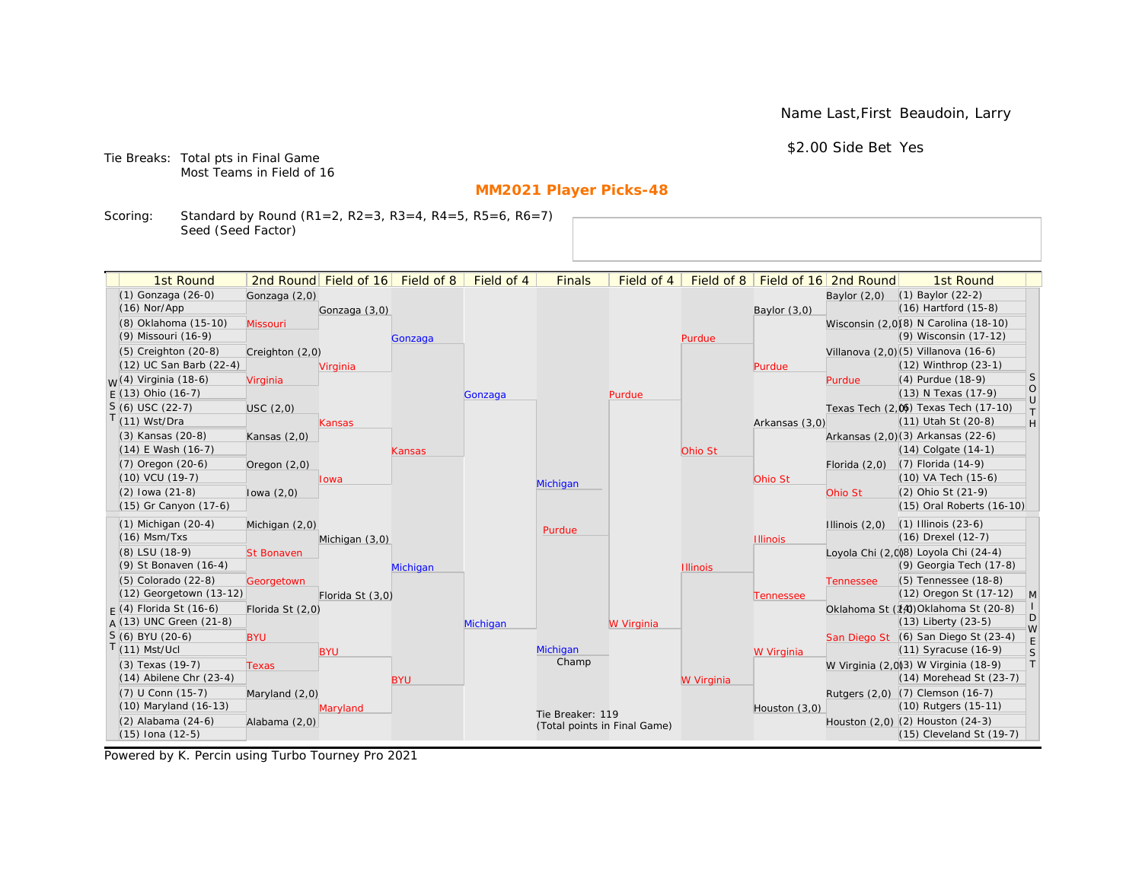Name Last,First Beaudoin, Larry

\$2.00 Side Bet Yes

Tie Breaks: Total pts in Final Game Most Teams in Field of 16

# **MM2021 Player Picks-48**

Scoring: Standard by Round (R1=2, R2=3, R3=4, R4=5, R5=6, R6=7) Seed (Seed Factor)

| 1st Round                                       |                   | 2nd Round Field of 16 | Field of 8 | Field of 4 | <b>Finals</b>                | Field of 4 | Field of $8$    |                 | Field of 16 2nd Round | 1st Round                                                        |                                                                   |
|-------------------------------------------------|-------------------|-----------------------|------------|------------|------------------------------|------------|-----------------|-----------------|-----------------------|------------------------------------------------------------------|-------------------------------------------------------------------|
| (1) Gonzaga (26-0)                              | Gonzaga (2,0)     |                       |            |            |                              |            |                 |                 | Baylor $(2,0)$        | $(1)$ Baylor $(22-2)$                                            |                                                                   |
| $(16)$ Nor/App                                  |                   | Gonzaga (3,0)         |            |            |                              |            |                 | Baylor (3,0)    |                       | $(16)$ Hartford $(15-8)$                                         |                                                                   |
| (8) Oklahoma (15-10)                            | Missouri          |                       |            |            |                              |            |                 |                 |                       | Wisconsin (2,0)(8) N Carolina (18-10)                            |                                                                   |
| (9) Missouri (16-9)                             |                   |                       | Gonzaga    |            |                              |            | Purdue          |                 |                       | (9) Wisconsin (17-12)                                            |                                                                   |
| (5) Creighton (20-8)                            | Creighton (2,0)   |                       |            |            |                              |            |                 |                 |                       | Villanova (2,0)(5) Villanova (16-6)                              |                                                                   |
| (12) UC San Barb (22-4)                         |                   | Virginia              |            |            |                              |            |                 | Purdue          |                       | (12) Winthrop (23-1)                                             |                                                                   |
| <sub>W</sub> (4) Virginia (18-6)                | Virginia          |                       |            |            |                              |            |                 |                 | Purdue                | (4) Purdue (18-9)                                                | <sub>S</sub>                                                      |
| $E(13)$ Ohio (16-7)                             |                   |                       |            | Gonzaga    |                              | Purdue     |                 |                 |                       | (13) N Texas (17-9)                                              | $\bigcirc$<br>$\cup$                                              |
| $S(6)$ USC (22-7)                               | USC(2,0)          |                       |            |            |                              |            |                 |                 |                       | Texas Tech (2,0) Texas Tech (17-10)                              | $\top$                                                            |
| $T(11)$ Wst/Dra                                 |                   | Kansas                |            |            |                              |            |                 | Arkansas (3,0)  |                       | (11) Utah St (20-8)                                              | $\mathsf{H}% _{\mathsf{H}}^{\ast}=\mathsf{H}_{\mathsf{H}}^{\ast}$ |
| (3) Kansas (20-8)                               | Kansas $(2,0)$    |                       |            |            |                              |            |                 |                 |                       | Arkansas (2,0)(3) Arkansas (22-6)                                |                                                                   |
| $(14)$ E Wash $(16-7)$                          |                   |                       | Kansas     |            |                              |            | Ohio St         |                 |                       | $(14)$ Colgate $(14-1)$                                          |                                                                   |
| $(7)$ Oregon $(20-6)$                           | Oregon $(2,0)$    |                       |            |            |                              |            |                 |                 | Florida $(2,0)$       | $(7)$ Florida $(14-9)$                                           |                                                                   |
| (10) VCU (19-7)                                 |                   | lowa                  |            |            | Michigan                     |            |                 | Ohio St         |                       | (10) VA Tech (15-6)                                              |                                                                   |
| $(2)$ lowa $(21-8)$                             | lowa $(2,0)$      |                       |            |            |                              |            |                 |                 | Ohio St               | (2) Ohio St (21-9)                                               |                                                                   |
| (15) Gr Canyon (17-6)                           |                   |                       |            |            |                              |            |                 |                 |                       | (15) Oral Roberts (16-10)                                        |                                                                   |
| $(1)$ Michigan $(20-4)$                         | Michigan (2,0)    |                       |            |            | Purdue                       |            |                 |                 | Illinois $(2,0)$      | $(1)$ Illinois $(23-6)$                                          |                                                                   |
| $(16)$ Msm/Txs                                  |                   | Michigan (3,0)        |            |            |                              |            |                 | <b>Illinois</b> |                       | (16) Drexel (12-7)                                               |                                                                   |
| (8) LSU (18-9)                                  | <b>St Bonaven</b> |                       |            |            |                              |            |                 |                 |                       | Loyola Chi (2,0)8) Loyola Chi (24-4)                             |                                                                   |
| (9) St Bonaven (16-4)                           |                   |                       | Michigan   |            |                              |            | <b>Illinois</b> |                 |                       | (9) Georgia Tech (17-8)                                          |                                                                   |
| (5) Colorado (22-8)                             | Georgetown        |                       |            |            |                              |            |                 |                 | <b>Tennessee</b>      | (5) Tennessee (18-8)                                             |                                                                   |
| (12) Georgetown (13-12)                         |                   | Florida St (3,0)      |            |            |                              |            |                 | Tennessee       |                       | (12) Oregon St (17-12)                                           | M                                                                 |
| $F(4)$ Florida St (16-6)                        | Florida St (2,0)  |                       |            |            |                              |            |                 |                 |                       | Oklahoma St (14) Oklahoma St (20-8)                              | D                                                                 |
| $A(13)$ UNC Green (21-8)                        |                   |                       |            | Michigan   |                              | W Virginia |                 |                 |                       | $(13)$ Liberty $(23-5)$                                          | W                                                                 |
| S (6) BYU (20-6)                                | <b>BYU</b>        |                       |            |            | Michigan                     |            |                 |                 |                       | San Diego St (6) San Diego St (23-4)                             | E                                                                 |
| $T(11)$ Mst/Ucl                                 |                   | <b>BYU</b>            |            |            | Champ                        |            |                 | W Virginia      |                       | $(11)$ Syracuse $(16-9)$                                         | S<br> T                                                           |
| (3) Texas (19-7)<br>$(14)$ Abilene Chr $(23-4)$ | <b>Texas</b>      |                       | <b>BYU</b> |            |                              |            |                 |                 |                       | W Virginia (2,0)(3) W Virginia (18-9)<br>(14) Morehead St (23-7) |                                                                   |
| (7) U Conn (15-7)                               |                   |                       |            |            |                              |            | W Virginia      |                 |                       | Rutgers (2,0) (7) Clemson (16-7)                                 |                                                                   |
| (10) Maryland (16-13)                           | Maryland (2,0)    | Maryland              |            |            |                              |            |                 | Houston $(3,0)$ |                       | (10) Rutgers (15-11)                                             |                                                                   |
| (2) Alabama (24-6)                              | Alabama (2,0)     |                       |            |            | Tie Breaker: 119             |            |                 |                 |                       | Houston (2,0) (2) Houston (24-3)                                 |                                                                   |
| $(15)$ Iona $(12-5)$                            |                   |                       |            |            | (Total points in Final Game) |            |                 |                 |                       | (15) Cleveland St (19-7)                                         |                                                                   |
|                                                 |                   |                       |            |            |                              |            |                 |                 |                       |                                                                  |                                                                   |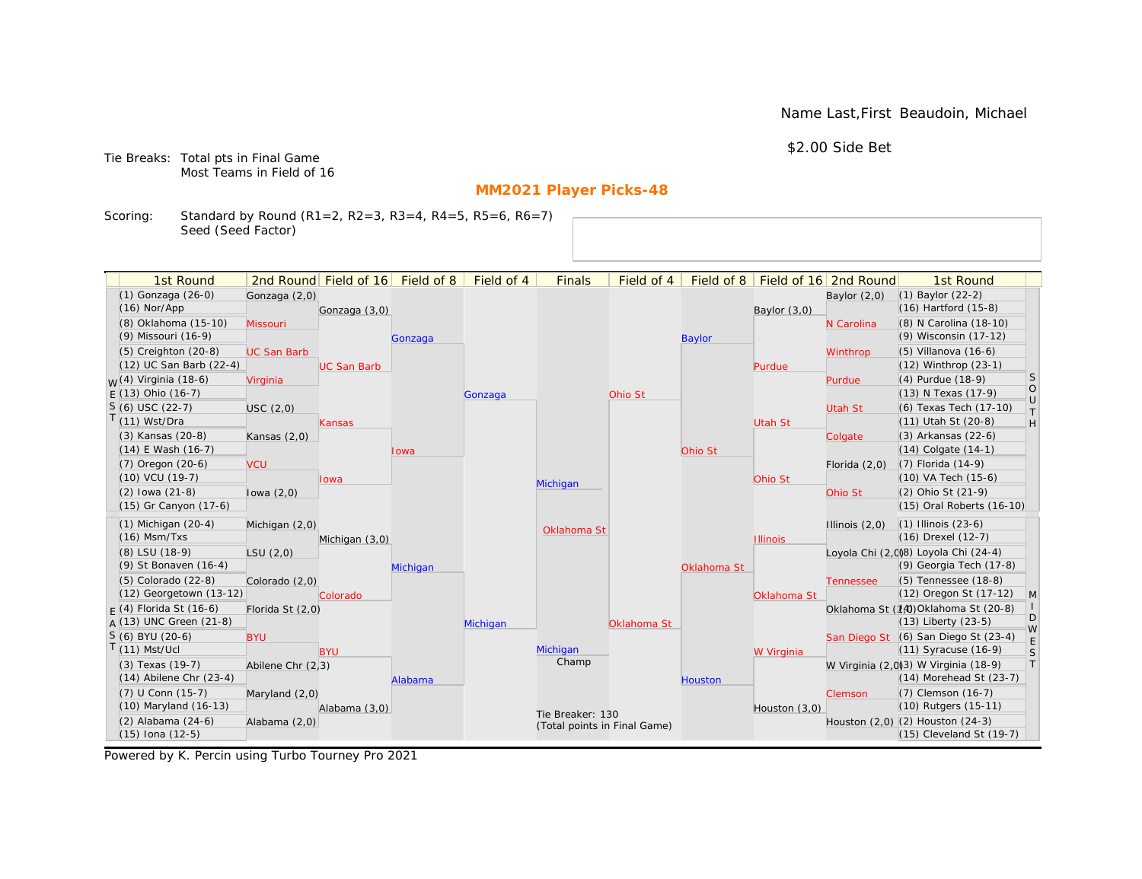Name Last,First Beaudoin, Michael

\$2.00 Side Bet

Tie Breaks: Total pts in Final Game Most Teams in Field of 16

# **MM2021 Player Picks-48**

Scoring: Standard by Round (R1=2, R2=3, R3=4, R4=5, R5=6, R6=7) Seed (Seed Factor)

| 1st Round                   |                    | 2nd Round Field of 16 | Field of 8 | Field of 4 | <b>Finals</b>                | Field of 4  | Field of 8    |                 | Field of 16 2nd Round | 1st Round                              |                   |
|-----------------------------|--------------------|-----------------------|------------|------------|------------------------------|-------------|---------------|-----------------|-----------------------|----------------------------------------|-------------------|
| (1) Gonzaga (26-0)          | Gonzaga (2,0)      |                       |            |            |                              |             |               |                 | Baylor $(2,0)$        | $(1)$ Baylor $(22-2)$                  |                   |
| $(16)$ Nor/App              |                    | Gonzaga (3,0)         |            |            |                              |             |               | Baylor $(3,0)$  |                       | (16) Hartford (15-8)                   |                   |
| (8) Oklahoma (15-10)        | Missouri           |                       |            |            |                              |             |               |                 | N Carolina            | (8) N Carolina (18-10)                 |                   |
| (9) Missouri (16-9)         |                    |                       | Gonzaga    |            |                              |             | <b>Baylor</b> |                 |                       | (9) Wisconsin (17-12)                  |                   |
| (5) Creighton (20-8)        | <b>UC San Barb</b> |                       |            |            |                              |             |               |                 | Winthrop              | (5) Villanova (16-6)                   |                   |
| (12) UC San Barb (22-4)     |                    | <b>UC San Barb</b>    |            |            |                              |             |               | Purdue          |                       | (12) Winthrop (23-1)                   |                   |
| $M(4)$ Virginia (18-6)      | Virginia           |                       |            |            |                              |             |               |                 | Purdue                | (4) Purdue (18-9)                      | <sub>S</sub>      |
| $F(13)$ Ohio (16-7)         |                    |                       |            | Gonzaga    |                              | Ohio St     |               |                 |                       | (13) N Texas (17-9)                    | $\circ$<br>$\cup$ |
| $S(6)$ USC (22-7)           | USC(2,0)           |                       |            |            |                              |             |               |                 | Utah St               | (6) Texas Tech (17-10)                 | T.                |
| $T(11)$ Wst/Dra             |                    | Kansas                |            |            |                              |             |               | <b>Utah St</b>  |                       | (11) Utah St (20-8)                    | H                 |
| (3) Kansas (20-8)           | Kansas $(2,0)$     |                       |            |            |                              |             |               |                 | Colgate               | (3) Arkansas (22-6)                    |                   |
| $(14)$ E Wash $(16-7)$      |                    |                       | lowa       |            |                              |             | Ohio St       |                 |                       | $(14)$ Colgate $(14-1)$                |                   |
| (7) Oregon (20-6)           | <b>VCU</b>         |                       |            |            |                              |             |               |                 | Florida $(2,0)$       | (7) Florida (14-9)                     |                   |
| (10) VCU (19-7)             |                    | <b>lowa</b>           |            |            | Michigan                     |             |               | Ohio St         |                       | (10) VA Tech (15-6)                    |                   |
| $(2)$ lowa $(21-8)$         | lowa $(2,0)$       |                       |            |            |                              |             |               |                 | Ohio St               | (2) Ohio St (21-9)                     |                   |
| (15) Gr Canyon (17-6)       |                    |                       |            |            |                              |             |               |                 |                       | (15) Oral Roberts (16-10)              |                   |
| $(1)$ Michigan $(20-4)$     | Michigan (2,0)     |                       |            |            | Oklahoma St                  |             |               |                 | Illinois $(2,0)$      | $(1)$ Illinois $(23-6)$                |                   |
| $(16)$ Msm/Txs              |                    | Michigan (3,0)        |            |            |                              |             |               | <b>Illinois</b> |                       | (16) Drexel (12-7)                     |                   |
| (8) LSU (18-9)              | LSU(2,0)           |                       |            |            |                              |             |               |                 |                       | Loyola Chi (2,0)8) Loyola Chi (24-4)   |                   |
| (9) St Bonaven (16-4)       |                    |                       | Michigan   |            |                              |             | Oklahoma St   |                 |                       | (9) Georgia Tech (17-8)                |                   |
| $(5)$ Colorado $(22-8)$     | Colorado (2,0)     |                       |            |            |                              |             |               |                 | <b>Tennessee</b>      | (5) Tennessee (18-8)                   |                   |
| (12) Georgetown (13-12)     |                    | Colorado              |            |            |                              |             |               | Oklahoma St     |                       | (12) Oregon St (17-12)                 | $\mathsf{M}$      |
| $F(4)$ Florida St (16-6)    | Florida St (2,0)   |                       |            |            |                              |             |               |                 |                       | Oklahoma St (14) Oklahoma St (20-8)    | D                 |
| $A(13)$ UNC Green (21-8)    |                    |                       |            | Michigan   |                              | Oklahoma St |               |                 |                       | (13) Liberty (23-5)                    | W                 |
| $S(6)$ BYU (20-6)           | <b>BYU</b>         |                       |            |            |                              |             |               |                 |                       | San Diego St (6) San Diego St (23-4)   | E                 |
| $T(11)$ Mst/Ucl             |                    | <b>BYU</b>            |            |            | Michigan<br>Champ            |             |               | W Virginia      |                       | (11) Syracuse (16-9)                   | S                 |
| (3) Texas (19-7)            | Abilene Chr (2,3)  |                       |            |            |                              |             |               |                 |                       | W Virginia (2,0)3) W Virginia (18-9)   | T                 |
| $(14)$ Abilene Chr $(23-4)$ |                    |                       | Alabama    |            |                              |             | Houston       |                 |                       | (14) Morehead St (23-7)                |                   |
| (7) U Conn (15-7)           | Maryland $(2,0)$   |                       |            |            |                              |             |               |                 | Clemson               | (7) Clemson (16-7)                     |                   |
| (10) Maryland (16-13)       |                    | Alabama (3,0)         |            |            | Tie Breaker: 130             |             |               | Houston (3,0)   |                       | (10) Rutgers (15-11)                   |                   |
| $(2)$ Alabama $(24-6)$      | Alabama (2,0)      |                       |            |            | (Total points in Final Game) |             |               |                 |                       | Houston $(2,0)$ $(2)$ Houston $(24-3)$ |                   |
| $(15)$ Iona $(12-5)$        |                    |                       |            |            |                              |             |               |                 |                       | (15) Cleveland St (19-7)               |                   |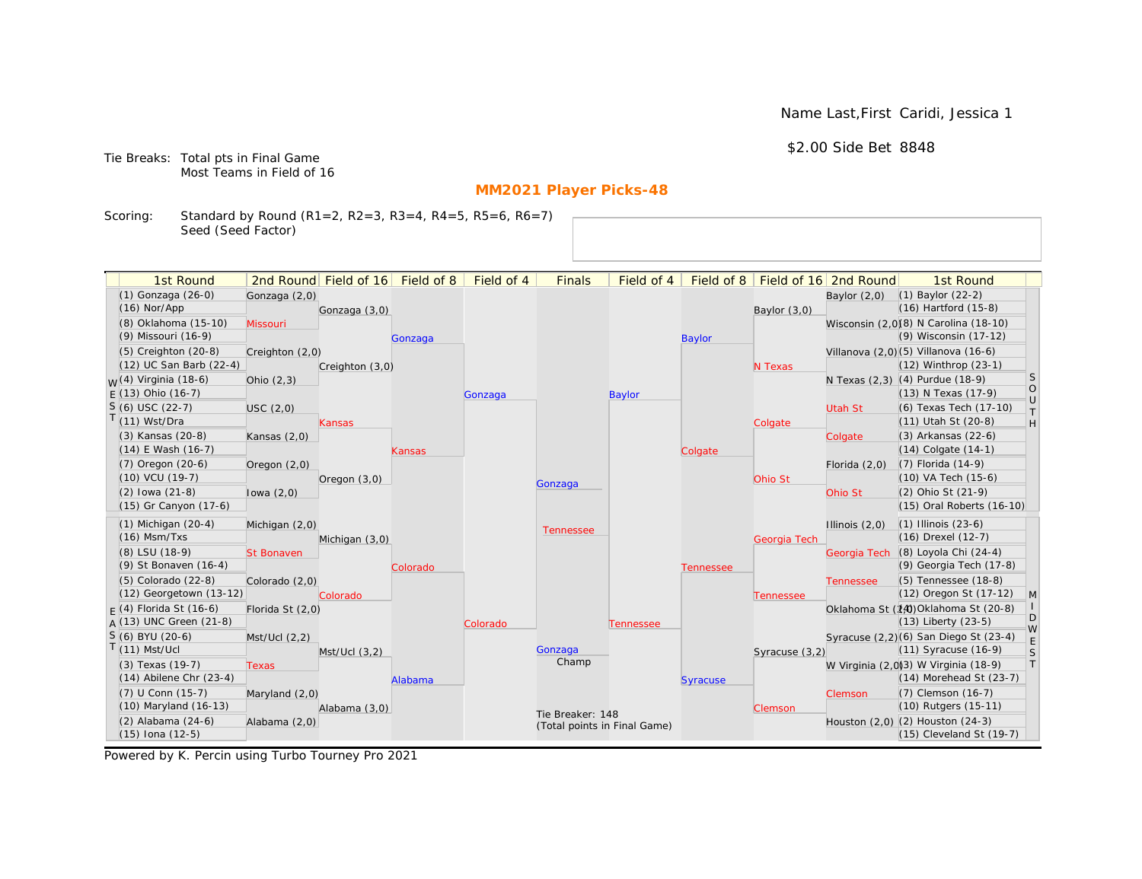Name Last,First Caridi, Jessica 1

\$2.00 Side Bet 8848

Tie Breaks: Total pts in Final Game Most Teams in Field of 16

# **MM2021 Player Picks-48**

Scoring: Standard by Round (R1=2, R2=3, R3=4, R4=5, R5=6, R6=7) Seed (Seed Factor)

| 1st Round                                      |                   | 2nd Round Field of 16 | Field of 8 | Field of 4 | <b>Finals</b>                | Field of 4    | Field of 8       |                | Field of 16 2nd Round | 1st Round                                                    |                   |
|------------------------------------------------|-------------------|-----------------------|------------|------------|------------------------------|---------------|------------------|----------------|-----------------------|--------------------------------------------------------------|-------------------|
| (1) Gonzaga (26-0)                             | Gonzaga (2,0)     |                       |            |            |                              |               |                  |                | Baylor $(2,0)$        | $(1)$ Baylor $(22-2)$                                        |                   |
| $(16)$ Nor/App                                 |                   | Gonzaga (3,0)         |            |            |                              |               |                  | Baylor (3,0)   |                       | $(16)$ Hartford $(15-8)$                                     |                   |
| (8) Oklahoma (15-10)                           | Missouri          |                       |            |            |                              |               |                  |                |                       | Wisconsin (2,0)(8) N Carolina (18-10)                        |                   |
| (9) Missouri (16-9)                            |                   |                       | Gonzaga    |            |                              |               | <b>Baylor</b>    |                |                       | (9) Wisconsin (17-12)                                        |                   |
| $(5)$ Creighton $(20-8)$                       | Creighton (2,0)   |                       |            |            |                              |               |                  |                |                       | Villanova (2,0)(5) Villanova (16-6)                          |                   |
| (12) UC San Barb (22-4)                        |                   | Creighton (3,0)       |            |            |                              |               |                  | N Texas        |                       | (12) Winthrop (23-1)                                         |                   |
| $M(4)$ Virginia (18-6)                         | Ohio $(2,3)$      |                       |            |            |                              |               |                  |                |                       | N Texas (2,3) (4) Purdue (18-9)                              | <sub>S</sub>      |
| $F(13)$ Ohio (16-7)                            |                   |                       |            | Gonzaga    |                              | <b>Baylor</b> |                  |                |                       | (13) N Texas (17-9)                                          | $\circ$<br>$\cup$ |
| $S(6)$ USC (22-7)                              | USC(2,0)          |                       |            |            |                              |               |                  |                | Utah St               | (6) Texas Tech (17-10)                                       | $\top$            |
| T(11) Wst/Dra                                  |                   | Kansas                |            |            |                              |               |                  | Colgate        |                       | (11) Utah St (20-8)                                          | H                 |
| (3) Kansas (20-8)                              | Kansas $(2,0)$    |                       |            |            |                              |               |                  |                | Colgate               | (3) Arkansas (22-6)                                          |                   |
| $(14)$ E Wash $(16-7)$                         |                   |                       | Kansas     |            |                              |               | Colgate          |                |                       | (14) Colgate (14-1)                                          |                   |
| (7) Oregon (20-6)                              | Oregon $(2,0)$    |                       |            |            |                              |               |                  |                | Florida $(2,0)$       | $(7)$ Florida $(14-9)$                                       |                   |
| (10) VCU (19-7)                                |                   | Oregon $(3,0)$        |            |            | Gonzaga                      |               |                  | Ohio St        |                       | (10) VA Tech (15-6)                                          |                   |
| $(2)$ lowa $(21-8)$                            | lowa $(2,0)$      |                       |            |            |                              |               |                  |                | Ohio St               | (2) Ohio St (21-9)                                           |                   |
| (15) Gr Canyon (17-6)                          |                   |                       |            |            |                              |               |                  |                |                       | (15) Oral Roberts (16-10)                                    |                   |
| $(1)$ Michigan $(20-4)$                        | Michigan (2,0)    |                       |            |            | <b>Tennessee</b>             |               |                  |                | Illinois $(2,0)$      | $(1)$ Illinois $(23-6)$                                      |                   |
| $(16)$ Msm/Txs                                 |                   | Michigan (3,0)        |            |            |                              |               |                  | Georgia Tech   |                       | (16) Drexel (12-7)                                           |                   |
| (8) LSU (18-9)                                 | <b>St Bonaven</b> |                       |            |            |                              |               |                  |                | Georgia Tech          | (8) Loyola Chi (24-4)                                        |                   |
| (9) St Bonaven (16-4)                          |                   |                       | Colorado   |            |                              |               | <b>Tennessee</b> |                |                       | (9) Georgia Tech (17-8)                                      |                   |
| $(5)$ Colorado $(22-8)$                        | Colorado (2,0)    |                       |            |            |                              |               |                  |                | <b>Tennessee</b>      | (5) Tennessee (18-8)                                         |                   |
| (12) Georgetown (13-12)                        |                   | Colorado              |            |            |                              |               |                  | Tennessee      |                       | (12) Oregon St (17-12)                                       | M                 |
| $F(4)$ Florida St (16-6)                       | Florida St (2,0)  |                       |            |            |                              |               |                  |                |                       | Oklahoma St (14) Oklahoma St (20-8)                          | D                 |
| A (13) UNC Green (21-8)                        |                   |                       |            | Colorado   |                              | Tennessee     |                  |                |                       | $(13)$ Liberty $(23-5)$                                      | W                 |
| S (6) BYU (20-6)                               | Mst/Ucl (2,2)     |                       |            |            |                              |               |                  |                |                       | Syracuse (2,2)(6) San Diego St (23-4)                        | E                 |
| $T(11)$ Mst/Ucl                                |                   | $Mst/Ucl$ $(3,2)$     |            |            | Gonzaga<br>Champ             |               |                  | Syracuse (3,2) |                       | (11) Syracuse (16-9)                                         | S                 |
| (3) Texas (19-7)                               | <b>Texas</b>      |                       |            |            |                              |               |                  |                |                       | W Virginia (2,0)(3) W Virginia (18-9)                        | T                 |
| $(14)$ Abilene Chr $(23-4)$                    |                   |                       | Alabama    |            |                              |               | <b>Syracuse</b>  |                |                       | (14) Morehead St (23-7)                                      |                   |
| (7) U Conn (15-7)<br>(10) Maryland (16-13)     | Maryland (2,0)    |                       |            |            |                              |               |                  |                | Clemson               | (7) Clemson (16-7)<br>(10) Rutgers (15-11)                   |                   |
|                                                |                   | Alabama (3,0)         |            |            | Tie Breaker: 148             |               |                  | Clemson        |                       |                                                              |                   |
| $(2)$ Alabama $(24-6)$<br>$(15)$ Iona $(12-5)$ | Alabama (2,0)     |                       |            |            | (Total points in Final Game) |               |                  |                |                       | Houston (2,0) (2) Houston (24-3)<br>(15) Cleveland St (19-7) |                   |
|                                                |                   |                       |            |            |                              |               |                  |                |                       |                                                              |                   |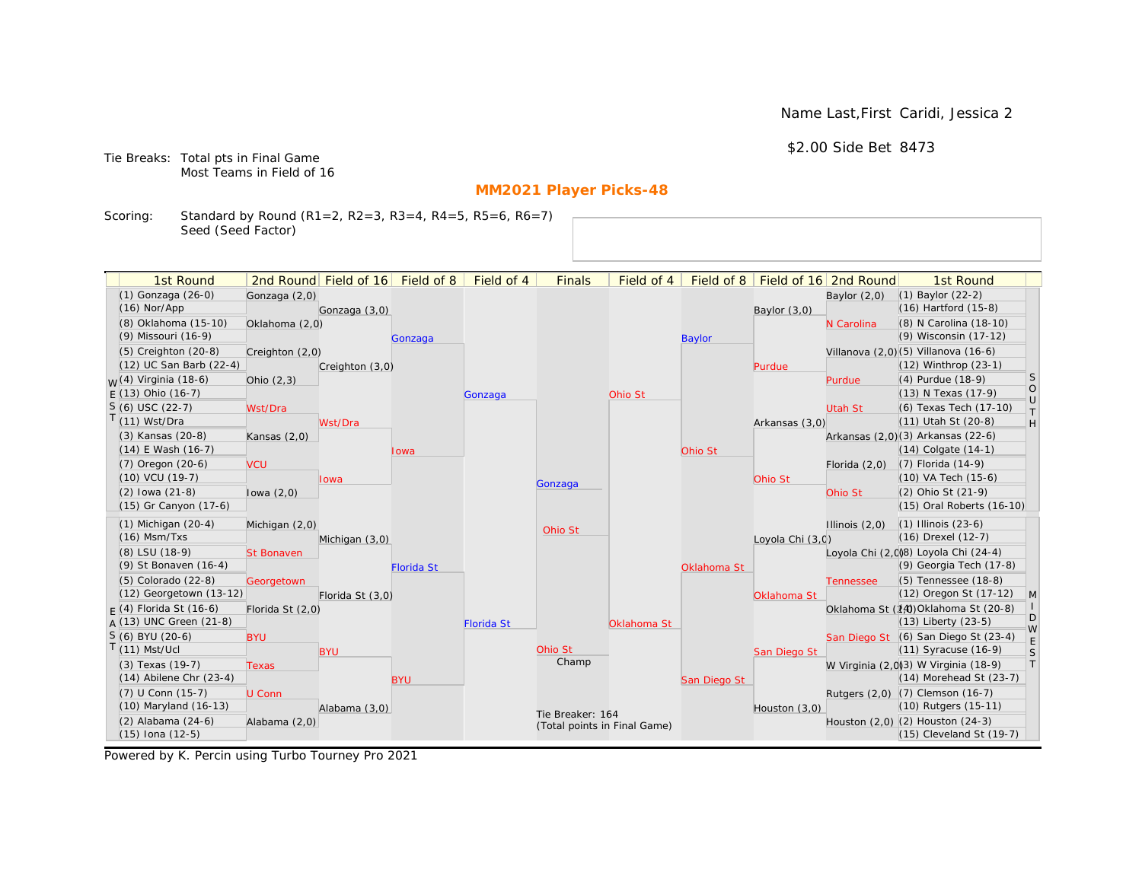Name Last,First Caridi, Jessica 2

\$2.00 Side Bet 8473

Tie Breaks: Total pts in Final Game Most Teams in Field of 16

# **MM2021 Player Picks-48**

Scoring: Standard by Round (R1=2, R2=3, R3=4, R4=5, R5=6, R6=7) Seed (Seed Factor)

| (1) Gonzaga (26-0)<br>(1) Baylor (22-2)<br>Gonzaga (2,0)<br>Baylor $(2,0)$<br>(16) Hartford (15-8)<br>$(16)$ Nor/App<br>Gonzaga (3,0)<br>Baylor $(3,0)$<br>(8) Oklahoma (15-10)<br>(8) N Carolina (18-10)<br>Oklahoma (2,0)<br>N Carolina<br>(9) Wisconsin (17-12)<br>(9) Missouri (16-9)<br><b>Baylor</b><br>Gonzaga<br>(5) Creighton (20-8)<br>Villanova (2,0) (5) Villanova (16-6)<br>Creighton (2,0)<br>(12) UC San Barb (22-4)<br>(12) Winthrop (23-1)<br>Creighton (3,0)<br>Purdue<br>S<br><sub>W</sub> (4) Virginia (18-6)<br>(4) Purdue (18-9)<br>Ohio $(2,3)$<br>Purdue<br>$\circ$<br>$E(13)$ Ohio (16-7)<br>(13) N Texas (17-9)<br>Ohio St<br>Gonzaga<br>$\cup$<br>$S(6)$ USC (22-7)<br>(6) Texas Tech (17-10)<br>Wst/Dra<br>Utah St<br>$\top$<br>$T(11)$ Wst/Dra<br>(11) Utah St (20-8)<br>H<br>Wst/Dra<br>Arkansas (3,0)<br>(3) Kansas (20-8)<br>Arkansas (2,0)(3) Arkansas (22-6)<br>Kansas $(2,0)$<br>$(14)$ E Wash $(16-7)$<br>$(14)$ Colgate $(14-1)$<br>Ohio St<br>lowa<br>$(7)$ Oregon $(20-6)$<br>$(7)$ Florida $(14-9)$<br><b>VCU</b><br>Florida $(2,0)$<br>(10) VCU (19-7)<br>(10) VA Tech (15-6)<br>Ohio St<br>lowa<br>Gonzaga<br>(2) Ohio St (21-9)<br>$(2)$ lowa $(21-8)$<br>Ohio St<br>lowa $(2,0)$<br>(15) Gr Canyon (17-6)<br>(15) Oral Roberts (16-10)<br>$(1)$ Michigan $(20-4)$<br>$(1)$ Illinois $(23-6)$<br>Illinois $(2,0)$<br>Michigan (2,0)<br>Ohio St<br>$(16)$ Msm/Txs<br>(16) Drexel (12-7)<br>Michigan (3,0)<br>Loyola Chi (3,0)<br>Loyola Chi (2,008) Loyola Chi (24-4)<br>(8) LSU (18-9)<br><b>St Bonaven</b><br>(9) Georgia Tech (17-8)<br>(9) St Bonaven (16-4)<br><b>Florida St</b><br>Oklahoma St<br>(5) Tennessee (18-8)<br>(5) Colorado (22-8)<br>Georgetown<br><b>Tennessee</b><br>(12) Georgetown (13-12)<br>(12) Oregon St (17-12)<br>$\mathsf{M}$<br>Florida St (3,0)<br>Oklahoma St<br>Oklahoma St (14) Oklahoma St (20-8)<br>$F(4)$ Florida St (16-6)<br>Florida St (2,0)<br>D<br>$A(13)$ UNC Green (21-8)<br>(13) Liberty (23-5)<br><b>Florida St</b><br>Oklahoma St<br>W<br>S (6) BYU (20-6)<br>San Diego St (6) San Diego St (23-4)<br><b>BYU</b><br>$\mathsf E$<br>$T(11)$ Mst/Ucl<br>Ohio St<br>(11) Syracuse (16-9)<br>S<br><b>BYU</b><br>San Diego St<br>Champ<br> T <br>W Virginia (2,0)(3) W Virginia (18-9)<br>(3) Texas (19-7)<br><b>Texas</b><br>$(14)$ Abilene Chr $(23-4)$<br>(14) Morehead St (23-7)<br><b>BYU</b><br>San Diego St<br>(7) U Conn (15-7)<br>Rutgers (2,0) (7) Clemson (16-7)<br>U Conn<br>(10) Maryland (16-13)<br>(10) Rutgers (15-11)<br>Alabama (3,0)<br>Houston (3,0)<br>Tie Breaker: 164<br>(2) Alabama (24-6)<br>Houston (2,0) (2) Houston (24-3)<br>Alabama (2,0)<br>(Total points in Final Game)<br>$(15)$ Iona $(12-5)$<br>(15) Cleveland St (19-7) | 1st Round | 2nd Round Field of 16 Field of 8 | Field of 4 | <b>Finals</b> | Field of 4 | Field of 8 | Field of 16 2nd Round | 1st Round |  |
|-------------------------------------------------------------------------------------------------------------------------------------------------------------------------------------------------------------------------------------------------------------------------------------------------------------------------------------------------------------------------------------------------------------------------------------------------------------------------------------------------------------------------------------------------------------------------------------------------------------------------------------------------------------------------------------------------------------------------------------------------------------------------------------------------------------------------------------------------------------------------------------------------------------------------------------------------------------------------------------------------------------------------------------------------------------------------------------------------------------------------------------------------------------------------------------------------------------------------------------------------------------------------------------------------------------------------------------------------------------------------------------------------------------------------------------------------------------------------------------------------------------------------------------------------------------------------------------------------------------------------------------------------------------------------------------------------------------------------------------------------------------------------------------------------------------------------------------------------------------------------------------------------------------------------------------------------------------------------------------------------------------------------------------------------------------------------------------------------------------------------------------------------------------------------------------------------------------------------------------------------------------------------------------------------------------------------------------------------------------------------------------------------------------------------------------------------------------------------------------------------------------------------------------------------------------------------------------------------------------------------------------------------------------------------------------------------------------------------------------------------|-----------|----------------------------------|------------|---------------|------------|------------|-----------------------|-----------|--|
|                                                                                                                                                                                                                                                                                                                                                                                                                                                                                                                                                                                                                                                                                                                                                                                                                                                                                                                                                                                                                                                                                                                                                                                                                                                                                                                                                                                                                                                                                                                                                                                                                                                                                                                                                                                                                                                                                                                                                                                                                                                                                                                                                                                                                                                                                                                                                                                                                                                                                                                                                                                                                                                                                                                                                 |           |                                  |            |               |            |            |                       |           |  |
|                                                                                                                                                                                                                                                                                                                                                                                                                                                                                                                                                                                                                                                                                                                                                                                                                                                                                                                                                                                                                                                                                                                                                                                                                                                                                                                                                                                                                                                                                                                                                                                                                                                                                                                                                                                                                                                                                                                                                                                                                                                                                                                                                                                                                                                                                                                                                                                                                                                                                                                                                                                                                                                                                                                                                 |           |                                  |            |               |            |            |                       |           |  |
|                                                                                                                                                                                                                                                                                                                                                                                                                                                                                                                                                                                                                                                                                                                                                                                                                                                                                                                                                                                                                                                                                                                                                                                                                                                                                                                                                                                                                                                                                                                                                                                                                                                                                                                                                                                                                                                                                                                                                                                                                                                                                                                                                                                                                                                                                                                                                                                                                                                                                                                                                                                                                                                                                                                                                 |           |                                  |            |               |            |            |                       |           |  |
|                                                                                                                                                                                                                                                                                                                                                                                                                                                                                                                                                                                                                                                                                                                                                                                                                                                                                                                                                                                                                                                                                                                                                                                                                                                                                                                                                                                                                                                                                                                                                                                                                                                                                                                                                                                                                                                                                                                                                                                                                                                                                                                                                                                                                                                                                                                                                                                                                                                                                                                                                                                                                                                                                                                                                 |           |                                  |            |               |            |            |                       |           |  |
|                                                                                                                                                                                                                                                                                                                                                                                                                                                                                                                                                                                                                                                                                                                                                                                                                                                                                                                                                                                                                                                                                                                                                                                                                                                                                                                                                                                                                                                                                                                                                                                                                                                                                                                                                                                                                                                                                                                                                                                                                                                                                                                                                                                                                                                                                                                                                                                                                                                                                                                                                                                                                                                                                                                                                 |           |                                  |            |               |            |            |                       |           |  |
|                                                                                                                                                                                                                                                                                                                                                                                                                                                                                                                                                                                                                                                                                                                                                                                                                                                                                                                                                                                                                                                                                                                                                                                                                                                                                                                                                                                                                                                                                                                                                                                                                                                                                                                                                                                                                                                                                                                                                                                                                                                                                                                                                                                                                                                                                                                                                                                                                                                                                                                                                                                                                                                                                                                                                 |           |                                  |            |               |            |            |                       |           |  |
|                                                                                                                                                                                                                                                                                                                                                                                                                                                                                                                                                                                                                                                                                                                                                                                                                                                                                                                                                                                                                                                                                                                                                                                                                                                                                                                                                                                                                                                                                                                                                                                                                                                                                                                                                                                                                                                                                                                                                                                                                                                                                                                                                                                                                                                                                                                                                                                                                                                                                                                                                                                                                                                                                                                                                 |           |                                  |            |               |            |            |                       |           |  |
|                                                                                                                                                                                                                                                                                                                                                                                                                                                                                                                                                                                                                                                                                                                                                                                                                                                                                                                                                                                                                                                                                                                                                                                                                                                                                                                                                                                                                                                                                                                                                                                                                                                                                                                                                                                                                                                                                                                                                                                                                                                                                                                                                                                                                                                                                                                                                                                                                                                                                                                                                                                                                                                                                                                                                 |           |                                  |            |               |            |            |                       |           |  |
|                                                                                                                                                                                                                                                                                                                                                                                                                                                                                                                                                                                                                                                                                                                                                                                                                                                                                                                                                                                                                                                                                                                                                                                                                                                                                                                                                                                                                                                                                                                                                                                                                                                                                                                                                                                                                                                                                                                                                                                                                                                                                                                                                                                                                                                                                                                                                                                                                                                                                                                                                                                                                                                                                                                                                 |           |                                  |            |               |            |            |                       |           |  |
|                                                                                                                                                                                                                                                                                                                                                                                                                                                                                                                                                                                                                                                                                                                                                                                                                                                                                                                                                                                                                                                                                                                                                                                                                                                                                                                                                                                                                                                                                                                                                                                                                                                                                                                                                                                                                                                                                                                                                                                                                                                                                                                                                                                                                                                                                                                                                                                                                                                                                                                                                                                                                                                                                                                                                 |           |                                  |            |               |            |            |                       |           |  |
|                                                                                                                                                                                                                                                                                                                                                                                                                                                                                                                                                                                                                                                                                                                                                                                                                                                                                                                                                                                                                                                                                                                                                                                                                                                                                                                                                                                                                                                                                                                                                                                                                                                                                                                                                                                                                                                                                                                                                                                                                                                                                                                                                                                                                                                                                                                                                                                                                                                                                                                                                                                                                                                                                                                                                 |           |                                  |            |               |            |            |                       |           |  |
|                                                                                                                                                                                                                                                                                                                                                                                                                                                                                                                                                                                                                                                                                                                                                                                                                                                                                                                                                                                                                                                                                                                                                                                                                                                                                                                                                                                                                                                                                                                                                                                                                                                                                                                                                                                                                                                                                                                                                                                                                                                                                                                                                                                                                                                                                                                                                                                                                                                                                                                                                                                                                                                                                                                                                 |           |                                  |            |               |            |            |                       |           |  |
|                                                                                                                                                                                                                                                                                                                                                                                                                                                                                                                                                                                                                                                                                                                                                                                                                                                                                                                                                                                                                                                                                                                                                                                                                                                                                                                                                                                                                                                                                                                                                                                                                                                                                                                                                                                                                                                                                                                                                                                                                                                                                                                                                                                                                                                                                                                                                                                                                                                                                                                                                                                                                                                                                                                                                 |           |                                  |            |               |            |            |                       |           |  |
|                                                                                                                                                                                                                                                                                                                                                                                                                                                                                                                                                                                                                                                                                                                                                                                                                                                                                                                                                                                                                                                                                                                                                                                                                                                                                                                                                                                                                                                                                                                                                                                                                                                                                                                                                                                                                                                                                                                                                                                                                                                                                                                                                                                                                                                                                                                                                                                                                                                                                                                                                                                                                                                                                                                                                 |           |                                  |            |               |            |            |                       |           |  |
|                                                                                                                                                                                                                                                                                                                                                                                                                                                                                                                                                                                                                                                                                                                                                                                                                                                                                                                                                                                                                                                                                                                                                                                                                                                                                                                                                                                                                                                                                                                                                                                                                                                                                                                                                                                                                                                                                                                                                                                                                                                                                                                                                                                                                                                                                                                                                                                                                                                                                                                                                                                                                                                                                                                                                 |           |                                  |            |               |            |            |                       |           |  |
|                                                                                                                                                                                                                                                                                                                                                                                                                                                                                                                                                                                                                                                                                                                                                                                                                                                                                                                                                                                                                                                                                                                                                                                                                                                                                                                                                                                                                                                                                                                                                                                                                                                                                                                                                                                                                                                                                                                                                                                                                                                                                                                                                                                                                                                                                                                                                                                                                                                                                                                                                                                                                                                                                                                                                 |           |                                  |            |               |            |            |                       |           |  |
|                                                                                                                                                                                                                                                                                                                                                                                                                                                                                                                                                                                                                                                                                                                                                                                                                                                                                                                                                                                                                                                                                                                                                                                                                                                                                                                                                                                                                                                                                                                                                                                                                                                                                                                                                                                                                                                                                                                                                                                                                                                                                                                                                                                                                                                                                                                                                                                                                                                                                                                                                                                                                                                                                                                                                 |           |                                  |            |               |            |            |                       |           |  |
|                                                                                                                                                                                                                                                                                                                                                                                                                                                                                                                                                                                                                                                                                                                                                                                                                                                                                                                                                                                                                                                                                                                                                                                                                                                                                                                                                                                                                                                                                                                                                                                                                                                                                                                                                                                                                                                                                                                                                                                                                                                                                                                                                                                                                                                                                                                                                                                                                                                                                                                                                                                                                                                                                                                                                 |           |                                  |            |               |            |            |                       |           |  |
|                                                                                                                                                                                                                                                                                                                                                                                                                                                                                                                                                                                                                                                                                                                                                                                                                                                                                                                                                                                                                                                                                                                                                                                                                                                                                                                                                                                                                                                                                                                                                                                                                                                                                                                                                                                                                                                                                                                                                                                                                                                                                                                                                                                                                                                                                                                                                                                                                                                                                                                                                                                                                                                                                                                                                 |           |                                  |            |               |            |            |                       |           |  |
|                                                                                                                                                                                                                                                                                                                                                                                                                                                                                                                                                                                                                                                                                                                                                                                                                                                                                                                                                                                                                                                                                                                                                                                                                                                                                                                                                                                                                                                                                                                                                                                                                                                                                                                                                                                                                                                                                                                                                                                                                                                                                                                                                                                                                                                                                                                                                                                                                                                                                                                                                                                                                                                                                                                                                 |           |                                  |            |               |            |            |                       |           |  |
|                                                                                                                                                                                                                                                                                                                                                                                                                                                                                                                                                                                                                                                                                                                                                                                                                                                                                                                                                                                                                                                                                                                                                                                                                                                                                                                                                                                                                                                                                                                                                                                                                                                                                                                                                                                                                                                                                                                                                                                                                                                                                                                                                                                                                                                                                                                                                                                                                                                                                                                                                                                                                                                                                                                                                 |           |                                  |            |               |            |            |                       |           |  |
|                                                                                                                                                                                                                                                                                                                                                                                                                                                                                                                                                                                                                                                                                                                                                                                                                                                                                                                                                                                                                                                                                                                                                                                                                                                                                                                                                                                                                                                                                                                                                                                                                                                                                                                                                                                                                                                                                                                                                                                                                                                                                                                                                                                                                                                                                                                                                                                                                                                                                                                                                                                                                                                                                                                                                 |           |                                  |            |               |            |            |                       |           |  |
|                                                                                                                                                                                                                                                                                                                                                                                                                                                                                                                                                                                                                                                                                                                                                                                                                                                                                                                                                                                                                                                                                                                                                                                                                                                                                                                                                                                                                                                                                                                                                                                                                                                                                                                                                                                                                                                                                                                                                                                                                                                                                                                                                                                                                                                                                                                                                                                                                                                                                                                                                                                                                                                                                                                                                 |           |                                  |            |               |            |            |                       |           |  |
|                                                                                                                                                                                                                                                                                                                                                                                                                                                                                                                                                                                                                                                                                                                                                                                                                                                                                                                                                                                                                                                                                                                                                                                                                                                                                                                                                                                                                                                                                                                                                                                                                                                                                                                                                                                                                                                                                                                                                                                                                                                                                                                                                                                                                                                                                                                                                                                                                                                                                                                                                                                                                                                                                                                                                 |           |                                  |            |               |            |            |                       |           |  |
|                                                                                                                                                                                                                                                                                                                                                                                                                                                                                                                                                                                                                                                                                                                                                                                                                                                                                                                                                                                                                                                                                                                                                                                                                                                                                                                                                                                                                                                                                                                                                                                                                                                                                                                                                                                                                                                                                                                                                                                                                                                                                                                                                                                                                                                                                                                                                                                                                                                                                                                                                                                                                                                                                                                                                 |           |                                  |            |               |            |            |                       |           |  |
|                                                                                                                                                                                                                                                                                                                                                                                                                                                                                                                                                                                                                                                                                                                                                                                                                                                                                                                                                                                                                                                                                                                                                                                                                                                                                                                                                                                                                                                                                                                                                                                                                                                                                                                                                                                                                                                                                                                                                                                                                                                                                                                                                                                                                                                                                                                                                                                                                                                                                                                                                                                                                                                                                                                                                 |           |                                  |            |               |            |            |                       |           |  |
|                                                                                                                                                                                                                                                                                                                                                                                                                                                                                                                                                                                                                                                                                                                                                                                                                                                                                                                                                                                                                                                                                                                                                                                                                                                                                                                                                                                                                                                                                                                                                                                                                                                                                                                                                                                                                                                                                                                                                                                                                                                                                                                                                                                                                                                                                                                                                                                                                                                                                                                                                                                                                                                                                                                                                 |           |                                  |            |               |            |            |                       |           |  |
|                                                                                                                                                                                                                                                                                                                                                                                                                                                                                                                                                                                                                                                                                                                                                                                                                                                                                                                                                                                                                                                                                                                                                                                                                                                                                                                                                                                                                                                                                                                                                                                                                                                                                                                                                                                                                                                                                                                                                                                                                                                                                                                                                                                                                                                                                                                                                                                                                                                                                                                                                                                                                                                                                                                                                 |           |                                  |            |               |            |            |                       |           |  |
|                                                                                                                                                                                                                                                                                                                                                                                                                                                                                                                                                                                                                                                                                                                                                                                                                                                                                                                                                                                                                                                                                                                                                                                                                                                                                                                                                                                                                                                                                                                                                                                                                                                                                                                                                                                                                                                                                                                                                                                                                                                                                                                                                                                                                                                                                                                                                                                                                                                                                                                                                                                                                                                                                                                                                 |           |                                  |            |               |            |            |                       |           |  |
|                                                                                                                                                                                                                                                                                                                                                                                                                                                                                                                                                                                                                                                                                                                                                                                                                                                                                                                                                                                                                                                                                                                                                                                                                                                                                                                                                                                                                                                                                                                                                                                                                                                                                                                                                                                                                                                                                                                                                                                                                                                                                                                                                                                                                                                                                                                                                                                                                                                                                                                                                                                                                                                                                                                                                 |           |                                  |            |               |            |            |                       |           |  |
|                                                                                                                                                                                                                                                                                                                                                                                                                                                                                                                                                                                                                                                                                                                                                                                                                                                                                                                                                                                                                                                                                                                                                                                                                                                                                                                                                                                                                                                                                                                                                                                                                                                                                                                                                                                                                                                                                                                                                                                                                                                                                                                                                                                                                                                                                                                                                                                                                                                                                                                                                                                                                                                                                                                                                 |           |                                  |            |               |            |            |                       |           |  |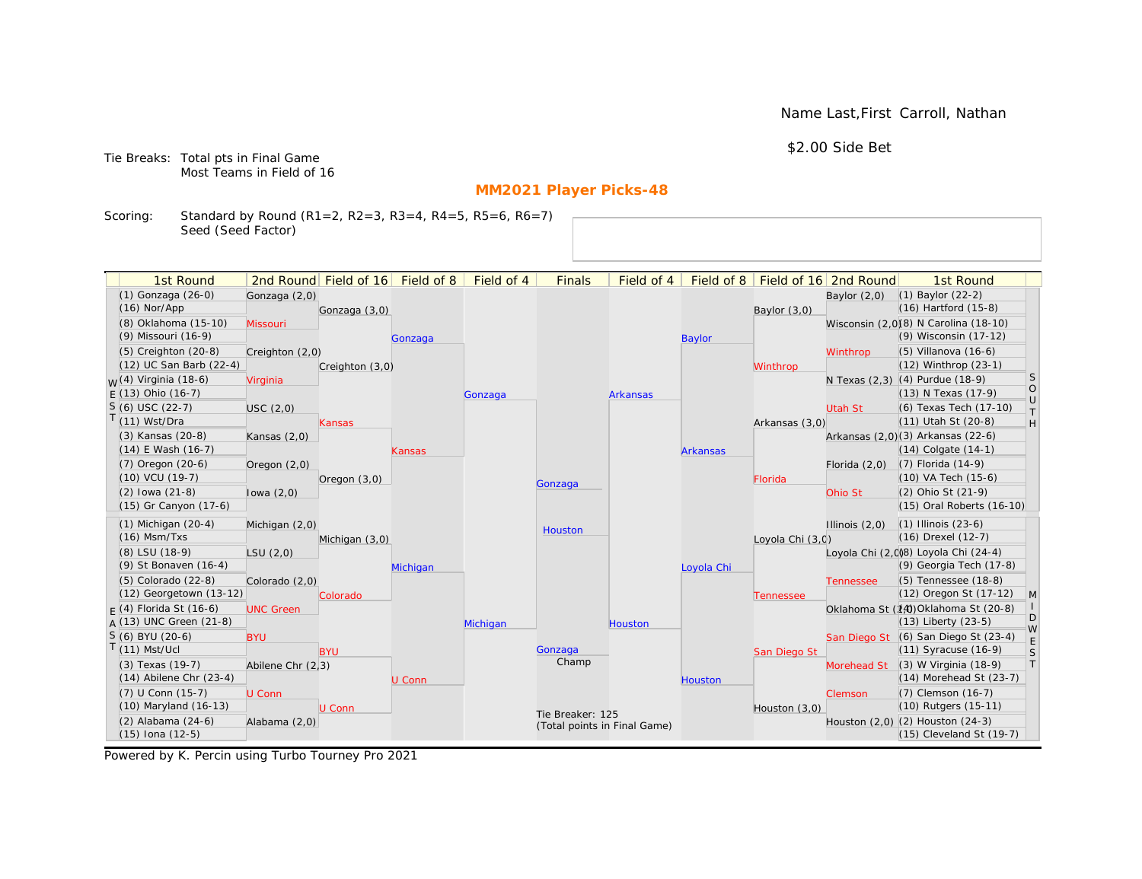Name Last,First Carroll, Nathan

\$2.00 Side Bet

Tie Breaks: Total pts in Final Game Most Teams in Field of 16

# **MM2021 Player Picks-48**

Scoring: Standard by Round (R1=2, R2=3, R3=4, R4=5, R5=6, R6=7) Seed (Seed Factor)

| 1st Round                        |                   | 2nd Round Field of 16 | Field of 8 | Field of 4 | <b>Finals</b>                | Field of 4      | Field of 8      |                  | Field of 16 2nd Round | 1st Round                                                    |                   |
|----------------------------------|-------------------|-----------------------|------------|------------|------------------------------|-----------------|-----------------|------------------|-----------------------|--------------------------------------------------------------|-------------------|
| (1) Gonzaga (26-0)               | Gonzaga (2,0)     |                       |            |            |                              |                 |                 |                  | Baylor $(2,0)$        | $(1)$ Baylor $(22-2)$                                        |                   |
| $(16)$ Nor/App                   |                   | Gonzaga (3,0)         |            |            |                              |                 |                 | Baylor (3,0)     |                       | $(16)$ Hartford $(15-8)$                                     |                   |
| (8) Oklahoma (15-10)             | Missouri          |                       |            |            |                              |                 |                 |                  |                       | Wisconsin (2,0)(8) N Carolina (18-10)                        |                   |
| (9) Missouri (16-9)              |                   |                       | Gonzaga    |            |                              |                 | <b>Baylor</b>   |                  |                       | (9) Wisconsin (17-12)                                        |                   |
| (5) Creighton (20-8)             | Creighton (2,0)   |                       |            |            |                              |                 |                 |                  | Winthrop              | $(5)$ Villanova $(16-6)$                                     |                   |
| (12) UC San Barb (22-4)          |                   | Creighton (3,0)       |            |            |                              |                 |                 | Winthrop         |                       | $(12)$ Winthrop $(23-1)$                                     |                   |
| <sub>W</sub> (4) Virginia (18-6) | Virginia          |                       |            |            |                              |                 |                 |                  |                       | N Texas (2,3) (4) Purdue (18-9)                              | <sub>S</sub>      |
| $E(13)$ Ohio (16-7)              |                   |                       |            | Gonzaga    |                              | <b>Arkansas</b> |                 |                  |                       | (13) N Texas (17-9)                                          | $\circ$<br>$\cup$ |
| $S(6)$ USC (22-7)                | USC(2,0)          |                       |            |            |                              |                 |                 |                  | <b>Utah St</b>        | (6) Texas Tech (17-10)                                       | $\top$            |
| T(11) Wst/Dra                    |                   | Kansas                |            |            |                              |                 |                 | Arkansas (3,0)   |                       | (11) Utah St (20-8)                                          | H                 |
| (3) Kansas (20-8)                | Kansas $(2,0)$    |                       |            |            |                              |                 |                 |                  |                       | Arkansas (2,0)(3) Arkansas (22-6)                            |                   |
| $(14)$ E Wash $(16-7)$           |                   |                       | Kansas     |            |                              |                 | <b>Arkansas</b> |                  |                       | $(14)$ Colgate $(14-1)$                                      |                   |
| (7) Oregon (20-6)                | Oregon $(2,0)$    |                       |            |            |                              |                 |                 |                  | Florida $(2,0)$       | $(7)$ Florida $(14-9)$                                       |                   |
| (10) VCU (19-7)                  |                   | Oregon $(3,0)$        |            |            | Gonzaga                      |                 |                 | Florida          |                       | (10) VA Tech (15-6)                                          |                   |
| $(2)$ lowa $(21-8)$              | lowa $(2,0)$      |                       |            |            |                              |                 |                 |                  | Ohio St               | (2) Ohio St (21-9)                                           |                   |
| (15) Gr Canyon (17-6)            |                   |                       |            |            |                              |                 |                 |                  |                       | (15) Oral Roberts (16-10)                                    |                   |
| $(1)$ Michigan $(20-4)$          | Michigan (2,0)    |                       |            |            | Houston                      |                 |                 |                  | Illinois $(2,0)$      | $(1)$ Illinois $(23-6)$                                      |                   |
| $(16)$ Msm/Txs                   |                   | Michigan (3,0)        |            |            |                              |                 |                 | Loyola Chi (3,0) |                       | (16) Drexel (12-7)                                           |                   |
| (8) LSU (18-9)                   | LSU(2,0)          |                       |            |            |                              |                 |                 |                  |                       | Loyola Chi (2,0)8) Loyola Chi (24-4)                         |                   |
| (9) St Bonaven (16-4)            |                   |                       | Michigan   |            |                              |                 | Loyola Chi      |                  |                       | (9) Georgia Tech (17-8)                                      |                   |
| (5) Colorado (22-8)              | Colorado (2,0)    |                       |            |            |                              |                 |                 |                  | <b>Tennessee</b>      | (5) Tennessee (18-8)                                         |                   |
| (12) Georgetown (13-12)          |                   | Colorado              |            |            |                              |                 |                 | Tennessee        |                       | (12) Oregon St (17-12)                                       | M                 |
| $F(4)$ Florida St (16-6)         | <b>UNC Green</b>  |                       |            |            |                              |                 |                 |                  |                       | Oklahoma St (14) Oklahoma St (20-8)                          | D                 |
| $A(13)$ UNC Green (21-8)         |                   |                       |            | Michigan   |                              | Houston         |                 |                  |                       | $(13)$ Liberty $(23-5)$                                      | W                 |
| S (6) BYU (20-6)                 | <b>BYU</b>        |                       |            |            |                              |                 |                 |                  |                       | San Diego St (6) San Diego St (23-4)                         | E                 |
| $T(11)$ Mst/Ucl                  |                   | <b>BYU</b>            |            |            | Gonzaga<br>Champ             |                 |                 | San Diego St     |                       | $(11)$ Syracuse $(16-9)$                                     | S                 |
| (3) Texas (19-7)                 | Abilene Chr (2,3) |                       |            |            |                              |                 |                 |                  | Morehead St           | (3) W Virginia (18-9)                                        | T                 |
| $(14)$ Abilene Chr $(23-4)$      |                   |                       | U Conn     |            |                              |                 | <b>Houston</b>  |                  |                       | (14) Morehead St (23-7)                                      |                   |
| (7) U Conn (15-7)                | U Conn            |                       |            |            |                              |                 |                 |                  | Clemson               | (7) Clemson (16-7)                                           |                   |
| (10) Maryland (16-13)            |                   | U Conn                |            |            | Tie Breaker: 125             |                 |                 | Houston $(3,0)$  |                       | (10) Rutgers (15-11)                                         |                   |
| (2) Alabama (24-6)               | Alabama (2,0)     |                       |            |            | (Total points in Final Game) |                 |                 |                  |                       | Houston (2,0) (2) Houston (24-3)<br>(15) Cleveland St (19-7) |                   |
| $(15)$ Iona $(12-5)$             |                   |                       |            |            |                              |                 |                 |                  |                       |                                                              |                   |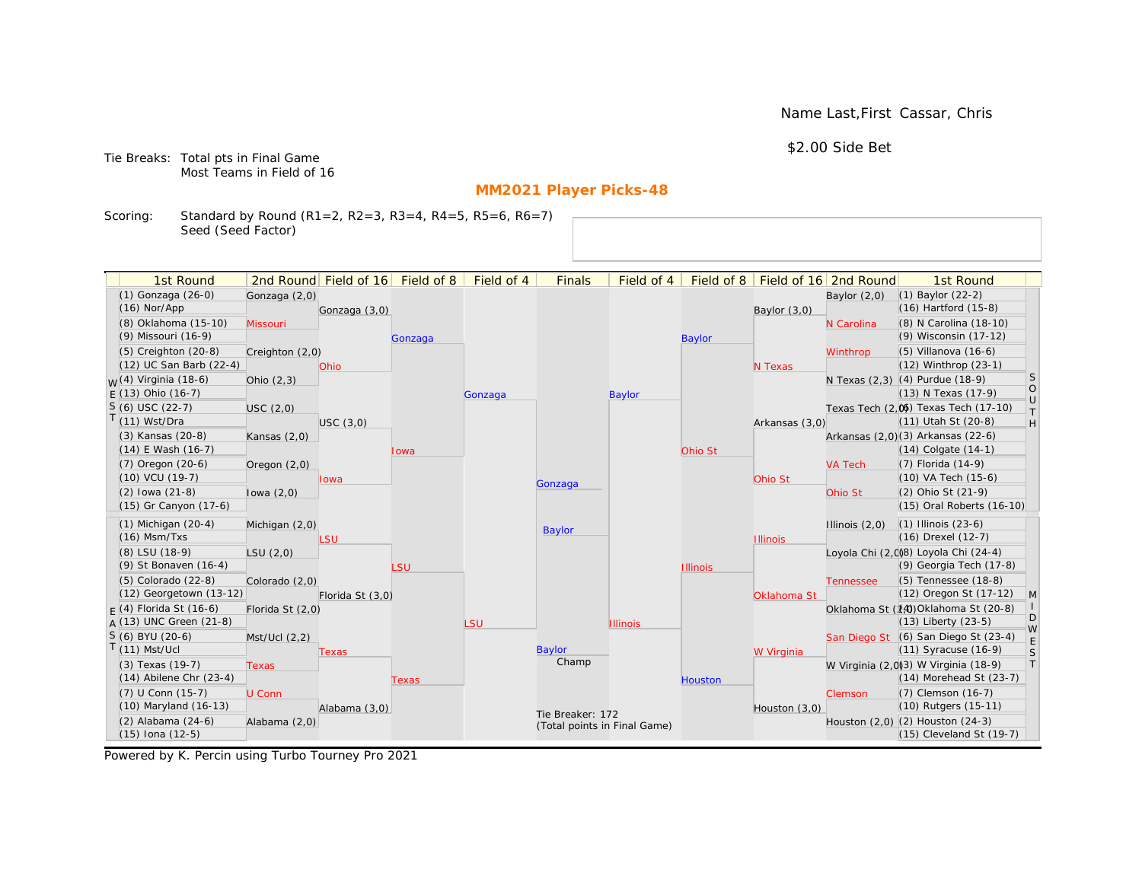Name Last,First Cassar, Chris

\$2.00 Side Bet

Tie Breaks: Total pts in Final Game Most Teams in Field of 16

# **MM2021 Player Picks-48**

Scoring: Standard by Round (R1=2, R2=3, R3=4, R4=5, R5=6, R6=7) Seed (Seed Factor)

| 1st Round                                  |                  | 2nd Round Field of 16 | Field of 8 | Field of 4 | <b>Finals</b>                | Field of 4      | Field of 8      |                 | Field of 16 2nd Round | 1st Round                                                    |                                                                   |
|--------------------------------------------|------------------|-----------------------|------------|------------|------------------------------|-----------------|-----------------|-----------------|-----------------------|--------------------------------------------------------------|-------------------------------------------------------------------|
| (1) Gonzaga (26-0)                         | Gonzaga (2,0)    |                       |            |            |                              |                 |                 |                 | Baylor $(2,0)$        | $(1)$ Baylor $(22-2)$                                        |                                                                   |
| $(16)$ Nor/App                             |                  | Gonzaga (3,0)         |            |            |                              |                 |                 | Baylor (3,0)    |                       | $(16)$ Hartford $(15-8)$                                     |                                                                   |
| (8) Oklahoma (15-10)                       | Missouri         |                       |            |            |                              |                 |                 |                 | N Carolina            | (8) N Carolina (18-10)                                       |                                                                   |
| (9) Missouri (16-9)                        |                  |                       | Gonzaga    |            |                              |                 | <b>Baylor</b>   |                 |                       | (9) Wisconsin (17-12)                                        |                                                                   |
| (5) Creighton (20-8)                       | Creighton (2,0)  |                       |            |            |                              |                 |                 |                 | Winthrop              | $(5)$ Villanova $(16-6)$                                     |                                                                   |
| (12) UC San Barb (22-4)                    |                  | Ohio                  |            |            |                              |                 |                 | N Texas         |                       | (12) Winthrop (23-1)                                         |                                                                   |
| $W(4)$ Virginia (18-6)                     | Ohio $(2,3)$     |                       |            |            |                              |                 |                 |                 |                       | N Texas (2,3) (4) Purdue (18-9)                              | S                                                                 |
| $E(13)$ Ohio (16-7)                        |                  |                       |            | Gonzaga    |                              | <b>Baylor</b>   |                 |                 |                       | (13) N Texas (17-9)                                          | $\circ$<br>$\cup$                                                 |
| $S(6)$ USC (22-7)                          | USC (2,0)        |                       |            |            |                              |                 |                 |                 |                       | Texas Tech (2,0) Texas Tech (17-10)                          | $\top$                                                            |
| $T(11)$ Wst/Dra                            |                  | USC(3,0)              |            |            |                              |                 |                 | Arkansas (3,0)  |                       | (11) Utah St (20-8)                                          | $\mathsf{H}% _{\mathsf{H}}^{\ast}=\mathsf{H}_{\mathsf{H}}^{\ast}$ |
| (3) Kansas (20-8)                          | Kansas $(2,0)$   |                       |            |            |                              |                 |                 |                 |                       | Arkansas (2,0)(3) Arkansas (22-6)                            |                                                                   |
| $(14)$ E Wash $(16-7)$                     |                  |                       | Iowa       |            |                              |                 | Ohio St         |                 |                       | $(14)$ Colgate $(14-1)$                                      |                                                                   |
| $(7)$ Oregon $(20-6)$                      | Oregon $(2,0)$   |                       |            |            |                              |                 |                 |                 | <b>VA Tech</b>        | $(7)$ Florida $(14-9)$                                       |                                                                   |
| $(10)$ VCU $(19-7)$                        |                  | lowa                  |            |            | Gonzaga                      |                 |                 | Ohio St         |                       | $(10)$ VA Tech $(15-6)$                                      |                                                                   |
| $(2)$ lowa $(21-8)$                        | lowa $(2,0)$     |                       |            |            |                              |                 |                 |                 | Ohio St               | (2) Ohio St (21-9)                                           |                                                                   |
| (15) Gr Canyon (17-6)                      |                  |                       |            |            |                              |                 |                 |                 |                       | (15) Oral Roberts (16-10)                                    |                                                                   |
| $(1)$ Michigan $(20-4)$                    | Michigan (2,0)   |                       |            |            | <b>Baylor</b>                |                 |                 |                 | Illinois $(2,0)$      | $(1)$ Illinois $(23-6)$                                      |                                                                   |
| $(16)$ Msm/Txs                             |                  | LSU                   |            |            |                              |                 |                 | <b>Illinois</b> |                       | (16) Drexel (12-7)                                           |                                                                   |
| (8) LSU (18-9)                             | LSU(2,0)         |                       |            |            |                              |                 |                 |                 |                       | Loyola Chi (2,0)8) Loyola Chi (24-4)                         |                                                                   |
| (9) St Bonaven (16-4)                      |                  |                       | LSU        |            |                              |                 | <b>Illinois</b> |                 |                       | (9) Georgia Tech (17-8)                                      |                                                                   |
| (5) Colorado (22-8)                        | Colorado (2,0)   |                       |            |            |                              |                 |                 |                 | <b>Tennessee</b>      | (5) Tennessee (18-8)                                         |                                                                   |
| (12) Georgetown (13-12)                    |                  | Florida St (3,0)      |            |            |                              |                 |                 | Oklahoma St     |                       | (12) Oregon St (17-12)                                       | M                                                                 |
| $F(4)$ Florida St (16-6)                   | Florida St (2,0) |                       |            |            |                              |                 |                 |                 |                       | Oklahoma St (14) Oklahoma St (20-8)                          | D                                                                 |
| $A(13)$ UNC Green (21-8)                   |                  |                       |            | LSU        |                              | <b>Illinois</b> |                 |                 |                       | $(13)$ Liberty $(23-5)$                                      | W                                                                 |
| S (6) BYU (20-6)                           | Mst/Ucl (2,2)    |                       |            |            |                              |                 |                 |                 |                       | San Diego St (6) San Diego St (23-4)                         | E                                                                 |
| $T(11)$ Mst/Ucl                            |                  | Texas                 |            |            | Baylor<br>Champ              |                 |                 | W Virginia      |                       | $(11)$ Syracuse $(16-9)$                                     | S                                                                 |
| (3) Texas (19-7)                           | <b>Texas</b>     |                       |            |            |                              |                 |                 |                 |                       | W Virginia (2,0)3) W Virginia (18-9)                         | T                                                                 |
| $(14)$ Abilene Chr $(23-4)$                |                  |                       | Texas      |            |                              |                 | <b>Houston</b>  |                 |                       | $(14)$ Morehead St $(23-7)$                                  |                                                                   |
| (7) U Conn (15-7)<br>(10) Maryland (16-13) | U Conn           |                       |            |            |                              |                 |                 |                 | Clemson               | (7) Clemson (16-7)<br>(10) Rutgers (15-11)                   |                                                                   |
|                                            |                  | Alabama (3,0)         |            |            | Tie Breaker: 172             |                 |                 | Houston (3,0)   |                       |                                                              |                                                                   |
| (2) Alabama (24-6)<br>$(15)$ Iona $(12-5)$ | Alabama (2,0)    |                       |            |            | (Total points in Final Game) |                 |                 |                 |                       | Houston (2,0) (2) Houston (24-3)<br>(15) Cleveland St (19-7) |                                                                   |
|                                            |                  |                       |            |            |                              |                 |                 |                 |                       |                                                              |                                                                   |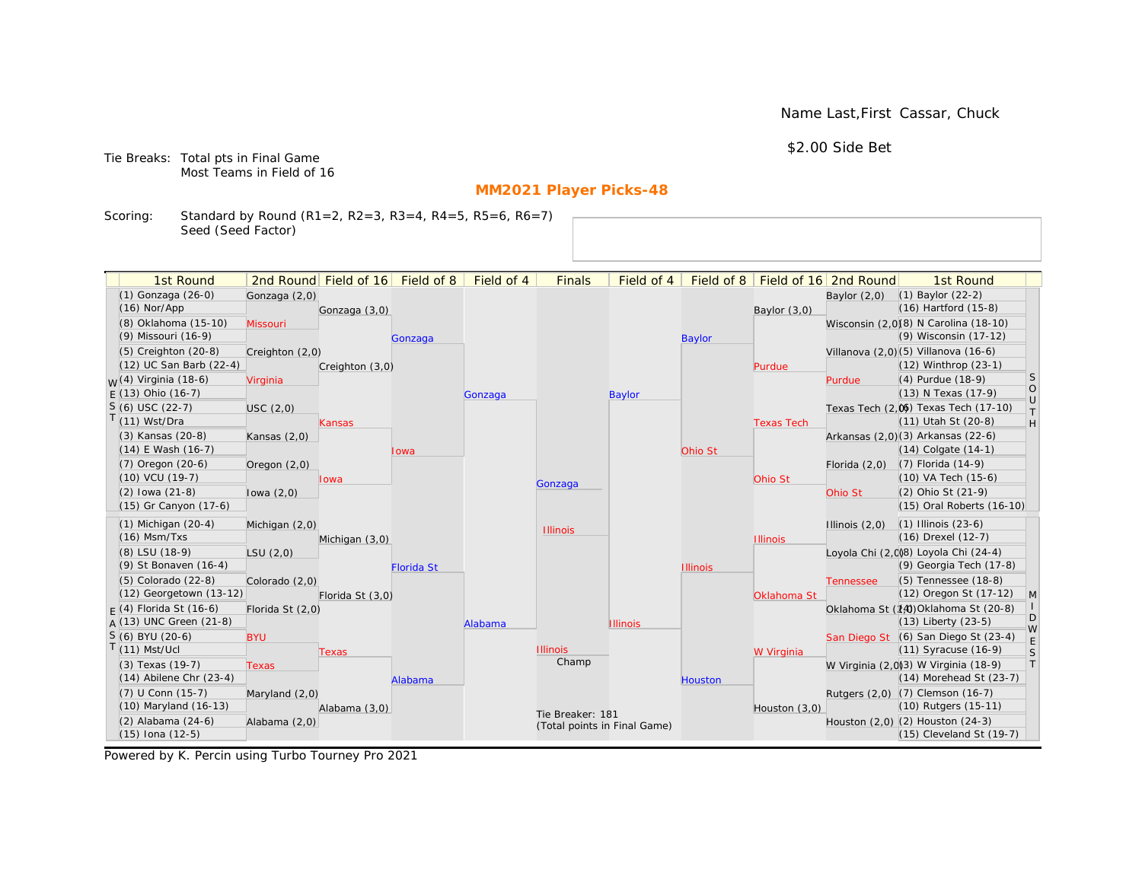Name Last,First Cassar, Chuck

\$2.00 Side Bet

Tie Breaks: Total pts in Final Game Most Teams in Field of 16

# **MM2021 Player Picks-48**

Scoring: Standard by Round (R1=2, R2=3, R3=4, R4=5, R5=6, R6=7) Seed (Seed Factor)

| 1st Round                        |                  | 2nd Round Field of 16 | Field of 8        | Field of 4 | <b>Finals</b>                | Field of 4      | Field of 8      |                   | Field of 16 2nd Round | 1st Round                                                    |                   |
|----------------------------------|------------------|-----------------------|-------------------|------------|------------------------------|-----------------|-----------------|-------------------|-----------------------|--------------------------------------------------------------|-------------------|
| (1) Gonzaga (26-0)               | Gonzaga (2,0)    |                       |                   |            |                              |                 |                 |                   | Baylor $(2,0)$        | $(1)$ Baylor $(22-2)$                                        |                   |
| $(16)$ Nor/App                   |                  | Gonzaga (3,0)         |                   |            |                              |                 |                 | Baylor (3,0)      |                       | $(16)$ Hartford $(15-8)$                                     |                   |
| (8) Oklahoma (15-10)             | Missouri         |                       |                   |            |                              |                 |                 |                   |                       | Wisconsin (2,0)(8) N Carolina (18-10)                        |                   |
| (9) Missouri (16-9)              |                  |                       | Gonzaga           |            |                              |                 | <b>Baylor</b>   |                   |                       | (9) Wisconsin (17-12)                                        |                   |
| (5) Creighton (20-8)             | Creighton (2,0)  |                       |                   |            |                              |                 |                 |                   |                       | Villanova (2,0)(5) Villanova (16-6)                          |                   |
| (12) UC San Barb (22-4)          |                  | Creighton (3,0)       |                   |            |                              |                 |                 | Purdue            |                       | (12) Winthrop (23-1)                                         |                   |
| <sub>W</sub> (4) Virginia (18-6) | Virginia         |                       |                   |            |                              |                 |                 |                   | Purdue                | (4) Purdue (18-9)                                            | <sub>S</sub>      |
| $E(13)$ Ohio (16-7)              |                  |                       |                   | Gonzaga    |                              | Baylor          |                 |                   |                       | (13) N Texas (17-9)                                          | $\circ$<br>$\cup$ |
| $S(6)$ USC (22-7)                | USC(2,0)         |                       |                   |            |                              |                 |                 |                   |                       | Texas Tech (2,0) Texas Tech (17-10)                          | $\top$            |
| T(11) Wst/Dra                    |                  | Kansas                |                   |            |                              |                 |                 | <b>Texas Tech</b> |                       | (11) Utah St (20-8)                                          | H                 |
| (3) Kansas (20-8)                | Kansas $(2,0)$   |                       |                   |            |                              |                 |                 |                   |                       | Arkansas (2,0)(3) Arkansas (22-6)                            |                   |
| $(14)$ E Wash $(16-7)$           |                  |                       | Iowa              |            |                              |                 | Ohio St         |                   |                       | $(14)$ Colgate $(14-1)$                                      |                   |
| (7) Oregon (20-6)                | Oregon $(2,0)$   |                       |                   |            |                              |                 |                 |                   | Florida $(2,0)$       | $(7)$ Florida $(14-9)$                                       |                   |
| (10) VCU (19-7)                  |                  | lowa                  |                   |            | Gonzaga                      |                 |                 | Ohio St           |                       | (10) VA Tech (15-6)                                          |                   |
| $(2)$ lowa $(21-8)$              | lowa $(2,0)$     |                       |                   |            |                              |                 |                 |                   | Ohio St               | (2) Ohio St (21-9)                                           |                   |
| (15) Gr Canyon (17-6)            |                  |                       |                   |            |                              |                 |                 |                   |                       | (15) Oral Roberts (16-10)                                    |                   |
| $(1)$ Michigan $(20-4)$          | Michigan (2,0)   |                       |                   |            | <b>Illinois</b>              |                 |                 |                   | Illinois $(2,0)$      | $(1)$ Illinois $(23-6)$                                      |                   |
| $(16)$ Msm/Txs                   |                  | Michigan (3,0)        |                   |            |                              |                 |                 | <b>Illinois</b>   |                       | (16) Drexel (12-7)                                           |                   |
| (8) LSU (18-9)                   | LSU(2,0)         |                       |                   |            |                              |                 |                 |                   |                       | Loyola Chi (2,0)8) Loyola Chi (24-4)                         |                   |
| (9) St Bonaven (16-4)            |                  |                       | <b>Florida St</b> |            |                              |                 | <b>Illinois</b> |                   |                       | (9) Georgia Tech (17-8)                                      |                   |
| (5) Colorado (22-8)              | Colorado (2,0)   |                       |                   |            |                              |                 |                 |                   | <b>Tennessee</b>      | (5) Tennessee (18-8)                                         |                   |
| (12) Georgetown (13-12)          |                  | Florida St (3,0)      |                   |            |                              |                 |                 | Oklahoma St       |                       | (12) Oregon St (17-12)                                       | M                 |
| $F(4)$ Florida St (16-6)         | Florida St (2,0) |                       |                   |            |                              |                 |                 |                   |                       | Oklahoma St (14) Oklahoma St (20-8)                          | D                 |
| $A(13)$ UNC Green (21-8)         |                  |                       |                   | Alabama    |                              | <b>Illinois</b> |                 |                   |                       | $(13)$ Liberty $(23-5)$                                      | W                 |
| S (6) BYU (20-6)                 | <b>BYU</b>       |                       |                   |            |                              |                 |                 |                   |                       | San Diego St (6) San Diego St (23-4)                         | E                 |
| $T(11)$ Mst/Ucl                  |                  | Texas                 |                   |            | <b>Illinois</b><br>Champ     |                 |                 | W Virginia        |                       | $(11)$ Syracuse $(16-9)$                                     | S                 |
| (3) Texas (19-7)                 | <b>Texas</b>     |                       |                   |            |                              |                 |                 |                   |                       | W Virginia (2,0)(3) W Virginia (18-9)                        | T                 |
| $(14)$ Abilene Chr $(23-4)$      |                  |                       | Alabama           |            |                              |                 | <b>Houston</b>  |                   |                       | (14) Morehead St (23-7)                                      |                   |
| (7) U Conn (15-7)                | Maryland (2,0)   |                       |                   |            |                              |                 |                 |                   |                       | Rutgers (2,0) (7) Clemson (16-7)                             |                   |
| (10) Maryland (16-13)            |                  | Alabama (3,0)         |                   |            | Tie Breaker: 181             |                 |                 | Houston (3,0)     |                       | (10) Rutgers (15-11)                                         |                   |
| (2) Alabama (24-6)               | Alabama (2,0)    |                       |                   |            | (Total points in Final Game) |                 |                 |                   |                       | Houston (2,0) (2) Houston (24-3)<br>(15) Cleveland St (19-7) |                   |
| $(15)$ Iona $(12-5)$             |                  |                       |                   |            |                              |                 |                 |                   |                       |                                                              |                   |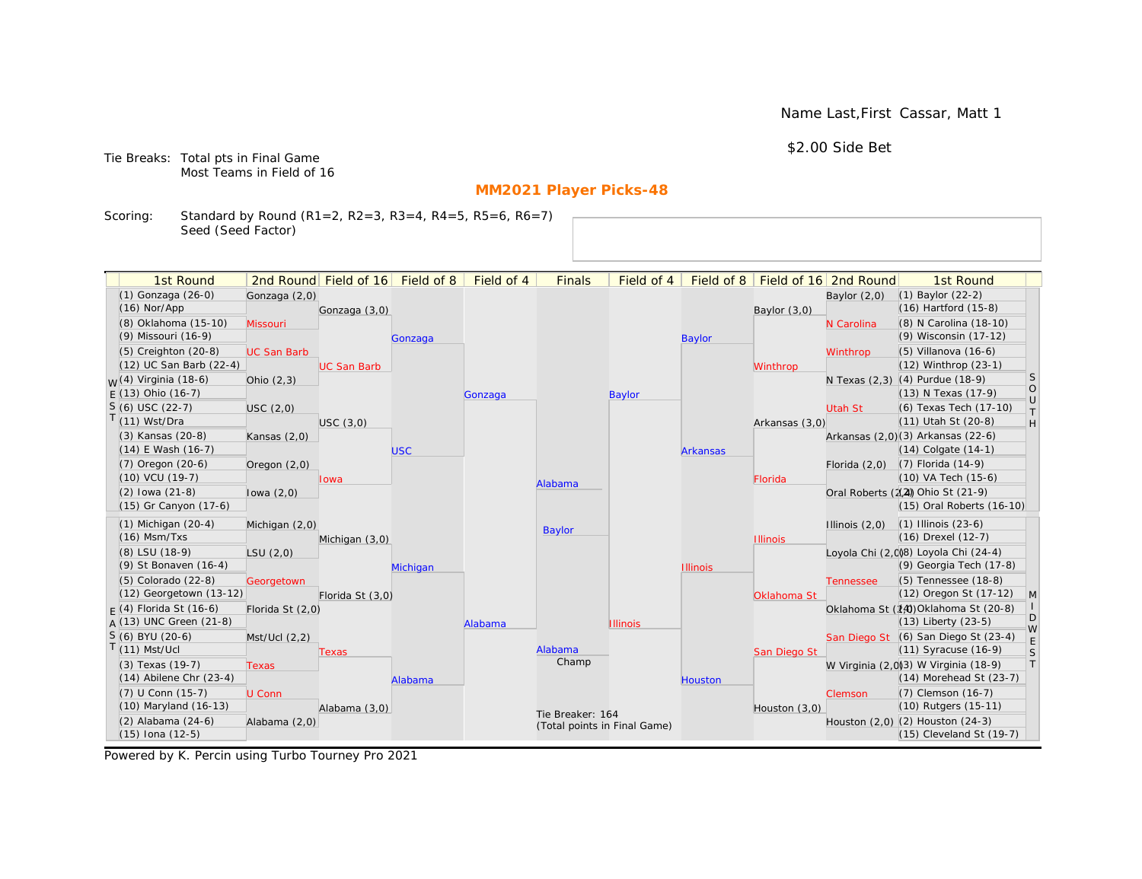Name Last,First Cassar, Matt 1

\$2.00 Side Bet

Tie Breaks: Total pts in Final Game Most Teams in Field of 16

# **MM2021 Player Picks-48**

Scoring: Standard by Round (R1=2, R2=3, R3=4, R4=5, R5=6, R6=7) Seed (Seed Factor)

| 1st Round                        |                    | 2nd Round Field of 16 | Field of 8 | Field of 4 | <b>Finals</b>                | Field of 4      | Field of 8      |                 | Field of 16 2nd Round | 1st Round                            |                   |
|----------------------------------|--------------------|-----------------------|------------|------------|------------------------------|-----------------|-----------------|-----------------|-----------------------|--------------------------------------|-------------------|
| (1) Gonzaga (26-0)               | Gonzaga (2,0)      |                       |            |            |                              |                 |                 |                 | Baylor $(2,0)$        | $(1)$ Baylor $(22-2)$                |                   |
| $(16)$ Nor/App                   |                    | Gonzaga (3,0)         |            |            |                              |                 |                 | Baylor $(3,0)$  |                       | $(16)$ Hartford $(15-8)$             |                   |
| (8) Oklahoma (15-10)             | Missouri           |                       |            |            |                              |                 |                 |                 | N Carolina            | (8) N Carolina (18-10)               |                   |
| (9) Missouri (16-9)              |                    |                       | Gonzaga    |            |                              |                 | <b>Baylor</b>   |                 |                       | (9) Wisconsin (17-12)                |                   |
| (5) Creighton (20-8)             | <b>UC San Barb</b> |                       |            |            |                              |                 |                 |                 | Winthrop              | $(5)$ Villanova $(16-6)$             |                   |
| (12) UC San Barb (22-4)          |                    | <b>UC San Barb</b>    |            |            |                              |                 |                 | Winthrop        |                       | (12) Winthrop (23-1)                 |                   |
| <sub>W</sub> (4) Virginia (18-6) | Ohio $(2,3)$       |                       |            |            |                              |                 |                 |                 |                       | N Texas (2,3) (4) Purdue (18-9)      | <sub>S</sub>      |
| $E(13)$ Ohio (16-7)              |                    |                       |            | Gonzaga    |                              | <b>Baylor</b>   |                 |                 |                       | (13) N Texas (17-9)                  | $\circ$<br>$\cup$ |
| $S(6)$ USC (22-7)                | <b>USC</b> (2,0)   |                       |            |            |                              |                 |                 |                 | <b>Utah St</b>        | (6) Texas Tech (17-10)               | $\top$            |
| $T(11)$ Wst/Dra                  |                    | USC(3,0)              |            |            |                              |                 |                 | Arkansas (3,0)  |                       | (11) Utah St (20-8)                  | H                 |
| (3) Kansas (20-8)                | Kansas $(2,0)$     |                       |            |            |                              |                 |                 |                 |                       | Arkansas (2,0)(3) Arkansas (22-6)    |                   |
| $(14)$ E Wash $(16-7)$           |                    |                       | <b>USC</b> |            |                              |                 | <b>Arkansas</b> |                 |                       | $(14)$ Colgate $(14-1)$              |                   |
| $(7)$ Oregon $(20-6)$            | Oregon $(2,0)$     |                       |            |            |                              |                 |                 |                 | Florida $(2,0)$       | $(7)$ Florida $(14-9)$               |                   |
| $(10)$ VCU $(19-7)$              |                    | Iowa                  |            |            | Alabama                      |                 |                 | Florida         |                       | (10) VA Tech (15-6)                  |                   |
| $(2)$ lowa $(21-8)$              | lowa $(2,0)$       |                       |            |            |                              |                 |                 |                 |                       | Oral Roberts (2(2) Ohio St (21-9)    |                   |
| (15) Gr Canyon (17-6)            |                    |                       |            |            |                              |                 |                 |                 |                       | (15) Oral Roberts (16-10)            |                   |
| $(1)$ Michigan $(20-4)$          | Michigan (2,0)     |                       |            |            | <b>Baylor</b>                |                 |                 |                 | Illinois $(2,0)$      | $(1)$ Illinois $(23-6)$              |                   |
| $(16)$ Msm/Txs                   |                    | Michigan (3,0)        |            |            |                              |                 |                 | <b>Illinois</b> |                       | (16) Drexel (12-7)                   |                   |
| (8) LSU (18-9)                   | LSU(2,0)           |                       |            |            |                              |                 |                 |                 |                       | Loyola Chi (2,0)8) Loyola Chi (24-4) |                   |
| (9) St Bonaven (16-4)            |                    |                       | Michigan   |            |                              |                 | <b>Illinois</b> |                 |                       | (9) Georgia Tech (17-8)              |                   |
| (5) Colorado (22-8)              | Georgetown         |                       |            |            |                              |                 |                 |                 | <b>Tennessee</b>      | (5) Tennessee (18-8)                 |                   |
| (12) Georgetown (13-12)          |                    | Florida St (3,0)      |            |            |                              |                 |                 | Oklahoma St     |                       | (12) Oregon St (17-12)               | M                 |
| $F(4)$ Florida St (16-6)         | Florida St (2,0)   |                       |            |            |                              |                 |                 |                 |                       | Oklahoma St (14) Oklahoma St (20-8)  | D                 |
| $A(13)$ UNC Green (21-8)         |                    |                       |            | Alabama    |                              | <b>Illinois</b> |                 |                 |                       | $(13)$ Liberty $(23-5)$              | W                 |
| S (6) BYU (20-6)                 | Mst/Ucl (2,2)      |                       |            |            |                              |                 |                 |                 |                       | San Diego St (6) San Diego St (23-4) | E                 |
| $T(11)$ Mst/Ucl                  |                    | Texas                 |            |            | Alabama<br>Champ             |                 |                 | San Diego St    |                       | (11) Syracuse (16-9)                 | S                 |
| (3) Texas (19-7)                 | <b>Texas</b>       |                       |            |            |                              |                 |                 |                 |                       | W Virginia (2,0)3) W Virginia (18-9) | T                 |
| $(14)$ Abilene Chr $(23-4)$      |                    |                       | Alabama    |            |                              |                 | <b>Houston</b>  |                 |                       | $(14)$ Morehead St $(23-7)$          |                   |
| (7) U Conn (15-7)                | U Conn             |                       |            |            |                              |                 |                 |                 | Clemson               | (7) Clemson (16-7)                   |                   |
| (10) Maryland (16-13)            |                    | Alabama (3,0)         |            |            | Tie Breaker: 164             |                 |                 | Houston (3,0)   |                       | (10) Rutgers (15-11)                 |                   |
| (2) Alabama (24-6)               | Alabama (2,0)      |                       |            |            | (Total points in Final Game) |                 |                 |                 |                       | Houston (2,0) (2) Houston (24-3)     |                   |
| $(15)$ Iona $(12-5)$             |                    |                       |            |            |                              |                 |                 |                 |                       | (15) Cleveland St (19-7)             |                   |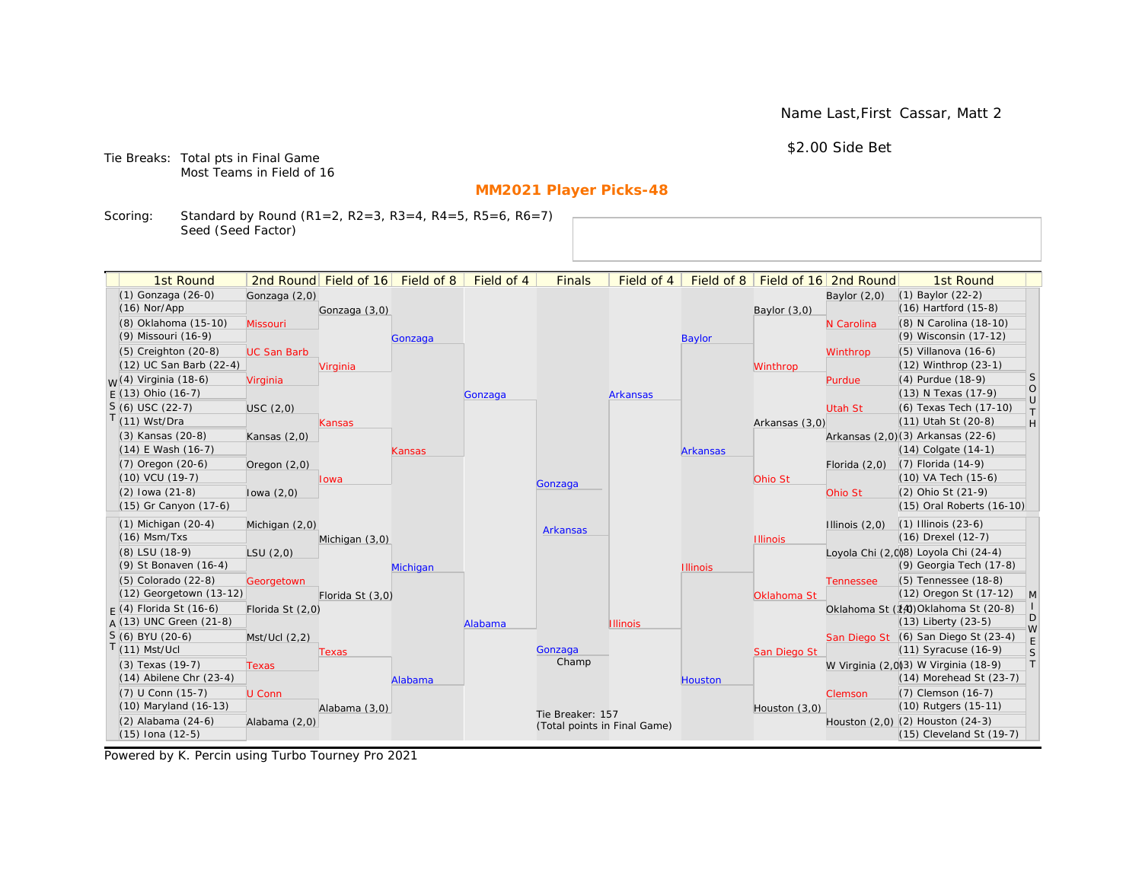Name Last,First Cassar, Matt 2

\$2.00 Side Bet

Tie Breaks: Total pts in Final Game Most Teams in Field of 16

# **MM2021 Player Picks-48**

Scoring: Standard by Round (R1=2, R2=3, R3=4, R4=5, R5=6, R6=7) Seed (Seed Factor)

| 1st Round                        |                    | 2nd Round Field of 16 | Field of 8 | Field of 4 | <b>Finals</b>                | Field of 4      | Field of 8      |                 | Field of 16 2nd Round | 1st Round                            |                      |
|----------------------------------|--------------------|-----------------------|------------|------------|------------------------------|-----------------|-----------------|-----------------|-----------------------|--------------------------------------|----------------------|
| (1) Gonzaga (26-0)               | Gonzaga (2,0)      |                       |            |            |                              |                 |                 |                 | Baylor $(2,0)$        | $(1)$ Baylor $(22-2)$                |                      |
| $(16)$ Nor/App                   |                    | Gonzaga (3,0)         |            |            |                              |                 |                 | Baylor (3,0)    |                       | $(16)$ Hartford $(15-8)$             |                      |
| (8) Oklahoma (15-10)             | Missouri           |                       |            |            |                              |                 |                 |                 | N Carolina            | (8) N Carolina (18-10)               |                      |
| (9) Missouri (16-9)              |                    |                       | Gonzaga    |            |                              |                 | <b>Baylor</b>   |                 |                       | (9) Wisconsin (17-12)                |                      |
| $(5)$ Creighton $(20-8)$         | <b>UC San Barb</b> |                       |            |            |                              |                 |                 |                 | Winthrop              | $(5)$ Villanova $(16-6)$             |                      |
| (12) UC San Barb (22-4)          |                    | Virginia              |            |            |                              |                 |                 | Winthrop        |                       | (12) Winthrop (23-1)                 |                      |
| <sub>W</sub> (4) Virginia (18-6) | Virginia           |                       |            |            |                              |                 |                 |                 | Purdue                | (4) Purdue (18-9)                    | <sub>S</sub>         |
| $E(13)$ Ohio (16-7)              |                    |                       |            | Gonzaga    |                              | <b>Arkansas</b> |                 |                 |                       | (13) N Texas (17-9)                  | $\bigcirc$<br>$\cup$ |
| $S(6)$ USC (22-7)                | USC(2,0)           |                       |            |            |                              |                 |                 |                 | <b>Utah St</b>        | (6) Texas Tech (17-10)               | $\top$               |
| T(11) Wst/Dra                    |                    | Kansas                |            |            |                              |                 |                 | Arkansas (3,0)  |                       | (11) Utah St (20-8)                  | H                    |
| (3) Kansas (20-8)                | Kansas $(2,0)$     |                       |            |            |                              |                 |                 |                 |                       | Arkansas (2,0)(3) Arkansas (22-6)    |                      |
| $(14)$ E Wash $(16-7)$           |                    |                       | Kansas     |            |                              |                 | <b>Arkansas</b> |                 |                       | $(14)$ Colgate $(14-1)$              |                      |
| (7) Oregon (20-6)                | Oregon $(2,0)$     |                       |            |            |                              |                 |                 |                 | Florida $(2,0)$       | $(7)$ Florida $(14-9)$               |                      |
| (10) VCU (19-7)                  |                    | lowa                  |            |            | Gonzaga                      |                 |                 | Ohio St         |                       | (10) VA Tech (15-6)                  |                      |
| $(2)$ lowa $(21-8)$              | lowa $(2,0)$       |                       |            |            |                              |                 |                 |                 | Ohio St               | (2) Ohio St (21-9)                   |                      |
| (15) Gr Canyon (17-6)            |                    |                       |            |            |                              |                 |                 |                 |                       | (15) Oral Roberts (16-10)            |                      |
| $(1)$ Michigan $(20-4)$          | Michigan (2,0)     |                       |            |            | <b>Arkansas</b>              |                 |                 |                 | Illinois $(2,0)$      | $(1)$ Illinois $(23-6)$              |                      |
| $(16)$ Msm/Txs                   |                    | Michigan (3,0)        |            |            |                              |                 |                 | <b>Illinois</b> |                       | (16) Drexel (12-7)                   |                      |
| (8) LSU (18-9)                   | LSU(2,0)           |                       |            |            |                              |                 |                 |                 |                       | Loyola Chi (2,0)8) Loyola Chi (24-4) |                      |
| (9) St Bonaven (16-4)            |                    |                       | Michigan   |            |                              |                 | <b>Illinois</b> |                 |                       | (9) Georgia Tech (17-8)              |                      |
| (5) Colorado (22-8)              | Georgetown         |                       |            |            |                              |                 |                 |                 | <b>Tennessee</b>      | (5) Tennessee (18-8)                 |                      |
| (12) Georgetown (13-12)          |                    | Florida St (3,0)      |            |            |                              |                 |                 | Oklahoma St     |                       | (12) Oregon St (17-12)               | M                    |
| $F(4)$ Florida St (16-6)         | Florida St (2,0)   |                       |            |            |                              |                 |                 |                 |                       | Oklahoma St (14) Oklahoma St (20-8)  | D                    |
| $A(13)$ UNC Green (21-8)         |                    |                       |            | Alabama    |                              | <b>Illinois</b> |                 |                 |                       | $(13)$ Liberty $(23-5)$              | W                    |
| S (6) BYU (20-6)                 | Mst/Ucl (2,2)      |                       |            |            |                              |                 |                 |                 |                       | San Diego St (6) San Diego St (23-4) | E                    |
| $T(11)$ Mst/Ucl                  |                    | Texas                 |            |            | Gonzaga                      |                 |                 | San Diego St    |                       | $(11)$ Syracuse $(16-9)$             | S                    |
| (3) Texas (19-7)                 | <b>Texas</b>       |                       |            |            | Champ                        |                 |                 |                 |                       | W Virginia (2,0)3) W Virginia (18-9) | T                    |
| $(14)$ Abilene Chr $(23-4)$      |                    |                       | Alabama    |            |                              |                 | <b>Houston</b>  |                 |                       | (14) Morehead St (23-7)              |                      |
| (7) U Conn (15-7)                | U Conn             |                       |            |            |                              |                 |                 |                 | Clemson               | (7) Clemson (16-7)                   |                      |
| (10) Maryland (16-13)            |                    | Alabama (3,0)         |            |            | Tie Breaker: 157             |                 |                 | Houston (3,0)   |                       | (10) Rutgers (15-11)                 |                      |
| (2) Alabama (24-6)               | Alabama (2,0)      |                       |            |            | (Total points in Final Game) |                 |                 |                 |                       | Houston (2,0) (2) Houston (24-3)     |                      |
| $(15)$ Iona $(12-5)$             |                    |                       |            |            |                              |                 |                 |                 |                       | (15) Cleveland St (19-7)             |                      |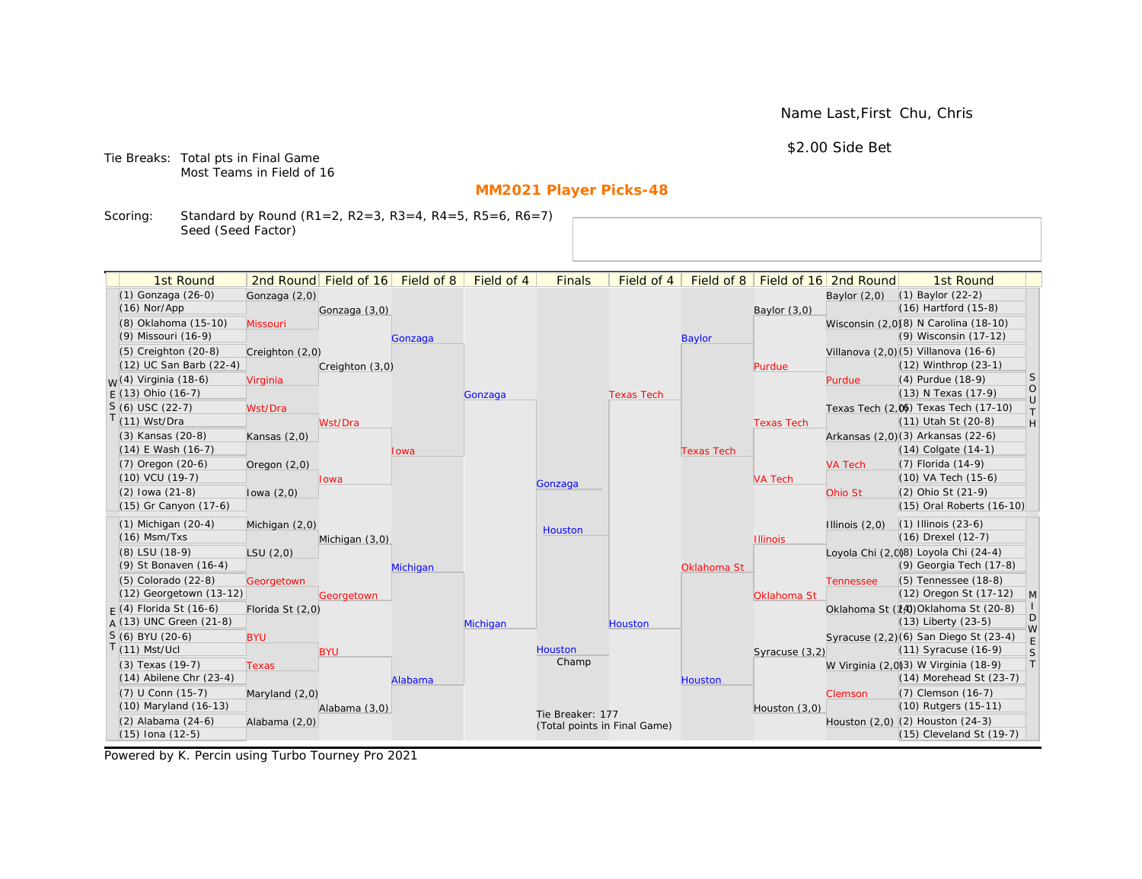Name Last,First Chu, Chris

\$2.00 Side Bet

Tie Breaks: Total pts in Final Game Most Teams in Field of 16

# **MM2021 Player Picks-48**

Scoring: Standard by Round (R1=2, R2=3, R3=4, R4=5, R5=6, R6=7) Seed (Seed Factor)

| 1st Round                   |                  | 2nd Round Field of 16 | Field of 8 | Field of 4 | <b>Finals</b>    | Field of 4                   | Field of 8        |                   | Field of 16 2nd Round | 1st Round                             |                   |
|-----------------------------|------------------|-----------------------|------------|------------|------------------|------------------------------|-------------------|-------------------|-----------------------|---------------------------------------|-------------------|
| (1) Gonzaga (26-0)          | Gonzaga (2,0)    |                       |            |            |                  |                              |                   |                   | Baylor $(2,0)$        | $(1)$ Baylor $(22-2)$                 |                   |
| $(16)$ Nor/App              |                  | Gonzaga (3,0)         |            |            |                  |                              |                   | Baylor $(3,0)$    |                       | (16) Hartford (15-8)                  |                   |
| (8) Oklahoma (15-10)        | Missouri         |                       |            |            |                  |                              |                   |                   |                       | Wisconsin (2,0)(8) N Carolina (18-10) |                   |
| (9) Missouri (16-9)         |                  |                       | Gonzaga    |            |                  |                              | <b>Baylor</b>     |                   |                       | (9) Wisconsin (17-12)                 |                   |
| $(5)$ Creighton $(20-8)$    | Creighton (2,0)  |                       |            |            |                  |                              |                   |                   |                       | Villanova (2,0)(5) Villanova (16-6)   |                   |
| (12) UC San Barb (22-4)     |                  | Creighton (3,0)       |            |            |                  |                              |                   | Purdue            |                       | (12) Winthrop (23-1)                  |                   |
| $M(4)$ Virginia (18-6)      | Virginia         |                       |            |            |                  |                              |                   |                   | Purdue                | (4) Purdue (18-9)                     | <sub>S</sub>      |
| $F(13)$ Ohio (16-7)         |                  |                       |            | Gonzaga    |                  | <b>Texas Tech</b>            |                   |                   |                       | (13) N Texas (17-9)                   | $\circ$<br>$\cup$ |
| $S(6)$ USC (22-7)           | Wst/Dra          |                       |            |            |                  |                              |                   |                   |                       | Texas Tech (2.06) Texas Tech (17-10)  | T                 |
| T(11) Wst/Dra               |                  | Wst/Dra               |            |            |                  |                              |                   | <b>Texas Tech</b> |                       | (11) Utah St (20-8)                   | H                 |
| (3) Kansas (20-8)           | Kansas $(2,0)$   |                       |            |            |                  |                              |                   |                   |                       | Arkansas (2,0)(3) Arkansas (22-6)     |                   |
| $(14)$ E Wash $(16-7)$      |                  |                       | Iowa       |            |                  |                              | <b>Texas Tech</b> |                   |                       | $(14)$ Colgate $(14-1)$               |                   |
| (7) Oregon (20-6)           | Oregon $(2,0)$   |                       |            |            |                  |                              |                   |                   | <b>VA Tech</b>        | (7) Florida (14-9)                    |                   |
| (10) VCU (19-7)             |                  | lowa                  |            |            | Gonzaga          |                              |                   | <b>VA Tech</b>    |                       | (10) VA Tech (15-6)                   |                   |
| $(2)$ lowa $(21-8)$         | lowa $(2,0)$     |                       |            |            |                  |                              |                   |                   | Ohio St               | (2) Ohio St (21-9)                    |                   |
| (15) Gr Canyon (17-6)       |                  |                       |            |            |                  |                              |                   |                   |                       | (15) Oral Roberts (16-10)             |                   |
| $(1)$ Michigan $(20-4)$     | Michigan (2,0)   |                       |            |            | Houston          |                              |                   |                   | Illinois $(2,0)$      | $(1)$ Illinois $(23-6)$               |                   |
| $(16)$ Msm/Txs              |                  | Michigan (3,0)        |            |            |                  |                              |                   | <b>Illinois</b>   |                       | (16) Drexel (12-7)                    |                   |
| (8) LSU (18-9)              | LSU(2,0)         |                       |            |            |                  |                              |                   |                   |                       | Loyola Chi (2,008) Loyola Chi (24-4)  |                   |
| (9) St Bonaven (16-4)       |                  |                       | Michigan   |            |                  |                              | Oklahoma St       |                   |                       | (9) Georgia Tech (17-8)               |                   |
| $(5)$ Colorado $(22-8)$     | Georgetown       |                       |            |            |                  |                              |                   |                   | <b>Tennessee</b>      | (5) Tennessee (18-8)                  |                   |
| (12) Georgetown (13-12)     |                  | Georgetown            |            |            |                  |                              |                   | Oklahoma St       |                       | (12) Oregon St (17-12)                | $\mathsf{M}$      |
| $F(4)$ Florida St (16-6)    | Florida St (2,0) |                       |            |            |                  |                              |                   |                   |                       | Oklahoma St (14) Oklahoma St (20-8)   | D                 |
| $A(13)$ UNC Green (21-8)    |                  |                       |            | Michigan   |                  | Houston                      |                   |                   |                       | (13) Liberty (23-5)                   | W                 |
| $S(6)$ BYU (20-6)           | <b>BYU</b>       |                       |            |            |                  |                              |                   |                   |                       | Syracuse (2,2)(6) San Diego St (23-4) | $\mathsf E$       |
| $T(11)$ Mst/Ucl             |                  | <b>BYU</b>            |            |            | Houston<br>Champ |                              |                   | Syracuse (3,2)    |                       | (11) Syracuse (16-9)                  | S                 |
| (3) Texas (19-7)            | <b>Texas</b>     |                       |            |            |                  |                              |                   |                   |                       | W Virginia (2,0)3) W Virginia (18-9)  | $\top$            |
| $(14)$ Abilene Chr $(23-4)$ |                  |                       | Alabama    |            |                  |                              | Houston           |                   |                       | (14) Morehead St (23-7)               |                   |
| (7) U Conn (15-7)           | Maryland (2,0)   |                       |            |            |                  |                              |                   |                   | <b>Clemson</b>        | (7) Clemson (16-7)                    |                   |
| (10) Maryland (16-13)       |                  | Alabama (3,0)         |            |            | Tie Breaker: 177 |                              |                   | Houston (3,0)     |                       | (10) Rutgers (15-11)                  |                   |
| $(2)$ Alabama $(24-6)$      | Alabama (2,0)    |                       |            |            |                  | (Total points in Final Game) |                   |                   |                       | Houston (2,0) (2) Houston (24-3)      |                   |
| $(15)$ Iona $(12-5)$        |                  |                       |            |            |                  |                              |                   |                   |                       | (15) Cleveland St (19-7)              |                   |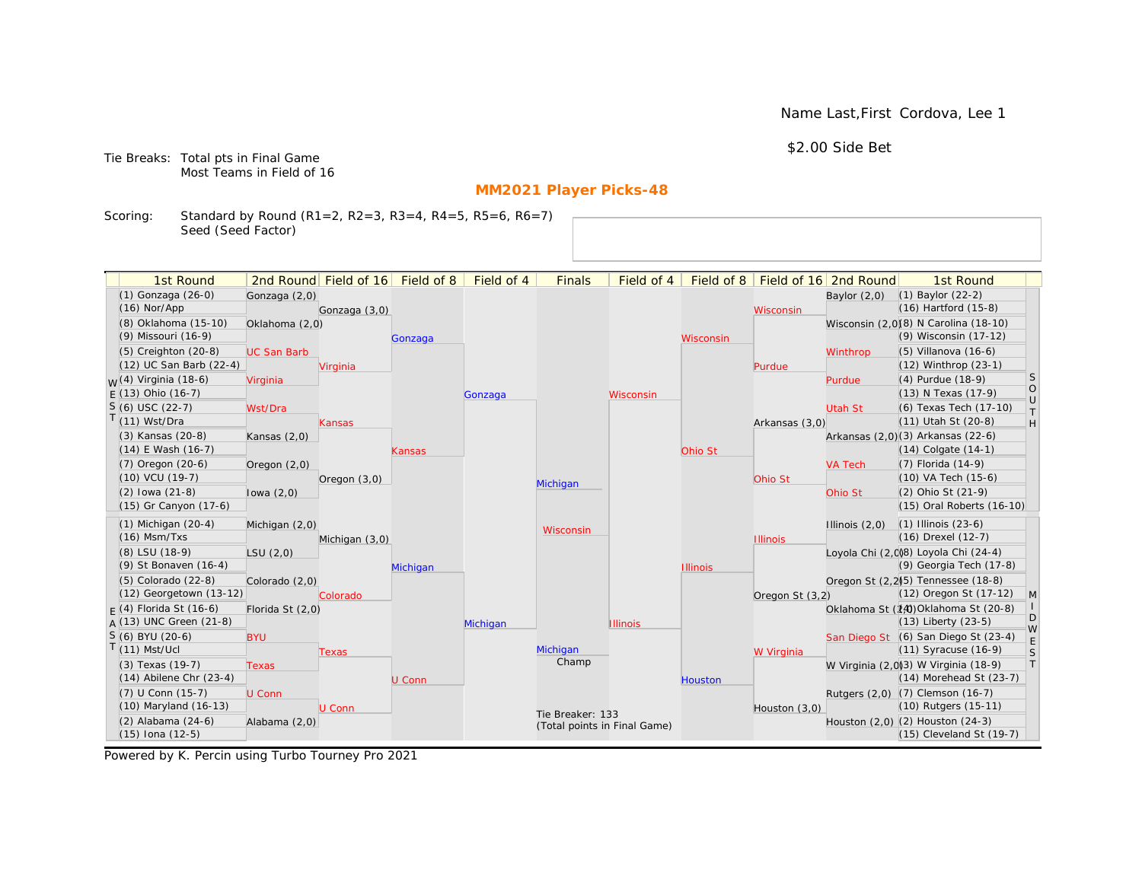Name Last,First Cordova, Lee 1

\$2.00 Side Bet

Tie Breaks: Total pts in Final Game Most Teams in Field of 16

# **MM2021 Player Picks-48**

Scoring: Standard by Round (R1=2, R2=3, R3=4, R4=5, R5=6, R6=7) Seed (Seed Factor)

| 1st Round                                       |                    | 2nd Round Field of 16 | Field of 8 | Field of 4 | <b>Finals</b>                | Field of 4      | Field of $8$    |                 | Field of 16 2nd Round | 1st Round                                                        |                                                                   |
|-------------------------------------------------|--------------------|-----------------------|------------|------------|------------------------------|-----------------|-----------------|-----------------|-----------------------|------------------------------------------------------------------|-------------------------------------------------------------------|
| (1) Gonzaga (26-0)                              | Gonzaga (2,0)      |                       |            |            |                              |                 |                 |                 | Baylor $(2,0)$        | $(1)$ Baylor $(22-2)$                                            |                                                                   |
| $(16)$ Nor/App                                  |                    | Gonzaga (3,0)         |            |            |                              |                 |                 | Wisconsin       |                       | $(16)$ Hartford $(15-8)$                                         |                                                                   |
| (8) Oklahoma (15-10)                            | Oklahoma (2,0)     |                       |            |            |                              |                 |                 |                 |                       | Wisconsin (2,0)(8) N Carolina (18-10)                            |                                                                   |
| (9) Missouri (16-9)                             |                    |                       | Gonzaga    |            |                              |                 | Wisconsin       |                 |                       | (9) Wisconsin (17-12)                                            |                                                                   |
| (5) Creighton (20-8)                            | <b>UC San Barb</b> |                       |            |            |                              |                 |                 |                 | Winthrop              | $(5)$ Villanova $(16-6)$                                         |                                                                   |
| (12) UC San Barb (22-4)                         |                    | Virginia              |            |            |                              |                 |                 | Purdue          |                       | (12) Winthrop (23-1)                                             |                                                                   |
| <sub>W</sub> (4) Virginia (18-6)                | Virginia           |                       |            |            |                              |                 |                 |                 | Purdue                | (4) Purdue (18-9)                                                | <sub>S</sub>                                                      |
| $E(13)$ Ohio (16-7)                             |                    |                       |            | Gonzaga    |                              | Wisconsin       |                 |                 |                       | (13) N Texas (17-9)                                              | $\circ$<br>$\cup$                                                 |
| $S(6)$ USC (22-7)                               | Wst/Dra            |                       |            |            |                              |                 |                 |                 | <b>Utah St</b>        | (6) Texas Tech (17-10)                                           | $\top$                                                            |
| $T(11)$ Wst/Dra                                 |                    | Kansas                |            |            |                              |                 |                 | Arkansas (3,0)  |                       | (11) Utah St (20-8)                                              | $\mathsf{H}% _{\mathsf{H}}^{\ast}=\mathsf{H}_{\mathsf{H}}^{\ast}$ |
| (3) Kansas (20-8)                               | Kansas $(2,0)$     |                       |            |            |                              |                 |                 |                 |                       | Arkansas (2,0)(3) Arkansas (22-6)                                |                                                                   |
| $(14)$ E Wash $(16-7)$                          |                    |                       | Kansas     |            |                              |                 | Ohio St         |                 |                       | $(14)$ Colgate $(14-1)$                                          |                                                                   |
| $(7)$ Oregon $(20-6)$                           | Oregon $(2,0)$     |                       |            |            |                              |                 |                 |                 | <b>VA Tech</b>        | $(7)$ Florida $(14-9)$                                           |                                                                   |
| $(10)$ VCU $(19-7)$                             |                    | Oregon $(3,0)$        |            |            | Michigan                     |                 |                 | Ohio St         |                       | (10) VA Tech (15-6)                                              |                                                                   |
| $(2)$ lowa $(21-8)$                             | lowa $(2,0)$       |                       |            |            |                              |                 |                 |                 | Ohio St               | (2) Ohio St (21-9)                                               |                                                                   |
| (15) Gr Canyon (17-6)                           |                    |                       |            |            |                              |                 |                 |                 |                       | (15) Oral Roberts (16-10)                                        |                                                                   |
| $(1)$ Michigan $(20-4)$                         | Michigan (2,0)     |                       |            |            | Wisconsin                    |                 |                 |                 | Illinois $(2,0)$      | $(1)$ Illinois $(23-6)$                                          |                                                                   |
| $(16)$ Msm/Txs                                  |                    | Michigan (3,0)        |            |            |                              |                 |                 | <b>Illinois</b> |                       | (16) Drexel (12-7)                                               |                                                                   |
| (8) LSU (18-9)                                  | LSU(2,0)           |                       |            |            |                              |                 |                 |                 |                       | Loyola Chi (2,008) Loyola Chi (24-4)                             |                                                                   |
| (9) St Bonaven (16-4)                           |                    |                       | Michigan   |            |                              |                 | <b>Illinois</b> |                 |                       | (9) Georgia Tech (17-8)                                          |                                                                   |
| (5) Colorado (22-8)                             | Colorado (2,0)     |                       |            |            |                              |                 |                 |                 |                       | Oregon St (2.2) <sup>5</sup> ) Tennessee (18-8)                  |                                                                   |
| (12) Georgetown (13-12)                         |                    | Colorado              |            |            |                              |                 |                 | Oregon St (3,2) |                       | (12) Oregon St (17-12)                                           | M                                                                 |
| $F(4)$ Florida St (16-6)                        | Florida St (2,0)   |                       |            |            |                              |                 |                 |                 |                       | Oklahoma St (14) Oklahoma St (20-8)                              | D                                                                 |
| $A(13)$ UNC Green (21-8)                        |                    |                       |            | Michigan   |                              | <b>Illinois</b> |                 |                 |                       | $(13)$ Liberty $(23-5)$                                          | W                                                                 |
| S (6) BYU (20-6)                                | <b>BYU</b>         |                       |            |            |                              |                 |                 |                 |                       | San Diego St (6) San Diego St (23-4)                             | E                                                                 |
| $T(11)$ Mst/Ucl                                 |                    | Texas                 |            |            | Michigan<br>Champ            |                 |                 | W Virginia      |                       | $(11)$ Syracuse $(16-9)$                                         | S<br> T                                                           |
| (3) Texas (19-7)<br>$(14)$ Abilene Chr $(23-4)$ | <b>Texas</b>       |                       |            |            |                              |                 |                 |                 |                       | W Virginia (2,0)(3) W Virginia (18-9)<br>(14) Morehead St (23-7) |                                                                   |
| (7) U Conn (15-7)                               |                    |                       | U Conn     |            |                              |                 | <b>Houston</b>  |                 |                       |                                                                  |                                                                   |
| (10) Maryland (16-13)                           | U Conn             | U Conn                |            |            |                              |                 |                 |                 |                       | Rutgers (2,0) (7) Clemson (16-7)<br>(10) Rutgers (15-11)         |                                                                   |
| (2) Alabama (24-6)                              | Alabama (2,0)      |                       |            |            | Tie Breaker: 133             |                 |                 | Houston (3,0)   |                       | Houston (2,0) (2) Houston (24-3)                                 |                                                                   |
| $(15)$ Iona $(12-5)$                            |                    |                       |            |            | (Total points in Final Game) |                 |                 |                 |                       | (15) Cleveland St (19-7)                                         |                                                                   |
|                                                 |                    |                       |            |            |                              |                 |                 |                 |                       |                                                                  |                                                                   |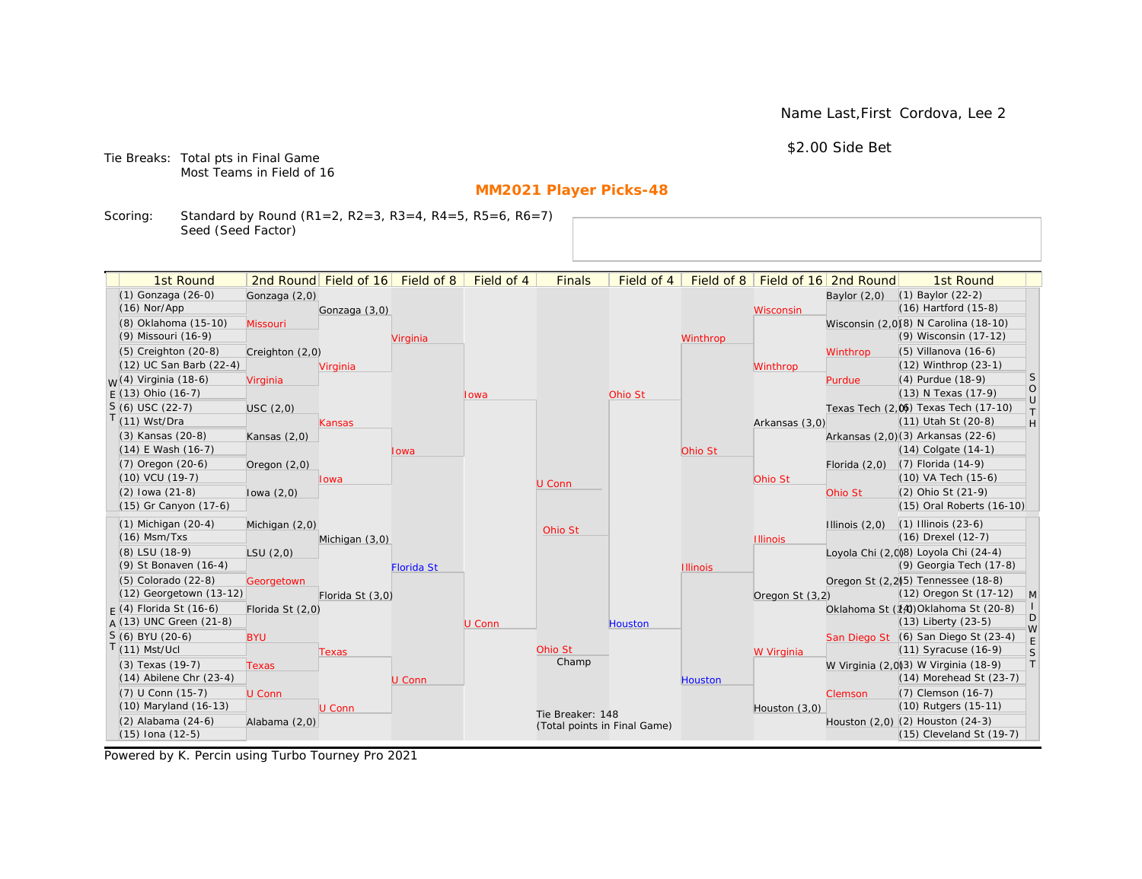Name Last,First Cordova, Lee 2

\$2.00 Side Bet

Tie Breaks: Total pts in Final Game Most Teams in Field of 16

# **MM2021 Player Picks-48**

Scoring: Standard by Round (R1=2, R2=3, R3=4, R4=5, R5=6, R6=7) Seed (Seed Factor)

| 1st Round                                       |                  | 2nd Round Field of 16 | Field of 8        | Field of 4 | <b>Finals</b>                | Field of 4 | Field of 8      |                 | Field of 16 2nd Round | 1st Round                                                       |                                                                   |
|-------------------------------------------------|------------------|-----------------------|-------------------|------------|------------------------------|------------|-----------------|-----------------|-----------------------|-----------------------------------------------------------------|-------------------------------------------------------------------|
| (1) Gonzaga (26-0)                              | Gonzaga (2,0)    |                       |                   |            |                              |            |                 |                 | Baylor $(2,0)$        | $(1)$ Baylor $(22-2)$                                           |                                                                   |
| $(16)$ Nor/App                                  |                  | Gonzaga (3,0)         |                   |            |                              |            |                 | Wisconsin       |                       | $(16)$ Hartford $(15-8)$                                        |                                                                   |
| (8) Oklahoma (15-10)                            | Missouri         |                       |                   |            |                              |            |                 |                 |                       | Wisconsin (2,0)(8) N Carolina (18-10)                           |                                                                   |
| (9) Missouri (16-9)                             |                  |                       | Virginia          |            |                              |            | Winthrop        |                 |                       | (9) Wisconsin (17-12)                                           |                                                                   |
| (5) Creighton (20-8)                            | Creighton (2,0)  |                       |                   |            |                              |            |                 |                 | Winthrop              | $(5)$ Villanova $(16-6)$                                        |                                                                   |
| (12) UC San Barb (22-4)                         |                  | Virginia              |                   |            |                              |            |                 | Winthrop        |                       | (12) Winthrop (23-1)                                            |                                                                   |
| <sub>W</sub> (4) Virginia (18-6)                | Virginia         |                       |                   |            |                              |            |                 |                 | Purdue                | (4) Purdue (18-9)                                               | <sub>S</sub>                                                      |
| $E(13)$ Ohio (16-7)                             |                  |                       |                   | Iowa       |                              | Ohio St    |                 |                 |                       | (13) N Texas (17-9)                                             | $\bigcirc$<br>$\cup$                                              |
| $S(6)$ USC (22-7)                               | USC(2,0)         |                       |                   |            |                              |            |                 |                 |                       | Texas Tech (2,0) Texas Tech (17-10)                             | $\top$                                                            |
| $T(11)$ Wst/Dra                                 |                  | Kansas                |                   |            |                              |            |                 | Arkansas (3,0)  |                       | (11) Utah St (20-8)                                             | $\mathsf{H}% _{\mathsf{H}}^{\ast}=\mathsf{H}_{\mathsf{H}}^{\ast}$ |
| (3) Kansas (20-8)                               | Kansas $(2,0)$   |                       |                   |            |                              |            |                 |                 |                       | Arkansas (2,0)(3) Arkansas (22-6)                               |                                                                   |
| $(14)$ E Wash $(16-7)$                          |                  |                       | Iowa              |            |                              |            | Ohio St         |                 |                       | $(14)$ Colgate $(14-1)$                                         |                                                                   |
| $(7)$ Oregon $(20-6)$                           | Oregon $(2,0)$   |                       |                   |            |                              |            |                 |                 | Florida $(2,0)$       | $(7)$ Florida $(14-9)$                                          |                                                                   |
| $(10)$ VCU $(19-7)$                             |                  | lowa                  |                   |            | U Conn                       |            |                 | Ohio St         |                       | (10) VA Tech (15-6)                                             |                                                                   |
| $(2)$ lowa $(21-8)$                             | lowa $(2,0)$     |                       |                   |            |                              |            |                 |                 | Ohio St               | (2) Ohio St (21-9)                                              |                                                                   |
| (15) Gr Canyon (17-6)                           |                  |                       |                   |            |                              |            |                 |                 |                       | (15) Oral Roberts (16-10)                                       |                                                                   |
| $(1)$ Michigan $(20-4)$                         | Michigan (2,0)   |                       |                   |            | Ohio St                      |            |                 |                 | Illinois $(2,0)$      | $(1)$ Illinois $(23-6)$                                         |                                                                   |
| $(16)$ Msm/Txs                                  |                  | Michigan (3,0)        |                   |            |                              |            |                 | <b>Illinois</b> |                       | (16) Drexel (12-7)                                              |                                                                   |
| (8) LSU (18-9)                                  | LSU(2,0)         |                       |                   |            |                              |            |                 |                 |                       | Loyola Chi (2,008) Loyola Chi (24-4)                            |                                                                   |
| (9) St Bonaven (16-4)                           |                  |                       | <b>Florida St</b> |            |                              |            | <b>Illinois</b> |                 |                       | (9) Georgia Tech (17-8)                                         |                                                                   |
| (5) Colorado (22-8)                             | Georgetown       |                       |                   |            |                              |            |                 |                 |                       | Oregon St (2.2) <sup>5</sup> ) Tennessee (18-8)                 |                                                                   |
| (12) Georgetown (13-12)                         |                  | Florida St (3,0)      |                   |            |                              |            |                 | Oregon St (3,2) |                       | (12) Oregon St (17-12)                                          | M                                                                 |
| $F(4)$ Florida St (16-6)                        | Florida St (2,0) |                       |                   |            |                              |            |                 |                 |                       | Oklahoma St (14) Oklahoma St (20-8)                             | D                                                                 |
| $A(13)$ UNC Green (21-8)                        |                  |                       |                   | U Conn     |                              | Houston    |                 |                 |                       | $(13)$ Liberty $(23-5)$                                         | W                                                                 |
| S (6) BYU (20-6)                                | <b>BYU</b>       |                       |                   |            | Ohio St                      |            |                 |                 |                       | San Diego St (6) San Diego St (23-4)                            | E                                                                 |
| $T(11)$ Mst/Ucl                                 |                  | Texas                 |                   |            | Champ                        |            |                 | W Virginia      |                       | $(11)$ Syracuse $(16-9)$                                        | S<br> T                                                           |
| (3) Texas (19-7)<br>$(14)$ Abilene Chr $(23-4)$ | <b>Texas</b>     |                       |                   |            |                              |            |                 |                 |                       | W Virginia (2,0)3) W Virginia (18-9)<br>(14) Morehead St (23-7) |                                                                   |
| (7) U Conn (15-7)                               |                  |                       | U Conn            |            |                              |            | <b>Houston</b>  |                 |                       | (7) Clemson (16-7)                                              |                                                                   |
| (10) Maryland (16-13)                           | U Conn           | U Conn                |                   |            |                              |            |                 | Houston (3,0)   | Clemson               | (10) Rutgers (15-11)                                            |                                                                   |
| (2) Alabama (24-6)                              | Alabama (2,0)    |                       |                   |            | Tie Breaker: 148             |            |                 |                 |                       | Houston (2,0) (2) Houston (24-3)                                |                                                                   |
| $(15)$ Iona $(12-5)$                            |                  |                       |                   |            | (Total points in Final Game) |            |                 |                 |                       | (15) Cleveland St (19-7)                                        |                                                                   |
|                                                 |                  |                       |                   |            |                              |            |                 |                 |                       |                                                                 |                                                                   |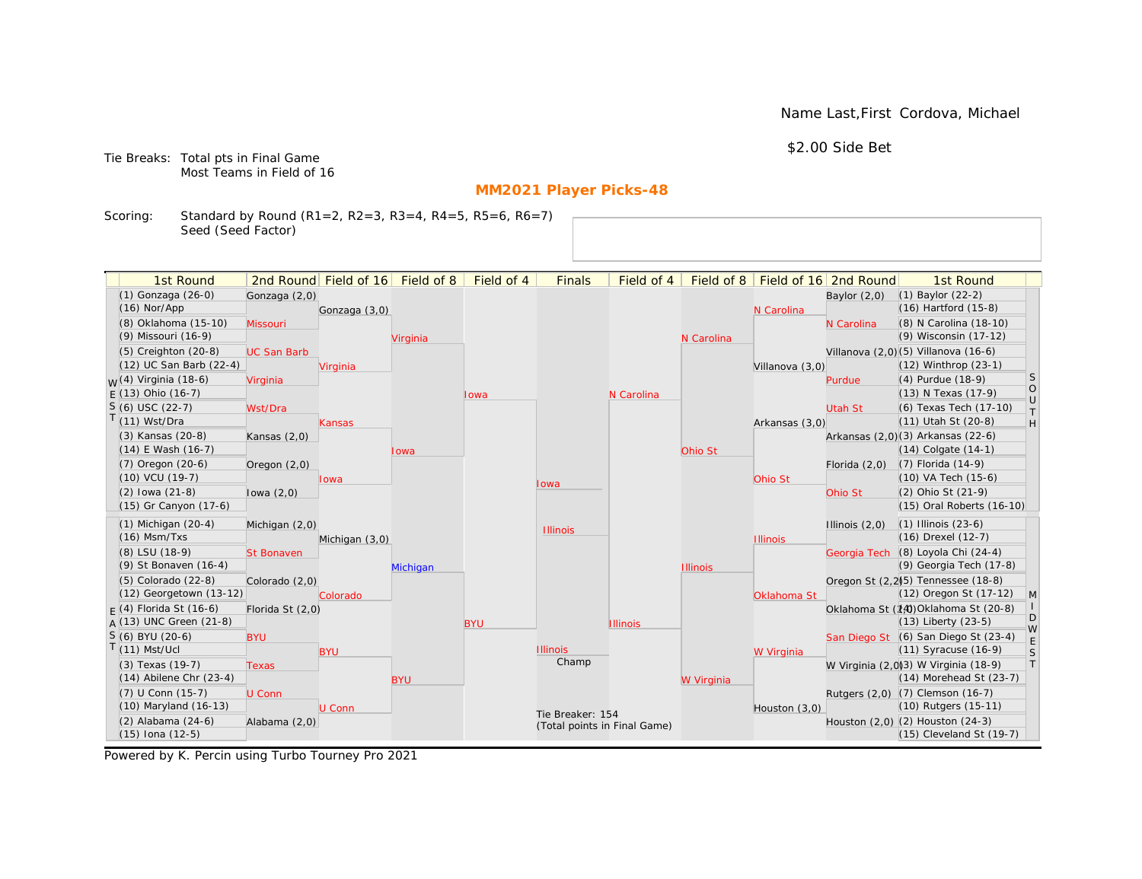Name Last,First Cordova, Michael

\$2.00 Side Bet

Tie Breaks: Total pts in Final Game Most Teams in Field of 16

# **MM2021 Player Picks-48**

Scoring: Standard by Round (R1=2, R2=3, R3=4, R4=5, R5=6, R6=7) Seed (Seed Factor)

| 1st Round                         |                    | 2nd Round Field of 16 | Field of 8 | Field of 4 | <b>Finals</b>                | Field of 4      | Field of 8      |                 | Field of 16 2nd Round | 1st Round                                       |                   |
|-----------------------------------|--------------------|-----------------------|------------|------------|------------------------------|-----------------|-----------------|-----------------|-----------------------|-------------------------------------------------|-------------------|
| (1) Gonzaga (26-0)                | Gonzaga (2,0)      |                       |            |            |                              |                 |                 |                 | Baylor $(2,0)$        | (1) Baylor (22-2)                               |                   |
| $(16)$ Nor/App                    |                    | Gonzaga (3,0)         |            |            |                              |                 |                 | N Carolina      |                       | (16) Hartford (15-8)                            |                   |
| (8) Oklahoma (15-10)              | Missouri           |                       |            |            |                              |                 |                 |                 | N Carolina            | (8) N Carolina (18-10)                          |                   |
| (9) Missouri (16-9)               |                    |                       | Virginia   |            |                              |                 | N Carolina      |                 |                       | (9) Wisconsin (17-12)                           |                   |
| (5) Creighton (20-8)              | <b>UC San Barb</b> |                       |            |            |                              |                 |                 |                 |                       | Villanova (2,0) (5) Villanova (16-6)            |                   |
| (12) UC San Barb (22-4)           |                    | Virginia              |            |            |                              |                 |                 | Villanova (3,0) |                       | (12) Winthrop (23-1)                            |                   |
| <sub>M</sub> /(4) Virginia (18-6) | Virginia           |                       |            |            |                              |                 |                 |                 | Purdue                | (4) Purdue (18-9)                               | S                 |
| $E(13)$ Ohio (16-7)               |                    |                       |            | Iowa       |                              | N Carolina      |                 |                 |                       | (13) N Texas (17-9)                             | $\circ$<br>$\cup$ |
| $S(6)$ USC (22-7)                 | Wst/Dra            |                       |            |            |                              |                 |                 |                 | Utah St               | (6) Texas Tech (17-10)                          | T.                |
| $(11)$ Wst/Dra                    |                    | Kansas                |            |            |                              |                 |                 | Arkansas (3,0)  |                       | (11) Utah St (20-8)                             | H                 |
| (3) Kansas (20-8)                 | Kansas $(2,0)$     |                       |            |            |                              |                 |                 |                 |                       | Arkansas (2,0)(3) Arkansas (22-6)               |                   |
| $(14)$ E Wash $(16-7)$            |                    |                       | Iowa       |            |                              |                 | Ohio St         |                 |                       | (14) Colgate (14-1)                             |                   |
| (7) Oregon (20-6)                 | Oregon $(2,0)$     |                       |            |            |                              |                 |                 |                 | Florida $(2,0)$       | $(7)$ Florida $(14-9)$                          |                   |
| $(10)$ VCU $(19-7)$               |                    | Iowa                  |            |            | lowa                         |                 |                 | Ohio St         |                       | (10) VA Tech (15-6)                             |                   |
| $(2)$ lowa $(21-8)$               | lowa $(2,0)$       |                       |            |            |                              |                 |                 |                 | Ohio St               | (2) Ohio St (21-9)                              |                   |
| (15) Gr Canyon (17-6)             |                    |                       |            |            |                              |                 |                 |                 |                       | (15) Oral Roberts (16-10)                       |                   |
| $(1)$ Michigan $(20-4)$           | Michigan (2,0)     |                       |            |            | <b>Illinois</b>              |                 |                 |                 | Illinois $(2,0)$      | $(1)$ Illinois $(23-6)$                         |                   |
| $(16)$ Msm/Txs                    |                    | Michigan (3,0)        |            |            |                              |                 |                 | <b>Illinois</b> |                       | (16) Drexel (12-7)                              |                   |
| (8) LSU (18-9)                    | <b>St Bonaven</b>  |                       |            |            |                              |                 |                 |                 | Georgia Tech          | (8) Loyola Chi (24-4)                           |                   |
| (9) St Bonaven (16-4)             |                    |                       | Michigan   |            |                              |                 | <b>Illinois</b> |                 |                       | (9) Georgia Tech (17-8)                         |                   |
| (5) Colorado (22-8)               | Colorado (2,0)     |                       |            |            |                              |                 |                 |                 |                       | Oregon St (2,2) <sup>(5)</sup> Tennessee (18-8) |                   |
| $(12)$ Georgetown $(13-12)$       |                    | Colorado              |            |            |                              |                 |                 | Oklahoma St     |                       | (12) Oregon St (17-12)                          | $\mathsf{M}$      |
| $F(4)$ Florida St (16-6)          | Florida St (2,0)   |                       |            |            |                              |                 |                 |                 |                       | Oklahoma St (14) Oklahoma St (20-8)             |                   |
| $A(13)$ UNC Green (21-8)          |                    |                       |            | <b>BYU</b> |                              | <b>Illinois</b> |                 |                 |                       | (13) Liberty (23-5)                             | D<br>W            |
| $S(6)$ BYU (20-6)                 | <b>BYU</b>         |                       |            |            |                              |                 |                 |                 |                       | San Diego St (6) San Diego St (23-4)            |                   |
| $(11)$ Mst/Ucl                    |                    | <b>BYU</b>            |            |            | <b>Illinois</b>              |                 |                 | W Virginia      |                       | (11) Syracuse (16-9)                            | $\mathsf S$       |
| (3) Texas (19-7)                  | <b>Texas</b>       |                       |            |            | Champ                        |                 |                 |                 |                       | W Virginia (2,0)(3) W Virginia (18-9)           | $\top$            |
| $(14)$ Abilene Chr $(23-4)$       |                    |                       | <b>BYU</b> |            |                              |                 | W Virginia      |                 |                       | (14) Morehead St (23-7)                         |                   |
| (7) U Conn (15-7)                 | U Conn             |                       |            |            |                              |                 |                 |                 |                       | Rutgers (2,0) (7) Clemson (16-7)                |                   |
| (10) Maryland (16-13)             |                    | U Conn                |            |            | Tie Breaker: 154             |                 |                 | Houston (3,0)   |                       | (10) Rutgers (15-11)                            |                   |
| (2) Alabama (24-6)                | Alabama (2,0)      |                       |            |            | (Total points in Final Game) |                 |                 |                 |                       | Houston (2,0) (2) Houston (24-3)                |                   |
| (15) Iona (12-5)                  |                    |                       |            |            |                              |                 |                 |                 |                       | (15) Cleveland St (19-7)                        |                   |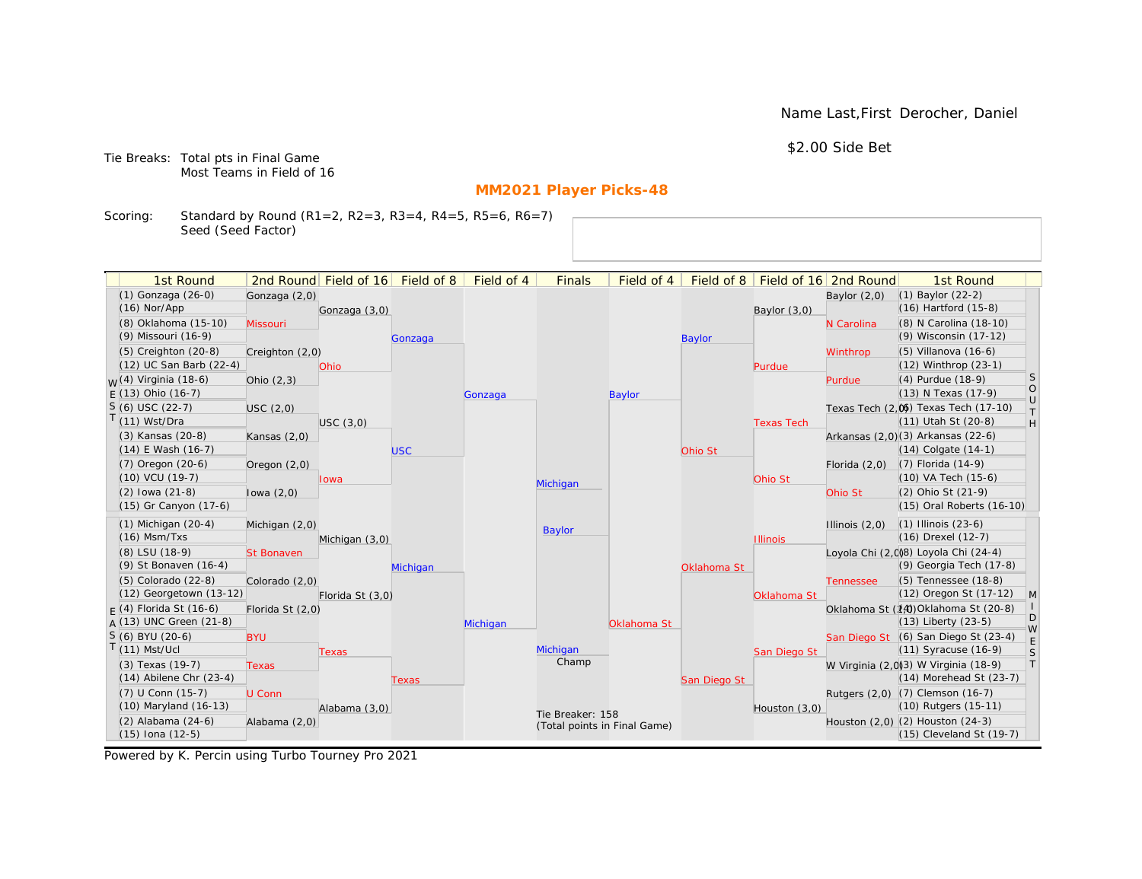Name Last,First Derocher, Daniel

\$2.00 Side Bet

Tie Breaks: Total pts in Final Game Most Teams in Field of 16

# **MM2021 Player Picks-48**

Scoring: Standard by Round (R1=2, R2=3, R3=4, R4=5, R5=6, R6=7) Seed (Seed Factor)

| 1st Round                        |                   | 2nd Round Field of 16 | Field of 8 | Field of 4 | <b>Finals</b>                | Field of 4    | Field of 8    |                   | Field of 16 2nd Round | 1st Round                                                    |                   |
|----------------------------------|-------------------|-----------------------|------------|------------|------------------------------|---------------|---------------|-------------------|-----------------------|--------------------------------------------------------------|-------------------|
| $(1)$ Gonzaga $(26-0)$           | Gonzaga (2,0)     |                       |            |            |                              |               |               |                   | Baylor $(2,0)$        | $(1)$ Baylor $(22-2)$                                        |                   |
| $(16)$ Nor/App                   |                   | Gonzaga (3,0)         |            |            |                              |               |               | Baylor $(3,0)$    |                       | $(16)$ Hartford $(15-8)$                                     |                   |
| (8) Oklahoma (15-10)             | Missouri          |                       |            |            |                              |               |               |                   | N Carolina            | (8) N Carolina (18-10)                                       |                   |
| (9) Missouri (16-9)              |                   |                       | Gonzaga    |            |                              |               | <b>Baylor</b> |                   |                       | (9) Wisconsin (17-12)                                        |                   |
| $(5)$ Creighton $(20-8)$         | Creighton (2,0)   |                       |            |            |                              |               |               |                   | Winthrop              | $(5)$ Villanova $(16-6)$                                     |                   |
| (12) UC San Barb (22-4)          |                   | Ohio                  |            |            |                              |               |               | Purdue            |                       | (12) Winthrop (23-1)                                         |                   |
| <sub>W</sub> (4) Virginia (18-6) | Ohio $(2,3)$      |                       |            |            |                              |               |               |                   | Purdue                | (4) Purdue (18-9)                                            | <sub>S</sub>      |
| $E(13)$ Ohio (16-7)              |                   |                       |            | Gonzaga    |                              | <b>Baylor</b> |               |                   |                       | (13) N Texas (17-9)                                          | $\circ$<br>$\cup$ |
| $S(6)$ USC (22-7)                | USC(2,0)          |                       |            |            |                              |               |               |                   |                       | Texas Tech (2,0) Texas Tech (17-10)                          | $\top$            |
| $(11)$ Wst/Dra                   |                   | USC(3,0)              |            |            |                              |               |               | <b>Texas Tech</b> |                       | (11) Utah St (20-8)                                          | H                 |
| (3) Kansas (20-8)                | Kansas $(2,0)$    |                       |            |            |                              |               |               |                   |                       | Arkansas (2,0)(3) Arkansas (22-6)                            |                   |
| $(14)$ E Wash $(16-7)$           |                   |                       | <b>USC</b> |            |                              |               | Ohio St       |                   |                       | $(14)$ Colgate $(14-1)$                                      |                   |
| $(7)$ Oregon $(20-6)$            | Oregon $(2,0)$    |                       |            |            |                              |               |               |                   | Florida $(2,0)$       | $(7)$ Florida $(14-9)$                                       |                   |
| (10) VCU (19-7)                  |                   | lowa                  |            |            | Michigan                     |               |               | Ohio St           |                       | (10) VA Tech (15-6)                                          |                   |
| $(2)$ lowa $(21-8)$              | lowa $(2,0)$      |                       |            |            |                              |               |               |                   | Ohio St               | (2) Ohio St (21-9)                                           |                   |
| (15) Gr Canyon (17-6)            |                   |                       |            |            |                              |               |               |                   |                       | (15) Oral Roberts (16-10)                                    |                   |
| $(1)$ Michigan $(20-4)$          | Michigan (2,0)    |                       |            |            | <b>Baylor</b>                |               |               |                   | Illinois $(2,0)$      | $(1)$ Illinois $(23-6)$                                      |                   |
| $(16)$ Msm/Txs                   |                   | Michigan (3,0)        |            |            |                              |               |               | <b>Illinois</b>   |                       | (16) Drexel (12-7)                                           |                   |
| (8) LSU (18-9)                   | <b>St Bonaven</b> |                       |            |            |                              |               |               |                   |                       | Loyola Chi (2,0)8) Loyola Chi (24-4)                         |                   |
| (9) St Bonaven (16-4)            |                   |                       | Michigan   |            |                              |               | Oklahoma St   |                   |                       | (9) Georgia Tech (17-8)                                      |                   |
| (5) Colorado (22-8)              | Colorado (2,0)    |                       |            |            |                              |               |               |                   | <b>Tennessee</b>      | (5) Tennessee (18-8)                                         |                   |
| (12) Georgetown (13-12)          |                   | Florida St (3,0)      |            |            |                              |               |               | Oklahoma St       |                       | (12) Oregon St (17-12)                                       | M                 |
| $F(4)$ Florida St (16-6)         | Florida St (2,0)  |                       |            |            |                              |               |               |                   |                       | Oklahoma St (14) Oklahoma St (20-8)                          | D                 |
| $A(13)$ UNC Green (21-8)         |                   |                       |            | Michigan   |                              | Oklahoma St   |               |                   |                       | $(13)$ Liberty $(23-5)$                                      | W                 |
| S (6) BYU (20-6)                 | <b>BYU</b>        |                       |            |            |                              |               |               |                   |                       | San Diego St (6) San Diego St (23-4)                         | E                 |
| $(11)$ Mst/Ucl                   |                   | Texas                 |            |            | Michigan<br>Champ            |               |               | San Diego St      |                       | $(11)$ Syracuse $(16-9)$                                     | S                 |
| (3) Texas (19-7)                 | <b>Texas</b>      |                       |            |            |                              |               |               |                   |                       | W Virginia (2,0)(3) W Virginia (18-9)                        | T                 |
| $(14)$ Abilene Chr $(23-4)$      |                   |                       | Texas      |            |                              |               | San Diego St  |                   |                       | (14) Morehead St (23-7)                                      |                   |
| (7) U Conn (15-7)                | U Conn            |                       |            |            |                              |               |               |                   |                       | Rutgers (2,0) (7) Clemson (16-7)                             |                   |
| (10) Maryland (16-13)            |                   | Alabama (3,0)         |            |            | Tie Breaker: 158             |               |               | Houston $(3,0)$   |                       | (10) Rutgers (15-11)                                         |                   |
| (2) Alabama (24-6)               | Alabama (2,0)     |                       |            |            | (Total points in Final Game) |               |               |                   |                       | Houston (2,0) (2) Houston (24-3)<br>(15) Cleveland St (19-7) |                   |
| (15) Iona (12-5)                 |                   |                       |            |            |                              |               |               |                   |                       |                                                              |                   |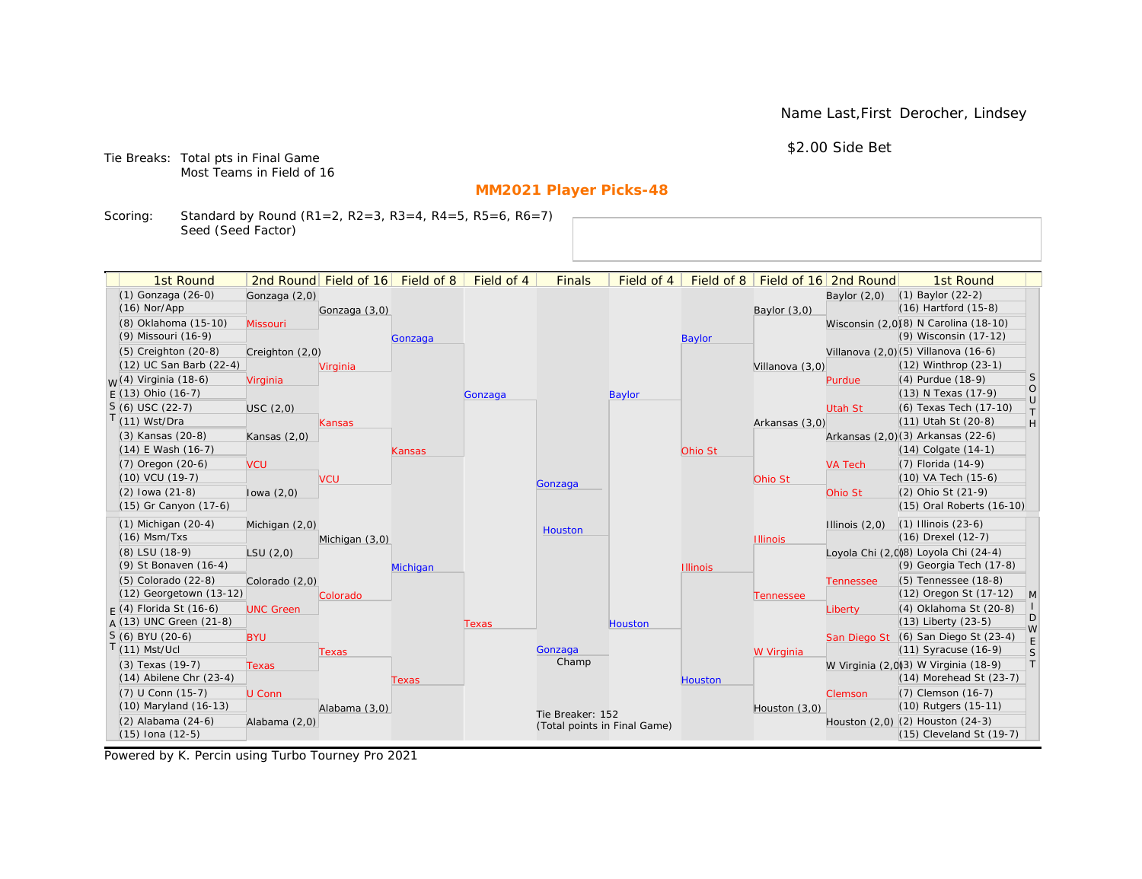Name Last,First Derocher, Lindsey

\$2.00 Side Bet

Tie Breaks: Total pts in Final Game Most Teams in Field of 16

# **MM2021 Player Picks-48**

Scoring: Standard by Round (R1=2, R2=3, R3=4, R4=5, R5=6, R6=7) Seed (Seed Factor)

| 2nd Round Field of 16 Field of 8<br>Field of 16 2nd Round<br>(1) Gonzaga (26-0)<br>(1) Baylor (22-2)<br>Gonzaga (2,0)<br>Baylor $(2,0)$<br>(16) Hartford (15-8)<br>$(16)$ Nor/App<br>Gonzaga (3,0)<br>Baylor $(3,0)$<br>(8) Oklahoma (15-10)<br>Wisconsin (2,0)(8) N Carolina (18-10)<br>Missouri<br>(9) Wisconsin (17-12)<br>(9) Missouri (16-9)<br><b>Baylor</b><br>Gonzaga<br>(5) Creighton (20-8)<br>Villanova (2,0) (5) Villanova (16-6)<br>Creighton (2,0)<br>(12) UC San Barb (22-4)<br>(12) Winthrop (23-1)<br>Virginia<br>Villanova (3,0)<br>S<br><sub>W</sub> (4) Virginia (18-6)<br>(4) Purdue (18-9)<br>Virginia<br>Purdue<br>$\circ$<br>$E(13)$ Ohio (16-7)<br>(13) N Texas (17-9)<br><b>Baylor</b><br>Gonzaga<br>$\cup$<br>$S(6)$ USC (22-7)<br>(6) Texas Tech (17-10)<br>USC(2,0)<br>Utah St<br>$\top$<br>$T(11)$ Wst/Dra<br>(11) Utah St (20-8)<br>H<br>Arkansas (3,0)<br>Kansas<br>(3) Kansas (20-8)<br>Arkansas (2,0)(3) Arkansas (22-6)<br>Kansas $(2,0)$<br>$(14)$ E Wash $(16-7)$<br>$(14)$ Colgate $(14-1)$<br>Ohio St<br>Kansas<br>$(7)$ Oregon $(20-6)$<br>(7) Florida (14-9)<br><b>VA Tech</b><br><b>VCU</b><br>(10) VCU (19-7)<br>(10) VA Tech (15-6)<br><b>VCU</b><br>Ohio St<br>Gonzaga<br>(2) Ohio St (21-9)<br>$(2)$ lowa $(21-8)$<br>lowa $(2,0)$<br>Ohio St<br>(15) Gr Canyon (17-6)<br>(15) Oral Roberts (16-10)<br>$(1)$ Michigan $(20-4)$<br>$(1)$ Illinois $(23-6)$<br>Illinois $(2,0)$<br>Michigan (2,0)<br>Houston<br>$(16)$ Msm/Txs<br>(16) Drexel (12-7)<br>Michigan (3,0)<br><b>Illinois</b><br>Loyola Chi (2,0)8) Loyola Chi (24-4)<br>(8) LSU (18-9)<br>LSU(2,0)<br>(9) Georgia Tech (17-8)<br>(9) St Bonaven (16-4)<br>Michigan<br><b>Illinois</b><br>(5) Colorado (22-8)<br>(5) Tennessee (18-8)<br>Colorado (2,0)<br><b>Tennessee</b><br>(12) Georgetown (13-12)<br>(12) Oregon St (17-12)<br>$\mathsf{M}$<br>Colorado<br>Tennessee<br>$F(4)$ Florida St (16-6)<br>(4) Oklahoma St (20-8)<br><b>UNC Green</b><br>Liberty<br>D<br>$A(13)$ UNC Green (21-8)<br>(13) Liberty (23-5)<br>Houston<br>Texas<br>W<br>S (6) BYU (20-6)<br>San Diego St (6) San Diego St (23-4)<br><b>BYU</b><br>$\mathsf E$<br>$T(11)$ Mst/Ucl<br>(11) Syracuse (16-9)<br>Gonzaga<br>S<br>W Virginia<br>Texas<br>Champ<br> T <br>W Virginia (2,0)3) W Virginia (18-9)<br>(3) Texas (19-7)<br><b>Texas</b><br>$(14)$ Abilene Chr $(23-4)$<br>$(14)$ Morehead St $(23-7)$<br>Houston<br>Texas<br>(7) U Conn (15-7)<br>(7) Clemson (16-7)<br>U Conn<br>Clemson<br>(10) Maryland (16-13)<br>(10) Rutgers (15-11)<br>Alabama (3,0)<br>Houston (3,0)<br>Tie Breaker: 152<br>(2) Alabama (24-6)<br>Houston (2,0) (2) Houston (24-3)<br>Alabama (2,0)<br>(Total points in Final Game)<br>$(15)$ Iona $(12-5)$<br>(15) Cleveland St (19-7) | 1st Round |  | Field of 4 | <b>Finals</b> | Field of 4 | Field of 8 |  | 1st Round |  |
|--------------------------------------------------------------------------------------------------------------------------------------------------------------------------------------------------------------------------------------------------------------------------------------------------------------------------------------------------------------------------------------------------------------------------------------------------------------------------------------------------------------------------------------------------------------------------------------------------------------------------------------------------------------------------------------------------------------------------------------------------------------------------------------------------------------------------------------------------------------------------------------------------------------------------------------------------------------------------------------------------------------------------------------------------------------------------------------------------------------------------------------------------------------------------------------------------------------------------------------------------------------------------------------------------------------------------------------------------------------------------------------------------------------------------------------------------------------------------------------------------------------------------------------------------------------------------------------------------------------------------------------------------------------------------------------------------------------------------------------------------------------------------------------------------------------------------------------------------------------------------------------------------------------------------------------------------------------------------------------------------------------------------------------------------------------------------------------------------------------------------------------------------------------------------------------------------------------------------------------------------------------------------------------------------------------------------------------------------------------------------------------------------------------------------------------------------------------------------------------------------------------------------------------------------------------------------------------------------------------------------------------------------------------------------------------------------------------------------------------------------------|-----------|--|------------|---------------|------------|------------|--|-----------|--|
|                                                                                                                                                                                                                                                                                                                                                                                                                                                                                                                                                                                                                                                                                                                                                                                                                                                                                                                                                                                                                                                                                                                                                                                                                                                                                                                                                                                                                                                                                                                                                                                                                                                                                                                                                                                                                                                                                                                                                                                                                                                                                                                                                                                                                                                                                                                                                                                                                                                                                                                                                                                                                                                                                                                                                        |           |  |            |               |            |            |  |           |  |
|                                                                                                                                                                                                                                                                                                                                                                                                                                                                                                                                                                                                                                                                                                                                                                                                                                                                                                                                                                                                                                                                                                                                                                                                                                                                                                                                                                                                                                                                                                                                                                                                                                                                                                                                                                                                                                                                                                                                                                                                                                                                                                                                                                                                                                                                                                                                                                                                                                                                                                                                                                                                                                                                                                                                                        |           |  |            |               |            |            |  |           |  |
|                                                                                                                                                                                                                                                                                                                                                                                                                                                                                                                                                                                                                                                                                                                                                                                                                                                                                                                                                                                                                                                                                                                                                                                                                                                                                                                                                                                                                                                                                                                                                                                                                                                                                                                                                                                                                                                                                                                                                                                                                                                                                                                                                                                                                                                                                                                                                                                                                                                                                                                                                                                                                                                                                                                                                        |           |  |            |               |            |            |  |           |  |
|                                                                                                                                                                                                                                                                                                                                                                                                                                                                                                                                                                                                                                                                                                                                                                                                                                                                                                                                                                                                                                                                                                                                                                                                                                                                                                                                                                                                                                                                                                                                                                                                                                                                                                                                                                                                                                                                                                                                                                                                                                                                                                                                                                                                                                                                                                                                                                                                                                                                                                                                                                                                                                                                                                                                                        |           |  |            |               |            |            |  |           |  |
|                                                                                                                                                                                                                                                                                                                                                                                                                                                                                                                                                                                                                                                                                                                                                                                                                                                                                                                                                                                                                                                                                                                                                                                                                                                                                                                                                                                                                                                                                                                                                                                                                                                                                                                                                                                                                                                                                                                                                                                                                                                                                                                                                                                                                                                                                                                                                                                                                                                                                                                                                                                                                                                                                                                                                        |           |  |            |               |            |            |  |           |  |
|                                                                                                                                                                                                                                                                                                                                                                                                                                                                                                                                                                                                                                                                                                                                                                                                                                                                                                                                                                                                                                                                                                                                                                                                                                                                                                                                                                                                                                                                                                                                                                                                                                                                                                                                                                                                                                                                                                                                                                                                                                                                                                                                                                                                                                                                                                                                                                                                                                                                                                                                                                                                                                                                                                                                                        |           |  |            |               |            |            |  |           |  |
|                                                                                                                                                                                                                                                                                                                                                                                                                                                                                                                                                                                                                                                                                                                                                                                                                                                                                                                                                                                                                                                                                                                                                                                                                                                                                                                                                                                                                                                                                                                                                                                                                                                                                                                                                                                                                                                                                                                                                                                                                                                                                                                                                                                                                                                                                                                                                                                                                                                                                                                                                                                                                                                                                                                                                        |           |  |            |               |            |            |  |           |  |
|                                                                                                                                                                                                                                                                                                                                                                                                                                                                                                                                                                                                                                                                                                                                                                                                                                                                                                                                                                                                                                                                                                                                                                                                                                                                                                                                                                                                                                                                                                                                                                                                                                                                                                                                                                                                                                                                                                                                                                                                                                                                                                                                                                                                                                                                                                                                                                                                                                                                                                                                                                                                                                                                                                                                                        |           |  |            |               |            |            |  |           |  |
|                                                                                                                                                                                                                                                                                                                                                                                                                                                                                                                                                                                                                                                                                                                                                                                                                                                                                                                                                                                                                                                                                                                                                                                                                                                                                                                                                                                                                                                                                                                                                                                                                                                                                                                                                                                                                                                                                                                                                                                                                                                                                                                                                                                                                                                                                                                                                                                                                                                                                                                                                                                                                                                                                                                                                        |           |  |            |               |            |            |  |           |  |
|                                                                                                                                                                                                                                                                                                                                                                                                                                                                                                                                                                                                                                                                                                                                                                                                                                                                                                                                                                                                                                                                                                                                                                                                                                                                                                                                                                                                                                                                                                                                                                                                                                                                                                                                                                                                                                                                                                                                                                                                                                                                                                                                                                                                                                                                                                                                                                                                                                                                                                                                                                                                                                                                                                                                                        |           |  |            |               |            |            |  |           |  |
|                                                                                                                                                                                                                                                                                                                                                                                                                                                                                                                                                                                                                                                                                                                                                                                                                                                                                                                                                                                                                                                                                                                                                                                                                                                                                                                                                                                                                                                                                                                                                                                                                                                                                                                                                                                                                                                                                                                                                                                                                                                                                                                                                                                                                                                                                                                                                                                                                                                                                                                                                                                                                                                                                                                                                        |           |  |            |               |            |            |  |           |  |
|                                                                                                                                                                                                                                                                                                                                                                                                                                                                                                                                                                                                                                                                                                                                                                                                                                                                                                                                                                                                                                                                                                                                                                                                                                                                                                                                                                                                                                                                                                                                                                                                                                                                                                                                                                                                                                                                                                                                                                                                                                                                                                                                                                                                                                                                                                                                                                                                                                                                                                                                                                                                                                                                                                                                                        |           |  |            |               |            |            |  |           |  |
|                                                                                                                                                                                                                                                                                                                                                                                                                                                                                                                                                                                                                                                                                                                                                                                                                                                                                                                                                                                                                                                                                                                                                                                                                                                                                                                                                                                                                                                                                                                                                                                                                                                                                                                                                                                                                                                                                                                                                                                                                                                                                                                                                                                                                                                                                                                                                                                                                                                                                                                                                                                                                                                                                                                                                        |           |  |            |               |            |            |  |           |  |
|                                                                                                                                                                                                                                                                                                                                                                                                                                                                                                                                                                                                                                                                                                                                                                                                                                                                                                                                                                                                                                                                                                                                                                                                                                                                                                                                                                                                                                                                                                                                                                                                                                                                                                                                                                                                                                                                                                                                                                                                                                                                                                                                                                                                                                                                                                                                                                                                                                                                                                                                                                                                                                                                                                                                                        |           |  |            |               |            |            |  |           |  |
|                                                                                                                                                                                                                                                                                                                                                                                                                                                                                                                                                                                                                                                                                                                                                                                                                                                                                                                                                                                                                                                                                                                                                                                                                                                                                                                                                                                                                                                                                                                                                                                                                                                                                                                                                                                                                                                                                                                                                                                                                                                                                                                                                                                                                                                                                                                                                                                                                                                                                                                                                                                                                                                                                                                                                        |           |  |            |               |            |            |  |           |  |
|                                                                                                                                                                                                                                                                                                                                                                                                                                                                                                                                                                                                                                                                                                                                                                                                                                                                                                                                                                                                                                                                                                                                                                                                                                                                                                                                                                                                                                                                                                                                                                                                                                                                                                                                                                                                                                                                                                                                                                                                                                                                                                                                                                                                                                                                                                                                                                                                                                                                                                                                                                                                                                                                                                                                                        |           |  |            |               |            |            |  |           |  |
|                                                                                                                                                                                                                                                                                                                                                                                                                                                                                                                                                                                                                                                                                                                                                                                                                                                                                                                                                                                                                                                                                                                                                                                                                                                                                                                                                                                                                                                                                                                                                                                                                                                                                                                                                                                                                                                                                                                                                                                                                                                                                                                                                                                                                                                                                                                                                                                                                                                                                                                                                                                                                                                                                                                                                        |           |  |            |               |            |            |  |           |  |
|                                                                                                                                                                                                                                                                                                                                                                                                                                                                                                                                                                                                                                                                                                                                                                                                                                                                                                                                                                                                                                                                                                                                                                                                                                                                                                                                                                                                                                                                                                                                                                                                                                                                                                                                                                                                                                                                                                                                                                                                                                                                                                                                                                                                                                                                                                                                                                                                                                                                                                                                                                                                                                                                                                                                                        |           |  |            |               |            |            |  |           |  |
|                                                                                                                                                                                                                                                                                                                                                                                                                                                                                                                                                                                                                                                                                                                                                                                                                                                                                                                                                                                                                                                                                                                                                                                                                                                                                                                                                                                                                                                                                                                                                                                                                                                                                                                                                                                                                                                                                                                                                                                                                                                                                                                                                                                                                                                                                                                                                                                                                                                                                                                                                                                                                                                                                                                                                        |           |  |            |               |            |            |  |           |  |
|                                                                                                                                                                                                                                                                                                                                                                                                                                                                                                                                                                                                                                                                                                                                                                                                                                                                                                                                                                                                                                                                                                                                                                                                                                                                                                                                                                                                                                                                                                                                                                                                                                                                                                                                                                                                                                                                                                                                                                                                                                                                                                                                                                                                                                                                                                                                                                                                                                                                                                                                                                                                                                                                                                                                                        |           |  |            |               |            |            |  |           |  |
|                                                                                                                                                                                                                                                                                                                                                                                                                                                                                                                                                                                                                                                                                                                                                                                                                                                                                                                                                                                                                                                                                                                                                                                                                                                                                                                                                                                                                                                                                                                                                                                                                                                                                                                                                                                                                                                                                                                                                                                                                                                                                                                                                                                                                                                                                                                                                                                                                                                                                                                                                                                                                                                                                                                                                        |           |  |            |               |            |            |  |           |  |
|                                                                                                                                                                                                                                                                                                                                                                                                                                                                                                                                                                                                                                                                                                                                                                                                                                                                                                                                                                                                                                                                                                                                                                                                                                                                                                                                                                                                                                                                                                                                                                                                                                                                                                                                                                                                                                                                                                                                                                                                                                                                                                                                                                                                                                                                                                                                                                                                                                                                                                                                                                                                                                                                                                                                                        |           |  |            |               |            |            |  |           |  |
|                                                                                                                                                                                                                                                                                                                                                                                                                                                                                                                                                                                                                                                                                                                                                                                                                                                                                                                                                                                                                                                                                                                                                                                                                                                                                                                                                                                                                                                                                                                                                                                                                                                                                                                                                                                                                                                                                                                                                                                                                                                                                                                                                                                                                                                                                                                                                                                                                                                                                                                                                                                                                                                                                                                                                        |           |  |            |               |            |            |  |           |  |
|                                                                                                                                                                                                                                                                                                                                                                                                                                                                                                                                                                                                                                                                                                                                                                                                                                                                                                                                                                                                                                                                                                                                                                                                                                                                                                                                                                                                                                                                                                                                                                                                                                                                                                                                                                                                                                                                                                                                                                                                                                                                                                                                                                                                                                                                                                                                                                                                                                                                                                                                                                                                                                                                                                                                                        |           |  |            |               |            |            |  |           |  |
|                                                                                                                                                                                                                                                                                                                                                                                                                                                                                                                                                                                                                                                                                                                                                                                                                                                                                                                                                                                                                                                                                                                                                                                                                                                                                                                                                                                                                                                                                                                                                                                                                                                                                                                                                                                                                                                                                                                                                                                                                                                                                                                                                                                                                                                                                                                                                                                                                                                                                                                                                                                                                                                                                                                                                        |           |  |            |               |            |            |  |           |  |
|                                                                                                                                                                                                                                                                                                                                                                                                                                                                                                                                                                                                                                                                                                                                                                                                                                                                                                                                                                                                                                                                                                                                                                                                                                                                                                                                                                                                                                                                                                                                                                                                                                                                                                                                                                                                                                                                                                                                                                                                                                                                                                                                                                                                                                                                                                                                                                                                                                                                                                                                                                                                                                                                                                                                                        |           |  |            |               |            |            |  |           |  |
|                                                                                                                                                                                                                                                                                                                                                                                                                                                                                                                                                                                                                                                                                                                                                                                                                                                                                                                                                                                                                                                                                                                                                                                                                                                                                                                                                                                                                                                                                                                                                                                                                                                                                                                                                                                                                                                                                                                                                                                                                                                                                                                                                                                                                                                                                                                                                                                                                                                                                                                                                                                                                                                                                                                                                        |           |  |            |               |            |            |  |           |  |
|                                                                                                                                                                                                                                                                                                                                                                                                                                                                                                                                                                                                                                                                                                                                                                                                                                                                                                                                                                                                                                                                                                                                                                                                                                                                                                                                                                                                                                                                                                                                                                                                                                                                                                                                                                                                                                                                                                                                                                                                                                                                                                                                                                                                                                                                                                                                                                                                                                                                                                                                                                                                                                                                                                                                                        |           |  |            |               |            |            |  |           |  |
|                                                                                                                                                                                                                                                                                                                                                                                                                                                                                                                                                                                                                                                                                                                                                                                                                                                                                                                                                                                                                                                                                                                                                                                                                                                                                                                                                                                                                                                                                                                                                                                                                                                                                                                                                                                                                                                                                                                                                                                                                                                                                                                                                                                                                                                                                                                                                                                                                                                                                                                                                                                                                                                                                                                                                        |           |  |            |               |            |            |  |           |  |
|                                                                                                                                                                                                                                                                                                                                                                                                                                                                                                                                                                                                                                                                                                                                                                                                                                                                                                                                                                                                                                                                                                                                                                                                                                                                                                                                                                                                                                                                                                                                                                                                                                                                                                                                                                                                                                                                                                                                                                                                                                                                                                                                                                                                                                                                                                                                                                                                                                                                                                                                                                                                                                                                                                                                                        |           |  |            |               |            |            |  |           |  |
|                                                                                                                                                                                                                                                                                                                                                                                                                                                                                                                                                                                                                                                                                                                                                                                                                                                                                                                                                                                                                                                                                                                                                                                                                                                                                                                                                                                                                                                                                                                                                                                                                                                                                                                                                                                                                                                                                                                                                                                                                                                                                                                                                                                                                                                                                                                                                                                                                                                                                                                                                                                                                                                                                                                                                        |           |  |            |               |            |            |  |           |  |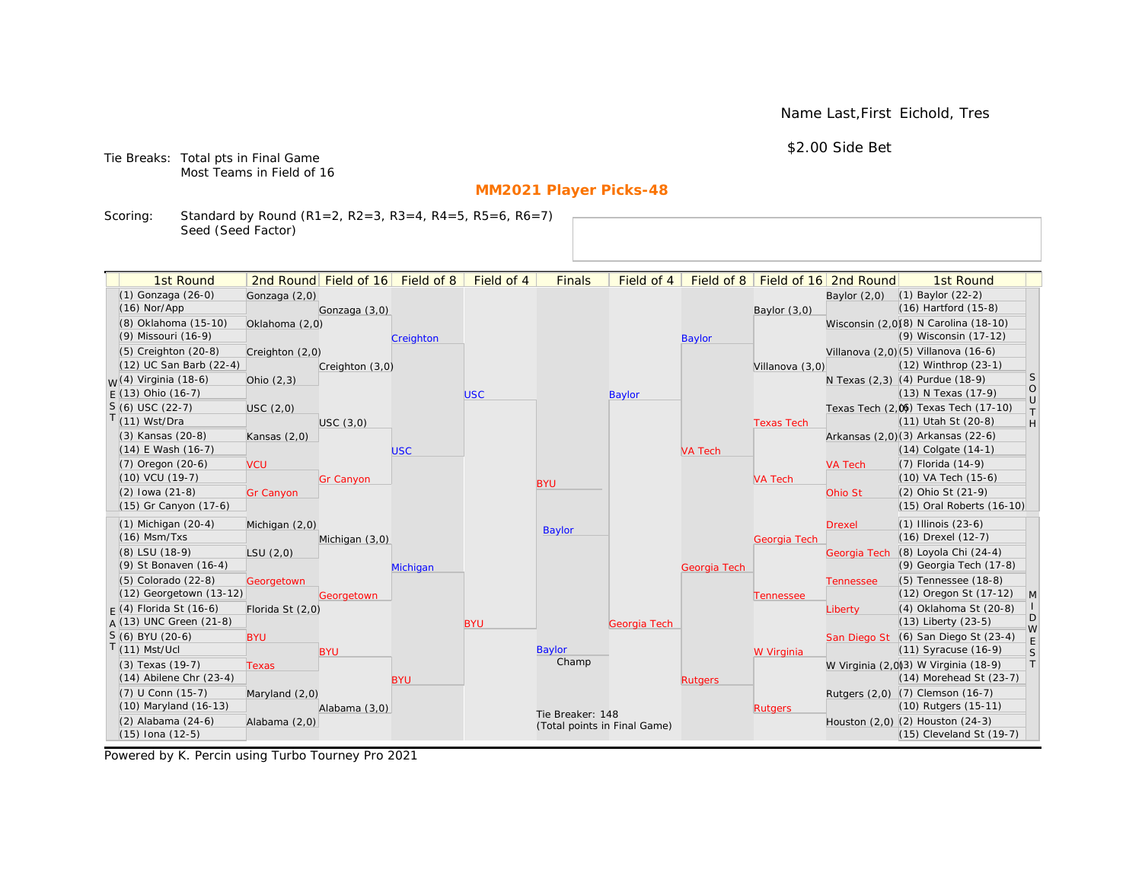Name Last,First Eichold, Tres

\$2.00 Side Bet

Tie Breaks: Total pts in Final Game Most Teams in Field of 16

# **MM2021 Player Picks-48**

Scoring: Standard by Round (R1=2, R2=3, R3=4, R4=5, R5=6, R6=7) Seed (Seed Factor)

| 1st Round                         |                  | 2nd Round Field of 16 Field of 8 |            | Field of 4 | <b>Finals</b>                | Field of 4   |                |                   | Field of 8   Field of 16 2nd Round | 1st Round                             |                   |
|-----------------------------------|------------------|----------------------------------|------------|------------|------------------------------|--------------|----------------|-------------------|------------------------------------|---------------------------------------|-------------------|
| (1) Gonzaga (26-0)                | Gonzaga (2,0)    |                                  |            |            |                              |              |                |                   | Baylor $(2,0)$                     | $(1)$ Baylor $(22-2)$                 |                   |
| $(16)$ Nor/App                    |                  | Gonzaga (3,0)                    |            |            |                              |              |                | Baylor $(3,0)$    |                                    | (16) Hartford (15-8)                  |                   |
| (8) Oklahoma (15-10)              | Oklahoma (2,0)   |                                  |            |            |                              |              |                |                   |                                    | Wisconsin (2,0)(8) N Carolina (18-10) |                   |
| (9) Missouri (16-9)               |                  |                                  | Creighton  |            |                              |              | <b>Baylor</b>  |                   |                                    | (9) Wisconsin (17-12)                 |                   |
| $(5)$ Creighton $(20-8)$          | Creighton (2,0)  |                                  |            |            |                              |              |                |                   |                                    | Villanova (2,0) (5) Villanova (16-6)  |                   |
| (12) UC San Barb (22-4)           |                  | Creighton (3,0)                  |            |            |                              |              |                | Villanova (3,0)   |                                    | (12) Winthrop (23-1)                  |                   |
| <sub>M</sub> /(4) Virginia (18-6) | Ohio $(2,3)$     |                                  |            |            |                              |              |                |                   |                                    | N Texas (2,3) (4) Purdue (18-9)       | S                 |
| $E(13)$ Ohio (16-7)               |                  |                                  |            | <b>USC</b> |                              | Baylor       |                |                   |                                    | (13) N Texas (17-9)                   | $\circ$<br>$\cup$ |
| $S(6)$ USC (22-7)                 | USC(2,0)         |                                  |            |            |                              |              |                |                   |                                    | Texas Tech (2,0) Texas Tech (17-10)   | $\top$            |
| (11) Wst/Dra                      |                  | USC(3,0)                         |            |            |                              |              |                | <b>Texas Tech</b> |                                    | (11) Utah St (20-8)                   | H                 |
| (3) Kansas (20-8)                 | Kansas $(2,0)$   |                                  |            |            |                              |              |                |                   |                                    | Arkansas (2,0)(3) Arkansas (22-6)     |                   |
| (14) E Wash (16-7)                |                  |                                  | <b>USC</b> |            |                              |              | <b>VA Tech</b> |                   |                                    | $(14)$ Colgate $(14-1)$               |                   |
| (7) Oregon (20-6)                 | <b>VCU</b>       |                                  |            |            |                              |              |                |                   | <b>VA Tech</b>                     | (7) Florida (14-9)                    |                   |
| (10) VCU (19-7)                   |                  | <b>Gr Canyon</b>                 |            |            | <b>BYU</b>                   |              |                | <b>VA Tech</b>    |                                    | (10) VA Tech (15-6)                   |                   |
| $(2)$ lowa $(21-8)$               | <b>Gr Canyon</b> |                                  |            |            |                              |              |                |                   | Ohio St                            | (2) Ohio St (21-9)                    |                   |
| (15) Gr Canyon (17-6)             |                  |                                  |            |            |                              |              |                |                   |                                    | (15) Oral Roberts (16-10)             |                   |
| $(1)$ Michigan $(20-4)$           | Michigan $(2,0)$ |                                  |            |            | <b>Baylor</b>                |              |                |                   | <b>Drexel</b>                      | $(1)$ Illinois $(23-6)$               |                   |
| $(16)$ Msm/Txs                    |                  | Michigan (3,0)                   |            |            |                              |              |                | Georgia Tech      |                                    | $(16)$ Drexel $(12-7)$                |                   |
| (8) LSU (18-9)                    | LSU(2,0)         |                                  |            |            |                              |              |                |                   | Georgia Tech                       | (8) Loyola Chi (24-4)                 |                   |
| (9) St Bonaven (16-4)             |                  |                                  | Michigan   |            |                              |              | Georgia Tech   |                   |                                    | (9) Georgia Tech (17-8)               |                   |
| (5) Colorado (22-8)               | Georgetown       |                                  |            |            |                              |              |                |                   | <b>Tennessee</b>                   | (5) Tennessee (18-8)                  |                   |
| (12) Georgetown (13-12)           |                  | Georgetown                       |            |            |                              |              |                | Tennessee         |                                    | (12) Oregon St (17-12)                | $\mathsf{M}$      |
| $F(4)$ Florida St (16-6)          | Florida St (2,0) |                                  |            |            |                              |              |                |                   | Liberty                            | (4) Oklahoma St (20-8)                | D                 |
| A (13) UNC Green (21-8)           |                  |                                  |            | <b>BYU</b> |                              | Georgia Tech |                |                   |                                    | $(13)$ Liberty $(23-5)$               | W                 |
| $S(6)$ BYU (20-6)                 | <b>BYU</b>       |                                  |            |            |                              |              |                |                   |                                    | San Diego St (6) San Diego St (23-4)  | E                 |
| $(11)$ Mst/Ucl                    |                  | <b>BYU</b>                       |            |            | <b>Baylor</b>                |              |                | W Virginia        |                                    | (11) Syracuse (16-9)                  | $\mathsf S$       |
| (3) Texas (19-7)                  | <b>Texas</b>     |                                  |            |            | Champ                        |              |                |                   |                                    | W Virginia (2,0)(3) W Virginia (18-9) | T                 |
| $(14)$ Abilene Chr $(23-4)$       |                  |                                  | <b>BYU</b> |            |                              |              | <b>Rutgers</b> |                   |                                    | $(14)$ Morehead St $(23-7)$           |                   |
| (7) U Conn (15-7)                 | Maryland (2,0)   |                                  |            |            |                              |              |                |                   |                                    | Rutgers (2,0) (7) Clemson (16-7)      |                   |
| (10) Maryland (16-13)             |                  | Alabama (3,0)                    |            |            | Tie Breaker: 148             |              |                | <b>Rutgers</b>    |                                    | (10) Rutgers (15-11)                  |                   |
| (2) Alabama (24-6)                | Alabama (2,0)    |                                  |            |            | (Total points in Final Game) |              |                |                   |                                    | Houston (2,0) (2) Houston (24-3)      |                   |
| (15) Iona (12-5)                  |                  |                                  |            |            |                              |              |                |                   |                                    | (15) Cleveland St (19-7)              |                   |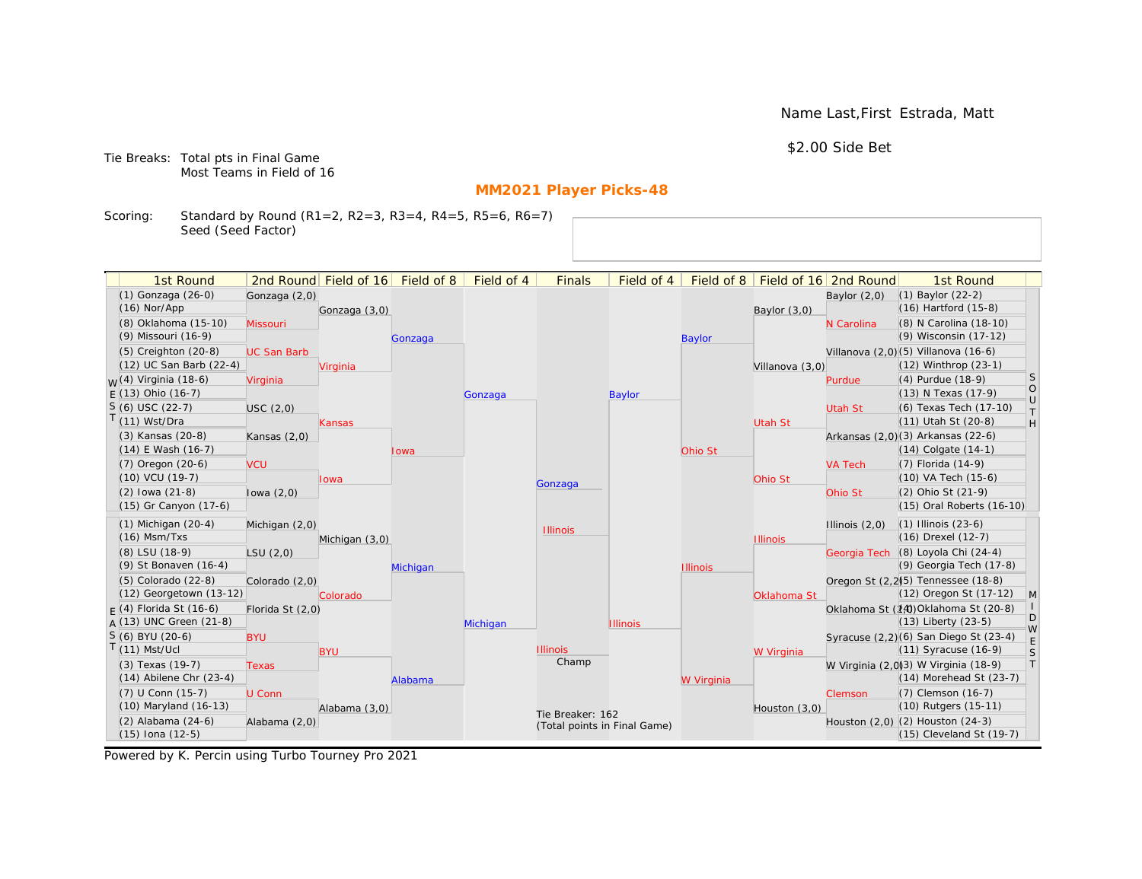Name Last,First Estrada, Matt

\$2.00 Side Bet

Tie Breaks: Total pts in Final Game Most Teams in Field of 16

# **MM2021 Player Picks-48**

Scoring: Standard by Round (R1=2, R2=3, R3=4, R4=5, R5=6, R6=7) Seed (Seed Factor)

| 1st Round                         |                    | 2nd Round Field of 16 Field of 8 |          | Field of 4 | <b>Finals</b>                | Field of 4      | Field of $8$    |                 | Field of 16 2nd Round | 1st Round                             |                                                                   |
|-----------------------------------|--------------------|----------------------------------|----------|------------|------------------------------|-----------------|-----------------|-----------------|-----------------------|---------------------------------------|-------------------------------------------------------------------|
| (1) Gonzaga (26-0)                | Gonzaga (2,0)      |                                  |          |            |                              |                 |                 |                 | Baylor $(2,0)$        | (1) Baylor (22-2)                     |                                                                   |
| $(16)$ Nor/App                    |                    | Gonzaga (3,0)                    |          |            |                              |                 |                 | Baylor $(3,0)$  |                       | $(16)$ Hartford $(15-8)$              |                                                                   |
| (8) Oklahoma (15-10)              | Missouri           |                                  |          |            |                              |                 |                 |                 | N Carolina            | (8) N Carolina (18-10)                |                                                                   |
| (9) Missouri (16-9)               |                    |                                  | Gonzaga  |            |                              |                 | <b>Baylor</b>   |                 |                       | (9) Wisconsin (17-12)                 |                                                                   |
| $(5)$ Creighton $(20-8)$          | <b>UC San Barb</b> |                                  |          |            |                              |                 |                 |                 |                       | Villanova (2,0) (5) Villanova (16-6)  |                                                                   |
| (12) UC San Barb (22-4)           |                    | Virginia                         |          |            |                              |                 |                 | Villanova (3,0) |                       | (12) Winthrop (23-1)                  |                                                                   |
| <sub>M</sub> /(4) Virginia (18-6) | Virginia           |                                  |          |            |                              |                 |                 |                 | Purdue                | (4) Purdue (18-9)                     | <sub>S</sub>                                                      |
| $E(13)$ Ohio (16-7)               |                    |                                  |          | Gonzaga    |                              | <b>Baylor</b>   |                 |                 |                       | (13) N Texas (17-9)                   | $\bigcirc$                                                        |
| $S(6)$ USC (22-7)                 | USC(2,0)           |                                  |          |            |                              |                 |                 |                 | <b>Utah St</b>        | (6) Texas Tech (17-10)                | $\cup$<br>$\top$                                                  |
| $(11)$ Wst/Dra                    |                    | <b>Kansas</b>                    |          |            |                              |                 |                 | <b>Utah St</b>  |                       | (11) Utah St (20-8)                   | $\mathsf{H}% _{\mathsf{H}}^{\ast}=\mathsf{H}_{\mathsf{H}}^{\ast}$ |
| (3) Kansas (20-8)                 | Kansas $(2,0)$     |                                  |          |            |                              |                 |                 |                 |                       | Arkansas (2,0)(3) Arkansas (22-6)     |                                                                   |
| $(14)$ E Wash $(16-7)$            |                    |                                  | lowa     |            |                              |                 | Ohio St         |                 |                       | $(14)$ Colgate $(14-1)$               |                                                                   |
| $(7)$ Oregon $(20-6)$             | <b>VCU</b>         |                                  |          |            |                              |                 |                 |                 | <b>VA Tech</b>        | $(7)$ Florida $(14-9)$                |                                                                   |
| $(10)$ VCU $(19-7)$               |                    | Iowa                             |          |            | Gonzaga                      |                 |                 | Ohio St         |                       | (10) VA Tech (15-6)                   |                                                                   |
| $(2)$ lowa $(21-8)$               | lowa $(2,0)$       |                                  |          |            |                              |                 |                 |                 | Ohio St               | (2) Ohio St (21-9)                    |                                                                   |
| (15) Gr Canyon (17-6)             |                    |                                  |          |            |                              |                 |                 |                 |                       | (15) Oral Roberts (16-10)             |                                                                   |
| $(1)$ Michigan $(20-4)$           | Michigan (2,0)     |                                  |          |            | <b>Illinois</b>              |                 |                 |                 | Illinois $(2,0)$      | $(1)$ Illinois $(23-6)$               |                                                                   |
| $(16)$ Msm/Txs                    |                    | Michigan (3,0)                   |          |            |                              |                 |                 | <b>Illinois</b> |                       | (16) Drexel (12-7)                    |                                                                   |
| (8) LSU (18-9)                    | LSU(2,0)           |                                  |          |            |                              |                 |                 |                 |                       | Georgia Tech (8) Loyola Chi (24-4)    |                                                                   |
| (9) St Bonaven (16-4)             |                    |                                  | Michigan |            |                              |                 | <b>Illinois</b> |                 |                       | (9) Georgia Tech (17-8)               |                                                                   |
| (5) Colorado (22-8)               | Colorado (2,0)     |                                  |          |            |                              |                 |                 |                 |                       | Oregon St (2.2)(5) Tennessee (18-8)   |                                                                   |
| $(12)$ Georgetown $(13-12)$       |                    | Colorado                         |          |            |                              |                 |                 | Oklahoma St     |                       | (12) Oregon St (17-12)                | M                                                                 |
| $F(4)$ Florida St (16-6)          | Florida St (2,0)   |                                  |          |            |                              |                 |                 |                 |                       | Oklahoma St (14) Oklahoma St (20-8)   | D                                                                 |
| $A(13)$ UNC Green (21-8)          |                    |                                  |          | Michigan   |                              | <b>Illinois</b> |                 |                 |                       | $(13)$ Liberty $(23-5)$               | W                                                                 |
| S (6) BYU (20-6)                  | <b>BYU</b>         |                                  |          |            |                              |                 |                 |                 |                       | Syracuse (2,2)(6) San Diego St (23-4) | E                                                                 |
| $(11)$ Mst/Ucl                    |                    | <b>BYU</b>                       |          |            | <b>Illinois</b><br>Champ     |                 |                 | W Virginia      |                       | $(11)$ Syracuse $(16-9)$              | S                                                                 |
| (3) Texas (19-7)                  | <b>Texas</b>       |                                  |          |            |                              |                 |                 |                 |                       | W Virginia (2,0)3) W Virginia (18-9)  | T                                                                 |
| $(14)$ Abilene Chr $(23-4)$       |                    |                                  | Alabama  |            |                              |                 | W Virginia      |                 |                       | (14) Morehead St (23-7)               |                                                                   |
| (7) U Conn (15-7)                 | U Conn             |                                  |          |            |                              |                 |                 |                 | Clemson               | (7) Clemson (16-7)                    |                                                                   |
| (10) Maryland (16-13)             |                    | Alabama (3,0)                    |          |            | Tie Breaker: 162             |                 |                 | Houston $(3,0)$ |                       | (10) Rutgers (15-11)                  |                                                                   |
| (2) Alabama (24-6)                | Alabama (2,0)      |                                  |          |            | (Total points in Final Game) |                 |                 |                 |                       | Houston (2,0) (2) Houston (24-3)      |                                                                   |
| (15) Iona (12-5)                  |                    |                                  |          |            |                              |                 |                 |                 |                       | (15) Cleveland St (19-7)              |                                                                   |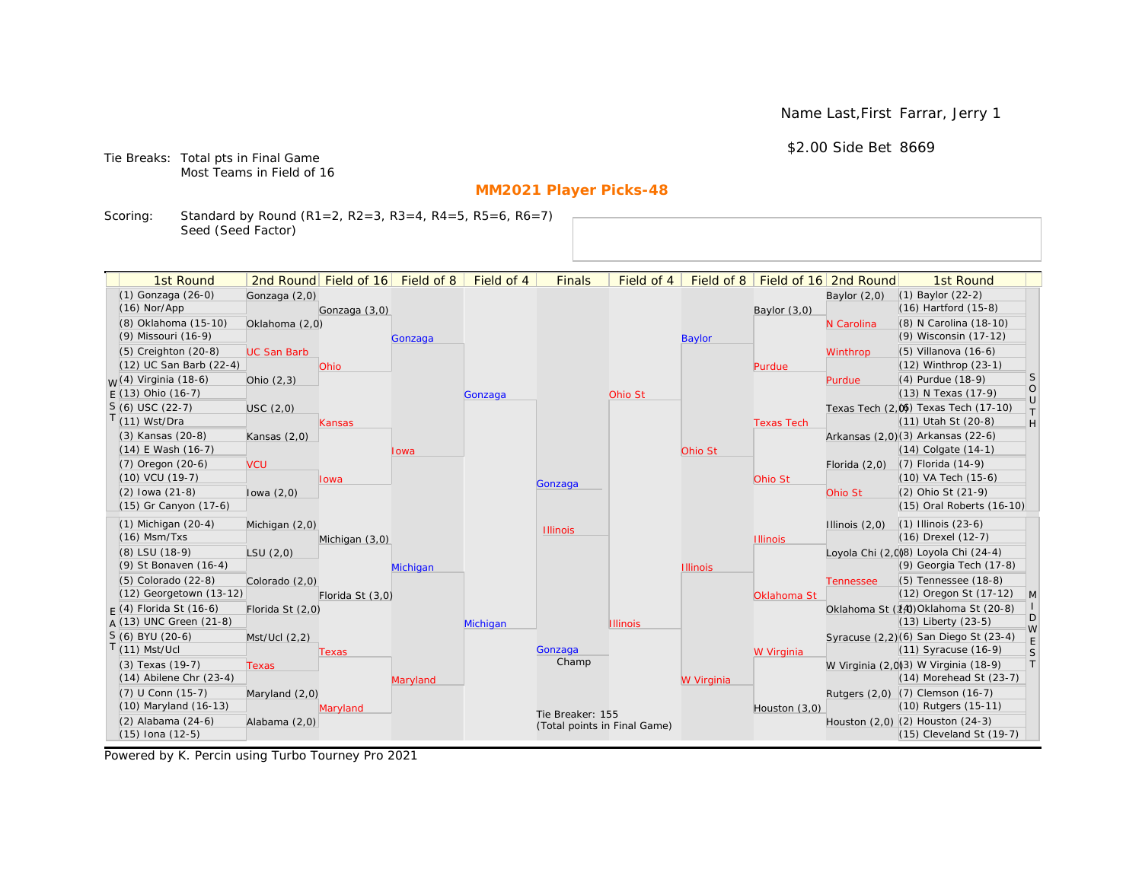Name Last,First Farrar, Jerry 1

# \$2.00 Side Bet 8669

Tie Breaks: Total pts in Final Game Most Teams in Field of 16

# **MM2021 Player Picks-48**

Scoring: Standard by Round (R1=2, R2=3, R3=4, R4=5, R5=6, R6=7) Seed (Seed Factor)

| 1st Round                        |                    | 2nd Round Field of 16 | Field of 8 | Field of 4 | <b>Finals</b>                | Field of 4      | Field of 8      |                   | Field of 16 2nd Round | 1st Round                             |                                      |
|----------------------------------|--------------------|-----------------------|------------|------------|------------------------------|-----------------|-----------------|-------------------|-----------------------|---------------------------------------|--------------------------------------|
| (1) Gonzaga (26-0)               | Gonzaga (2,0)      |                       |            |            |                              |                 |                 |                   | Baylor $(2,0)$        | (1) Baylor (22-2)                     |                                      |
| $(16)$ Nor/App                   |                    | Gonzaga (3,0)         |            |            |                              |                 |                 | Baylor (3,0)      |                       | $(16)$ Hartford $(15-8)$              |                                      |
| (8) Oklahoma (15-10)             | Oklahoma (2,0)     |                       |            |            |                              |                 |                 |                   | N Carolina            | (8) N Carolina (18-10)                |                                      |
| (9) Missouri (16-9)              |                    |                       | Gonzaga    |            |                              |                 | <b>Baylor</b>   |                   |                       | (9) Wisconsin (17-12)                 |                                      |
| $(5)$ Creighton $(20-8)$         | <b>UC San Barb</b> |                       |            |            |                              |                 |                 |                   | Winthrop              | (5) Villanova (16-6)                  |                                      |
| (12) UC San Barb (22-4)          |                    | Ohio                  |            |            |                              |                 |                 | Purdue            |                       | $(12)$ Winthrop $(23-1)$              |                                      |
| <sub>W</sub> (4) Virginia (18-6) | Ohio $(2,3)$       |                       |            |            |                              |                 |                 |                   | Purdue                | (4) Purdue (18-9)                     | S                                    |
| $E(13)$ Ohio (16-7)              |                    |                       |            | Gonzaga    |                              | Ohio St         |                 |                   |                       | (13) N Texas (17-9)                   | $\begin{matrix} 0 \\ U \end{matrix}$ |
| $S(6)$ USC (22-7)                | USC(2,0)           |                       |            |            |                              |                 |                 |                   |                       | Texas Tech (2,0) Texas Tech (17-10)   | $\top$                               |
| $T(11)$ Wst/Dra                  |                    | Kansas                |            |            |                              |                 |                 | <b>Texas Tech</b> |                       | (11) Utah St (20-8)                   | H                                    |
| (3) Kansas (20-8)                | Kansas $(2,0)$     |                       |            |            |                              |                 |                 |                   |                       | Arkansas (2,0)(3) Arkansas (22-6)     |                                      |
| $(14)$ E Wash $(16-7)$           |                    |                       | lowa       |            |                              |                 | Ohio St         |                   |                       | $(14)$ Colgate $(14-1)$               |                                      |
| (7) Oregon (20-6)                | <b>VCU</b>         |                       |            |            |                              |                 |                 |                   | Florida $(2,0)$       | $(7)$ Florida $(14-9)$                |                                      |
| (10) VCU (19-7)                  |                    | lowa                  |            |            | Gonzaga                      |                 |                 | Ohio St           |                       | (10) VA Tech (15-6)                   |                                      |
| $(2)$ lowa $(21-8)$              | lowa $(2,0)$       |                       |            |            |                              |                 |                 |                   | Ohio St               | (2) Ohio St (21-9)                    |                                      |
| (15) Gr Canyon (17-6)            |                    |                       |            |            |                              |                 |                 |                   |                       | (15) Oral Roberts (16-10)             |                                      |
| $(1)$ Michigan $(20-4)$          | Michigan (2,0)     |                       |            |            | <b>Illinois</b>              |                 |                 |                   | Illinois $(2,0)$      | $(1)$ Illinois $(23-6)$               |                                      |
| $(16)$ Msm/Txs                   |                    | Michigan (3,0)        |            |            |                              |                 |                 | <b>Illinois</b>   |                       | (16) Drexel (12-7)                    |                                      |
| (8) LSU (18-9)                   | LSU(2,0)           |                       |            |            |                              |                 |                 |                   |                       | Loyola Chi (2,008) Loyola Chi (24-4)  |                                      |
| (9) St Bonaven (16-4)            |                    |                       | Michigan   |            |                              |                 | <b>Illinois</b> |                   |                       | (9) Georgia Tech (17-8)               |                                      |
| (5) Colorado (22-8)              | Colorado (2,0)     |                       |            |            |                              |                 |                 |                   | <b>Tennessee</b>      | (5) Tennessee (18-8)                  |                                      |
| (12) Georgetown (13-12)          |                    | Florida St (3,0)      |            |            |                              |                 |                 | Oklahoma St       |                       | (12) Oregon St (17-12)                | $\mathsf{M}$                         |
| $F(4)$ Florida St (16-6)         | Florida St (2,0)   |                       |            |            |                              |                 |                 |                   |                       | Oklahoma St (14) Oklahoma St (20-8)   | D                                    |
| A (13) UNC Green (21-8)          |                    |                       |            | Michigan   |                              | <b>Illinois</b> |                 |                   |                       | $(13)$ Liberty $(23-5)$               | W                                    |
| $S(6)$ BYU (20-6)                | Mst/Ucl(2,2)       |                       |            |            |                              |                 |                 |                   |                       | Syracuse (2,2)(6) San Diego St (23-4) | E                                    |
| $T(11)$ Mst/Ucl                  |                    | Texas                 |            |            | Gonzaga<br>Champ             |                 |                 | W Virginia        |                       | (11) Syracuse (16-9)                  | $\mathsf S$                          |
| (3) Texas (19-7)                 | Texas              |                       |            |            |                              |                 |                 |                   |                       | W Virginia (2,0)(3) W Virginia (18-9) | T                                    |
| $(14)$ Abilene Chr $(23-4)$      |                    |                       | Maryland   |            |                              |                 | W Virginia      |                   |                       | $(14)$ Morehead St $(23-7)$           |                                      |
| (7) U Conn (15-7)                | Maryland (2,0)     |                       |            |            |                              |                 |                 |                   |                       | Rutgers (2,0) (7) Clemson (16-7)      |                                      |
| (10) Maryland (16-13)            |                    | Maryland              |            |            | Tie Breaker: 155             |                 |                 | Houston (3,0)     |                       | (10) Rutgers (15-11)                  |                                      |
| (2) Alabama (24-6)               | Alabama (2,0)      |                       |            |            | (Total points in Final Game) |                 |                 |                   |                       | Houston (2,0) (2) Houston (24-3)      |                                      |
| (15) Iona (12-5)                 |                    |                       |            |            |                              |                 |                 |                   |                       | (15) Cleveland St (19-7)              |                                      |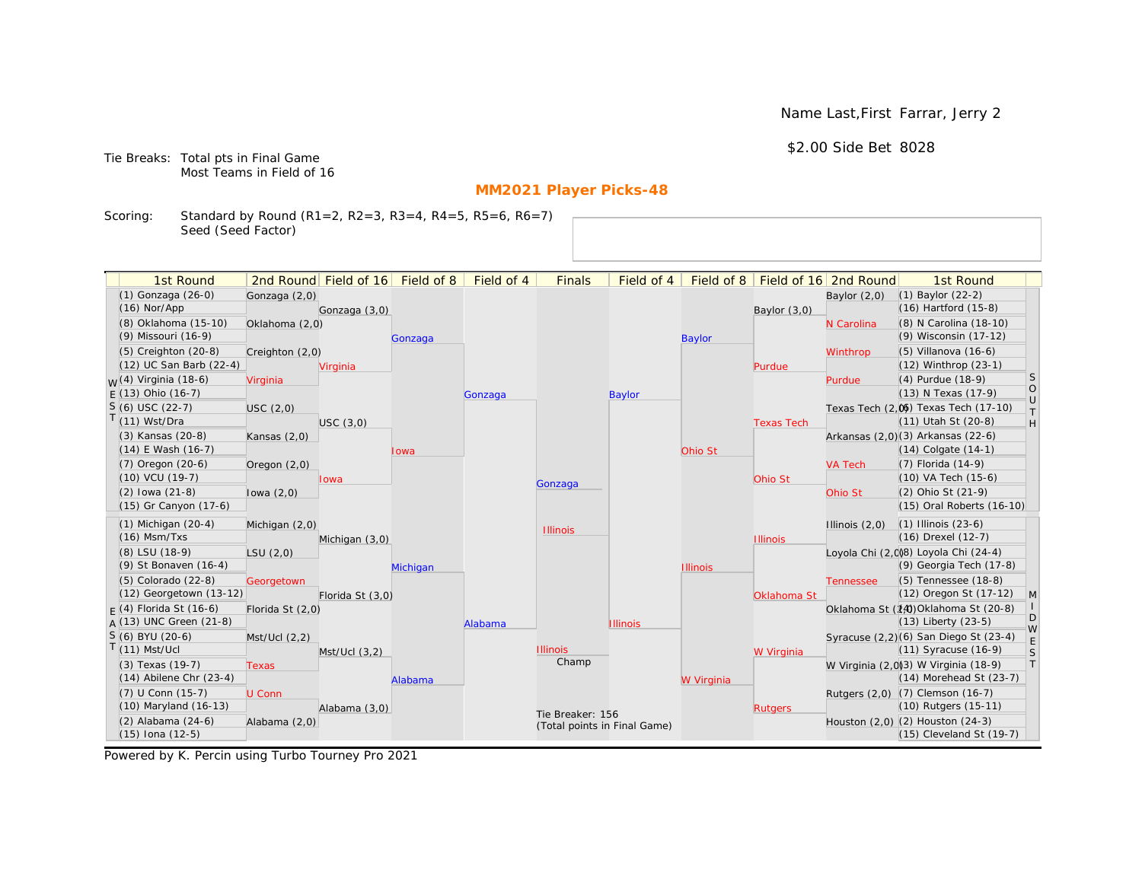Name Last,First Farrar, Jerry 2

\$2.00 Side Bet 8028

Tie Breaks: Total pts in Final Game Most Teams in Field of 16

# **MM2021 Player Picks-48**

Scoring: Standard by Round (R1=2, R2=3, R3=4, R4=5, R5=6, R6=7) Seed (Seed Factor)

|                                     | 1st Round                   |                  | 2nd Round Field of 16 Field of 8 |          | Field of 4 | <b>Finals</b>                | Field of 4      |                 |                   | Field of 8   Field of 16   2nd Round | 1st Round                                                         |                                                                   |
|-------------------------------------|-----------------------------|------------------|----------------------------------|----------|------------|------------------------------|-----------------|-----------------|-------------------|--------------------------------------|-------------------------------------------------------------------|-------------------------------------------------------------------|
|                                     | (1) Gonzaga (26-0)          | Gonzaga (2,0)    |                                  |          |            |                              |                 |                 |                   | Baylor $(2,0)$                       | $(1)$ Baylor $(22-2)$                                             |                                                                   |
| $(16)$ Nor/App                      |                             |                  | Gonzaga (3,0)                    |          |            |                              |                 |                 | Baylor $(3,0)$    |                                      | $(16)$ Hartford $(15-8)$                                          |                                                                   |
|                                     | (8) Oklahoma (15-10)        | Oklahoma (2,0)   |                                  |          |            |                              |                 |                 |                   | N Carolina                           | (8) N Carolina (18-10)                                            |                                                                   |
|                                     | (9) Missouri (16-9)         |                  |                                  | Gonzaga  |            |                              |                 | <b>Baylor</b>   |                   |                                      | (9) Wisconsin (17-12)                                             |                                                                   |
|                                     | $(5)$ Creighton $(20-8)$    | Creighton (2,0)  |                                  |          |            |                              |                 |                 |                   | Winthrop                             | $(5)$ Villanova $(16-6)$                                          |                                                                   |
|                                     | (12) UC San Barb (22-4)     |                  | Virginia                         |          |            |                              |                 |                 | Purdue            |                                      | (12) Winthrop (23-1)                                              |                                                                   |
|                                     | $W(4)$ Virginia (18-6)      | Virginia         |                                  |          |            |                              |                 |                 |                   | Purdue                               | (4) Purdue (18-9)                                                 | S                                                                 |
|                                     | $E(13)$ Ohio (16-7)         |                  |                                  |          | Gonzaga    |                              | <b>Baylor</b>   |                 |                   |                                      | (13) N Texas (17-9)                                               | $\circ$<br>$\cup$                                                 |
| $S(6)$ USC (22-7)                   |                             | USC(2,0)         |                                  |          |            |                              |                 |                 |                   |                                      | Texas Tech (2,0) Texas Tech (17-10)                               | $\top$                                                            |
| $T(11)$ Wst/Dra                     |                             |                  | USC(3,0)                         |          |            |                              |                 |                 | <b>Texas Tech</b> |                                      | (11) Utah St (20-8)                                               | $\mathsf{H}% _{\mathsf{H}}^{\ast}=\mathsf{H}_{\mathsf{H}}^{\ast}$ |
|                                     | (3) Kansas (20-8)           | Kansas $(2,0)$   |                                  |          |            |                              |                 |                 |                   |                                      | Arkansas (2,0)(3) Arkansas (22-6)                                 |                                                                   |
|                                     | (14) E Wash (16-7)          |                  |                                  | Iowa     |            |                              |                 | Ohio St         |                   |                                      | $(14)$ Colgate $(14-1)$                                           |                                                                   |
|                                     | (7) Oregon (20-6)           | Oregon $(2,0)$   |                                  |          |            |                              |                 |                 |                   | <b>VA Tech</b>                       | (7) Florida (14-9)                                                |                                                                   |
|                                     | $(10)$ VCU $(19-7)$         |                  | <b>Iowa</b>                      |          |            | Gonzaga                      |                 |                 | Ohio St           |                                      | (10) VA Tech (15-6)                                               |                                                                   |
|                                     | $(2)$ lowa $(21-8)$         | lowa $(2,0)$     |                                  |          |            |                              |                 |                 |                   | Ohio St                              | (2) Ohio St (21-9)                                                |                                                                   |
|                                     | (15) Gr Canyon (17-6)       |                  |                                  |          |            |                              |                 |                 |                   |                                      | (15) Oral Roberts (16-10)                                         |                                                                   |
|                                     | $(1)$ Michigan $(20-4)$     | Michigan (2,0)   |                                  |          |            | <b>Illinois</b>              |                 |                 |                   | Illinois $(2,0)$                     | $(1)$ Illinois $(23-6)$                                           |                                                                   |
|                                     | $(16)$ Msm/Txs              |                  | Michigan (3,0)                   |          |            |                              |                 |                 | <b>Illinois</b>   |                                      | (16) Drexel (12-7)                                                |                                                                   |
|                                     | (8) LSU (18-9)              | LSU(2,0)         |                                  |          |            |                              |                 |                 |                   |                                      | Loyola Chi (2,008) Loyola Chi (24-4)                              |                                                                   |
|                                     | (9) St Bonaven (16-4)       |                  |                                  | Michigan |            |                              |                 | <b>Illinois</b> |                   |                                      | (9) Georgia Tech (17-8)                                           |                                                                   |
|                                     | (5) Colorado (22-8)         | Georgetown       |                                  |          |            |                              |                 |                 |                   | <b>Tennessee</b>                     | (5) Tennessee (18-8)                                              |                                                                   |
|                                     | (12) Georgetown (13-12)     |                  | Florida St (3,0)                 |          |            |                              |                 |                 | Oklahoma St       |                                      | (12) Oregon St (17-12)                                            | $\mathsf{M}$                                                      |
|                                     | $F(4)$ Florida St (16-6)    | Florida St (2,0) |                                  |          |            |                              |                 |                 |                   |                                      | Oklahoma St (14) Oklahoma St (20-8)                               | D                                                                 |
|                                     | $A(13)$ UNC Green (21-8)    |                  |                                  |          | Alabama    |                              | <b>Illinois</b> |                 |                   |                                      | $(13)$ Liberty $(23-5)$                                           | W                                                                 |
| S (6) BYU (20-6)<br>$T(11)$ Mst/Ucl |                             | Mst/Ucl(2,2)     |                                  |          |            | <b>Illinois</b>              |                 |                 |                   |                                      | Syracuse (2,2)(6) San Diego St (23-4)<br>$(11)$ Syracuse $(16-9)$ | $\mathsf E$                                                       |
|                                     | (3) Texas (19-7)            |                  | $Mst/Ucl$ $(3,2)$                |          |            | Champ                        |                 |                 | W Virginia        |                                      | W Virginia (2,0)3) W Virginia (18-9)                              | $\mathsf S$<br> T                                                 |
|                                     | $(14)$ Abilene Chr $(23-4)$ | <b>Texas</b>     |                                  | Alabama  |            |                              |                 | W Virginia      |                   |                                      | $(14)$ Morehead St $(23-7)$                                       |                                                                   |
|                                     | $(7)$ U Conn $(15-7)$       | U Conn           |                                  |          |            |                              |                 |                 |                   |                                      | Rutgers (2,0) (7) Clemson (16-7)                                  |                                                                   |
|                                     | (10) Maryland (16-13)       |                  | Alabama (3,0)                    |          |            |                              |                 |                 | <b>Rutgers</b>    |                                      | (10) Rutgers (15-11)                                              |                                                                   |
|                                     | (2) Alabama (24-6)          | Alabama (2,0)    |                                  |          |            | Tie Breaker: 156             |                 |                 |                   |                                      | Houston (2,0) (2) Houston (24-3)                                  |                                                                   |
|                                     | $(15)$ Iona $(12-5)$        |                  |                                  |          |            | (Total points in Final Game) |                 |                 |                   |                                      | $(15)$ Cleveland St $(19-7)$                                      |                                                                   |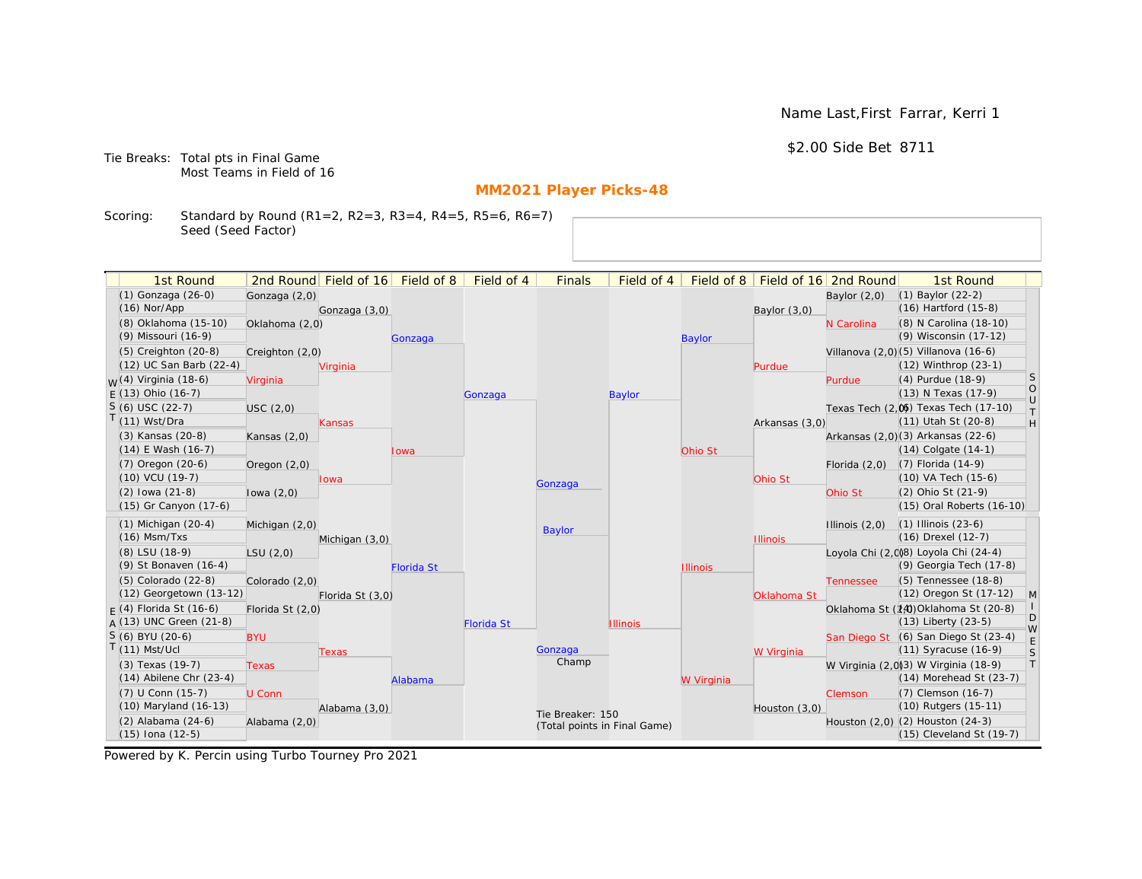Name Last,First Farrar, Kerri 1

\$2.00 Side Bet 8711

Tie Breaks: Total pts in Final Game Most Teams in Field of 16

# **MM2021 Player Picks-48**

Scoring: Standard by Round (R1=2, R2=3, R3=4, R4=5, R5=6, R6=7) Seed (Seed Factor)

| 1st Round                                       |                  | 2nd Round Field of 16 | Field of 8        | Field of 4        | <b>Finals</b>                | Field of 4      | Field of 8      |                 | Field of 16 2nd Round | 1st Round                                                           |                                                                   |
|-------------------------------------------------|------------------|-----------------------|-------------------|-------------------|------------------------------|-----------------|-----------------|-----------------|-----------------------|---------------------------------------------------------------------|-------------------------------------------------------------------|
| (1) Gonzaga (26-0)                              | Gonzaga (2,0)    |                       |                   |                   |                              |                 |                 |                 | Baylor $(2,0)$        | $(1)$ Baylor $(22-2)$                                               |                                                                   |
| $(16)$ Nor/App                                  |                  | Gonzaga (3,0)         |                   |                   |                              |                 |                 | Baylor (3,0)    |                       | $(16)$ Hartford $(15-8)$                                            |                                                                   |
| (8) Oklahoma (15-10)                            | Oklahoma (2,0)   |                       |                   |                   |                              |                 |                 |                 | N Carolina            | (8) N Carolina (18-10)                                              |                                                                   |
| (9) Missouri (16-9)                             |                  |                       | Gonzaga           |                   |                              |                 | <b>Baylor</b>   |                 |                       | (9) Wisconsin (17-12)                                               |                                                                   |
| (5) Creighton (20-8)                            | Creighton (2,0)  |                       |                   |                   |                              |                 |                 |                 |                       | Villanova (2,0)(5) Villanova (16-6)                                 |                                                                   |
| (12) UC San Barb (22-4)                         |                  | Virginia              |                   |                   |                              |                 |                 | Purdue          |                       | (12) Winthrop (23-1)                                                |                                                                   |
| <sub>W</sub> (4) Virginia (18-6)                | Virginia         |                       |                   |                   |                              |                 |                 |                 | Purdue                | (4) Purdue (18-9)                                                   | <b>S</b>                                                          |
| $E(13)$ Ohio (16-7)                             |                  |                       |                   | Gonzaga           |                              | <b>Baylor</b>   |                 |                 |                       | (13) N Texas (17-9)                                                 | $\circ$<br>$\cup$                                                 |
| $S(6)$ USC (22-7)                               | USC(2,0)         |                       |                   |                   |                              |                 |                 |                 |                       | Texas Tech (2,0) Texas Tech (17-10)                                 | $\top$                                                            |
| $T(11)$ Wst/Dra                                 |                  | Kansas                |                   |                   |                              |                 |                 | Arkansas (3,0)  |                       | (11) Utah St (20-8)                                                 | $\mathsf{H}% _{\mathsf{H}}^{\ast}=\mathsf{H}_{\mathsf{H}}^{\ast}$ |
| (3) Kansas (20-8)                               | Kansas $(2,0)$   |                       |                   |                   |                              |                 |                 |                 |                       | Arkansas (2,0)(3) Arkansas (22-6)                                   |                                                                   |
| $(14)$ E Wash $(16-7)$                          |                  |                       | Iowa              |                   |                              |                 | Ohio St         |                 |                       | $(14)$ Colgate $(14-1)$                                             |                                                                   |
| $(7)$ Oregon $(20-6)$                           | Oregon $(2,0)$   |                       |                   |                   |                              |                 |                 |                 | Florida $(2,0)$       | $(7)$ Florida $(14-9)$                                              |                                                                   |
| $(10)$ VCU $(19-7)$                             |                  | lowa                  |                   |                   | Gonzaga                      |                 |                 | Ohio St         |                       | (10) VA Tech (15-6)                                                 |                                                                   |
| $(2)$ lowa $(21-8)$                             | lowa $(2,0)$     |                       |                   |                   |                              |                 |                 |                 | Ohio St               | (2) Ohio St (21-9)                                                  |                                                                   |
| (15) Gr Canyon (17-6)                           |                  |                       |                   |                   |                              |                 |                 |                 |                       | (15) Oral Roberts (16-10)                                           |                                                                   |
| $(1)$ Michigan $(20-4)$                         | Michigan (2,0)   |                       |                   |                   | <b>Baylor</b>                |                 |                 |                 | Illinois $(2,0)$      | $(1)$ Illinois $(23-6)$                                             |                                                                   |
| $(16)$ Msm/Txs                                  |                  | Michigan (3,0)        |                   |                   |                              |                 |                 | <b>Illinois</b> |                       | (16) Drexel (12-7)                                                  |                                                                   |
| (8) LSU (18-9)                                  | LSU(2,0)         |                       |                   |                   |                              |                 |                 |                 |                       | Loyola Chi (2,0)8) Loyola Chi (24-4)                                |                                                                   |
| (9) St Bonaven (16-4)                           |                  |                       | <b>Florida St</b> |                   |                              |                 | <b>Illinois</b> |                 |                       | (9) Georgia Tech (17-8)                                             |                                                                   |
| (5) Colorado (22-8)                             | Colorado (2,0)   |                       |                   |                   |                              |                 |                 |                 | <b>Tennessee</b>      | (5) Tennessee (18-8)                                                |                                                                   |
| (12) Georgetown (13-12)                         |                  | Florida St (3,0)      |                   |                   |                              |                 |                 | Oklahoma St     |                       | (12) Oregon St (17-12)                                              | M                                                                 |
| $F(4)$ Florida St (16-6)                        | Florida St (2,0) |                       |                   |                   |                              |                 |                 |                 |                       | Oklahoma St (14) Oklahoma St (20-8)                                 | D                                                                 |
| $A(13)$ UNC Green (21-8)                        |                  |                       |                   | <b>Florida St</b> |                              | <b>Illinois</b> |                 |                 |                       | $(13)$ Liberty $(23-5)$                                             | W                                                                 |
| S (6) BYU (20-6)<br>$T(11)$ Mst/Ucl             | <b>BYU</b>       |                       |                   |                   |                              |                 |                 |                 |                       | San Diego St (6) San Diego St (23-4)                                | E                                                                 |
|                                                 |                  | Texas                 |                   |                   | Gonzaga<br>Champ             |                 |                 | W Virginia      |                       | $(11)$ Syracuse $(16-9)$                                            | S<br> T                                                           |
| (3) Texas (19-7)<br>$(14)$ Abilene Chr $(23-4)$ | <b>Texas</b>     |                       |                   |                   |                              |                 |                 |                 |                       | W Virginia (2,0)3) W Virginia (18-9)<br>$(14)$ Morehead St $(23-7)$ |                                                                   |
| (7) U Conn (15-7)                               |                  |                       | Alabama           |                   |                              |                 | W Virginia      |                 |                       | (7) Clemson (16-7)                                                  |                                                                   |
| (10) Maryland (16-13)                           | U Conn           | Alabama (3,0)         |                   |                   |                              |                 |                 |                 | Clemson               | (10) Rutgers (15-11)                                                |                                                                   |
| (2) Alabama (24-6)                              | Alabama (2,0)    |                       |                   |                   | Tie Breaker: 150             |                 |                 | Houston (3,0)   |                       | Houston (2,0) (2) Houston (24-3)                                    |                                                                   |
| $(15)$ Iona $(12-5)$                            |                  |                       |                   |                   | (Total points in Final Game) |                 |                 |                 |                       | (15) Cleveland St (19-7)                                            |                                                                   |
|                                                 |                  |                       |                   |                   |                              |                 |                 |                 |                       |                                                                     |                                                                   |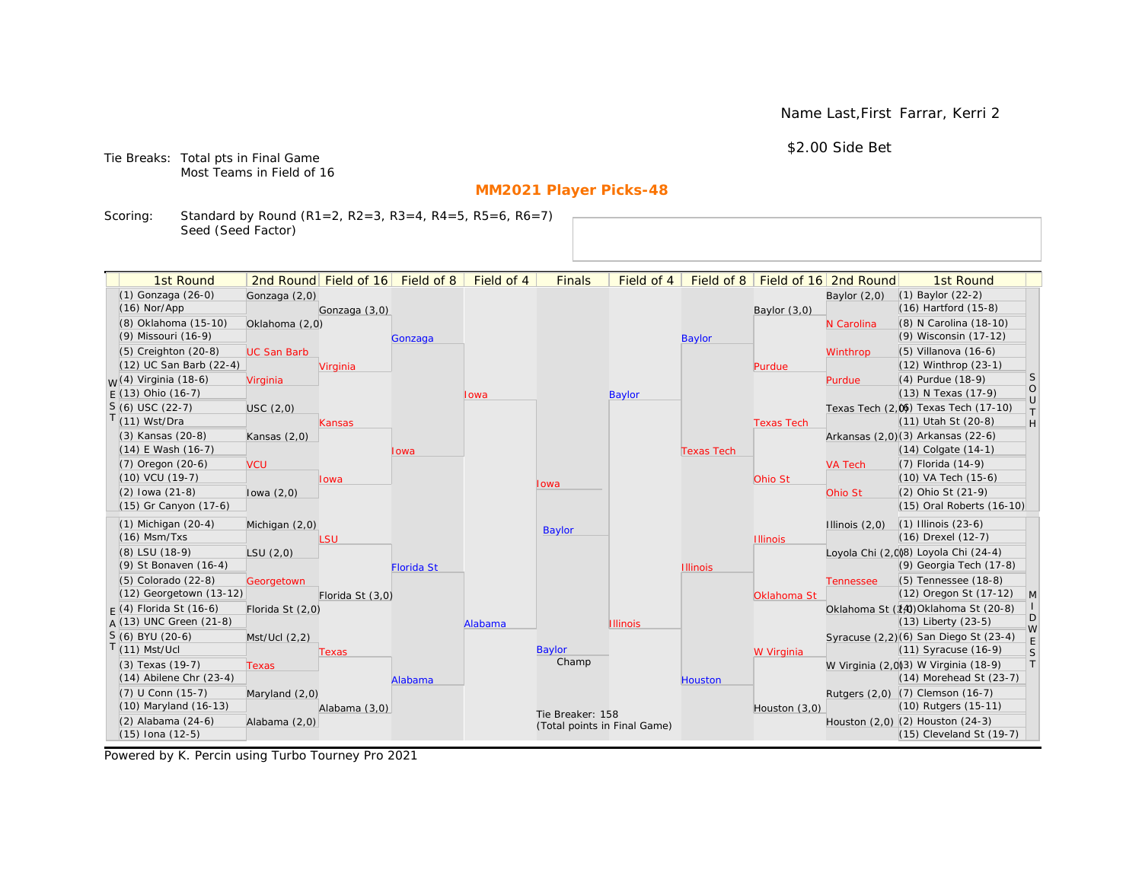Name Last,First Farrar, Kerri 2

\$2.00 Side Bet

Tie Breaks: Total pts in Final Game Most Teams in Field of 16

# **MM2021 Player Picks-48**

Scoring: Standard by Round (R1=2, R2=3, R3=4, R4=5, R5=6, R6=7) Seed (Seed Factor)

| 1st Round                        |                    | 2nd Round Field of 16 | Field of 8        | Field of 4 | <b>Finals</b>                | Field of 4      | Field of 8        |                   | Field of 16 2nd Round | 1st Round                             |                                                                   |
|----------------------------------|--------------------|-----------------------|-------------------|------------|------------------------------|-----------------|-------------------|-------------------|-----------------------|---------------------------------------|-------------------------------------------------------------------|
| (1) Gonzaga (26-0)               | Gonzaga (2,0)      |                       |                   |            |                              |                 |                   |                   | Baylor $(2,0)$        | $(1)$ Baylor $(22-2)$                 |                                                                   |
| $(16)$ Nor/App                   |                    | Gonzaga (3,0)         |                   |            |                              |                 |                   | Baylor (3,0)      |                       | $(16)$ Hartford $(15-8)$              |                                                                   |
| (8) Oklahoma (15-10)             | Oklahoma (2,0)     |                       |                   |            |                              |                 |                   |                   | N Carolina            | (8) N Carolina (18-10)                |                                                                   |
| (9) Missouri (16-9)              |                    |                       | Gonzaga           |            |                              |                 | <b>Baylor</b>     |                   |                       | (9) Wisconsin (17-12)                 |                                                                   |
| (5) Creighton (20-8)             | <b>UC San Barb</b> |                       |                   |            |                              |                 |                   |                   | Winthrop              | $(5)$ Villanova $(16-6)$              |                                                                   |
| (12) UC San Barb (22-4)          |                    | Virginia              |                   |            |                              |                 |                   | Purdue            |                       | (12) Winthrop (23-1)                  |                                                                   |
| <sub>W</sub> (4) Virginia (18-6) | Virginia           |                       |                   |            |                              |                 |                   |                   | Purdue                | (4) Purdue (18-9)                     | <b>S</b>                                                          |
| $E(13)$ Ohio (16-7)              |                    |                       |                   | Iowa       |                              | <b>Baylor</b>   |                   |                   |                       | (13) N Texas (17-9)                   | $\circ$<br>$\cup$                                                 |
| $S(6)$ USC (22-7)                | USC(2,0)           |                       |                   |            |                              |                 |                   |                   |                       | Texas Tech (2,0) Texas Tech (17-10)   | $\top$                                                            |
| $T(11)$ Wst/Dra                  |                    | Kansas                |                   |            |                              |                 |                   | <b>Texas Tech</b> |                       | (11) Utah St (20-8)                   | $\mathsf{H}% _{\mathsf{H}}^{\ast}=\mathsf{H}_{\mathsf{H}}^{\ast}$ |
| (3) Kansas (20-8)                | Kansas $(2,0)$     |                       |                   |            |                              |                 |                   |                   |                       | Arkansas (2,0)(3) Arkansas (22-6)     |                                                                   |
| $(14)$ E Wash $(16-7)$           |                    |                       | Iowa              |            |                              |                 | <b>Texas Tech</b> |                   |                       | $(14)$ Colgate $(14-1)$               |                                                                   |
| $(7)$ Oregon $(20-6)$            | <b>VCU</b>         |                       |                   |            |                              |                 |                   |                   | <b>VA Tech</b>        | $(7)$ Florida $(14-9)$                |                                                                   |
| $(10)$ VCU $(19-7)$              |                    | lowa                  |                   |            | lowa                         |                 |                   | Ohio St           |                       | $(10)$ VA Tech $(15-6)$               |                                                                   |
| $(2)$ lowa $(21-8)$              | lowa $(2,0)$       |                       |                   |            |                              |                 |                   |                   | Ohio St               | (2) Ohio St (21-9)                    |                                                                   |
| (15) Gr Canyon (17-6)            |                    |                       |                   |            |                              |                 |                   |                   |                       | (15) Oral Roberts (16-10)             |                                                                   |
| $(1)$ Michigan $(20-4)$          | Michigan (2,0)     |                       |                   |            | Baylor                       |                 |                   |                   | Illinois $(2,0)$      | $(1)$ Illinois $(23-6)$               |                                                                   |
| $(16)$ Msm/Txs                   |                    | LSU                   |                   |            |                              |                 |                   | <b>Illinois</b>   |                       | (16) Drexel (12-7)                    |                                                                   |
| (8) LSU (18-9)                   | LSU(2,0)           |                       |                   |            |                              |                 |                   |                   |                       | Loyola Chi (2,0)8) Loyola Chi (24-4)  |                                                                   |
| (9) St Bonaven (16-4)            |                    |                       | <b>Florida St</b> |            |                              |                 | <b>Illinois</b>   |                   |                       | (9) Georgia Tech (17-8)               |                                                                   |
| (5) Colorado (22-8)              | Georgetown         |                       |                   |            |                              |                 |                   |                   | <b>Tennessee</b>      | (5) Tennessee (18-8)                  |                                                                   |
| (12) Georgetown (13-12)          |                    | Florida St (3,0)      |                   |            |                              |                 |                   | Oklahoma St       |                       | (12) Oregon St (17-12)                | M                                                                 |
| $F(4)$ Florida St (16-6)         | Florida St (2,0)   |                       |                   |            |                              |                 |                   |                   |                       | Oklahoma St (14) Oklahoma St (20-8)   | D                                                                 |
| $A(13)$ UNC Green (21-8)         |                    |                       |                   | Alabama    |                              | <b>Illinois</b> |                   |                   |                       | $(13)$ Liberty $(23-5)$               | W                                                                 |
| S (6) BYU (20-6)                 | Mst/Ucl (2,2)      |                       |                   |            |                              |                 |                   |                   |                       | Syracuse (2,2)(6) San Diego St (23-4) | E                                                                 |
| $T(11)$ Mst/Ucl                  |                    | Texas                 |                   |            | Baylor                       |                 |                   | W Virginia        |                       | $(11)$ Syracuse $(16-9)$              | S                                                                 |
| (3) Texas (19-7)                 | <b>Texas</b>       |                       |                   |            | Champ                        |                 |                   |                   |                       | W Virginia (2,0)(3) W Virginia (18-9) | T                                                                 |
| $(14)$ Abilene Chr $(23-4)$      |                    |                       | Alabama           |            |                              |                 | <b>Houston</b>    |                   |                       | (14) Morehead St (23-7)               |                                                                   |
| (7) U Conn (15-7)                | Maryland (2,0)     |                       |                   |            |                              |                 |                   |                   |                       | Rutgers (2,0) (7) Clemson (16-7)      |                                                                   |
| (10) Maryland (16-13)            |                    | Alabama (3,0)         |                   |            | Tie Breaker: 158             |                 |                   | Houston (3,0)     |                       | (10) Rutgers (15-11)                  |                                                                   |
| (2) Alabama (24-6)               | Alabama (2,0)      |                       |                   |            | (Total points in Final Game) |                 |                   |                   |                       | Houston (2,0) (2) Houston (24-3)      |                                                                   |
| $(15)$ Iona $(12-5)$             |                    |                       |                   |            |                              |                 |                   |                   |                       | $(15)$ Cleveland St $(19-7)$          |                                                                   |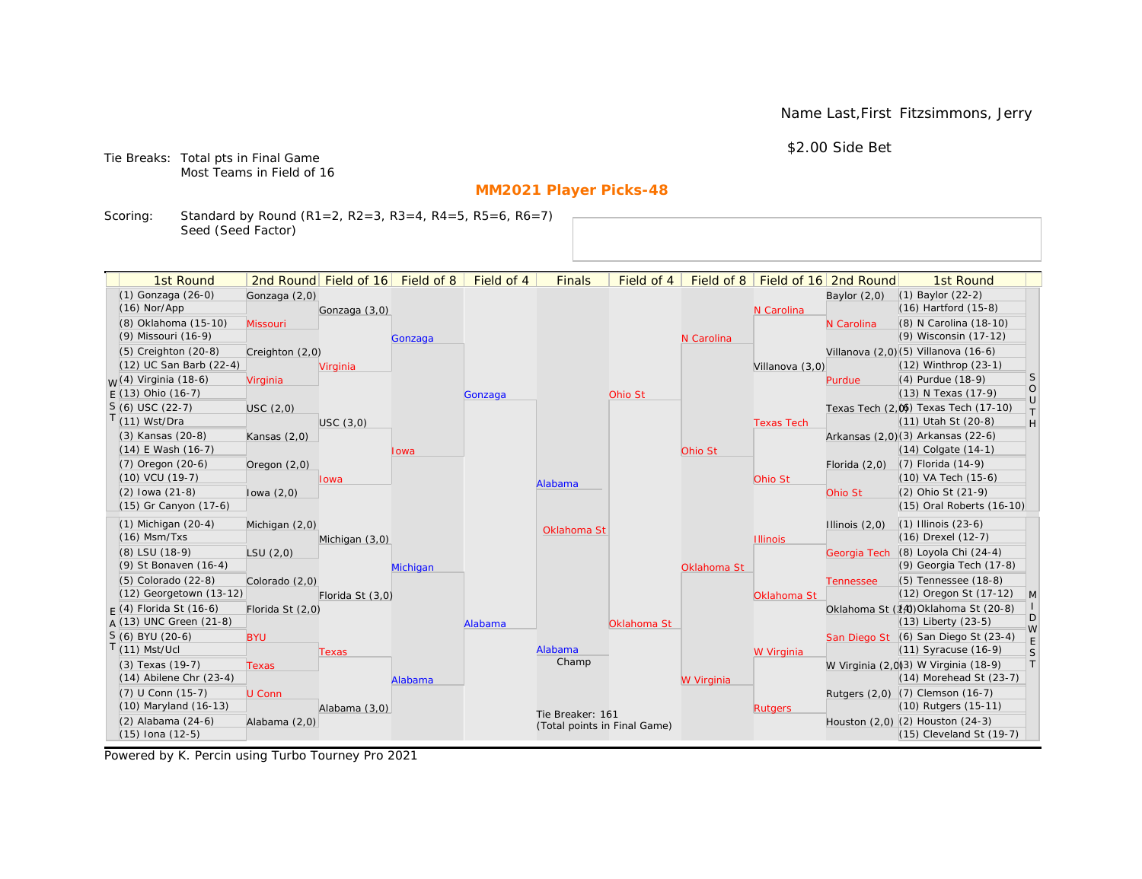Name Last,First Fitzsimmons, Jerry

\$2.00 Side Bet

Tie Breaks: Total pts in Final Game Most Teams in Field of 16

# **MM2021 Player Picks-48**

Scoring: Standard by Round (R1=2, R2=3, R3=4, R4=5, R5=6, R6=7) Seed (Seed Factor)

| 2nd Round Field of 16 Field of 8<br>Field of 16 2nd Round<br>(1) Gonzaga (26-0)<br>$(1)$ Baylor $(22-2)$<br>Gonzaga (2,0)<br>Baylor $(2,0)$<br>(16) Hartford (15-8)<br>$(16)$ Nor/App<br>Gonzaga (3,0)<br>N Carolina<br>(8) Oklahoma (15-10)<br>(8) N Carolina (18-10)<br>Missouri<br>N Carolina<br>(9) Wisconsin (17-12)<br>(9) Missouri (16-9)<br>N Carolina<br>Gonzaga<br>Villanova (2,0)(5) Villanova (16-6)<br>$(5)$ Creighton $(20-8)$<br>Creighton (2,0)<br>(12) UC San Barb (22-4)<br>(12) Winthrop (23-1)<br>Villanova (3,0)<br>Virginia<br>S<br><sub>M</sub> /(4) Virginia (18-6)<br>(4) Purdue (18-9)<br>Virginia<br>Purdue<br>$\circ$<br>$F(13)$ Ohio (16-7)<br>(13) N Texas (17-9)<br>Ohio St<br>Gonzaga<br>$\cup$<br>$S(6)$ USC (22-7)<br>Texas Tech (2.06) Texas Tech (17-10)<br>USC (2,0)<br>T.<br>T(11) Wst/Dra<br>(11) Utah St (20-8)<br>H<br>USC(3,0)<br><b>Texas Tech</b><br>Arkansas (2,0)(3) Arkansas (22-6)<br>(3) Kansas (20-8)<br>Kansas $(2,0)$<br>$(14)$ E Wash $(16-7)$<br>(14) Colgate (14-1)<br>Ohio St<br>Iowa<br>(7) Florida (14-9)<br>(7) Oregon (20-6)<br>Florida $(2,0)$<br>Oregon $(2,0)$<br>(10) VCU (19-7)<br>(10) VA Tech (15-6)<br>Ohio St<br><b>Iowa</b><br>Alabama<br>$(2)$ lowa $(21-8)$<br>(2) Ohio St (21-9)<br>Ohio St<br>lowa $(2,0)$<br>(15) Gr Canyon (17-6)<br>(15) Oral Roberts (16-10)<br>$(1)$ Michigan $(20-4)$<br>$(1)$ Illinois $(23-6)$<br>Michigan (2,0)<br>Illinois $(2,0)$<br>Oklahoma St<br>$(16)$ Msm/Txs<br>(16) Drexel (12-7)<br><b>Illinois</b><br>Michigan (3,0)<br>(8) Loyola Chi (24-4)<br>(8) LSU (18-9)<br>LSU(2,0)<br>Georgia Tech<br>(9) Georgia Tech (17-8)<br>(9) St Bonaven (16-4)<br>Michigan<br>Oklahoma St<br>(5) Tennessee (18-8)<br>(5) Colorado (22-8)<br>Colorado (2,0)<br><b>Tennessee</b><br>(12) Georgetown (13-12)<br>(12) Oregon St (17-12)<br>$\mathsf{M}$<br>Florida St (3,0)<br>Oklahoma St<br>$\mathbf{L}$<br>$F(4)$ Florida St (16-6)<br>Oklahoma St (14) Oklahoma St (20-8)<br>Florida St (2,0)<br>D<br>$A(13)$ UNC Green (21-8)<br>(13) Liberty (23-5)<br>Oklahoma St<br>Alabama<br>W<br>$S(6)$ BYU (20-6)<br>San Diego St (6) San Diego St (23-4)<br><b>BYU</b><br>$\mathsf E$<br>$T(11)$ Mst/Ucl<br>Alabama<br>(11) Syracuse (16-9)<br>$\mathsf S$<br>W Virginia<br>Texas<br>Champ<br>T<br>W Virginia (2,0)(3) W Virginia (18-9)<br>(3) Texas (19-7)<br><b>Texas</b><br>$(14)$ Abilene Chr $(23-4)$<br>(14) Morehead St (23-7)<br>W Virginia<br>Alabama<br>(7) U Conn (15-7)<br>Rutgers (2,0) (7) Clemson (16-7)<br>U Conn<br>(10) Maryland (16-13)<br>(10) Rutgers (15-11)<br>Alabama (3,0)<br><b>Rutgers</b><br>Tie Breaker: 161<br>Houston (2,0) (2) Houston (24-3)<br>(2) Alabama (24-6)<br>Alabama (2,0)<br>(Total points in Final Game)<br>$(15)$ Iona $(12-5)$<br>(15) Cleveland St (19-7) | 1st Round |  | Field of 4 | <b>Finals</b> | Field of 4 | Field of $8$ |  | 1st Round |  |
|---------------------------------------------------------------------------------------------------------------------------------------------------------------------------------------------------------------------------------------------------------------------------------------------------------------------------------------------------------------------------------------------------------------------------------------------------------------------------------------------------------------------------------------------------------------------------------------------------------------------------------------------------------------------------------------------------------------------------------------------------------------------------------------------------------------------------------------------------------------------------------------------------------------------------------------------------------------------------------------------------------------------------------------------------------------------------------------------------------------------------------------------------------------------------------------------------------------------------------------------------------------------------------------------------------------------------------------------------------------------------------------------------------------------------------------------------------------------------------------------------------------------------------------------------------------------------------------------------------------------------------------------------------------------------------------------------------------------------------------------------------------------------------------------------------------------------------------------------------------------------------------------------------------------------------------------------------------------------------------------------------------------------------------------------------------------------------------------------------------------------------------------------------------------------------------------------------------------------------------------------------------------------------------------------------------------------------------------------------------------------------------------------------------------------------------------------------------------------------------------------------------------------------------------------------------------------------------------------------------------------------------------------------------------------------------------------------------------------------------------------------------------------------------------------|-----------|--|------------|---------------|------------|--------------|--|-----------|--|
|                                                                                                                                                                                                                                                                                                                                                                                                                                                                                                                                                                                                                                                                                                                                                                                                                                                                                                                                                                                                                                                                                                                                                                                                                                                                                                                                                                                                                                                                                                                                                                                                                                                                                                                                                                                                                                                                                                                                                                                                                                                                                                                                                                                                                                                                                                                                                                                                                                                                                                                                                                                                                                                                                                                                                                                                   |           |  |            |               |            |              |  |           |  |
|                                                                                                                                                                                                                                                                                                                                                                                                                                                                                                                                                                                                                                                                                                                                                                                                                                                                                                                                                                                                                                                                                                                                                                                                                                                                                                                                                                                                                                                                                                                                                                                                                                                                                                                                                                                                                                                                                                                                                                                                                                                                                                                                                                                                                                                                                                                                                                                                                                                                                                                                                                                                                                                                                                                                                                                                   |           |  |            |               |            |              |  |           |  |
|                                                                                                                                                                                                                                                                                                                                                                                                                                                                                                                                                                                                                                                                                                                                                                                                                                                                                                                                                                                                                                                                                                                                                                                                                                                                                                                                                                                                                                                                                                                                                                                                                                                                                                                                                                                                                                                                                                                                                                                                                                                                                                                                                                                                                                                                                                                                                                                                                                                                                                                                                                                                                                                                                                                                                                                                   |           |  |            |               |            |              |  |           |  |
|                                                                                                                                                                                                                                                                                                                                                                                                                                                                                                                                                                                                                                                                                                                                                                                                                                                                                                                                                                                                                                                                                                                                                                                                                                                                                                                                                                                                                                                                                                                                                                                                                                                                                                                                                                                                                                                                                                                                                                                                                                                                                                                                                                                                                                                                                                                                                                                                                                                                                                                                                                                                                                                                                                                                                                                                   |           |  |            |               |            |              |  |           |  |
|                                                                                                                                                                                                                                                                                                                                                                                                                                                                                                                                                                                                                                                                                                                                                                                                                                                                                                                                                                                                                                                                                                                                                                                                                                                                                                                                                                                                                                                                                                                                                                                                                                                                                                                                                                                                                                                                                                                                                                                                                                                                                                                                                                                                                                                                                                                                                                                                                                                                                                                                                                                                                                                                                                                                                                                                   |           |  |            |               |            |              |  |           |  |
|                                                                                                                                                                                                                                                                                                                                                                                                                                                                                                                                                                                                                                                                                                                                                                                                                                                                                                                                                                                                                                                                                                                                                                                                                                                                                                                                                                                                                                                                                                                                                                                                                                                                                                                                                                                                                                                                                                                                                                                                                                                                                                                                                                                                                                                                                                                                                                                                                                                                                                                                                                                                                                                                                                                                                                                                   |           |  |            |               |            |              |  |           |  |
|                                                                                                                                                                                                                                                                                                                                                                                                                                                                                                                                                                                                                                                                                                                                                                                                                                                                                                                                                                                                                                                                                                                                                                                                                                                                                                                                                                                                                                                                                                                                                                                                                                                                                                                                                                                                                                                                                                                                                                                                                                                                                                                                                                                                                                                                                                                                                                                                                                                                                                                                                                                                                                                                                                                                                                                                   |           |  |            |               |            |              |  |           |  |
|                                                                                                                                                                                                                                                                                                                                                                                                                                                                                                                                                                                                                                                                                                                                                                                                                                                                                                                                                                                                                                                                                                                                                                                                                                                                                                                                                                                                                                                                                                                                                                                                                                                                                                                                                                                                                                                                                                                                                                                                                                                                                                                                                                                                                                                                                                                                                                                                                                                                                                                                                                                                                                                                                                                                                                                                   |           |  |            |               |            |              |  |           |  |
|                                                                                                                                                                                                                                                                                                                                                                                                                                                                                                                                                                                                                                                                                                                                                                                                                                                                                                                                                                                                                                                                                                                                                                                                                                                                                                                                                                                                                                                                                                                                                                                                                                                                                                                                                                                                                                                                                                                                                                                                                                                                                                                                                                                                                                                                                                                                                                                                                                                                                                                                                                                                                                                                                                                                                                                                   |           |  |            |               |            |              |  |           |  |
|                                                                                                                                                                                                                                                                                                                                                                                                                                                                                                                                                                                                                                                                                                                                                                                                                                                                                                                                                                                                                                                                                                                                                                                                                                                                                                                                                                                                                                                                                                                                                                                                                                                                                                                                                                                                                                                                                                                                                                                                                                                                                                                                                                                                                                                                                                                                                                                                                                                                                                                                                                                                                                                                                                                                                                                                   |           |  |            |               |            |              |  |           |  |
|                                                                                                                                                                                                                                                                                                                                                                                                                                                                                                                                                                                                                                                                                                                                                                                                                                                                                                                                                                                                                                                                                                                                                                                                                                                                                                                                                                                                                                                                                                                                                                                                                                                                                                                                                                                                                                                                                                                                                                                                                                                                                                                                                                                                                                                                                                                                                                                                                                                                                                                                                                                                                                                                                                                                                                                                   |           |  |            |               |            |              |  |           |  |
|                                                                                                                                                                                                                                                                                                                                                                                                                                                                                                                                                                                                                                                                                                                                                                                                                                                                                                                                                                                                                                                                                                                                                                                                                                                                                                                                                                                                                                                                                                                                                                                                                                                                                                                                                                                                                                                                                                                                                                                                                                                                                                                                                                                                                                                                                                                                                                                                                                                                                                                                                                                                                                                                                                                                                                                                   |           |  |            |               |            |              |  |           |  |
|                                                                                                                                                                                                                                                                                                                                                                                                                                                                                                                                                                                                                                                                                                                                                                                                                                                                                                                                                                                                                                                                                                                                                                                                                                                                                                                                                                                                                                                                                                                                                                                                                                                                                                                                                                                                                                                                                                                                                                                                                                                                                                                                                                                                                                                                                                                                                                                                                                                                                                                                                                                                                                                                                                                                                                                                   |           |  |            |               |            |              |  |           |  |
|                                                                                                                                                                                                                                                                                                                                                                                                                                                                                                                                                                                                                                                                                                                                                                                                                                                                                                                                                                                                                                                                                                                                                                                                                                                                                                                                                                                                                                                                                                                                                                                                                                                                                                                                                                                                                                                                                                                                                                                                                                                                                                                                                                                                                                                                                                                                                                                                                                                                                                                                                                                                                                                                                                                                                                                                   |           |  |            |               |            |              |  |           |  |
|                                                                                                                                                                                                                                                                                                                                                                                                                                                                                                                                                                                                                                                                                                                                                                                                                                                                                                                                                                                                                                                                                                                                                                                                                                                                                                                                                                                                                                                                                                                                                                                                                                                                                                                                                                                                                                                                                                                                                                                                                                                                                                                                                                                                                                                                                                                                                                                                                                                                                                                                                                                                                                                                                                                                                                                                   |           |  |            |               |            |              |  |           |  |
|                                                                                                                                                                                                                                                                                                                                                                                                                                                                                                                                                                                                                                                                                                                                                                                                                                                                                                                                                                                                                                                                                                                                                                                                                                                                                                                                                                                                                                                                                                                                                                                                                                                                                                                                                                                                                                                                                                                                                                                                                                                                                                                                                                                                                                                                                                                                                                                                                                                                                                                                                                                                                                                                                                                                                                                                   |           |  |            |               |            |              |  |           |  |
|                                                                                                                                                                                                                                                                                                                                                                                                                                                                                                                                                                                                                                                                                                                                                                                                                                                                                                                                                                                                                                                                                                                                                                                                                                                                                                                                                                                                                                                                                                                                                                                                                                                                                                                                                                                                                                                                                                                                                                                                                                                                                                                                                                                                                                                                                                                                                                                                                                                                                                                                                                                                                                                                                                                                                                                                   |           |  |            |               |            |              |  |           |  |
|                                                                                                                                                                                                                                                                                                                                                                                                                                                                                                                                                                                                                                                                                                                                                                                                                                                                                                                                                                                                                                                                                                                                                                                                                                                                                                                                                                                                                                                                                                                                                                                                                                                                                                                                                                                                                                                                                                                                                                                                                                                                                                                                                                                                                                                                                                                                                                                                                                                                                                                                                                                                                                                                                                                                                                                                   |           |  |            |               |            |              |  |           |  |
|                                                                                                                                                                                                                                                                                                                                                                                                                                                                                                                                                                                                                                                                                                                                                                                                                                                                                                                                                                                                                                                                                                                                                                                                                                                                                                                                                                                                                                                                                                                                                                                                                                                                                                                                                                                                                                                                                                                                                                                                                                                                                                                                                                                                                                                                                                                                                                                                                                                                                                                                                                                                                                                                                                                                                                                                   |           |  |            |               |            |              |  |           |  |
|                                                                                                                                                                                                                                                                                                                                                                                                                                                                                                                                                                                                                                                                                                                                                                                                                                                                                                                                                                                                                                                                                                                                                                                                                                                                                                                                                                                                                                                                                                                                                                                                                                                                                                                                                                                                                                                                                                                                                                                                                                                                                                                                                                                                                                                                                                                                                                                                                                                                                                                                                                                                                                                                                                                                                                                                   |           |  |            |               |            |              |  |           |  |
|                                                                                                                                                                                                                                                                                                                                                                                                                                                                                                                                                                                                                                                                                                                                                                                                                                                                                                                                                                                                                                                                                                                                                                                                                                                                                                                                                                                                                                                                                                                                                                                                                                                                                                                                                                                                                                                                                                                                                                                                                                                                                                                                                                                                                                                                                                                                                                                                                                                                                                                                                                                                                                                                                                                                                                                                   |           |  |            |               |            |              |  |           |  |
|                                                                                                                                                                                                                                                                                                                                                                                                                                                                                                                                                                                                                                                                                                                                                                                                                                                                                                                                                                                                                                                                                                                                                                                                                                                                                                                                                                                                                                                                                                                                                                                                                                                                                                                                                                                                                                                                                                                                                                                                                                                                                                                                                                                                                                                                                                                                                                                                                                                                                                                                                                                                                                                                                                                                                                                                   |           |  |            |               |            |              |  |           |  |
|                                                                                                                                                                                                                                                                                                                                                                                                                                                                                                                                                                                                                                                                                                                                                                                                                                                                                                                                                                                                                                                                                                                                                                                                                                                                                                                                                                                                                                                                                                                                                                                                                                                                                                                                                                                                                                                                                                                                                                                                                                                                                                                                                                                                                                                                                                                                                                                                                                                                                                                                                                                                                                                                                                                                                                                                   |           |  |            |               |            |              |  |           |  |
|                                                                                                                                                                                                                                                                                                                                                                                                                                                                                                                                                                                                                                                                                                                                                                                                                                                                                                                                                                                                                                                                                                                                                                                                                                                                                                                                                                                                                                                                                                                                                                                                                                                                                                                                                                                                                                                                                                                                                                                                                                                                                                                                                                                                                                                                                                                                                                                                                                                                                                                                                                                                                                                                                                                                                                                                   |           |  |            |               |            |              |  |           |  |
|                                                                                                                                                                                                                                                                                                                                                                                                                                                                                                                                                                                                                                                                                                                                                                                                                                                                                                                                                                                                                                                                                                                                                                                                                                                                                                                                                                                                                                                                                                                                                                                                                                                                                                                                                                                                                                                                                                                                                                                                                                                                                                                                                                                                                                                                                                                                                                                                                                                                                                                                                                                                                                                                                                                                                                                                   |           |  |            |               |            |              |  |           |  |
|                                                                                                                                                                                                                                                                                                                                                                                                                                                                                                                                                                                                                                                                                                                                                                                                                                                                                                                                                                                                                                                                                                                                                                                                                                                                                                                                                                                                                                                                                                                                                                                                                                                                                                                                                                                                                                                                                                                                                                                                                                                                                                                                                                                                                                                                                                                                                                                                                                                                                                                                                                                                                                                                                                                                                                                                   |           |  |            |               |            |              |  |           |  |
|                                                                                                                                                                                                                                                                                                                                                                                                                                                                                                                                                                                                                                                                                                                                                                                                                                                                                                                                                                                                                                                                                                                                                                                                                                                                                                                                                                                                                                                                                                                                                                                                                                                                                                                                                                                                                                                                                                                                                                                                                                                                                                                                                                                                                                                                                                                                                                                                                                                                                                                                                                                                                                                                                                                                                                                                   |           |  |            |               |            |              |  |           |  |
|                                                                                                                                                                                                                                                                                                                                                                                                                                                                                                                                                                                                                                                                                                                                                                                                                                                                                                                                                                                                                                                                                                                                                                                                                                                                                                                                                                                                                                                                                                                                                                                                                                                                                                                                                                                                                                                                                                                                                                                                                                                                                                                                                                                                                                                                                                                                                                                                                                                                                                                                                                                                                                                                                                                                                                                                   |           |  |            |               |            |              |  |           |  |
|                                                                                                                                                                                                                                                                                                                                                                                                                                                                                                                                                                                                                                                                                                                                                                                                                                                                                                                                                                                                                                                                                                                                                                                                                                                                                                                                                                                                                                                                                                                                                                                                                                                                                                                                                                                                                                                                                                                                                                                                                                                                                                                                                                                                                                                                                                                                                                                                                                                                                                                                                                                                                                                                                                                                                                                                   |           |  |            |               |            |              |  |           |  |
|                                                                                                                                                                                                                                                                                                                                                                                                                                                                                                                                                                                                                                                                                                                                                                                                                                                                                                                                                                                                                                                                                                                                                                                                                                                                                                                                                                                                                                                                                                                                                                                                                                                                                                                                                                                                                                                                                                                                                                                                                                                                                                                                                                                                                                                                                                                                                                                                                                                                                                                                                                                                                                                                                                                                                                                                   |           |  |            |               |            |              |  |           |  |
|                                                                                                                                                                                                                                                                                                                                                                                                                                                                                                                                                                                                                                                                                                                                                                                                                                                                                                                                                                                                                                                                                                                                                                                                                                                                                                                                                                                                                                                                                                                                                                                                                                                                                                                                                                                                                                                                                                                                                                                                                                                                                                                                                                                                                                                                                                                                                                                                                                                                                                                                                                                                                                                                                                                                                                                                   |           |  |            |               |            |              |  |           |  |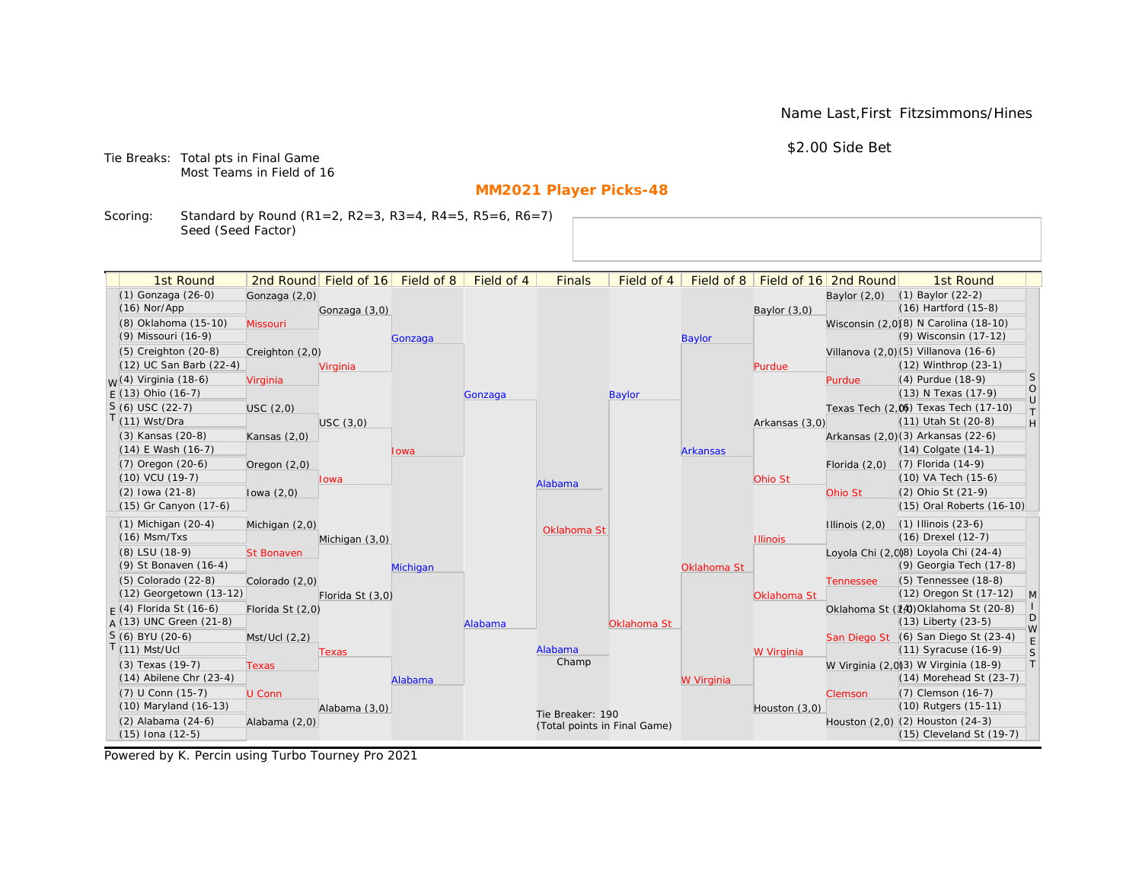Name Last,First Fitzsimmons/Hines

\$2.00 Side Bet

Tie Breaks: Total pts in Final Game Most Teams in Field of 16

# **MM2021 Player Picks-48**

Scoring: Standard by Round (R1=2, R2=3, R3=4, R4=5, R5=6, R6=7) Seed (Seed Factor)

| 1st Round<br>2nd Round Field of 16 Field of 8<br>Field of 4<br>Field of 8<br>Field of 16 2nd Round<br><b>Finals</b><br>Field of 4<br>1st Round<br>(1) Gonzaga (26-0)<br>$(1)$ Baylor $(22-2)$<br>Gonzaga (2,0)<br>Baylor $(2,0)$<br>(16) Hartford (15-8)<br>$(16)$ Nor/App<br>Gonzaga (3,0)<br>Baylor $(3,0)$<br>(8) Oklahoma (15-10)<br>Wisconsin (2,0)(8) N Carolina (18-10)<br>Missouri<br>(9) Wisconsin (17-12)<br>(9) Missouri (16-9)<br><b>Baylor</b><br>Gonzaga<br>$(5)$ Creighton $(20-8)$<br>Villanova (2,0) (5) Villanova (16-6)<br>Creighton (2,0)<br>(12) UC San Barb (22-4)<br>(12) Winthrop (23-1)<br>Virginia<br>Purdue<br><sub>W</sub> (4) Virginia (18-6)<br>(4) Purdue (18-9)<br>Virginia<br>Purdue<br>(13) N Texas (17-9)<br>$E(13)$ Ohio (16-7)<br><b>Baylor</b><br>Gonzaga<br>$S(6)$ USC (22-7)<br>Texas Tech (2,0) Texas Tech (17-10)<br>USC(2,0)<br>$T(11)$ Wst/Dra<br>(11) Utah St (20-8)<br>USC(3,0)<br>Arkansas (3,0)<br>(3) Kansas (20-8)<br>Arkansas (2,0)(3) Arkansas (22-6)<br>Kansas $(2,0)$<br>$(14)$ E Wash $(16-7)$<br>$(14)$ Colgate $(14-1)$<br><b>Arkansas</b><br>Iowa<br>$(7)$ Oregon $(20-6)$<br>$(7)$ Florida $(14-9)$<br>Oregon $(2,0)$<br>Florida $(2,0)$<br>(10) VA Tech (15-6)<br>$(10)$ VCU $(19-7)$<br>Ohio St<br>lowa<br>Alabama<br>(2) Ohio St (21-9)<br>$(2)$ lowa $(21-8)$<br>Ohio St<br>lowa $(2,0)$<br>(15) Gr Canyon (17-6)<br>(15) Oral Roberts (16-10)<br>$(1)$ Michigan $(20-4)$<br>$(1)$ Illinois $(23-6)$<br>Illinois $(2,0)$<br>Michigan (2,0)<br>Oklahoma St<br>$(16)$ Msm/Txs<br>(16) Drexel (12-7)<br>Michigan (3,0)<br><b>Illinois</b><br>Loyola Chi (2,0)8) Loyola Chi (24-4)<br>(8) LSU (18-9)<br><b>St Bonaven</b><br>(9) Georgia Tech (17-8)<br>(9) St Bonaven (16-4)<br>Oklahoma St<br>Michigan | S<br>$\circ$<br>$\cup$<br>$\top$<br>H |
|---------------------------------------------------------------------------------------------------------------------------------------------------------------------------------------------------------------------------------------------------------------------------------------------------------------------------------------------------------------------------------------------------------------------------------------------------------------------------------------------------------------------------------------------------------------------------------------------------------------------------------------------------------------------------------------------------------------------------------------------------------------------------------------------------------------------------------------------------------------------------------------------------------------------------------------------------------------------------------------------------------------------------------------------------------------------------------------------------------------------------------------------------------------------------------------------------------------------------------------------------------------------------------------------------------------------------------------------------------------------------------------------------------------------------------------------------------------------------------------------------------------------------------------------------------------------------------------------------------------------------------------------------------------------------------------------------------------------------------------------------------------------|---------------------------------------|
|                                                                                                                                                                                                                                                                                                                                                                                                                                                                                                                                                                                                                                                                                                                                                                                                                                                                                                                                                                                                                                                                                                                                                                                                                                                                                                                                                                                                                                                                                                                                                                                                                                                                                                                                                                     |                                       |
|                                                                                                                                                                                                                                                                                                                                                                                                                                                                                                                                                                                                                                                                                                                                                                                                                                                                                                                                                                                                                                                                                                                                                                                                                                                                                                                                                                                                                                                                                                                                                                                                                                                                                                                                                                     |                                       |
|                                                                                                                                                                                                                                                                                                                                                                                                                                                                                                                                                                                                                                                                                                                                                                                                                                                                                                                                                                                                                                                                                                                                                                                                                                                                                                                                                                                                                                                                                                                                                                                                                                                                                                                                                                     |                                       |
|                                                                                                                                                                                                                                                                                                                                                                                                                                                                                                                                                                                                                                                                                                                                                                                                                                                                                                                                                                                                                                                                                                                                                                                                                                                                                                                                                                                                                                                                                                                                                                                                                                                                                                                                                                     |                                       |
|                                                                                                                                                                                                                                                                                                                                                                                                                                                                                                                                                                                                                                                                                                                                                                                                                                                                                                                                                                                                                                                                                                                                                                                                                                                                                                                                                                                                                                                                                                                                                                                                                                                                                                                                                                     |                                       |
|                                                                                                                                                                                                                                                                                                                                                                                                                                                                                                                                                                                                                                                                                                                                                                                                                                                                                                                                                                                                                                                                                                                                                                                                                                                                                                                                                                                                                                                                                                                                                                                                                                                                                                                                                                     |                                       |
|                                                                                                                                                                                                                                                                                                                                                                                                                                                                                                                                                                                                                                                                                                                                                                                                                                                                                                                                                                                                                                                                                                                                                                                                                                                                                                                                                                                                                                                                                                                                                                                                                                                                                                                                                                     |                                       |
|                                                                                                                                                                                                                                                                                                                                                                                                                                                                                                                                                                                                                                                                                                                                                                                                                                                                                                                                                                                                                                                                                                                                                                                                                                                                                                                                                                                                                                                                                                                                                                                                                                                                                                                                                                     |                                       |
|                                                                                                                                                                                                                                                                                                                                                                                                                                                                                                                                                                                                                                                                                                                                                                                                                                                                                                                                                                                                                                                                                                                                                                                                                                                                                                                                                                                                                                                                                                                                                                                                                                                                                                                                                                     |                                       |
|                                                                                                                                                                                                                                                                                                                                                                                                                                                                                                                                                                                                                                                                                                                                                                                                                                                                                                                                                                                                                                                                                                                                                                                                                                                                                                                                                                                                                                                                                                                                                                                                                                                                                                                                                                     |                                       |
|                                                                                                                                                                                                                                                                                                                                                                                                                                                                                                                                                                                                                                                                                                                                                                                                                                                                                                                                                                                                                                                                                                                                                                                                                                                                                                                                                                                                                                                                                                                                                                                                                                                                                                                                                                     |                                       |
|                                                                                                                                                                                                                                                                                                                                                                                                                                                                                                                                                                                                                                                                                                                                                                                                                                                                                                                                                                                                                                                                                                                                                                                                                                                                                                                                                                                                                                                                                                                                                                                                                                                                                                                                                                     |                                       |
|                                                                                                                                                                                                                                                                                                                                                                                                                                                                                                                                                                                                                                                                                                                                                                                                                                                                                                                                                                                                                                                                                                                                                                                                                                                                                                                                                                                                                                                                                                                                                                                                                                                                                                                                                                     |                                       |
|                                                                                                                                                                                                                                                                                                                                                                                                                                                                                                                                                                                                                                                                                                                                                                                                                                                                                                                                                                                                                                                                                                                                                                                                                                                                                                                                                                                                                                                                                                                                                                                                                                                                                                                                                                     |                                       |
|                                                                                                                                                                                                                                                                                                                                                                                                                                                                                                                                                                                                                                                                                                                                                                                                                                                                                                                                                                                                                                                                                                                                                                                                                                                                                                                                                                                                                                                                                                                                                                                                                                                                                                                                                                     |                                       |
|                                                                                                                                                                                                                                                                                                                                                                                                                                                                                                                                                                                                                                                                                                                                                                                                                                                                                                                                                                                                                                                                                                                                                                                                                                                                                                                                                                                                                                                                                                                                                                                                                                                                                                                                                                     |                                       |
|                                                                                                                                                                                                                                                                                                                                                                                                                                                                                                                                                                                                                                                                                                                                                                                                                                                                                                                                                                                                                                                                                                                                                                                                                                                                                                                                                                                                                                                                                                                                                                                                                                                                                                                                                                     |                                       |
|                                                                                                                                                                                                                                                                                                                                                                                                                                                                                                                                                                                                                                                                                                                                                                                                                                                                                                                                                                                                                                                                                                                                                                                                                                                                                                                                                                                                                                                                                                                                                                                                                                                                                                                                                                     |                                       |
|                                                                                                                                                                                                                                                                                                                                                                                                                                                                                                                                                                                                                                                                                                                                                                                                                                                                                                                                                                                                                                                                                                                                                                                                                                                                                                                                                                                                                                                                                                                                                                                                                                                                                                                                                                     |                                       |
|                                                                                                                                                                                                                                                                                                                                                                                                                                                                                                                                                                                                                                                                                                                                                                                                                                                                                                                                                                                                                                                                                                                                                                                                                                                                                                                                                                                                                                                                                                                                                                                                                                                                                                                                                                     |                                       |
| (5) Colorado (22-8)<br>(5) Tennessee (18-8)<br>Colorado (2,0)<br><b>Tennessee</b>                                                                                                                                                                                                                                                                                                                                                                                                                                                                                                                                                                                                                                                                                                                                                                                                                                                                                                                                                                                                                                                                                                                                                                                                                                                                                                                                                                                                                                                                                                                                                                                                                                                                                   |                                       |
| (12) Georgetown (13-12)<br>(12) Oregon St (17-12)<br>Florida St (3,0)<br>Oklahoma St                                                                                                                                                                                                                                                                                                                                                                                                                                                                                                                                                                                                                                                                                                                                                                                                                                                                                                                                                                                                                                                                                                                                                                                                                                                                                                                                                                                                                                                                                                                                                                                                                                                                                | $\mathsf{M}$                          |
| Oklahoma St (14) Oklahoma St (20-8)<br>$F(4)$ Florida St (16-6)<br>Florida St (2,0)                                                                                                                                                                                                                                                                                                                                                                                                                                                                                                                                                                                                                                                                                                                                                                                                                                                                                                                                                                                                                                                                                                                                                                                                                                                                                                                                                                                                                                                                                                                                                                                                                                                                                 | D                                     |
| $A(13)$ UNC Green (21-8)<br>(13) Liberty (23-5)<br>Oklahoma St<br>Alabama                                                                                                                                                                                                                                                                                                                                                                                                                                                                                                                                                                                                                                                                                                                                                                                                                                                                                                                                                                                                                                                                                                                                                                                                                                                                                                                                                                                                                                                                                                                                                                                                                                                                                           | W                                     |
| S (6) BYU (20-6)<br>San Diego St (6) San Diego St (23-4)<br>Mst/Ucl (2,2)<br>$T(11)$ Mst/Ucl<br>Alabama<br>(11) Syracuse (16-9)                                                                                                                                                                                                                                                                                                                                                                                                                                                                                                                                                                                                                                                                                                                                                                                                                                                                                                                                                                                                                                                                                                                                                                                                                                                                                                                                                                                                                                                                                                                                                                                                                                     | $\mathsf E$                           |
| W Virginia<br>Texas<br>Champ<br>W Virginia (2,0)3) W Virginia (18-9)<br>(3) Texas (19-7)                                                                                                                                                                                                                                                                                                                                                                                                                                                                                                                                                                                                                                                                                                                                                                                                                                                                                                                                                                                                                                                                                                                                                                                                                                                                                                                                                                                                                                                                                                                                                                                                                                                                            | S<br> T                               |
| <b>Texas</b><br>$(14)$ Abilene Chr $(23-4)$<br>$(14)$ Morehead St $(23-7)$<br>W Virginia<br>Alabama                                                                                                                                                                                                                                                                                                                                                                                                                                                                                                                                                                                                                                                                                                                                                                                                                                                                                                                                                                                                                                                                                                                                                                                                                                                                                                                                                                                                                                                                                                                                                                                                                                                                 |                                       |
| (7) U Conn (15-7)<br>(7) Clemson (16-7)<br>U Conn<br>Clemson                                                                                                                                                                                                                                                                                                                                                                                                                                                                                                                                                                                                                                                                                                                                                                                                                                                                                                                                                                                                                                                                                                                                                                                                                                                                                                                                                                                                                                                                                                                                                                                                                                                                                                        |                                       |
| (10) Maryland (16-13)<br>(10) Rutgers (15-11)<br>Alabama (3,0)<br>Houston (3,0)                                                                                                                                                                                                                                                                                                                                                                                                                                                                                                                                                                                                                                                                                                                                                                                                                                                                                                                                                                                                                                                                                                                                                                                                                                                                                                                                                                                                                                                                                                                                                                                                                                                                                     |                                       |
| Tie Breaker: 190<br>(2) Alabama (24-6)<br>Houston (2,0) (2) Houston (24-3)<br>Alabama (2,0)                                                                                                                                                                                                                                                                                                                                                                                                                                                                                                                                                                                                                                                                                                                                                                                                                                                                                                                                                                                                                                                                                                                                                                                                                                                                                                                                                                                                                                                                                                                                                                                                                                                                         |                                       |
| (Total points in Final Game)<br>$(15)$ Iona $(12-5)$<br>(15) Cleveland St (19-7)                                                                                                                                                                                                                                                                                                                                                                                                                                                                                                                                                                                                                                                                                                                                                                                                                                                                                                                                                                                                                                                                                                                                                                                                                                                                                                                                                                                                                                                                                                                                                                                                                                                                                    |                                       |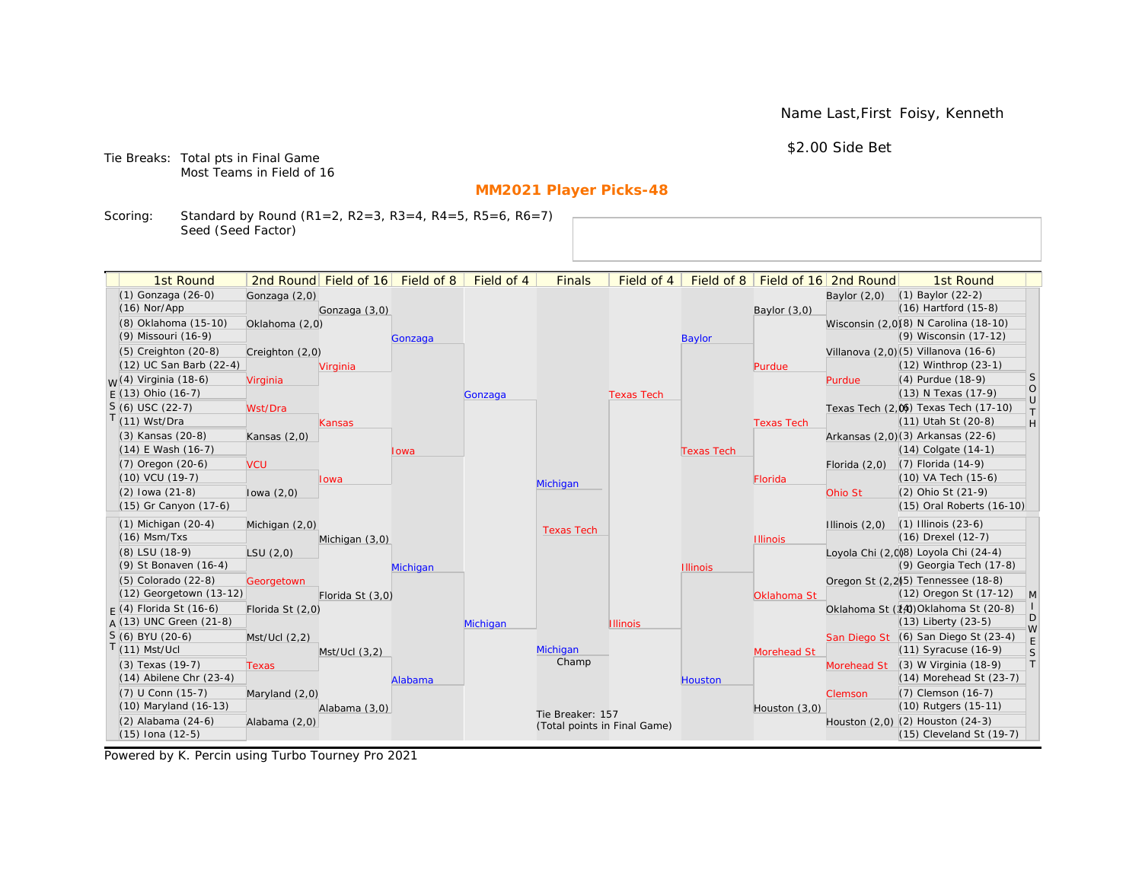Name Last,First Foisy, Kenneth

\$2.00 Side Bet

Tie Breaks: Total pts in Final Game Most Teams in Field of 16

# **MM2021 Player Picks-48**

Scoring: Standard by Round (R1=2, R2=3, R3=4, R4=5, R5=6, R6=7) Seed (Seed Factor)

| 1st Round                                  |                  | 2nd Round Field of 16 | Field of 8 | Field of 4 | <b>Finals</b>                | Field of 4        | Field of 8        |                   | Field of 16 2nd Round | 1st Round                                                    |                   |
|--------------------------------------------|------------------|-----------------------|------------|------------|------------------------------|-------------------|-------------------|-------------------|-----------------------|--------------------------------------------------------------|-------------------|
| $(1)$ Gonzaga $(26-0)$                     | Gonzaga (2,0)    |                       |            |            |                              |                   |                   |                   | Baylor $(2,0)$        | $(1)$ Baylor $(22-2)$                                        |                   |
| $(16)$ Nor/App                             |                  | Gonzaga (3,0)         |            |            |                              |                   |                   | Baylor $(3,0)$    |                       | $(16)$ Hartford $(15-8)$                                     |                   |
| (8) Oklahoma (15-10)                       | Oklahoma (2,0)   |                       |            |            |                              |                   |                   |                   |                       | Wisconsin (2,0)(8) N Carolina (18-10)                        |                   |
| (9) Missouri (16-9)                        |                  |                       | Gonzaga    |            |                              |                   | <b>Baylor</b>     |                   |                       | (9) Wisconsin (17-12)                                        |                   |
| $(5)$ Creighton $(20-8)$                   | Creighton (2,0)  |                       |            |            |                              |                   |                   |                   |                       | Villanova (2,0)(5) Villanova (16-6)                          |                   |
| (12) UC San Barb (22-4)                    |                  | Virginia              |            |            |                              |                   |                   | Purdue            |                       | (12) Winthrop (23-1)                                         |                   |
| <sub>M</sub> /(4) Virginia (18-6)          | Virginia         |                       |            |            |                              |                   |                   |                   | Purdue                | (4) Purdue (18-9)                                            | <sub>S</sub>      |
| $F(13)$ Ohio (16-7)                        |                  |                       |            | Gonzaga    |                              | <b>Texas Tech</b> |                   |                   |                       | (13) N Texas (17-9)                                          | $\circ$<br>$\cup$ |
| $S(6)$ USC $(22-7)$                        | Wst/Dra          |                       |            |            |                              |                   |                   |                   |                       | Texas Tech (2,0) Texas Tech (17-10)                          | $\top$            |
| $(11)$ Wst/Dra                             |                  | Kansas                |            |            |                              |                   |                   | <b>Texas Tech</b> |                       | (11) Utah St (20-8)                                          | H                 |
| (3) Kansas (20-8)                          | Kansas $(2,0)$   |                       |            |            |                              |                   |                   |                   |                       | Arkansas (2,0)(3) Arkansas (22-6)                            |                   |
| (14) E Wash (16-7)                         |                  |                       | lowa       |            |                              |                   | <b>Texas Tech</b> |                   |                       | $(14)$ Colgate $(14-1)$                                      |                   |
| (7) Oregon (20-6)                          | <b>VCU</b>       |                       |            |            |                              |                   |                   |                   | Florida $(2,0)$       | (7) Florida (14-9)                                           |                   |
| $(10)$ VCU $(19-7)$                        |                  | Iowa                  |            |            | Michigan                     |                   |                   | Florida           |                       | (10) VA Tech (15-6)                                          |                   |
| $(2)$ lowa $(21-8)$                        | lowa $(2,0)$     |                       |            |            |                              |                   |                   |                   | Ohio St               | (2) Ohio St (21-9)                                           |                   |
| (15) Gr Canyon (17-6)                      |                  |                       |            |            |                              |                   |                   |                   |                       | (15) Oral Roberts (16-10)                                    |                   |
| $(1)$ Michigan $(20-4)$                    | Michigan (2,0)   |                       |            |            | <b>Texas Tech</b>            |                   |                   |                   | Illinois $(2,0)$      | $(1)$ Illinois $(23-6)$                                      |                   |
| $(16)$ Msm/Txs                             |                  | Michigan (3,0)        |            |            |                              |                   |                   | <b>Illinois</b>   |                       | $(16)$ Drexel $(12-7)$                                       |                   |
| (8) LSU (18-9)                             | LSU(2,0)         |                       |            |            |                              |                   |                   |                   |                       | Loyola Chi (2,0)8) Loyola Chi (24-4)                         |                   |
| (9) St Bonaven (16-4)                      |                  |                       | Michigan   |            |                              |                   | <b>Illinois</b>   |                   |                       | (9) Georgia Tech (17-8)                                      |                   |
| $(5)$ Colorado $(22-8)$                    | Georgetown       |                       |            |            |                              |                   |                   |                   |                       | Oregon St (2,2) <sup>(5)</sup> Tennessee (18-8)              |                   |
| (12) Georgetown (13-12)                    |                  | Florida St (3,0)      |            |            |                              |                   |                   | Oklahoma St       |                       | (12) Oregon St (17-12)                                       | M                 |
| $F(4)$ Florida St (16-6)                   | Florida St (2,0) |                       |            |            |                              |                   |                   |                   |                       | Oklahoma St (14) Oklahoma St (20-8)                          | D                 |
| $A(13)$ UNC Green (21-8)                   |                  |                       |            | Michigan   |                              | <b>Illinois</b>   |                   |                   |                       | $(13)$ Liberty $(23-5)$                                      | W                 |
| $S(6)$ BYU (20-6)                          | Mst/Ucl (2,2)    |                       |            |            |                              |                   |                   |                   |                       | San Diego St (6) San Diego St (23-4)                         | E                 |
| $(11)$ Mst/Ucl                             |                  | $Mst/Ucl$ $(3,2)$     |            |            | Michigan<br>Champ            |                   |                   | Morehead St       |                       | $(11)$ Syracuse $(16-9)$                                     | S                 |
| (3) Texas (19-7)                           | Texas            |                       |            |            |                              |                   |                   |                   | Morehead St           | $(3)$ W Virginia $(18-9)$                                    | T                 |
| $(14)$ Abilene Chr $(23-4)$                |                  |                       | Alabama    |            |                              |                   | Houston           |                   |                       | (14) Morehead St (23-7)                                      |                   |
| (7) U Conn (15-7)<br>(10) Maryland (16-13) | Maryland (2,0)   |                       |            |            |                              |                   |                   |                   | Clemson               | (7) Clemson (16-7)<br>(10) Rutgers (15-11)                   |                   |
|                                            |                  | Alabama (3,0)         |            |            | Tie Breaker: 157             |                   |                   | Houston (3,0)     |                       |                                                              |                   |
| (2) Alabama (24-6)                         | Alabama (2,0)    |                       |            |            | (Total points in Final Game) |                   |                   |                   |                       | Houston (2,0) (2) Houston (24-3)<br>(15) Cleveland St (19-7) |                   |
| (15) Iona (12-5)                           |                  |                       |            |            |                              |                   |                   |                   |                       |                                                              |                   |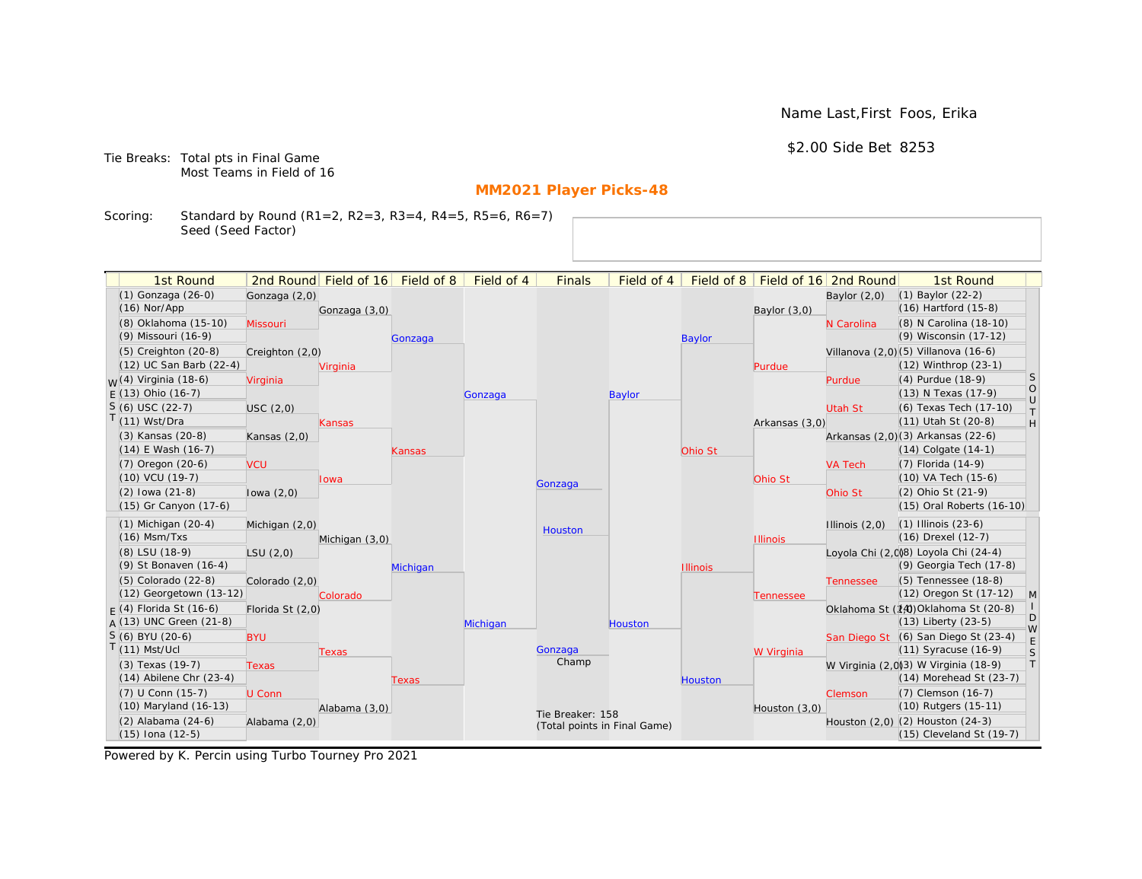Name Last,First Foos, Erika

\$2.00 Side Bet 8253

Tie Breaks: Total pts in Final Game Most Teams in Field of 16

# **MM2021 Player Picks-48**

Scoring: Standard by Round (R1=2, R2=3, R3=4, R4=5, R5=6, R6=7) Seed (Seed Factor)

| Field of 4<br>1st Round<br>2nd Round Field of 16<br>Field of 8<br><b>Finals</b><br>Field of 4<br>Field of 8<br>Field of 16 2nd Round<br>(1) Gonzaga (26-0)<br>(1) Baylor (22-2)<br>Gonzaga (2,0)<br>Baylor $(2,0)$ | 1st Round                              |
|--------------------------------------------------------------------------------------------------------------------------------------------------------------------------------------------------------------------|----------------------------------------|
|                                                                                                                                                                                                                    |                                        |
|                                                                                                                                                                                                                    |                                        |
| (16) Hartford (15-8)<br>$(16)$ Nor/App<br>Gonzaga (3,0)<br>Baylor $(3,0)$                                                                                                                                          |                                        |
| (8) Oklahoma (15-10)<br><b>Missouri</b><br>N Carolina                                                                                                                                                              | (8) N Carolina (18-10)                 |
| (9) Wisconsin (17-12)<br>(9) Missouri (16-9)<br><b>Baylor</b><br>Gonzaga                                                                                                                                           |                                        |
| $(5)$ Creighton $(20-8)$<br>Villanova (2,0) (5) Villanova (16-6)<br>Creighton (2,0)                                                                                                                                |                                        |
| (12) UC San Barb (22-4)<br>(12) Winthrop (23-1)<br>Virginia<br>Purdue                                                                                                                                              |                                        |
| <sub>W</sub> (4) Virginia (18-6)<br>(4) Purdue (18-9)<br>Virginia<br>Purdue                                                                                                                                        | <sub>S</sub>                           |
| $E(13)$ Ohio (16-7)<br>(13) N Texas (17-9)<br>Baylor<br>Gonzaga                                                                                                                                                    | $\circ$<br>$\cup$                      |
| S (6) USC (22-7)<br>Utah St<br>USC(2,0)                                                                                                                                                                            | (6) Texas Tech (17-10)<br>$\top$       |
| $(11)$ Wst/Dra<br>(11) Utah St (20-8)<br>Arkansas (3,0)<br>Kansas                                                                                                                                                  | H                                      |
| (3) Kansas (20-8)<br>Arkansas (2,0)(3) Arkansas (22-6)<br>Kansas $(2,0)$                                                                                                                                           |                                        |
| $(14)$ E Wash $(16-7)$<br>(14) Colgate (14-1)<br>Ohio St<br>Kansas                                                                                                                                                 |                                        |
| $(7)$ Oregon $(20-6)$<br>(7) Florida (14-9)<br><b>VCU</b><br><b>VA Tech</b>                                                                                                                                        |                                        |
| (10) VCU (19-7)<br>(10) VA Tech (15-6)<br>Ohio St<br>Iowa<br>Gonzaga                                                                                                                                               |                                        |
| $(2)$ lowa $(21-8)$<br>(2) Ohio St (21-9)<br>Ohio St<br>lowa $(2,0)$                                                                                                                                               |                                        |
| (15) Gr Canyon (17-6)                                                                                                                                                                                              | (15) Oral Roberts (16-10)              |
| $(1)$ Michigan $(20-4)$<br>$(1)$ Illinois $(23-6)$<br>Illinois $(2,0)$<br>Michigan (2,0)                                                                                                                           |                                        |
| Houston<br>$(16)$ Msm/Txs<br>(16) Drexel (12-7)<br>Michigan (3,0)<br><b>Illinois</b>                                                                                                                               |                                        |
| (8) LSU (18-9)<br>Loyola Chi (2,0)8) Loyola Chi (24-4)<br>LSU(2,0)                                                                                                                                                 |                                        |
| (9) St Bonaven (16-4)<br>Michigan<br><b>Illinois</b>                                                                                                                                                               | (9) Georgia Tech (17-8)                |
| (5) Tennessee (18-8)<br>(5) Colorado (22-8)<br>Colorado (2,0)<br><b>Tennessee</b>                                                                                                                                  |                                        |
| (12) Georgetown (13-12)<br>Colorado<br>Tennessee                                                                                                                                                                   | (12) Oregon St (17-12)<br>$\mathsf{M}$ |
| $F(4)$ Florida St (16-6)<br>Oklahoma St (14) Oklahoma St (20-8)<br>Florida St (2,0)                                                                                                                                |                                        |
| $A(13)$ UNC Green (21-8)<br>(13) Liberty (23-5)<br>Michigan<br>Houston                                                                                                                                             | D                                      |
| $S(6)$ BYU (20-6)<br>San Diego St (6) San Diego St (23-4)<br><b>BYU</b>                                                                                                                                            | W                                      |
| $(11)$ Mst/Ucl<br>(11) Syracuse (16-9)<br>Gonzaga<br>W Virginia<br>Texas                                                                                                                                           | S                                      |
| Champ<br>W Virginia (2,0)3) W Virginia (18-9)<br>(3) Texas (19-7)<br><b>Texas</b>                                                                                                                                  | $\top$                                 |
| $(14)$ Abilene Chr $(23-4)$<br><b>Houston</b><br>Texas                                                                                                                                                             | (14) Morehead St (23-7)                |
| (7) U Conn (15-7)<br>(7) Clemson (16-7)<br>U Conn<br>Clemson                                                                                                                                                       |                                        |
| (10) Maryland (16-13)<br>(10) Rutgers (15-11)<br>Alabama (3,0)<br>Houston (3,0)                                                                                                                                    |                                        |
| Tie Breaker: 158<br>(2) Alabama (24-6)<br>Houston (2,0) (2) Houston (24-3)<br>Alabama (2,0)<br>(Total points in Final Game)                                                                                        |                                        |
| (15) Iona (12-5)                                                                                                                                                                                                   | (15) Cleveland St (19-7)               |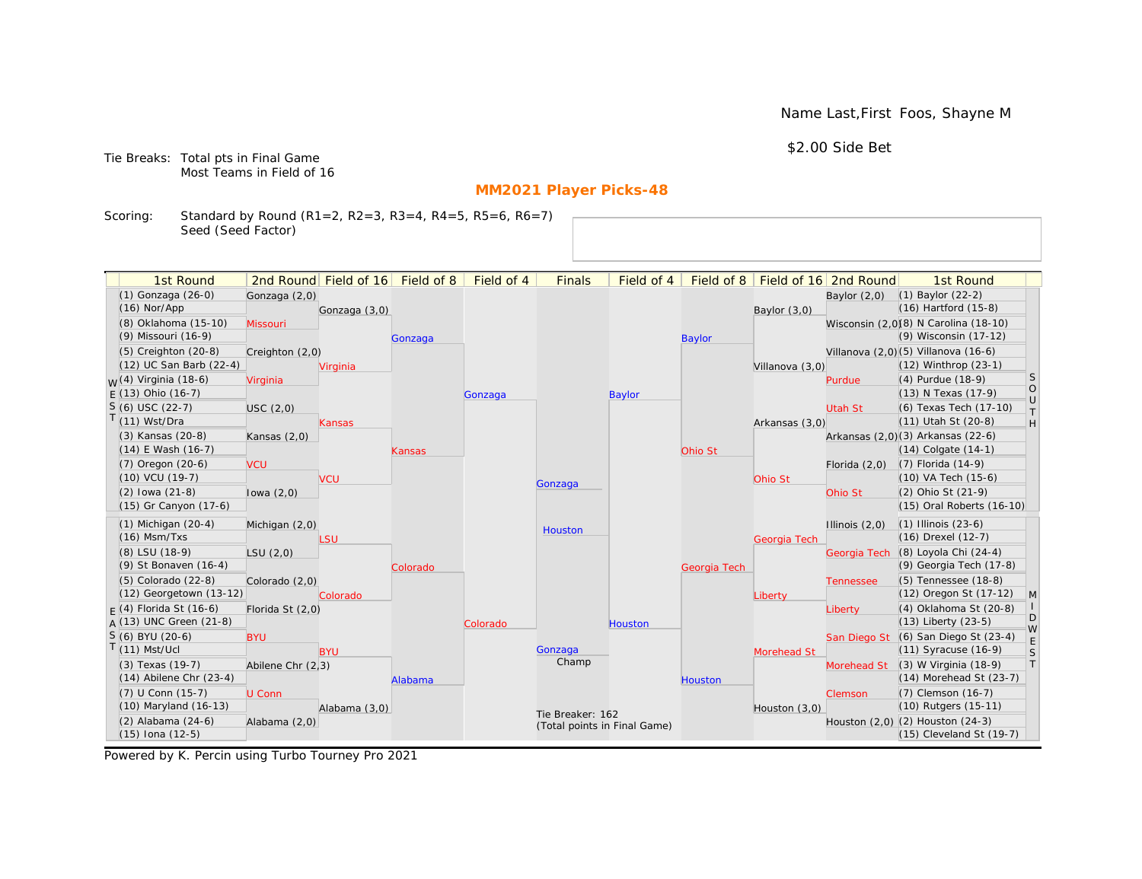Name Last,First Foos, Shayne M

\$2.00 Side Bet

Tie Breaks: Total pts in Final Game Most Teams in Field of 16

# **MM2021 Player Picks-48**

Scoring: Standard by Round (R1=2, R2=3, R3=4, R4=5, R5=6, R6=7) Seed (Seed Factor)

| 1st Round                                       |                   | 2nd Round Field of 16 | Field of 8 | Field of 4 | <b>Finals</b>                | Field of 4    | Field of 8     |                 | Field of 16 2nd Round | 1st Round                                            |                                                                   |
|-------------------------------------------------|-------------------|-----------------------|------------|------------|------------------------------|---------------|----------------|-----------------|-----------------------|------------------------------------------------------|-------------------------------------------------------------------|
| (1) Gonzaga (26-0)                              | Gonzaga (2,0)     |                       |            |            |                              |               |                |                 | Baylor $(2,0)$        | $(1)$ Baylor $(22-2)$                                |                                                                   |
| $(16)$ Nor/App                                  |                   | Gonzaga (3,0)         |            |            |                              |               |                | Baylor (3,0)    |                       | $(16)$ Hartford $(15-8)$                             |                                                                   |
| (8) Oklahoma (15-10)                            | Missouri          |                       |            |            |                              |               |                |                 |                       | Wisconsin (2,0)(8) N Carolina (18-10)                |                                                                   |
| (9) Missouri (16-9)                             |                   |                       | Gonzaga    |            |                              |               | <b>Baylor</b>  |                 |                       | (9) Wisconsin (17-12)                                |                                                                   |
| $(5)$ Creighton $(20-8)$                        | Creighton (2,0)   |                       |            |            |                              |               |                |                 |                       | Villanova (2,0) (5) Villanova (16-6)                 |                                                                   |
| (12) UC San Barb (22-4)                         |                   | Virginia              |            |            |                              |               |                | Villanova (3,0) |                       | (12) Winthrop (23-1)                                 |                                                                   |
| <sub>W</sub> (4) Virginia (18-6)                | Virginia          |                       |            |            |                              |               |                |                 | Purdue                | (4) Purdue (18-9)                                    | <b>S</b>                                                          |
| $E(13)$ Ohio (16-7)                             |                   |                       |            | Gonzaga    |                              | <b>Baylor</b> |                |                 |                       | (13) N Texas (17-9)                                  | $\circ$<br>$\cup$                                                 |
| $S(6)$ USC (22-7)                               | USC(2,0)          |                       |            |            |                              |               |                |                 | <b>Utah St</b>        | (6) Texas Tech (17-10)                               | $\top$                                                            |
| $T(11)$ Wst/Dra                                 |                   | Kansas                |            |            |                              |               |                | Arkansas (3,0)  |                       | (11) Utah St (20-8)                                  | $\mathsf{H}% _{\mathsf{H}}^{\ast}=\mathsf{H}_{\mathsf{H}}^{\ast}$ |
| (3) Kansas (20-8)                               | Kansas $(2,0)$    |                       |            |            |                              |               |                |                 |                       | Arkansas (2,0)(3) Arkansas (22-6)                    |                                                                   |
| $(14)$ E Wash $(16-7)$                          |                   |                       | Kansas     |            |                              |               | Ohio St        |                 |                       | $(14)$ Colgate $(14-1)$                              |                                                                   |
| $(7)$ Oregon $(20-6)$                           | <b>VCU</b>        |                       |            |            |                              |               |                |                 | Florida $(2,0)$       | $(7)$ Florida $(14-9)$                               |                                                                   |
| $(10)$ VCU $(19-7)$                             |                   | <b>VCU</b>            |            |            | Gonzaga                      |               |                | Ohio St         |                       | (10) VA Tech (15-6)                                  |                                                                   |
| $(2)$ lowa $(21-8)$                             | lowa $(2,0)$      |                       |            |            |                              |               |                |                 | Ohio St               | (2) Ohio St (21-9)                                   |                                                                   |
| (15) Gr Canyon (17-6)                           |                   |                       |            |            |                              |               |                |                 |                       | (15) Oral Roberts (16-10)                            |                                                                   |
| $(1)$ Michigan $(20-4)$                         | Michigan (2,0)    |                       |            |            | Houston                      |               |                |                 | Illinois $(2,0)$      | $(1)$ Illinois $(23-6)$                              |                                                                   |
| $(16)$ Msm/Txs                                  |                   | LSU                   |            |            |                              |               |                | Georgia Tech    |                       | (16) Drexel (12-7)                                   |                                                                   |
| (8) LSU (18-9)                                  | LSU(2,0)          |                       |            |            |                              |               |                |                 | Georgia Tech          | (8) Loyola Chi (24-4)                                |                                                                   |
| (9) St Bonaven (16-4)                           |                   |                       | Colorado   |            |                              |               | Georgia Tech   |                 |                       | (9) Georgia Tech (17-8)                              |                                                                   |
| (5) Colorado (22-8)                             | Colorado (2,0)    |                       |            |            |                              |               |                |                 | <b>Tennessee</b>      | (5) Tennessee (18-8)                                 |                                                                   |
| (12) Georgetown (13-12)                         |                   | Colorado              |            |            |                              |               |                | Liberty         |                       | (12) Oregon St (17-12)                               | M                                                                 |
| $F(4)$ Florida St (16-6)                        | Florida St (2,0)  |                       |            |            |                              |               |                |                 | Liberty               | (4) Oklahoma St (20-8)                               | D                                                                 |
| $A(13)$ UNC Green (21-8)                        |                   |                       |            | Colorado   |                              | Houston       |                |                 |                       | $(13)$ Liberty $(23-5)$                              | W                                                                 |
| S (6) BYU (20-6)                                | <b>BYU</b>        |                       |            |            |                              |               |                |                 |                       | San Diego St (6) San Diego St (23-4)                 | E                                                                 |
| $T(11)$ Mst/Ucl                                 |                   | <b>BYU</b>            |            |            | Gonzaga<br>Champ             |               |                | Morehead St     |                       | (11) Syracuse (16-9)                                 | S<br> T                                                           |
| (3) Texas (19-7)<br>$(14)$ Abilene Chr $(23-4)$ | Abilene Chr (2,3) |                       |            |            |                              |               |                |                 | Morehead St           | (3) W Virginia (18-9)<br>$(14)$ Morehead St $(23-7)$ |                                                                   |
| (7) U Conn (15-7)                               |                   |                       | Alabama    |            |                              |               | <b>Houston</b> |                 |                       | (7) Clemson (16-7)                                   |                                                                   |
| (10) Maryland (16-13)                           | U Conn            |                       |            |            |                              |               |                |                 | Clemson               | (10) Rutgers (15-11)                                 |                                                                   |
| (2) Alabama (24-6)                              |                   | Alabama (3,0)         |            |            | Tie Breaker: 162             |               |                | Houston (3,0)   |                       | Houston (2,0) (2) Houston (24-3)                     |                                                                   |
| $(15)$ Iona $(12-5)$                            | Alabama (2,0)     |                       |            |            | (Total points in Final Game) |               |                |                 |                       | (15) Cleveland St (19-7)                             |                                                                   |
|                                                 |                   |                       |            |            |                              |               |                |                 |                       |                                                      |                                                                   |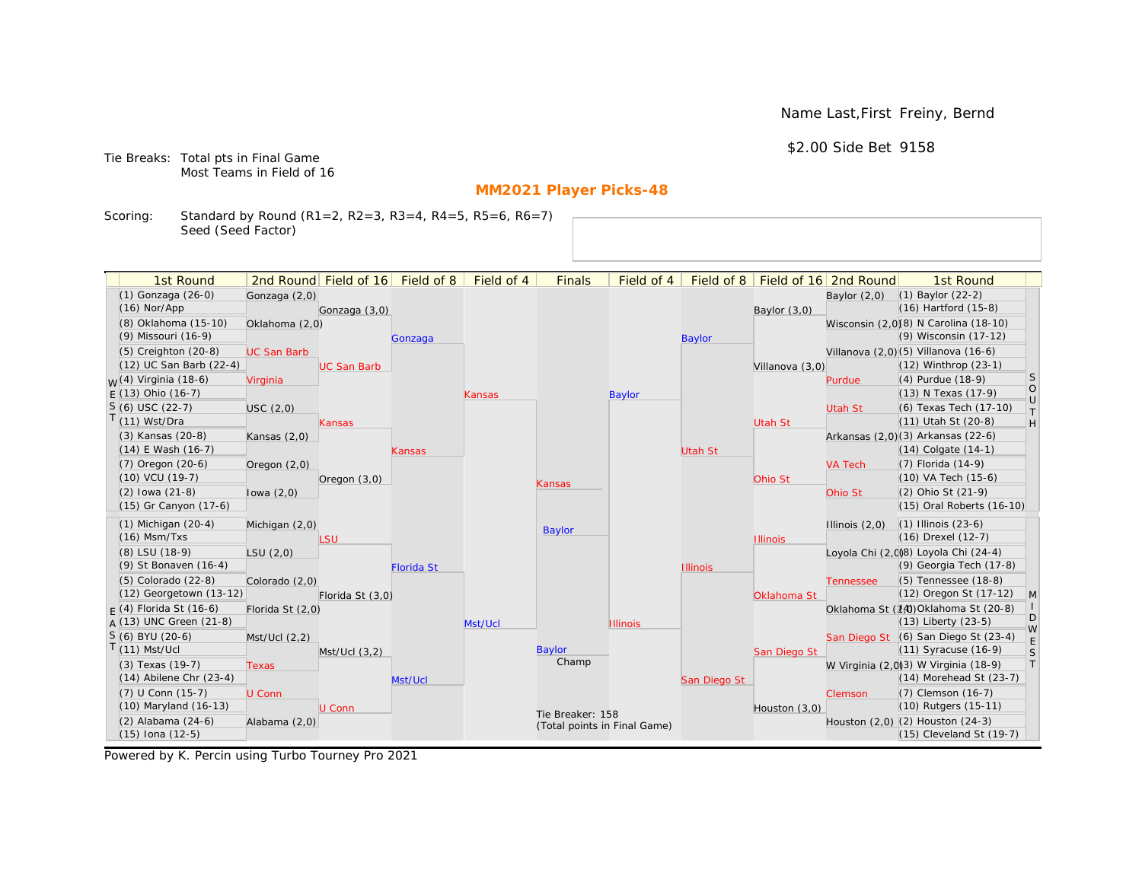Name Last,First Freiny, Bernd

\$2.00 Side Bet 9158

Tie Breaks: Total pts in Final Game Most Teams in Field of 16

# **MM2021 Player Picks-48**

Scoring: Standard by Round (R1=2, R2=3, R3=4, R4=5, R5=6, R6=7) Seed (Seed Factor)

| 1st Round                        |                    | 2nd Round Field of 16 | Field of 8        | Field of 4 | <b>Finals</b>                | Field of 4      | Field of 8      |                 | Field of 16 2nd Round | 1st Round                                                    |                                                                   |
|----------------------------------|--------------------|-----------------------|-------------------|------------|------------------------------|-----------------|-----------------|-----------------|-----------------------|--------------------------------------------------------------|-------------------------------------------------------------------|
| (1) Gonzaga (26-0)               | Gonzaga (2,0)      |                       |                   |            |                              |                 |                 |                 | Baylor $(2,0)$        | $(1)$ Baylor $(22-2)$                                        |                                                                   |
| $(16)$ Nor/App                   |                    | Gonzaga (3,0)         |                   |            |                              |                 |                 | Baylor (3,0)    |                       | $(16)$ Hartford $(15-8)$                                     |                                                                   |
| (8) Oklahoma (15-10)             | Oklahoma (2,0)     |                       |                   |            |                              |                 |                 |                 |                       | Wisconsin (2,0)(8) N Carolina (18-10)                        |                                                                   |
| (9) Missouri (16-9)              |                    |                       | Gonzaga           |            |                              |                 | <b>Baylor</b>   |                 |                       | (9) Wisconsin (17-12)                                        |                                                                   |
| $(5)$ Creighton $(20-8)$         | <b>UC San Barb</b> |                       |                   |            |                              |                 |                 |                 |                       | Villanova (2,0) (5) Villanova (16-6)                         |                                                                   |
| (12) UC San Barb (22-4)          |                    | <b>UC San Barb</b>    |                   |            |                              |                 |                 | Villanova (3,0) |                       | $(12)$ Winthrop $(23-1)$                                     |                                                                   |
| <sub>W</sub> (4) Virginia (18-6) | Virginia           |                       |                   |            |                              |                 |                 |                 | Purdue                | (4) Purdue (18-9)                                            | <b>S</b>                                                          |
| $E(13)$ Ohio (16-7)              |                    |                       |                   | Kansas     |                              | <b>Baylor</b>   |                 |                 |                       | (13) N Texas (17-9)                                          | $\bigcirc$<br>$\cup$                                              |
| $S(6)$ USC (22-7)                | USC(2,0)           |                       |                   |            |                              |                 |                 |                 | Utah St               | (6) Texas Tech (17-10)                                       | $\top$                                                            |
| $T(11)$ Wst/Dra                  |                    | Kansas                |                   |            |                              |                 |                 | Utah St         |                       | (11) Utah St (20-8)                                          | $\mathsf{H}% _{\mathsf{H}}^{\ast}=\mathsf{H}_{\mathsf{H}}^{\ast}$ |
| (3) Kansas (20-8)                | Kansas $(2,0)$     |                       |                   |            |                              |                 |                 |                 |                       | Arkansas (2,0)(3) Arkansas (22-6)                            |                                                                   |
| $(14)$ E Wash $(16-7)$           |                    |                       | Kansas            |            |                              |                 | <b>Utah St</b>  |                 |                       | $(14)$ Colgate $(14-1)$                                      |                                                                   |
| $(7)$ Oregon $(20-6)$            | Oregon (2,0)       |                       |                   |            |                              |                 |                 |                 | <b>VA Tech</b>        | $(7)$ Florida $(14-9)$                                       |                                                                   |
| $(10)$ VCU $(19-7)$              |                    | Oregon $(3,0)$        |                   |            | Kansas                       |                 |                 | Ohio St         |                       | $(10)$ VA Tech $(15-6)$                                      |                                                                   |
| $(2)$ lowa $(21-8)$              | lowa $(2,0)$       |                       |                   |            |                              |                 |                 |                 | Ohio St               | (2) Ohio St (21-9)                                           |                                                                   |
| (15) Gr Canyon (17-6)            |                    |                       |                   |            |                              |                 |                 |                 |                       | (15) Oral Roberts (16-10)                                    |                                                                   |
| $(1)$ Michigan $(20-4)$          | Michigan (2,0)     |                       |                   |            | <b>Baylor</b>                |                 |                 |                 | Illinois $(2,0)$      | $(1)$ Illinois $(23-6)$                                      |                                                                   |
| $(16)$ Msm/Txs                   |                    | LSU                   |                   |            |                              |                 |                 | <b>Illinois</b> |                       | (16) Drexel (12-7)                                           |                                                                   |
| (8) LSU (18-9)                   | LSU(2,0)           |                       |                   |            |                              |                 |                 |                 |                       | Loyola Chi (2,0)8) Loyola Chi (24-4)                         |                                                                   |
| (9) St Bonaven (16-4)            |                    |                       | <b>Florida St</b> |            |                              |                 | <b>Illinois</b> |                 |                       | (9) Georgia Tech (17-8)                                      |                                                                   |
| (5) Colorado (22-8)              | Colorado (2,0)     |                       |                   |            |                              |                 |                 |                 | <b>Tennessee</b>      | (5) Tennessee (18-8)                                         |                                                                   |
| (12) Georgetown (13-12)          |                    | Florida St (3,0)      |                   |            |                              |                 |                 | Oklahoma St     |                       | (12) Oregon St (17-12)                                       | M                                                                 |
| $F(4)$ Florida St (16-6)         | Florida St (2,0)   |                       |                   |            |                              |                 |                 |                 |                       | Oklahoma St (14) Oklahoma St (20-8)                          | D                                                                 |
| $A(13)$ UNC Green (21-8)         |                    |                       |                   | Mst/Ucl    |                              | <b>Illinois</b> |                 |                 |                       | $(13)$ Liberty $(23-5)$                                      | W                                                                 |
| S (6) BYU (20-6)                 | Mst/Ucl (2,2)      |                       |                   |            |                              |                 |                 |                 |                       | San Diego St (6) San Diego St (23-4)                         | E                                                                 |
| $T(11)$ Mst/Ucl                  |                    | $Mst/Ucl$ $(3,2)$     |                   |            | Baylor<br>Champ              |                 |                 | San Diego St    |                       | (11) Syracuse (16-9)                                         | S                                                                 |
| (3) Texas (19-7)                 | <b>Texas</b>       |                       |                   |            |                              |                 |                 |                 |                       | W Virginia (2,0)3) W Virginia (18-9)                         | T                                                                 |
| $(14)$ Abilene Chr $(23-4)$      |                    |                       | Mst/Ucl           |            |                              |                 | San Diego St    |                 |                       | $(14)$ Morehead St $(23-7)$                                  |                                                                   |
| (7) U Conn (15-7)                | U Conn             |                       |                   |            |                              |                 |                 |                 | Clemson               | (7) Clemson (16-7)                                           |                                                                   |
| (10) Maryland (16-13)            |                    | U Conn                |                   |            | Tie Breaker: 158             |                 |                 | Houston (3,0)   |                       | (10) Rutgers (15-11)                                         |                                                                   |
| (2) Alabama (24-6)               | Alabama (2,0)      |                       |                   |            | (Total points in Final Game) |                 |                 |                 |                       | Houston (2,0) (2) Houston (24-3)<br>(15) Cleveland St (19-7) |                                                                   |
| $(15)$ Iona $(12-5)$             |                    |                       |                   |            |                              |                 |                 |                 |                       |                                                              |                                                                   |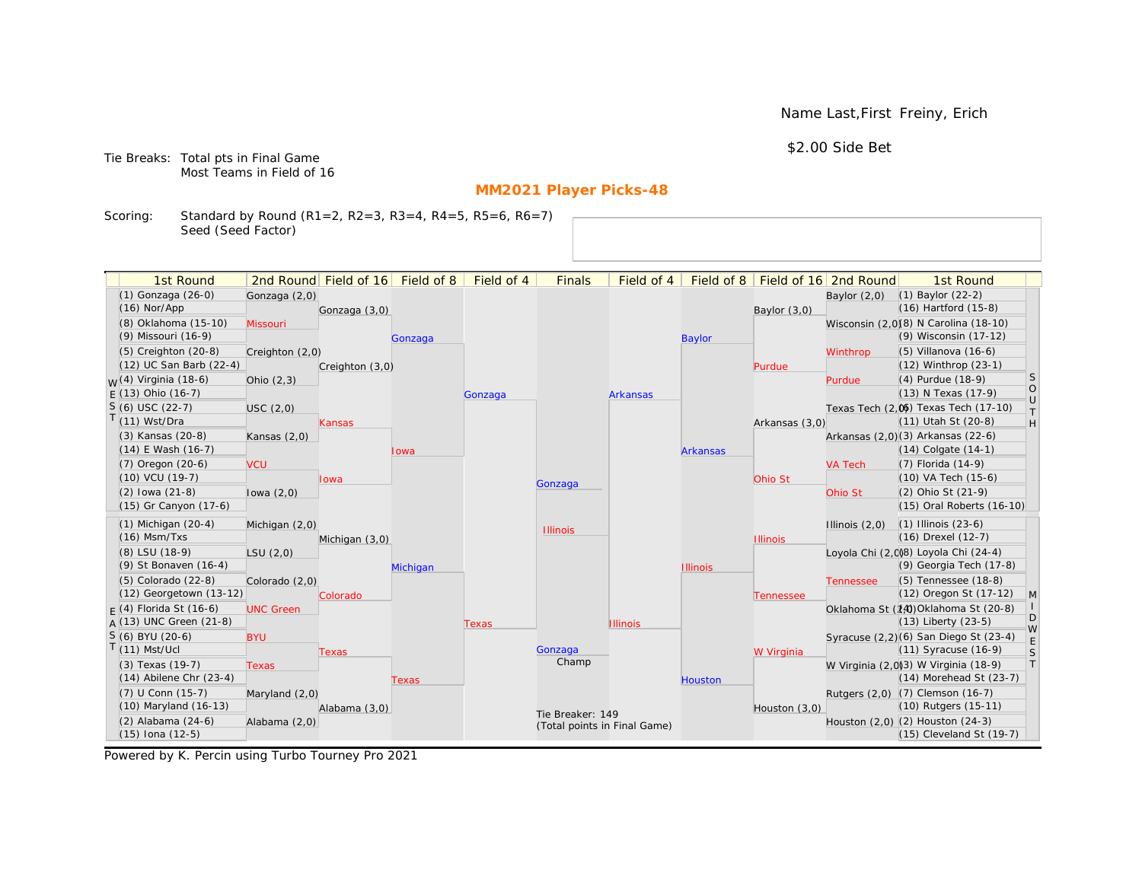Name Last,First Freiny, Erich

\$2.00 Side Bet

Tie Breaks: Total pts in Final Game Most Teams in Field of 16

# **MM2021 Player Picks-48**

Scoring: Standard by Round (R1=2, R2=3, R3=4, R4=5, R5=6, R6=7) Seed (Seed Factor)

| 1st Round                                       |                  | 2nd Round Field of 16 | Field of 8 | Field of 4 | <b>Finals</b>                | Field of 4      | Field of 8      |                 | Field of 16 2nd Round | 1st Round                                                        |                   |
|-------------------------------------------------|------------------|-----------------------|------------|------------|------------------------------|-----------------|-----------------|-----------------|-----------------------|------------------------------------------------------------------|-------------------|
| (1) Gonzaga (26-0)                              | Gonzaga (2,0)    |                       |            |            |                              |                 |                 |                 | Baylor $(2,0)$        | $(1)$ Baylor $(22-2)$                                            |                   |
| $(16)$ Nor/App                                  |                  | Gonzaga (3,0)         |            |            |                              |                 |                 | Baylor $(3,0)$  |                       | $(16)$ Hartford $(15-8)$                                         |                   |
| (8) Oklahoma (15-10)                            | Missouri         |                       |            |            |                              |                 |                 |                 |                       | Wisconsin (2,0)(8) N Carolina (18-10)                            |                   |
| (9) Missouri (16-9)                             |                  |                       | Gonzaga    |            |                              |                 | <b>Baylor</b>   |                 |                       | (9) Wisconsin (17-12)                                            |                   |
| $(5)$ Creighton $(20-8)$                        | Creighton (2,0)  |                       |            |            |                              |                 |                 |                 | Winthrop              | $(5)$ Villanova $(16-6)$                                         |                   |
| (12) UC San Barb (22-4)                         |                  | Creighton (3,0)       |            |            |                              |                 |                 | Purdue          |                       | $(12)$ Winthrop $(23-1)$                                         |                   |
| <sub>M</sub> /(4) Virginia (18-6)               | Ohio $(2,3)$     |                       |            |            |                              |                 |                 |                 | Purdue                | (4) Purdue (18-9)                                                | <sub>S</sub>      |
| $F(13)$ Ohio (16-7)                             |                  |                       |            | Gonzaga    |                              | <b>Arkansas</b> |                 |                 |                       | (13) N Texas (17-9)                                              | $\circ$<br>$\cup$ |
| $S(6)$ USC (22-7)                               | USC(2,0)         |                       |            |            |                              |                 |                 |                 |                       | Texas Tech (2.06) Texas Tech (17-10)                             | $\top$            |
| $T(11)$ Wst/Dra                                 |                  | Kansas                |            |            |                              |                 |                 | Arkansas (3,0)  |                       | (11) Utah St (20-8)                                              | H                 |
| (3) Kansas (20-8)                               | Kansas $(2,0)$   |                       |            |            |                              |                 |                 |                 |                       | Arkansas (2,0)(3) Arkansas (22-6)                                |                   |
| $(14)$ E Wash $(16-7)$                          |                  |                       | Iowa       |            |                              |                 | <b>Arkansas</b> |                 |                       | $(14)$ Colgate $(14-1)$                                          |                   |
| (7) Oregon (20-6)                               | <b>VCU</b>       |                       |            |            |                              |                 |                 |                 | <b>VA Tech</b>        | (7) Florida (14-9)                                               |                   |
| (10) VCU (19-7)                                 |                  | lowa                  |            |            | Gonzaga                      |                 |                 | Ohio St         |                       | (10) VA Tech (15-6)                                              |                   |
| $(2)$ lowa $(21-8)$                             | lowa $(2,0)$     |                       |            |            |                              |                 |                 |                 | Ohio St               | (2) Ohio St (21-9)                                               |                   |
| (15) Gr Canyon (17-6)                           |                  |                       |            |            |                              |                 |                 |                 |                       | (15) Oral Roberts (16-10)                                        |                   |
| $(1)$ Michigan $(20-4)$                         | Michigan (2,0)   |                       |            |            | <b>Illinois</b>              |                 |                 |                 | Illinois $(2,0)$      | $(1)$ Illinois $(23-6)$                                          |                   |
| $(16)$ Msm/Txs                                  |                  | Michigan (3,0)        |            |            |                              |                 |                 | <b>Illinois</b> |                       | (16) Drexel (12-7)                                               |                   |
| (8) LSU (18-9)                                  | LSU(2,0)         |                       |            |            |                              |                 |                 |                 |                       | Loyola Chi (2,008) Loyola Chi (24-4)                             |                   |
| (9) St Bonaven (16-4)                           |                  |                       | Michigan   |            |                              |                 | <b>Illinois</b> |                 |                       | (9) Georgia Tech (17-8)                                          |                   |
| (5) Colorado (22-8)                             | Colorado (2,0)   |                       |            |            |                              |                 |                 |                 | <b>Tennessee</b>      | (5) Tennessee (18-8)                                             |                   |
| (12) Georgetown (13-12)                         |                  | Colorado              |            |            |                              |                 |                 | Tennessee       |                       | (12) Oregon St (17-12)                                           | M                 |
| $F(4)$ Florida St (16-6)                        | <b>UNC Green</b> |                       |            |            |                              |                 |                 |                 |                       | Oklahoma St (14) Oklahoma St (20-8)                              | D                 |
| $A(13)$ UNC Green (21-8)                        |                  |                       |            | Texas      |                              | <b>Illinois</b> |                 |                 |                       | $(13)$ Liberty $(23-5)$                                          | W                 |
| $S(6)$ BYU (20-6)                               | <b>BYU</b>       |                       |            |            |                              |                 |                 |                 |                       | Syracuse (2,2)(6) San Diego St (23-4)                            | $\mathsf E$       |
| $T(11)$ Mst/Ucl                                 |                  | Texas                 |            |            | Gonzaga<br>Champ             |                 |                 | W Virginia      |                       | (11) Syracuse (16-9)                                             | S                 |
| (3) Texas (19-7)<br>$(14)$ Abilene Chr $(23-4)$ | <b>Texas</b>     |                       |            |            |                              |                 |                 |                 |                       | W Virginia (2,0)(3) W Virginia (18-9)<br>(14) Morehead St (23-7) | T                 |
|                                                 |                  |                       | Texas      |            |                              |                 | <b>Houston</b>  |                 |                       |                                                                  |                   |
| (7) U Conn (15-7)<br>(10) Maryland (16-13)      | Maryland (2,0)   |                       |            |            |                              |                 |                 |                 |                       | Rutgers (2,0) (7) Clemson (16-7)<br>(10) Rutgers (15-11)         |                   |
| (2) Alabama (24-6)                              |                  | Alabama (3,0)         |            |            | Tie Breaker: 149             |                 |                 | Houston (3,0)   |                       | Houston (2,0) (2) Houston (24-3)                                 |                   |
| $(15)$ Iona $(12-5)$                            | Alabama (2,0)    |                       |            |            | (Total points in Final Game) |                 |                 |                 |                       | (15) Cleveland St (19-7)                                         |                   |
|                                                 |                  |                       |            |            |                              |                 |                 |                 |                       |                                                                  |                   |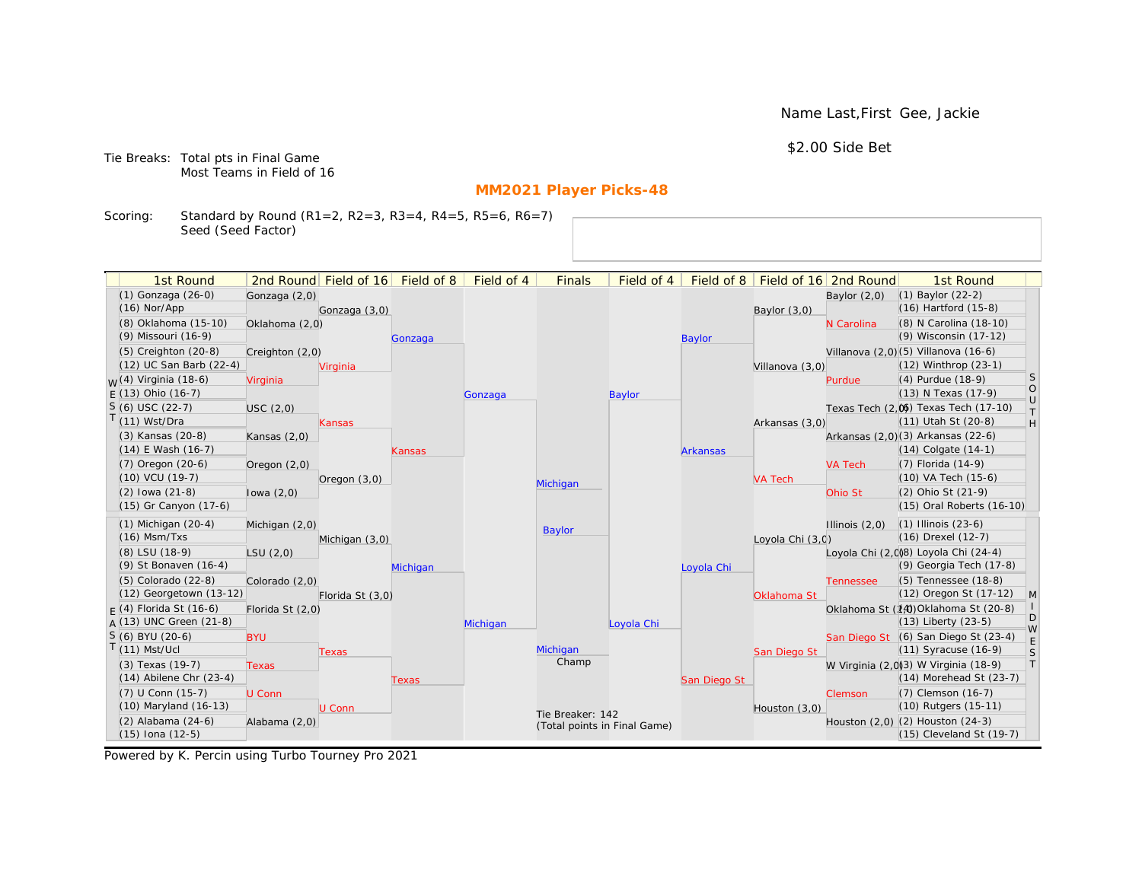Name Last,First Gee, Jackie

\$2.00 Side Bet

Tie Breaks: Total pts in Final Game Most Teams in Field of 16

# **MM2021 Player Picks-48**

Scoring: Standard by Round (R1=2, R2=3, R3=4, R4=5, R5=6, R6=7) Seed (Seed Factor)

| 1st Round                        |                  | 2nd Round Field of 16 | Field of 8 | Field of 4 | <b>Finals</b>                | Field of 4    | Field of 8      |                  | Field of 16 2nd Round | 1st Round                             |            |
|----------------------------------|------------------|-----------------------|------------|------------|------------------------------|---------------|-----------------|------------------|-----------------------|---------------------------------------|------------|
| (1) Gonzaga (26-0)               | Gonzaga (2,0)    |                       |            |            |                              |               |                 |                  | Baylor $(2,0)$        | (1) Baylor (22-2)                     |            |
| $(16)$ Nor/App                   |                  | Gonzaga (3,0)         |            |            |                              |               |                 | Baylor (3,0)     |                       | $(16)$ Hartford $(15-8)$              |            |
| (8) Oklahoma (15-10)             | Oklahoma (2,0)   |                       |            |            |                              |               |                 |                  | N Carolina            | (8) N Carolina (18-10)                |            |
| (9) Missouri (16-9)              |                  |                       | Gonzaga    |            |                              |               | <b>Baylor</b>   |                  |                       | (9) Wisconsin (17-12)                 |            |
| $(5)$ Creighton $(20-8)$         | Creighton (2,0)  |                       |            |            |                              |               |                 |                  |                       | Villanova (2,0) (5) Villanova (16-6)  |            |
| (12) UC San Barb (22-4)          |                  | Virginia              |            |            |                              |               |                 | Villanova (3,0)  |                       | $(12)$ Winthrop $(23-1)$              |            |
| <sub>W</sub> (4) Virginia (18-6) | Virginia         |                       |            |            |                              |               |                 |                  | Purdue                | (4) Purdue (18-9)                     | S          |
| $E(13)$ Ohio (16-7)              |                  |                       |            | Gonzaga    |                              | <b>Baylor</b> |                 |                  |                       | (13) N Texas (17-9)                   | $\rm _U^O$ |
| $S(6)$ USC (22-7)                | USC(2,0)         |                       |            |            |                              |               |                 |                  |                       | Texas Tech (2,0) Texas Tech (17-10)   | $\top$     |
| T(11) Wst/Dra                    |                  | Kansas                |            |            |                              |               |                 | Arkansas (3,0)   |                       | (11) Utah St (20-8)                   | H          |
| (3) Kansas (20-8)                | Kansas $(2,0)$   |                       |            |            |                              |               |                 |                  |                       | Arkansas (2,0)(3) Arkansas (22-6)     |            |
| $(14)$ E Wash $(16-7)$           |                  |                       | Kansas     |            |                              |               | <b>Arkansas</b> |                  |                       | $(14)$ Colgate $(14-1)$               |            |
| (7) Oregon (20-6)                | Oregon $(2,0)$   |                       |            |            |                              |               |                 |                  | <b>VA Tech</b>        | (7) Florida (14-9)                    |            |
| (10) VCU (19-7)                  |                  | Oregon $(3,0)$        |            |            | Michigan                     |               |                 | <b>VA Tech</b>   |                       | (10) VA Tech (15-6)                   |            |
| $(2)$ lowa $(21-8)$              | lowa $(2,0)$     |                       |            |            |                              |               |                 |                  | Ohio St               | (2) Ohio St (21-9)                    |            |
| (15) Gr Canyon (17-6)            |                  |                       |            |            |                              |               |                 |                  |                       | (15) Oral Roberts (16-10)             |            |
| $(1)$ Michigan $(20-4)$          | Michigan (2,0)   |                       |            |            | <b>Baylor</b>                |               |                 |                  | Illinois $(2,0)$      | $(1)$ Illinois $(23-6)$               |            |
| $(16)$ Msm/Txs                   |                  | Michigan (3,0)        |            |            |                              |               |                 | Loyola Chi (3,0) |                       | (16) Drexel (12-7)                    |            |
| (8) LSU (18-9)                   | LSU(2,0)         |                       |            |            |                              |               |                 |                  |                       | Loyola Chi (2,0)8) Loyola Chi (24-4)  |            |
| (9) St Bonaven (16-4)            |                  |                       | Michigan   |            |                              |               | Loyola Chi      |                  |                       | (9) Georgia Tech (17-8)               |            |
| (5) Colorado (22-8)              | Colorado (2,0)   |                       |            |            |                              |               |                 |                  | <b>Tennessee</b>      | (5) Tennessee (18-8)                  |            |
| (12) Georgetown (13-12)          |                  | Florida St (3,0)      |            |            |                              |               |                 | Oklahoma St      |                       | (12) Oregon St (17-12)                | M          |
| $F(4)$ Florida St (16-6)         | Florida St (2,0) |                       |            |            |                              |               |                 |                  |                       | Oklahoma St (14) Oklahoma St (20-8)   | D          |
| $A(13)$ UNC Green (21-8)         |                  |                       |            | Michigan   |                              | Loyola Chi    |                 |                  |                       | $(13)$ Liberty $(23-5)$               | W          |
| S (6) BYU (20-6)                 | <b>BYU</b>       |                       |            |            |                              |               |                 |                  |                       | San Diego St (6) San Diego St (23-4)  | E          |
| $T(11)$ Mst/Ucl                  |                  | Texas                 |            |            | Michigan<br>Champ            |               |                 | San Diego St     |                       | $(11)$ Syracuse $(16-9)$              | S          |
| $(3)$ Texas $(19-7)$             | <b>Texas</b>     |                       |            |            |                              |               |                 |                  |                       | W Virginia (2,0)(3) W Virginia (18-9) | T          |
| $(14)$ Abilene Chr $(23-4)$      |                  |                       | Texas      |            |                              |               | San Diego St    |                  |                       | $(14)$ Morehead St $(23-7)$           |            |
| $(7)$ U Conn $(15-7)$            | U Conn           |                       |            |            |                              |               |                 |                  | Clemson               | (7) Clemson (16-7)                    |            |
| (10) Maryland (16-13)            |                  | U Conn                |            |            | Tie Breaker: 142             |               |                 | Houston (3,0)    |                       | (10) Rutgers (15-11)                  |            |
| (2) Alabama (24-6)               | Alabama (2,0)    |                       |            |            | (Total points in Final Game) |               |                 |                  |                       | Houston (2,0) (2) Houston (24-3)      |            |
| $(15)$ Iona $(12-5)$             |                  |                       |            |            |                              |               |                 |                  |                       | (15) Cleveland St (19-7)              |            |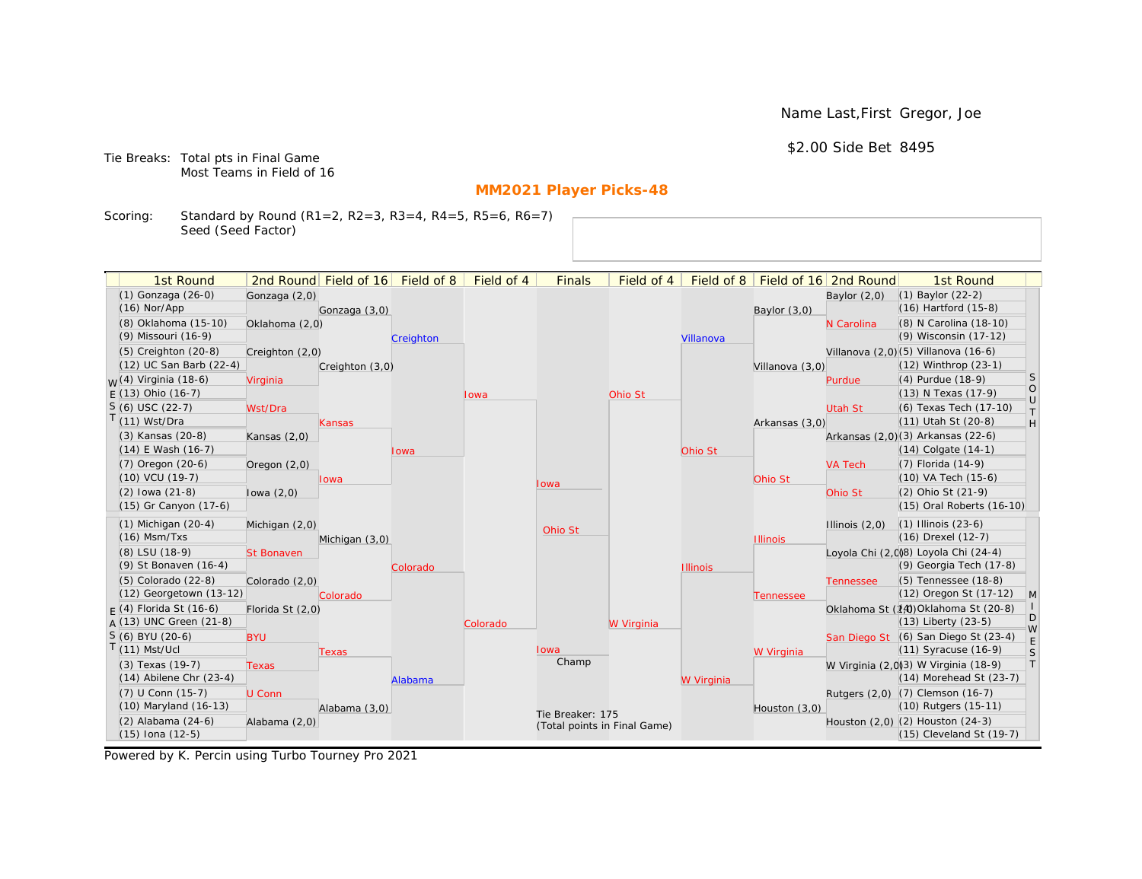Name Last,First Gregor, Joe

\$2.00 Side Bet 8495

Tie Breaks: Total pts in Final Game Most Teams in Field of 16

# **MM2021 Player Picks-48**

Scoring: Standard by Round (R1=2, R2=3, R3=4, R4=5, R5=6, R6=7) Seed (Seed Factor)

| 1st Round                         |                   | 2nd Round Field of 16 Field of 8 |           | Field of 4  | <b>Finals</b>                | Field of 4 | Field of 8      |                 | Field of 16 2nd Round | 1st Round                             |                   |
|-----------------------------------|-------------------|----------------------------------|-----------|-------------|------------------------------|------------|-----------------|-----------------|-----------------------|---------------------------------------|-------------------|
| (1) Gonzaga (26-0)                | Gonzaga (2,0)     |                                  |           |             |                              |            |                 |                 | Baylor $(2,0)$        | (1) Baylor (22-2)                     |                   |
| $(16)$ Nor/App                    |                   | Gonzaga (3,0)                    |           |             |                              |            |                 | Baylor $(3,0)$  |                       | (16) Hartford (15-8)                  |                   |
| (8) Oklahoma (15-10)              | Oklahoma (2,0)    |                                  |           |             |                              |            |                 |                 | N Carolina            | (8) N Carolina (18-10)                |                   |
| (9) Missouri (16-9)               |                   |                                  | Creighton |             |                              |            | Villanova       |                 |                       | (9) Wisconsin (17-12)                 |                   |
| (5) Creighton (20-8)              | Creighton (2,0)   |                                  |           |             |                              |            |                 |                 |                       | Villanova (2,0)(5) Villanova (16-6)   |                   |
| (12) UC San Barb (22-4)           |                   | Creighton (3,0)                  |           |             |                              |            |                 | Villanova (3,0) |                       | (12) Winthrop (23-1)                  |                   |
| <sub>M</sub> /(4) Virginia (18-6) | Virginia          |                                  |           |             |                              |            |                 |                 | Purdue                | (4) Purdue (18-9)                     | S                 |
| $F(13)$ Ohio (16-7)               |                   |                                  |           | <b>lowa</b> |                              | Ohio St    |                 |                 |                       | (13) N Texas (17-9)                   | $\circ$<br>$\cup$ |
| S (6) USC (22-7)                  | Wst/Dra           |                                  |           |             |                              |            |                 |                 | Utah St               | (6) Texas Tech (17-10)                | T.                |
| $(11)$ Wst/Dra                    |                   | <b>Kansas</b>                    |           |             |                              |            |                 | Arkansas (3,0)  |                       | (11) Utah St (20-8)                   | H                 |
| (3) Kansas (20-8)                 | Kansas $(2,0)$    |                                  |           |             |                              |            |                 |                 |                       | Arkansas (2,0)(3) Arkansas (22-6)     |                   |
| (14) E Wash (16-7)                |                   |                                  | lowa      |             |                              |            | Ohio St         |                 |                       | (14) Colgate (14-1)                   |                   |
| (7) Oregon (20-6)                 | Oregon $(2,0)$    |                                  |           |             |                              |            |                 |                 | <b>VA Tech</b>        | (7) Florida (14-9)                    |                   |
| (10) VCU (19-7)                   |                   | lowa                             |           |             | Iowa                         |            |                 | Ohio St         |                       | (10) VA Tech (15-6)                   |                   |
| $(2)$ lowa $(21-8)$               | lowa $(2,0)$      |                                  |           |             |                              |            |                 |                 | Ohio St               | (2) Ohio St (21-9)                    |                   |
| (15) Gr Canyon (17-6)             |                   |                                  |           |             |                              |            |                 |                 |                       | (15) Oral Roberts (16-10)             |                   |
| $(1)$ Michigan $(20-4)$           | Michigan (2,0)    |                                  |           |             | Ohio St                      |            |                 |                 | Illinois $(2,0)$      | $(1)$ Illinois $(23-6)$               |                   |
| $(16)$ Msm/Txs                    |                   | Michigan (3,0)                   |           |             |                              |            |                 | <b>Illinois</b> |                       | (16) Drexel (12-7)                    |                   |
| (8) LSU (18-9)                    | <b>St Bonaven</b> |                                  |           |             |                              |            |                 |                 |                       | Loyola Chi (2,008) Loyola Chi (24-4)  |                   |
| (9) St Bonaven (16-4)             |                   |                                  | Colorado  |             |                              |            | <b>Illinois</b> |                 |                       | (9) Georgia Tech (17-8)               |                   |
| (5) Colorado (22-8)               | Colorado (2,0)    |                                  |           |             |                              |            |                 |                 | <b>Tennessee</b>      | (5) Tennessee (18-8)                  |                   |
| (12) Georgetown (13-12)           |                   | Colorado                         |           |             |                              |            |                 | Tennessee       |                       | (12) Oregon St (17-12)                | $\mathsf{M}$      |
| $F(4)$ Florida St (16-6)          | Florida St (2,0)  |                                  |           |             |                              |            |                 |                 |                       | Oklahoma St (14) Oklahoma St (20-8)   |                   |
| $A(13)$ UNC Green (21-8)          |                   |                                  |           | Colorado    |                              | W Virginia |                 |                 |                       | $(13)$ Liberty $(23-5)$               | D<br>W            |
| $S(6)$ BYU (20-6)                 | <b>BYU</b>        |                                  |           |             |                              |            |                 |                 |                       | San Diego St (6) San Diego St (23-4)  | $\mathsf E$       |
| $(11)$ Mst/Ucl                    |                   | <b>Texas</b>                     |           |             | lowa                         |            |                 | W Virginia      |                       | (11) Syracuse (16-9)                  | S                 |
| (3) Texas (19-7)                  | <b>Texas</b>      |                                  |           |             | Champ                        |            |                 |                 |                       | W Virginia (2,0)(3) W Virginia (18-9) | $\top$            |
| $(14)$ Abilene Chr $(23-4)$       |                   |                                  | Alabama   |             |                              |            | W Virginia      |                 |                       | (14) Morehead St (23-7)               |                   |
| (7) U Conn (15-7)                 | U Conn            |                                  |           |             |                              |            |                 |                 |                       | Rutgers (2,0) (7) Clemson (16-7)      |                   |
| (10) Maryland (16-13)             |                   | Alabama (3,0)                    |           |             | Tie Breaker: 175             |            |                 | Houston (3,0)   |                       | (10) Rutgers (15-11)                  |                   |
| (2) Alabama (24-6)                | Alabama (2,0)     |                                  |           |             | (Total points in Final Game) |            |                 |                 |                       | Houston (2,0) (2) Houston (24-3)      |                   |
| (15) Iona (12-5)                  |                   |                                  |           |             |                              |            |                 |                 |                       | (15) Cleveland St (19-7)              |                   |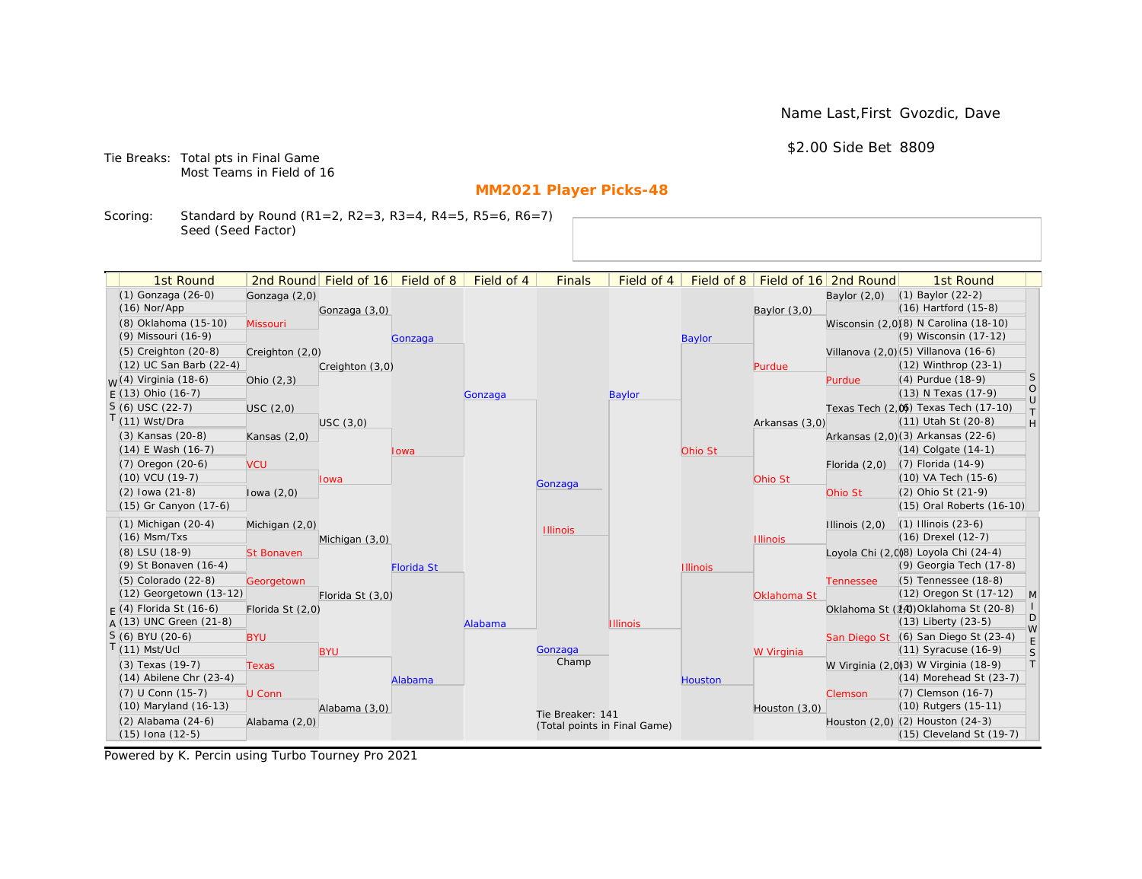Name Last,First Gvozdic, Dave

\$2.00 Side Bet 8809

Tie Breaks: Total pts in Final Game Most Teams in Field of 16

# **MM2021 Player Picks-48**

Scoring: Standard by Round (R1=2, R2=3, R3=4, R4=5, R5=6, R6=7) Seed (Seed Factor)

| 2nd Round Field of 16 Field of 8<br>(1) Gonzaga (26-0)<br>$(1)$ Baylor $(22-2)$<br>Gonzaga (2,0)<br>Baylor $(2,0)$<br>(16) Hartford (15-8)<br>$(16)$ Nor/App<br>Gonzaga (3,0)<br>Baylor $(3,0)$<br>(8) Oklahoma (15-10)<br>Wisconsin (2,0)(8) N Carolina (18-10)<br>Missouri<br>(9) Wisconsin (17-12)<br>(9) Missouri (16-9)<br><b>Baylor</b><br>Gonzaga<br>Villanova (2,0) (5) Villanova (16-6)<br>$(5)$ Creighton $(20-8)$<br>Creighton (2,0)<br>(12) UC San Barb (22-4)<br>$(12)$ Winthrop $(23-1)$<br>Creighton (3,0)<br>Purdue<br>S<br><sub>M</sub> /(4) Virginia (18-6)<br>(4) Purdue (18-9)<br>Ohio $(2,3)$<br>Purdue<br>$\circ$<br>$F(13)$ Ohio (16-7)<br>(13) N Texas (17-9)<br><b>Baylor</b><br>Gonzaga<br>$\cup$<br>$S(6)$ USC (22-7)<br>Texas Tech (2,0) Texas Tech (17-10)<br>USC(2,0)<br>T.<br>$T(11)$ Wst/Dra<br>(11) Utah St (20-8)<br>H<br>USC(3,0)<br>Arkansas (3,0)<br>Arkansas (2,0)(3) Arkansas (22-6)<br>(3) Kansas (20-8)<br>Kansas $(2,0)$<br>$(14)$ E Wash $(16-7)$<br>$(14)$ Colgate $(14-1)$<br>Ohio St<br>lowa<br>(7) Florida (14-9)<br>(7) Oregon (20-6)<br><b>VCU</b><br>Florida $(2,0)$<br>(10) VCU (19-7)<br>(10) VA Tech (15-6)<br>Ohio St<br><b>lowa</b><br>Gonzaga<br>$(2)$ lowa $(21-8)$<br>(2) Ohio St (21-9)<br>Ohio St<br>lowa $(2,0)$<br>(15) Gr Canyon (17-6)<br>(15) Oral Roberts (16-10)<br>$(1)$ Michigan $(20-4)$<br>$(1)$ Illinois $(23-6)$<br>Michigan (2,0)<br>Illinois $(2,0)$<br><b>Illinois</b><br>$(16)$ Msm/Txs<br>(16) Drexel (12-7)<br><b>Illinois</b><br>Michigan (3,0)<br>Loyola Chi (2,008) Loyola Chi (24-4)<br>(8) LSU (18-9)<br><b>St Bonaven</b><br>(9) Georgia Tech (17-8)<br>(9) St Bonaven (16-4)<br><b>Florida St</b><br><b>Illinois</b><br>(5) Tennessee (18-8)<br>(5) Colorado (22-8)<br>Georgetown<br><b>Tennessee</b><br>(12) Georgetown (13-12)<br>(12) Oregon St (17-12)<br>$\mathsf{M}$<br>Florida St (3,0)<br>Oklahoma St<br>$F(4)$ Florida St (16-6)<br>Oklahoma St (14) Oklahoma St (20-8)<br>Florida St (2,0)<br>D<br>A (13) UNC Green (21-8)<br>(13) Liberty (23-5)<br>Alabama<br><b>Illinois</b><br>W<br>$S(6)$ BYU (20-6)<br>San Diego St (6) San Diego St (23-4)<br><b>BYU</b><br>$\mathsf E$<br>$T(11)$ Mst/Ucl<br>(11) Syracuse (16-9)<br>Gonzaga<br><b>BYU</b><br>S<br>W Virginia<br>Champ<br>T<br>W Virginia (2,0)3) W Virginia (18-9)<br>(3) Texas (19-7)<br><b>Texas</b><br>$(14)$ Abilene Chr $(23-4)$<br>$(14)$ Morehead St $(23-7)$<br>Alabama<br>Houston<br>(7) U Conn (15-7)<br>(7) Clemson (16-7)<br>U Conn<br><b>Clemson</b><br>(10) Maryland (16-13)<br>(10) Rutgers (15-11)<br>Alabama (3,0)<br>Houston (3,0)<br>Tie Breaker: 141<br>(2) Alabama (24-6)<br>Houston (2,0) (2) Houston (24-3)<br>Alabama (2,0)<br>(Total points in Final Game)<br>(15) Cleveland St (19-7) | 1st Round            |  | Field of 4 | <b>Finals</b> | Field of 4 | Field of 8 | Field of 16 2nd Round | 1st Round |  |
|--------------------------------------------------------------------------------------------------------------------------------------------------------------------------------------------------------------------------------------------------------------------------------------------------------------------------------------------------------------------------------------------------------------------------------------------------------------------------------------------------------------------------------------------------------------------------------------------------------------------------------------------------------------------------------------------------------------------------------------------------------------------------------------------------------------------------------------------------------------------------------------------------------------------------------------------------------------------------------------------------------------------------------------------------------------------------------------------------------------------------------------------------------------------------------------------------------------------------------------------------------------------------------------------------------------------------------------------------------------------------------------------------------------------------------------------------------------------------------------------------------------------------------------------------------------------------------------------------------------------------------------------------------------------------------------------------------------------------------------------------------------------------------------------------------------------------------------------------------------------------------------------------------------------------------------------------------------------------------------------------------------------------------------------------------------------------------------------------------------------------------------------------------------------------------------------------------------------------------------------------------------------------------------------------------------------------------------------------------------------------------------------------------------------------------------------------------------------------------------------------------------------------------------------------------------------------------------------------------------------------------------------------------------------------------------------------------------------------------------------------------------------------|----------------------|--|------------|---------------|------------|------------|-----------------------|-----------|--|
|                                                                                                                                                                                                                                                                                                                                                                                                                                                                                                                                                                                                                                                                                                                                                                                                                                                                                                                                                                                                                                                                                                                                                                                                                                                                                                                                                                                                                                                                                                                                                                                                                                                                                                                                                                                                                                                                                                                                                                                                                                                                                                                                                                                                                                                                                                                                                                                                                                                                                                                                                                                                                                                                                                                                                                          |                      |  |            |               |            |            |                       |           |  |
|                                                                                                                                                                                                                                                                                                                                                                                                                                                                                                                                                                                                                                                                                                                                                                                                                                                                                                                                                                                                                                                                                                                                                                                                                                                                                                                                                                                                                                                                                                                                                                                                                                                                                                                                                                                                                                                                                                                                                                                                                                                                                                                                                                                                                                                                                                                                                                                                                                                                                                                                                                                                                                                                                                                                                                          |                      |  |            |               |            |            |                       |           |  |
|                                                                                                                                                                                                                                                                                                                                                                                                                                                                                                                                                                                                                                                                                                                                                                                                                                                                                                                                                                                                                                                                                                                                                                                                                                                                                                                                                                                                                                                                                                                                                                                                                                                                                                                                                                                                                                                                                                                                                                                                                                                                                                                                                                                                                                                                                                                                                                                                                                                                                                                                                                                                                                                                                                                                                                          |                      |  |            |               |            |            |                       |           |  |
|                                                                                                                                                                                                                                                                                                                                                                                                                                                                                                                                                                                                                                                                                                                                                                                                                                                                                                                                                                                                                                                                                                                                                                                                                                                                                                                                                                                                                                                                                                                                                                                                                                                                                                                                                                                                                                                                                                                                                                                                                                                                                                                                                                                                                                                                                                                                                                                                                                                                                                                                                                                                                                                                                                                                                                          |                      |  |            |               |            |            |                       |           |  |
|                                                                                                                                                                                                                                                                                                                                                                                                                                                                                                                                                                                                                                                                                                                                                                                                                                                                                                                                                                                                                                                                                                                                                                                                                                                                                                                                                                                                                                                                                                                                                                                                                                                                                                                                                                                                                                                                                                                                                                                                                                                                                                                                                                                                                                                                                                                                                                                                                                                                                                                                                                                                                                                                                                                                                                          |                      |  |            |               |            |            |                       |           |  |
|                                                                                                                                                                                                                                                                                                                                                                                                                                                                                                                                                                                                                                                                                                                                                                                                                                                                                                                                                                                                                                                                                                                                                                                                                                                                                                                                                                                                                                                                                                                                                                                                                                                                                                                                                                                                                                                                                                                                                                                                                                                                                                                                                                                                                                                                                                                                                                                                                                                                                                                                                                                                                                                                                                                                                                          |                      |  |            |               |            |            |                       |           |  |
|                                                                                                                                                                                                                                                                                                                                                                                                                                                                                                                                                                                                                                                                                                                                                                                                                                                                                                                                                                                                                                                                                                                                                                                                                                                                                                                                                                                                                                                                                                                                                                                                                                                                                                                                                                                                                                                                                                                                                                                                                                                                                                                                                                                                                                                                                                                                                                                                                                                                                                                                                                                                                                                                                                                                                                          |                      |  |            |               |            |            |                       |           |  |
|                                                                                                                                                                                                                                                                                                                                                                                                                                                                                                                                                                                                                                                                                                                                                                                                                                                                                                                                                                                                                                                                                                                                                                                                                                                                                                                                                                                                                                                                                                                                                                                                                                                                                                                                                                                                                                                                                                                                                                                                                                                                                                                                                                                                                                                                                                                                                                                                                                                                                                                                                                                                                                                                                                                                                                          |                      |  |            |               |            |            |                       |           |  |
|                                                                                                                                                                                                                                                                                                                                                                                                                                                                                                                                                                                                                                                                                                                                                                                                                                                                                                                                                                                                                                                                                                                                                                                                                                                                                                                                                                                                                                                                                                                                                                                                                                                                                                                                                                                                                                                                                                                                                                                                                                                                                                                                                                                                                                                                                                                                                                                                                                                                                                                                                                                                                                                                                                                                                                          |                      |  |            |               |            |            |                       |           |  |
|                                                                                                                                                                                                                                                                                                                                                                                                                                                                                                                                                                                                                                                                                                                                                                                                                                                                                                                                                                                                                                                                                                                                                                                                                                                                                                                                                                                                                                                                                                                                                                                                                                                                                                                                                                                                                                                                                                                                                                                                                                                                                                                                                                                                                                                                                                                                                                                                                                                                                                                                                                                                                                                                                                                                                                          |                      |  |            |               |            |            |                       |           |  |
|                                                                                                                                                                                                                                                                                                                                                                                                                                                                                                                                                                                                                                                                                                                                                                                                                                                                                                                                                                                                                                                                                                                                                                                                                                                                                                                                                                                                                                                                                                                                                                                                                                                                                                                                                                                                                                                                                                                                                                                                                                                                                                                                                                                                                                                                                                                                                                                                                                                                                                                                                                                                                                                                                                                                                                          |                      |  |            |               |            |            |                       |           |  |
|                                                                                                                                                                                                                                                                                                                                                                                                                                                                                                                                                                                                                                                                                                                                                                                                                                                                                                                                                                                                                                                                                                                                                                                                                                                                                                                                                                                                                                                                                                                                                                                                                                                                                                                                                                                                                                                                                                                                                                                                                                                                                                                                                                                                                                                                                                                                                                                                                                                                                                                                                                                                                                                                                                                                                                          |                      |  |            |               |            |            |                       |           |  |
|                                                                                                                                                                                                                                                                                                                                                                                                                                                                                                                                                                                                                                                                                                                                                                                                                                                                                                                                                                                                                                                                                                                                                                                                                                                                                                                                                                                                                                                                                                                                                                                                                                                                                                                                                                                                                                                                                                                                                                                                                                                                                                                                                                                                                                                                                                                                                                                                                                                                                                                                                                                                                                                                                                                                                                          |                      |  |            |               |            |            |                       |           |  |
|                                                                                                                                                                                                                                                                                                                                                                                                                                                                                                                                                                                                                                                                                                                                                                                                                                                                                                                                                                                                                                                                                                                                                                                                                                                                                                                                                                                                                                                                                                                                                                                                                                                                                                                                                                                                                                                                                                                                                                                                                                                                                                                                                                                                                                                                                                                                                                                                                                                                                                                                                                                                                                                                                                                                                                          |                      |  |            |               |            |            |                       |           |  |
|                                                                                                                                                                                                                                                                                                                                                                                                                                                                                                                                                                                                                                                                                                                                                                                                                                                                                                                                                                                                                                                                                                                                                                                                                                                                                                                                                                                                                                                                                                                                                                                                                                                                                                                                                                                                                                                                                                                                                                                                                                                                                                                                                                                                                                                                                                                                                                                                                                                                                                                                                                                                                                                                                                                                                                          |                      |  |            |               |            |            |                       |           |  |
|                                                                                                                                                                                                                                                                                                                                                                                                                                                                                                                                                                                                                                                                                                                                                                                                                                                                                                                                                                                                                                                                                                                                                                                                                                                                                                                                                                                                                                                                                                                                                                                                                                                                                                                                                                                                                                                                                                                                                                                                                                                                                                                                                                                                                                                                                                                                                                                                                                                                                                                                                                                                                                                                                                                                                                          |                      |  |            |               |            |            |                       |           |  |
|                                                                                                                                                                                                                                                                                                                                                                                                                                                                                                                                                                                                                                                                                                                                                                                                                                                                                                                                                                                                                                                                                                                                                                                                                                                                                                                                                                                                                                                                                                                                                                                                                                                                                                                                                                                                                                                                                                                                                                                                                                                                                                                                                                                                                                                                                                                                                                                                                                                                                                                                                                                                                                                                                                                                                                          |                      |  |            |               |            |            |                       |           |  |
|                                                                                                                                                                                                                                                                                                                                                                                                                                                                                                                                                                                                                                                                                                                                                                                                                                                                                                                                                                                                                                                                                                                                                                                                                                                                                                                                                                                                                                                                                                                                                                                                                                                                                                                                                                                                                                                                                                                                                                                                                                                                                                                                                                                                                                                                                                                                                                                                                                                                                                                                                                                                                                                                                                                                                                          |                      |  |            |               |            |            |                       |           |  |
|                                                                                                                                                                                                                                                                                                                                                                                                                                                                                                                                                                                                                                                                                                                                                                                                                                                                                                                                                                                                                                                                                                                                                                                                                                                                                                                                                                                                                                                                                                                                                                                                                                                                                                                                                                                                                                                                                                                                                                                                                                                                                                                                                                                                                                                                                                                                                                                                                                                                                                                                                                                                                                                                                                                                                                          |                      |  |            |               |            |            |                       |           |  |
|                                                                                                                                                                                                                                                                                                                                                                                                                                                                                                                                                                                                                                                                                                                                                                                                                                                                                                                                                                                                                                                                                                                                                                                                                                                                                                                                                                                                                                                                                                                                                                                                                                                                                                                                                                                                                                                                                                                                                                                                                                                                                                                                                                                                                                                                                                                                                                                                                                                                                                                                                                                                                                                                                                                                                                          |                      |  |            |               |            |            |                       |           |  |
|                                                                                                                                                                                                                                                                                                                                                                                                                                                                                                                                                                                                                                                                                                                                                                                                                                                                                                                                                                                                                                                                                                                                                                                                                                                                                                                                                                                                                                                                                                                                                                                                                                                                                                                                                                                                                                                                                                                                                                                                                                                                                                                                                                                                                                                                                                                                                                                                                                                                                                                                                                                                                                                                                                                                                                          |                      |  |            |               |            |            |                       |           |  |
|                                                                                                                                                                                                                                                                                                                                                                                                                                                                                                                                                                                                                                                                                                                                                                                                                                                                                                                                                                                                                                                                                                                                                                                                                                                                                                                                                                                                                                                                                                                                                                                                                                                                                                                                                                                                                                                                                                                                                                                                                                                                                                                                                                                                                                                                                                                                                                                                                                                                                                                                                                                                                                                                                                                                                                          |                      |  |            |               |            |            |                       |           |  |
|                                                                                                                                                                                                                                                                                                                                                                                                                                                                                                                                                                                                                                                                                                                                                                                                                                                                                                                                                                                                                                                                                                                                                                                                                                                                                                                                                                                                                                                                                                                                                                                                                                                                                                                                                                                                                                                                                                                                                                                                                                                                                                                                                                                                                                                                                                                                                                                                                                                                                                                                                                                                                                                                                                                                                                          |                      |  |            |               |            |            |                       |           |  |
|                                                                                                                                                                                                                                                                                                                                                                                                                                                                                                                                                                                                                                                                                                                                                                                                                                                                                                                                                                                                                                                                                                                                                                                                                                                                                                                                                                                                                                                                                                                                                                                                                                                                                                                                                                                                                                                                                                                                                                                                                                                                                                                                                                                                                                                                                                                                                                                                                                                                                                                                                                                                                                                                                                                                                                          |                      |  |            |               |            |            |                       |           |  |
|                                                                                                                                                                                                                                                                                                                                                                                                                                                                                                                                                                                                                                                                                                                                                                                                                                                                                                                                                                                                                                                                                                                                                                                                                                                                                                                                                                                                                                                                                                                                                                                                                                                                                                                                                                                                                                                                                                                                                                                                                                                                                                                                                                                                                                                                                                                                                                                                                                                                                                                                                                                                                                                                                                                                                                          |                      |  |            |               |            |            |                       |           |  |
|                                                                                                                                                                                                                                                                                                                                                                                                                                                                                                                                                                                                                                                                                                                                                                                                                                                                                                                                                                                                                                                                                                                                                                                                                                                                                                                                                                                                                                                                                                                                                                                                                                                                                                                                                                                                                                                                                                                                                                                                                                                                                                                                                                                                                                                                                                                                                                                                                                                                                                                                                                                                                                                                                                                                                                          |                      |  |            |               |            |            |                       |           |  |
|                                                                                                                                                                                                                                                                                                                                                                                                                                                                                                                                                                                                                                                                                                                                                                                                                                                                                                                                                                                                                                                                                                                                                                                                                                                                                                                                                                                                                                                                                                                                                                                                                                                                                                                                                                                                                                                                                                                                                                                                                                                                                                                                                                                                                                                                                                                                                                                                                                                                                                                                                                                                                                                                                                                                                                          |                      |  |            |               |            |            |                       |           |  |
|                                                                                                                                                                                                                                                                                                                                                                                                                                                                                                                                                                                                                                                                                                                                                                                                                                                                                                                                                                                                                                                                                                                                                                                                                                                                                                                                                                                                                                                                                                                                                                                                                                                                                                                                                                                                                                                                                                                                                                                                                                                                                                                                                                                                                                                                                                                                                                                                                                                                                                                                                                                                                                                                                                                                                                          |                      |  |            |               |            |            |                       |           |  |
|                                                                                                                                                                                                                                                                                                                                                                                                                                                                                                                                                                                                                                                                                                                                                                                                                                                                                                                                                                                                                                                                                                                                                                                                                                                                                                                                                                                                                                                                                                                                                                                                                                                                                                                                                                                                                                                                                                                                                                                                                                                                                                                                                                                                                                                                                                                                                                                                                                                                                                                                                                                                                                                                                                                                                                          |                      |  |            |               |            |            |                       |           |  |
|                                                                                                                                                                                                                                                                                                                                                                                                                                                                                                                                                                                                                                                                                                                                                                                                                                                                                                                                                                                                                                                                                                                                                                                                                                                                                                                                                                                                                                                                                                                                                                                                                                                                                                                                                                                                                                                                                                                                                                                                                                                                                                                                                                                                                                                                                                                                                                                                                                                                                                                                                                                                                                                                                                                                                                          |                      |  |            |               |            |            |                       |           |  |
|                                                                                                                                                                                                                                                                                                                                                                                                                                                                                                                                                                                                                                                                                                                                                                                                                                                                                                                                                                                                                                                                                                                                                                                                                                                                                                                                                                                                                                                                                                                                                                                                                                                                                                                                                                                                                                                                                                                                                                                                                                                                                                                                                                                                                                                                                                                                                                                                                                                                                                                                                                                                                                                                                                                                                                          | $(15)$ Iona $(12-5)$ |  |            |               |            |            |                       |           |  |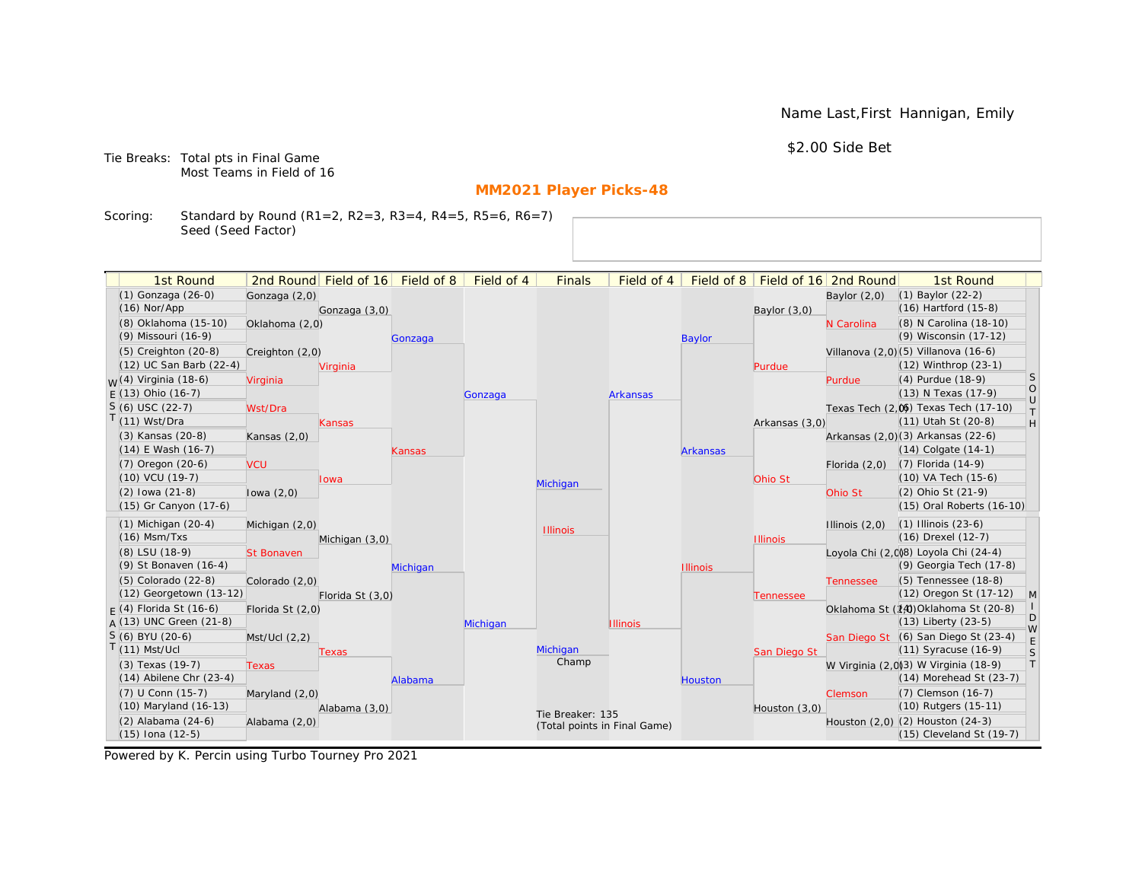Name Last,First Hannigan, Emily

\$2.00 Side Bet

Tie Breaks: Total pts in Final Game Most Teams in Field of 16

# **MM2021 Player Picks-48**

Scoring: Standard by Round (R1=2, R2=3, R3=4, R4=5, R5=6, R6=7) Seed (Seed Factor)

| 1st Round                        |                   | 2nd Round Field of 16 | Field of 8 | Field of 4 | <b>Finals</b>     | Field of 4                   | Field of 8      |                 | Field of 16 2nd Round | 1st Round                            |                   |
|----------------------------------|-------------------|-----------------------|------------|------------|-------------------|------------------------------|-----------------|-----------------|-----------------------|--------------------------------------|-------------------|
| (1) Gonzaga (26-0)               | Gonzaga (2,0)     |                       |            |            |                   |                              |                 |                 | Baylor $(2,0)$        | $(1)$ Baylor $(22-2)$                |                   |
| $(16)$ Nor/App                   |                   | Gonzaga (3,0)         |            |            |                   |                              |                 | Baylor $(3,0)$  |                       | (16) Hartford (15-8)                 |                   |
| (8) Oklahoma (15-10)             | Oklahoma (2,0)    |                       |            |            |                   |                              |                 |                 | N Carolina            | (8) N Carolina (18-10)               |                   |
| (9) Missouri (16-9)              |                   |                       | Gonzaga    |            |                   |                              | <b>Baylor</b>   |                 |                       | (9) Wisconsin (17-12)                |                   |
| $(5)$ Creighton $(20-8)$         | Creighton (2,0)   |                       |            |            |                   |                              |                 |                 |                       | Villanova (2,0)(5) Villanova (16-6)  |                   |
| (12) UC San Barb (22-4)          |                   | Virginia              |            |            |                   |                              |                 | Purdue          |                       | (12) Winthrop (23-1)                 |                   |
| <sub>W</sub> (4) Virginia (18-6) | Virginia          |                       |            |            |                   |                              |                 |                 | Purdue                | (4) Purdue (18-9)                    | S                 |
| $E(13)$ Ohio (16-7)              |                   |                       |            | Gonzaga    |                   | <b>Arkansas</b>              |                 |                 |                       | (13) N Texas (17-9)                  | $\circ$<br>$\cup$ |
| $S(6)$ USC (22-7)                | Wst/Dra           |                       |            |            |                   |                              |                 |                 |                       | Texas Tech (2,0) Texas Tech (17-10)  | $\top$            |
| T(11) Wst/Dra                    |                   | Kansas                |            |            |                   |                              |                 | Arkansas (3,0)  |                       | (11) Utah St (20-8)                  | H                 |
| (3) Kansas (20-8)                | Kansas $(2,0)$    |                       |            |            |                   |                              |                 |                 |                       | Arkansas (2,0)(3) Arkansas (22-6)    |                   |
| $(14)$ E Wash $(16-7)$           |                   |                       | Kansas     |            |                   |                              | <b>Arkansas</b> |                 |                       | $(14)$ Colgate $(14-1)$              |                   |
| (7) Oregon (20-6)                | <b>VCU</b>        |                       |            |            |                   |                              |                 |                 | Florida $(2,0)$       | $(7)$ Florida $(14-9)$               |                   |
| (10) VCU (19-7)                  |                   | <b>lowa</b>           |            |            | Michigan          |                              |                 | Ohio St         |                       | (10) VA Tech (15-6)                  |                   |
| $(2)$ lowa $(21-8)$              | lowa $(2,0)$      |                       |            |            |                   |                              |                 |                 | Ohio St               | (2) Ohio St (21-9)                   |                   |
| (15) Gr Canyon (17-6)            |                   |                       |            |            |                   |                              |                 |                 |                       | (15) Oral Roberts (16-10)            |                   |
| $(1)$ Michigan $(20-4)$          | Michigan (2,0)    |                       |            |            | <b>Illinois</b>   |                              |                 |                 | Illinois $(2,0)$      | $(1)$ Illinois $(23-6)$              |                   |
| $(16)$ Msm/Txs                   |                   | Michigan (3,0)        |            |            |                   |                              |                 | <b>Illinois</b> |                       | (16) Drexel (12-7)                   |                   |
| (8) LSU (18-9)                   | <b>St Bonaven</b> |                       |            |            |                   |                              |                 |                 |                       | Loyola Chi (2,0)8) Loyola Chi (24-4) |                   |
| (9) St Bonaven (16-4)            |                   |                       | Michigan   |            |                   |                              | <b>Illinois</b> |                 |                       | (9) Georgia Tech (17-8)              |                   |
| $(5)$ Colorado $(22-8)$          | Colorado (2,0)    |                       |            |            |                   |                              |                 |                 | <b>Tennessee</b>      | (5) Tennessee (18-8)                 |                   |
| (12) Georgetown (13-12)          |                   | Florida St (3,0)      |            |            |                   |                              |                 | Tennessee       |                       | (12) Oregon St (17-12)               | $\mathsf{M}$      |
| $F(4)$ Florida St (16-6)         | Florida St (2,0)  |                       |            |            |                   |                              |                 |                 |                       | Oklahoma St (14) Oklahoma St (20-8)  | D                 |
| $A(13)$ UNC Green (21-8)         |                   |                       |            | Michigan   |                   | <b>Illinois</b>              |                 |                 |                       | (13) Liberty (23-5)                  | W                 |
| S (6) BYU (20-6)                 | Mst/Ucl (2,2)     |                       |            |            |                   |                              |                 |                 |                       | San Diego St (6) San Diego St (23-4) | E                 |
| $T(11)$ Mst/Ucl                  |                   | Texas                 |            |            | Michigan<br>Champ |                              |                 | San Diego St    |                       | (11) Syracuse (16-9)                 | S                 |
| (3) Texas (19-7)                 | <b>Texas</b>      |                       |            |            |                   |                              |                 |                 |                       | W Virginia (2,0)3) W Virginia (18-9) | T                 |
| $(14)$ Abilene Chr $(23-4)$      |                   |                       | Alabama    |            |                   |                              | Houston         |                 |                       | (14) Morehead St (23-7)              |                   |
| (7) U Conn (15-7)                | Maryland $(2,0)$  |                       |            |            |                   |                              |                 |                 | Clemson               | (7) Clemson (16-7)                   |                   |
| (10) Maryland (16-13)            |                   | Alabama (3,0)         |            |            | Tie Breaker: 135  |                              |                 | Houston (3,0)   |                       | (10) Rutgers (15-11)                 |                   |
| (2) Alabama (24-6)               | Alabama (2,0)     |                       |            |            |                   | (Total points in Final Game) |                 |                 |                       | Houston (2,0) (2) Houston (24-3)     |                   |
| $(15)$ Iona $(12-5)$             |                   |                       |            |            |                   |                              |                 |                 |                       | (15) Cleveland St (19-7)             |                   |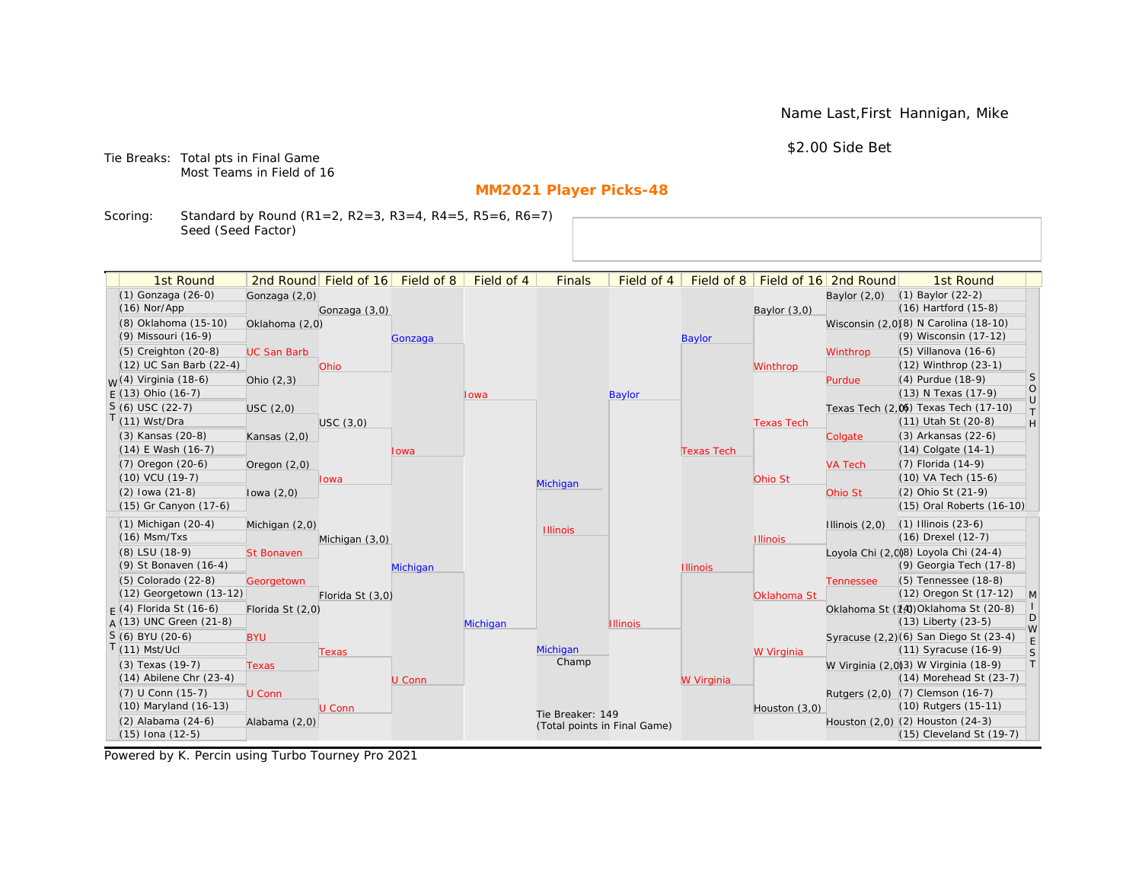Name Last,First Hannigan, Mike

\$2.00 Side Bet

Tie Breaks: Total pts in Final Game Most Teams in Field of 16

# **MM2021 Player Picks-48**

Scoring: Standard by Round (R1=2, R2=3, R3=4, R4=5, R5=6, R6=7) Seed (Seed Factor)

| 1st Round                                       |                    | 2nd Round Field of 16 | Field of 8 | Field of 4 | <b>Finals</b>                | Field of 4      | Field of 8        |                   | Field of 16 2nd Round | 1st Round                                                        |                                                                   |
|-------------------------------------------------|--------------------|-----------------------|------------|------------|------------------------------|-----------------|-------------------|-------------------|-----------------------|------------------------------------------------------------------|-------------------------------------------------------------------|
| (1) Gonzaga (26-0)                              | Gonzaga (2,0)      |                       |            |            |                              |                 |                   |                   | Baylor $(2,0)$        | $(1)$ Baylor $(22-2)$                                            |                                                                   |
| $(16)$ Nor/App                                  |                    | Gonzaga (3,0)         |            |            |                              |                 |                   | Baylor (3,0)      |                       | $(16)$ Hartford $(15-8)$                                         |                                                                   |
| (8) Oklahoma (15-10)                            | Oklahoma (2,0)     |                       |            |            |                              |                 |                   |                   |                       | Wisconsin (2,0)(8) N Carolina (18-10)                            |                                                                   |
| (9) Missouri (16-9)                             |                    |                       | Gonzaga    |            |                              |                 | <b>Baylor</b>     |                   |                       | (9) Wisconsin (17-12)                                            |                                                                   |
| $(5)$ Creighton $(20-8)$                        | <b>UC San Barb</b> |                       |            |            |                              |                 |                   |                   | Winthrop              | $(5)$ Villanova $(16-6)$                                         |                                                                   |
| (12) UC San Barb (22-4)                         |                    | <b>Ohio</b>           |            |            |                              |                 |                   | Winthrop          |                       | (12) Winthrop (23-1)                                             |                                                                   |
| <sub>W</sub> (4) Virginia (18-6)                | Ohio $(2,3)$       |                       |            |            |                              |                 |                   |                   | Purdue                | (4) Purdue (18-9)                                                | <b>S</b>                                                          |
| $E(13)$ Ohio (16-7)                             |                    |                       |            | Iowa       |                              | <b>Baylor</b>   |                   |                   |                       | (13) N Texas (17-9)                                              | $\circ$<br>$\cup$                                                 |
| $S(6)$ USC (22-7)                               | <b>USC</b> (2,0)   |                       |            |            |                              |                 |                   |                   |                       | Texas Tech (2,0) Texas Tech (17-10)                              | $\top$                                                            |
| $T(11)$ Wst/Dra                                 |                    | USC(3,0)              |            |            |                              |                 |                   | <b>Texas Tech</b> |                       | (11) Utah St (20-8)                                              | $\mathsf{H}% _{\mathsf{H}}^{\ast}=\mathsf{H}_{\mathsf{H}}^{\ast}$ |
| (3) Kansas (20-8)                               | Kansas $(2,0)$     |                       |            |            |                              |                 |                   |                   | Colgate               | (3) Arkansas (22-6)                                              |                                                                   |
| $(14)$ E Wash $(16-7)$                          |                    |                       | Iowa       |            |                              |                 | <b>Texas Tech</b> |                   |                       | $(14)$ Colgate $(14-1)$                                          |                                                                   |
| $(7)$ Oregon $(20-6)$                           | Oregon $(2,0)$     |                       |            |            |                              |                 |                   |                   | <b>VA Tech</b>        | (7) Florida (14-9)                                               |                                                                   |
| $(10)$ VCU $(19-7)$                             |                    | lowa                  |            |            | Michigan                     |                 |                   | Ohio St           |                       | $(10)$ VA Tech $(15-6)$                                          |                                                                   |
| $(2)$ lowa $(21-8)$                             | lowa $(2,0)$       |                       |            |            |                              |                 |                   |                   | Ohio St               | (2) Ohio St (21-9)                                               |                                                                   |
| (15) Gr Canyon (17-6)                           |                    |                       |            |            |                              |                 |                   |                   |                       | (15) Oral Roberts (16-10)                                        |                                                                   |
| $(1)$ Michigan $(20-4)$                         | Michigan (2,0)     |                       |            |            | <b>Illinois</b>              |                 |                   |                   | Illinois $(2,0)$      | $(1)$ Illinois $(23-6)$                                          |                                                                   |
| $(16)$ Msm/Txs                                  |                    | Michigan (3,0)        |            |            |                              |                 |                   | <b>Illinois</b>   |                       | (16) Drexel (12-7)                                               |                                                                   |
| (8) LSU (18-9)                                  | <b>St Bonaven</b>  |                       |            |            |                              |                 |                   |                   |                       | Loyola Chi (2,0)8) Loyola Chi (24-4)                             |                                                                   |
| (9) St Bonaven (16-4)                           |                    |                       | Michigan   |            |                              |                 | <b>Illinois</b>   |                   |                       | (9) Georgia Tech (17-8)                                          |                                                                   |
| (5) Colorado (22-8)                             | Georgetown         |                       |            |            |                              |                 |                   |                   | <b>Tennessee</b>      | (5) Tennessee (18-8)                                             |                                                                   |
| (12) Georgetown (13-12)                         |                    | Florida St (3,0)      |            |            |                              |                 |                   | Oklahoma St       |                       | (12) Oregon St (17-12)                                           | M                                                                 |
| $F(4)$ Florida St (16-6)                        | Florida St (2,0)   |                       |            |            |                              |                 |                   |                   |                       | Oklahoma St (14) Oklahoma St (20-8)                              | D                                                                 |
| $A(13)$ UNC Green (21-8)                        |                    |                       |            | Michigan   |                              | <b>Illinois</b> |                   |                   |                       | $(13)$ Liberty $(23-5)$                                          | W                                                                 |
| S (6) BYU (20-6)                                | <b>BYU</b>         |                       |            |            |                              |                 |                   |                   |                       | Syracuse (2,2)(6) San Diego St (23-4)                            | E                                                                 |
| $T(11)$ Mst/Ucl                                 |                    | Texas                 |            |            | Michigan<br>Champ            |                 |                   | W Virginia        |                       | $(11)$ Syracuse $(16-9)$                                         | S<br> T                                                           |
| (3) Texas (19-7)<br>$(14)$ Abilene Chr $(23-4)$ | <b>Texas</b>       |                       |            |            |                              |                 |                   |                   |                       | W Virginia (2,0)(3) W Virginia (18-9)<br>(14) Morehead St (23-7) |                                                                   |
| (7) U Conn (15-7)                               |                    |                       | U Conn     |            |                              |                 | W Virginia        |                   |                       |                                                                  |                                                                   |
| (10) Maryland (16-13)                           | U Conn             | U Conn                |            |            |                              |                 |                   |                   |                       | Rutgers (2,0) (7) Clemson (16-7)<br>(10) Rutgers (15-11)         |                                                                   |
| (2) Alabama (24-6)                              | Alabama (2,0)      |                       |            |            | Tie Breaker: 149             |                 |                   | Houston (3,0)     |                       | Houston (2,0) (2) Houston (24-3)                                 |                                                                   |
| $(15)$ Iona $(12-5)$                            |                    |                       |            |            | (Total points in Final Game) |                 |                   |                   |                       | (15) Cleveland St (19-7)                                         |                                                                   |
|                                                 |                    |                       |            |            |                              |                 |                   |                   |                       |                                                                  |                                                                   |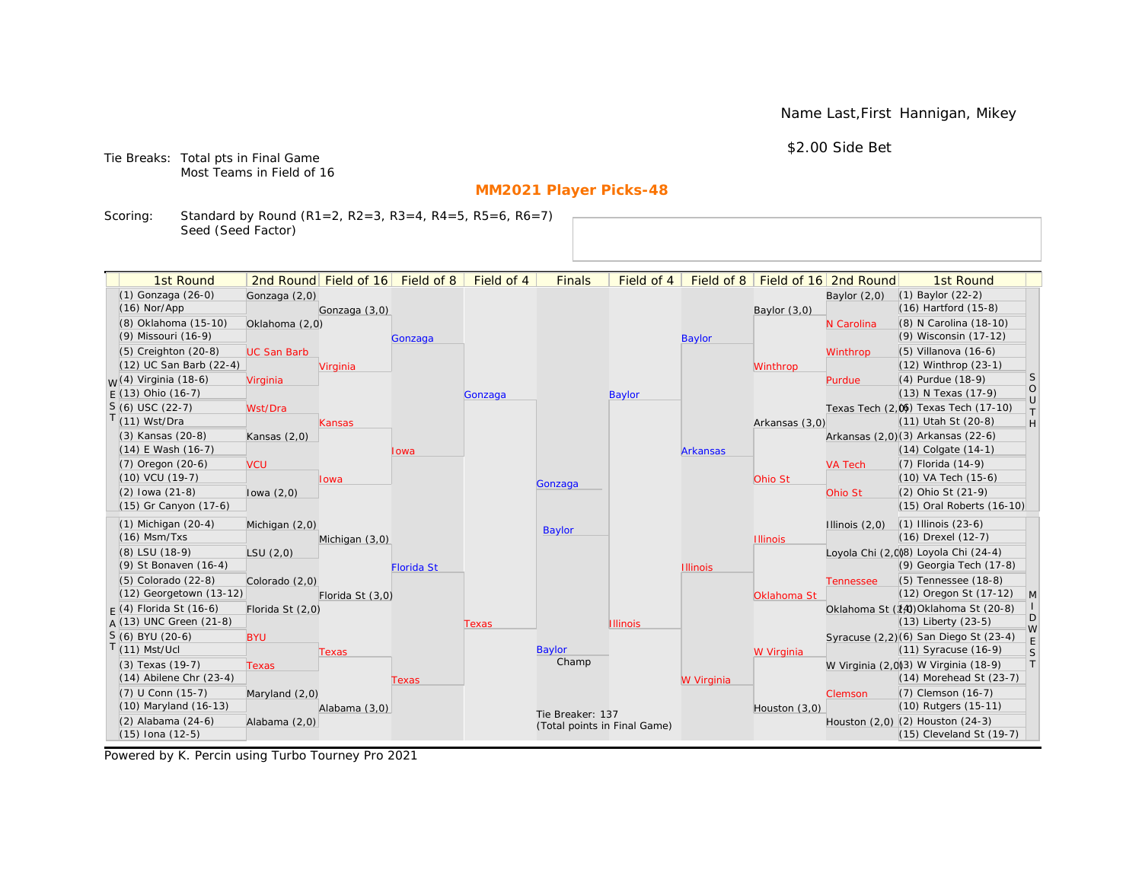Name Last,First Hannigan, Mikey

\$2.00 Side Bet

Tie Breaks: Total pts in Final Game Most Teams in Field of 16

# **MM2021 Player Picks-48**

Scoring: Standard by Round (R1=2, R2=3, R3=4, R4=5, R5=6, R6=7) Seed (Seed Factor)

|                                  |                    |                                  |                   |            |                              | Field of 4      |                 |                 |                       | 1st Round                             |              |
|----------------------------------|--------------------|----------------------------------|-------------------|------------|------------------------------|-----------------|-----------------|-----------------|-----------------------|---------------------------------------|--------------|
| 1st Round<br>(1) Gonzaga (26-0)  |                    | 2nd Round Field of 16 Field of 8 |                   | Field of 4 | <b>Finals</b>                |                 | Field of 8      |                 | Field of 16 2nd Round | (1) Baylor (22-2)                     |              |
| $(16)$ Nor/App                   | Gonzaga (2,0)      |                                  |                   |            |                              |                 |                 |                 | Baylor $(2,0)$        | (16) Hartford (15-8)                  |              |
| (8) Oklahoma (15-10)             | Oklahoma (2,0)     | Gonzaga (3,0)                    |                   |            |                              |                 |                 | Baylor $(3,0)$  | N Carolina            | (8) N Carolina (18-10)                |              |
| (9) Missouri (16-9)              |                    |                                  |                   |            |                              |                 |                 |                 |                       | (9) Wisconsin (17-12)                 |              |
| (5) Creighton (20-8)             | <b>UC San Barb</b> |                                  | Gonzaga           |            |                              |                 | <b>Baylor</b>   |                 | Winthrop              | (5) Villanova (16-6)                  |              |
| (12) UC San Barb (22-4)          |                    | Virginia                         |                   |            |                              |                 |                 | Winthrop        |                       | (12) Winthrop (23-1)                  |              |
| <sub>W</sub> (4) Virginia (18-6) | Virginia           |                                  |                   |            |                              |                 |                 |                 | Purdue                | (4) Purdue (18-9)                     | S            |
| $E(13)$ Ohio (16-7)              |                    |                                  |                   | Gonzaga    |                              | <b>Baylor</b>   |                 |                 |                       | (13) N Texas (17-9)                   | $\circ$      |
| $S(6)$ USC (22-7)                | Wst/Dra            |                                  |                   |            |                              |                 |                 |                 |                       | Texas Tech (2,0) Texas Tech (17-10)   | $\cup$       |
| $T(11)$ Wst/Dra                  |                    | Kansas                           |                   |            |                              |                 |                 | Arkansas (3,0)  |                       | (11) Utah St (20-8)                   | $\top$<br>H  |
| (3) Kansas (20-8)                | Kansas $(2,0)$     |                                  |                   |            |                              |                 |                 |                 |                       | Arkansas (2,0)(3) Arkansas (22-6)     |              |
| $(14)$ E Wash $(16-7)$           |                    |                                  | lowa              |            |                              |                 | <b>Arkansas</b> |                 |                       | $(14)$ Colgate $(14-1)$               |              |
| $(7)$ Oregon $(20-6)$            | <b>VCU</b>         |                                  |                   |            |                              |                 |                 |                 | <b>VA Tech</b>        | (7) Florida (14-9)                    |              |
| $(10)$ VCU $(19-7)$              |                    | lowa                             |                   |            |                              |                 |                 | Ohio St         |                       | (10) VA Tech (15-6)                   |              |
| $(2)$ lowa $(21-8)$              | lowa $(2,0)$       |                                  |                   |            | Gonzaga                      |                 |                 |                 | Ohio St               | (2) Ohio St (21-9)                    |              |
| (15) Gr Canyon (17-6)            |                    |                                  |                   |            |                              |                 |                 |                 |                       | (15) Oral Roberts (16-10)             |              |
| $(1)$ Michigan $(20-4)$          | Michigan (2,0)     |                                  |                   |            |                              |                 |                 |                 | Illinois $(2,0)$      | $(1)$ Illinois $(23-6)$               |              |
| $(16)$ Msm/Txs                   |                    | Michigan (3,0)                   |                   |            | Baylor                       |                 |                 | <b>Illinois</b> |                       | (16) Drexel (12-7)                    |              |
| (8) LSU (18-9)                   | LSU(2,0)           |                                  |                   |            |                              |                 |                 |                 |                       | Loyola Chi (2,0)8) Loyola Chi (24-4)  |              |
| (9) St Bonaven (16-4)            |                    |                                  | <b>Florida St</b> |            |                              |                 | <b>Illinois</b> |                 |                       | (9) Georgia Tech (17-8)               |              |
| (5) Colorado (22-8)              | Colorado (2,0)     |                                  |                   |            |                              |                 |                 |                 | <b>Tennessee</b>      | (5) Tennessee (18-8)                  |              |
| (12) Georgetown (13-12)          |                    | Florida St (3,0)                 |                   |            |                              |                 |                 | Oklahoma St     |                       | (12) Oregon St (17-12)                | $\mathsf{M}$ |
| $F(4)$ Florida St (16-6)         | Florida St (2,0)   |                                  |                   |            |                              |                 |                 |                 |                       | Oklahoma St (14) Oklahoma St (20-8)   |              |
| $A(13)$ UNC Green (21-8)         |                    |                                  |                   | Texas      |                              | <b>Illinois</b> |                 |                 |                       | (13) Liberty (23-5)                   | D<br>W       |
| S (6) BYU (20-6)                 | <b>BYU</b>         |                                  |                   |            |                              |                 |                 |                 |                       | Syracuse (2,2)(6) San Diego St (23-4) | $\mathsf E$  |
| $T(11)$ Mst/Ucl                  |                    | Texas                            |                   |            | Baylor                       |                 |                 | W Virginia      |                       | (11) Syracuse (16-9)                  | S            |
| (3) Texas (19-7)                 | <b>Texas</b>       |                                  |                   |            | Champ                        |                 |                 |                 |                       | W Virginia (2,0)3) W Virginia (18-9)  | $\top$       |
| $(14)$ Abilene Chr $(23-4)$      |                    |                                  | Texas             |            |                              |                 | W Virginia      |                 |                       | $(14)$ Morehead St $(23-7)$           |              |
| (7) U Conn (15-7)                | Maryland $(2,0)$   |                                  |                   |            |                              |                 |                 |                 | Clemson               | (7) Clemson (16-7)                    |              |
| (10) Maryland (16-13)            |                    | Alabama (3,0)                    |                   |            | Tie Breaker: 137             |                 |                 | Houston (3,0)   |                       | (10) Rutgers (15-11)                  |              |
| $(2)$ Alabama $(24-6)$           | Alabama (2,0)      |                                  |                   |            | (Total points in Final Game) |                 |                 |                 |                       | Houston (2,0) (2) Houston (24-3)      |              |
| $(15)$ Iona $(12-5)$             |                    |                                  |                   |            |                              |                 |                 |                 |                       | $(15)$ Cleveland St $(19-7)$          |              |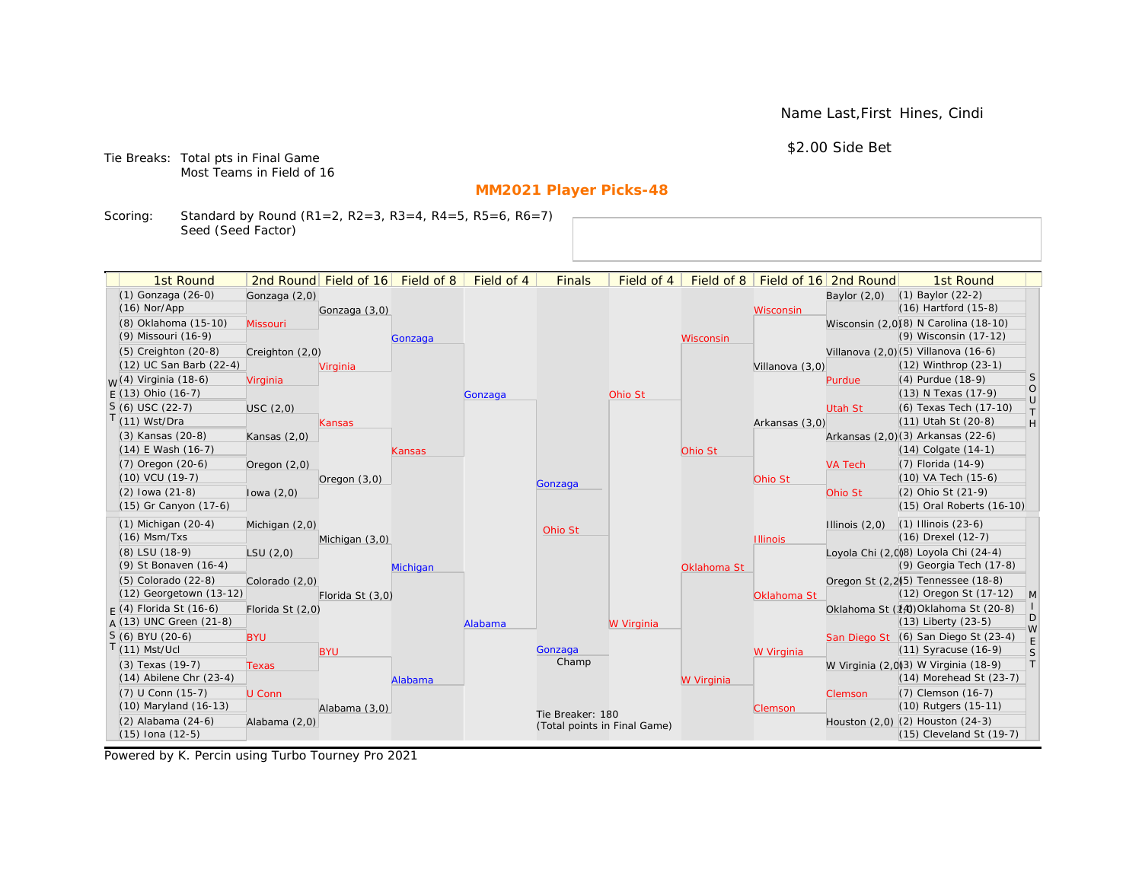Name Last,First Hines, Cindi

\$2.00 Side Bet

Tie Breaks: Total pts in Final Game Most Teams in Field of 16

# **MM2021 Player Picks-48**

Scoring: Standard by Round (R1=2, R2=3, R3=4, R4=5, R5=6, R6=7) Seed (Seed Factor)

| 1st Round                        |                |                  | 2nd Round Field of 16 | Field of 8 | Field of 4 | <b>Finals</b>                | Field of 4 | Field of 8  |                 | Field of 16 2nd Round | 1st Round                             |              |
|----------------------------------|----------------|------------------|-----------------------|------------|------------|------------------------------|------------|-------------|-----------------|-----------------------|---------------------------------------|--------------|
| (1) Gonzaga (26-0)               |                | Gonzaga (2,0)    |                       |            |            |                              |            |             |                 | Baylor $(2,0)$        | $(1)$ Baylor $(22-2)$                 |              |
| $(16)$ Nor/App                   |                |                  | Gonzaga (3,0)         |            |            |                              |            |             | Wisconsin       |                       | $(16)$ Hartford $(15-8)$              |              |
| (8) Oklahoma (15-10)             | Missouri       |                  |                       |            |            |                              |            |             |                 |                       | Wisconsin (2,0)(8) N Carolina (18-10) |              |
| (9) Missouri (16-9)              |                |                  |                       | Gonzaga    |            |                              |            | Wisconsin   |                 |                       | (9) Wisconsin (17-12)                 |              |
| $(5)$ Creighton $(20-8)$         |                | Creighton (2,0)  |                       |            |            |                              |            |             |                 |                       | Villanova (2,0) (5) Villanova (16-6)  |              |
| (12) UC San Barb (22-4)          |                |                  | Virginia              |            |            |                              |            |             | Villanova (3,0) |                       | $(12)$ Winthrop $(23-1)$              |              |
| <sub>W</sub> (4) Virginia (18-6) | Virginia       |                  |                       |            |            |                              |            |             |                 | Purdue                | (4) Purdue (18-9)                     | S            |
| $E(13)$ Ohio (16-7)              |                |                  |                       |            | Gonzaga    |                              | Ohio St    |             |                 |                       | (13) N Texas (17-9)                   | $\rm _U^O$   |
| $S(6)$ USC (22-7)                | USC(2,0)       |                  |                       |            |            |                              |            |             |                 | Utah St               | (6) Texas Tech (17-10)                | $\top$       |
| T(11) Wst/Dra                    |                |                  | Kansas                |            |            |                              |            |             | Arkansas (3,0)  |                       | (11) Utah St (20-8)                   | H            |
| (3) Kansas (20-8)                | Kansas $(2,0)$ |                  |                       |            |            |                              |            |             |                 |                       | Arkansas (2,0)(3) Arkansas (22-6)     |              |
| $(14)$ E Wash $(16-7)$           |                |                  |                       | Kansas     |            |                              |            | Ohio St     |                 |                       | $(14)$ Colgate $(14-1)$               |              |
| $(7)$ Oregon $(20-6)$            | Oregon $(2,0)$ |                  |                       |            |            |                              |            |             |                 | <b>VA Tech</b>        | (7) Florida (14-9)                    |              |
| (10) VCU (19-7)                  |                |                  | Oregon $(3,0)$        |            |            | Gonzaga                      |            |             | Ohio St         |                       | (10) VA Tech (15-6)                   |              |
| $(2)$ lowa $(21-8)$              | lowa $(2,0)$   |                  |                       |            |            |                              |            |             |                 | Ohio St               | (2) Ohio St (21-9)                    |              |
| (15) Gr Canyon (17-6)            |                |                  |                       |            |            |                              |            |             |                 |                       | (15) Oral Roberts (16-10)             |              |
| $(1)$ Michigan $(20-4)$          |                | Michigan (2,0)   |                       |            |            | Ohio St                      |            |             |                 | Illinois $(2,0)$      | $(1)$ Illinois $(23-6)$               |              |
| $(16)$ Msm/Txs                   |                |                  | Michigan (3,0)        |            |            |                              |            |             | <b>Illinois</b> |                       | (16) Drexel (12-7)                    |              |
| (8) LSU (18-9)                   | LSU(2,0)       |                  |                       |            |            |                              |            |             |                 |                       | Loyola Chi (2,008) Loyola Chi (24-4)  |              |
| (9) St Bonaven (16-4)            |                |                  |                       | Michigan   |            |                              |            | Oklahoma St |                 |                       | (9) Georgia Tech (17-8)               |              |
| (5) Colorado (22-8)              |                | Colorado (2,0)   |                       |            |            |                              |            |             |                 |                       | Oregon St (2,2)(5) Tennessee (18-8)   |              |
| (12) Georgetown (13-12)          |                |                  | Florida St (3,0)      |            |            |                              |            |             | Oklahoma St     |                       | (12) Oregon St (17-12)                | $\mathsf{M}$ |
| $F(4)$ Florida St (16-6)         |                | Florida St (2,0) |                       |            |            |                              |            |             |                 |                       | Oklahoma St (14) Oklahoma St (20-8)   |              |
| $A(13)$ UNC Green (21-8)         |                |                  |                       |            | Alabama    |                              | W Virginia |             |                 |                       | $(13)$ Liberty $(23-5)$               | D<br>W       |
| S (6) BYU (20-6)                 | <b>BYU</b>     |                  |                       |            |            |                              |            |             |                 |                       | San Diego St (6) San Diego St (23-4)  | E            |
| $T(11)$ Mst/Ucl                  |                |                  | <b>BYU</b>            |            |            | Gonzaga                      |            |             | W Virginia      |                       | $(11)$ Syracuse $(16-9)$              | S            |
| $(3)$ Texas $(19-7)$             | <b>Texas</b>   |                  |                       |            |            | Champ                        |            |             |                 |                       | W Virginia (2,0)3) W Virginia (18-9)  | T            |
| $(14)$ Abilene Chr $(23-4)$      |                |                  |                       | Alabama    |            |                              |            | W Virginia  |                 |                       | $(14)$ Morehead St $(23-7)$           |              |
| $(7)$ U Conn $(15-7)$            | U Conn         |                  |                       |            |            |                              |            |             |                 | Clemson               | (7) Clemson (16-7)                    |              |
| (10) Maryland (16-13)            |                |                  | Alabama (3,0)         |            |            | Tie Breaker: 180             |            |             | Clemson         |                       | (10) Rutgers (15-11)                  |              |
| (2) Alabama (24-6)               |                | Alabama (2,0)    |                       |            |            | (Total points in Final Game) |            |             |                 |                       | Houston (2,0) (2) Houston (24-3)      |              |
| $(15)$ Iona $(12-5)$             |                |                  |                       |            |            |                              |            |             |                 |                       | (15) Cleveland St (19-7)              |              |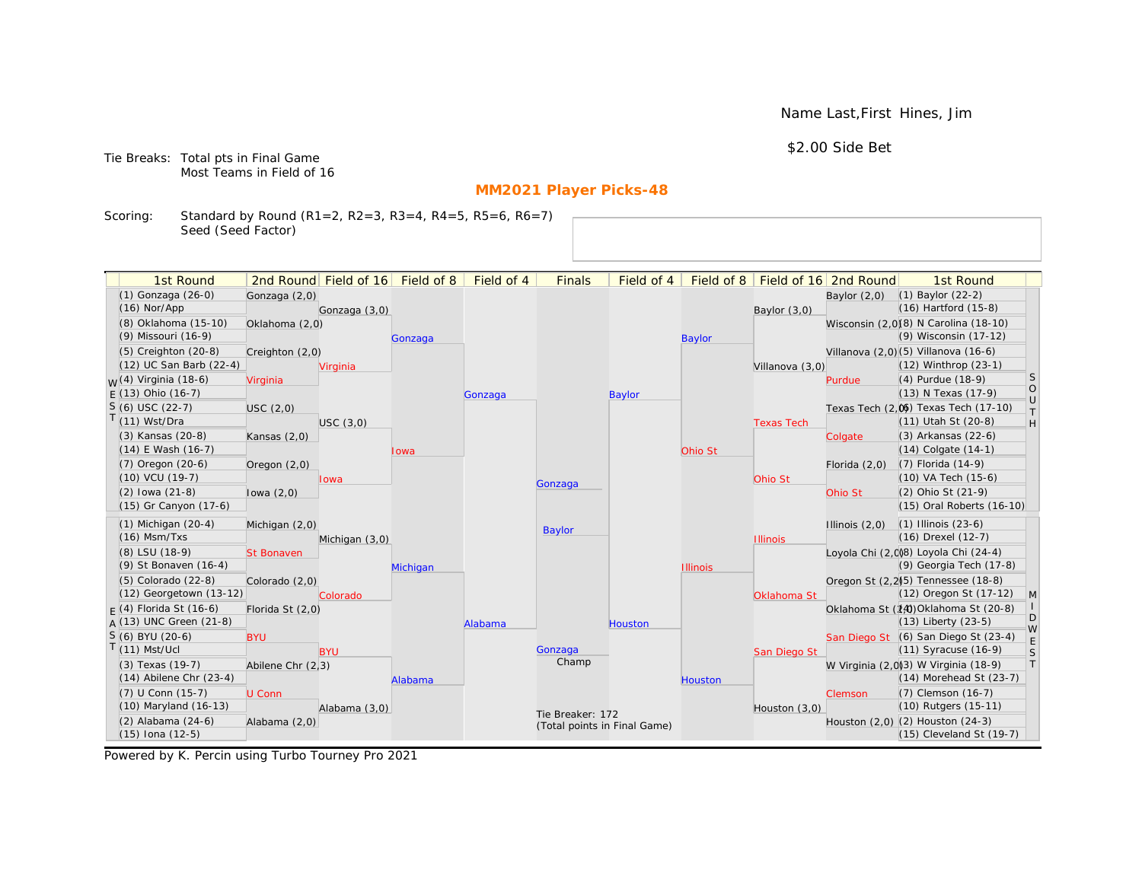Name Last,First Hines, Jim

\$2.00 Side Bet

Tie Breaks: Total pts in Final Game Most Teams in Field of 16

# **MM2021 Player Picks-48**

Scoring: Standard by Round (R1=2, R2=3, R3=4, R4=5, R5=6, R6=7) Seed (Seed Factor)

| 1st Round                                  |                   | 2nd Round Field of 16 | Field of 8 | Field of 4 | <b>Finals</b>                | Field of 4    | Field of $8$    |                   | Field of 16 2nd Round | 1st Round                                                    |                                                                   |
|--------------------------------------------|-------------------|-----------------------|------------|------------|------------------------------|---------------|-----------------|-------------------|-----------------------|--------------------------------------------------------------|-------------------------------------------------------------------|
| (1) Gonzaga (26-0)                         | Gonzaga (2,0)     |                       |            |            |                              |               |                 |                   | Baylor $(2,0)$        | $(1)$ Baylor $(22-2)$                                        |                                                                   |
| $(16)$ Nor/App                             |                   | Gonzaga (3,0)         |            |            |                              |               |                 | Baylor (3,0)      |                       | $(16)$ Hartford $(15-8)$                                     |                                                                   |
| (8) Oklahoma (15-10)                       | Oklahoma (2,0)    |                       |            |            |                              |               |                 |                   |                       | Wisconsin (2,0)(8) N Carolina (18-10)                        |                                                                   |
| (9) Missouri (16-9)                        |                   |                       | Gonzaga    |            |                              |               | <b>Baylor</b>   |                   |                       | (9) Wisconsin (17-12)                                        |                                                                   |
| (5) Creighton (20-8)                       | Creighton (2,0)   |                       |            |            |                              |               |                 |                   |                       | Villanova (2,0) (5) Villanova (16-6)                         |                                                                   |
| (12) UC San Barb (22-4)                    |                   | Virginia              |            |            |                              |               |                 | Villanova (3,0)   |                       | (12) Winthrop (23-1)                                         |                                                                   |
| <sub>W</sub> (4) Virginia (18-6)           | Virginia          |                       |            |            |                              |               |                 |                   | Purdue                | (4) Purdue (18-9)                                            | <sub>S</sub>                                                      |
| $E(13)$ Ohio (16-7)                        |                   |                       |            | Gonzaga    |                              | <b>Baylor</b> |                 |                   |                       | (13) N Texas (17-9)                                          | $\circ$<br>$\cup$                                                 |
| $S(6)$ USC (22-7)                          | USC(2,0)          |                       |            |            |                              |               |                 |                   |                       | Texas Tech (2,0) Texas Tech (17-10)                          | $\top$                                                            |
| $T(11)$ Wst/Dra                            |                   | USC(3,0)              |            |            |                              |               |                 | <b>Texas Tech</b> |                       | (11) Utah St (20-8)                                          | $\mathsf{H}% _{\mathsf{H}}^{\ast}=\mathsf{H}_{\mathsf{H}}^{\ast}$ |
| (3) Kansas (20-8)                          | Kansas $(2,0)$    |                       |            |            |                              |               |                 |                   | Colgate               | (3) Arkansas (22-6)                                          |                                                                   |
| $(14)$ E Wash $(16-7)$                     |                   |                       | Iowa       |            |                              |               | Ohio St         |                   |                       | $(14)$ Colgate $(14-1)$                                      |                                                                   |
| $(7)$ Oregon $(20-6)$                      | Oregon $(2,0)$    |                       |            |            |                              |               |                 |                   | Florida $(2,0)$       | $(7)$ Florida $(14-9)$                                       |                                                                   |
| $(10)$ VCU $(19-7)$                        |                   | lowa                  |            |            | Gonzaga                      |               |                 | Ohio St           |                       | $(10)$ VA Tech $(15-6)$                                      |                                                                   |
| $(2)$ lowa $(21-8)$                        | lowa $(2,0)$      |                       |            |            |                              |               |                 |                   | Ohio St               | (2) Ohio St (21-9)                                           |                                                                   |
| (15) Gr Canyon (17-6)                      |                   |                       |            |            |                              |               |                 |                   |                       | (15) Oral Roberts (16-10)                                    |                                                                   |
| $(1)$ Michigan $(20-4)$                    | Michigan (2,0)    |                       |            |            | <b>Baylor</b>                |               |                 |                   | Illinois $(2,0)$      | $(1)$ Illinois $(23-6)$                                      |                                                                   |
| $(16)$ Msm/Txs                             |                   | Michigan (3,0)        |            |            |                              |               |                 | <b>Illinois</b>   |                       | (16) Drexel (12-7)                                           |                                                                   |
| (8) LSU (18-9)                             | <b>St Bonaven</b> |                       |            |            |                              |               |                 |                   |                       | Loyola Chi (2,008) Loyola Chi (24-4)                         |                                                                   |
| (9) St Bonaven (16-4)                      |                   |                       | Michigan   |            |                              |               | <b>Illinois</b> |                   |                       | (9) Georgia Tech (17-8)                                      |                                                                   |
| (5) Colorado (22-8)                        | Colorado (2,0)    |                       |            |            |                              |               |                 |                   |                       | Oregon St (2,2) <sup>(5)</sup> Tennessee (18-8)              |                                                                   |
| (12) Georgetown (13-12)                    |                   | Colorado              |            |            |                              |               |                 | Oklahoma St       |                       | (12) Oregon St (17-12)                                       | $\mathsf{M}$                                                      |
| $F(4)$ Florida St (16-6)                   | Florida St (2,0)  |                       |            |            |                              |               |                 |                   |                       | Oklahoma St (14) Oklahoma St (20-8)                          | D                                                                 |
| $A(13)$ UNC Green (21-8)                   |                   |                       |            | Alabama    |                              | Houston       |                 |                   |                       | $(13)$ Liberty $(23-5)$                                      | W                                                                 |
| S (6) BYU (20-6)                           | <b>BYU</b>        |                       |            |            |                              |               |                 |                   |                       | San Diego St (6) San Diego St (23-4)                         | E                                                                 |
| $T(11)$ Mst/Ucl                            |                   | <b>BYU</b>            |            |            | Gonzaga<br>Champ             |               |                 | San Diego St      |                       | (11) Syracuse (16-9)                                         | S                                                                 |
| (3) Texas (19-7)                           | Abilene Chr (2,3) |                       |            |            |                              |               |                 |                   |                       | W Virginia (2,0)3) W Virginia (18-9)                         | T                                                                 |
| $(14)$ Abilene Chr $(23-4)$                |                   |                       | Alabama    |            |                              |               | <b>Houston</b>  |                   |                       | $(14)$ Morehead St $(23-7)$                                  |                                                                   |
| (7) U Conn (15-7)<br>(10) Maryland (16-13) | U Conn            |                       |            |            |                              |               |                 |                   | Clemson               | (7) Clemson (16-7)<br>(10) Rutgers (15-11)                   |                                                                   |
|                                            |                   | Alabama (3,0)         |            |            | Tie Breaker: 172             |               |                 | Houston $(3,0)$   |                       |                                                              |                                                                   |
| (2) Alabama (24-6)<br>$(15)$ Iona $(12-5)$ | Alabama (2,0)     |                       |            |            | (Total points in Final Game) |               |                 |                   |                       | Houston (2,0) (2) Houston (24-3)<br>(15) Cleveland St (19-7) |                                                                   |
|                                            |                   |                       |            |            |                              |               |                 |                   |                       |                                                              |                                                                   |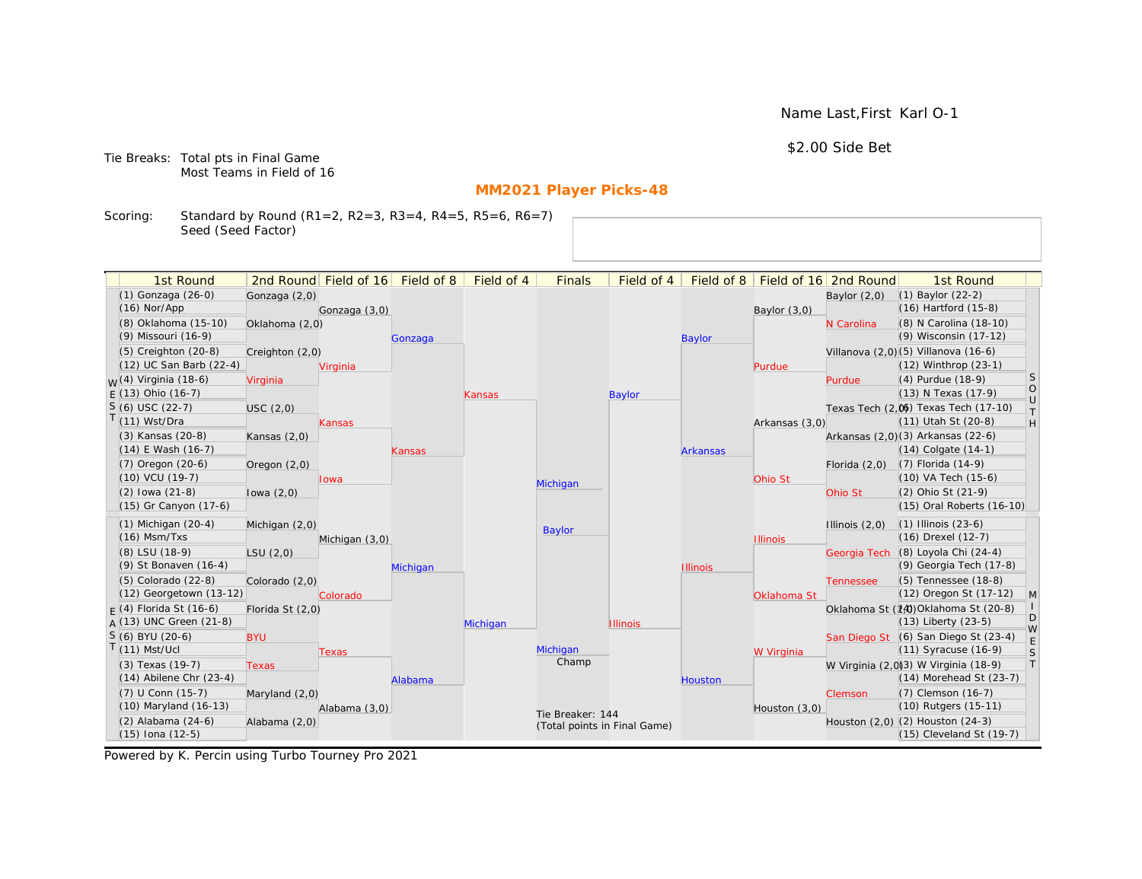\$2.00 Side Bet

Tie Breaks: Total pts in Final Game Most Teams in Field of 16

# **MM2021 Player Picks-48**

Scoring: Standard by Round (R1=2, R2=3, R3=4, R4=5, R5=6, R6=7) Seed (Seed Factor)

| 1st Round                                       |                  | 2nd Round Field of 16 Field of 8 |          | Field of 4 | <b>Finals</b>    | Field of 4                   | Field of 8      |                 | Field of 16 2nd Round | 1st Round                                                           |                   |
|-------------------------------------------------|------------------|----------------------------------|----------|------------|------------------|------------------------------|-----------------|-----------------|-----------------------|---------------------------------------------------------------------|-------------------|
| (1) Gonzaga (26-0)                              | Gonzaga (2,0)    |                                  |          |            |                  |                              |                 |                 | Baylor $(2,0)$        | (1) Baylor (22-2)                                                   |                   |
| $(16)$ Nor/App                                  |                  | Gonzaga (3,0)                    |          |            |                  |                              |                 | Baylor $(3,0)$  |                       | (16) Hartford (15-8)                                                |                   |
| (8) Oklahoma (15-10)                            | Oklahoma (2,0)   |                                  |          |            |                  |                              |                 |                 | N Carolina            | (8) N Carolina (18-10)                                              |                   |
| (9) Missouri (16-9)                             |                  |                                  | Gonzaga  |            |                  |                              | <b>Baylor</b>   |                 |                       | (9) Wisconsin (17-12)                                               |                   |
| (5) Creighton (20-8)                            | Creighton (2,0)  |                                  |          |            |                  |                              |                 |                 |                       | Villanova (2,0)(5) Villanova (16-6)                                 |                   |
| (12) UC San Barb (22-4)                         |                  | Virginia                         |          |            |                  |                              |                 | Purdue          |                       | (12) Winthrop (23-1)                                                |                   |
| $W(4)$ Virginia (18-6)                          | Virginia         |                                  |          |            |                  |                              |                 |                 | Purdue                | (4) Purdue (18-9)                                                   | S                 |
| $E(13)$ Ohio (16-7)                             |                  |                                  |          | Kansas     |                  | <b>Baylor</b>                |                 |                 |                       | (13) N Texas (17-9)                                                 | $\circ$<br>$\cup$ |
| $S(6)$ USC (22-7)                               | USC(2,0)         |                                  |          |            |                  |                              |                 |                 |                       | Texas Tech (2,0) Texas Tech (17-10)                                 | $\top$            |
| $T(11)$ Wst/Dra                                 |                  | Kansas                           |          |            |                  |                              |                 | Arkansas (3,0)  |                       | (11) Utah St (20-8)                                                 | H                 |
| (3) Kansas (20-8)                               | Kansas $(2,0)$   |                                  |          |            |                  |                              |                 |                 |                       | Arkansas (2,0)(3) Arkansas (22-6)                                   |                   |
| $(14)$ E Wash $(16-7)$                          |                  |                                  | Kansas   |            |                  |                              | <b>Arkansas</b> |                 |                       | $(14)$ Colgate $(14-1)$                                             |                   |
| $(7)$ Oregon $(20-6)$                           | Oregon $(2,0)$   |                                  |          |            |                  |                              |                 |                 | Florida $(2,0)$       | $(7)$ Florida $(14-9)$                                              |                   |
| $(10)$ VCU $(19-7)$                             |                  | lowa                             |          |            | Michigan         |                              |                 | Ohio St         |                       | (10) VA Tech (15-6)                                                 |                   |
| $(2)$ lowa $(21-8)$                             | lowa $(2,0)$     |                                  |          |            |                  |                              |                 |                 | Ohio St               | (2) Ohio St (21-9)                                                  |                   |
| (15) Gr Canyon (17-6)                           |                  |                                  |          |            |                  |                              |                 |                 |                       | (15) Oral Roberts (16-10)                                           |                   |
| $(1)$ Michigan $(20-4)$                         | Michigan (2,0)   |                                  |          |            | Baylor           |                              |                 |                 | Illinois $(2,0)$      | $(1)$ Illinois $(23-6)$                                             |                   |
| $(16)$ Msm/Txs                                  |                  | Michigan (3,0)                   |          |            |                  |                              |                 | <b>Illinois</b> |                       | (16) Drexel (12-7)                                                  |                   |
| (8) LSU (18-9)                                  | LSU(2,0)         |                                  |          |            |                  |                              |                 |                 | Georgia Tech          | (8) Loyola Chi (24-4)                                               |                   |
| (9) St Bonaven (16-4)                           |                  |                                  | Michigan |            |                  |                              | <b>Illinois</b> |                 |                       | (9) Georgia Tech (17-8)                                             |                   |
| (5) Colorado (22-8)                             | Colorado (2,0)   |                                  |          |            |                  |                              |                 |                 | <b>Tennessee</b>      | (5) Tennessee (18-8)                                                |                   |
| (12) Georgetown (13-12)                         |                  | Colorado                         |          |            |                  |                              |                 | Oklahoma St     |                       | (12) Oregon St (17-12)                                              | $\mathsf{M}$      |
| $F(4)$ Florida St (16-6)                        | Florida St (2,0) |                                  |          |            |                  |                              |                 |                 |                       | Oklahoma St (14) Oklahoma St (20-8)                                 | D                 |
| $A(13)$ UNC Green (21-8)                        |                  |                                  |          | Michigan   |                  | <b>Illinois</b>              |                 |                 |                       | (13) Liberty (23-5)                                                 | W                 |
| S (6) BYU (20-6)                                | <b>BYU</b>       |                                  |          |            | Michigan         |                              |                 |                 |                       | San Diego St (6) San Diego St (23-4)                                | $\mathsf E$       |
| $T(11)$ Mst/Ucl                                 |                  | Texas                            |          |            | Champ            |                              |                 | W Virginia      |                       | (11) Syracuse (16-9)                                                | S<br>$\top$       |
| (3) Texas (19-7)<br>$(14)$ Abilene Chr $(23-4)$ | <b>Texas</b>     |                                  |          |            |                  |                              |                 |                 |                       | W Virginia (2,0)3) W Virginia (18-9)<br>$(14)$ Morehead St $(23-7)$ |                   |
| (7) U Conn (15-7)                               |                  |                                  | Alabama  |            |                  |                              | Houston         |                 |                       | (7) Clemson (16-7)                                                  |                   |
| (10) Maryland (16-13)                           | Maryland $(2,0)$ | Alabama (3,0)                    |          |            |                  |                              |                 | Houston (3,0)   | Clemson               | (10) Rutgers (15-11)                                                |                   |
| $(2)$ Alabama $(24-6)$                          | Alabama (2,0)    |                                  |          |            | Tie Breaker: 144 |                              |                 |                 |                       | Houston (2,0) (2) Houston (24-3)                                    |                   |
| $(15)$ Iona $(12-5)$                            |                  |                                  |          |            |                  | (Total points in Final Game) |                 |                 |                       | $(15)$ Cleveland St $(19-7)$                                        |                   |
|                                                 |                  |                                  |          |            |                  |                              |                 |                 |                       |                                                                     |                   |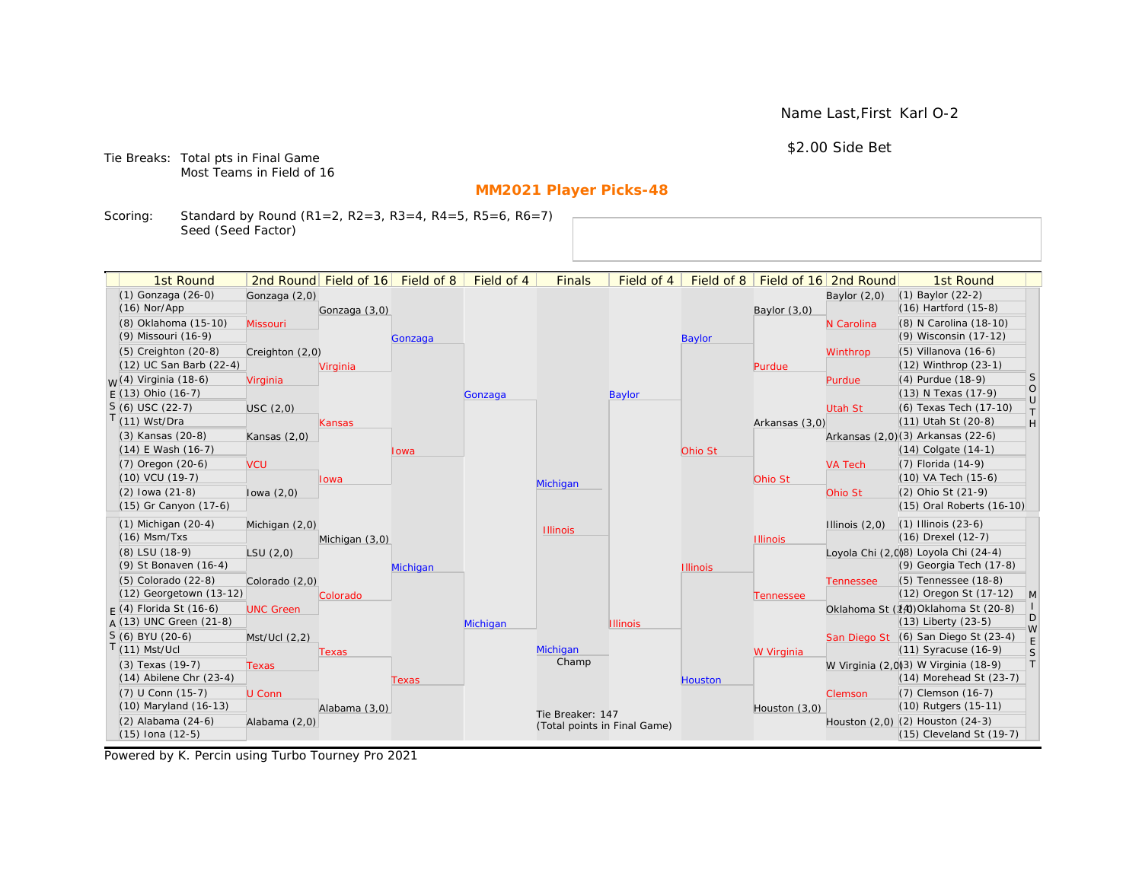\$2.00 Side Bet

Tie Breaks: Total pts in Final Game Most Teams in Field of 16

# **MM2021 Player Picks-48**

Scoring: Standard by Round (R1=2, R2=3, R3=4, R4=5, R5=6, R6=7) Seed (Seed Factor)

| 1st Round                        |                  | 2nd Round Field of 16 | Field of 8 | Field of 4 | <b>Finals</b>                | Field of 4      | Field of 8      |                 | Field of 16 2nd Round | 1st Round                            |                   |
|----------------------------------|------------------|-----------------------|------------|------------|------------------------------|-----------------|-----------------|-----------------|-----------------------|--------------------------------------|-------------------|
| (1) Gonzaga (26-0)               | Gonzaga (2,0)    |                       |            |            |                              |                 |                 |                 | Baylor $(2,0)$        | $(1)$ Baylor $(22-2)$                |                   |
| $(16)$ Nor/App                   |                  | Gonzaga (3,0)         |            |            |                              |                 |                 | Baylor $(3,0)$  |                       | (16) Hartford (15-8)                 |                   |
| (8) Oklahoma (15-10)             | Missouri         |                       |            |            |                              |                 |                 |                 | N Carolina            | (8) N Carolina (18-10)               |                   |
| (9) Missouri (16-9)              |                  |                       | Gonzaga    |            |                              |                 | <b>Baylor</b>   |                 |                       | (9) Wisconsin (17-12)                |                   |
| (5) Creighton (20-8)             | Creighton (2,0)  |                       |            |            |                              |                 |                 |                 | Winthrop              | (5) Villanova (16-6)                 |                   |
| (12) UC San Barb (22-4)          |                  | Virginia              |            |            |                              |                 |                 | Purdue          |                       | (12) Winthrop (23-1)                 |                   |
| <sub>W</sub> (4) Virginia (18-6) | Virginia         |                       |            |            |                              |                 |                 |                 | Purdue                | (4) Purdue (18-9)                    | S                 |
| $E(13)$ Ohio (16-7)              |                  |                       |            | Gonzaga    |                              | Baylor          |                 |                 |                       | (13) N Texas (17-9)                  | $\circ$<br>$\cup$ |
| $S(6)$ USC (22-7)                | USC(2,0)         |                       |            |            |                              |                 |                 |                 | Utah St               | (6) Texas Tech (17-10)               | $\top$            |
| T(11) Wst/Dra                    |                  | <b>Kansas</b>         |            |            |                              |                 |                 | Arkansas (3,0)  |                       | (11) Utah St (20-8)                  | H                 |
| (3) Kansas (20-8)                | Kansas $(2,0)$   |                       |            |            |                              |                 |                 |                 |                       | Arkansas (2,0)(3) Arkansas (22-6)    |                   |
| $(14)$ E Wash $(16-7)$           |                  |                       | lowa       |            |                              |                 | Ohio St         |                 |                       | $(14)$ Colgate $(14-1)$              |                   |
| $(7)$ Oregon $(20-6)$            | <b>VCU</b>       |                       |            |            |                              |                 |                 |                 | <b>VA Tech</b>        | (7) Florida (14-9)                   |                   |
| (10) VCU (19-7)                  |                  | <b>lowa</b>           |            |            | Michigan                     |                 |                 | Ohio St         |                       | (10) VA Tech (15-6)                  |                   |
| $(2)$ lowa $(21-8)$              | lowa $(2,0)$     |                       |            |            |                              |                 |                 |                 | Ohio St               | (2) Ohio St (21-9)                   |                   |
| (15) Gr Canyon (17-6)            |                  |                       |            |            |                              |                 |                 |                 |                       | (15) Oral Roberts (16-10)            |                   |
| $(1)$ Michigan $(20-4)$          | Michigan (2,0)   |                       |            |            | <b>Illinois</b>              |                 |                 |                 | Illinois $(2,0)$      | $(1)$ Illinois $(23-6)$              |                   |
| $(16)$ Msm/Txs                   |                  | Michigan (3,0)        |            |            |                              |                 |                 | <b>Illinois</b> |                       | (16) Drexel (12-7)                   |                   |
| (8) LSU (18-9)                   | LSU(2,0)         |                       |            |            |                              |                 |                 |                 |                       | Loyola Chi (2,0)8) Loyola Chi (24-4) |                   |
| (9) St Bonaven (16-4)            |                  |                       | Michigan   |            |                              |                 | <b>Illinois</b> |                 |                       | (9) Georgia Tech (17-8)              |                   |
| $(5)$ Colorado $(22-8)$          | Colorado (2,0)   |                       |            |            |                              |                 |                 |                 | <b>Tennessee</b>      | (5) Tennessee (18-8)                 |                   |
| (12) Georgetown (13-12)          |                  | Colorado              |            |            |                              |                 |                 | Tennessee       |                       | (12) Oregon St (17-12)               | $\mathsf{M}$      |
| $F(4)$ Florida St (16-6)         | <b>UNC Green</b> |                       |            |            |                              |                 |                 |                 |                       | Oklahoma St (14) Oklahoma St (20-8)  | D                 |
| $A(13)$ UNC Green (21-8)         |                  |                       |            | Michigan   |                              | <b>Illinois</b> |                 |                 |                       | (13) Liberty (23-5)                  | W                 |
| S (6) BYU (20-6)                 | Mst/Ucl (2,2)    |                       |            |            |                              |                 |                 |                 |                       | San Diego St (6) San Diego St (23-4) | E                 |
| $T(11)$ Mst/Ucl                  |                  | Texas                 |            |            | Michigan<br>Champ            |                 |                 | W Virginia      |                       | (11) Syracuse (16-9)                 | S                 |
| (3) Texas (19-7)                 | <b>Texas</b>     |                       |            |            |                              |                 |                 |                 |                       | W Virginia (2,0)3) W Virginia (18-9) | T                 |
| $(14)$ Abilene Chr $(23-4)$      |                  |                       | Texas      |            |                              |                 | Houston         |                 |                       | (14) Morehead St (23-7)              |                   |
| (7) U Conn (15-7)                | U Conn           |                       |            |            |                              |                 |                 |                 | Clemson               | (7) Clemson (16-7)                   |                   |
| (10) Maryland (16-13)            |                  | Alabama (3,0)         |            |            | Tie Breaker: 147             |                 |                 | Houston (3,0)   |                       | (10) Rutgers (15-11)                 |                   |
| $(2)$ Alabama $(24-6)$           | Alabama (2,0)    |                       |            |            | (Total points in Final Game) |                 |                 |                 |                       | Houston (2,0) (2) Houston (24-3)     |                   |
| $(15)$ Iona $(12-5)$             |                  |                       |            |            |                              |                 |                 |                 |                       | (15) Cleveland St (19-7)             |                   |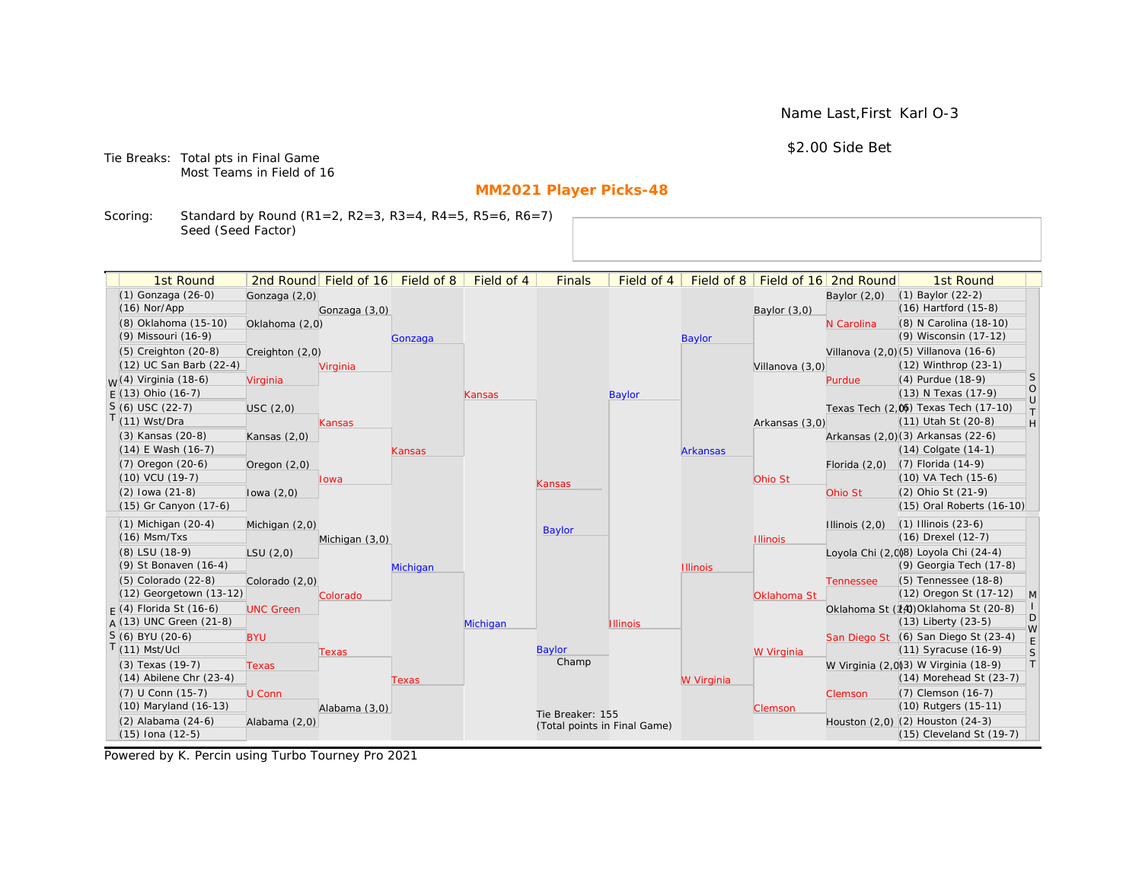\$2.00 Side Bet

Tie Breaks: Total pts in Final Game Most Teams in Field of 16

# **MM2021 Player Picks-48**

Scoring: Standard by Round (R1=2, R2=3, R3=4, R4=5, R5=6, R6=7) Seed (Seed Factor)

| 1st Round                                      |                  | 2nd Round Field of 16 | Field of 8 | Field of 4    | <b>Finals</b>    | Field of 4                   | Field of 8      |                 | Field of 16 2nd Round | 1st Round                                                        |                   |
|------------------------------------------------|------------------|-----------------------|------------|---------------|------------------|------------------------------|-----------------|-----------------|-----------------------|------------------------------------------------------------------|-------------------|
| (1) Gonzaga (26-0)                             | Gonzaga (2,0)    |                       |            |               |                  |                              |                 |                 | Baylor $(2,0)$        | $(1)$ Baylor $(22-2)$                                            |                   |
| $(16)$ Nor/App                                 |                  | Gonzaga (3,0)         |            |               |                  |                              |                 | Baylor $(3,0)$  |                       | (16) Hartford (15-8)                                             |                   |
| (8) Oklahoma (15-10)                           | Oklahoma (2,0)   |                       |            |               |                  |                              |                 |                 | N Carolina            | (8) N Carolina (18-10)                                           |                   |
| (9) Missouri (16-9)                            |                  |                       | Gonzaga    |               |                  |                              | <b>Baylor</b>   |                 |                       | (9) Wisconsin (17-12)                                            |                   |
| (5) Creighton (20-8)                           | Creighton (2,0)  |                       |            |               |                  |                              |                 |                 |                       | Villanova (2,0)(5) Villanova (16-6)                              |                   |
| (12) UC San Barb (22-4)                        |                  | Virginia              |            |               |                  |                              |                 | Villanova (3,0) |                       | (12) Winthrop (23-1)                                             |                   |
| <sub>W</sub> (4) Virginia (18-6)               | Virginia         |                       |            |               |                  |                              |                 |                 | Purdue                | (4) Purdue (18-9)                                                | S                 |
| $E(13)$ Ohio (16-7)                            |                  |                       |            | <b>Kansas</b> |                  | Baylor                       |                 |                 |                       | (13) N Texas (17-9)                                              | $\circ$<br>$\cup$ |
| $S(6)$ USC (22-7)                              | USC(2,0)         |                       |            |               |                  |                              |                 |                 |                       | Texas Tech (2,0) Texas Tech (17-10)                              | $\top$            |
| T(11) Wst/Dra                                  |                  | <b>Kansas</b>         |            |               |                  |                              |                 | Arkansas (3,0)  |                       | (11) Utah St (20-8)                                              | H                 |
| (3) Kansas (20-8)                              | Kansas $(2,0)$   |                       |            |               |                  |                              |                 |                 |                       | Arkansas (2,0)(3) Arkansas (22-6)                                |                   |
| $(14)$ E Wash $(16-7)$                         |                  |                       | Kansas     |               |                  |                              | <b>Arkansas</b> |                 |                       | $(14)$ Colgate $(14-1)$                                          |                   |
| $(7)$ Oregon $(20-6)$                          | Oregon $(2,0)$   |                       |            |               |                  |                              |                 |                 | Florida $(2,0)$       | $(7)$ Florida $(14-9)$                                           |                   |
| (10) VCU (19-7)                                |                  | lowa                  |            |               | Kansas           |                              |                 | Ohio St         |                       | (10) VA Tech (15-6)                                              |                   |
| $(2)$ lowa $(21-8)$                            | lowa $(2,0)$     |                       |            |               |                  |                              |                 |                 | Ohio St               | (2) Ohio St (21-9)                                               |                   |
| (15) Gr Canyon (17-6)                          |                  |                       |            |               |                  |                              |                 |                 |                       | (15) Oral Roberts (16-10)                                        |                   |
| $(1)$ Michigan $(20-4)$                        | Michigan (2,0)   |                       |            |               | Baylor           |                              |                 |                 | Illinois $(2,0)$      | $(1)$ Illinois $(23-6)$                                          |                   |
| $(16)$ Msm/Txs                                 |                  | Michigan (3,0)        |            |               |                  |                              |                 | <b>Illinois</b> |                       | (16) Drexel (12-7)                                               |                   |
| (8) LSU (18-9)                                 | LSU(2,0)         |                       |            |               |                  |                              |                 |                 |                       | Loyola Chi (2,0)8) Loyola Chi (24-4)                             |                   |
| (9) St Bonaven (16-4)                          |                  |                       | Michigan   |               |                  |                              | <b>Illinois</b> |                 |                       | (9) Georgia Tech (17-8)                                          |                   |
| $(5)$ Colorado $(22-8)$                        | Colorado (2,0)   |                       |            |               |                  |                              |                 |                 | <b>Tennessee</b>      | (5) Tennessee (18-8)                                             |                   |
| (12) Georgetown (13-12)                        |                  | Colorado              |            |               |                  |                              |                 | Oklahoma St     |                       | (12) Oregon St (17-12)                                           | $\mathsf{M}$      |
| $F(4)$ Florida St (16-6)                       | <b>UNC Green</b> |                       |            |               |                  |                              |                 |                 |                       | Oklahoma St (14) Oklahoma St (20-8)                              | D                 |
| $A(13)$ UNC Green (21-8)                       |                  |                       |            | Michigan      |                  | <b>Illinois</b>              |                 |                 |                       | (13) Liberty (23-5)                                              | W                 |
| S (6) BYU (20-6)                               | <b>BYU</b>       |                       |            |               |                  |                              |                 |                 |                       | San Diego St (6) San Diego St (23-4)                             | E                 |
| $T(11)$ Mst/Ucl                                |                  | Texas                 |            |               | Baylor<br>Champ  |                              |                 | W Virginia      |                       | (11) Syracuse (16-9)                                             | S                 |
| (3) Texas (19-7)                               | <b>Texas</b>     |                       |            |               |                  |                              |                 |                 |                       | W Virginia (2,0)3) W Virginia (18-9)                             | T                 |
| $(14)$ Abilene Chr $(23-4)$                    |                  |                       | Texas      |               |                  |                              | W Virginia      |                 |                       | (14) Morehead St (23-7)                                          |                   |
| (7) U Conn (15-7)<br>(10) Maryland (16-13)     | U Conn           |                       |            |               |                  |                              |                 |                 | Clemson               | (7) Clemson (16-7)<br>(10) Rutgers (15-11)                       |                   |
|                                                |                  | Alabama (3,0)         |            |               | Tie Breaker: 155 |                              |                 | Clemson         |                       |                                                                  |                   |
| $(2)$ Alabama $(24-6)$<br>$(15)$ Iona $(12-5)$ | Alabama (2,0)    |                       |            |               |                  | (Total points in Final Game) |                 |                 |                       | Houston (2,0) (2) Houston (24-3)<br>$(15)$ Cleveland St $(19-7)$ |                   |
|                                                |                  |                       |            |               |                  |                              |                 |                 |                       |                                                                  |                   |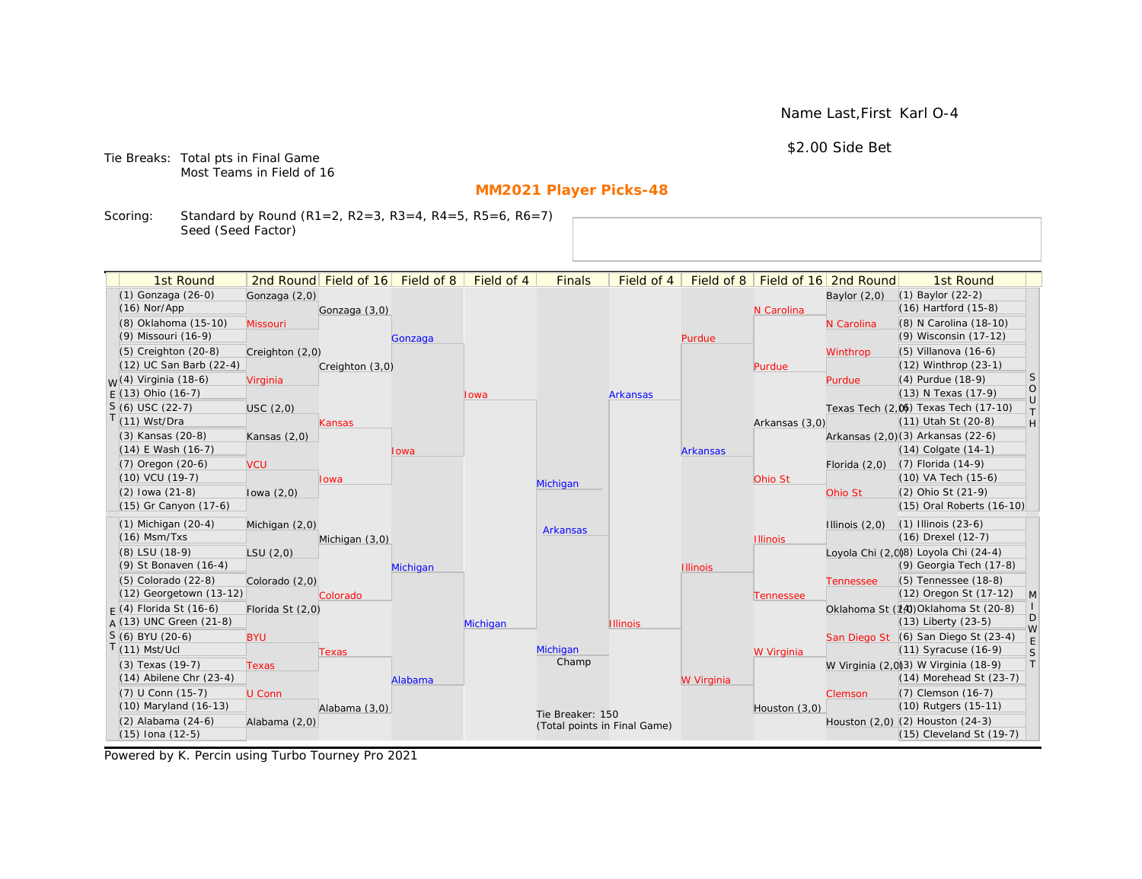\$2.00 Side Bet

Tie Breaks: Total pts in Final Game Most Teams in Field of 16

# **MM2021 Player Picks-48**

Scoring: Standard by Round (R1=2, R2=3, R3=4, R4=5, R5=6, R6=7) Seed (Seed Factor)

| 1st Round                        |                  | 2nd Round Field of 16 | Field of 8 | Field of 4 | <b>Finals</b>                | Field of 4      | Field of 8      |                 | Field of 16 2nd Round | 1st Round                            |                                      |
|----------------------------------|------------------|-----------------------|------------|------------|------------------------------|-----------------|-----------------|-----------------|-----------------------|--------------------------------------|--------------------------------------|
| (1) Gonzaga (26-0)               | Gonzaga (2,0)    |                       |            |            |                              |                 |                 |                 | Baylor $(2,0)$        | (1) Baylor (22-2)                    |                                      |
| $(16)$ Nor/App                   |                  | Gonzaga (3,0)         |            |            |                              |                 |                 | N Carolina      |                       | $(16)$ Hartford $(15-8)$             |                                      |
| (8) Oklahoma (15-10)             | Missouri         |                       |            |            |                              |                 |                 |                 | N Carolina            | (8) N Carolina (18-10)               |                                      |
| (9) Missouri (16-9)              |                  |                       | Gonzaga    |            |                              |                 | Purdue          |                 |                       | (9) Wisconsin (17-12)                |                                      |
| $(5)$ Creighton $(20-8)$         | Creighton (2,0)  |                       |            |            |                              |                 |                 |                 | Winthrop              | (5) Villanova (16-6)                 |                                      |
| (12) UC San Barb (22-4)          |                  | Creighton (3,0)       |            |            |                              |                 |                 | Purdue          |                       | $(12)$ Winthrop $(23-1)$             |                                      |
| <sub>W</sub> (4) Virginia (18-6) | Virginia         |                       |            |            |                              |                 |                 |                 | Purdue                | (4) Purdue (18-9)                    | S                                    |
| $E(13)$ Ohio (16-7)              |                  |                       |            | Iowa       |                              | <b>Arkansas</b> |                 |                 |                       | (13) N Texas (17-9)                  | $\begin{matrix} 0 \\ U \end{matrix}$ |
| $S(6)$ USC (22-7)                | USC(2,0)         |                       |            |            |                              |                 |                 |                 |                       | Texas Tech (2,0) Texas Tech (17-10)  | $\top$                               |
| T(11) Wst/Dra                    |                  | Kansas                |            |            |                              |                 |                 | Arkansas (3,0)  |                       | (11) Utah St (20-8)                  | H                                    |
| (3) Kansas (20-8)                | Kansas $(2,0)$   |                       |            |            |                              |                 |                 |                 |                       | Arkansas (2,0)(3) Arkansas (22-6)    |                                      |
| $(14)$ E Wash $(16-7)$           |                  |                       | lowa       |            |                              |                 | <b>Arkansas</b> |                 |                       | $(14)$ Colgate $(14-1)$              |                                      |
| $(7)$ Oregon $(20-6)$            | <b>VCU</b>       |                       |            |            |                              |                 |                 |                 | Florida $(2,0)$       | $(7)$ Florida $(14-9)$               |                                      |
| (10) VCU (19-7)                  |                  | Iowa                  |            |            | Michigan                     |                 |                 | Ohio St         |                       | (10) VA Tech (15-6)                  |                                      |
| $(2)$ lowa $(21-8)$              | lowa $(2,0)$     |                       |            |            |                              |                 |                 |                 | Ohio St               | (2) Ohio St (21-9)                   |                                      |
| (15) Gr Canyon (17-6)            |                  |                       |            |            |                              |                 |                 |                 |                       | (15) Oral Roberts (16-10)            |                                      |
| $(1)$ Michigan $(20-4)$          | Michigan (2,0)   |                       |            |            | <b>Arkansas</b>              |                 |                 |                 | Illinois $(2,0)$      | $(1)$ Illinois $(23-6)$              |                                      |
| $(16)$ Msm/Txs                   |                  | Michigan (3,0)        |            |            |                              |                 |                 | <b>Illinois</b> |                       | $(16)$ Drexel $(12-7)$               |                                      |
| (8) LSU (18-9)                   | LSU(2,0)         |                       |            |            |                              |                 |                 |                 |                       | Loyola Chi (2,008) Loyola Chi (24-4) |                                      |
| (9) St Bonaven (16-4)            |                  |                       | Michigan   |            |                              |                 | <b>Illinois</b> |                 |                       | (9) Georgia Tech (17-8)              |                                      |
| (5) Colorado (22-8)              | Colorado (2,0)   |                       |            |            |                              |                 |                 |                 | <b>Tennessee</b>      | (5) Tennessee (18-8)                 |                                      |
| (12) Georgetown (13-12)          |                  | Colorado              |            |            |                              |                 |                 | Tennessee       |                       | (12) Oregon St (17-12)               | $\mathsf{M}$                         |
| $F(4)$ Florida St (16-6)         | Florida St (2,0) |                       |            |            |                              |                 |                 |                 |                       | Oklahoma St (14) Oklahoma St (20-8)  |                                      |
| $A(13)$ UNC Green (21-8)         |                  |                       |            | Michigan   |                              | <b>Illinois</b> |                 |                 |                       | $(13)$ Liberty $(23-5)$              | D<br>W                               |
| S (6) BYU (20-6)                 | <b>BYU</b>       |                       |            |            |                              |                 |                 |                 |                       | San Diego St (6) San Diego St (23-4) | E                                    |
| $T(11)$ Mst/Ucl                  |                  | Texas                 |            |            | Michigan                     |                 |                 | W Virginia      |                       | $(11)$ Syracuse $(16-9)$             | S                                    |
| $(3)$ Texas $(19-7)$             | <b>Texas</b>     |                       |            |            | Champ                        |                 |                 |                 |                       | W Virginia (2,0)3) W Virginia (18-9) | T                                    |
| $(14)$ Abilene Chr $(23-4)$      |                  |                       | Alabama    |            |                              |                 | W Virginia      |                 |                       | $(14)$ Morehead St $(23-7)$          |                                      |
| $(7)$ U Conn $(15-7)$            | U Conn           |                       |            |            |                              |                 |                 |                 | Clemson               | (7) Clemson (16-7)                   |                                      |
| (10) Maryland (16-13)            |                  | Alabama (3,0)         |            |            | Tie Breaker: 150             |                 |                 | Houston (3,0)   |                       | (10) Rutgers (15-11)                 |                                      |
| (2) Alabama (24-6)               | Alabama (2,0)    |                       |            |            | (Total points in Final Game) |                 |                 |                 |                       | Houston (2,0) (2) Houston (24-3)     |                                      |
| $(15)$ Iona $(12-5)$             |                  |                       |            |            |                              |                 |                 |                 |                       | (15) Cleveland St (19-7)             |                                      |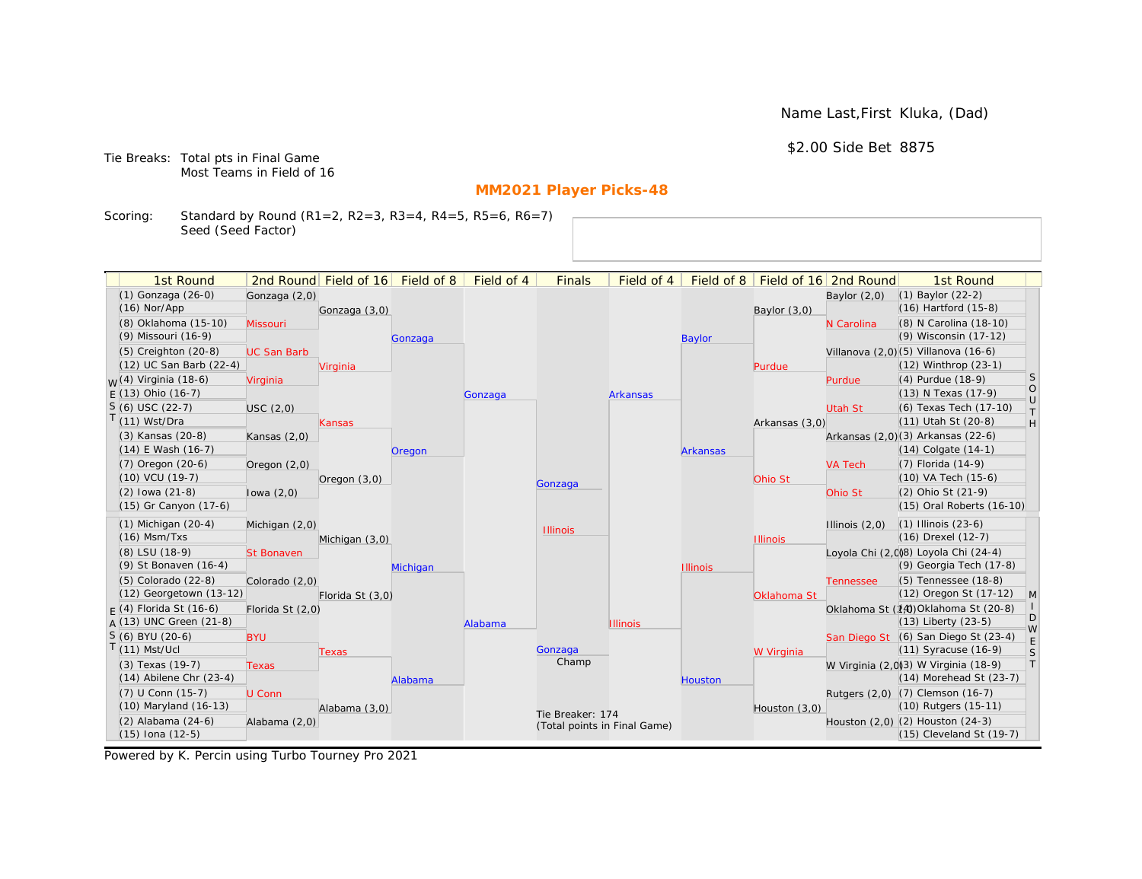Name Last,First Kluka, (Dad)

\$2.00 Side Bet 8875

Tie Breaks: Total pts in Final Game Most Teams in Field of 16

# **MM2021 Player Picks-48**

Scoring: Standard by Round (R1=2, R2=3, R3=4, R4=5, R5=6, R6=7) Seed (Seed Factor)

| 1st Round                        |                    | 2nd Round Field of 16 | Field of 8 | Field of 4 | <b>Finals</b>    | Field of 4                   | Field of 8      |                 | Field of 16 2nd Round | 1st Round                            |                  |
|----------------------------------|--------------------|-----------------------|------------|------------|------------------|------------------------------|-----------------|-----------------|-----------------------|--------------------------------------|------------------|
| (1) Gonzaga (26-0)               | Gonzaga (2,0)      |                       |            |            |                  |                              |                 |                 | Baylor $(2,0)$        | $(1)$ Baylor $(22-2)$                |                  |
| $(16)$ Nor/App                   |                    | Gonzaga (3,0)         |            |            |                  |                              |                 | Baylor $(3,0)$  |                       | (16) Hartford (15-8)                 |                  |
| (8) Oklahoma (15-10)             | Missouri           |                       |            |            |                  |                              |                 |                 | N Carolina            | (8) N Carolina (18-10)               |                  |
| (9) Missouri (16-9)              |                    |                       | Gonzaga    |            |                  |                              | <b>Baylor</b>   |                 |                       | (9) Wisconsin (17-12)                |                  |
| $(5)$ Creighton $(20-8)$         | <b>UC San Barb</b> |                       |            |            |                  |                              |                 |                 |                       | Villanova (2,0)(5) Villanova (16-6)  |                  |
| (12) UC San Barb (22-4)          |                    | Virginia              |            |            |                  |                              |                 | Purdue          |                       | (12) Winthrop (23-1)                 |                  |
| <sub>W</sub> (4) Virginia (18-6) | Virginia           |                       |            |            |                  |                              |                 |                 | Purdue                | (4) Purdue (18-9)                    | S                |
| $E(13)$ Ohio (16-7)              |                    |                       |            | Gonzaga    |                  | <b>Arkansas</b>              |                 |                 |                       | (13) N Texas (17-9)                  | $\circ$          |
| $S(6)$ USC (22-7)                | USC(2,0)           |                       |            |            |                  |                              |                 |                 | Utah St               | (6) Texas Tech (17-10)               | $\cup$<br>$\top$ |
| T(11) Wst/Dra                    |                    | Kansas                |            |            |                  |                              |                 | Arkansas (3,0)  |                       | (11) Utah St (20-8)                  | H                |
| (3) Kansas (20-8)                | Kansas $(2,0)$     |                       |            |            |                  |                              |                 |                 |                       | Arkansas (2,0)(3) Arkansas (22-6)    |                  |
| $(14)$ E Wash $(16-7)$           |                    |                       | Oregon     |            |                  |                              | <b>Arkansas</b> |                 |                       | $(14)$ Colgate $(14-1)$              |                  |
| $(7)$ Oregon $(20-6)$            | Oregon $(2,0)$     |                       |            |            |                  |                              |                 |                 | <b>VA Tech</b>        | (7) Florida (14-9)                   |                  |
| (10) VCU (19-7)                  |                    | Oregon $(3,0)$        |            |            | Gonzaga          |                              |                 | Ohio St         |                       | (10) VA Tech (15-6)                  |                  |
| $(2)$ lowa $(21-8)$              | lowa $(2,0)$       |                       |            |            |                  |                              |                 |                 | Ohio St               | (2) Ohio St (21-9)                   |                  |
| (15) Gr Canyon (17-6)            |                    |                       |            |            |                  |                              |                 |                 |                       | (15) Oral Roberts (16-10)            |                  |
| $(1)$ Michigan $(20-4)$          | Michigan (2,0)     |                       |            |            | <b>Illinois</b>  |                              |                 |                 | Illinois $(2,0)$      | $(1)$ Illinois $(23-6)$              |                  |
| $(16)$ Msm/Txs                   |                    | Michigan (3,0)        |            |            |                  |                              |                 | <b>Illinois</b> |                       | (16) Drexel (12-7)                   |                  |
| (8) LSU (18-9)                   | <b>St Bonaven</b>  |                       |            |            |                  |                              |                 |                 |                       | Loyola Chi (2,0)8) Loyola Chi (24-4) |                  |
| (9) St Bonaven (16-4)            |                    |                       | Michigan   |            |                  |                              | <b>Illinois</b> |                 |                       | (9) Georgia Tech (17-8)              |                  |
| $(5)$ Colorado $(22-8)$          | Colorado (2,0)     |                       |            |            |                  |                              |                 |                 | <b>Tennessee</b>      | (5) Tennessee (18-8)                 |                  |
| (12) Georgetown (13-12)          |                    | Florida St (3,0)      |            |            |                  |                              |                 | Oklahoma St     |                       | (12) Oregon St (17-12)               | $\mathsf{M}$     |
| $F(4)$ Florida St (16-6)         | Florida St (2,0)   |                       |            |            |                  |                              |                 |                 |                       | Oklahoma St (14) Oklahoma St (20-8)  |                  |
| $A(13)$ UNC Green (21-8)         |                    |                       |            | Alabama    |                  | <b>Illinois</b>              |                 |                 |                       | (13) Liberty (23-5)                  | D<br>W           |
| S (6) BYU (20-6)                 | <b>BYU</b>         |                       |            |            |                  |                              |                 |                 |                       | San Diego St (6) San Diego St (23-4) | E                |
| $T(11)$ Mst/Ucl                  |                    | Texas                 |            |            | Gonzaga          |                              |                 | W Virginia      |                       | (11) Syracuse (16-9)                 | S                |
| (3) Texas (19-7)                 | <b>Texas</b>       |                       |            |            | Champ            |                              |                 |                 |                       | W Virginia (2,0)3) W Virginia (18-9) | T                |
| $(14)$ Abilene Chr $(23-4)$      |                    |                       | Alabama    |            |                  |                              | Houston         |                 |                       | (14) Morehead St (23-7)              |                  |
| (7) U Conn (15-7)                | U Conn             |                       |            |            |                  |                              |                 |                 |                       | Rutgers (2,0) (7) Clemson (16-7)     |                  |
| (10) Maryland (16-13)            |                    | Alabama (3,0)         |            |            | Tie Breaker: 174 |                              |                 | Houston (3,0)   |                       | (10) Rutgers (15-11)                 |                  |
| $(2)$ Alabama $(24-6)$           | Alabama (2,0)      |                       |            |            |                  | (Total points in Final Game) |                 |                 |                       | Houston (2,0) (2) Houston (24-3)     |                  |
| $(15)$ Iona $(12-5)$             |                    |                       |            |            |                  |                              |                 |                 |                       | $(15)$ Cleveland St $(19-7)$         |                  |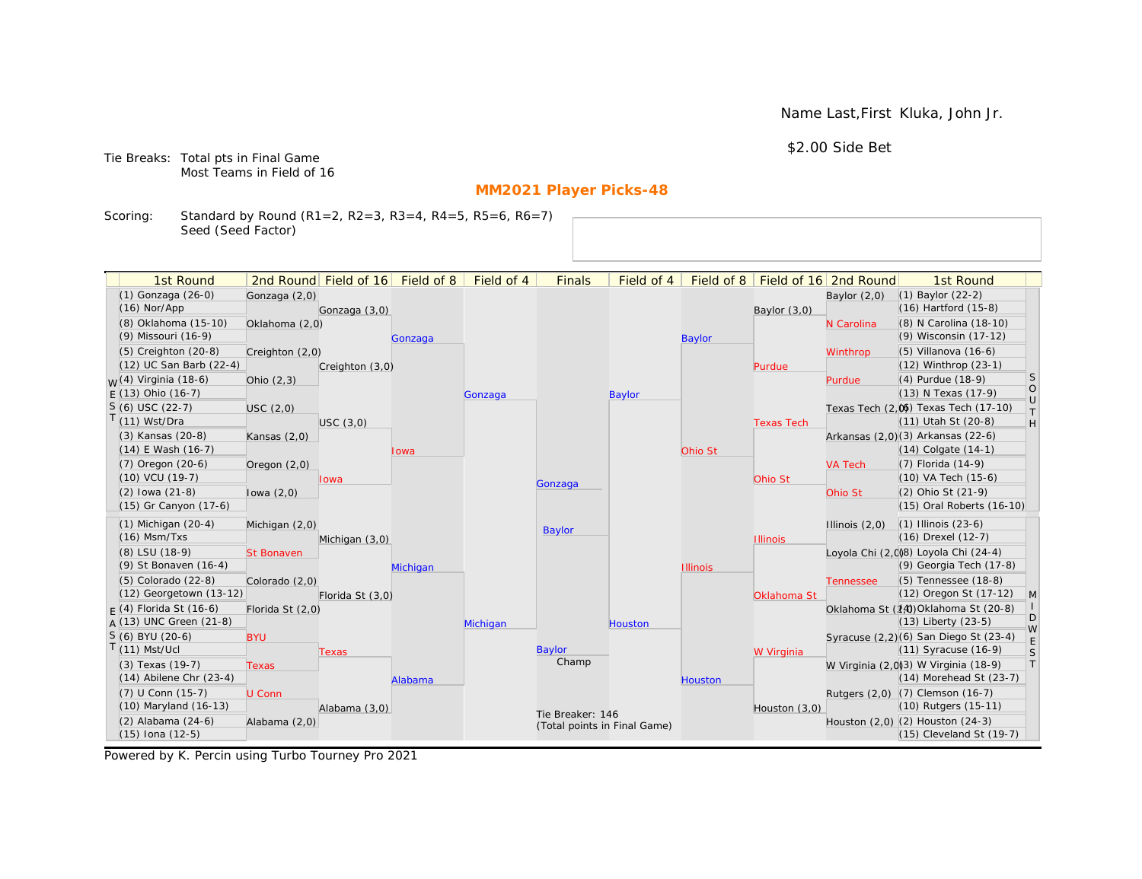Name Last,First Kluka, John Jr.

\$2.00 Side Bet

Tie Breaks: Total pts in Final Game Most Teams in Field of 16

# **MM2021 Player Picks-48**

Scoring: Standard by Round (R1=2, R2=3, R3=4, R4=5, R5=6, R6=7) Seed (Seed Factor)

| 1st Round                         |                   | 2nd Round Field of 16 | Field of 8 | Field of 4 | <b>Finals</b>                | Field of 4    | Field of $8$    |                   | Field of 16 2nd Round | 1st Round                                                    |                   |
|-----------------------------------|-------------------|-----------------------|------------|------------|------------------------------|---------------|-----------------|-------------------|-----------------------|--------------------------------------------------------------|-------------------|
| (1) Gonzaga (26-0)                | Gonzaga (2,0)     |                       |            |            |                              |               |                 |                   | Baylor $(2,0)$        | $(1)$ Baylor $(22-2)$                                        |                   |
| $(16)$ Nor/App                    |                   | Gonzaga (3,0)         |            |            |                              |               |                 | Baylor $(3,0)$    |                       | $(16)$ Hartford $(15-8)$                                     |                   |
| (8) Oklahoma (15-10)              | Oklahoma (2,0)    |                       |            |            |                              |               |                 |                   | N Carolina            | (8) N Carolina (18-10)                                       |                   |
| (9) Missouri (16-9)               |                   |                       | Gonzaga    |            |                              |               | <b>Baylor</b>   |                   |                       | (9) Wisconsin (17-12)                                        |                   |
| (5) Creighton (20-8)              | Creighton (2,0)   |                       |            |            |                              |               |                 |                   | Winthrop              | $(5)$ Villanova $(16-6)$                                     |                   |
| (12) UC San Barb (22-4)           |                   | Creighton (3,0)       |            |            |                              |               |                 | Purdue            |                       | $(12)$ Winthrop $(23-1)$                                     |                   |
| <sub>M</sub> /(4) Virginia (18-6) | Ohio $(2,3)$      |                       |            |            |                              |               |                 |                   | Purdue                | (4) Purdue (18-9)                                            | <sub>S</sub>      |
| $F(13)$ Ohio (16-7)               |                   |                       |            | Gonzaga    |                              | <b>Baylor</b> |                 |                   |                       | (13) N Texas (17-9)                                          | $\circ$<br>$\cup$ |
| $S(6)$ USC (22-7)                 | USC(2,0)          |                       |            |            |                              |               |                 |                   |                       | Texas Tech (2,0) Texas Tech (17-10)                          | $\top$            |
| $T(11)$ Wst/Dra                   |                   | USC(3,0)              |            |            |                              |               |                 | <b>Texas Tech</b> |                       | (11) Utah St (20-8)                                          | H                 |
| (3) Kansas (20-8)                 | Kansas $(2,0)$    |                       |            |            |                              |               |                 |                   |                       | Arkansas (2,0)(3) Arkansas (22-6)                            |                   |
| $(14)$ E Wash $(16-7)$            |                   |                       | Iowa       |            |                              |               | Ohio St         |                   |                       | $(14)$ Colgate $(14-1)$                                      |                   |
| $(7)$ Oregon $(20-6)$             | Oregon $(2,0)$    |                       |            |            |                              |               |                 |                   | <b>VA Tech</b>        | (7) Florida (14-9)                                           |                   |
| (10) VCU (19-7)                   |                   | lowa                  |            |            | Gonzaga                      |               |                 | Ohio St           |                       | (10) VA Tech (15-6)                                          |                   |
| $(2)$ lowa $(21-8)$               | lowa $(2,0)$      |                       |            |            |                              |               |                 |                   | Ohio St               | (2) Ohio St (21-9)                                           |                   |
| (15) Gr Canyon (17-6)             |                   |                       |            |            |                              |               |                 |                   |                       | (15) Oral Roberts (16-10)                                    |                   |
| $(1)$ Michigan $(20-4)$           | Michigan (2,0)    |                       |            |            | <b>Baylor</b>                |               |                 |                   | Illinois $(2,0)$      | $(1)$ Illinois $(23-6)$                                      |                   |
| $(16)$ Msm/Txs                    |                   | Michigan (3,0)        |            |            |                              |               |                 | <b>Illinois</b>   |                       | (16) Drexel (12-7)                                           |                   |
| (8) LSU (18-9)                    | <b>St Bonaven</b> |                       |            |            |                              |               |                 |                   |                       | Loyola Chi (2,008) Loyola Chi (24-4)                         |                   |
| (9) St Bonaven (16-4)             |                   |                       | Michigan   |            |                              |               | <b>Illinois</b> |                   |                       | (9) Georgia Tech (17-8)                                      |                   |
| (5) Colorado (22-8)               | Colorado (2,0)    |                       |            |            |                              |               |                 |                   | <b>Tennessee</b>      | (5) Tennessee (18-8)                                         |                   |
| (12) Georgetown (13-12)           |                   | Florida St (3,0)      |            |            |                              |               |                 | Oklahoma St       |                       | (12) Oregon St (17-12)                                       | M                 |
| $F(4)$ Florida St (16-6)          | Florida St (2,0)  |                       |            |            |                              |               |                 |                   |                       | Oklahoma St (14) Oklahoma St (20-8)                          | D                 |
| $A(13)$ UNC Green (21-8)          |                   |                       |            | Michigan   |                              | Houston       |                 |                   |                       | $(13)$ Liberty $(23-5)$                                      | W                 |
| $S(6)$ BYU (20-6)                 | <b>BYU</b>        |                       |            |            |                              |               |                 |                   |                       | Syracuse (2,2)(6) San Diego St (23-4)                        | $\mathsf E$       |
| $T(11)$ Mst/Ucl                   |                   | Texas                 |            |            | Baylor<br>Champ              |               |                 | W Virginia        |                       | (11) Syracuse (16-9)                                         | S                 |
| (3) Texas (19-7)                  | <b>Texas</b>      |                       |            |            |                              |               |                 |                   |                       | W Virginia (2,0)(3) W Virginia (18-9)                        | T                 |
| $(14)$ Abilene Chr $(23-4)$       |                   |                       | Alabama    |            |                              |               | <b>Houston</b>  |                   |                       | (14) Morehead St (23-7)                                      |                   |
| (7) U Conn (15-7)                 | U Conn            |                       |            |            |                              |               |                 |                   |                       | Rutgers (2,0) (7) Clemson (16-7)                             |                   |
| (10) Maryland (16-13)             |                   | Alabama (3,0)         |            |            | Tie Breaker: 146             |               |                 | Houston (3,0)     |                       | (10) Rutgers (15-11)                                         |                   |
| (2) Alabama (24-6)                | Alabama (2,0)     |                       |            |            | (Total points in Final Game) |               |                 |                   |                       | Houston (2,0) (2) Houston (24-3)<br>(15) Cleveland St (19-7) |                   |
| $(15)$ Iona $(12-5)$              |                   |                       |            |            |                              |               |                 |                   |                       |                                                              |                   |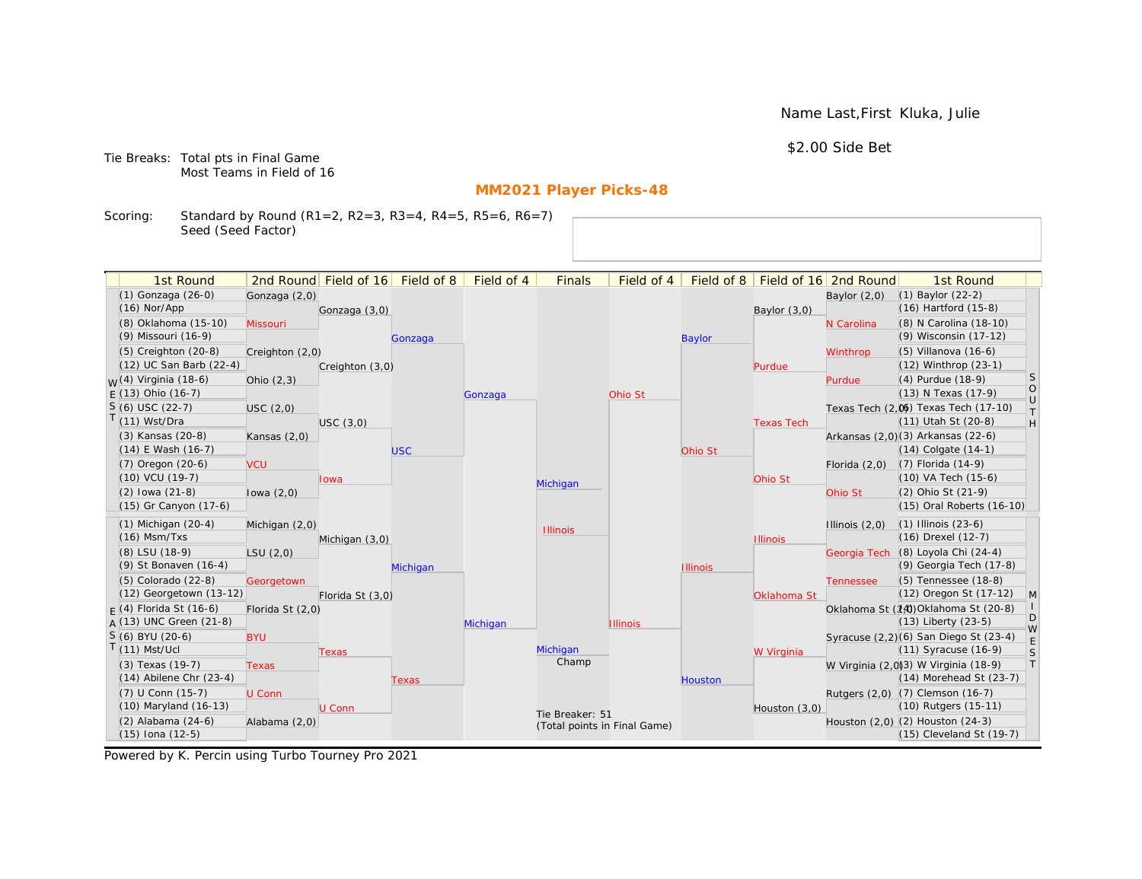Name Last,First Kluka, Julie

\$2.00 Side Bet

Tie Breaks: Total pts in Final Game Most Teams in Field of 16

# **MM2021 Player Picks-48**

Scoring: Standard by Round (R1=2, R2=3, R3=4, R4=5, R5=6, R6=7) Seed (Seed Factor)

| 1st Round                   |                  | 2nd Round Field of 16 | Field of 8 | Field of 4 | <b>Finals</b>                | Field of 4      | Field of 8      |                   | Field of 16 2nd Round | 1st Round                             |                   |
|-----------------------------|------------------|-----------------------|------------|------------|------------------------------|-----------------|-----------------|-------------------|-----------------------|---------------------------------------|-------------------|
| (1) Gonzaga (26-0)          | Gonzaga (2,0)    |                       |            |            |                              |                 |                 |                   | Baylor $(2,0)$        | $(1)$ Baylor $(22-2)$                 |                   |
| $(16)$ Nor/App              |                  | Gonzaga (3,0)         |            |            |                              |                 |                 | Baylor (3,0)      |                       | $(16)$ Hartford $(15-8)$              |                   |
| (8) Oklahoma (15-10)        | Missouri         |                       |            |            |                              |                 |                 |                   | N Carolina            | (8) N Carolina (18-10)                |                   |
| (9) Missouri (16-9)         |                  |                       | Gonzaga    |            |                              |                 | <b>Baylor</b>   |                   |                       | (9) Wisconsin (17-12)                 |                   |
| $(5)$ Creighton $(20-8)$    | Creighton (2,0)  |                       |            |            |                              |                 |                 |                   | Winthrop              | $(5)$ Villanova $(16-6)$              |                   |
| (12) UC San Barb (22-4)     |                  | Creighton (3,0)       |            |            |                              |                 |                 | Purdue            |                       | (12) Winthrop (23-1)                  |                   |
| $M(4)$ Virginia (18-6)      | Ohio $(2,3)$     |                       |            |            |                              |                 |                 |                   | Purdue                | (4) Purdue (18-9)                     | <sub>S</sub>      |
| $F(13)$ Ohio (16-7)         |                  |                       |            | Gonzaga    |                              | Ohio St         |                 |                   |                       | (13) N Texas (17-9)                   | $\circ$<br>$\cup$ |
| $S(6)$ USC (22-7)           | USC(2,0)         |                       |            |            |                              |                 |                 |                   |                       | Texas Tech (2,0) Texas Tech (17-10)   | $\top$            |
| $T(11)$ Wst/Dra             |                  | USC(3,0)              |            |            |                              |                 |                 | <b>Texas Tech</b> |                       | $(11)$ Utah St $(20-8)$               | H                 |
| (3) Kansas (20-8)           | Kansas $(2,0)$   |                       |            |            |                              |                 |                 |                   |                       | Arkansas (2,0)(3) Arkansas (22-6)     |                   |
| $(14)$ E Wash $(16-7)$      |                  |                       | <b>USC</b> |            |                              |                 | Ohio St         |                   |                       | (14) Colgate (14-1)                   |                   |
| (7) Oregon (20-6)           | <b>VCU</b>       |                       |            |            |                              |                 |                 |                   | Florida $(2,0)$       | (7) Florida (14-9)                    |                   |
| (10) VCU (19-7)             |                  | lowa                  |            |            | Michigan                     |                 |                 | Ohio St           |                       | (10) VA Tech (15-6)                   |                   |
| $(2)$ lowa $(21-8)$         | lowa $(2,0)$     |                       |            |            |                              |                 |                 |                   | Ohio St               | (2) Ohio St (21-9)                    |                   |
| (15) Gr Canyon (17-6)       |                  |                       |            |            |                              |                 |                 |                   |                       | (15) Oral Roberts (16-10)             |                   |
| $(1)$ Michigan $(20-4)$     | Michigan (2,0)   |                       |            |            | <b>Illinois</b>              |                 |                 |                   | Illinois $(2,0)$      | $(1)$ Illinois $(23-6)$               |                   |
| $(16)$ Msm/Txs              |                  | Michigan (3,0)        |            |            |                              |                 |                 | <b>Illinois</b>   |                       | (16) Drexel (12-7)                    |                   |
| (8) LSU (18-9)              | LSU(2,0)         |                       |            |            |                              |                 |                 |                   | Georgia Tech          | (8) Loyola Chi (24-4)                 |                   |
| (9) St Bonaven (16-4)       |                  |                       | Michigan   |            |                              |                 | <b>Illinois</b> |                   |                       | (9) Georgia Tech (17-8)               |                   |
| $(5)$ Colorado $(22-8)$     | Georgetown       |                       |            |            |                              |                 |                 |                   | <b>Tennessee</b>      | (5) Tennessee (18-8)                  |                   |
| (12) Georgetown (13-12)     |                  | Florida St (3,0)      |            |            |                              |                 |                 | Oklahoma St       |                       | (12) Oregon St (17-12)                | M                 |
| $F(4)$ Florida St (16-6)    | Florida St (2,0) |                       |            |            |                              |                 |                 |                   |                       | Oklahoma St (14) Oklahoma St (20-8)   | D                 |
| $A(13)$ UNC Green (21-8)    |                  |                       |            | Michigan   |                              | <b>Illinois</b> |                 |                   |                       | $(13)$ Liberty $(23-5)$               | W                 |
| S (6) BYU (20-6)            | <b>BYU</b>       |                       |            |            |                              |                 |                 |                   |                       | Syracuse (2,2)(6) San Diego St (23-4) | E                 |
| $T(11)$ Mst/Ucl             |                  | <b>Texas</b>          |            |            | Michigan                     |                 |                 | W Virginia        |                       | (11) Syracuse (16-9)                  | S                 |
| (3) Texas (19-7)            | <b>Texas</b>     |                       |            |            | Champ                        |                 |                 |                   |                       | W Virginia (2,0)3) W Virginia (18-9)  | T                 |
| $(14)$ Abilene Chr $(23-4)$ |                  |                       | Texas      |            |                              |                 | <b>Houston</b>  |                   |                       | (14) Morehead St (23-7)               |                   |
| (7) U Conn (15-7)           | U Conn           |                       |            |            |                              |                 |                 |                   |                       | Rutgers (2,0) (7) Clemson (16-7)      |                   |
| (10) Maryland (16-13)       |                  | <b>U</b> Conn         |            |            | Tie Breaker: 51              |                 |                 | Houston $(3,0)$   |                       | (10) Rutgers (15-11)                  |                   |
| (2) Alabama (24-6)          | Alabama (2,0)    |                       |            |            | (Total points in Final Game) |                 |                 |                   |                       | Houston (2,0) (2) Houston (24-3)      |                   |
| $(15)$ Iona $(12-5)$        |                  |                       |            |            |                              |                 |                 |                   |                       | (15) Cleveland St (19-7)              |                   |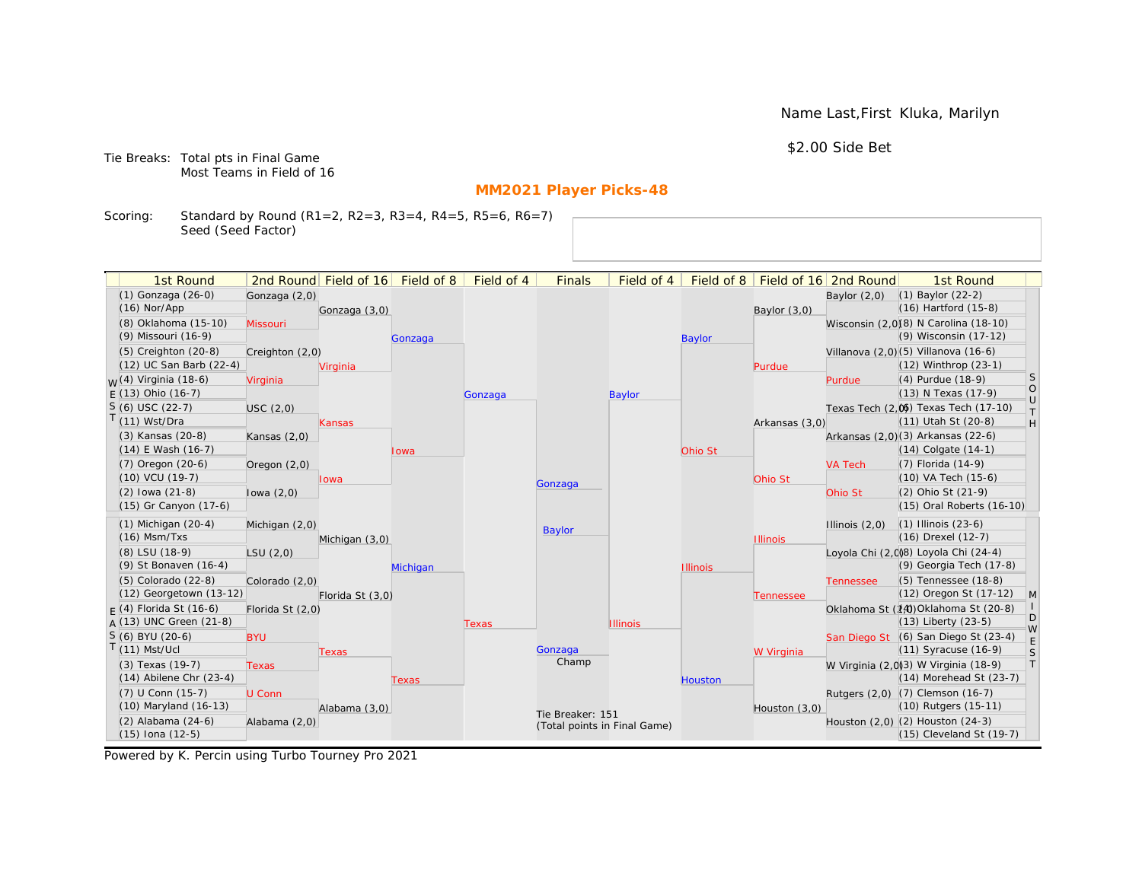Name Last,First Kluka, Marilyn

\$2.00 Side Bet

Tie Breaks: Total pts in Final Game Most Teams in Field of 16

# **MM2021 Player Picks-48**

Scoring: Standard by Round (R1=2, R2=3, R3=4, R4=5, R5=6, R6=7) Seed (Seed Factor)

| 1st Round                            |                  | 2nd Round Field of 16 Field of 8 |          | Field of 4 | <b>Finals</b>                | Field of 4      | Field of 8      |                 | Field of 16 2nd Round | 1st Round                                                    |              |
|--------------------------------------|------------------|----------------------------------|----------|------------|------------------------------|-----------------|-----------------|-----------------|-----------------------|--------------------------------------------------------------|--------------|
| (1) Gonzaga (26-0)                   |                  |                                  |          |            |                              |                 |                 |                 | Baylor $(2,0)$        | $(1)$ Baylor $(22-2)$                                        |              |
| $(16)$ Nor/App                       | Gonzaga (2,0)    | Gonzaga (3,0)                    |          |            |                              |                 |                 | Baylor $(3,0)$  |                       | (16) Hartford (15-8)                                         |              |
| (8) Oklahoma (15-10)                 | Missouri         |                                  |          |            |                              |                 |                 |                 |                       | Wisconsin (2,0)(8) N Carolina (18-10)                        |              |
| (9) Missouri (16-9)                  |                  |                                  | Gonzaga  |            |                              |                 | <b>Baylor</b>   |                 |                       | (9) Wisconsin (17-12)                                        |              |
| $(5)$ Creighton $(20-8)$             | Creighton (2,0)  |                                  |          |            |                              |                 |                 |                 |                       | Villanova (2,0) (5) Villanova (16-6)                         |              |
| (12) UC San Barb (22-4)              |                  | Virginia                         |          |            |                              |                 |                 | Purdue          |                       | $(12)$ Winthrop $(23-1)$                                     |              |
| <sub>M</sub> /(4) Virginia (18-6)    | Virginia         |                                  |          |            |                              |                 |                 |                 | Purdue                | (4) Purdue (18-9)                                            | S            |
| $F(13)$ Ohio (16-7)                  |                  |                                  |          | Gonzaga    |                              | <b>Baylor</b>   |                 |                 |                       | (13) N Texas (17-9)                                          | $\circ$      |
| $S(6)$ USC (22-7)                    | USC(2,0)         |                                  |          |            |                              |                 |                 |                 |                       | Texas Tech (2.06) Texas Tech (17-10)                         | $\cup$<br>T. |
| T(11) Wst/Dra                        |                  | Kansas                           |          |            |                              |                 |                 | Arkansas (3,0)  |                       | (11) Utah St (20-8)                                          | H            |
| (3) Kansas (20-8)                    | Kansas $(2,0)$   |                                  |          |            |                              |                 |                 |                 |                       | Arkansas (2,0)(3) Arkansas (22-6)                            |              |
| $(14)$ E Wash $(16-7)$               |                  |                                  | Iowa     |            |                              |                 | Ohio St         |                 |                       | $(14)$ Colgate $(14-1)$                                      |              |
| $(7)$ Oregon $(20-6)$                | Oregon $(2,0)$   |                                  |          |            |                              |                 |                 |                 | <b>VA Tech</b>        | (7) Florida (14-9)                                           |              |
| (10) VCU (19-7)                      |                  | Iowa                             |          |            | Gonzaga                      |                 |                 | Ohio St         |                       | (10) VA Tech (15-6)                                          |              |
| $(2)$ lowa $(21-8)$                  | lowa $(2,0)$     |                                  |          |            |                              |                 |                 |                 | Ohio St               | (2) Ohio St (21-9)                                           |              |
| (15) Gr Canyon (17-6)                |                  |                                  |          |            |                              |                 |                 |                 |                       | (15) Oral Roberts (16-10)                                    |              |
| $(1)$ Michigan $(20-4)$              | Michigan (2,0)   |                                  |          |            | Baylor                       |                 |                 |                 | Illinois $(2,0)$      | $(1)$ Illinois $(23-6)$                                      |              |
| $(16)$ Msm/Txs                       |                  | Michigan (3,0)                   |          |            |                              |                 |                 | <b>Illinois</b> |                       | (16) Drexel (12-7)                                           |              |
| (8) LSU (18-9)                       | LSU(2,0)         |                                  |          |            |                              |                 |                 |                 |                       | Loyola Chi (2,008) Loyola Chi (24-4)                         |              |
| (9) St Bonaven (16-4)                |                  |                                  | Michigan |            |                              |                 | <b>Illinois</b> |                 |                       | (9) Georgia Tech (17-8)                                      |              |
| (5) Colorado (22-8)                  | Colorado (2,0)   |                                  |          |            |                              |                 |                 |                 | <b>Tennessee</b>      | (5) Tennessee (18-8)                                         |              |
| (12) Georgetown (13-12)              |                  | Florida St (3,0)                 |          |            |                              |                 |                 | Tennessee       |                       | (12) Oregon St (17-12)                                       | $\mathsf{M}$ |
| $F(4)$ Florida St (16-6)             | Florida St (2,0) |                                  |          |            |                              |                 |                 |                 |                       | Oklahoma St (14) Oklahoma St (20-8)                          | D            |
| $A(13)$ UNC Green (21-8)             |                  |                                  |          | Texas      |                              | <b>Illinois</b> |                 |                 |                       | (13) Liberty (23-5)                                          | W            |
| $S(6)$ BYU (20-6)<br>$T(11)$ Mst/Ucl | <b>BYU</b>       |                                  |          |            | Gonzaga                      |                 |                 |                 |                       | San Diego St (6) San Diego St (23-4)<br>(11) Syracuse (16-9) | $\mathsf E$  |
| (3) Texas (19-7)                     |                  | Texas                            |          |            | Champ                        |                 |                 | W Virginia      |                       | W Virginia (2,0)(3) W Virginia (18-9)                        | S<br>T       |
| $(14)$ Abilene Chr $(23-4)$          | <b>Texas</b>     |                                  | Texas    |            |                              |                 | Houston         |                 |                       | (14) Morehead St (23-7)                                      |              |
| $(7)$ U Conn $(15-7)$                | U Conn           |                                  |          |            |                              |                 |                 |                 |                       | Rutgers (2,0) (7) Clemson (16-7)                             |              |
| (10) Maryland (16-13)                |                  | Alabama (3,0)                    |          |            |                              |                 |                 | Houston (3,0)   |                       | (10) Rutgers (15-11)                                         |              |
| (2) Alabama (24-6)                   | Alabama (2,0)    |                                  |          |            | Tie Breaker: 151             |                 |                 |                 |                       | Houston (2,0) (2) Houston (24-3)                             |              |
| $(15)$ Iona $(12-5)$                 |                  |                                  |          |            | (Total points in Final Game) |                 |                 |                 |                       | (15) Cleveland St (19-7)                                     |              |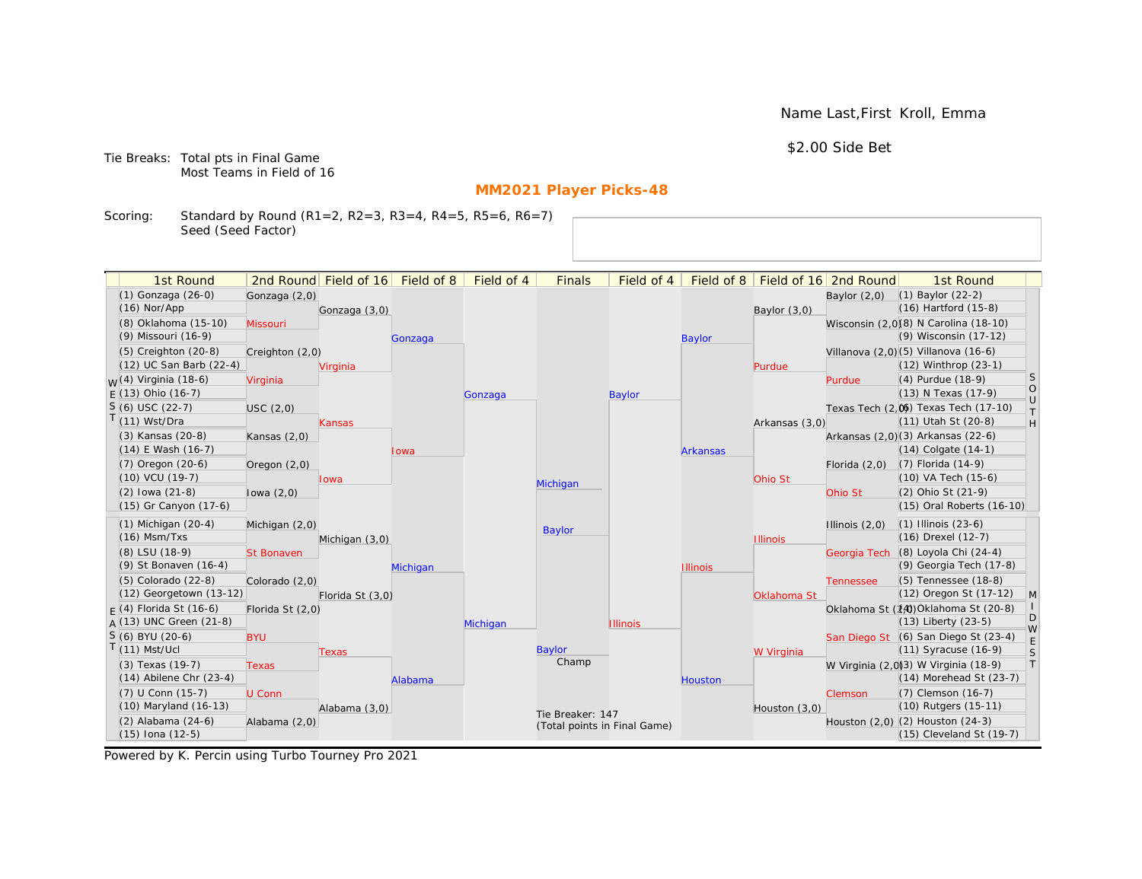Name Last,First Kroll, Emma

\$2.00 Side Bet

Tie Breaks: Total pts in Final Game Most Teams in Field of 16

# **MM2021 Player Picks-48**

Scoring: Standard by Round (R1=2, R2=3, R3=4, R4=5, R5=6, R6=7) Seed (Seed Factor)

| 2nd Round Field of 16 Field of 8<br>Field of 16 2nd Round<br>(1) Gonzaga (26-0)<br>$(1)$ Baylor $(22-2)$<br>Gonzaga (2,0)<br>Baylor $(2,0)$<br>(16) Hartford (15-8)<br>$(16)$ Nor/App<br>Gonzaga (3,0)<br>Baylor $(3,0)$<br>(8) Oklahoma (15-10)<br>Wisconsin (2,0)(8) N Carolina (18-10)<br><b>Missouri</b><br>(9) Wisconsin (17-12)<br>(9) Missouri (16-9)<br><b>Baylor</b><br>Gonzaga<br>Villanova (2,0) (5) Villanova (16-6)<br>$(5)$ Creighton $(20-8)$<br>Creighton (2,0)<br>(12) UC San Barb (22-4)<br>$(12)$ Winthrop $(23-1)$<br>Virginia<br>Purdue<br>S<br><sub>M</sub> /(4) Virginia (18-6)<br>(4) Purdue (18-9)<br>Virginia<br>Purdue<br>$\circ$<br>$F(13)$ Ohio (16-7)<br>(13) N Texas (17-9)<br><b>Baylor</b><br>Gonzaga<br>$\cup$<br>$S(6)$ USC (22-7)<br>Texas Tech (2.06) Texas Tech (17-10)<br>USC(2,0)<br>T.<br>$T(11)$ Wst/Dra<br>(11) Utah St (20-8)<br>H<br>Arkansas (3,0)<br>Kansas<br>Arkansas (2,0)(3) Arkansas (22-6)<br>(3) Kansas (20-8)<br>Kansas $(2,0)$<br>$(14)$ E Wash $(16-7)$<br>$(14)$ Colgate $(14-1)$<br><b>Arkansas</b><br>Iowa<br>(7) Florida (14-9)<br>$(7)$ Oregon $(20-6)$<br>Florida $(2,0)$<br>Oregon $(2,0)$<br>(10) VCU (19-7)<br>(10) VA Tech (15-6)<br>Ohio St<br>Iowa<br>Michigan<br>$(2)$ lowa $(21-8)$<br>(2) Ohio St (21-9)<br>Ohio St<br>lowa $(2,0)$<br>(15) Gr Canyon (17-6)<br>(15) Oral Roberts (16-10)<br>$(1)$ Michigan $(20-4)$<br>$(1)$ Illinois $(23-6)$<br>Michigan (2,0)<br>Illinois $(2,0)$<br>Baylor<br>$(16)$ Msm/Txs<br>(16) Drexel (12-7)<br><b>Illinois</b><br>Michigan (3,0)<br>(8) Loyola Chi (24-4)<br>(8) LSU (18-9)<br><b>St Bonaven</b><br>Georgia Tech<br>(9) Georgia Tech (17-8)<br>(9) St Bonaven (16-4)<br>Michigan<br><b>Illinois</b><br>(5) Tennessee (18-8)<br>(5) Colorado (22-8)<br>Colorado (2,0)<br><b>Tennessee</b><br>(12) Georgetown (13-12)<br>(12) Oregon St (17-12)<br>$\mathsf{M}$<br>Florida St (3,0)<br>Oklahoma St<br>$F(4)$ Florida St (16-6)<br>Oklahoma St (14) Oklahoma St (20-8)<br>Florida St (2,0)<br>D<br>$A(13)$ UNC Green (21-8)<br>(13) Liberty (23-5)<br>Michigan<br><b>Illinois</b><br>W<br>$S(6)$ BYU (20-6)<br>San Diego St (6) San Diego St (23-4)<br><b>BYU</b><br>$\mathsf E$<br>$T(11)$ Mst/Ucl<br>Baylor<br>(11) Syracuse (16-9)<br>S<br>W Virginia<br>Texas<br>Champ<br>T<br>W Virginia (2,0)3) W Virginia (18-9)<br>(3) Texas (19-7)<br><b>Texas</b><br>$(14)$ Abilene Chr $(23-4)$<br>$(14)$ Morehead St $(23-7)$<br>Alabama<br>Houston<br>(7) U Conn (15-7)<br>(7) Clemson (16-7)<br>U Conn<br><b>Clemson</b><br>(10) Maryland (16-13)<br>(10) Rutgers (15-11)<br>Alabama (3,0)<br>Houston (3,0)<br>Tie Breaker: 147<br>(2) Alabama (24-6)<br>Houston (2,0) (2) Houston (24-3)<br>Alabama (2,0)<br>(Total points in Final Game) | 1st Round |  | Field of 4 | <b>Finals</b> | Field of 4 | Field of 8 |  | 1st Round |  |
|-----------------------------------------------------------------------------------------------------------------------------------------------------------------------------------------------------------------------------------------------------------------------------------------------------------------------------------------------------------------------------------------------------------------------------------------------------------------------------------------------------------------------------------------------------------------------------------------------------------------------------------------------------------------------------------------------------------------------------------------------------------------------------------------------------------------------------------------------------------------------------------------------------------------------------------------------------------------------------------------------------------------------------------------------------------------------------------------------------------------------------------------------------------------------------------------------------------------------------------------------------------------------------------------------------------------------------------------------------------------------------------------------------------------------------------------------------------------------------------------------------------------------------------------------------------------------------------------------------------------------------------------------------------------------------------------------------------------------------------------------------------------------------------------------------------------------------------------------------------------------------------------------------------------------------------------------------------------------------------------------------------------------------------------------------------------------------------------------------------------------------------------------------------------------------------------------------------------------------------------------------------------------------------------------------------------------------------------------------------------------------------------------------------------------------------------------------------------------------------------------------------------------------------------------------------------------------------------------------------------------------------------------------------------------------------------------------------------------------------------------------------|-----------|--|------------|---------------|------------|------------|--|-----------|--|
|                                                                                                                                                                                                                                                                                                                                                                                                                                                                                                                                                                                                                                                                                                                                                                                                                                                                                                                                                                                                                                                                                                                                                                                                                                                                                                                                                                                                                                                                                                                                                                                                                                                                                                                                                                                                                                                                                                                                                                                                                                                                                                                                                                                                                                                                                                                                                                                                                                                                                                                                                                                                                                                                                                                                                           |           |  |            |               |            |            |  |           |  |
|                                                                                                                                                                                                                                                                                                                                                                                                                                                                                                                                                                                                                                                                                                                                                                                                                                                                                                                                                                                                                                                                                                                                                                                                                                                                                                                                                                                                                                                                                                                                                                                                                                                                                                                                                                                                                                                                                                                                                                                                                                                                                                                                                                                                                                                                                                                                                                                                                                                                                                                                                                                                                                                                                                                                                           |           |  |            |               |            |            |  |           |  |
|                                                                                                                                                                                                                                                                                                                                                                                                                                                                                                                                                                                                                                                                                                                                                                                                                                                                                                                                                                                                                                                                                                                                                                                                                                                                                                                                                                                                                                                                                                                                                                                                                                                                                                                                                                                                                                                                                                                                                                                                                                                                                                                                                                                                                                                                                                                                                                                                                                                                                                                                                                                                                                                                                                                                                           |           |  |            |               |            |            |  |           |  |
|                                                                                                                                                                                                                                                                                                                                                                                                                                                                                                                                                                                                                                                                                                                                                                                                                                                                                                                                                                                                                                                                                                                                                                                                                                                                                                                                                                                                                                                                                                                                                                                                                                                                                                                                                                                                                                                                                                                                                                                                                                                                                                                                                                                                                                                                                                                                                                                                                                                                                                                                                                                                                                                                                                                                                           |           |  |            |               |            |            |  |           |  |
|                                                                                                                                                                                                                                                                                                                                                                                                                                                                                                                                                                                                                                                                                                                                                                                                                                                                                                                                                                                                                                                                                                                                                                                                                                                                                                                                                                                                                                                                                                                                                                                                                                                                                                                                                                                                                                                                                                                                                                                                                                                                                                                                                                                                                                                                                                                                                                                                                                                                                                                                                                                                                                                                                                                                                           |           |  |            |               |            |            |  |           |  |
|                                                                                                                                                                                                                                                                                                                                                                                                                                                                                                                                                                                                                                                                                                                                                                                                                                                                                                                                                                                                                                                                                                                                                                                                                                                                                                                                                                                                                                                                                                                                                                                                                                                                                                                                                                                                                                                                                                                                                                                                                                                                                                                                                                                                                                                                                                                                                                                                                                                                                                                                                                                                                                                                                                                                                           |           |  |            |               |            |            |  |           |  |
|                                                                                                                                                                                                                                                                                                                                                                                                                                                                                                                                                                                                                                                                                                                                                                                                                                                                                                                                                                                                                                                                                                                                                                                                                                                                                                                                                                                                                                                                                                                                                                                                                                                                                                                                                                                                                                                                                                                                                                                                                                                                                                                                                                                                                                                                                                                                                                                                                                                                                                                                                                                                                                                                                                                                                           |           |  |            |               |            |            |  |           |  |
|                                                                                                                                                                                                                                                                                                                                                                                                                                                                                                                                                                                                                                                                                                                                                                                                                                                                                                                                                                                                                                                                                                                                                                                                                                                                                                                                                                                                                                                                                                                                                                                                                                                                                                                                                                                                                                                                                                                                                                                                                                                                                                                                                                                                                                                                                                                                                                                                                                                                                                                                                                                                                                                                                                                                                           |           |  |            |               |            |            |  |           |  |
|                                                                                                                                                                                                                                                                                                                                                                                                                                                                                                                                                                                                                                                                                                                                                                                                                                                                                                                                                                                                                                                                                                                                                                                                                                                                                                                                                                                                                                                                                                                                                                                                                                                                                                                                                                                                                                                                                                                                                                                                                                                                                                                                                                                                                                                                                                                                                                                                                                                                                                                                                                                                                                                                                                                                                           |           |  |            |               |            |            |  |           |  |
|                                                                                                                                                                                                                                                                                                                                                                                                                                                                                                                                                                                                                                                                                                                                                                                                                                                                                                                                                                                                                                                                                                                                                                                                                                                                                                                                                                                                                                                                                                                                                                                                                                                                                                                                                                                                                                                                                                                                                                                                                                                                                                                                                                                                                                                                                                                                                                                                                                                                                                                                                                                                                                                                                                                                                           |           |  |            |               |            |            |  |           |  |
|                                                                                                                                                                                                                                                                                                                                                                                                                                                                                                                                                                                                                                                                                                                                                                                                                                                                                                                                                                                                                                                                                                                                                                                                                                                                                                                                                                                                                                                                                                                                                                                                                                                                                                                                                                                                                                                                                                                                                                                                                                                                                                                                                                                                                                                                                                                                                                                                                                                                                                                                                                                                                                                                                                                                                           |           |  |            |               |            |            |  |           |  |
|                                                                                                                                                                                                                                                                                                                                                                                                                                                                                                                                                                                                                                                                                                                                                                                                                                                                                                                                                                                                                                                                                                                                                                                                                                                                                                                                                                                                                                                                                                                                                                                                                                                                                                                                                                                                                                                                                                                                                                                                                                                                                                                                                                                                                                                                                                                                                                                                                                                                                                                                                                                                                                                                                                                                                           |           |  |            |               |            |            |  |           |  |
|                                                                                                                                                                                                                                                                                                                                                                                                                                                                                                                                                                                                                                                                                                                                                                                                                                                                                                                                                                                                                                                                                                                                                                                                                                                                                                                                                                                                                                                                                                                                                                                                                                                                                                                                                                                                                                                                                                                                                                                                                                                                                                                                                                                                                                                                                                                                                                                                                                                                                                                                                                                                                                                                                                                                                           |           |  |            |               |            |            |  |           |  |
|                                                                                                                                                                                                                                                                                                                                                                                                                                                                                                                                                                                                                                                                                                                                                                                                                                                                                                                                                                                                                                                                                                                                                                                                                                                                                                                                                                                                                                                                                                                                                                                                                                                                                                                                                                                                                                                                                                                                                                                                                                                                                                                                                                                                                                                                                                                                                                                                                                                                                                                                                                                                                                                                                                                                                           |           |  |            |               |            |            |  |           |  |
|                                                                                                                                                                                                                                                                                                                                                                                                                                                                                                                                                                                                                                                                                                                                                                                                                                                                                                                                                                                                                                                                                                                                                                                                                                                                                                                                                                                                                                                                                                                                                                                                                                                                                                                                                                                                                                                                                                                                                                                                                                                                                                                                                                                                                                                                                                                                                                                                                                                                                                                                                                                                                                                                                                                                                           |           |  |            |               |            |            |  |           |  |
|                                                                                                                                                                                                                                                                                                                                                                                                                                                                                                                                                                                                                                                                                                                                                                                                                                                                                                                                                                                                                                                                                                                                                                                                                                                                                                                                                                                                                                                                                                                                                                                                                                                                                                                                                                                                                                                                                                                                                                                                                                                                                                                                                                                                                                                                                                                                                                                                                                                                                                                                                                                                                                                                                                                                                           |           |  |            |               |            |            |  |           |  |
|                                                                                                                                                                                                                                                                                                                                                                                                                                                                                                                                                                                                                                                                                                                                                                                                                                                                                                                                                                                                                                                                                                                                                                                                                                                                                                                                                                                                                                                                                                                                                                                                                                                                                                                                                                                                                                                                                                                                                                                                                                                                                                                                                                                                                                                                                                                                                                                                                                                                                                                                                                                                                                                                                                                                                           |           |  |            |               |            |            |  |           |  |
|                                                                                                                                                                                                                                                                                                                                                                                                                                                                                                                                                                                                                                                                                                                                                                                                                                                                                                                                                                                                                                                                                                                                                                                                                                                                                                                                                                                                                                                                                                                                                                                                                                                                                                                                                                                                                                                                                                                                                                                                                                                                                                                                                                                                                                                                                                                                                                                                                                                                                                                                                                                                                                                                                                                                                           |           |  |            |               |            |            |  |           |  |
|                                                                                                                                                                                                                                                                                                                                                                                                                                                                                                                                                                                                                                                                                                                                                                                                                                                                                                                                                                                                                                                                                                                                                                                                                                                                                                                                                                                                                                                                                                                                                                                                                                                                                                                                                                                                                                                                                                                                                                                                                                                                                                                                                                                                                                                                                                                                                                                                                                                                                                                                                                                                                                                                                                                                                           |           |  |            |               |            |            |  |           |  |
|                                                                                                                                                                                                                                                                                                                                                                                                                                                                                                                                                                                                                                                                                                                                                                                                                                                                                                                                                                                                                                                                                                                                                                                                                                                                                                                                                                                                                                                                                                                                                                                                                                                                                                                                                                                                                                                                                                                                                                                                                                                                                                                                                                                                                                                                                                                                                                                                                                                                                                                                                                                                                                                                                                                                                           |           |  |            |               |            |            |  |           |  |
|                                                                                                                                                                                                                                                                                                                                                                                                                                                                                                                                                                                                                                                                                                                                                                                                                                                                                                                                                                                                                                                                                                                                                                                                                                                                                                                                                                                                                                                                                                                                                                                                                                                                                                                                                                                                                                                                                                                                                                                                                                                                                                                                                                                                                                                                                                                                                                                                                                                                                                                                                                                                                                                                                                                                                           |           |  |            |               |            |            |  |           |  |
|                                                                                                                                                                                                                                                                                                                                                                                                                                                                                                                                                                                                                                                                                                                                                                                                                                                                                                                                                                                                                                                                                                                                                                                                                                                                                                                                                                                                                                                                                                                                                                                                                                                                                                                                                                                                                                                                                                                                                                                                                                                                                                                                                                                                                                                                                                                                                                                                                                                                                                                                                                                                                                                                                                                                                           |           |  |            |               |            |            |  |           |  |
|                                                                                                                                                                                                                                                                                                                                                                                                                                                                                                                                                                                                                                                                                                                                                                                                                                                                                                                                                                                                                                                                                                                                                                                                                                                                                                                                                                                                                                                                                                                                                                                                                                                                                                                                                                                                                                                                                                                                                                                                                                                                                                                                                                                                                                                                                                                                                                                                                                                                                                                                                                                                                                                                                                                                                           |           |  |            |               |            |            |  |           |  |
|                                                                                                                                                                                                                                                                                                                                                                                                                                                                                                                                                                                                                                                                                                                                                                                                                                                                                                                                                                                                                                                                                                                                                                                                                                                                                                                                                                                                                                                                                                                                                                                                                                                                                                                                                                                                                                                                                                                                                                                                                                                                                                                                                                                                                                                                                                                                                                                                                                                                                                                                                                                                                                                                                                                                                           |           |  |            |               |            |            |  |           |  |
|                                                                                                                                                                                                                                                                                                                                                                                                                                                                                                                                                                                                                                                                                                                                                                                                                                                                                                                                                                                                                                                                                                                                                                                                                                                                                                                                                                                                                                                                                                                                                                                                                                                                                                                                                                                                                                                                                                                                                                                                                                                                                                                                                                                                                                                                                                                                                                                                                                                                                                                                                                                                                                                                                                                                                           |           |  |            |               |            |            |  |           |  |
|                                                                                                                                                                                                                                                                                                                                                                                                                                                                                                                                                                                                                                                                                                                                                                                                                                                                                                                                                                                                                                                                                                                                                                                                                                                                                                                                                                                                                                                                                                                                                                                                                                                                                                                                                                                                                                                                                                                                                                                                                                                                                                                                                                                                                                                                                                                                                                                                                                                                                                                                                                                                                                                                                                                                                           |           |  |            |               |            |            |  |           |  |
|                                                                                                                                                                                                                                                                                                                                                                                                                                                                                                                                                                                                                                                                                                                                                                                                                                                                                                                                                                                                                                                                                                                                                                                                                                                                                                                                                                                                                                                                                                                                                                                                                                                                                                                                                                                                                                                                                                                                                                                                                                                                                                                                                                                                                                                                                                                                                                                                                                                                                                                                                                                                                                                                                                                                                           |           |  |            |               |            |            |  |           |  |
|                                                                                                                                                                                                                                                                                                                                                                                                                                                                                                                                                                                                                                                                                                                                                                                                                                                                                                                                                                                                                                                                                                                                                                                                                                                                                                                                                                                                                                                                                                                                                                                                                                                                                                                                                                                                                                                                                                                                                                                                                                                                                                                                                                                                                                                                                                                                                                                                                                                                                                                                                                                                                                                                                                                                                           |           |  |            |               |            |            |  |           |  |
|                                                                                                                                                                                                                                                                                                                                                                                                                                                                                                                                                                                                                                                                                                                                                                                                                                                                                                                                                                                                                                                                                                                                                                                                                                                                                                                                                                                                                                                                                                                                                                                                                                                                                                                                                                                                                                                                                                                                                                                                                                                                                                                                                                                                                                                                                                                                                                                                                                                                                                                                                                                                                                                                                                                                                           |           |  |            |               |            |            |  |           |  |
|                                                                                                                                                                                                                                                                                                                                                                                                                                                                                                                                                                                                                                                                                                                                                                                                                                                                                                                                                                                                                                                                                                                                                                                                                                                                                                                                                                                                                                                                                                                                                                                                                                                                                                                                                                                                                                                                                                                                                                                                                                                                                                                                                                                                                                                                                                                                                                                                                                                                                                                                                                                                                                                                                                                                                           |           |  |            |               |            |            |  |           |  |
| $(15)$ Iona $(12-5)$<br>(15) Cleveland St (19-7)                                                                                                                                                                                                                                                                                                                                                                                                                                                                                                                                                                                                                                                                                                                                                                                                                                                                                                                                                                                                                                                                                                                                                                                                                                                                                                                                                                                                                                                                                                                                                                                                                                                                                                                                                                                                                                                                                                                                                                                                                                                                                                                                                                                                                                                                                                                                                                                                                                                                                                                                                                                                                                                                                                          |           |  |            |               |            |            |  |           |  |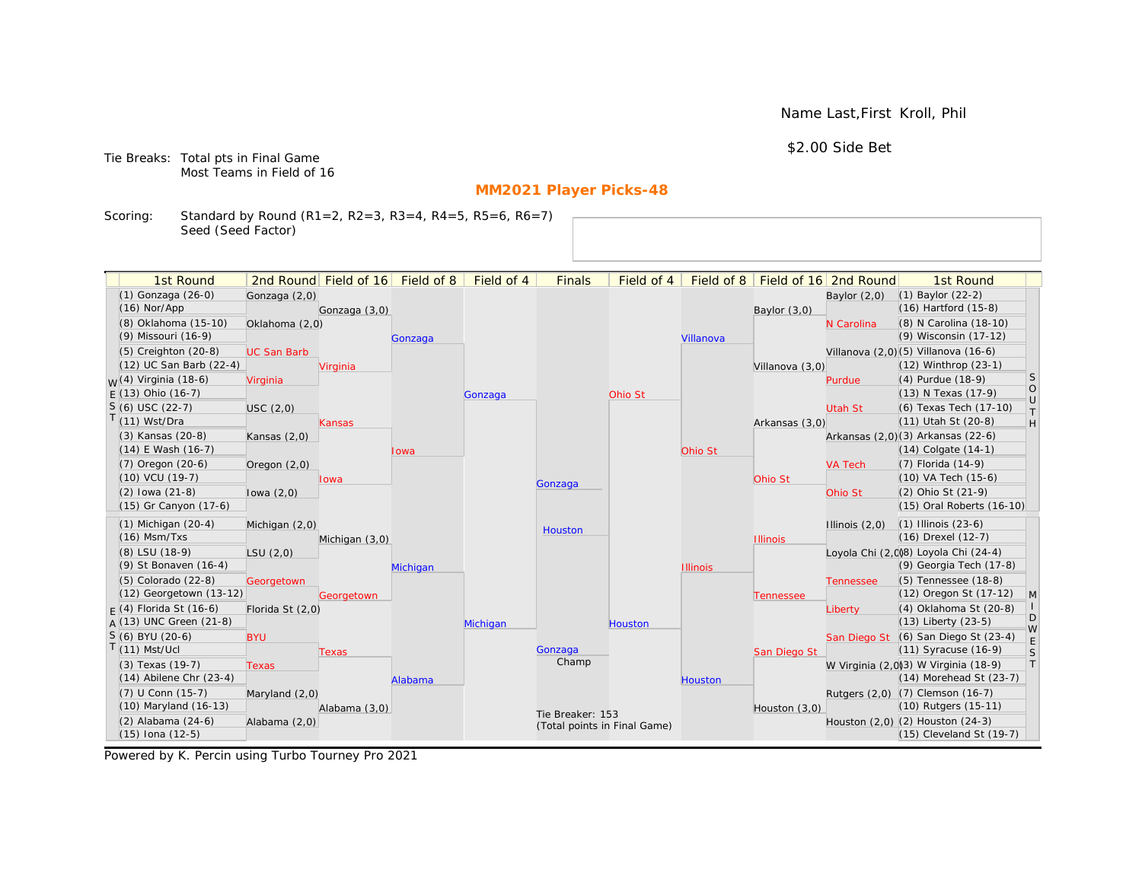Name Last,First Kroll, Phil

\$2.00 Side Bet

Tie Breaks: Total pts in Final Game Most Teams in Field of 16

# **MM2021 Player Picks-48**

Scoring: Standard by Round (R1=2, R2=3, R3=4, R4=5, R5=6, R6=7) Seed (Seed Factor)

| 1st Round                   |                    | 2nd Round Field of 16 | Field of 8 | Field of 4 | <b>Finals</b>    | Field of 4                   | Field of 8      |                 | Field of 16 2nd Round | 1st Round                            |                  |
|-----------------------------|--------------------|-----------------------|------------|------------|------------------|------------------------------|-----------------|-----------------|-----------------------|--------------------------------------|------------------|
| (1) Gonzaga (26-0)          | Gonzaga (2,0)      |                       |            |            |                  |                              |                 |                 | Baylor $(2,0)$        | $(1)$ Baylor $(22-2)$                |                  |
| $(16)$ Nor/App              |                    | Gonzaga (3,0)         |            |            |                  |                              |                 | Baylor (3,0)    |                       | (16) Hartford (15-8)                 |                  |
| (8) Oklahoma (15-10)        | Oklahoma (2,0)     |                       |            |            |                  |                              |                 |                 | N Carolina            | (8) N Carolina (18-10)               |                  |
| (9) Missouri (16-9)         |                    |                       | Gonzaga    |            |                  |                              | Villanova       |                 |                       | (9) Wisconsin (17-12)                |                  |
| $(5)$ Creighton $(20-8)$    | <b>UC San Barb</b> |                       |            |            |                  |                              |                 |                 |                       | Villanova (2,0)(5) Villanova (16-6)  |                  |
| (12) UC San Barb (22-4)     |                    | Virginia              |            |            |                  |                              |                 | Villanova (3,0) |                       | (12) Winthrop (23-1)                 |                  |
| $M(4)$ Virginia (18-6)      | Virginia           |                       |            |            |                  |                              |                 |                 | Purdue                | (4) Purdue (18-9)                    | <sub>S</sub>     |
| $F(13)$ Ohio (16-7)         |                    |                       |            | Gonzaga    |                  | Ohio St                      |                 |                 |                       | (13) N Texas (17-9)                  | $\circ$          |
| $S(6)$ USC (22-7)           | USC(2,0)           |                       |            |            |                  |                              |                 |                 | Utah St               | (6) Texas Tech (17-10)               | $\cup$<br>$\top$ |
| $T(11)$ Wst/Dra             |                    | Kansas                |            |            |                  |                              |                 | Arkansas (3,0)  |                       | (11) Utah St (20-8)                  | H                |
| (3) Kansas (20-8)           | Kansas $(2,0)$     |                       |            |            |                  |                              |                 |                 |                       | Arkansas (2,0)(3) Arkansas (22-6)    |                  |
| $(14)$ E Wash $(16-7)$      |                    |                       | lowa       |            |                  |                              | Ohio St         |                 |                       | $(14)$ Colgate $(14-1)$              |                  |
| (7) Oregon (20-6)           | Oregon $(2,0)$     |                       |            |            |                  |                              |                 |                 | <b>VA Tech</b>        | (7) Florida (14-9)                   |                  |
| (10) VCU (19-7)             |                    | lowa                  |            |            | Gonzaga          |                              |                 | Ohio St         |                       | (10) VA Tech (15-6)                  |                  |
| $(2)$ lowa $(21-8)$         | lowa $(2,0)$       |                       |            |            |                  |                              |                 |                 | Ohio St               | (2) Ohio St (21-9)                   |                  |
| (15) Gr Canyon (17-6)       |                    |                       |            |            |                  |                              |                 |                 |                       | (15) Oral Roberts (16-10)            |                  |
| $(1)$ Michigan $(20-4)$     | Michigan (2,0)     |                       |            |            | Houston          |                              |                 |                 | Illinois $(2,0)$      | $(1)$ Illinois $(23-6)$              |                  |
| $(16)$ Msm/Txs              |                    | Michigan (3,0)        |            |            |                  |                              |                 | <b>Illinois</b> |                       | (16) Drexel (12-7)                   |                  |
| (8) LSU (18-9)              | LSU(2,0)           |                       |            |            |                  |                              |                 |                 |                       | Loyola Chi (2,0)8) Loyola Chi (24-4) |                  |
| (9) St Bonaven (16-4)       |                    |                       | Michigan   |            |                  |                              | <b>Illinois</b> |                 |                       | (9) Georgia Tech (17-8)              |                  |
| $(5)$ Colorado $(22-8)$     | Georgetown         |                       |            |            |                  |                              |                 |                 | <b>Tennessee</b>      | (5) Tennessee (18-8)                 |                  |
| (12) Georgetown (13-12)     |                    | Georgetown            |            |            |                  |                              |                 | Tennessee       |                       | (12) Oregon St (17-12)               | $\mathsf{M}$     |
| $F(4)$ Florida St (16-6)    | Florida St (2,0)   |                       |            |            |                  |                              |                 |                 | Liberty               | (4) Oklahoma St (20-8)               | D                |
| $A(13)$ UNC Green (21-8)    |                    |                       |            | Michigan   |                  | Houston                      |                 |                 |                       | (13) Liberty (23-5)                  | W                |
| S (6) BYU (20-6)            | <b>BYU</b>         |                       |            |            |                  |                              |                 |                 |                       | San Diego St (6) San Diego St (23-4) | E                |
| $T(11)$ Mst/Ucl             |                    | <b>Texas</b>          |            |            | Gonzaga          |                              |                 | San Diego St    |                       | (11) Syracuse (16-9)                 | S                |
| (3) Texas (19-7)            | <b>Texas</b>       |                       |            |            | Champ            |                              |                 |                 |                       | W Virginia (2,0)3) W Virginia (18-9) | $\top$           |
| $(14)$ Abilene Chr $(23-4)$ |                    |                       | Alabama    |            |                  |                              | Houston         |                 |                       | (14) Morehead St (23-7)              |                  |
| (7) U Conn (15-7)           | Maryland (2,0)     |                       |            |            |                  |                              |                 |                 |                       | Rutgers (2,0) (7) Clemson (16-7)     |                  |
| (10) Maryland (16-13)       |                    | Alabama (3,0)         |            |            | Tie Breaker: 153 |                              |                 | Houston (3,0)   |                       | (10) Rutgers (15-11)                 |                  |
| (2) Alabama (24-6)          | Alabama (2,0)      |                       |            |            |                  | (Total points in Final Game) |                 |                 |                       | Houston (2,0) (2) Houston (24-3)     |                  |
| $(15)$ Iona $(12-5)$        |                    |                       |            |            |                  |                              |                 |                 |                       | (15) Cleveland St (19-7)             |                  |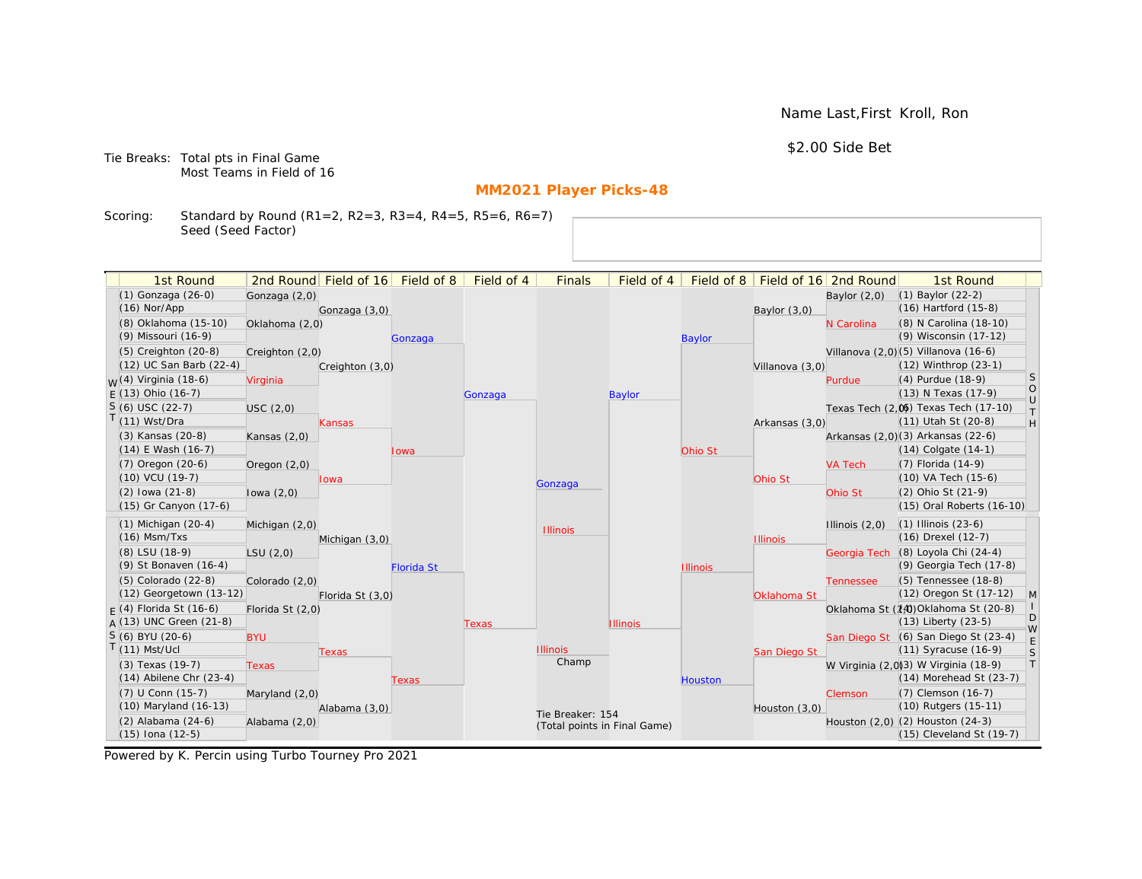Name Last,First Kroll, Ron

\$2.00 Side Bet

Tie Breaks: Total pts in Final Game Most Teams in Field of 16

# **MM2021 Player Picks-48**

Scoring: Standard by Round (R1=2, R2=3, R3=4, R4=5, R5=6, R6=7) Seed (Seed Factor)

| 1st Round                        |                  | 2nd Round Field of 16 | Field of 8        | Field of 4 | <b>Finals</b>                | Field of 4      | Field of 8      |                 | Field of 16 2nd Round | 1st Round                             |                                      |
|----------------------------------|------------------|-----------------------|-------------------|------------|------------------------------|-----------------|-----------------|-----------------|-----------------------|---------------------------------------|--------------------------------------|
| (1) Gonzaga (26-0)               | Gonzaga (2,0)    |                       |                   |            |                              |                 |                 |                 | Baylor $(2,0)$        | $(1)$ Baylor $(22-2)$                 |                                      |
| $(16)$ Nor/App                   |                  | Gonzaga (3,0)         |                   |            |                              |                 |                 | Baylor (3,0)    |                       | $(16)$ Hartford $(15-8)$              |                                      |
| (8) Oklahoma (15-10)             | Oklahoma (2,0)   |                       |                   |            |                              |                 |                 |                 | N Carolina            | (8) N Carolina (18-10)                |                                      |
| (9) Missouri (16-9)              |                  |                       | Gonzaga           |            |                              |                 | <b>Baylor</b>   |                 |                       | (9) Wisconsin (17-12)                 |                                      |
| $(5)$ Creighton $(20-8)$         | Creighton (2,0)  |                       |                   |            |                              |                 |                 |                 |                       | Villanova (2,0) (5) Villanova (16-6)  |                                      |
| (12) UC San Barb (22-4)          |                  | Creighton (3,0)       |                   |            |                              |                 |                 | Villanova (3,0) |                       | $(12)$ Winthrop $(23-1)$              |                                      |
| <sub>W</sub> (4) Virginia (18-6) | Virginia         |                       |                   |            |                              |                 |                 |                 | Purdue                | (4) Purdue (18-9)                     | S                                    |
| $E(13)$ Ohio (16-7)              |                  |                       |                   | Gonzaga    |                              | <b>Baylor</b>   |                 |                 |                       | (13) N Texas (17-9)                   | $\begin{matrix} 0 \\ U \end{matrix}$ |
| $S(6)$ USC (22-7)                | USC(2,0)         |                       |                   |            |                              |                 |                 |                 |                       | Texas Tech (2,0) Texas Tech (17-10)   | $\top$                               |
| T(11) Wst/Dra                    |                  | Kansas                |                   |            |                              |                 |                 | Arkansas (3,0)  |                       | (11) Utah St (20-8)                   | H                                    |
| (3) Kansas (20-8)                | Kansas $(2,0)$   |                       |                   |            |                              |                 |                 |                 |                       | Arkansas (2,0)(3) Arkansas (22-6)     |                                      |
| $(14)$ E Wash $(16-7)$           |                  |                       | lowa              |            |                              |                 | Ohio St         |                 |                       | $(14)$ Colgate $(14-1)$               |                                      |
| $(7)$ Oregon $(20-6)$            | Oregon $(2,0)$   |                       |                   |            |                              |                 |                 |                 | <b>VA Tech</b>        | (7) Florida (14-9)                    |                                      |
| (10) VCU (19-7)                  |                  | lowa                  |                   |            | Gonzaga                      |                 |                 | Ohio St         |                       | (10) VA Tech (15-6)                   |                                      |
| $(2)$ lowa $(21-8)$              | lowa $(2,0)$     |                       |                   |            |                              |                 |                 |                 | Ohio St               | (2) Ohio St (21-9)                    |                                      |
| (15) Gr Canyon (17-6)            |                  |                       |                   |            |                              |                 |                 |                 |                       | (15) Oral Roberts (16-10)             |                                      |
| $(1)$ Michigan $(20-4)$          | Michigan (2,0)   |                       |                   |            | <b>Illinois</b>              |                 |                 |                 | Illinois $(2,0)$      | $(1)$ Illinois $(23-6)$               |                                      |
| $(16)$ Msm/Txs                   |                  | Michigan (3,0)        |                   |            |                              |                 |                 | <b>Illinois</b> |                       | (16) Drexel (12-7)                    |                                      |
| (8) LSU (18-9)                   | LSU(2,0)         |                       |                   |            |                              |                 |                 |                 | Georgia Tech          | (8) Loyola Chi (24-4)                 |                                      |
| (9) St Bonaven (16-4)            |                  |                       | <b>Florida St</b> |            |                              |                 | <b>Illinois</b> |                 |                       | (9) Georgia Tech (17-8)               |                                      |
| (5) Colorado (22-8)              | Colorado (2,0)   |                       |                   |            |                              |                 |                 |                 | <b>Tennessee</b>      | (5) Tennessee (18-8)                  |                                      |
| (12) Georgetown (13-12)          |                  | Florida St (3,0)      |                   |            |                              |                 |                 | Oklahoma St     |                       | (12) Oregon St (17-12)                | $\mathsf{M}$                         |
| $F(4)$ Florida St (16-6)         | Florida St (2,0) |                       |                   |            |                              |                 |                 |                 |                       | Oklahoma St (14) Oklahoma St (20-8)   | D                                    |
| $A(13)$ UNC Green (21-8)         |                  |                       |                   | Texas      |                              | <b>Illinois</b> |                 |                 |                       | $(13)$ Liberty $(23-5)$               | W                                    |
| S (6) BYU (20-6)                 | <b>BYU</b>       |                       |                   |            |                              |                 |                 |                 |                       | San Diego St (6) San Diego St (23-4)  | E                                    |
| $T(11)$ Mst/Ucl                  |                  | Texas                 |                   |            | <b>Illinois</b>              |                 |                 | San Diego St    |                       | $(11)$ Syracuse $(16-9)$              | S                                    |
| $(3)$ Texas $(19-7)$             | <b>Texas</b>     |                       |                   |            | Champ                        |                 |                 |                 |                       | W Virginia (2,0)(3) W Virginia (18-9) | T                                    |
| $(14)$ Abilene Chr $(23-4)$      |                  |                       | Texas             |            |                              |                 | <b>Houston</b>  |                 |                       | $(14)$ Morehead St $(23-7)$           |                                      |
| (7) U Conn (15-7)                | Maryland (2,0)   |                       |                   |            |                              |                 |                 |                 | Clemson               | (7) Clemson (16-7)                    |                                      |
| (10) Maryland (16-13)            |                  | Alabama (3,0)         |                   |            | Tie Breaker: 154             |                 |                 | Houston (3,0)   |                       | (10) Rutgers (15-11)                  |                                      |
| (2) Alabama (24-6)               | Alabama (2,0)    |                       |                   |            | (Total points in Final Game) |                 |                 |                 |                       | Houston (2,0) (2) Houston (24-3)      |                                      |
| $(15)$ Iona $(12-5)$             |                  |                       |                   |            |                              |                 |                 |                 |                       | (15) Cleveland St (19-7)              |                                      |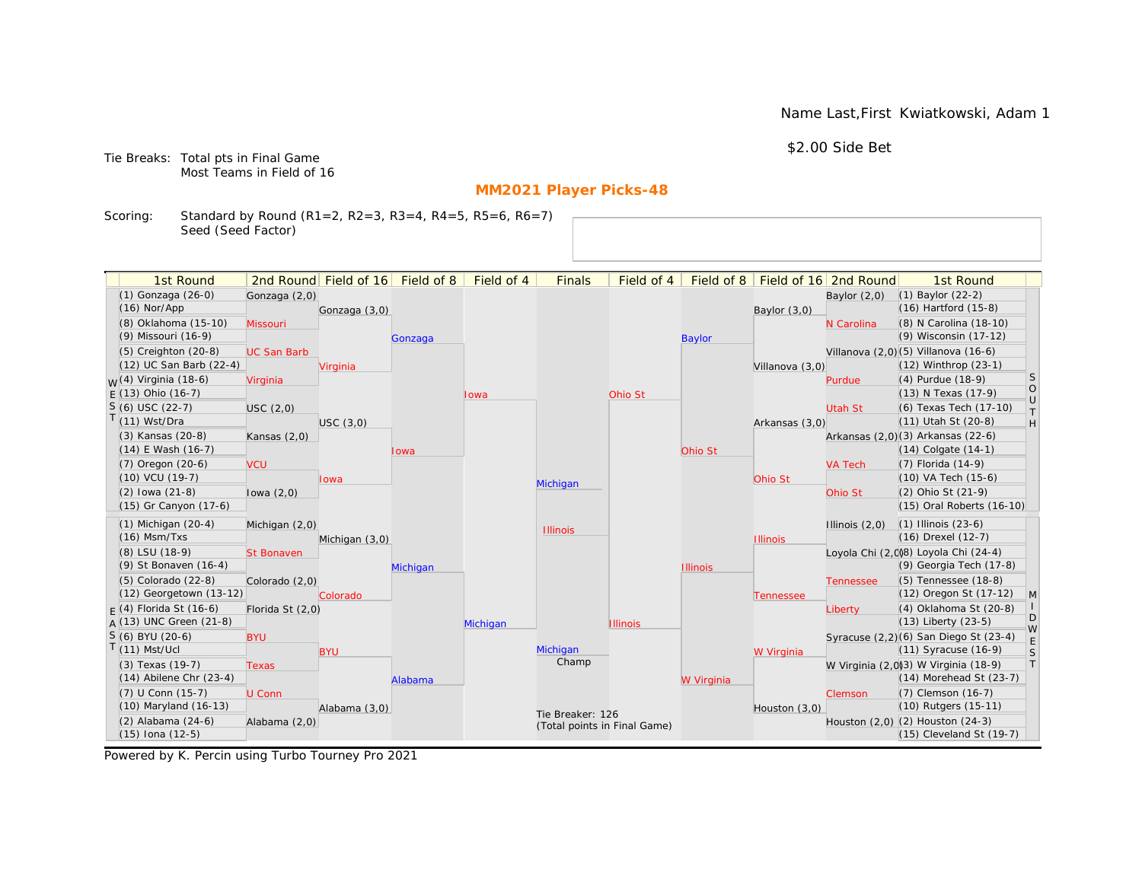Name Last,First Kwiatkowski, Adam 1

\$2.00 Side Bet

Tie Breaks: Total pts in Final Game Most Teams in Field of 16

# **MM2021 Player Picks-48**

Scoring: Standard by Round (R1=2, R2=3, R3=4, R4=5, R5=6, R6=7) Seed (Seed Factor)

| 1st Round                                       |                    | 2nd Round Field of 16 Field of 8 |          | Field of 4 | <b>Finals</b>                | Field of 4      | Field of 8      |                 | Field of 16 2nd Round | 1st Round                                                           |                   |
|-------------------------------------------------|--------------------|----------------------------------|----------|------------|------------------------------|-----------------|-----------------|-----------------|-----------------------|---------------------------------------------------------------------|-------------------|
| (1) Gonzaga (26-0)                              | Gonzaga (2,0)      |                                  |          |            |                              |                 |                 |                 | Baylor $(2,0)$        | (1) Baylor (22-2)                                                   |                   |
| $(16)$ Nor/App                                  |                    | Gonzaga (3,0)                    |          |            |                              |                 |                 | Baylor $(3,0)$  |                       | (16) Hartford (15-8)                                                |                   |
| (8) Oklahoma (15-10)                            | Missouri           |                                  |          |            |                              |                 |                 |                 | N Carolina            | (8) N Carolina (18-10)                                              |                   |
| (9) Missouri (16-9)                             |                    |                                  | Gonzaga  |            |                              |                 | <b>Baylor</b>   |                 |                       | (9) Wisconsin (17-12)                                               |                   |
| $(5)$ Creighton $(20-8)$                        | <b>UC San Barb</b> |                                  |          |            |                              |                 |                 |                 |                       | Villanova (2,0) (5) Villanova (16-6)                                |                   |
| (12) UC San Barb (22-4)                         |                    | Virginia                         |          |            |                              |                 |                 | Villanova (3,0) |                       | (12) Winthrop (23-1)                                                |                   |
| <sub>W</sub> (4) Virginia (18-6)                | Virginia           |                                  |          |            |                              |                 |                 |                 | Purdue                | (4) Purdue (18-9)                                                   | S                 |
| $E(13)$ Ohio (16-7)                             |                    |                                  |          | Iowa       |                              | Ohio St         |                 |                 |                       | (13) N Texas (17-9)                                                 | $\circ$<br>$\cup$ |
| $S(6)$ USC (22-7)                               | USC(2,0)           |                                  |          |            |                              |                 |                 |                 | Utah St               | (6) Texas Tech (17-10)                                              | $\top$            |
| $T(11)$ Wst/Dra                                 |                    | USC(3,0)                         |          |            |                              |                 |                 | Arkansas (3,0)  |                       | (11) Utah St (20-8)                                                 | H                 |
| (3) Kansas (20-8)                               | Kansas $(2,0)$     |                                  |          |            |                              |                 |                 |                 |                       | Arkansas (2,0)(3) Arkansas (22-6)                                   |                   |
| $(14)$ E Wash $(16-7)$                          |                    |                                  | lowa     |            |                              |                 | Ohio St         |                 |                       | $(14)$ Colgate $(14-1)$                                             |                   |
| $(7)$ Oregon $(20-6)$                           | <b>VCU</b>         |                                  |          |            |                              |                 |                 |                 | <b>VA Tech</b>        | (7) Florida (14-9)                                                  |                   |
| $(10)$ VCU $(19-7)$                             |                    | <b>lowa</b>                      |          |            | Michigan                     |                 |                 | Ohio St         |                       | (10) VA Tech (15-6)                                                 |                   |
| $(2)$ lowa $(21-8)$                             | lowa $(2,0)$       |                                  |          |            |                              |                 |                 |                 | Ohio St               | (2) Ohio St (21-9)                                                  |                   |
| (15) Gr Canyon (17-6)                           |                    |                                  |          |            |                              |                 |                 |                 |                       | (15) Oral Roberts (16-10)                                           |                   |
| $(1)$ Michigan $(20-4)$                         | Michigan (2,0)     |                                  |          |            | <b>Illinois</b>              |                 |                 |                 | Illinois $(2,0)$      | $(1)$ Illinois $(23-6)$                                             |                   |
| $(16)$ Msm/Txs                                  |                    | Michigan (3,0)                   |          |            |                              |                 |                 | <b>Illinois</b> |                       | (16) Drexel (12-7)                                                  |                   |
| (8) LSU (18-9)                                  | <b>St Bonaven</b>  |                                  |          |            |                              |                 |                 |                 |                       | Loyola Chi (2,0)8) Loyola Chi (24-4)                                |                   |
| (9) St Bonaven (16-4)                           |                    |                                  | Michigan |            |                              |                 | <b>Illinois</b> |                 |                       | (9) Georgia Tech (17-8)                                             |                   |
| (5) Colorado (22-8)                             | Colorado (2,0)     |                                  |          |            |                              |                 |                 |                 | <b>Tennessee</b>      | (5) Tennessee (18-8)                                                |                   |
| (12) Georgetown (13-12)                         |                    | Colorado                         |          |            |                              |                 |                 | Tennessee       |                       | (12) Oregon St (17-12)                                              | $\mathsf{M}$      |
| $F(4)$ Florida St (16-6)                        | Florida St (2,0)   |                                  |          |            |                              |                 |                 |                 | Liberty               | (4) Oklahoma St (20-8)                                              | D                 |
| $A(13)$ UNC Green (21-8)                        |                    |                                  |          | Michigan   |                              | <b>Illinois</b> |                 |                 |                       | (13) Liberty (23-5)                                                 | W                 |
| S (6) BYU (20-6)                                | <b>BYU</b>         |                                  |          |            |                              |                 |                 |                 |                       | Syracuse (2,2)(6) San Diego St (23-4)                               | $\mathsf E$       |
| $T(11)$ Mst/Ucl                                 |                    | <b>BYU</b>                       |          |            | Michigan<br>Champ            |                 |                 | W Virginia      |                       | (11) Syracuse (16-9)                                                | S<br> T           |
| (3) Texas (19-7)<br>$(14)$ Abilene Chr $(23-4)$ | <b>Texas</b>       |                                  |          |            |                              |                 |                 |                 |                       | W Virginia (2,0)3) W Virginia (18-9)<br>$(14)$ Morehead St $(23-7)$ |                   |
| (7) U Conn (15-7)                               |                    |                                  | Alabama  |            |                              |                 | W Virginia      |                 |                       | (7) Clemson (16-7)                                                  |                   |
| (10) Maryland (16-13)                           | U Conn             | Alabama (3,0)                    |          |            |                              |                 |                 | Houston (3,0)   | Clemson               | (10) Rutgers (15-11)                                                |                   |
| (2) Alabama (24-6)                              | Alabama (2,0)      |                                  |          |            | Tie Breaker: 126             |                 |                 |                 |                       | Houston (2,0) (2) Houston (24-3)                                    |                   |
| $(15)$ Iona $(12-5)$                            |                    |                                  |          |            | (Total points in Final Game) |                 |                 |                 |                       | (15) Cleveland St (19-7)                                            |                   |
|                                                 |                    |                                  |          |            |                              |                 |                 |                 |                       |                                                                     |                   |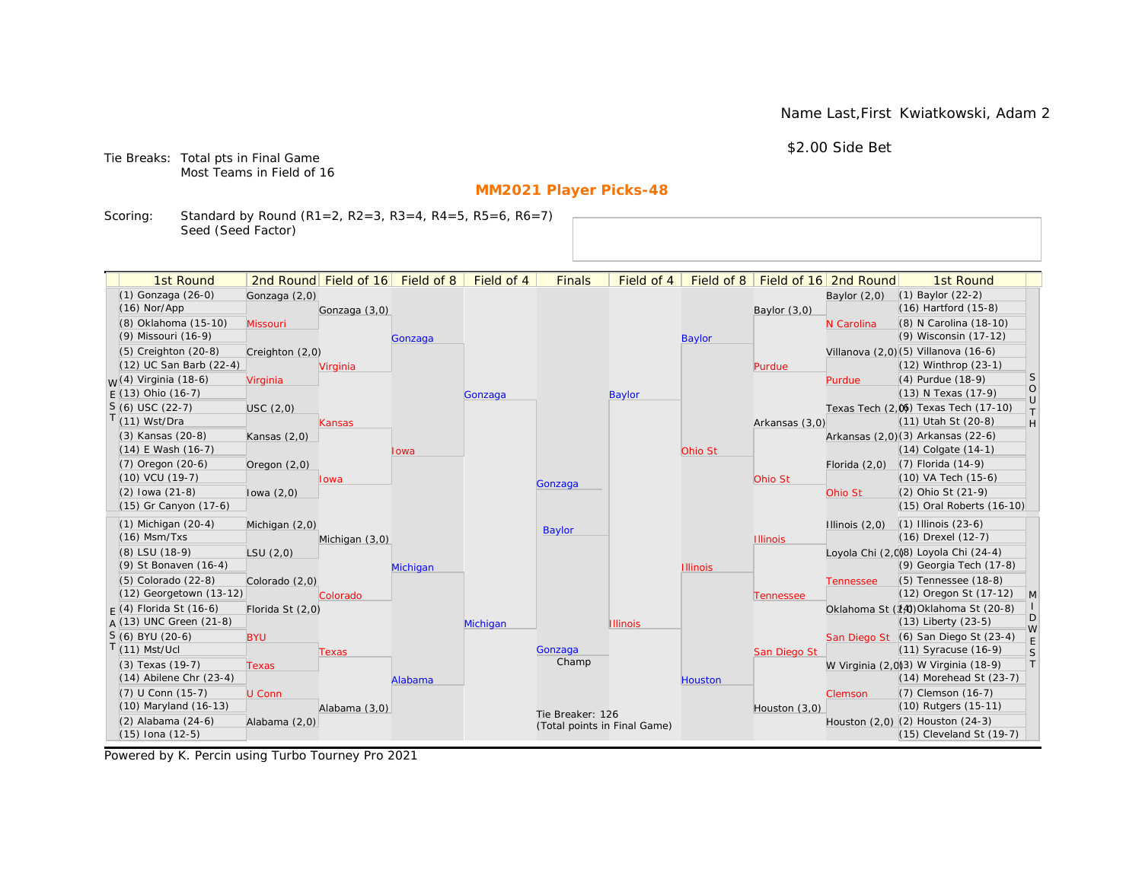Name Last,First Kwiatkowski, Adam 2

\$2.00 Side Bet

Tie Breaks: Total pts in Final Game Most Teams in Field of 16

# **MM2021 Player Picks-48**

Scoring: Standard by Round (R1=2, R2=3, R3=4, R4=5, R5=6, R6=7) Seed (Seed Factor)

| 1st Round                                    |                  | 2nd Round Field of 16 Field of 8 |          | Field of 4 | <b>Finals</b>                | Field of 4      |                 |                 | Field of 8   Field of 16   2nd Round | 1st Round                                 |              |
|----------------------------------------------|------------------|----------------------------------|----------|------------|------------------------------|-----------------|-----------------|-----------------|--------------------------------------|-------------------------------------------|--------------|
| (1) Gonzaga (26-0)                           | Gonzaga (2,0)    |                                  |          |            |                              |                 |                 |                 | Baylor $(2,0)$                       | (1) Baylor (22-2)<br>(16) Hartford (15-8) |              |
| $(16)$ Nor/App                               |                  | Gonzaga (3,0)                    |          |            |                              |                 |                 | Baylor $(3,0)$  |                                      |                                           |              |
| (8) Oklahoma (15-10)                         | Missouri         |                                  |          |            |                              |                 |                 |                 | N Carolina                           | (8) N Carolina (18-10)                    |              |
| (9) Missouri (16-9)                          |                  |                                  | Gonzaga  |            |                              |                 | <b>Baylor</b>   |                 |                                      | (9) Wisconsin (17-12)                     |              |
| $(5)$ Creighton $(20-8)$                     | Creighton (2,0)  |                                  |          |            |                              |                 |                 |                 |                                      | Villanova (2,0) (5) Villanova (16-6)      |              |
| (12) UC San Barb (22-4)                      |                  | Virginia                         |          |            |                              |                 |                 | Purdue          |                                      | (12) Winthrop (23-1)                      | S            |
| <sub>M</sub> /(4) Virginia (18-6)            | Virginia         |                                  |          |            |                              |                 |                 |                 | Purdue                               | (4) Purdue (18-9)                         | $\circ$      |
| $E(13)$ Ohio (16-7)                          |                  |                                  |          | Gonzaga    |                              | <b>Baylor</b>   |                 |                 |                                      | (13) N Texas (17-9)                       | $\cup$       |
| $S(6)$ USC (22-7)                            | USC(2,0)         |                                  |          |            |                              |                 |                 |                 |                                      | Texas Tech (2,0) Texas Tech (17-10)       | $\top$       |
| $T(11)$ Wst/Dra                              |                  | <b>Kansas</b>                    |          |            |                              |                 |                 | Arkansas (3,0)  |                                      | (11) Utah St (20-8)                       | H            |
| (3) Kansas (20-8)                            | Kansas $(2,0)$   |                                  |          |            |                              |                 |                 |                 |                                      | Arkansas (2,0)(3) Arkansas (22-6)         |              |
| (14) E Wash (16-7)                           |                  |                                  | Iowa     |            |                              |                 | Ohio St         |                 |                                      | $(14)$ Colgate $(14-1)$                   |              |
| $(7)$ Oregon $(20-6)$<br>$(10)$ VCU $(19-7)$ | Oregon $(2,0)$   |                                  |          |            |                              |                 |                 |                 | Florida $(2,0)$                      | (7) Florida (14-9)<br>(10) VA Tech (15-6) |              |
| $(2)$ lowa $(21-8)$                          |                  | Iowa                             |          |            | Gonzaga                      |                 |                 | Ohio St         |                                      | (2) Ohio St (21-9)                        |              |
| (15) Gr Canyon (17-6)                        | lowa $(2,0)$     |                                  |          |            |                              |                 |                 |                 | Ohio St                              | (15) Oral Roberts (16-10)                 |              |
|                                              |                  |                                  |          |            |                              |                 |                 |                 |                                      |                                           |              |
| $(1)$ Michigan $(20-4)$                      | Michigan (2,0)   |                                  |          |            | Baylor                       |                 |                 |                 | Illinois $(2,0)$                     | $(1)$ Illinois $(23-6)$                   |              |
| $(16)$ Msm/Txs                               |                  | Michigan (3,0)                   |          |            |                              |                 |                 | <b>Illinois</b> |                                      | (16) Drexel (12-7)                        |              |
| (8) LSU (18-9)                               | LSU(2,0)         |                                  |          |            |                              |                 |                 |                 |                                      | Loyola Chi (2,008) Loyola Chi (24-4)      |              |
| (9) St Bonaven (16-4)                        |                  |                                  | Michigan |            |                              |                 | <b>Illinois</b> |                 |                                      | (9) Georgia Tech (17-8)                   |              |
| (5) Colorado (22-8)                          | Colorado (2,0)   |                                  |          |            |                              |                 |                 |                 | <b>Tennessee</b>                     | (5) Tennessee (18-8)                      |              |
| (12) Georgetown (13-12)                      |                  | Colorado                         |          |            |                              |                 |                 | Tennessee       |                                      | (12) Oregon St (17-12)                    | $\mathsf{M}$ |
| $F(4)$ Florida St (16-6)                     | Florida St (2,0) |                                  |          |            |                              |                 |                 |                 |                                      | Oklahoma St (14) Oklahoma St (20-8)       | D            |
| $A(13)$ UNC Green (21-8)                     |                  |                                  |          | Michigan   |                              | <b>Illinois</b> |                 |                 |                                      | (13) Liberty (23-5)                       | W            |
| S (6) BYU (20-6)                             | <b>BYU</b>       |                                  |          |            |                              |                 |                 |                 |                                      | San Diego St (6) San Diego St (23-4)      | E            |
| $T(11)$ Mst/Ucl                              |                  | Texas                            |          |            | Gonzaga<br>Champ             |                 |                 | San Diego St    |                                      | (11) Syracuse (16-9)                      | S            |
| (3) Texas (19-7)                             | <b>Texas</b>     |                                  |          |            |                              |                 |                 |                 |                                      | W Virginia (2,0)(3) W Virginia (18-9)     | $\top$       |
| $(14)$ Abilene Chr $(23-4)$                  |                  |                                  | Alabama  |            |                              |                 | Houston         |                 |                                      | $(14)$ Morehead St $(23-7)$               |              |
| (7) U Conn (15-7)                            | U Conn           |                                  |          |            |                              |                 |                 |                 | <b>Clemson</b>                       | (7) Clemson (16-7)                        |              |
| (10) Maryland (16-13)                        |                  | Alabama (3,0)                    |          |            | Tie Breaker: 126             |                 |                 | Houston (3,0)   |                                      | (10) Rutgers (15-11)                      |              |
| (2) Alabama (24-6)                           | Alabama (2,0)    |                                  |          |            | (Total points in Final Game) |                 |                 |                 |                                      | Houston (2,0) (2) Houston (24-3)          |              |
| $(15)$ Iona $(12-5)$                         |                  |                                  |          |            |                              |                 |                 |                 |                                      | $(15)$ Cleveland St $(19-7)$              |              |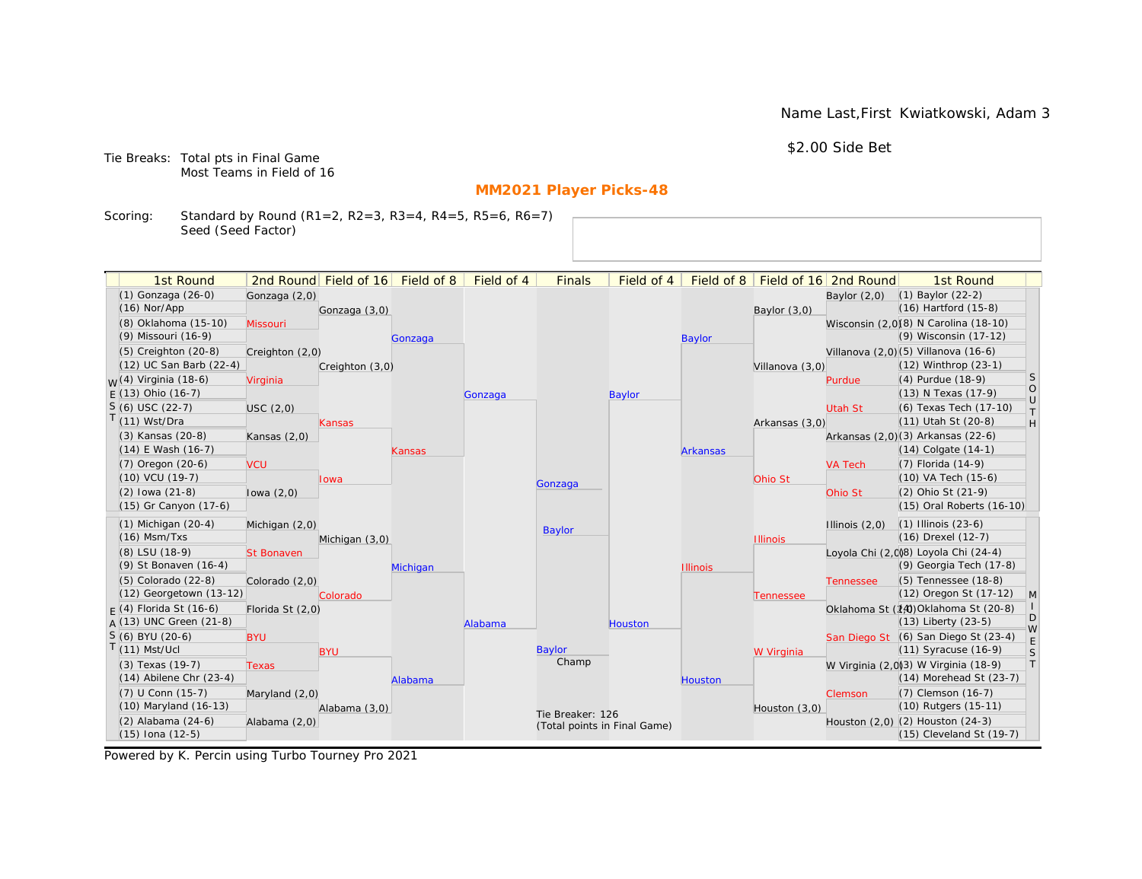Name Last,First Kwiatkowski, Adam 3

\$2.00 Side Bet

Tie Breaks: Total pts in Final Game Most Teams in Field of 16

# **MM2021 Player Picks-48**

Scoring: Standard by Round (R1=2, R2=3, R3=4, R4=5, R5=6, R6=7) Seed (Seed Factor)

| 1st Round                        |                   | 2nd Round Field of 16 | Field of 8 | Field of 4 | <b>Finals</b>                | Field of 4 | Field of 8      |                 | Field of 16 2nd Round | 1st Round                             |                   |
|----------------------------------|-------------------|-----------------------|------------|------------|------------------------------|------------|-----------------|-----------------|-----------------------|---------------------------------------|-------------------|
| (1) Gonzaga (26-0)               | Gonzaga (2,0)     |                       |            |            |                              |            |                 |                 | Baylor $(2,0)$        | $(1)$ Baylor $(22-2)$                 |                   |
| $(16)$ Nor/App                   |                   | Gonzaga (3,0)         |            |            |                              |            |                 | Baylor (3,0)    |                       | (16) Hartford (15-8)                  |                   |
| (8) Oklahoma (15-10)             | Missouri          |                       |            |            |                              |            |                 |                 |                       | Wisconsin (2,0)(8) N Carolina (18-10) |                   |
| (9) Missouri (16-9)              |                   |                       | Gonzaga    |            |                              |            | <b>Baylor</b>   |                 |                       | (9) Wisconsin (17-12)                 |                   |
| $(5)$ Creighton $(20-8)$         | Creighton (2,0)   |                       |            |            |                              |            |                 |                 |                       | Villanova (2,0) (5) Villanova (16-6)  |                   |
| (12) UC San Barb (22-4)          |                   | Creighton (3,0)       |            |            |                              |            |                 | Villanova (3,0) |                       | (12) Winthrop (23-1)                  |                   |
| <sub>W</sub> (4) Virginia (18-6) | Virginia          |                       |            |            |                              |            |                 |                 | Purdue                | (4) Purdue (18-9)                     | <sub>S</sub>      |
| $E(13)$ Ohio (16-7)              |                   |                       |            | Gonzaga    |                              | Baylor     |                 |                 |                       | (13) N Texas (17-9)                   | $\circ$<br>$\cup$ |
| $S(6)$ USC (22-7)                | USC(2,0)          |                       |            |            |                              |            |                 |                 | Utah St               | (6) Texas Tech (17-10)                | $\top$            |
| T(11) Wst/Dra                    |                   | Kansas                |            |            |                              |            |                 | Arkansas (3,0)  |                       | (11) Utah St (20-8)                   | H                 |
| (3) Kansas (20-8)                | Kansas $(2,0)$    |                       |            |            |                              |            |                 |                 |                       | Arkansas (2,0)(3) Arkansas (22-6)     |                   |
| $(14)$ E Wash $(16-7)$           |                   |                       | Kansas     |            |                              |            | <b>Arkansas</b> |                 |                       | $(14)$ Colgate $(14-1)$               |                   |
| $(7)$ Oregon $(20-6)$            | <b>VCU</b>        |                       |            |            |                              |            |                 |                 | <b>VA Tech</b>        | (7) Florida (14-9)                    |                   |
| (10) VCU (19-7)                  |                   | lowa                  |            |            | Gonzaga                      |            |                 | Ohio St         |                       | (10) VA Tech (15-6)                   |                   |
| $(2)$ lowa $(21-8)$              | lowa $(2,0)$      |                       |            |            |                              |            |                 |                 | Ohio St               | (2) Ohio St (21-9)                    |                   |
| (15) Gr Canyon (17-6)            |                   |                       |            |            |                              |            |                 |                 |                       | (15) Oral Roberts (16-10)             |                   |
| $(1)$ Michigan $(20-4)$          | Michigan (2,0)    |                       |            |            |                              |            |                 |                 | Illinois $(2,0)$      | $(1)$ Illinois $(23-6)$               |                   |
| $(16)$ Msm/Txs                   |                   | Michigan (3,0)        |            |            | Baylor                       |            |                 | <b>Illinois</b> |                       | (16) Drexel (12-7)                    |                   |
| (8) LSU (18-9)                   | <b>St Bonaven</b> |                       |            |            |                              |            |                 |                 |                       | Loyola Chi (2,0)8) Loyola Chi (24-4)  |                   |
| (9) St Bonaven (16-4)            |                   |                       | Michigan   |            |                              |            | <b>Illinois</b> |                 |                       | (9) Georgia Tech (17-8)               |                   |
| $(5)$ Colorado $(22-8)$          | Colorado (2,0)    |                       |            |            |                              |            |                 |                 | <b>Tennessee</b>      | (5) Tennessee (18-8)                  |                   |
| (12) Georgetown (13-12)          |                   | Colorado              |            |            |                              |            |                 | Tennessee       |                       | (12) Oregon St (17-12)                | $\vert M \vert$   |
| $F(4)$ Florida St (16-6)         | Florida St (2,0)  |                       |            |            |                              |            |                 |                 |                       | Oklahoma St (14) Oklahoma St (20-8)   |                   |
| $A(13)$ UNC Green (21-8)         |                   |                       |            | Alabama    |                              | Houston    |                 |                 |                       | (13) Liberty (23-5)                   | D<br>W            |
| S (6) BYU (20-6)                 | <b>BYU</b>        |                       |            |            |                              |            |                 |                 |                       | San Diego St (6) San Diego St (23-4)  |                   |
| $T(11)$ Mst/Ucl                  |                   | <b>BYU</b>            |            |            | Baylor                       |            |                 | W Virginia      |                       | (11) Syracuse (16-9)                  | S                 |
| (3) Texas (19-7)                 | <b>Texas</b>      |                       |            |            | Champ                        |            |                 |                 |                       | W Virginia (2,0)3) W Virginia (18-9)  | $\top$            |
| $(14)$ Abilene Chr $(23-4)$      |                   |                       | Alabama    |            |                              |            | <b>Houston</b>  |                 |                       | (14) Morehead St (23-7)               |                   |
| (7) U Conn (15-7)                | Maryland $(2,0)$  |                       |            |            |                              |            |                 |                 | Clemson               | (7) Clemson (16-7)                    |                   |
| (10) Maryland (16-13)            |                   | Alabama (3,0)         |            |            | Tie Breaker: 126             |            |                 | Houston (3,0)   |                       | (10) Rutgers (15-11)                  |                   |
| (2) Alabama (24-6)               | Alabama (2,0)     |                       |            |            | (Total points in Final Game) |            |                 |                 |                       | Houston (2,0) (2) Houston (24-3)      |                   |
| $(15)$ Iona $(12-5)$             |                   |                       |            |            |                              |            |                 |                 |                       | (15) Cleveland St (19-7)              |                   |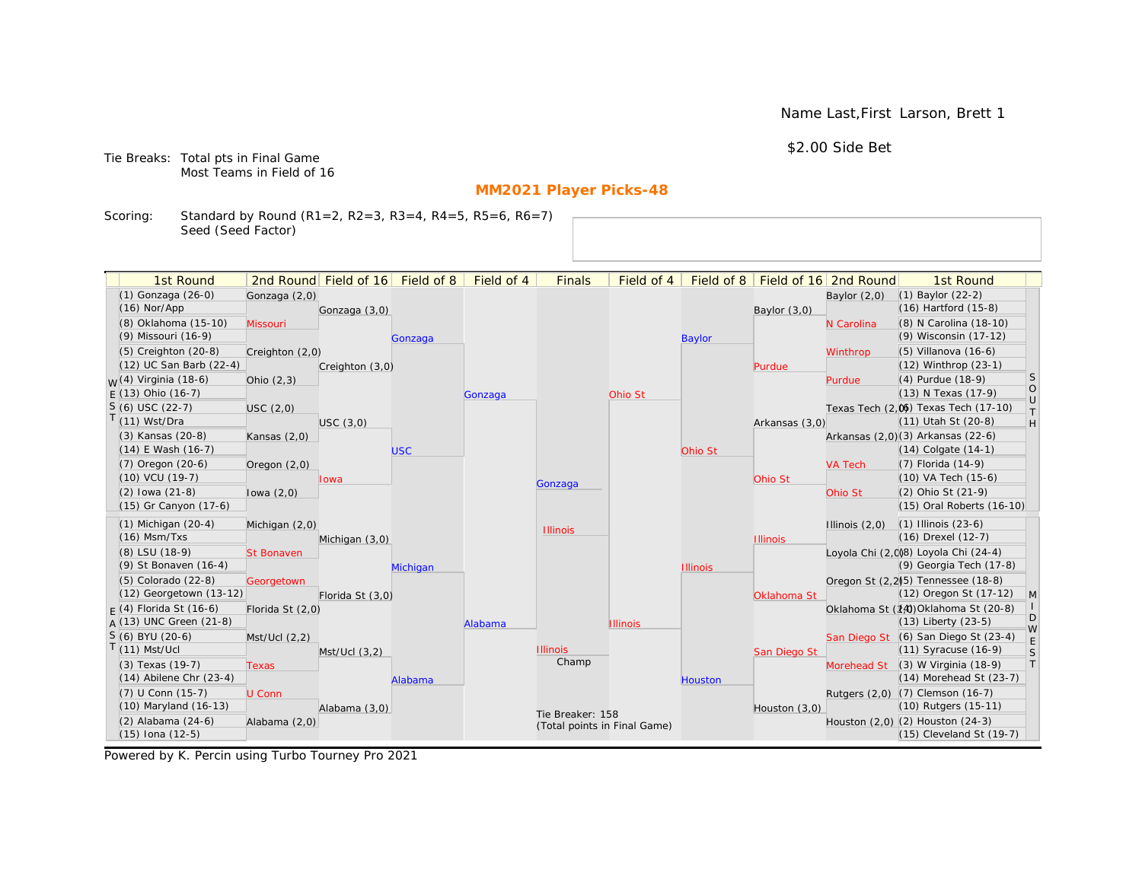Name Last,First Larson, Brett 1

\$2.00 Side Bet

Tie Breaks: Total pts in Final Game Most Teams in Field of 16

# **MM2021 Player Picks-48**

Scoring: Standard by Round (R1=2, R2=3, R3=4, R4=5, R5=6, R6=7) Seed (Seed Factor)

| 1st Round                   |                   | 2nd Round Field of 16 | Field of 8 | Field of 4 | <b>Finals</b>                | Field of 4      | Field of 8      |                 | Field of 16 2nd Round | 1st Round                                       |                   |
|-----------------------------|-------------------|-----------------------|------------|------------|------------------------------|-----------------|-----------------|-----------------|-----------------------|-------------------------------------------------|-------------------|
| (1) Gonzaga (26-0)          | Gonzaga (2,0)     |                       |            |            |                              |                 |                 |                 | Baylor $(2,0)$        | $(1)$ Baylor $(22-2)$                           |                   |
| $(16)$ Nor/App              |                   | Gonzaga (3,0)         |            |            |                              |                 |                 | Baylor $(3,0)$  |                       | (16) Hartford (15-8)                            |                   |
| (8) Oklahoma (15-10)        | Missouri          |                       |            |            |                              |                 |                 |                 | N Carolina            | (8) N Carolina (18-10)                          |                   |
| (9) Missouri (16-9)         |                   |                       | Gonzaga    |            |                              |                 | <b>Baylor</b>   |                 |                       | (9) Wisconsin (17-12)                           |                   |
| $(5)$ Creighton $(20-8)$    | Creighton (2,0)   |                       |            |            |                              |                 |                 |                 | Winthrop              | (5) Villanova (16-6)                            |                   |
| (12) UC San Barb (22-4)     |                   | Creighton (3,0)       |            |            |                              |                 |                 | Purdue          |                       | (12) Winthrop (23-1)                            |                   |
| $M(4)$ Virginia (18-6)      | Ohio $(2,3)$      |                       |            |            |                              |                 |                 |                 | Purdue                | (4) Purdue (18-9)                               | <sub>S</sub>      |
| $F(13)$ Ohio (16-7)         |                   |                       |            | Gonzaga    |                              | Ohio St         |                 |                 |                       | (13) N Texas (17-9)                             | $\circ$<br>$\cup$ |
| $S(6)$ USC (22-7)           | USC(2,0)          |                       |            |            |                              |                 |                 |                 |                       | Texas Tech (2,0) Texas Tech (17-10)             | $\top$            |
| $T(11)$ Wst/Dra             |                   | USC(3,0)              |            |            |                              |                 |                 | Arkansas (3,0)  |                       | (11) Utah St (20-8)                             | H                 |
| (3) Kansas (20-8)           | Kansas $(2,0)$    |                       |            |            |                              |                 |                 |                 |                       | Arkansas (2,0)(3) Arkansas (22-6)               |                   |
| $(14)$ E Wash $(16-7)$      |                   |                       | <b>USC</b> |            |                              |                 | Ohio St         |                 |                       | (14) Colgate (14-1)                             |                   |
| (7) Oregon (20-6)           | Oregon $(2,0)$    |                       |            |            |                              |                 |                 |                 | <b>VA Tech</b>        | (7) Florida (14-9)                              |                   |
| (10) VCU (19-7)             |                   | lowa                  |            |            | Gonzaga                      |                 |                 | Ohio St         |                       | (10) VA Tech (15-6)                             |                   |
| $(2)$ lowa $(21-8)$         | lowa $(2,0)$      |                       |            |            |                              |                 |                 |                 | Ohio St               | (2) Ohio St (21-9)                              |                   |
| (15) Gr Canyon (17-6)       |                   |                       |            |            |                              |                 |                 |                 |                       | (15) Oral Roberts (16-10)                       |                   |
| $(1)$ Michigan $(20-4)$     | Michigan (2,0)    |                       |            |            | <b>Illinois</b>              |                 |                 |                 | Illinois $(2,0)$      | $(1)$ Illinois $(23-6)$                         |                   |
| $(16)$ Msm/Txs              |                   | Michigan (3,0)        |            |            |                              |                 |                 | <b>Illinois</b> |                       | (16) Drexel (12-7)                              |                   |
| (8) LSU (18-9)              | <b>St Bonaven</b> |                       |            |            |                              |                 |                 |                 |                       | Loyola Chi (2,0)8) Loyola Chi (24-4)            |                   |
| (9) St Bonaven (16-4)       |                   |                       | Michigan   |            |                              |                 | <b>Illinois</b> |                 |                       | (9) Georgia Tech (17-8)                         |                   |
| $(5)$ Colorado $(22-8)$     | Georgetown        |                       |            |            |                              |                 |                 |                 |                       | Oregon St (2,2) <sup>(5)</sup> Tennessee (18-8) |                   |
| (12) Georgetown (13-12)     |                   | Florida St (3,0)      |            |            |                              |                 |                 | Oklahoma St     |                       | (12) Oregon St (17-12)                          | $\mathsf{M}$      |
| $F(4)$ Florida St (16-6)    | Florida St (2,0)  |                       |            |            |                              |                 |                 |                 |                       | Oklahoma St (14) Oklahoma St (20-8)             | D                 |
| $A(13)$ UNC Green (21-8)    |                   |                       |            | Alabama    |                              | <b>Illinois</b> |                 |                 |                       | (13) Liberty (23-5)                             | W                 |
| S (6) BYU (20-6)            | Mst/Ucl (2,2)     |                       |            |            |                              |                 |                 |                 |                       | San Diego St (6) San Diego St (23-4)            | E                 |
| $T(11)$ Mst/Ucl             |                   | $Mst/Ucl$ $(3,2)$     |            |            | <b>Illinois</b><br>Champ     |                 |                 | San Diego St    |                       | (11) Syracuse (16-9)                            | S                 |
| (3) Texas (19-7)            | <b>Texas</b>      |                       |            |            |                              |                 |                 |                 | Morehead St           | (3) W Virginia (18-9)                           | $\top$            |
| $(14)$ Abilene Chr $(23-4)$ |                   |                       | Alabama    |            |                              |                 | Houston         |                 |                       | (14) Morehead St (23-7)                         |                   |
| (7) U Conn (15-7)           | U Conn            |                       |            |            |                              |                 |                 |                 |                       | Rutgers (2,0) (7) Clemson (16-7)                |                   |
| (10) Maryland (16-13)       |                   | Alabama (3,0)         |            |            | Tie Breaker: 158             |                 |                 | Houston (3,0)   |                       | (10) Rutgers (15-11)                            |                   |
| $(2)$ Alabama $(24-6)$      | Alabama (2,0)     |                       |            |            | (Total points in Final Game) |                 |                 |                 |                       | Houston $(2,0)$ $(2)$ Houston $(24-3)$          |                   |
| $(15)$ Iona $(12-5)$        |                   |                       |            |            |                              |                 |                 |                 |                       | (15) Cleveland St (19-7)                        |                   |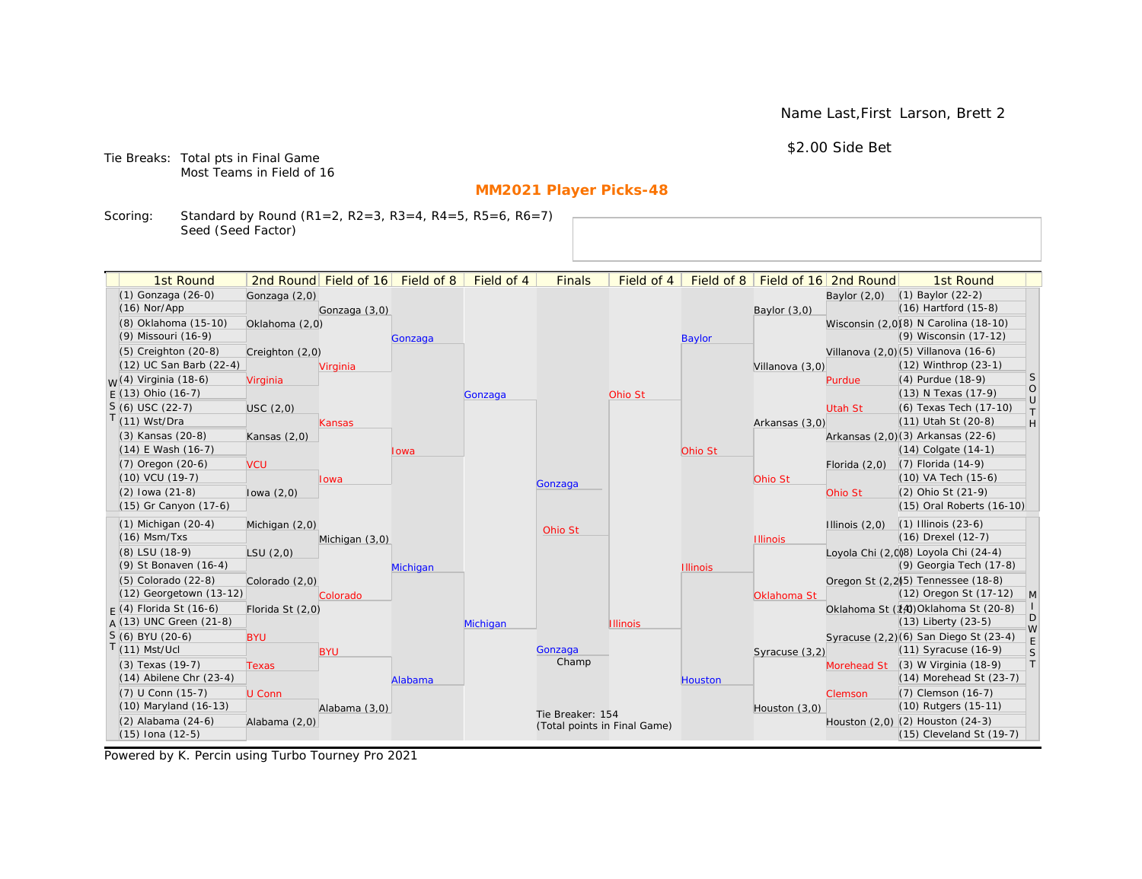Name Last,First Larson, Brett 2

\$2.00 Side Bet

Tie Breaks: Total pts in Final Game Most Teams in Field of 16

# **MM2021 Player Picks-48**

Scoring: Standard by Round (R1=2, R2=3, R3=4, R4=5, R5=6, R6=7) Seed (Seed Factor)

| 1st Round                                       |                  | 2nd Round Field of 16 | Field of 8 | Field of 4 | <b>Finals</b>                | Field of 4      | Field of 8      |                 | Field of 16 2nd Round | 1st Round                                                |                      |
|-------------------------------------------------|------------------|-----------------------|------------|------------|------------------------------|-----------------|-----------------|-----------------|-----------------------|----------------------------------------------------------|----------------------|
| (1) Gonzaga (26-0)                              | Gonzaga (2,0)    |                       |            |            |                              |                 |                 |                 | Baylor $(2,0)$        | $(1)$ Baylor $(22-2)$                                    |                      |
| $(16)$ Nor/App                                  |                  | Gonzaga (3,0)         |            |            |                              |                 |                 | Baylor (3,0)    |                       | $(16)$ Hartford $(15-8)$                                 |                      |
| (8) Oklahoma (15-10)                            | Oklahoma (2,0)   |                       |            |            |                              |                 |                 |                 |                       | Wisconsin (2,0)(8) N Carolina (18-10)                    |                      |
| (9) Missouri (16-9)                             |                  |                       | Gonzaga    |            |                              |                 | <b>Baylor</b>   |                 |                       | (9) Wisconsin (17-12)                                    |                      |
| (5) Creighton (20-8)                            | Creighton (2,0)  |                       |            |            |                              |                 |                 |                 |                       | Villanova (2,0) (5) Villanova (16-6)                     |                      |
| (12) UC San Barb (22-4)                         |                  | Virginia              |            |            |                              |                 |                 | Villanova (3,0) |                       | (12) Winthrop (23-1)                                     |                      |
| <sub>W</sub> (4) Virginia (18-6)                | Virginia         |                       |            |            |                              |                 |                 |                 | Purdue                | (4) Purdue (18-9)                                        | <sub>S</sub>         |
| $E(13)$ Ohio (16-7)                             |                  |                       |            | Gonzaga    |                              | Ohio St         |                 |                 |                       | (13) N Texas (17-9)                                      | $\bigcirc$<br>$\cup$ |
| $S(6)$ USC (22-7)                               | USC(2,0)         |                       |            |            |                              |                 |                 |                 | Utah St               | (6) Texas Tech (17-10)                                   | $\top$               |
| $T(11)$ Wst/Dra                                 |                  | Kansas                |            |            |                              |                 |                 | Arkansas (3,0)  |                       | (11) Utah St (20-8)                                      | H                    |
| (3) Kansas (20-8)                               | Kansas $(2,0)$   |                       |            |            |                              |                 |                 |                 |                       | Arkansas (2,0)(3) Arkansas (22-6)                        |                      |
| $(14)$ E Wash $(16-7)$                          |                  |                       | Iowa       |            |                              |                 | Ohio St         |                 |                       | $(14)$ Colgate $(14-1)$                                  |                      |
| $(7)$ Oregon $(20-6)$                           | <b>VCU</b>       |                       |            |            |                              |                 |                 |                 | Florida $(2,0)$       | $(7)$ Florida $(14-9)$                                   |                      |
| $(10)$ VCU $(19-7)$                             |                  | lowa                  |            |            | Gonzaga                      |                 |                 | Ohio St         |                       | (10) VA Tech (15-6)                                      |                      |
| $(2)$ lowa $(21-8)$                             | lowa $(2,0)$     |                       |            |            |                              |                 |                 |                 | Ohio St               | (2) Ohio St (21-9)                                       |                      |
| (15) Gr Canyon (17-6)                           |                  |                       |            |            |                              |                 |                 |                 |                       | (15) Oral Roberts (16-10)                                |                      |
| $(1)$ Michigan $(20-4)$                         | Michigan (2,0)   |                       |            |            | Ohio St                      |                 |                 |                 | Illinois $(2,0)$      | $(1)$ Illinois $(23-6)$                                  |                      |
| $(16)$ Msm/Txs                                  |                  | Michigan (3,0)        |            |            |                              |                 |                 | <b>Illinois</b> |                       | (16) Drexel (12-7)                                       |                      |
| (8) LSU (18-9)                                  | LSU(2,0)         |                       |            |            |                              |                 |                 |                 |                       | Loyola Chi (2,008) Loyola Chi (24-4)                     |                      |
| (9) St Bonaven (16-4)                           |                  |                       | Michigan   |            |                              |                 | <b>Illinois</b> |                 |                       | (9) Georgia Tech (17-8)                                  |                      |
| (5) Colorado (22-8)                             | Colorado (2,0)   |                       |            |            |                              |                 |                 |                 |                       | Oregon St (2,2) <sup>(5)</sup> Tennessee (18-8)          |                      |
| (12) Georgetown (13-12)                         |                  | Colorado              |            |            |                              |                 |                 | Oklahoma St     |                       | (12) Oregon St (17-12)                                   | M                    |
| $F(4)$ Florida St (16-6)                        | Florida St (2,0) |                       |            |            |                              |                 |                 |                 |                       | Oklahoma St (14) Oklahoma St (20-8)                      | D                    |
| $A(13)$ UNC Green (21-8)                        |                  |                       |            | Michigan   |                              | <b>Illinois</b> |                 |                 |                       | $(13)$ Liberty $(23-5)$                                  | W                    |
| S (6) BYU (20-6)                                | <b>BYU</b>       |                       |            |            |                              |                 |                 |                 |                       | Syracuse (2,2)(6) San Diego St (23-4)                    | E                    |
| $T(11)$ Mst/Ucl                                 |                  | <b>BYU</b>            |            |            | Gonzaga<br>Champ             |                 |                 | Syracuse (3,2)  |                       | (11) Syracuse (16-9)                                     | S<br> T              |
| (3) Texas (19-7)<br>$(14)$ Abilene Chr $(23-4)$ | <b>Texas</b>     |                       |            |            |                              |                 |                 |                 | Morehead St           | $(3)$ W Virginia $(18-9)$<br>$(14)$ Morehead St $(23-7)$ |                      |
|                                                 |                  |                       | Alabama    |            |                              |                 | <b>Houston</b>  |                 |                       |                                                          |                      |
| (7) U Conn (15-7)<br>(10) Maryland (16-13)      | U Conn           |                       |            |            |                              |                 |                 |                 | Clemson               | (7) Clemson (16-7)<br>(10) Rutgers (15-11)               |                      |
| (2) Alabama (24-6)                              | Alabama (2,0)    | Alabama (3,0)         |            |            | Tie Breaker: 154             |                 |                 | Houston $(3,0)$ |                       | Houston (2,0) (2) Houston (24-3)                         |                      |
| $(15)$ Iona $(12-5)$                            |                  |                       |            |            | (Total points in Final Game) |                 |                 |                 |                       | (15) Cleveland St (19-7)                                 |                      |
|                                                 |                  |                       |            |            |                              |                 |                 |                 |                       |                                                          |                      |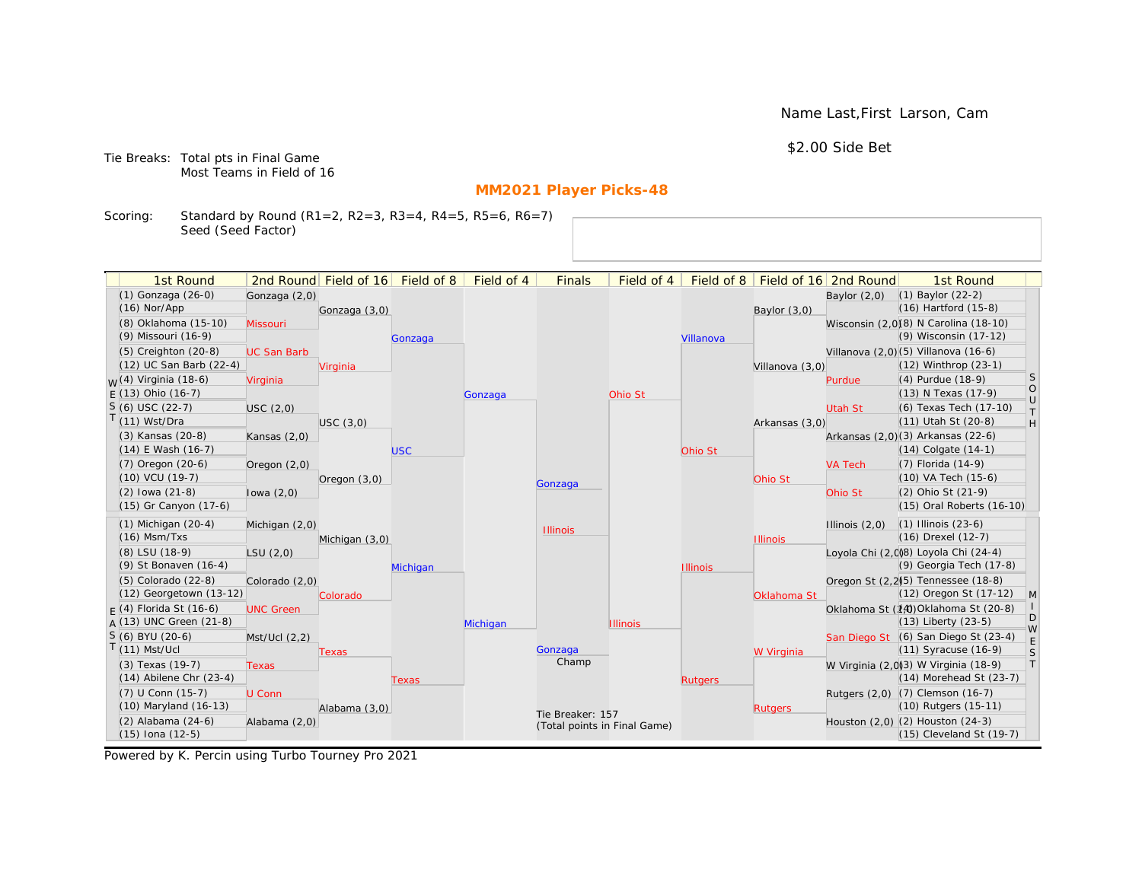Name Last,First Larson, Cam

\$2.00 Side Bet

Tie Breaks: Total pts in Final Game Most Teams in Field of 16

# **MM2021 Player Picks-48**

Scoring: Standard by Round (R1=2, R2=3, R3=4, R4=5, R5=6, R6=7) Seed (Seed Factor)

| 1st Round                                       |                    | 2nd Round Field of 16 Field of 8 |            | Field of 4 | <b>Finals</b>                | Field of 4      | Field of $8$    |                 | Field of 16 2nd Round | 1st Round                                                        |              |
|-------------------------------------------------|--------------------|----------------------------------|------------|------------|------------------------------|-----------------|-----------------|-----------------|-----------------------|------------------------------------------------------------------|--------------|
| (1) Gonzaga (26-0)                              |                    |                                  |            |            |                              |                 |                 |                 |                       | $(1)$ Baylor $(22-2)$                                            |              |
| $(16)$ Nor/App                                  | Gonzaga (2,0)      | Gonzaga (3,0)                    |            |            |                              |                 |                 | Baylor $(3,0)$  | Baylor $(2,0)$        | (16) Hartford (15-8)                                             |              |
| (8) Oklahoma (15-10)                            | Missouri           |                                  |            |            |                              |                 |                 |                 |                       | Wisconsin (2,0)(8) N Carolina (18-10)                            |              |
| (9) Missouri (16-9)                             |                    |                                  | Gonzaga    |            |                              |                 | Villanova       |                 |                       | (9) Wisconsin (17-12)                                            |              |
| (5) Creighton (20-8)                            | <b>UC San Barb</b> |                                  |            |            |                              |                 |                 |                 |                       | Villanova (2,0)(5) Villanova (16-6)                              |              |
| (12) UC San Barb (22-4)                         |                    | Virginia                         |            |            |                              |                 |                 | Villanova (3,0) |                       | $(12)$ Winthrop $(23-1)$                                         |              |
| <sub>M</sub> /(4) Virginia (18-6)               | Virginia           |                                  |            |            |                              |                 |                 |                 | Purdue                | (4) Purdue (18-9)                                                | S            |
| $F(13)$ Ohio (16-7)                             |                    |                                  |            | Gonzaga    |                              | Ohio St         |                 |                 |                       | (13) N Texas (17-9)                                              | $\circ$      |
| $S(6)$ USC (22-7)                               | USC (2,0)          |                                  |            |            |                              |                 |                 |                 | Utah St               | (6) Texas Tech (17-10)                                           | $\cup$<br>T. |
| T(11) Wst/Dra                                   |                    | USC(3,0)                         |            |            |                              |                 |                 | Arkansas (3,0)  |                       | (11) Utah St (20-8)                                              | H            |
| (3) Kansas (20-8)                               | Kansas $(2,0)$     |                                  |            |            |                              |                 |                 |                 |                       | Arkansas (2,0)(3) Arkansas (22-6)                                |              |
| $(14)$ E Wash $(16-7)$                          |                    |                                  | <b>USC</b> |            |                              |                 | Ohio St         |                 |                       | $(14)$ Colgate $(14-1)$                                          |              |
| $(7)$ Oregon $(20-6)$                           | Oregon $(2,0)$     |                                  |            |            |                              |                 |                 |                 | <b>VA Tech</b>        | (7) Florida (14-9)                                               |              |
| (10) VCU (19-7)                                 |                    | Oregon $(3,0)$                   |            |            | Gonzaga                      |                 |                 | Ohio St         |                       | (10) VA Tech (15-6)                                              |              |
| $(2)$ lowa $(21-8)$                             | lowa $(2,0)$       |                                  |            |            |                              |                 |                 |                 | Ohio St               | (2) Ohio St (21-9)                                               |              |
| (15) Gr Canyon (17-6)                           |                    |                                  |            |            |                              |                 |                 |                 |                       | (15) Oral Roberts (16-10)                                        |              |
| $(1)$ Michigan $(20-4)$                         | Michigan (2,0)     |                                  |            |            | <b>Illinois</b>              |                 |                 |                 | Illinois $(2,0)$      | $(1)$ Illinois $(23-6)$                                          |              |
| $(16)$ Msm/Txs                                  |                    | Michigan (3,0)                   |            |            |                              |                 |                 | <b>Illinois</b> |                       | (16) Drexel (12-7)                                               |              |
| (8) LSU (18-9)                                  | LSU(2,0)           |                                  |            |            |                              |                 |                 |                 |                       | Loyola Chi (2,008) Loyola Chi (24-4)                             |              |
| (9) St Bonaven (16-4)                           |                    |                                  | Michigan   |            |                              |                 | <b>Illinois</b> |                 |                       | (9) Georgia Tech (17-8)                                          |              |
| (5) Colorado (22-8)                             | Colorado (2,0)     |                                  |            |            |                              |                 |                 |                 |                       | Oregon St (2,2)(5) Tennessee (18-8)                              |              |
| (12) Georgetown (13-12)                         |                    | Colorado                         |            |            |                              |                 |                 | Oklahoma St     |                       | (12) Oregon St (17-12)                                           | $\mathsf{M}$ |
| $F(4)$ Florida St (16-6)                        | <b>UNC Green</b>   |                                  |            |            |                              |                 |                 |                 |                       | Oklahoma St (14) Oklahoma St (20-8)                              | D            |
| $A(13)$ UNC Green (21-8)                        |                    |                                  |            | Michigan   |                              | <b>Illinois</b> |                 |                 |                       | (13) Liberty (23-5)                                              | W            |
| $S(6)$ BYU (20-6)                               | Mst/Ucl(2,2)       |                                  |            |            |                              |                 |                 |                 |                       | San Diego St (6) San Diego St (23-4)                             | $\mathsf E$  |
| $T(11)$ Mst/Ucl                                 |                    | Texas                            |            |            | Gonzaga<br>Champ             |                 |                 | W Virginia      |                       | (11) Syracuse (16-9)                                             | $\mathsf S$  |
| (3) Texas (19-7)<br>$(14)$ Abilene Chr $(23-4)$ | Texas              |                                  |            |            |                              |                 |                 |                 |                       | W Virginia (2,0)(3) W Virginia (18-9)<br>(14) Morehead St (23-7) | T            |
|                                                 |                    |                                  | Texas      |            |                              |                 | <b>Rutgers</b>  |                 |                       |                                                                  |              |
| (7) U Conn (15-7)<br>(10) Maryland (16-13)      | U Conn             |                                  |            |            |                              |                 |                 |                 |                       | Rutgers (2,0) (7) Clemson (16-7)<br>(10) Rutgers (15-11)         |              |
| (2) Alabama (24-6)                              |                    | Alabama (3,0)                    |            |            | Tie Breaker: 157             |                 |                 | <b>Rutgers</b>  |                       | Houston (2,0) (2) Houston (24-3)                                 |              |
| $(15)$ Iona $(12-5)$                            | Alabama (2,0)      |                                  |            |            | (Total points in Final Game) |                 |                 |                 |                       | (15) Cleveland St (19-7)                                         |              |
|                                                 |                    |                                  |            |            |                              |                 |                 |                 |                       |                                                                  |              |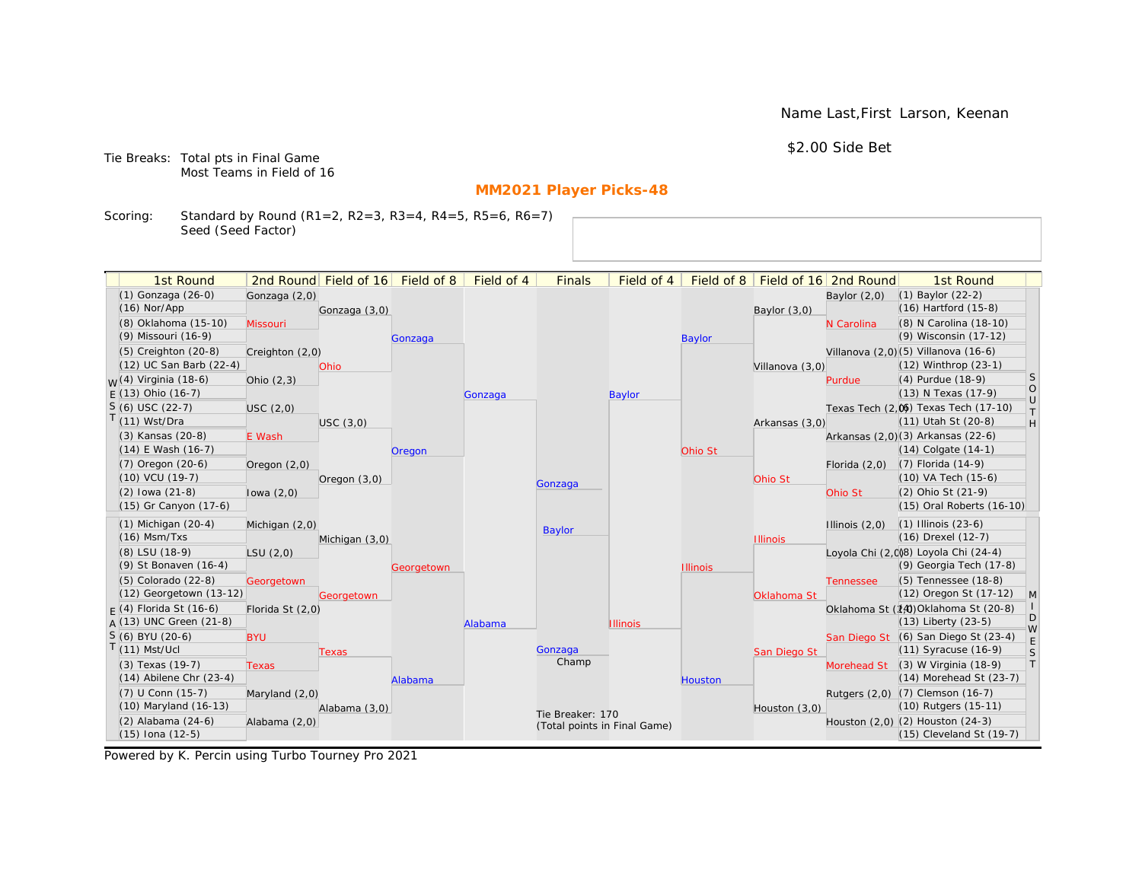Name Last,First Larson, Keenan

\$2.00 Side Bet

Tie Breaks: Total pts in Final Game Most Teams in Field of 16

# **MM2021 Player Picks-48**

Scoring: Standard by Round (R1=2, R2=3, R3=4, R4=5, R5=6, R6=7) Seed (Seed Factor)

| 1st Round                   |                  | 2nd Round Field of 16 | Field of 8 | Field of 4 | <b>Finals</b>                | Field of 4      | Field of 8      |                 | Field of 16 2nd Round | 1st Round                              |                   |
|-----------------------------|------------------|-----------------------|------------|------------|------------------------------|-----------------|-----------------|-----------------|-----------------------|----------------------------------------|-------------------|
| (1) Gonzaga (26-0)          | Gonzaga (2,0)    |                       |            |            |                              |                 |                 |                 | Baylor $(2,0)$        | $(1)$ Baylor $(22-2)$                  |                   |
| $(16)$ Nor/App              |                  | Gonzaga (3,0)         |            |            |                              |                 |                 | Baylor $(3,0)$  |                       | (16) Hartford (15-8)                   |                   |
| (8) Oklahoma (15-10)        | Missouri         |                       |            |            |                              |                 |                 |                 | N Carolina            | (8) N Carolina (18-10)                 |                   |
| (9) Missouri (16-9)         |                  |                       | Gonzaga    |            |                              |                 | <b>Baylor</b>   |                 |                       | (9) Wisconsin (17-12)                  |                   |
| $(5)$ Creighton $(20-8)$    | Creighton (2,0)  |                       |            |            |                              |                 |                 |                 |                       | Villanova (2,0)(5) Villanova (16-6)    |                   |
| (12) UC San Barb (22-4)     |                  | Ohio                  |            |            |                              |                 |                 | Villanova (3,0) |                       | (12) Winthrop (23-1)                   |                   |
| $M(4)$ Virginia (18-6)      | Ohio $(2,3)$     |                       |            |            |                              |                 |                 |                 | Purdue                | (4) Purdue (18-9)                      | <sub>S</sub>      |
| $F(13)$ Ohio (16-7)         |                  |                       |            | Gonzaga    |                              | <b>Baylor</b>   |                 |                 |                       | (13) N Texas (17-9)                    | $\circ$<br>$\cup$ |
| $S(6)$ USC (22-7)           | USC(2,0)         |                       |            |            |                              |                 |                 |                 |                       | Texas Tech (2,0) Texas Tech (17-10)    | $\top$            |
| $T(11)$ Wst/Dra             |                  | USC(3,0)              |            |            |                              |                 |                 | Arkansas (3,0)  |                       | (11) Utah St (20-8)                    | H                 |
| (3) Kansas (20-8)           | E Wash           |                       |            |            |                              |                 |                 |                 |                       | Arkansas (2,0)(3) Arkansas (22-6)      |                   |
| $(14)$ E Wash $(16-7)$      |                  |                       | Oregon     |            |                              |                 | Ohio St         |                 |                       | (14) Colgate (14-1)                    |                   |
| (7) Oregon (20-6)           | Oregon $(2,0)$   |                       |            |            |                              |                 |                 |                 | Florida $(2,0)$       | (7) Florida (14-9)                     |                   |
| (10) VCU (19-7)             |                  | Oregon $(3,0)$        |            |            | Gonzaga                      |                 |                 | Ohio St         |                       | (10) VA Tech (15-6)                    |                   |
| $(2)$ lowa $(21-8)$         | lowa $(2,0)$     |                       |            |            |                              |                 |                 |                 | Ohio St               | (2) Ohio St (21-9)                     |                   |
| (15) Gr Canyon (17-6)       |                  |                       |            |            |                              |                 |                 |                 |                       | (15) Oral Roberts (16-10)              |                   |
| $(1)$ Michigan $(20-4)$     | Michigan (2,0)   |                       |            |            | <b>Baylor</b>                |                 |                 |                 | Illinois $(2,0)$      | $(1)$ Illinois $(23-6)$                |                   |
| $(16)$ Msm/Txs              |                  | Michigan (3,0)        |            |            |                              |                 |                 | <b>Illinois</b> |                       | (16) Drexel (12-7)                     |                   |
| (8) LSU (18-9)              | LSU(2,0)         |                       |            |            |                              |                 |                 |                 |                       | Loyola Chi (2,008) Loyola Chi (24-4)   |                   |
| (9) St Bonaven (16-4)       |                  |                       | Georgetown |            |                              |                 | <b>Illinois</b> |                 |                       | (9) Georgia Tech (17-8)                |                   |
| $(5)$ Colorado $(22-8)$     | Georgetown       |                       |            |            |                              |                 |                 |                 | <b>Tennessee</b>      | (5) Tennessee (18-8)                   |                   |
| (12) Georgetown (13-12)     |                  | Georgetown            |            |            |                              |                 |                 | Oklahoma St     |                       | (12) Oregon St (17-12)                 | $\mathsf{M}$      |
| $F(4)$ Florida St (16-6)    | Florida St (2,0) |                       |            |            |                              |                 |                 |                 |                       | Oklahoma St (14) Oklahoma St (20-8)    | D                 |
| A (13) UNC Green (21-8)     |                  |                       |            | Alabama    |                              | <b>Illinois</b> |                 |                 |                       | (13) Liberty (23-5)                    | W                 |
| S (6) BYU (20-6)            | <b>BYU</b>       |                       |            |            |                              |                 |                 |                 |                       | San Diego St (6) San Diego St (23-4)   | E                 |
| $T(11)$ Mst/Ucl             |                  | <b>Texas</b>          |            |            | Gonzaga<br>Champ             |                 |                 | San Diego St    |                       | (11) Syracuse (16-9)                   | S                 |
| (3) Texas (19-7)            | <b>Texas</b>     |                       |            |            |                              |                 |                 |                 | Morehead St           | (3) W Virginia (18-9)                  | $\top$            |
| $(14)$ Abilene Chr $(23-4)$ |                  |                       | Alabama    |            |                              |                 | Houston         |                 |                       | (14) Morehead St (23-7)                |                   |
| (7) U Conn (15-7)           | Maryland $(2,0)$ |                       |            |            |                              |                 |                 |                 |                       | Rutgers (2,0) (7) Clemson (16-7)       |                   |
| (10) Maryland (16-13)       |                  | Alabama (3,0)         |            |            | Tie Breaker: 170             |                 |                 | Houston (3,0)   |                       | (10) Rutgers (15-11)                   |                   |
| $(2)$ Alabama $(24-6)$      | Alabama (2,0)    |                       |            |            | (Total points in Final Game) |                 |                 |                 |                       | Houston $(2,0)$ $(2)$ Houston $(24-3)$ |                   |
| $(15)$ Iona $(12-5)$        |                  |                       |            |            |                              |                 |                 |                 |                       | (15) Cleveland St (19-7)               |                   |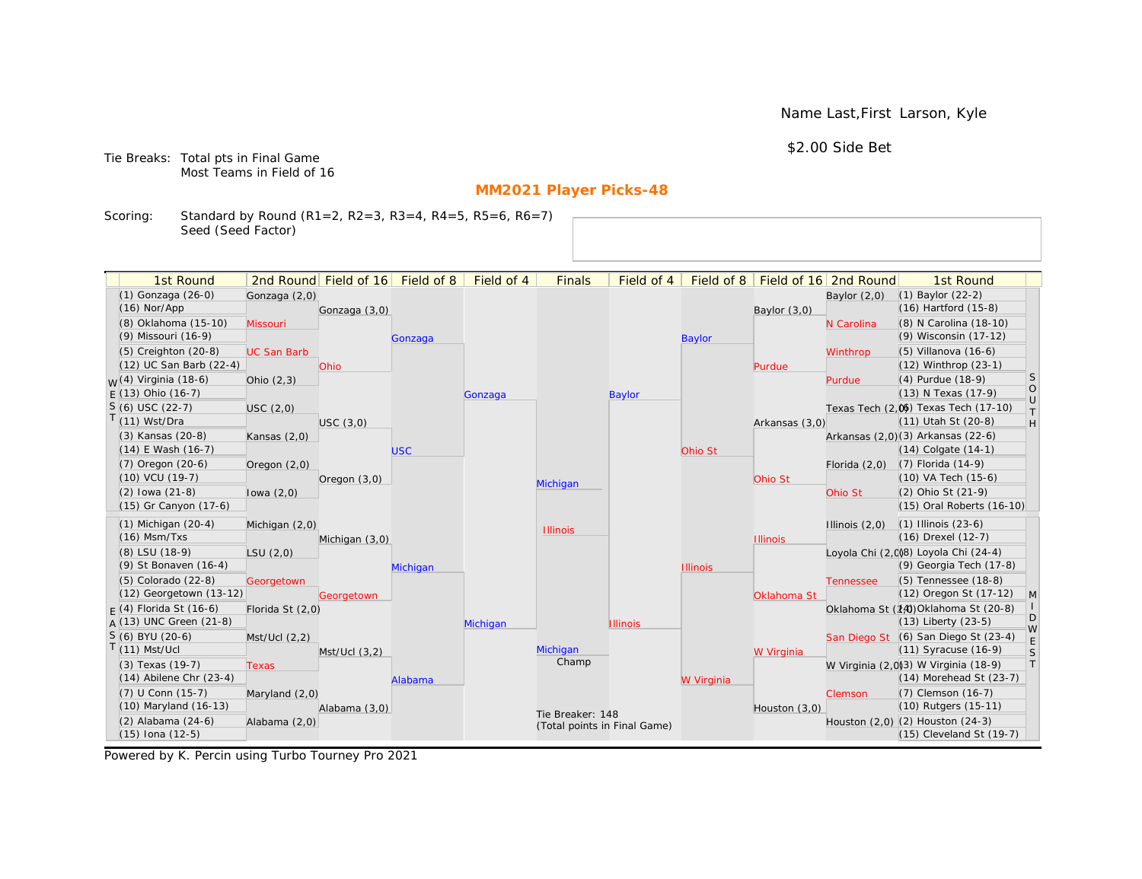Name Last,First Larson, Kyle

\$2.00 Side Bet

Tie Breaks: Total pts in Final Game Most Teams in Field of 16

# **MM2021 Player Picks-48**

Scoring: Standard by Round (R1=2, R2=3, R3=4, R4=5, R5=6, R6=7) Seed (Seed Factor)

| 1st Round                                            |                    | 2nd Round Field of 16 Field of 8 |            | Field of 4 | <b>Finals</b>                                    | Field of 4      | Field of 8      |                 | Field of 16 2nd Round | 1st Round                                                  |                       |
|------------------------------------------------------|--------------------|----------------------------------|------------|------------|--------------------------------------------------|-----------------|-----------------|-----------------|-----------------------|------------------------------------------------------------|-----------------------|
| (1) Gonzaga (26-0)                                   | Gonzaga (2,0)      |                                  |            |            |                                                  |                 |                 |                 | Baylor $(2,0)$        | (1) Baylor (22-2)                                          |                       |
| $(16)$ Nor/App                                       |                    | Gonzaga (3,0)                    |            |            |                                                  |                 |                 | Baylor (3,0)    |                       | (16) Hartford (15-8)                                       |                       |
| (8) Oklahoma (15-10)                                 | Missouri           |                                  |            |            |                                                  |                 |                 |                 | N Carolina            | (8) N Carolina (18-10)                                     |                       |
| (9) Missouri (16-9)                                  |                    |                                  | Gonzaga    |            |                                                  |                 | <b>Baylor</b>   |                 |                       | (9) Wisconsin (17-12)                                      |                       |
| $(5)$ Creighton $(20-8)$                             | <b>UC San Barb</b> |                                  |            |            |                                                  |                 |                 |                 | Winthrop              | (5) Villanova (16-6)                                       |                       |
| (12) UC San Barb (22-4)                              |                    | Ohio                             |            |            |                                                  |                 |                 | Purdue          |                       | (12) Winthrop (23-1)                                       |                       |
| $W(4)$ Virginia (18-6)                               | Ohio $(2,3)$       |                                  |            |            |                                                  |                 |                 |                 | Purdue                | (4) Purdue (18-9)                                          | S                     |
| $E(13)$ Ohio (16-7)                                  |                    |                                  |            | Gonzaga    |                                                  | Baylor          |                 |                 |                       | (13) N Texas (17-9)                                        | $\circ$               |
| $S(6)$ USC (22-7)                                    | USC (2,0)          |                                  |            |            |                                                  |                 |                 |                 |                       | Texas Tech (2,0) Texas Tech (17-10)                        | $\cup$<br>T           |
| $T(11)$ Wst/Dra                                      |                    | USC(3,0)                         |            |            |                                                  |                 |                 | Arkansas (3,0)  |                       | (11) Utah St (20-8)                                        | H                     |
| (3) Kansas (20-8)                                    | Kansas $(2,0)$     |                                  |            |            |                                                  |                 |                 |                 |                       | Arkansas (2,0)(3) Arkansas (22-6)                          |                       |
| $(14)$ E Wash $(16-7)$                               |                    |                                  | <b>USC</b> |            |                                                  |                 | Ohio St         |                 |                       | $(14)$ Colgate $(14-1)$                                    |                       |
| (7) Oregon (20-6)                                    | Oregon (2,0)       |                                  |            |            |                                                  |                 |                 |                 | Florida $(2,0)$       | $(7)$ Florida $(14-9)$                                     |                       |
| $(10)$ VCU $(19-7)$                                  |                    | Oregon $(3,0)$                   |            |            | Michigan                                         |                 |                 | Ohio St         |                       | (10) VA Tech (15-6)                                        |                       |
| $(2)$ lowa $(21-8)$                                  | lowa $(2,0)$       |                                  |            |            |                                                  |                 |                 |                 | Ohio St               | (2) Ohio St (21-9)                                         |                       |
| (15) Gr Canyon (17-6)                                |                    |                                  |            |            |                                                  |                 |                 |                 |                       | (15) Oral Roberts (16-10)                                  |                       |
| $(1)$ Michigan $(20-4)$                              | Michigan (2,0)     |                                  |            |            | <b>Illinois</b>                                  |                 |                 |                 | Illinois $(2,0)$      | $(1)$ Illinois $(23-6)$                                    |                       |
| $(16)$ Msm/Txs                                       |                    | Michigan (3,0)                   |            |            |                                                  |                 |                 | <b>Illinois</b> |                       | (16) Drexel (12-7)                                         |                       |
| (8) LSU (18-9)                                       | LSU(2,0)           |                                  |            |            |                                                  |                 |                 |                 |                       | Loyola Chi (2,008) Loyola Chi (24-4)                       |                       |
| (9) St Bonaven (16-4)                                |                    |                                  | Michigan   |            |                                                  |                 | <b>Illinois</b> |                 |                       | (9) Georgia Tech (17-8)                                    |                       |
| (5) Colorado (22-8)                                  | Georgetown         |                                  |            |            |                                                  |                 |                 |                 | <b>Tennessee</b>      | (5) Tennessee (18-8)                                       |                       |
| (12) Georgetown (13-12)                              |                    | Georgetown                       |            |            |                                                  |                 |                 | Oklahoma St     |                       | (12) Oregon St (17-12)                                     | $\vert M \vert$       |
| $F(4)$ Florida St (16-6)<br>$A(13)$ UNC Green (21-8) | Florida St (2,0)   |                                  |            |            |                                                  |                 |                 |                 |                       | Oklahoma St (14) Oklahoma St (20-8)<br>(13) Liberty (23-5) | D                     |
| S (6) BYU (20-6)                                     |                    |                                  |            | Michigan   |                                                  | <b>Illinois</b> |                 |                 |                       | San Diego St (6) San Diego St (23-4)                       | W                     |
| $T(11)$ Mst/Ucl                                      | Mst/Ucl (2,2)      | Mst/Ucl(3,2)                     |            |            | Michigan                                         |                 |                 | W Virginia      |                       | (11) Syracuse (16-9)                                       |                       |
| (3) Texas (19-7)                                     | <b>Texas</b>       |                                  |            |            | Champ                                            |                 |                 |                 |                       | W Virginia (2,0)(3) W Virginia (18-9)                      | $\mathsf S$<br>$\top$ |
| $(14)$ Abilene Chr $(23-4)$                          |                    |                                  | Alabama    |            |                                                  |                 | W Virginia      |                 |                       | $(14)$ Morehead St $(23-7)$                                |                       |
| (7) U Conn (15-7)                                    | Maryland $(2,0)$   |                                  |            |            |                                                  |                 |                 |                 | Clemson               | (7) Clemson (16-7)                                         |                       |
| (10) Maryland (16-13)                                |                    | Alabama (3,0)                    |            |            |                                                  |                 |                 | Houston (3,0)   |                       | (10) Rutgers (15-11)                                       |                       |
| (2) Alabama (24-6)                                   | Alabama (2,0)      |                                  |            |            | Tie Breaker: 148<br>(Total points in Final Game) |                 |                 |                 |                       | Houston (2,0) (2) Houston (24-3)                           |                       |
| $(15)$ Iona $(12-5)$                                 |                    |                                  |            |            |                                                  |                 |                 |                 |                       | (15) Cleveland St (19-7)                                   |                       |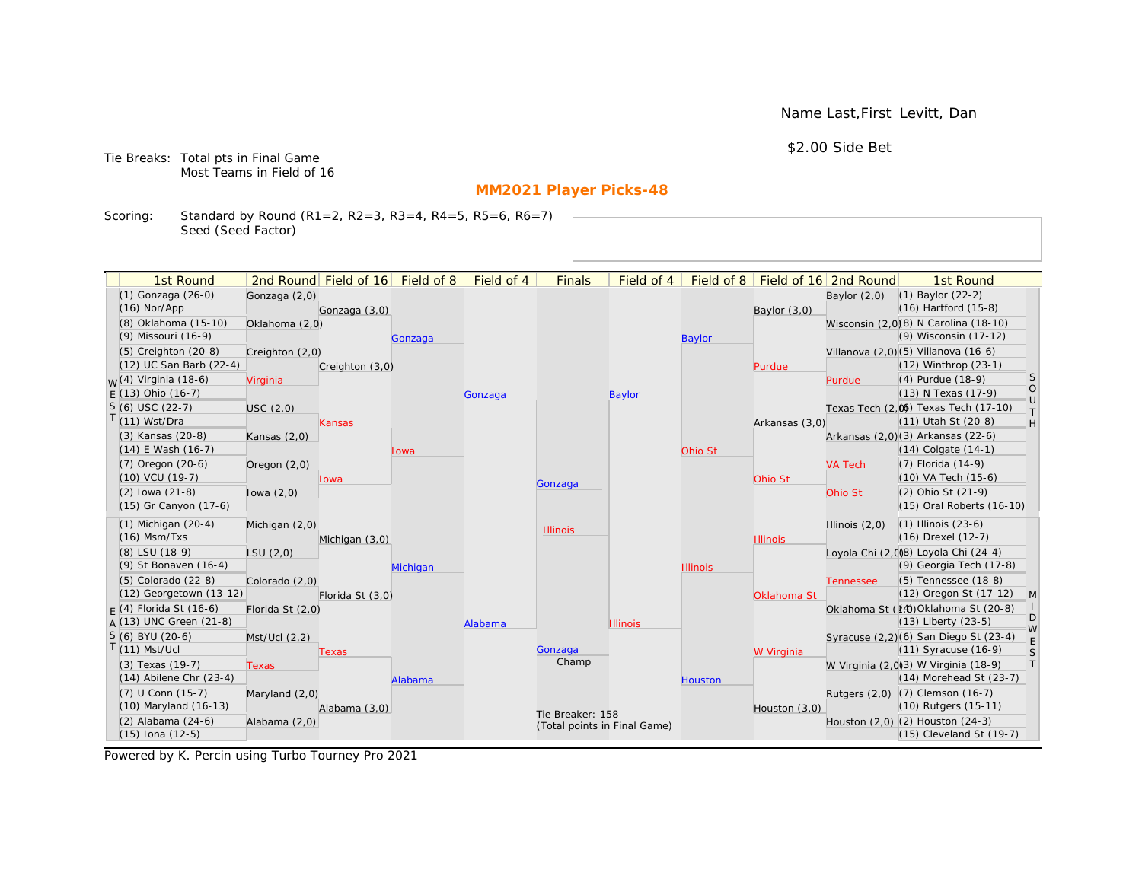Name Last,First Levitt, Dan

\$2.00 Side Bet

Tie Breaks: Total pts in Final Game Most Teams in Field of 16

# **MM2021 Player Picks-48**

Scoring: Standard by Round (R1=2, R2=3, R3=4, R4=5, R5=6, R6=7) Seed (Seed Factor)

| 1st Round                                       |                  | 2nd Round Field of 16 Field of 8 |          | Field of 4 | <b>Finals</b>                | Field of 4      |                 |                 | Field of 8   Field of 16 2nd Round | 1st Round                                                        |                                                                   |
|-------------------------------------------------|------------------|----------------------------------|----------|------------|------------------------------|-----------------|-----------------|-----------------|------------------------------------|------------------------------------------------------------------|-------------------------------------------------------------------|
| (1) Gonzaga (26-0)                              | Gonzaga (2,0)    |                                  |          |            |                              |                 |                 |                 | Baylor $(2,0)$                     | $(1)$ Baylor $(22-2)$                                            |                                                                   |
| $(16)$ Nor/App                                  |                  | Gonzaga (3,0)                    |          |            |                              |                 |                 | Baylor $(3,0)$  |                                    | $(16)$ Hartford $(15-8)$                                         |                                                                   |
| (8) Oklahoma (15-10)                            | Oklahoma (2,0)   |                                  |          |            |                              |                 |                 |                 |                                    | Wisconsin (2,0)(8) N Carolina (18-10)                            |                                                                   |
| (9) Missouri (16-9)                             |                  |                                  | Gonzaga  |            |                              |                 | <b>Baylor</b>   |                 |                                    | (9) Wisconsin (17-12)                                            |                                                                   |
| (5) Creighton (20-8)                            | Creighton (2,0)  |                                  |          |            |                              |                 |                 |                 |                                    | Villanova (2,0) (5) Villanova (16-6)                             |                                                                   |
| (12) UC San Barb (22-4)                         |                  | Creighton (3,0)                  |          |            |                              |                 |                 | Purdue          |                                    | (12) Winthrop (23-1)                                             |                                                                   |
| <sub>W</sub> (4) Virginia (18-6)                | Virginia         |                                  |          |            |                              |                 |                 |                 | Purdue                             | (4) Purdue (18-9)                                                | <sub>S</sub>                                                      |
| $E(13)$ Ohio (16-7)                             |                  |                                  |          | Gonzaga    |                              | <b>Baylor</b>   |                 |                 |                                    | (13) N Texas (17-9)                                              | $\circ$<br>$\cup$                                                 |
| $S(6)$ USC (22-7)                               | USC(2,0)         |                                  |          |            |                              |                 |                 |                 |                                    | Texas Tech (2,0) Texas Tech (17-10)                              | $\top$                                                            |
| $T(11)$ Wst/Dra                                 |                  | <b>Kansas</b>                    |          |            |                              |                 |                 | Arkansas (3,0)  |                                    | (11) Utah St (20-8)                                              | $\mathsf{H}% _{\mathsf{H}}^{\ast}=\mathsf{H}_{\mathsf{H}}^{\ast}$ |
| (3) Kansas (20-8)                               | Kansas (2,0)     |                                  |          |            |                              |                 |                 |                 |                                    | Arkansas (2,0)(3) Arkansas (22-6)                                |                                                                   |
| (14) E Wash (16-7)                              |                  |                                  | lowa     |            |                              |                 | Ohio St         |                 |                                    | $(14)$ Colgate $(14-1)$                                          |                                                                   |
| $(7)$ Oregon $(20-6)$                           | Oregon $(2,0)$   |                                  |          |            |                              |                 |                 |                 | <b>VA Tech</b>                     | (7) Florida (14-9)                                               |                                                                   |
| $(10)$ VCU $(19-7)$                             |                  | lowa                             |          |            | Gonzaga                      |                 |                 | Ohio St         |                                    | (10) VA Tech (15-6)                                              |                                                                   |
| $(2)$ lowa $(21-8)$                             | lowa $(2,0)$     |                                  |          |            |                              |                 |                 |                 | Ohio St                            | (2) Ohio St (21-9)                                               |                                                                   |
| (15) Gr Canyon (17-6)                           |                  |                                  |          |            |                              |                 |                 |                 |                                    | (15) Oral Roberts (16-10)                                        |                                                                   |
| $(1)$ Michigan $(20-4)$                         | Michigan (2,0)   |                                  |          |            | <b>Illinois</b>              |                 |                 |                 | Illinois $(2,0)$                   | $(1)$ Illinois $(23-6)$                                          |                                                                   |
| $(16)$ Msm/Txs                                  |                  | Michigan (3,0)                   |          |            |                              |                 |                 | <b>Illinois</b> |                                    | (16) Drexel (12-7)                                               |                                                                   |
| (8) LSU (18-9)                                  | LSU(2,0)         |                                  |          |            |                              |                 |                 |                 |                                    | Loyola Chi (2,008) Loyola Chi (24-4)                             |                                                                   |
| (9) St Bonaven (16-4)                           |                  |                                  | Michigan |            |                              |                 | <b>Illinois</b> |                 |                                    | (9) Georgia Tech (17-8)                                          |                                                                   |
| (5) Colorado (22-8)                             | Colorado (2,0)   |                                  |          |            |                              |                 |                 |                 | <b>Tennessee</b>                   | (5) Tennessee (18-8)                                             |                                                                   |
| (12) Georgetown (13-12)                         |                  | Florida St (3,0)                 |          |            |                              |                 |                 | Oklahoma St     |                                    | (12) Oregon St (17-12)                                           | M                                                                 |
| $F(4)$ Florida St (16-6)                        | Florida St (2,0) |                                  |          |            |                              |                 |                 |                 |                                    | Oklahoma St (14) Oklahoma St (20-8)                              | D                                                                 |
| $A(13)$ UNC Green (21-8)                        |                  |                                  |          | Alabama    |                              | <b>Illinois</b> |                 |                 |                                    | $(13)$ Liberty $(23-5)$                                          | W                                                                 |
| S (6) BYU (20-6)<br>$T(11)$ Mst/Ucl             | Mst/Ucl(2,2)     |                                  |          |            | Gonzaga                      |                 |                 |                 |                                    | Syracuse (2,2)(6) San Diego St (23-4)<br>(11) Syracuse (16-9)    | $\mathsf E$                                                       |
|                                                 |                  | Texas                            |          |            | Champ                        |                 |                 | W Virginia      |                                    |                                                                  | $\mathsf S$<br> T                                                 |
| (3) Texas (19-7)<br>$(14)$ Abilene Chr $(23-4)$ | <b>Texas</b>     |                                  |          |            |                              |                 |                 |                 |                                    | W Virginia (2,0)(3) W Virginia (18-9)<br>(14) Morehead St (23-7) |                                                                   |
| (7) U Conn (15-7)                               |                  |                                  | Alabama  |            |                              |                 | <b>Houston</b>  |                 |                                    | Rutgers (2,0) (7) Clemson (16-7)                                 |                                                                   |
| (10) Maryland (16-13)                           | Maryland (2,0)   | Alabama (3,0)                    |          |            |                              |                 |                 | Houston (3,0)   |                                    | (10) Rutgers (15-11)                                             |                                                                   |
| (2) Alabama (24-6)                              | Alabama (2,0)    |                                  |          |            | Tie Breaker: 158             |                 |                 |                 |                                    | Houston (2,0) (2) Houston (24-3)                                 |                                                                   |
| (15) Iona (12-5)                                |                  |                                  |          |            | (Total points in Final Game) |                 |                 |                 |                                    | (15) Cleveland St (19-7)                                         |                                                                   |
|                                                 |                  |                                  |          |            |                              |                 |                 |                 |                                    |                                                                  |                                                                   |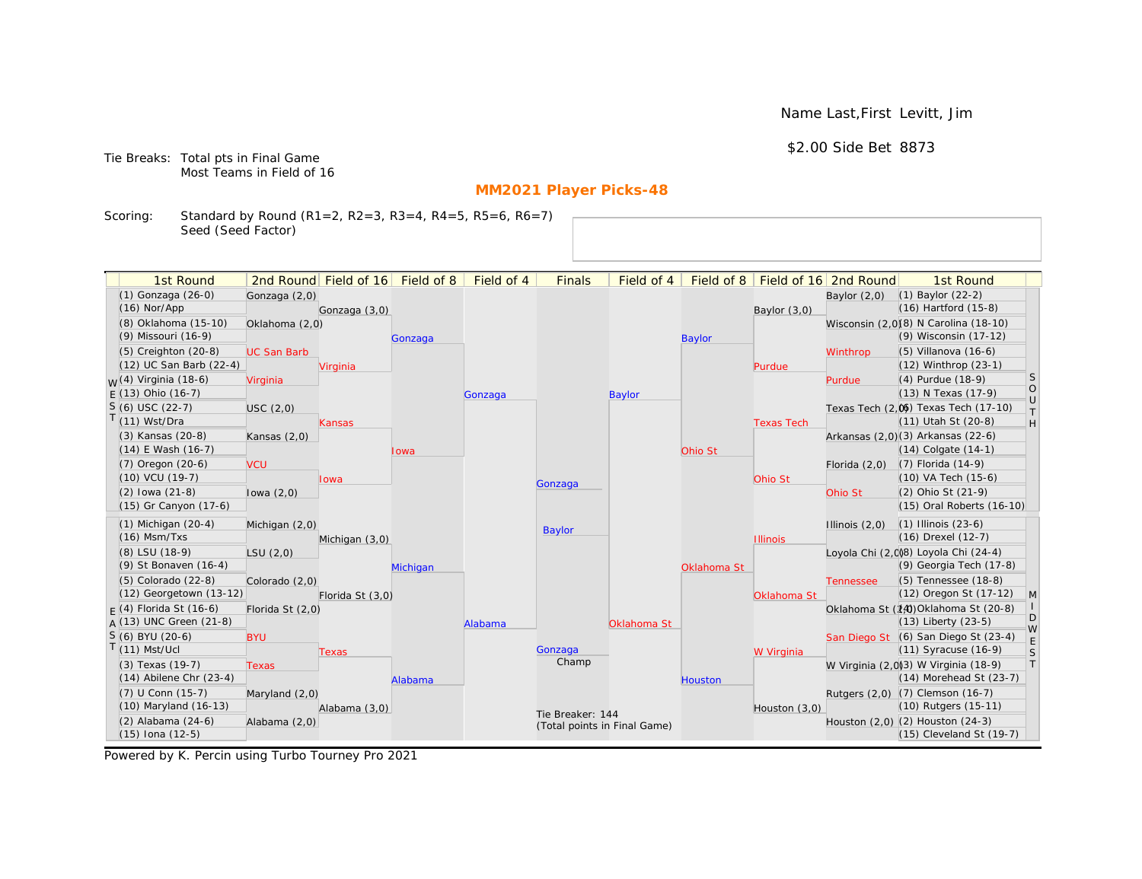Name Last,First Levitt, Jim

\$2.00 Side Bet 8873

Tie Breaks: Total pts in Final Game Most Teams in Field of 16

# **MM2021 Player Picks-48**

Scoring: Standard by Round (R1=2, R2=3, R3=4, R4=5, R5=6, R6=7) Seed (Seed Factor)

| 1st Round                                       |                    | 2nd Round Field of 16 | Field of 8 | Field of 4 | <b>Finals</b>                | Field of 4    | Field of 8     |                   | Field of 16 2nd Round | 1st Round                                                        |                                                                   |
|-------------------------------------------------|--------------------|-----------------------|------------|------------|------------------------------|---------------|----------------|-------------------|-----------------------|------------------------------------------------------------------|-------------------------------------------------------------------|
| (1) Gonzaga (26-0)                              | Gonzaga (2,0)      |                       |            |            |                              |               |                |                   | Baylor $(2,0)$        | $(1)$ Baylor $(22-2)$                                            |                                                                   |
| $(16)$ Nor/App                                  |                    | Gonzaga (3,0)         |            |            |                              |               |                | Baylor (3,0)      |                       | $(16)$ Hartford $(15-8)$                                         |                                                                   |
| (8) Oklahoma (15-10)                            | Oklahoma (2,0)     |                       |            |            |                              |               |                |                   |                       | Wisconsin (2,0)(8) N Carolina (18-10)                            |                                                                   |
| (9) Missouri (16-9)                             |                    |                       | Gonzaga    |            |                              |               | <b>Baylor</b>  |                   |                       | (9) Wisconsin (17-12)                                            |                                                                   |
| (5) Creighton (20-8)                            | <b>UC San Barb</b> |                       |            |            |                              |               |                |                   | Winthrop              | $(5)$ Villanova $(16-6)$                                         |                                                                   |
| (12) UC San Barb (22-4)                         |                    | Virginia              |            |            |                              |               |                | Purdue            |                       | (12) Winthrop (23-1)                                             |                                                                   |
| <sub>W</sub> (4) Virginia (18-6)                | Virginia           |                       |            |            |                              |               |                |                   | Purdue                | (4) Purdue (18-9)                                                | <sub>S</sub>                                                      |
| $E(13)$ Ohio (16-7)                             |                    |                       |            | Gonzaga    |                              | <b>Baylor</b> |                |                   |                       | (13) N Texas (17-9)                                              | $\circ$<br>$\cup$                                                 |
| $S(6)$ USC (22-7)                               | USC(2,0)           |                       |            |            |                              |               |                |                   |                       | Texas Tech (2,0) Texas Tech (17-10)                              | $\top$                                                            |
| $T(11)$ Wst/Dra                                 |                    | Kansas                |            |            |                              |               |                | <b>Texas Tech</b> |                       | (11) Utah St (20-8)                                              | $\mathsf{H}% _{\mathsf{H}}^{\ast}=\mathsf{H}_{\mathsf{H}}^{\ast}$ |
| (3) Kansas (20-8)                               | Kansas $(2,0)$     |                       |            |            |                              |               |                |                   |                       | Arkansas (2,0)(3) Arkansas (22-6)                                |                                                                   |
| $(14)$ E Wash $(16-7)$                          |                    |                       | Iowa       |            |                              |               | Ohio St        |                   |                       | $(14)$ Colgate $(14-1)$                                          |                                                                   |
| $(7)$ Oregon $(20-6)$                           | <b>VCU</b>         |                       |            |            |                              |               |                |                   | Florida $(2,0)$       | $(7)$ Florida $(14-9)$                                           |                                                                   |
| $(10)$ VCU $(19-7)$                             |                    | lowa                  |            |            | Gonzaga                      |               |                | Ohio St           |                       | (10) VA Tech (15-6)                                              |                                                                   |
| $(2)$ lowa $(21-8)$                             | lowa $(2,0)$       |                       |            |            |                              |               |                |                   | Ohio St               | (2) Ohio St (21-9)                                               |                                                                   |
| (15) Gr Canyon (17-6)                           |                    |                       |            |            |                              |               |                |                   |                       | (15) Oral Roberts (16-10)                                        |                                                                   |
| $(1)$ Michigan $(20-4)$                         | Michigan (2,0)     |                       |            |            | <b>Baylor</b>                |               |                |                   | Illinois $(2,0)$      | $(1)$ Illinois $(23-6)$                                          |                                                                   |
| $(16)$ Msm/Txs                                  |                    | Michigan (3,0)        |            |            |                              |               |                | <b>Illinois</b>   |                       | (16) Drexel (12-7)                                               |                                                                   |
| (8) LSU (18-9)                                  | LSU(2,0)           |                       |            |            |                              |               |                |                   |                       | Loyola Chi (2,0)8) Loyola Chi (24-4)                             |                                                                   |
| (9) St Bonaven (16-4)                           |                    |                       | Michigan   |            |                              |               | Oklahoma St    |                   |                       | (9) Georgia Tech (17-8)                                          |                                                                   |
| (5) Colorado (22-8)                             | Colorado (2,0)     |                       |            |            |                              |               |                |                   | <b>Tennessee</b>      | (5) Tennessee (18-8)                                             |                                                                   |
| (12) Georgetown (13-12)                         |                    | Florida St (3,0)      |            |            |                              |               |                | Oklahoma St       |                       | (12) Oregon St (17-12)                                           | M                                                                 |
| $F(4)$ Florida St (16-6)                        | Florida St (2,0)   |                       |            |            |                              |               |                |                   |                       | Oklahoma St (14) Oklahoma St (20-8)                              | D                                                                 |
| $A(13)$ UNC Green (21-8)                        |                    |                       |            | Alabama    |                              | Oklahoma St   |                |                   |                       | $(13)$ Liberty $(23-5)$                                          | W                                                                 |
| S (6) BYU (20-6)<br>$T(11)$ Mst/Ucl             | <b>BYU</b>         |                       |            |            |                              |               |                |                   |                       | San Diego St (6) San Diego St (23-4)                             | E                                                                 |
|                                                 |                    | Texas                 |            |            | Gonzaga<br>Champ             |               |                | W Virginia        |                       | $(11)$ Syracuse $(16-9)$                                         | S<br> T                                                           |
| (3) Texas (19-7)<br>$(14)$ Abilene Chr $(23-4)$ | <b>Texas</b>       |                       |            |            |                              |               |                |                   |                       | W Virginia (2,0)(3) W Virginia (18-9)<br>(14) Morehead St (23-7) |                                                                   |
|                                                 |                    |                       | Alabama    |            |                              |               | <b>Houston</b> |                   |                       |                                                                  |                                                                   |
| (7) U Conn (15-7)<br>(10) Maryland (16-13)      | Maryland (2,0)     |                       |            |            |                              |               |                |                   |                       | Rutgers (2,0) (7) Clemson (16-7)<br>(10) Rutgers (15-11)         |                                                                   |
| (2) Alabama (24-6)                              | Alabama (2,0)      | Alabama (3,0)         |            |            | Tie Breaker: 144             |               |                | Houston $(3,0)$   |                       | Houston (2,0) (2) Houston (24-3)                                 |                                                                   |
| (15) Iona (12-5)                                |                    |                       |            |            | (Total points in Final Game) |               |                |                   |                       | (15) Cleveland St (19-7)                                         |                                                                   |
|                                                 |                    |                       |            |            |                              |               |                |                   |                       |                                                                  |                                                                   |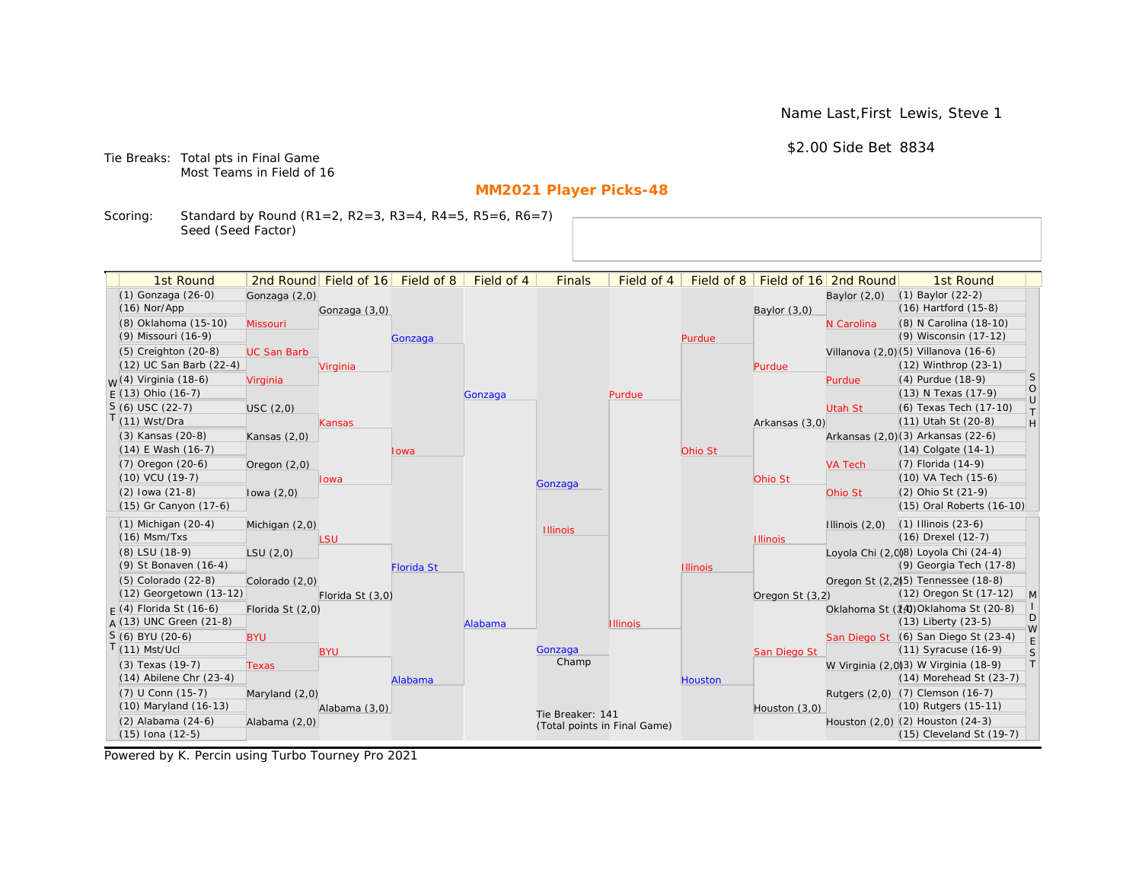Name Last,First Lewis, Steve 1

\$2.00 Side Bet 8834

Tie Breaks: Total pts in Final Game Most Teams in Field of 16

# **MM2021 Player Picks-48**

Scoring: Standard by Round (R1=2, R2=3, R3=4, R4=5, R5=6, R6=7) Seed (Seed Factor)

| 1st Round<br>2nd Round Field of 16<br>Field of 8<br>Field of 4<br><b>Finals</b><br>Field of 4<br>Field of 8<br>Field of 16 2nd Round<br>1st Round<br>(1) Gonzaga (26-0)<br>(1) Baylor (22-2)<br>Gonzaga (2,0)<br>Baylor $(2,0)$<br>$(16)$ Nor/App<br>$(16)$ Hartford $(15-8)$<br>Baylor (3,0)<br>Gonzaga (3,0)<br>(8) Oklahoma (15-10)<br>(8) N Carolina (18-10)<br>N Carolina<br>Missouri<br>(9) Missouri (16-9)<br>(9) Wisconsin (17-12)<br>Purdue<br>Gonzaga<br>Villanova (2,0)(5) Villanova (16-6)<br>$(5)$ Creighton $(20-8)$<br><b>UC San Barb</b><br>(12) UC San Barb (22-4)<br>$(12)$ Winthrop $(23-1)$<br>Virginia<br>Purdue<br><sub>S</sub><br><sub>W</sub> (4) Virginia (18-6)<br>(4) Purdue (18-9)<br>Virginia<br>Purdue<br>$\begin{bmatrix} 0 \\ 0 \end{bmatrix}$<br>$E(13)$ Ohio (16-7)<br>(13) N Texas (17-9)<br>Purdue<br>Gonzaga<br>$S(6)$ USC (22-7)<br>(6) Texas Tech (17-10)<br><b>Utah St</b><br>USC(2,0)<br>T.<br>$T(11)$ Wst/Dra<br>(11) Utah St (20-8)<br>H<br>Arkansas (3,0)<br>Kansas<br>(3) Kansas (20-8)<br>Arkansas (2,0)(3) Arkansas (22-6)<br>Kansas $(2,0)$<br>$(14)$ E Wash $(16-7)$<br>$(14)$ Colgate $(14-1)$<br>Ohio St<br>lowa<br>$(7)$ Oregon $(20-6)$<br>(7) Florida (14-9)<br><b>VA Tech</b><br>Oregon $(2,0)$<br>(10) VCU (19-7)<br>(10) VA Tech (15-6)<br>Ohio St<br>Iowa<br>Gonzaga<br>$(2)$ lowa $(21-8)$<br>(2) Ohio St (21-9)<br>Ohio St<br>lowa $(2,0)$<br>(15) Gr Canyon (17-6)<br>(15) Oral Roberts (16-10)<br>$(1)$ Michigan $(20-4)$<br>$(1)$ Illinois $(23-6)$<br>Illinois $(2,0)$<br>Michigan (2,0)<br><b>Illinois</b><br>(16) Drexel (12-7)<br>$(16)$ Msm/Txs<br>LSU<br><b>Illinois</b><br>(8) LSU (18-9)<br>Loyola Chi (2,008) Loyola Chi (24-4)<br>LSU(2,0)<br>(9) Georgia Tech (17-8)<br>(9) St Bonaven (16-4)<br><b>Florida St</b><br><b>Illinois</b><br>(5) Colorado (22-8)<br>Oregon St (2,2) <sup>(5)</sup> Tennessee (18-8)<br>Colorado (2,0)<br>(12) Oregon St (17-12)<br>(12) Georgetown (13-12)<br>$\vert M \vert$<br>Oregon St (3,2)<br>Florida St (3,0)<br>$F(4)$ Florida St (16-6)<br>Oklahoma St (14) Oklahoma St (20-8)<br>Florida St (2,0)<br>D<br>$A(13)$ UNC Green (21-8)<br>(13) Liberty (23-5)<br>Alabama<br><b>Illinois</b><br>W<br>S (6) BYU (20-6)<br>San Diego St (6) San Diego St (23-4)<br><b>BYU</b><br>$(11)$ Mst/Ucl<br>(11) Syracuse (16-9)<br>Gonzaga<br>S<br><b>BYU</b><br>San Diego St<br>Champ<br>$\top$<br>W Virginia (2,0)3) W Virginia (18-9)<br>(3) Texas (19-7)<br><b>Texas</b><br>$(14)$ Abilene Chr $(23-4)$<br>$(14)$ Morehead St $(23-7)$<br>Alabama<br><b>Houston</b><br>(7) U Conn (15-7)<br>Rutgers (2,0) (7) Clemson (16-7)<br>Maryland (2,0)<br>(10) Maryland (16-13)<br>(10) Rutgers (15-11)<br>Alabama (3,0)<br>Houston (3,0)<br>Tie Breaker: 141<br>(2) Alabama (24-6)<br>Houston (2,0) (2) Houston (24-3)<br>Alabama (2,0)<br>(Total points in Final Game)<br>(15) Cleveland St (19-7)<br>(15) Iona (12-5) |  |  |  |  |  |  |  |
|-----------------------------------------------------------------------------------------------------------------------------------------------------------------------------------------------------------------------------------------------------------------------------------------------------------------------------------------------------------------------------------------------------------------------------------------------------------------------------------------------------------------------------------------------------------------------------------------------------------------------------------------------------------------------------------------------------------------------------------------------------------------------------------------------------------------------------------------------------------------------------------------------------------------------------------------------------------------------------------------------------------------------------------------------------------------------------------------------------------------------------------------------------------------------------------------------------------------------------------------------------------------------------------------------------------------------------------------------------------------------------------------------------------------------------------------------------------------------------------------------------------------------------------------------------------------------------------------------------------------------------------------------------------------------------------------------------------------------------------------------------------------------------------------------------------------------------------------------------------------------------------------------------------------------------------------------------------------------------------------------------------------------------------------------------------------------------------------------------------------------------------------------------------------------------------------------------------------------------------------------------------------------------------------------------------------------------------------------------------------------------------------------------------------------------------------------------------------------------------------------------------------------------------------------------------------------------------------------------------------------------------------------------------------------------------------------------------------------------------------------------------------------------------------------------------------------------------------------------------------------------------------------------------------------|--|--|--|--|--|--|--|
|                                                                                                                                                                                                                                                                                                                                                                                                                                                                                                                                                                                                                                                                                                                                                                                                                                                                                                                                                                                                                                                                                                                                                                                                                                                                                                                                                                                                                                                                                                                                                                                                                                                                                                                                                                                                                                                                                                                                                                                                                                                                                                                                                                                                                                                                                                                                                                                                                                                                                                                                                                                                                                                                                                                                                                                                                                                                                                                       |  |  |  |  |  |  |  |
|                                                                                                                                                                                                                                                                                                                                                                                                                                                                                                                                                                                                                                                                                                                                                                                                                                                                                                                                                                                                                                                                                                                                                                                                                                                                                                                                                                                                                                                                                                                                                                                                                                                                                                                                                                                                                                                                                                                                                                                                                                                                                                                                                                                                                                                                                                                                                                                                                                                                                                                                                                                                                                                                                                                                                                                                                                                                                                                       |  |  |  |  |  |  |  |
|                                                                                                                                                                                                                                                                                                                                                                                                                                                                                                                                                                                                                                                                                                                                                                                                                                                                                                                                                                                                                                                                                                                                                                                                                                                                                                                                                                                                                                                                                                                                                                                                                                                                                                                                                                                                                                                                                                                                                                                                                                                                                                                                                                                                                                                                                                                                                                                                                                                                                                                                                                                                                                                                                                                                                                                                                                                                                                                       |  |  |  |  |  |  |  |
|                                                                                                                                                                                                                                                                                                                                                                                                                                                                                                                                                                                                                                                                                                                                                                                                                                                                                                                                                                                                                                                                                                                                                                                                                                                                                                                                                                                                                                                                                                                                                                                                                                                                                                                                                                                                                                                                                                                                                                                                                                                                                                                                                                                                                                                                                                                                                                                                                                                                                                                                                                                                                                                                                                                                                                                                                                                                                                                       |  |  |  |  |  |  |  |
|                                                                                                                                                                                                                                                                                                                                                                                                                                                                                                                                                                                                                                                                                                                                                                                                                                                                                                                                                                                                                                                                                                                                                                                                                                                                                                                                                                                                                                                                                                                                                                                                                                                                                                                                                                                                                                                                                                                                                                                                                                                                                                                                                                                                                                                                                                                                                                                                                                                                                                                                                                                                                                                                                                                                                                                                                                                                                                                       |  |  |  |  |  |  |  |
|                                                                                                                                                                                                                                                                                                                                                                                                                                                                                                                                                                                                                                                                                                                                                                                                                                                                                                                                                                                                                                                                                                                                                                                                                                                                                                                                                                                                                                                                                                                                                                                                                                                                                                                                                                                                                                                                                                                                                                                                                                                                                                                                                                                                                                                                                                                                                                                                                                                                                                                                                                                                                                                                                                                                                                                                                                                                                                                       |  |  |  |  |  |  |  |
|                                                                                                                                                                                                                                                                                                                                                                                                                                                                                                                                                                                                                                                                                                                                                                                                                                                                                                                                                                                                                                                                                                                                                                                                                                                                                                                                                                                                                                                                                                                                                                                                                                                                                                                                                                                                                                                                                                                                                                                                                                                                                                                                                                                                                                                                                                                                                                                                                                                                                                                                                                                                                                                                                                                                                                                                                                                                                                                       |  |  |  |  |  |  |  |
|                                                                                                                                                                                                                                                                                                                                                                                                                                                                                                                                                                                                                                                                                                                                                                                                                                                                                                                                                                                                                                                                                                                                                                                                                                                                                                                                                                                                                                                                                                                                                                                                                                                                                                                                                                                                                                                                                                                                                                                                                                                                                                                                                                                                                                                                                                                                                                                                                                                                                                                                                                                                                                                                                                                                                                                                                                                                                                                       |  |  |  |  |  |  |  |
|                                                                                                                                                                                                                                                                                                                                                                                                                                                                                                                                                                                                                                                                                                                                                                                                                                                                                                                                                                                                                                                                                                                                                                                                                                                                                                                                                                                                                                                                                                                                                                                                                                                                                                                                                                                                                                                                                                                                                                                                                                                                                                                                                                                                                                                                                                                                                                                                                                                                                                                                                                                                                                                                                                                                                                                                                                                                                                                       |  |  |  |  |  |  |  |
|                                                                                                                                                                                                                                                                                                                                                                                                                                                                                                                                                                                                                                                                                                                                                                                                                                                                                                                                                                                                                                                                                                                                                                                                                                                                                                                                                                                                                                                                                                                                                                                                                                                                                                                                                                                                                                                                                                                                                                                                                                                                                                                                                                                                                                                                                                                                                                                                                                                                                                                                                                                                                                                                                                                                                                                                                                                                                                                       |  |  |  |  |  |  |  |
|                                                                                                                                                                                                                                                                                                                                                                                                                                                                                                                                                                                                                                                                                                                                                                                                                                                                                                                                                                                                                                                                                                                                                                                                                                                                                                                                                                                                                                                                                                                                                                                                                                                                                                                                                                                                                                                                                                                                                                                                                                                                                                                                                                                                                                                                                                                                                                                                                                                                                                                                                                                                                                                                                                                                                                                                                                                                                                                       |  |  |  |  |  |  |  |
|                                                                                                                                                                                                                                                                                                                                                                                                                                                                                                                                                                                                                                                                                                                                                                                                                                                                                                                                                                                                                                                                                                                                                                                                                                                                                                                                                                                                                                                                                                                                                                                                                                                                                                                                                                                                                                                                                                                                                                                                                                                                                                                                                                                                                                                                                                                                                                                                                                                                                                                                                                                                                                                                                                                                                                                                                                                                                                                       |  |  |  |  |  |  |  |
|                                                                                                                                                                                                                                                                                                                                                                                                                                                                                                                                                                                                                                                                                                                                                                                                                                                                                                                                                                                                                                                                                                                                                                                                                                                                                                                                                                                                                                                                                                                                                                                                                                                                                                                                                                                                                                                                                                                                                                                                                                                                                                                                                                                                                                                                                                                                                                                                                                                                                                                                                                                                                                                                                                                                                                                                                                                                                                                       |  |  |  |  |  |  |  |
|                                                                                                                                                                                                                                                                                                                                                                                                                                                                                                                                                                                                                                                                                                                                                                                                                                                                                                                                                                                                                                                                                                                                                                                                                                                                                                                                                                                                                                                                                                                                                                                                                                                                                                                                                                                                                                                                                                                                                                                                                                                                                                                                                                                                                                                                                                                                                                                                                                                                                                                                                                                                                                                                                                                                                                                                                                                                                                                       |  |  |  |  |  |  |  |
|                                                                                                                                                                                                                                                                                                                                                                                                                                                                                                                                                                                                                                                                                                                                                                                                                                                                                                                                                                                                                                                                                                                                                                                                                                                                                                                                                                                                                                                                                                                                                                                                                                                                                                                                                                                                                                                                                                                                                                                                                                                                                                                                                                                                                                                                                                                                                                                                                                                                                                                                                                                                                                                                                                                                                                                                                                                                                                                       |  |  |  |  |  |  |  |
|                                                                                                                                                                                                                                                                                                                                                                                                                                                                                                                                                                                                                                                                                                                                                                                                                                                                                                                                                                                                                                                                                                                                                                                                                                                                                                                                                                                                                                                                                                                                                                                                                                                                                                                                                                                                                                                                                                                                                                                                                                                                                                                                                                                                                                                                                                                                                                                                                                                                                                                                                                                                                                                                                                                                                                                                                                                                                                                       |  |  |  |  |  |  |  |
|                                                                                                                                                                                                                                                                                                                                                                                                                                                                                                                                                                                                                                                                                                                                                                                                                                                                                                                                                                                                                                                                                                                                                                                                                                                                                                                                                                                                                                                                                                                                                                                                                                                                                                                                                                                                                                                                                                                                                                                                                                                                                                                                                                                                                                                                                                                                                                                                                                                                                                                                                                                                                                                                                                                                                                                                                                                                                                                       |  |  |  |  |  |  |  |
|                                                                                                                                                                                                                                                                                                                                                                                                                                                                                                                                                                                                                                                                                                                                                                                                                                                                                                                                                                                                                                                                                                                                                                                                                                                                                                                                                                                                                                                                                                                                                                                                                                                                                                                                                                                                                                                                                                                                                                                                                                                                                                                                                                                                                                                                                                                                                                                                                                                                                                                                                                                                                                                                                                                                                                                                                                                                                                                       |  |  |  |  |  |  |  |
|                                                                                                                                                                                                                                                                                                                                                                                                                                                                                                                                                                                                                                                                                                                                                                                                                                                                                                                                                                                                                                                                                                                                                                                                                                                                                                                                                                                                                                                                                                                                                                                                                                                                                                                                                                                                                                                                                                                                                                                                                                                                                                                                                                                                                                                                                                                                                                                                                                                                                                                                                                                                                                                                                                                                                                                                                                                                                                                       |  |  |  |  |  |  |  |
|                                                                                                                                                                                                                                                                                                                                                                                                                                                                                                                                                                                                                                                                                                                                                                                                                                                                                                                                                                                                                                                                                                                                                                                                                                                                                                                                                                                                                                                                                                                                                                                                                                                                                                                                                                                                                                                                                                                                                                                                                                                                                                                                                                                                                                                                                                                                                                                                                                                                                                                                                                                                                                                                                                                                                                                                                                                                                                                       |  |  |  |  |  |  |  |
|                                                                                                                                                                                                                                                                                                                                                                                                                                                                                                                                                                                                                                                                                                                                                                                                                                                                                                                                                                                                                                                                                                                                                                                                                                                                                                                                                                                                                                                                                                                                                                                                                                                                                                                                                                                                                                                                                                                                                                                                                                                                                                                                                                                                                                                                                                                                                                                                                                                                                                                                                                                                                                                                                                                                                                                                                                                                                                                       |  |  |  |  |  |  |  |
|                                                                                                                                                                                                                                                                                                                                                                                                                                                                                                                                                                                                                                                                                                                                                                                                                                                                                                                                                                                                                                                                                                                                                                                                                                                                                                                                                                                                                                                                                                                                                                                                                                                                                                                                                                                                                                                                                                                                                                                                                                                                                                                                                                                                                                                                                                                                                                                                                                                                                                                                                                                                                                                                                                                                                                                                                                                                                                                       |  |  |  |  |  |  |  |
|                                                                                                                                                                                                                                                                                                                                                                                                                                                                                                                                                                                                                                                                                                                                                                                                                                                                                                                                                                                                                                                                                                                                                                                                                                                                                                                                                                                                                                                                                                                                                                                                                                                                                                                                                                                                                                                                                                                                                                                                                                                                                                                                                                                                                                                                                                                                                                                                                                                                                                                                                                                                                                                                                                                                                                                                                                                                                                                       |  |  |  |  |  |  |  |
|                                                                                                                                                                                                                                                                                                                                                                                                                                                                                                                                                                                                                                                                                                                                                                                                                                                                                                                                                                                                                                                                                                                                                                                                                                                                                                                                                                                                                                                                                                                                                                                                                                                                                                                                                                                                                                                                                                                                                                                                                                                                                                                                                                                                                                                                                                                                                                                                                                                                                                                                                                                                                                                                                                                                                                                                                                                                                                                       |  |  |  |  |  |  |  |
|                                                                                                                                                                                                                                                                                                                                                                                                                                                                                                                                                                                                                                                                                                                                                                                                                                                                                                                                                                                                                                                                                                                                                                                                                                                                                                                                                                                                                                                                                                                                                                                                                                                                                                                                                                                                                                                                                                                                                                                                                                                                                                                                                                                                                                                                                                                                                                                                                                                                                                                                                                                                                                                                                                                                                                                                                                                                                                                       |  |  |  |  |  |  |  |
|                                                                                                                                                                                                                                                                                                                                                                                                                                                                                                                                                                                                                                                                                                                                                                                                                                                                                                                                                                                                                                                                                                                                                                                                                                                                                                                                                                                                                                                                                                                                                                                                                                                                                                                                                                                                                                                                                                                                                                                                                                                                                                                                                                                                                                                                                                                                                                                                                                                                                                                                                                                                                                                                                                                                                                                                                                                                                                                       |  |  |  |  |  |  |  |
|                                                                                                                                                                                                                                                                                                                                                                                                                                                                                                                                                                                                                                                                                                                                                                                                                                                                                                                                                                                                                                                                                                                                                                                                                                                                                                                                                                                                                                                                                                                                                                                                                                                                                                                                                                                                                                                                                                                                                                                                                                                                                                                                                                                                                                                                                                                                                                                                                                                                                                                                                                                                                                                                                                                                                                                                                                                                                                                       |  |  |  |  |  |  |  |
|                                                                                                                                                                                                                                                                                                                                                                                                                                                                                                                                                                                                                                                                                                                                                                                                                                                                                                                                                                                                                                                                                                                                                                                                                                                                                                                                                                                                                                                                                                                                                                                                                                                                                                                                                                                                                                                                                                                                                                                                                                                                                                                                                                                                                                                                                                                                                                                                                                                                                                                                                                                                                                                                                                                                                                                                                                                                                                                       |  |  |  |  |  |  |  |
|                                                                                                                                                                                                                                                                                                                                                                                                                                                                                                                                                                                                                                                                                                                                                                                                                                                                                                                                                                                                                                                                                                                                                                                                                                                                                                                                                                                                                                                                                                                                                                                                                                                                                                                                                                                                                                                                                                                                                                                                                                                                                                                                                                                                                                                                                                                                                                                                                                                                                                                                                                                                                                                                                                                                                                                                                                                                                                                       |  |  |  |  |  |  |  |
|                                                                                                                                                                                                                                                                                                                                                                                                                                                                                                                                                                                                                                                                                                                                                                                                                                                                                                                                                                                                                                                                                                                                                                                                                                                                                                                                                                                                                                                                                                                                                                                                                                                                                                                                                                                                                                                                                                                                                                                                                                                                                                                                                                                                                                                                                                                                                                                                                                                                                                                                                                                                                                                                                                                                                                                                                                                                                                                       |  |  |  |  |  |  |  |
|                                                                                                                                                                                                                                                                                                                                                                                                                                                                                                                                                                                                                                                                                                                                                                                                                                                                                                                                                                                                                                                                                                                                                                                                                                                                                                                                                                                                                                                                                                                                                                                                                                                                                                                                                                                                                                                                                                                                                                                                                                                                                                                                                                                                                                                                                                                                                                                                                                                                                                                                                                                                                                                                                                                                                                                                                                                                                                                       |  |  |  |  |  |  |  |
|                                                                                                                                                                                                                                                                                                                                                                                                                                                                                                                                                                                                                                                                                                                                                                                                                                                                                                                                                                                                                                                                                                                                                                                                                                                                                                                                                                                                                                                                                                                                                                                                                                                                                                                                                                                                                                                                                                                                                                                                                                                                                                                                                                                                                                                                                                                                                                                                                                                                                                                                                                                                                                                                                                                                                                                                                                                                                                                       |  |  |  |  |  |  |  |
|                                                                                                                                                                                                                                                                                                                                                                                                                                                                                                                                                                                                                                                                                                                                                                                                                                                                                                                                                                                                                                                                                                                                                                                                                                                                                                                                                                                                                                                                                                                                                                                                                                                                                                                                                                                                                                                                                                                                                                                                                                                                                                                                                                                                                                                                                                                                                                                                                                                                                                                                                                                                                                                                                                                                                                                                                                                                                                                       |  |  |  |  |  |  |  |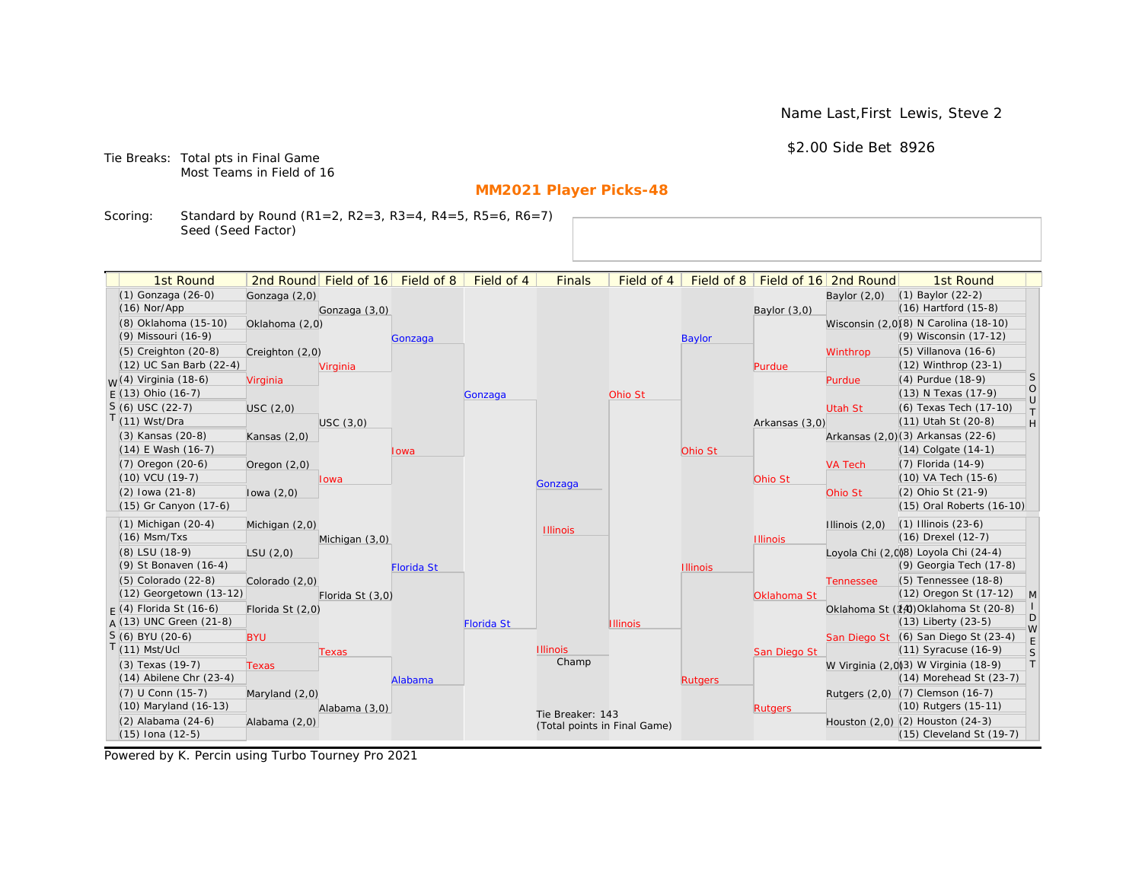Name Last,First Lewis, Steve 2

\$2.00 Side Bet 8926

Tie Breaks: Total pts in Final Game Most Teams in Field of 16

# **MM2021 Player Picks-48**

Scoring: Standard by Round (R1=2, R2=3, R3=4, R4=5, R5=6, R6=7) Seed (Seed Factor)

| 1st Round<br>(1) Gonzaga (26-0)   |                  | 2nd Round Field of 16 Field of 8 |                   | Field of 4        | <b>Finals</b>                | Field of 4      | Field of 8      |                 | Field of 16 2nd Round | 1st Round<br>(1) Baylor (22-2)        |                |
|-----------------------------------|------------------|----------------------------------|-------------------|-------------------|------------------------------|-----------------|-----------------|-----------------|-----------------------|---------------------------------------|----------------|
| $(16)$ Nor/App                    | Gonzaga (2,0)    |                                  |                   |                   |                              |                 |                 |                 | Baylor $(2,0)$        | (16) Hartford (15-8)                  |                |
| (8) Oklahoma (15-10)              |                  | Gonzaga (3,0)                    |                   |                   |                              |                 |                 | Baylor $(3,0)$  |                       | Wisconsin (2,0)(8) N Carolina (18-10) |                |
| (9) Missouri (16-9)               | Oklahoma (2,0)   |                                  |                   |                   |                              |                 |                 |                 |                       | (9) Wisconsin (17-12)                 |                |
| (5) Creighton (20-8)              |                  |                                  | Gonzaga           |                   |                              |                 | <b>Baylor</b>   |                 |                       | (5) Villanova (16-6)                  |                |
| (12) UC San Barb (22-4)           | Creighton (2,0)  |                                  |                   |                   |                              |                 |                 |                 | Winthrop              | (12) Winthrop (23-1)                  |                |
| <sub>M</sub> /(4) Virginia (18-6) | Virginia         | Virginia                         |                   |                   |                              |                 |                 | Purdue          | Purdue                | (4) Purdue (18-9)                     | <sub>S</sub>   |
| $F(13)$ Ohio (16-7)               |                  |                                  |                   | Gonzaga           |                              | Ohio St         |                 |                 |                       | (13) N Texas (17-9)                   | $\circ$        |
| S (6) USC (22-7)                  | USC(2,0)         |                                  |                   |                   |                              |                 |                 |                 | Utah St               | (6) Texas Tech (17-10)                | U              |
| $(11)$ Wst/Dra                    |                  | USC(3,0)                         |                   |                   |                              |                 |                 | Arkansas (3,0)  |                       | (11) Utah St (20-8)                   | T.<br>H        |
| (3) Kansas (20-8)                 | Kansas $(2,0)$   |                                  |                   |                   |                              |                 |                 |                 |                       | Arkansas (2,0)(3) Arkansas (22-6)     |                |
| (14) E Wash (16-7)                |                  |                                  | Iowa              |                   |                              |                 | Ohio St         |                 |                       | (14) Colgate (14-1)                   |                |
| (7) Oregon (20-6)                 | Oregon $(2,0)$   |                                  |                   |                   |                              |                 |                 |                 | <b>VA Tech</b>        | (7) Florida (14-9)                    |                |
| (10) VCU (19-7)                   |                  | lowa                             |                   |                   |                              |                 |                 | Ohio St         |                       | (10) VA Tech (15-6)                   |                |
| $(2)$ lowa $(21-8)$               | lowa $(2,0)$     |                                  |                   |                   | Gonzaga                      |                 |                 |                 | Ohio St               | (2) Ohio St (21-9)                    |                |
| (15) Gr Canyon (17-6)             |                  |                                  |                   |                   |                              |                 |                 |                 |                       | (15) Oral Roberts (16-10)             |                |
| $(1)$ Michigan $(20-4)$           | Michigan (2,0)   |                                  |                   |                   |                              |                 |                 |                 | Illinois $(2,0)$      | $(1)$ Illinois $(23-6)$               |                |
| $(16)$ Msm/Txs                    |                  | Michigan (3,0)                   |                   |                   | <b>Illinois</b>              |                 |                 | <b>Illinois</b> |                       | (16) Drexel (12-7)                    |                |
| (8) LSU (18-9)                    | LSU(2,0)         |                                  |                   |                   |                              |                 |                 |                 |                       | Loyola Chi (2,008) Loyola Chi (24-4)  |                |
| (9) St Bonaven (16-4)             |                  |                                  | <b>Florida St</b> |                   |                              |                 | <b>Illinois</b> |                 |                       | (9) Georgia Tech (17-8)               |                |
| (5) Colorado (22-8)               | Colorado (2,0)   |                                  |                   |                   |                              |                 |                 |                 | <b>Tennessee</b>      | (5) Tennessee (18-8)                  |                |
| (12) Georgetown (13-12)           |                  | Florida St (3,0)                 |                   |                   |                              |                 |                 | Oklahoma St     |                       | (12) Oregon St (17-12)                | $\overline{M}$ |
| $F(4)$ Florida St (16-6)          | Florida St (2,0) |                                  |                   |                   |                              |                 |                 |                 |                       | Oklahoma St (14) Oklahoma St (20-8)   |                |
| $A(13)$ UNC Green (21-8)          |                  |                                  |                   | <b>Florida St</b> |                              | <b>Illinois</b> |                 |                 |                       | (13) Liberty (23-5)                   | D              |
| $S(6)$ BYU (20-6)                 | <b>BYU</b>       |                                  |                   |                   |                              |                 |                 |                 |                       | San Diego St (6) San Diego St (23-4)  | W              |
| $(11)$ Mst/Ucl                    |                  | <b>Texas</b>                     |                   |                   | <b>Illinois</b>              |                 |                 | San Diego St    |                       | (11) Syracuse (16-9)                  | $\mathsf S$    |
| (3) Texas (19-7)                  | <b>Texas</b>     |                                  |                   |                   | Champ                        |                 |                 |                 |                       | W Virginia (2,0)(3) W Virginia (18-9) | $\top$         |
| $(14)$ Abilene Chr $(23-4)$       |                  |                                  | Alabama           |                   |                              |                 | <b>Rutgers</b>  |                 |                       | $(14)$ Morehead St $(23-7)$           |                |
| (7) U Conn (15-7)                 | Maryland (2,0)   |                                  |                   |                   |                              |                 |                 |                 |                       | Rutgers (2,0) (7) Clemson (16-7)      |                |
| (10) Maryland (16-13)             |                  | Alabama (3,0)                    |                   |                   | Tie Breaker: 143             |                 |                 | <b>Rutgers</b>  |                       | (10) Rutgers (15-11)                  |                |
| (2) Alabama (24-6)                | Alabama (2,0)    |                                  |                   |                   | (Total points in Final Game) |                 |                 |                 |                       | Houston (2,0) (2) Houston (24-3)      |                |
| (15) Iona (12-5)                  |                  |                                  |                   |                   |                              |                 |                 |                 |                       | (15) Cleveland St (19-7)              |                |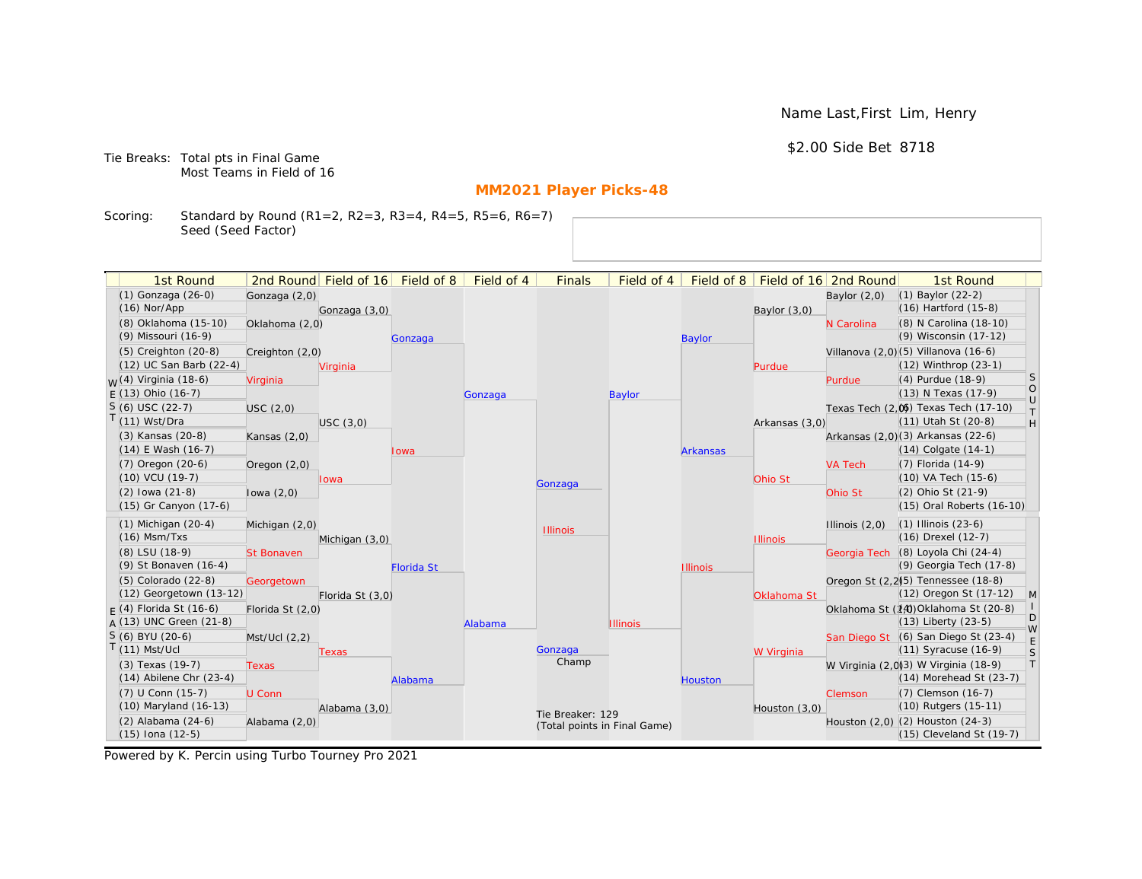Name Last,First Lim, Henry

## \$2.00 Side Bet 8718

Tie Breaks: Total pts in Final Game Most Teams in Field of 16

# **MM2021 Player Picks-48**

Scoring: Standard by Round (R1=2, R2=3, R3=4, R4=5, R5=6, R6=7) Seed (Seed Factor)

| 1st Round                                       |                   | 2nd Round Field of 16 | Field of 8        | Field of 4 | <b>Finals</b>                | Field of 4      | Field of 8      |                 | Field of 16 2nd Round | 1st Round                                                           |                                                                   |
|-------------------------------------------------|-------------------|-----------------------|-------------------|------------|------------------------------|-----------------|-----------------|-----------------|-----------------------|---------------------------------------------------------------------|-------------------------------------------------------------------|
| (1) Gonzaga (26-0)                              | Gonzaga (2,0)     |                       |                   |            |                              |                 |                 |                 | Baylor $(2,0)$        | $(1)$ Baylor $(22-2)$                                               |                                                                   |
| $(16)$ Nor/App                                  |                   | Gonzaga (3,0)         |                   |            |                              |                 |                 | Baylor (3,0)    |                       | $(16)$ Hartford $(15-8)$                                            |                                                                   |
| (8) Oklahoma (15-10)                            | Oklahoma (2,0)    |                       |                   |            |                              |                 |                 |                 | N Carolina            | (8) N Carolina (18-10)                                              |                                                                   |
| (9) Missouri (16-9)                             |                   |                       | Gonzaga           |            |                              |                 | <b>Baylor</b>   |                 |                       | (9) Wisconsin (17-12)                                               |                                                                   |
| (5) Creighton (20-8)                            | Creighton (2,0)   |                       |                   |            |                              |                 |                 |                 |                       | Villanova (2,0)(5) Villanova (16-6)                                 |                                                                   |
| (12) UC San Barb (22-4)                         |                   | Virginia              |                   |            |                              |                 |                 | Purdue          |                       | (12) Winthrop (23-1)                                                |                                                                   |
| <sub>W</sub> (4) Virginia (18-6)                | Virginia          |                       |                   |            |                              |                 |                 |                 | Purdue                | (4) Purdue (18-9)                                                   | <sub>S</sub>                                                      |
| $E(13)$ Ohio (16-7)                             |                   |                       |                   | Gonzaga    |                              | <b>Baylor</b>   |                 |                 |                       | (13) N Texas (17-9)                                                 | $\circ$<br>$\cup$                                                 |
| $S(6)$ USC (22-7)                               | USC(2,0)          |                       |                   |            |                              |                 |                 |                 |                       | Texas Tech (2,0) Texas Tech (17-10)                                 | $\top$                                                            |
| $T(11)$ Wst/Dra                                 |                   | USC(3,0)              |                   |            |                              |                 |                 | Arkansas (3,0)  |                       | (11) Utah St (20-8)                                                 | $\mathsf{H}% _{\mathsf{H}}^{\ast}=\mathsf{H}_{\mathsf{H}}^{\ast}$ |
| (3) Kansas (20-8)                               | Kansas $(2,0)$    |                       |                   |            |                              |                 |                 |                 |                       | Arkansas (2,0)(3) Arkansas (22-6)                                   |                                                                   |
| $(14)$ E Wash $(16-7)$                          |                   |                       | Iowa              |            |                              |                 | <b>Arkansas</b> |                 |                       | $(14)$ Colgate $(14-1)$                                             |                                                                   |
| $(7)$ Oregon $(20-6)$                           | Oregon $(2,0)$    |                       |                   |            |                              |                 |                 |                 | <b>VA Tech</b>        | $(7)$ Florida $(14-9)$                                              |                                                                   |
| $(10)$ VCU $(19-7)$                             |                   | lowa                  |                   |            | Gonzaga                      |                 |                 | Ohio St         |                       | $(10)$ VA Tech $(15-6)$                                             |                                                                   |
| $(2)$ lowa $(21-8)$                             | lowa $(2,0)$      |                       |                   |            |                              |                 |                 |                 | Ohio St               | (2) Ohio St (21-9)                                                  |                                                                   |
| (15) Gr Canyon (17-6)                           |                   |                       |                   |            |                              |                 |                 |                 |                       | (15) Oral Roberts (16-10)                                           |                                                                   |
| $(1)$ Michigan $(20-4)$                         | Michigan (2,0)    |                       |                   |            | <b>Illinois</b>              |                 |                 |                 | Illinois $(2,0)$      | $(1)$ Illinois $(23-6)$                                             |                                                                   |
| $(16)$ Msm/Txs                                  |                   | Michigan (3,0)        |                   |            |                              |                 |                 | <b>Illinois</b> |                       | (16) Drexel (12-7)                                                  |                                                                   |
| (8) LSU (18-9)                                  | <b>St Bonaven</b> |                       |                   |            |                              |                 |                 |                 |                       | Georgia Tech (8) Loyola Chi (24-4)                                  |                                                                   |
| (9) St Bonaven (16-4)                           |                   |                       | <b>Florida St</b> |            |                              |                 | <b>Illinois</b> |                 |                       | (9) Georgia Tech (17-8)                                             |                                                                   |
| (5) Colorado (22-8)                             | Georgetown        |                       |                   |            |                              |                 |                 |                 |                       | Oregon St (2,2) <sup>5</sup> ) Tennessee (18-8)                     |                                                                   |
| (12) Georgetown (13-12)                         |                   | Florida St (3,0)      |                   |            |                              |                 |                 | Oklahoma St     |                       | (12) Oregon St (17-12)                                              | $\mathsf{M}$                                                      |
| $F(4)$ Florida St (16-6)                        | Florida St (2,0)  |                       |                   |            |                              |                 |                 |                 |                       | Oklahoma St (14) Oklahoma St (20-8)                                 | D                                                                 |
| $A(13)$ UNC Green (21-8)                        |                   |                       |                   | Alabama    |                              | <b>Illinois</b> |                 |                 |                       | $(13)$ Liberty $(23-5)$                                             | W                                                                 |
| S (6) BYU (20-6)                                | Mst/Ucl (2,2)     |                       |                   |            |                              |                 |                 |                 |                       | San Diego St (6) San Diego St (23-4)                                | E                                                                 |
| $T(11)$ Mst/Ucl                                 |                   | Texas                 |                   |            | Gonzaga<br>Champ             |                 |                 | W Virginia      |                       | $(11)$ Syracuse $(16-9)$                                            | S<br> T                                                           |
| (3) Texas (19-7)<br>$(14)$ Abilene Chr $(23-4)$ | <b>Texas</b>      |                       |                   |            |                              |                 |                 |                 |                       | W Virginia (2,0)3) W Virginia (18-9)<br>$(14)$ Morehead St $(23-7)$ |                                                                   |
|                                                 |                   |                       | Alabama           |            |                              |                 | <b>Houston</b>  |                 |                       |                                                                     |                                                                   |
| (7) U Conn (15-7)<br>(10) Maryland (16-13)      | U Conn            |                       |                   |            |                              |                 |                 |                 | Clemson               | (7) Clemson (16-7)<br>(10) Rutgers (15-11)                          |                                                                   |
| (2) Alabama (24-6)                              |                   | Alabama (3,0)         |                   |            | Tie Breaker: 129             |                 |                 | Houston $(3,0)$ |                       | Houston (2,0) (2) Houston (24-3)                                    |                                                                   |
| $(15)$ Iona $(12-5)$                            | Alabama (2,0)     |                       |                   |            | (Total points in Final Game) |                 |                 |                 |                       | (15) Cleveland St (19-7)                                            |                                                                   |
|                                                 |                   |                       |                   |            |                              |                 |                 |                 |                       |                                                                     |                                                                   |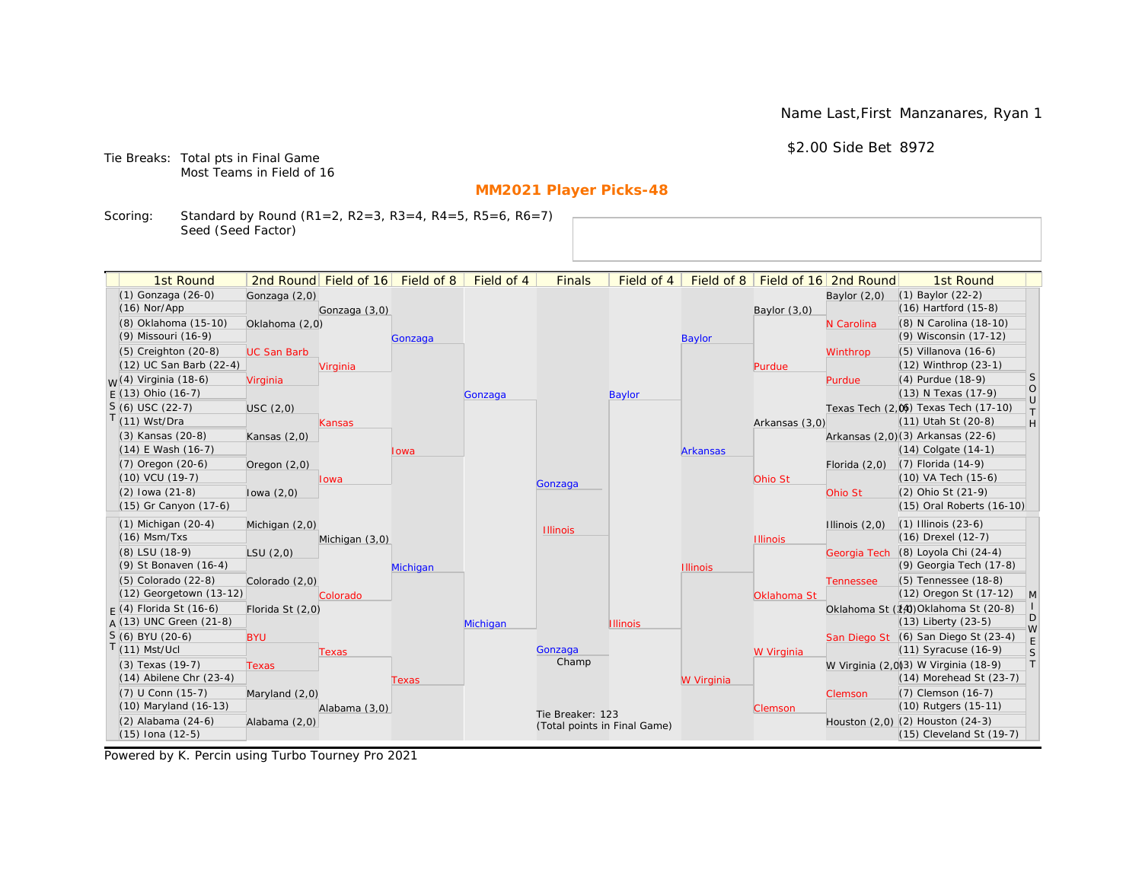Name Last,First Manzanares, Ryan 1

\$2.00 Side Bet 8972

Tie Breaks: Total pts in Final Game Most Teams in Field of 16

# **MM2021 Player Picks-48**

Scoring: Standard by Round (R1=2, R2=3, R3=4, R4=5, R5=6, R6=7) Seed (Seed Factor)

| 1st Round                         |                    | 2nd Round Field of 16 Field of 8 |          | Field of 4 | <b>Finals</b>                | Field of 4      | Field of 8      |                 | Field of 16 2nd Round | 1st Round                             |                 |
|-----------------------------------|--------------------|----------------------------------|----------|------------|------------------------------|-----------------|-----------------|-----------------|-----------------------|---------------------------------------|-----------------|
| (1) Gonzaga (26-0)                |                    |                                  |          |            |                              |                 |                 |                 |                       | (1) Baylor (22-2)                     |                 |
| $(16)$ Nor/App                    | Gonzaga (2,0)      |                                  |          |            |                              |                 |                 |                 | Baylor $(2,0)$        | (16) Hartford (15-8)                  |                 |
| (8) Oklahoma (15-10)              | Oklahoma (2,0)     | Gonzaga (3,0)                    |          |            |                              |                 |                 | Baylor $(3,0)$  | N Carolina            | (8) N Carolina (18-10)                |                 |
| (9) Missouri (16-9)               |                    |                                  |          |            |                              |                 | <b>Baylor</b>   |                 |                       | (9) Wisconsin (17-12)                 |                 |
| (5) Creighton (20-8)              | <b>UC San Barb</b> |                                  | Gonzaga  |            |                              |                 |                 |                 | Winthrop              | (5) Villanova (16-6)                  |                 |
| (12) UC San Barb (22-4)           |                    | Virginia                         |          |            |                              |                 |                 | Purdue          |                       | (12) Winthrop (23-1)                  |                 |
| <sub>M</sub> /(4) Virginia (18-6) | Virginia           |                                  |          |            |                              |                 |                 |                 | Purdue                | (4) Purdue (18-9)                     | <sub>S</sub>    |
| $F(13)$ Ohio (16-7)               |                    |                                  |          | Gonzaga    |                              | Baylor          |                 |                 |                       | (13) N Texas (17-9)                   | $\circ$         |
| $S(6)$ USC (22-7)                 | USC(2,0)           |                                  |          |            |                              |                 |                 |                 |                       | Texas Tech (2.06) Texas Tech (17-10)  | U               |
| T(11) Wst/Dra                     |                    | Kansas                           |          |            |                              |                 |                 | Arkansas (3,0)  |                       | (11) Utah St (20-8)                   | T.<br>H         |
| (3) Kansas (20-8)                 | Kansas $(2,0)$     |                                  |          |            |                              |                 |                 |                 |                       | Arkansas (2,0)(3) Arkansas (22-6)     |                 |
| (14) E Wash (16-7)                |                    |                                  | lowa     |            |                              |                 | <b>Arkansas</b> |                 |                       | (14) Colgate (14-1)                   |                 |
| $(7)$ Oregon $(20-6)$             | Oregon $(2,0)$     |                                  |          |            |                              |                 |                 |                 | Florida $(2,0)$       | (7) Florida (14-9)                    |                 |
| $(10)$ VCU $(19-7)$               |                    | lowa                             |          |            |                              |                 |                 | Ohio St         |                       | (10) VA Tech (15-6)                   |                 |
| $(2)$ lowa $(21-8)$               | lowa $(2,0)$       |                                  |          |            | Gonzaga                      |                 |                 |                 | Ohio St               | (2) Ohio St (21-9)                    |                 |
| (15) Gr Canyon (17-6)             |                    |                                  |          |            |                              |                 |                 |                 |                       | (15) Oral Roberts (16-10)             |                 |
| $(1)$ Michigan $(20-4)$           | Michigan (2,0)     |                                  |          |            |                              |                 |                 |                 | Illinois $(2,0)$      | $(1)$ Illinois $(23-6)$               |                 |
| $(16)$ Msm/Txs                    |                    | Michigan (3,0)                   |          |            | <b>Illinois</b>              |                 |                 | <b>Illinois</b> |                       | (16) Drexel (12-7)                    |                 |
| (8) LSU (18-9)                    | LSU(2,0)           |                                  |          |            |                              |                 |                 |                 | Georgia Tech          | (8) Loyola Chi (24-4)                 |                 |
| (9) St Bonaven (16-4)             |                    |                                  | Michigan |            |                              |                 | <b>Illinois</b> |                 |                       | (9) Georgia Tech (17-8)               |                 |
| (5) Colorado (22-8)               | Colorado (2,0)     |                                  |          |            |                              |                 |                 |                 | <b>Tennessee</b>      | (5) Tennessee (18-8)                  |                 |
| (12) Georgetown (13-12)           |                    | Colorado                         |          |            |                              |                 |                 | Oklahoma St     |                       | (12) Oregon St (17-12)                | $\vert M \vert$ |
| $F(4)$ Florida St (16-6)          | Florida St (2,0)   |                                  |          |            |                              |                 |                 |                 |                       | Oklahoma St (14) Oklahoma St (20-8)   |                 |
| $A(13)$ UNC Green (21-8)          |                    |                                  |          | Michigan   |                              | <b>Illinois</b> |                 |                 |                       | (13) Liberty (23-5)                   | D<br>W          |
| S (6) BYU (20-6)                  | <b>BYU</b>         |                                  |          |            |                              |                 |                 |                 |                       | San Diego St (6) San Diego St (23-4)  |                 |
| $T(11)$ Mst/Ucl                   |                    | Texas                            |          |            | Gonzaga                      |                 |                 | W Virginia      |                       | (11) Syracuse (16-9)                  | $\mathsf{S}$    |
| (3) Texas (19-7)                  | <b>Texas</b>       |                                  |          |            | Champ                        |                 |                 |                 |                       | W Virginia (2,0)(3) W Virginia (18-9) | $\top$          |
| $(14)$ Abilene Chr $(23-4)$       |                    |                                  | Texas    |            |                              |                 | W Virginia      |                 |                       | $(14)$ Morehead St $(23-7)$           |                 |
| (7) U Conn (15-7)                 | Maryland (2,0)     |                                  |          |            |                              |                 |                 |                 | Clemson               | (7) Clemson (16-7)                    |                 |
| (10) Maryland (16-13)             |                    | Alabama (3,0)                    |          |            | Tie Breaker: 123             |                 |                 | Clemson         |                       | (10) Rutgers (15-11)                  |                 |
| (2) Alabama (24-6)                | Alabama (2,0)      |                                  |          |            | (Total points in Final Game) |                 |                 |                 |                       | Houston (2,0) (2) Houston (24-3)      |                 |
| $(15)$ Iona $(12-5)$              |                    |                                  |          |            |                              |                 |                 |                 |                       | (15) Cleveland St (19-7)              |                 |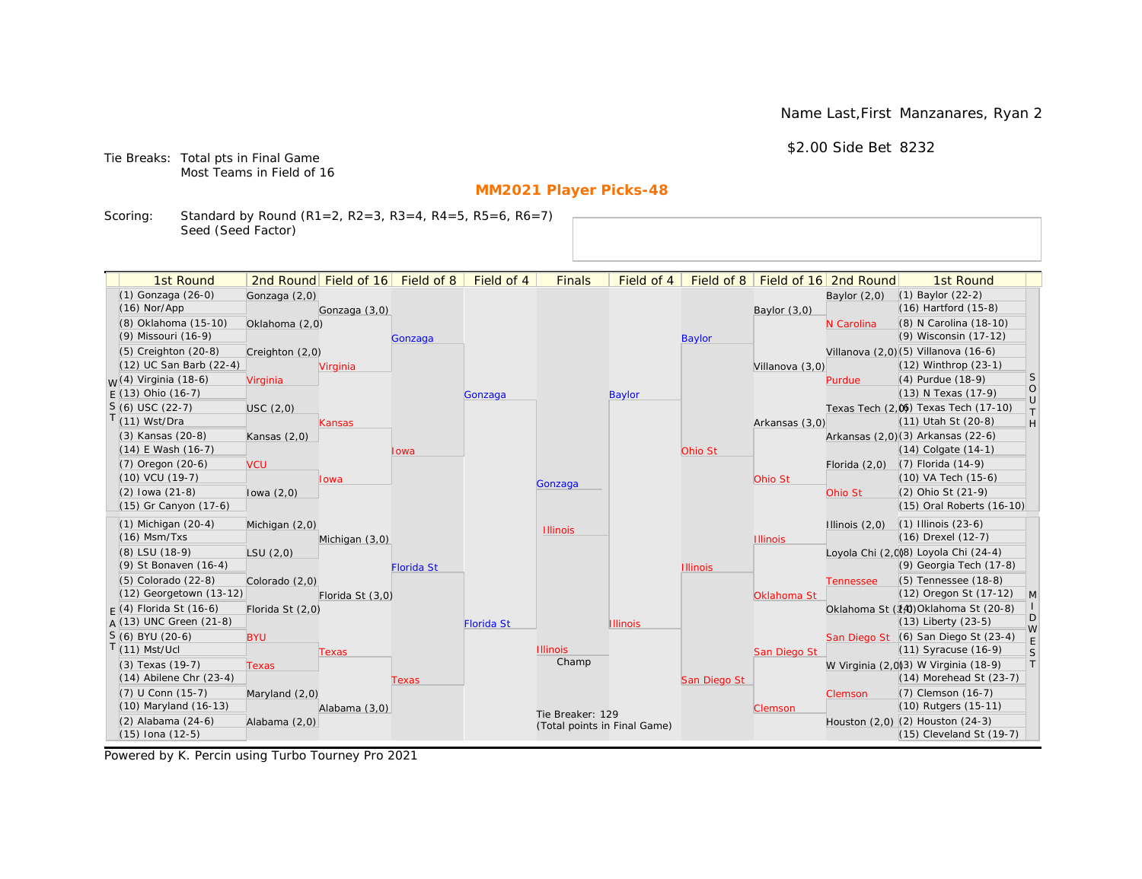Name Last,First Manzanares, Ryan 2

\$2.00 Side Bet 8232

Tie Breaks: Total pts in Final Game Most Teams in Field of 16

# **MM2021 Player Picks-48**

Scoring: Standard by Round (R1=2, R2=3, R3=4, R4=5, R5=6, R6=7) Seed (Seed Factor)

| 1st Round                                  |                  | 2nd Round Field of 16 Field of 8 |                   | Field of 4        | <b>Finals</b>                | Field of 4      | Field of 8      |                 | Field of 16 2nd Round | 1st Round                                  |                 |
|--------------------------------------------|------------------|----------------------------------|-------------------|-------------------|------------------------------|-----------------|-----------------|-----------------|-----------------------|--------------------------------------------|-----------------|
| (1) Gonzaga (26-0)                         | Gonzaga (2,0)    |                                  |                   |                   |                              |                 |                 |                 | Baylor $(2,0)$        | (1) Baylor (22-2)                          |                 |
| $(16)$ Nor/App                             |                  | Gonzaga (3,0)                    |                   |                   |                              |                 |                 | Baylor $(3,0)$  |                       | (16) Hartford (15-8)                       |                 |
| (8) Oklahoma (15-10)                       | Oklahoma (2,0)   |                                  |                   |                   |                              |                 |                 |                 | N Carolina            | (8) N Carolina (18-10)                     |                 |
| (9) Missouri (16-9)                        |                  |                                  | Gonzaga           |                   |                              |                 | <b>Baylor</b>   |                 |                       | (9) Wisconsin (17-12)                      |                 |
| (5) Creighton (20-8)                       | Creighton (2,0)  |                                  |                   |                   |                              |                 |                 |                 |                       | Villanova (2,0) (5) Villanova (16-6)       |                 |
| (12) UC San Barb (22-4)                    |                  | Virginia                         |                   |                   |                              |                 |                 | Villanova (3,0) |                       | $(12)$ Winthrop $(23-1)$                   |                 |
| <sub>M</sub> /(4) Virginia (18-6)          | Virginia         |                                  |                   |                   |                              |                 |                 |                 | Purdue                | (4) Purdue (18-9)                          | <sub>S</sub>    |
| $F(13)$ Ohio (16-7)                        |                  |                                  |                   | Gonzaga           |                              | Baylor          |                 |                 |                       | (13) N Texas (17-9)                        | $\circ$         |
| $S(6)$ USC (22-7)                          | USC(2,0)         |                                  |                   |                   |                              |                 |                 |                 |                       | Texas Tech (2.06) Texas Tech (17-10)       | U<br>T.         |
| T(11) Wst/Dra                              |                  | Kansas                           |                   |                   |                              |                 |                 | Arkansas (3,0)  |                       | (11) Utah St (20-8)                        | H               |
| (3) Kansas (20-8)                          | Kansas $(2,0)$   |                                  |                   |                   |                              |                 |                 |                 |                       | Arkansas (2,0)(3) Arkansas (22-6)          |                 |
| $(14)$ E Wash $(16-7)$                     |                  |                                  | lowa              |                   |                              |                 | Ohio St         |                 |                       | (14) Colgate (14-1)                        |                 |
| $(7)$ Oregon $(20-6)$                      | <b>VCU</b>       |                                  |                   |                   |                              |                 |                 |                 | Florida $(2,0)$       | (7) Florida (14-9)                         |                 |
| $(10)$ VCU $(19-7)$                        |                  | Iowa                             |                   |                   | Gonzaga                      |                 |                 | Ohio St         |                       | (10) VA Tech (15-6)                        |                 |
| $(2)$ lowa $(21-8)$                        | lowa $(2,0)$     |                                  |                   |                   |                              |                 |                 |                 | Ohio St               | (2) Ohio St (21-9)                         |                 |
| (15) Gr Canyon (17-6)                      |                  |                                  |                   |                   |                              |                 |                 |                 |                       | (15) Oral Roberts (16-10)                  |                 |
| $(1)$ Michigan $(20-4)$                    | Michigan (2,0)   |                                  |                   |                   | <b>Illinois</b>              |                 |                 |                 | Illinois $(2,0)$      | $(1)$ Illinois $(23-6)$                    |                 |
| $(16)$ Msm/Txs                             |                  | Michigan (3,0)                   |                   |                   |                              |                 |                 | <b>Illinois</b> |                       | (16) Drexel (12-7)                         |                 |
| (8) LSU (18-9)                             | LSU(2,0)         |                                  |                   |                   |                              |                 |                 |                 |                       | Loyola Chi (2,008) Loyola Chi (24-4)       |                 |
| (9) St Bonaven (16-4)                      |                  |                                  | <b>Florida St</b> |                   |                              |                 | <b>Illinois</b> |                 |                       | (9) Georgia Tech (17-8)                    |                 |
| (5) Colorado (22-8)                        | Colorado (2,0)   |                                  |                   |                   |                              |                 |                 |                 | <b>Tennessee</b>      | (5) Tennessee (18-8)                       |                 |
| (12) Georgetown (13-12)                    |                  | Florida St (3,0)                 |                   |                   |                              |                 |                 | Oklahoma St     |                       | (12) Oregon St (17-12)                     | $\vert M \vert$ |
| $F(4)$ Florida St (16-6)                   | Florida St (2,0) |                                  |                   |                   |                              |                 |                 |                 |                       | Oklahoma St (14) Oklahoma St (20-8)        | D               |
| $A(13)$ UNC Green (21-8)                   |                  |                                  |                   | <b>Florida St</b> |                              | <b>Illinois</b> |                 |                 |                       | (13) Liberty (23-5)                        | W               |
| S (6) BYU (20-6)                           | <b>BYU</b>       |                                  |                   |                   |                              |                 |                 |                 |                       | San Diego St (6) San Diego St (23-4)       |                 |
| $T(11)$ Mst/Ucl                            |                  | Texas                            |                   |                   | <b>Illinois</b><br>Champ     |                 |                 | San Diego St    |                       | (11) Syracuse (16-9)                       | S               |
| (3) Texas (19-7)                           | <b>Texas</b>     |                                  |                   |                   |                              |                 |                 |                 |                       | W Virginia (2,0)3) W Virginia (18-9)       | $\top$          |
| $(14)$ Abilene Chr $(23-4)$                |                  |                                  | Texas             |                   |                              |                 | San Diego St    |                 |                       | $(14)$ Morehead St $(23-7)$                |                 |
| (7) U Conn (15-7)<br>(10) Maryland (16-13) | Maryland (2,0)   |                                  |                   |                   |                              |                 |                 |                 | Clemson               | (7) Clemson (16-7)<br>(10) Rutgers (15-11) |                 |
| (2) Alabama (24-6)                         | Alabama (2,0)    | Alabama (3,0)                    |                   |                   | Tie Breaker: 129             |                 |                 | Clemson         |                       | Houston (2,0) (2) Houston (24-3)           |                 |
| $(15)$ Iona $(12-5)$                       |                  |                                  |                   |                   | (Total points in Final Game) |                 |                 |                 |                       | (15) Cleveland St (19-7)                   |                 |
|                                            |                  |                                  |                   |                   |                              |                 |                 |                 |                       |                                            |                 |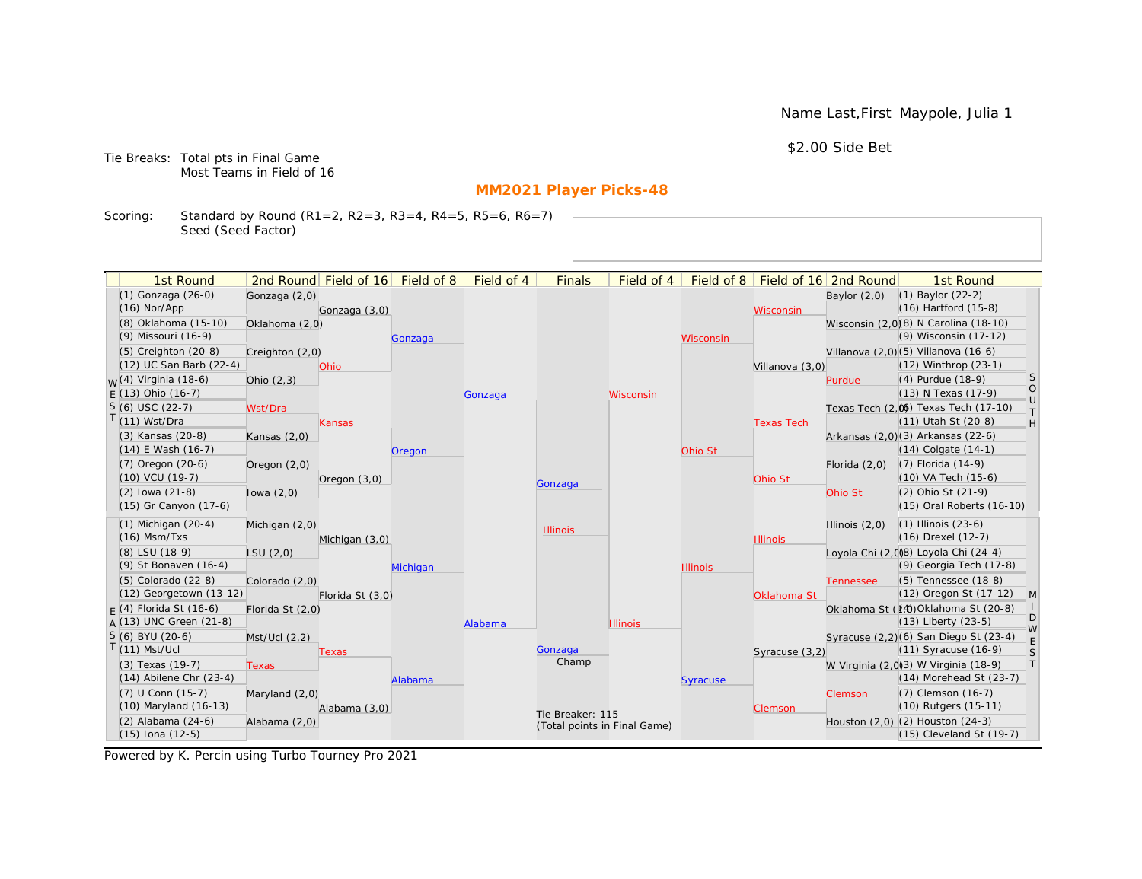Name Last,First Maypole, Julia 1

\$2.00 Side Bet

Tie Breaks: Total pts in Final Game Most Teams in Field of 16

# **MM2021 Player Picks-48**

Scoring: Standard by Round (R1=2, R2=3, R3=4, R4=5, R5=6, R6=7) Seed (Seed Factor)

| 1st Round                                       |                  | 2nd Round Field of 16 | Field of 8 | Field of 4 | <b>Finals</b>                | Field of 4      | Field of 8      |                   | Field of 16 2nd Round | 1st Round                                                            |                                                                   |
|-------------------------------------------------|------------------|-----------------------|------------|------------|------------------------------|-----------------|-----------------|-------------------|-----------------------|----------------------------------------------------------------------|-------------------------------------------------------------------|
| (1) Gonzaga (26-0)                              | Gonzaga (2,0)    |                       |            |            |                              |                 |                 |                   | Baylor $(2,0)$        | $(1)$ Baylor $(22-2)$                                                |                                                                   |
| $(16)$ Nor/App                                  |                  | Gonzaga (3,0)         |            |            |                              |                 |                 | Wisconsin         |                       | $(16)$ Hartford $(15-8)$                                             |                                                                   |
| (8) Oklahoma (15-10)                            | Oklahoma (2,0)   |                       |            |            |                              |                 |                 |                   |                       | Wisconsin (2,0)(8) N Carolina (18-10)                                |                                                                   |
| (9) Missouri (16-9)                             |                  |                       | Gonzaga    |            |                              |                 | Wisconsin       |                   |                       | (9) Wisconsin (17-12)                                                |                                                                   |
| (5) Creighton (20-8)                            | Creighton (2,0)  |                       |            |            |                              |                 |                 |                   |                       | Villanova (2,0) (5) Villanova (16-6)                                 |                                                                   |
| (12) UC San Barb (22-4)                         |                  | Ohio                  |            |            |                              |                 |                 | Villanova (3,0)   |                       | (12) Winthrop (23-1)                                                 |                                                                   |
| <sub>M</sub> (4) Virginia (18-6)                | Ohio $(2,3)$     |                       |            |            |                              |                 |                 |                   | Purdue                | (4) Purdue (18-9)                                                    | <sub>S</sub>                                                      |
| $E(13)$ Ohio (16-7)                             |                  |                       |            | Gonzaga    |                              | Wisconsin       |                 |                   |                       | (13) N Texas (17-9)                                                  | $\bigcirc$<br>$\cup$                                              |
| $S(6)$ USC (22-7)                               | Wst/Dra          |                       |            |            |                              |                 |                 |                   |                       | Texas Tech (2,0) Texas Tech (17-10)                                  | $\top$                                                            |
| $T(11)$ Wst/Dra                                 |                  | Kansas                |            |            |                              |                 |                 | <b>Texas Tech</b> |                       | (11) Utah St (20-8)                                                  | $\mathsf{H}% _{\mathsf{H}}^{\ast}=\mathsf{H}_{\mathsf{H}}^{\ast}$ |
| (3) Kansas (20-8)                               | Kansas $(2,0)$   |                       |            |            |                              |                 |                 |                   |                       | Arkansas (2,0)(3) Arkansas (22-6)                                    |                                                                   |
| $(14)$ E Wash $(16-7)$                          |                  |                       | Oregon     |            |                              |                 | Ohio St         |                   |                       | $(14)$ Colgate $(14-1)$                                              |                                                                   |
| $(7)$ Oregon $(20-6)$                           | Oregon (2,0)     |                       |            |            |                              |                 |                 |                   | Florida $(2,0)$       | $(7)$ Florida $(14-9)$                                               |                                                                   |
| $(10)$ VCU $(19-7)$                             |                  | Oregon $(3,0)$        |            |            | Gonzaga                      |                 |                 | Ohio St           |                       | $(10)$ VA Tech $(15-6)$                                              |                                                                   |
| $(2)$ lowa $(21-8)$                             | lowa $(2,0)$     |                       |            |            |                              |                 |                 |                   | Ohio St               | (2) Ohio St (21-9)                                                   |                                                                   |
| (15) Gr Canyon (17-6)                           |                  |                       |            |            |                              |                 |                 |                   |                       | (15) Oral Roberts (16-10)                                            |                                                                   |
| $(1)$ Michigan $(20-4)$                         | Michigan (2,0)   |                       |            |            | <b>Illinois</b>              |                 |                 |                   | Illinois $(2,0)$      | $(1)$ Illinois $(23-6)$                                              |                                                                   |
| $(16)$ Msm/Txs                                  |                  | Michigan (3,0)        |            |            |                              |                 |                 | <b>Illinois</b>   |                       | (16) Drexel (12-7)                                                   |                                                                   |
| (8) LSU (18-9)                                  | LSU(2,0)         |                       |            |            |                              |                 |                 |                   |                       | Loyola Chi (2,008) Loyola Chi (24-4)                                 |                                                                   |
| (9) St Bonaven (16-4)                           |                  |                       | Michigan   |            |                              |                 | <b>Illinois</b> |                   |                       | (9) Georgia Tech (17-8)                                              |                                                                   |
| (5) Colorado (22-8)                             | Colorado (2,0)   |                       |            |            |                              |                 |                 |                   | <b>Tennessee</b>      | (5) Tennessee (18-8)                                                 |                                                                   |
| (12) Georgetown (13-12)                         |                  | Florida St (3,0)      |            |            |                              |                 |                 | Oklahoma St       |                       | (12) Oregon St (17-12)                                               | M                                                                 |
| $F(4)$ Florida St (16-6)                        | Florida St (2,0) |                       |            |            |                              |                 |                 |                   |                       | Oklahoma St (14) Oklahoma St (20-8)                                  | D                                                                 |
| $A(13)$ UNC Green (21-8)                        |                  |                       |            | Alabama    |                              | <b>Illinois</b> |                 |                   |                       | $(13)$ Liberty $(23-5)$                                              | W                                                                 |
| S (6) BYU (20-6)<br>$T(11)$ Mst/Ucl             | Mst/Ucl (2,2)    |                       |            |            |                              |                 |                 |                   |                       | Syracuse (2,2)(6) San Diego St (23-4)                                | E                                                                 |
|                                                 |                  | Texas                 |            |            | Gonzaga<br>Champ             |                 |                 | Syracuse (3,2)    |                       | (11) Syracuse (16-9)                                                 | S<br> T                                                           |
| (3) Texas (19-7)<br>$(14)$ Abilene Chr $(23-4)$ | <b>Texas</b>     |                       |            |            |                              |                 |                 |                   |                       | W Virginia (2,0)(3) W Virginia (18-9)<br>$(14)$ Morehead St $(23-7)$ |                                                                   |
| (7) U Conn (15-7)                               |                  |                       | Alabama    |            |                              |                 | <b>Syracuse</b> |                   |                       | (7) Clemson (16-7)                                                   |                                                                   |
| (10) Maryland (16-13)                           | Maryland (2,0)   |                       |            |            |                              |                 |                 |                   | Clemson               | (10) Rutgers (15-11)                                                 |                                                                   |
| (2) Alabama (24-6)                              | Alabama (2,0)    | Alabama (3,0)         |            |            | Tie Breaker: 115             |                 |                 | Clemson           |                       | Houston (2,0) (2) Houston (24-3)                                     |                                                                   |
| $(15)$ Iona $(12-5)$                            |                  |                       |            |            | (Total points in Final Game) |                 |                 |                   |                       | (15) Cleveland St (19-7)                                             |                                                                   |
|                                                 |                  |                       |            |            |                              |                 |                 |                   |                       |                                                                      |                                                                   |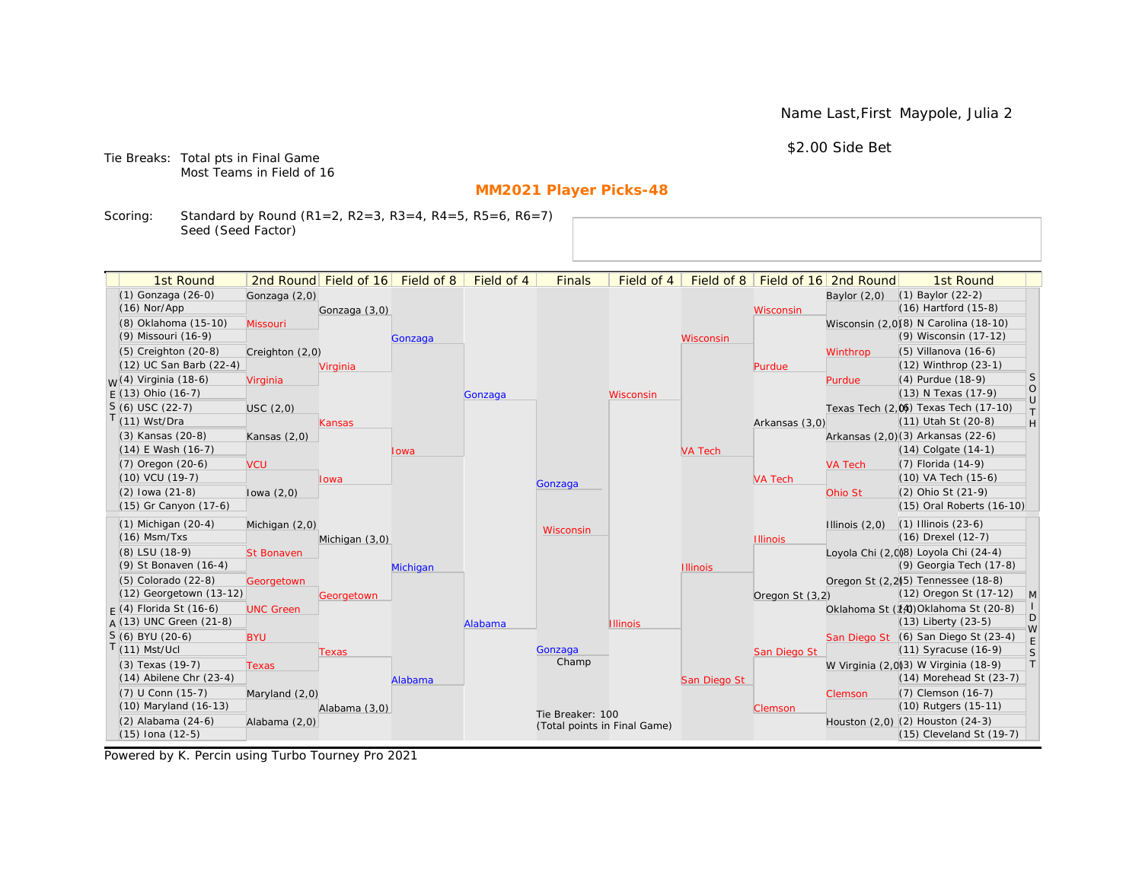Name Last,First Maypole, Julia 2

\$2.00 Side Bet

Tie Breaks: Total pts in Final Game Most Teams in Field of 16

# **MM2021 Player Picks-48**

Scoring: Standard by Round (R1=2, R2=3, R3=4, R4=5, R5=6, R6=7) Seed (Seed Factor)

| 1st Round                         |                   | 2nd Round Field of 16 Field of 8 |          | Field of 4 | <b>Finals</b>                | Field of 4      | Field of 8      |                 | Field of 16 2nd Round | 1st Round                             |                                                                             |
|-----------------------------------|-------------------|----------------------------------|----------|------------|------------------------------|-----------------|-----------------|-----------------|-----------------------|---------------------------------------|-----------------------------------------------------------------------------|
| (1) Gonzaga (26-0)                |                   |                                  |          |            |                              |                 |                 |                 |                       | $(1)$ Baylor $(22-2)$                 |                                                                             |
| $(16)$ Nor/App                    | Gonzaga (2,0)     | Gonzaga (3,0)                    |          |            |                              |                 |                 |                 | Baylor $(2,0)$        | $(16)$ Hartford $(15-8)$              |                                                                             |
| (8) Oklahoma (15-10)              | Missouri          |                                  |          |            |                              |                 |                 | Wisconsin       |                       | Wisconsin (2,0)(8) N Carolina (18-10) |                                                                             |
| (9) Missouri (16-9)               |                   |                                  | Gonzaga  |            |                              |                 | Wisconsin       |                 |                       | (9) Wisconsin (17-12)                 |                                                                             |
| $(5)$ Creighton $(20-8)$          | Creighton (2,0)   |                                  |          |            |                              |                 |                 |                 | Winthrop              | $(5)$ Villanova $(16-6)$              |                                                                             |
| (12) UC San Barb (22-4)           |                   | Virginia                         |          |            |                              |                 |                 | Purdue          |                       | (12) Winthrop (23-1)                  |                                                                             |
| <sub>M</sub> /(4) Virginia (18-6) | Virginia          |                                  |          |            |                              |                 |                 |                 | Purdue                | (4) Purdue (18-9)                     | <sub>S</sub>                                                                |
| $E(13)$ Ohio (16-7)               |                   |                                  |          | Gonzaga    |                              | Wisconsin       |                 |                 |                       | (13) N Texas (17-9)                   | $\bigcirc$                                                                  |
| $S(6)$ USC (22-7)                 | USC(2,0)          |                                  |          |            |                              |                 |                 |                 |                       | Texas Tech (2,0) Texas Tech (17-10)   | $\cup$                                                                      |
| $(11)$ Wst/Dra                    |                   | <b>Kansas</b>                    |          |            |                              |                 |                 | Arkansas (3,0)  |                       | (11) Utah St (20-8)                   | $\top$<br>$\mathsf{H}% _{\mathsf{H}}^{\ast}=\mathsf{H}_{\mathsf{H}}^{\ast}$ |
| (3) Kansas (20-8)                 | Kansas $(2,0)$    |                                  |          |            |                              |                 |                 |                 |                       | Arkansas (2,0)(3) Arkansas (22-6)     |                                                                             |
| (14) E Wash (16-7)                |                   |                                  | lowa     |            |                              |                 | <b>VA Tech</b>  |                 |                       | $(14)$ Colgate $(14-1)$               |                                                                             |
| $(7)$ Oregon $(20-6)$             | <b>VCU</b>        |                                  |          |            |                              |                 |                 |                 | <b>VA Tech</b>        | $(7)$ Florida $(14-9)$                |                                                                             |
| $(10)$ VCU $(19-7)$               |                   | lowa                             |          |            |                              |                 |                 | <b>VA Tech</b>  |                       | (10) VA Tech (15-6)                   |                                                                             |
| $(2)$ lowa $(21-8)$               | lowa $(2,0)$      |                                  |          |            | Gonzaga                      |                 |                 |                 | Ohio St               | (2) Ohio St (21-9)                    |                                                                             |
| (15) Gr Canyon (17-6)             |                   |                                  |          |            |                              |                 |                 |                 |                       | (15) Oral Roberts (16-10)             |                                                                             |
| $(1)$ Michigan $(20-4)$           | Michigan (2,0)    |                                  |          |            |                              |                 |                 |                 | Illinois $(2,0)$      | $(1)$ Illinois $(23-6)$               |                                                                             |
| $(16)$ Msm/Txs                    |                   | Michigan (3,0)                   |          |            | Wisconsin                    |                 |                 | <b>Illinois</b> |                       | (16) Drexel (12-7)                    |                                                                             |
| (8) LSU (18-9)                    | <b>St Bonaven</b> |                                  |          |            |                              |                 |                 |                 |                       | Loyola Chi (2,008) Loyola Chi (24-4)  |                                                                             |
| (9) St Bonaven (16-4)             |                   |                                  | Michigan |            |                              |                 | <b>Illinois</b> |                 |                       | (9) Georgia Tech (17-8)               |                                                                             |
| (5) Colorado (22-8)               | Georgetown        |                                  |          |            |                              |                 |                 |                 |                       | Oregon St (2.2)(5) Tennessee (18-8)   |                                                                             |
| $(12)$ Georgetown $(13-12)$       |                   | Georgetown                       |          |            |                              |                 |                 | Oregon St (3,2) |                       | (12) Oregon St (17-12)                | M                                                                           |
| $F(4)$ Florida St (16-6)          | <b>UNC Green</b>  |                                  |          |            |                              |                 |                 |                 |                       | Oklahoma St (14) Oklahoma St (20-8)   |                                                                             |
| A (13) UNC Green (21-8)           |                   |                                  |          | Alabama    |                              | <b>Illinois</b> |                 |                 |                       | $(13)$ Liberty $(23-5)$               | D                                                                           |
| S (6) BYU (20-6)                  | <b>BYU</b>        |                                  |          |            |                              |                 |                 |                 |                       | San Diego St (6) San Diego St (23-4)  | W<br>E                                                                      |
| $(11)$ Mst/Ucl                    |                   | Texas                            |          |            | Gonzaga                      |                 |                 | San Diego St    |                       | $(11)$ Syracuse $(16-9)$              | S                                                                           |
| (3) Texas (19-7)                  | <b>Texas</b>      |                                  |          |            | Champ                        |                 |                 |                 |                       | W Virginia (2,0)3) W Virginia (18-9)  | T                                                                           |
| $(14)$ Abilene Chr $(23-4)$       |                   |                                  | Alabama  |            |                              |                 | San Diego St    |                 |                       | (14) Morehead St (23-7)               |                                                                             |
| (7) U Conn (15-7)                 | Maryland (2,0)    |                                  |          |            |                              |                 |                 |                 | Clemson               | (7) Clemson (16-7)                    |                                                                             |
| (10) Maryland (16-13)             |                   | Alabama (3,0)                    |          |            | Tie Breaker: 100             |                 |                 | Clemson         |                       | (10) Rutgers (15-11)                  |                                                                             |
| (2) Alabama (24-6)                | Alabama (2,0)     |                                  |          |            | (Total points in Final Game) |                 |                 |                 |                       | Houston (2,0) (2) Houston (24-3)      |                                                                             |
| (15) Iona (12-5)                  |                   |                                  |          |            |                              |                 |                 |                 |                       | (15) Cleveland St (19-7)              |                                                                             |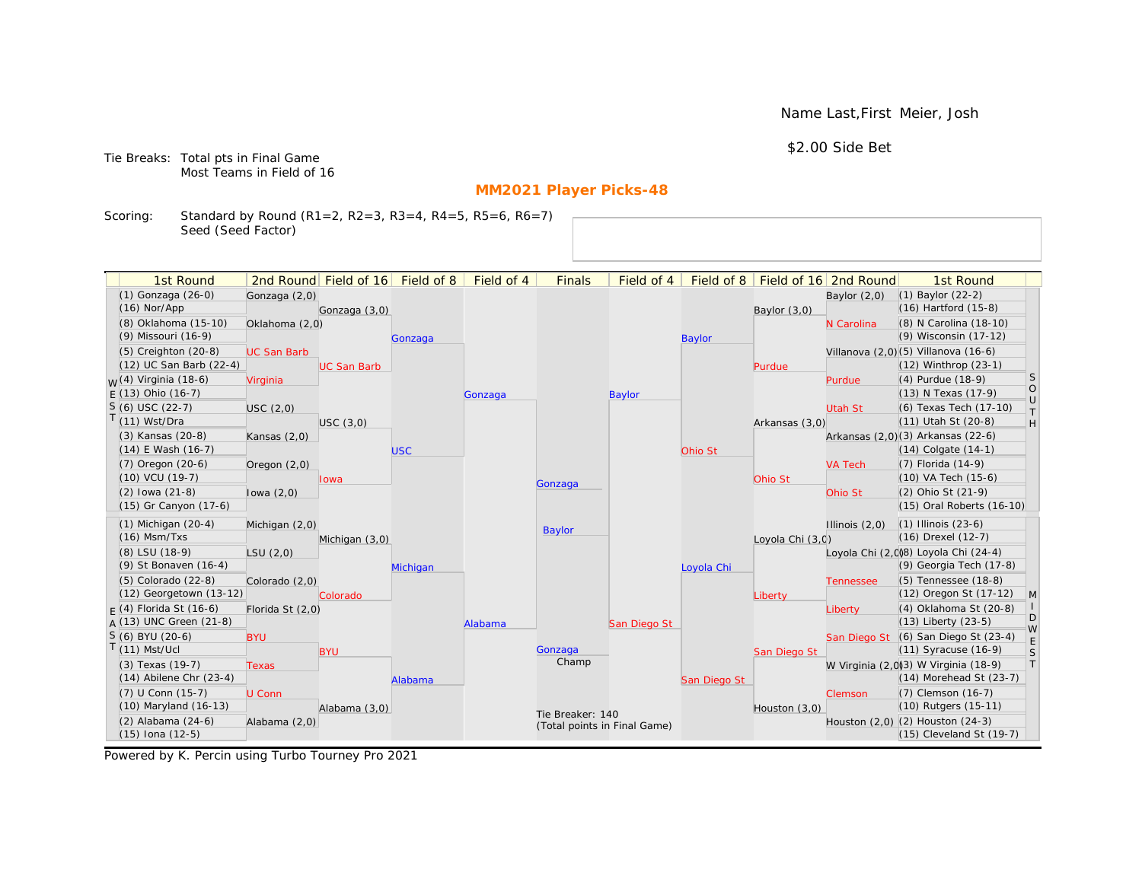Name Last,First Meier, Josh

\$2.00 Side Bet

Tie Breaks: Total pts in Final Game Most Teams in Field of 16

# **MM2021 Player Picks-48**

Scoring: Standard by Round (R1=2, R2=3, R3=4, R4=5, R5=6, R6=7) Seed (Seed Factor)

| 1st Round                        |                    | 2nd Round Field of 16 | Field of 8 | Field of 4 | <b>Finals</b>                | Field of 4    | Field of 8    |                  | Field of 16 2nd Round | 1st Round                            |                   |
|----------------------------------|--------------------|-----------------------|------------|------------|------------------------------|---------------|---------------|------------------|-----------------------|--------------------------------------|-------------------|
| (1) Gonzaga (26-0)               | Gonzaga (2,0)      |                       |            |            |                              |               |               |                  | Baylor $(2,0)$        | $(1)$ Baylor $(22-2)$                |                   |
| $(16)$ Nor/App                   |                    | Gonzaga (3,0)         |            |            |                              |               |               | Baylor (3,0)     |                       | $(16)$ Hartford $(15-8)$             |                   |
| (8) Oklahoma (15-10)             | Oklahoma (2,0)     |                       |            |            |                              |               |               |                  | N Carolina            | (8) N Carolina (18-10)               |                   |
| (9) Missouri (16-9)              |                    |                       | Gonzaga    |            |                              |               | <b>Baylor</b> |                  |                       | (9) Wisconsin (17-12)                |                   |
| $(5)$ Creighton $(20-8)$         | <b>UC San Barb</b> |                       |            |            |                              |               |               |                  |                       | Villanova (2,0)(5) Villanova (16-6)  |                   |
| (12) UC San Barb (22-4)          |                    | <b>UC San Barb</b>    |            |            |                              |               |               | Purdue           |                       | (12) Winthrop (23-1)                 |                   |
| <sub>W</sub> (4) Virginia (18-6) | Virginia           |                       |            |            |                              |               |               |                  | Purdue                | (4) Purdue (18-9)                    | <sub>S</sub>      |
| $E(13)$ Ohio (16-7)              |                    |                       |            | Gonzaga    |                              | <b>Baylor</b> |               |                  |                       | (13) N Texas (17-9)                  | $\circ$<br>$\cup$ |
| $S(6)$ USC (22-7)                | USC(2,0)           |                       |            |            |                              |               |               |                  | Utah St               | (6) Texas Tech (17-10)               | $\top$            |
| T(11) Wst/Dra                    |                    | USC(3,0)              |            |            |                              |               |               | Arkansas (3,0)   |                       | (11) Utah St (20-8)                  | H                 |
| (3) Kansas (20-8)                | Kansas $(2,0)$     |                       |            |            |                              |               |               |                  |                       | Arkansas (2,0)(3) Arkansas (22-6)    |                   |
| $(14)$ E Wash $(16-7)$           |                    |                       | <b>USC</b> |            |                              |               | Ohio St       |                  |                       | $(14)$ Colgate $(14-1)$              |                   |
| $(7)$ Oregon $(20-6)$            | Oregon $(2,0)$     |                       |            |            |                              |               |               |                  | <b>VA Tech</b>        | (7) Florida (14-9)                   |                   |
| (10) VCU (19-7)                  |                    | lowa                  |            |            | Gonzaga                      |               |               | Ohio St          |                       | (10) VA Tech (15-6)                  |                   |
| $(2)$ lowa $(21-8)$              | lowa $(2,0)$       |                       |            |            |                              |               |               |                  | Ohio St               | (2) Ohio St (21-9)                   |                   |
| (15) Gr Canyon (17-6)            |                    |                       |            |            |                              |               |               |                  |                       | (15) Oral Roberts (16-10)            |                   |
| $(1)$ Michigan $(20-4)$          | Michigan (2,0)     |                       |            |            | <b>Baylor</b>                |               |               |                  | Illinois $(2,0)$      | $(1)$ Illinois $(23-6)$              |                   |
| $(16)$ Msm/Txs                   |                    | Michigan (3,0)        |            |            |                              |               |               | Loyola Chi (3,0) |                       | (16) Drexel (12-7)                   |                   |
| (8) LSU (18-9)                   | LSU(2,0)           |                       |            |            |                              |               |               |                  |                       | Loyola Chi (2,0)8) Loyola Chi (24-4) |                   |
| (9) St Bonaven (16-4)            |                    |                       | Michigan   |            |                              |               | Loyola Chi    |                  |                       | (9) Georgia Tech (17-8)              |                   |
| (5) Colorado (22-8)              | Colorado (2,0)     |                       |            |            |                              |               |               |                  | <b>Tennessee</b>      | (5) Tennessee (18-8)                 |                   |
| (12) Georgetown (13-12)          |                    | Colorado              |            |            |                              |               |               | Liberty          |                       | (12) Oregon St (17-12)               | M                 |
| $F(4)$ Florida St (16-6)         | Florida St (2,0)   |                       |            |            |                              |               |               |                  | Liberty               | (4) Oklahoma St (20-8)               | D                 |
| $A(13)$ UNC Green (21-8)         |                    |                       |            | Alabama    |                              | San Diego St  |               |                  |                       | $(13)$ Liberty $(23-5)$              | W                 |
| S (6) BYU (20-6)                 | <b>BYU</b>         |                       |            |            |                              |               |               |                  |                       | San Diego St (6) San Diego St (23-4) | E                 |
| $T(11)$ Mst/Ucl                  |                    | <b>BYU</b>            |            |            | Gonzaga<br>Champ             |               |               | San Diego St     |                       | $(11)$ Syracuse $(16-9)$             | S                 |
| (3) Texas (19-7)                 | <b>Texas</b>       |                       |            |            |                              |               |               |                  |                       | W Virginia (2,0)3) W Virginia (18-9) | T                 |
| $(14)$ Abilene Chr $(23-4)$      |                    |                       | Alabama    |            |                              |               | San Diego St  |                  |                       | (14) Morehead St (23-7)              |                   |
| (7) U Conn (15-7)                | U Conn             |                       |            |            |                              |               |               |                  | Clemson               | (7) Clemson (16-7)                   |                   |
| (10) Maryland (16-13)            |                    | Alabama (3,0)         |            |            | Tie Breaker: 140             |               |               | Houston $(3,0)$  |                       | (10) Rutgers (15-11)                 |                   |
| (2) Alabama (24-6)               | Alabama (2,0)      |                       |            |            | (Total points in Final Game) |               |               |                  |                       | Houston (2,0) (2) Houston (24-3)     |                   |
| $(15)$ Iona $(12-5)$             |                    |                       |            |            |                              |               |               |                  |                       | (15) Cleveland St (19-7)             |                   |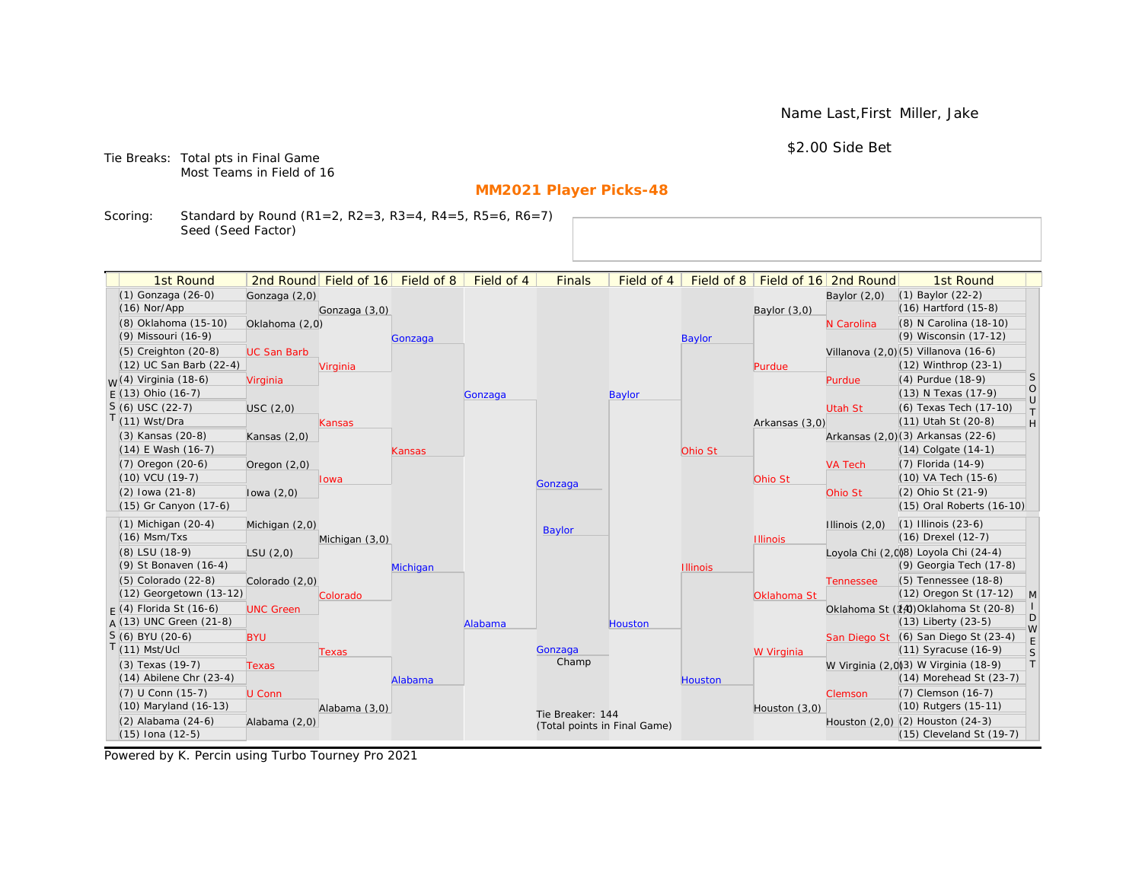Name Last,First Miller, Jake

\$2.00 Side Bet

Tie Breaks: Total pts in Final Game Most Teams in Field of 16

# **MM2021 Player Picks-48**

Scoring: Standard by Round (R1=2, R2=3, R3=4, R4=5, R5=6, R6=7) Seed (Seed Factor)

| 1st Round                                       |                    | 2nd Round Field of 16 | Field of 8 | Field of 4 | <b>Finals</b>                | Field of 4    | Field of 8      |                 | Field of 16 2nd Round | 1st Round                                                           |                   |
|-------------------------------------------------|--------------------|-----------------------|------------|------------|------------------------------|---------------|-----------------|-----------------|-----------------------|---------------------------------------------------------------------|-------------------|
| (1) Gonzaga (26-0)                              | Gonzaga (2,0)      |                       |            |            |                              |               |                 |                 | Baylor $(2,0)$        | $(1)$ Baylor $(22-2)$                                               |                   |
| $(16)$ Nor/App                                  |                    | Gonzaga (3,0)         |            |            |                              |               |                 | Baylor (3,0)    |                       | $(16)$ Hartford $(15-8)$                                            |                   |
| (8) Oklahoma (15-10)                            | Oklahoma (2,0)     |                       |            |            |                              |               |                 |                 | N Carolina            | (8) N Carolina (18-10)                                              |                   |
| (9) Missouri (16-9)                             |                    |                       | Gonzaga    |            |                              |               | <b>Baylor</b>   |                 |                       | (9) Wisconsin (17-12)                                               |                   |
| (5) Creighton (20-8)                            | <b>UC San Barb</b> |                       |            |            |                              |               |                 |                 |                       | Villanova (2,0)(5) Villanova (16-6)                                 |                   |
| (12) UC San Barb (22-4)                         |                    | Virginia              |            |            |                              |               |                 | Purdue          |                       | (12) Winthrop (23-1)                                                |                   |
| <sub>M</sub> (4) Virginia (18-6)                | Virginia           |                       |            |            |                              |               |                 |                 | Purdue                | (4) Purdue (18-9)                                                   | <sub>S</sub>      |
| $E(13)$ Ohio (16-7)                             |                    |                       |            | Gonzaga    |                              | <b>Baylor</b> |                 |                 |                       | (13) N Texas (17-9)                                                 | $\circ$<br>$\cup$ |
| $S(6)$ USC (22-7)                               | USC(2,0)           |                       |            |            |                              |               |                 |                 | Utah St               | (6) Texas Tech (17-10)                                              | $\top$            |
| $T(11)$ Wst/Dra                                 |                    | Kansas                |            |            |                              |               |                 | Arkansas (3,0)  |                       | (11) Utah St (20-8)                                                 | H                 |
| (3) Kansas (20-8)                               | Kansas $(2,0)$     |                       |            |            |                              |               |                 |                 |                       | Arkansas (2,0)(3) Arkansas (22-6)                                   |                   |
| $(14)$ E Wash $(16-7)$                          |                    |                       | Kansas     |            |                              |               | Ohio St         |                 |                       | $(14)$ Colgate $(14-1)$                                             |                   |
| $(7)$ Oregon $(20-6)$                           | Oregon $(2,0)$     |                       |            |            |                              |               |                 |                 | <b>VA Tech</b>        | $(7)$ Florida $(14-9)$                                              |                   |
| $(10)$ VCU $(19-7)$                             |                    | lowa                  |            |            | Gonzaga                      |               |                 | Ohio St         |                       | (10) VA Tech (15-6)                                                 |                   |
| $(2)$ lowa $(21-8)$                             | lowa $(2,0)$       |                       |            |            |                              |               |                 |                 | Ohio St               | (2) Ohio St (21-9)                                                  |                   |
| (15) Gr Canyon (17-6)                           |                    |                       |            |            |                              |               |                 |                 |                       | (15) Oral Roberts (16-10)                                           |                   |
| $(1)$ Michigan $(20-4)$                         | Michigan (2,0)     |                       |            |            | <b>Baylor</b>                |               |                 |                 | Illinois $(2,0)$      | $(1)$ Illinois $(23-6)$                                             |                   |
| $(16)$ Msm/Txs                                  |                    | Michigan (3,0)        |            |            |                              |               |                 | <b>Illinois</b> |                       | (16) Drexel (12-7)                                                  |                   |
| (8) LSU (18-9)                                  | LSU(2,0)           |                       |            |            |                              |               |                 |                 |                       | Loyola Chi (2,0)8) Loyola Chi (24-4)                                |                   |
| (9) St Bonaven (16-4)                           |                    |                       | Michigan   |            |                              |               | <b>Illinois</b> |                 |                       | (9) Georgia Tech (17-8)                                             |                   |
| (5) Colorado (22-8)                             | Colorado (2,0)     |                       |            |            |                              |               |                 |                 | <b>Tennessee</b>      | (5) Tennessee (18-8)                                                |                   |
| (12) Georgetown (13-12)                         |                    | Colorado              |            |            |                              |               |                 | Oklahoma St     |                       | (12) Oregon St (17-12)                                              | M                 |
| $F(4)$ Florida St (16-6)                        | <b>UNC Green</b>   |                       |            |            |                              |               |                 |                 |                       | Oklahoma St (14) Oklahoma St (20-8)                                 | D                 |
| $A(13)$ UNC Green (21-8)                        |                    |                       |            | Alabama    |                              | Houston       |                 |                 |                       | $(13)$ Liberty $(23-5)$                                             | W                 |
| S (6) BYU (20-6)<br>$T(11)$ Mst/Ucl             | <b>BYU</b>         |                       |            |            |                              |               |                 |                 |                       | San Diego St (6) San Diego St (23-4)                                | E                 |
|                                                 |                    | Texas                 |            |            | Gonzaga<br>Champ             |               |                 | W Virginia      |                       | $(11)$ Syracuse $(16-9)$                                            | S<br> T           |
| (3) Texas (19-7)<br>$(14)$ Abilene Chr $(23-4)$ | <b>Texas</b>       |                       |            |            |                              |               |                 |                 |                       | W Virginia (2,0)3) W Virginia (18-9)<br>$(14)$ Morehead St $(23-7)$ |                   |
| (7) U Conn (15-7)                               |                    |                       | Alabama    |            |                              |               | <b>Houston</b>  |                 |                       | (7) Clemson (16-7)                                                  |                   |
| (10) Maryland (16-13)                           | U Conn             |                       |            |            |                              |               |                 |                 | Clemson               | (10) Rutgers (15-11)                                                |                   |
| (2) Alabama (24-6)                              | Alabama (2,0)      | Alabama (3,0)         |            |            | Tie Breaker: 144             |               |                 | Houston $(3,0)$ |                       | Houston (2,0) (2) Houston (24-3)                                    |                   |
| $(15)$ Iona $(12-5)$                            |                    |                       |            |            | (Total points in Final Game) |               |                 |                 |                       | (15) Cleveland St (19-7)                                            |                   |
|                                                 |                    |                       |            |            |                              |               |                 |                 |                       |                                                                     |                   |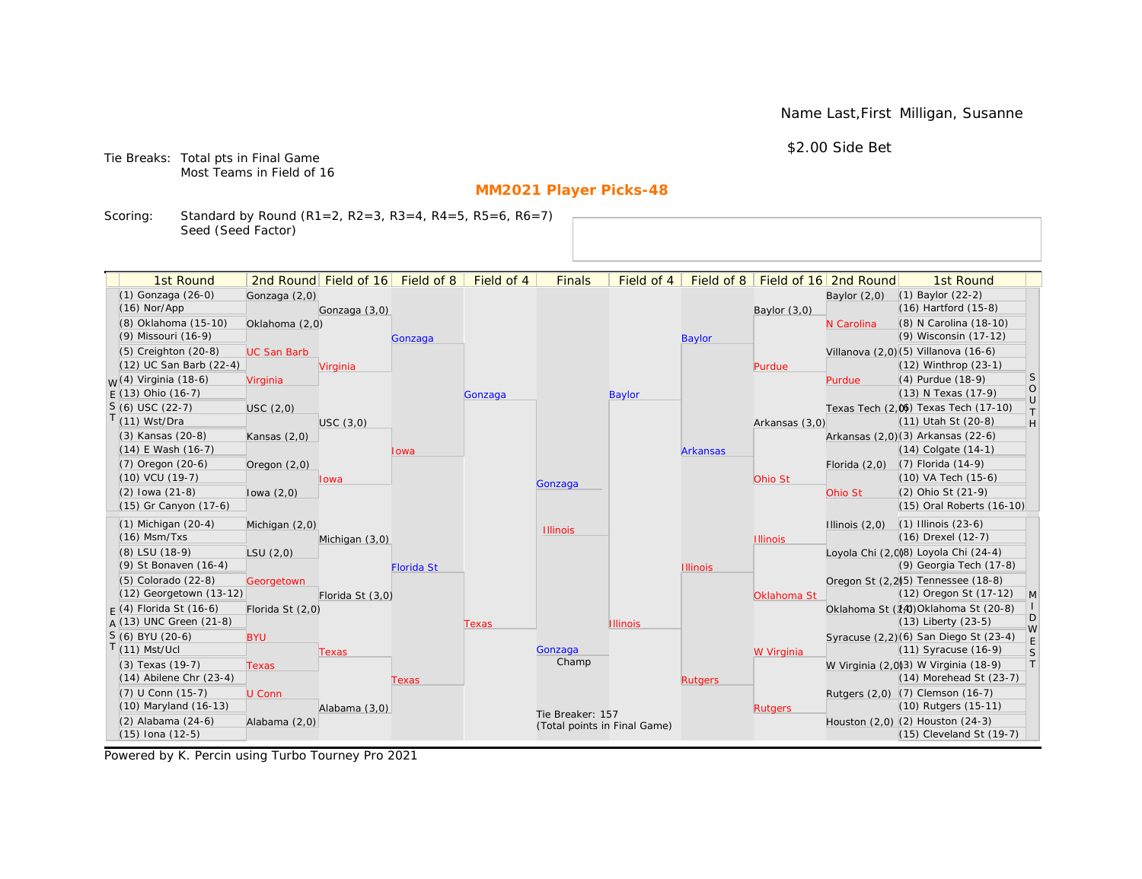Name Last,First Milligan, Susanne

\$2.00 Side Bet

Tie Breaks: Total pts in Final Game Most Teams in Field of 16

# **MM2021 Player Picks-48**

Scoring: Standard by Round (R1=2, R2=3, R3=4, R4=5, R5=6, R6=7) Seed (Seed Factor)

| 1st Round                         |                    | 2nd Round Field of 16 Field of 8 |                   | Field of 4 | <b>Finals</b>                | Field of 4      | Field of 8      |                 | Field of 16 2nd Round | 1st Round                                                    |              |
|-----------------------------------|--------------------|----------------------------------|-------------------|------------|------------------------------|-----------------|-----------------|-----------------|-----------------------|--------------------------------------------------------------|--------------|
| (1) Gonzaga (26-0)                |                    |                                  |                   |            |                              |                 |                 |                 |                       | (1) Baylor (22-2)                                            |              |
| $(16)$ Nor/App                    | Gonzaga (2,0)      | Gonzaga (3,0)                    |                   |            |                              |                 |                 |                 | Baylor $(2,0)$        | (16) Hartford (15-8)                                         |              |
| (8) Oklahoma (15-10)              | Oklahoma (2,0)     |                                  |                   |            |                              |                 |                 | Baylor $(3,0)$  | N Carolina            | (8) N Carolina (18-10)                                       |              |
| (9) Missouri (16-9)               |                    |                                  | Gonzaga           |            |                              |                 | <b>Baylor</b>   |                 |                       | (9) Wisconsin (17-12)                                        |              |
| (5) Creighton (20-8)              | <b>UC San Barb</b> |                                  |                   |            |                              |                 |                 |                 |                       | Villanova (2,0)(5) Villanova (16-6)                          |              |
| (12) UC San Barb (22-4)           |                    | Virginia                         |                   |            |                              |                 |                 | Purdue          |                       | (12) Winthrop (23-1)                                         |              |
| <sub>M</sub> /(4) Virginia (18-6) | Virginia           |                                  |                   |            |                              |                 |                 |                 | Purdue                | (4) Purdue (18-9)                                            | S            |
| $F(13)$ Ohio (16-7)               |                    |                                  |                   | Gonzaga    |                              | <b>Baylor</b>   |                 |                 |                       | (13) N Texas (17-9)                                          | $\circ$      |
| $S(6)$ USC (22-7)                 | USC (2,0)          |                                  |                   |            |                              |                 |                 |                 |                       | Texas Tech (2,0) Texas Tech (17-10)                          | $\cup$<br>T. |
| T(11) Wst/Dra                     |                    | USC(3,0)                         |                   |            |                              |                 |                 | Arkansas (3,0)  |                       | (11) Utah St (20-8)                                          | H            |
| (3) Kansas (20-8)                 | Kansas $(2,0)$     |                                  |                   |            |                              |                 |                 |                 |                       | Arkansas (2,0)(3) Arkansas (22-6)                            |              |
| $(14)$ E Wash $(16-7)$            |                    |                                  | Iowa              |            |                              |                 | <b>Arkansas</b> |                 |                       | $(14)$ Colgate $(14-1)$                                      |              |
| $(7)$ Oregon $(20-6)$             | Oregon $(2,0)$     |                                  |                   |            |                              |                 |                 |                 | Florida $(2,0)$       | (7) Florida (14-9)                                           |              |
| (10) VCU (19-7)                   |                    | Iowa                             |                   |            | Gonzaga                      |                 |                 | Ohio St         |                       | (10) VA Tech (15-6)                                          |              |
| $(2)$ lowa $(21-8)$               | lowa $(2,0)$       |                                  |                   |            |                              |                 |                 |                 | Ohio St               | (2) Ohio St (21-9)                                           |              |
| (15) Gr Canyon (17-6)             |                    |                                  |                   |            |                              |                 |                 |                 |                       | (15) Oral Roberts (16-10)                                    |              |
| $(1)$ Michigan $(20-4)$           | Michigan (2,0)     |                                  |                   |            | <b>Illinois</b>              |                 |                 |                 | Illinois $(2,0)$      | $(1)$ Illinois $(23-6)$                                      |              |
| $(16)$ Msm/Txs                    |                    | Michigan (3,0)                   |                   |            |                              |                 |                 | <b>Illinois</b> |                       | (16) Drexel (12-7)                                           |              |
| (8) LSU (18-9)                    | LSU(2,0)           |                                  |                   |            |                              |                 |                 |                 |                       | Loyola Chi (2,008) Loyola Chi (24-4)                         |              |
| (9) St Bonaven (16-4)             |                    |                                  | <b>Florida St</b> |            |                              |                 | <b>Illinois</b> |                 |                       | (9) Georgia Tech (17-8)                                      |              |
| (5) Colorado (22-8)               | Georgetown         |                                  |                   |            |                              |                 |                 |                 |                       | Oregon St (2.2) <sup>5</sup> ) Tennessee (18-8)              |              |
| (12) Georgetown (13-12)           |                    | Florida St (3,0)                 |                   |            |                              |                 |                 | Oklahoma St     |                       | (12) Oregon St (17-12)                                       | $\mathsf{M}$ |
| $F(4)$ Florida St (16-6)          | Florida St (2,0)   |                                  |                   |            |                              |                 |                 |                 |                       | Oklahoma St (14) Oklahoma St (20-8)                          | D            |
| $A(13)$ UNC Green (21-8)          |                    |                                  |                   | Texas      |                              | <b>Illinois</b> |                 |                 |                       | (13) Liberty (23-5)                                          | W            |
| $S(6)$ BYU (20-6)                 | <b>BYU</b>         |                                  |                   |            |                              |                 |                 |                 |                       | Syracuse (2,2)(6) San Diego St (23-4)                        | $\mathsf E$  |
| $T(11)$ Mst/Ucl                   |                    | Texas                            |                   |            | Gonzaga<br>Champ             |                 |                 | W Virginia      |                       | (11) Syracuse (16-9)                                         | $\mathsf S$  |
| (3) Texas (19-7)                  | <b>Texas</b>       |                                  |                   |            |                              |                 |                 |                 |                       | W Virginia (2,0)(3) W Virginia (18-9)                        | T            |
| $(14)$ Abilene Chr $(23-4)$       |                    |                                  | Texas             |            |                              |                 | <b>Rutgers</b>  |                 |                       | (14) Morehead St (23-7)                                      |              |
| $(7)$ U Conn $(15-7)$             | U Conn             |                                  |                   |            |                              |                 |                 |                 |                       | Rutgers (2,0) (7) Clemson (16-7)                             |              |
| (10) Maryland (16-13)             |                    | Alabama (3,0)                    |                   |            | Tie Breaker: 157             |                 |                 | <b>Rutgers</b>  |                       | (10) Rutgers (15-11)                                         |              |
| (2) Alabama (24-6)                | Alabama (2,0)      |                                  |                   |            | (Total points in Final Game) |                 |                 |                 |                       | Houston (2,0) (2) Houston (24-3)<br>(15) Cleveland St (19-7) |              |
| $(15)$ Iona $(12-5)$              |                    |                                  |                   |            |                              |                 |                 |                 |                       |                                                              |              |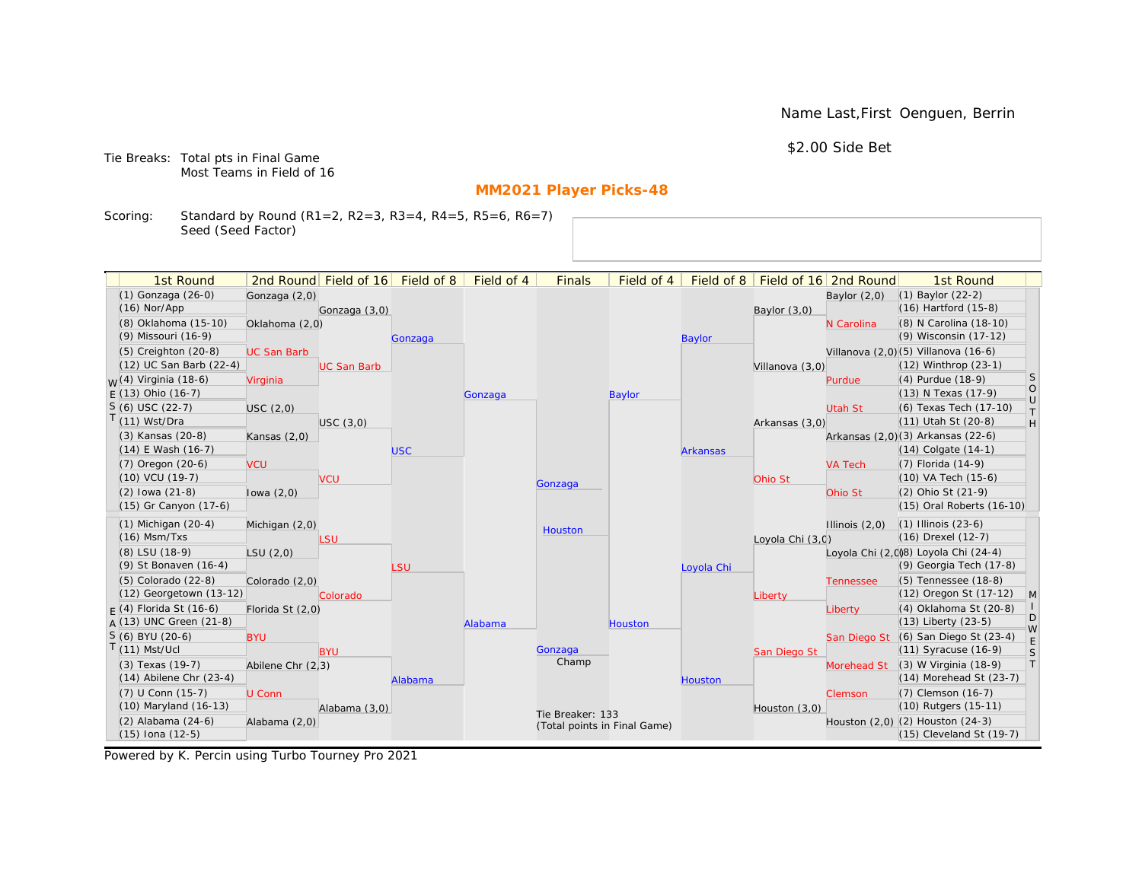Name Last,First Oenguen, Berrin

\$2.00 Side Bet

Tie Breaks: Total pts in Final Game Most Teams in Field of 16

# **MM2021 Player Picks-48**

Scoring: Standard by Round (R1=2, R2=3, R3=4, R4=5, R5=6, R6=7) Seed (Seed Factor)

| 1st Round                   |                    | 2nd Round Field of 16 | Field of 8 | Field of 4 | <b>Finals</b>    | Field of 4                   | Field of 8      |                  | Field of 16 2nd Round | 1st Round                              |                   |
|-----------------------------|--------------------|-----------------------|------------|------------|------------------|------------------------------|-----------------|------------------|-----------------------|----------------------------------------|-------------------|
| (1) Gonzaga (26-0)          | Gonzaga (2,0)      |                       |            |            |                  |                              |                 |                  | Baylor $(2,0)$        | $(1)$ Baylor $(22-2)$                  |                   |
| $(16)$ Nor/App              |                    | Gonzaga (3,0)         |            |            |                  |                              |                 | Baylor $(3,0)$   |                       | (16) Hartford (15-8)                   |                   |
| (8) Oklahoma (15-10)        | Oklahoma (2,0)     |                       |            |            |                  |                              |                 |                  | N Carolina            | (8) N Carolina (18-10)                 |                   |
| (9) Missouri (16-9)         |                    |                       | Gonzaga    |            |                  |                              | <b>Baylor</b>   |                  |                       | (9) Wisconsin (17-12)                  |                   |
| (5) Creighton (20-8)        | <b>UC San Barb</b> |                       |            |            |                  |                              |                 |                  |                       | Villanova (2,0)(5) Villanova (16-6)    |                   |
| (12) UC San Barb (22-4)     |                    | <b>UC San Barb</b>    |            |            |                  |                              |                 | Villanova (3,0)  |                       | (12) Winthrop (23-1)                   |                   |
| $M(4)$ Virginia (18-6)      | Virginia           |                       |            |            |                  |                              |                 |                  | Purdue                | (4) Purdue (18-9)                      | <sub>S</sub>      |
| $F(13)$ Ohio (16-7)         |                    |                       |            | Gonzaga    |                  | <b>Baylor</b>                |                 |                  |                       | (13) N Texas (17-9)                    | $\circ$<br>$\cup$ |
| $S(6)$ USC (22-7)           | USC(2,0)           |                       |            |            |                  |                              |                 |                  | Utah St               | (6) Texas Tech (17-10)                 | T                 |
| $T(11)$ Wst/Dra             |                    | USC(3,0)              |            |            |                  |                              |                 | Arkansas (3,0)   |                       | (11) Utah St (20-8)                    | H                 |
| (3) Kansas (20-8)           | Kansas $(2,0)$     |                       |            |            |                  |                              |                 |                  |                       | Arkansas (2,0)(3) Arkansas (22-6)      |                   |
| $(14)$ E Wash $(16-7)$      |                    |                       | <b>USC</b> |            |                  |                              | <b>Arkansas</b> |                  |                       | $(14)$ Colgate $(14-1)$                |                   |
| (7) Oregon (20-6)           | <b>VCU</b>         |                       |            |            |                  |                              |                 |                  | <b>VA Tech</b>        | (7) Florida (14-9)                     |                   |
| (10) VCU (19-7)             |                    | <b>VCU</b>            |            |            | Gonzaga          |                              |                 | Ohio St          |                       | (10) VA Tech (15-6)                    |                   |
| $(2)$ lowa $(21-8)$         | lowa $(2,0)$       |                       |            |            |                  |                              |                 |                  | Ohio St               | (2) Ohio St (21-9)                     |                   |
| (15) Gr Canyon (17-6)       |                    |                       |            |            |                  |                              |                 |                  |                       | (15) Oral Roberts (16-10)              |                   |
| $(1)$ Michigan $(20-4)$     | Michigan (2,0)     |                       |            |            | Houston          |                              |                 |                  | Illinois $(2,0)$      | $(1)$ Illinois $(23-6)$                |                   |
| $(16)$ Msm/Txs              |                    | LSU                   |            |            |                  |                              |                 | Loyola Chi (3,0) |                       | (16) Drexel (12-7)                     |                   |
| (8) LSU (18-9)              | LSU(2,0)           |                       |            |            |                  |                              |                 |                  |                       | Loyola Chi (2,008) Loyola Chi (24-4)   |                   |
| (9) St Bonaven (16-4)       |                    |                       | LSU        |            |                  |                              | Loyola Chi      |                  |                       | (9) Georgia Tech (17-8)                |                   |
| $(5)$ Colorado $(22-8)$     | Colorado (2,0)     |                       |            |            |                  |                              |                 |                  | <b>Tennessee</b>      | (5) Tennessee (18-8)                   |                   |
| (12) Georgetown (13-12)     |                    | Colorado              |            |            |                  |                              |                 | Liberty          |                       | (12) Oregon St (17-12)                 | $\mathsf{M}$      |
| $F(4)$ Florida St (16-6)    | Florida St (2,0)   |                       |            |            |                  |                              |                 |                  | Liberty               | (4) Oklahoma St (20-8)                 | D                 |
| $A(13)$ UNC Green (21-8)    |                    |                       |            | Alabama    |                  | Houston                      |                 |                  |                       | (13) Liberty (23-5)                    | W                 |
| S (6) BYU (20-6)            | <b>BYU</b>         |                       |            |            |                  |                              |                 |                  | San Diego St          | (6) San Diego St (23-4)                | E                 |
| $T(11)$ Mst/Ucl             |                    | <b>BYU</b>            |            |            | Gonzaga<br>Champ |                              |                 | San Diego St     |                       | (11) Syracuse (16-9)                   | S                 |
| (3) Texas (19-7)            | Abilene Chr (2,3)  |                       |            |            |                  |                              |                 |                  | Morehead St           | (3) W Virginia (18-9)                  | $\top$            |
| $(14)$ Abilene Chr $(23-4)$ |                    |                       | Alabama    |            |                  |                              | Houston         |                  |                       | (14) Morehead St (23-7)                |                   |
| (7) U Conn (15-7)           | U Conn             |                       |            |            |                  |                              |                 |                  | Clemson               | (7) Clemson (16-7)                     |                   |
| (10) Maryland (16-13)       |                    | Alabama (3,0)         |            |            | Tie Breaker: 133 |                              |                 | Houston (3,0)    |                       | (10) Rutgers (15-11)                   |                   |
| $(2)$ Alabama $(24-6)$      | Alabama (2,0)      |                       |            |            |                  | (Total points in Final Game) |                 |                  |                       | Houston $(2,0)$ $(2)$ Houston $(24-3)$ |                   |
| $(15)$ Iona $(12-5)$        |                    |                       |            |            |                  |                              |                 |                  |                       | (15) Cleveland St (19-7)               |                   |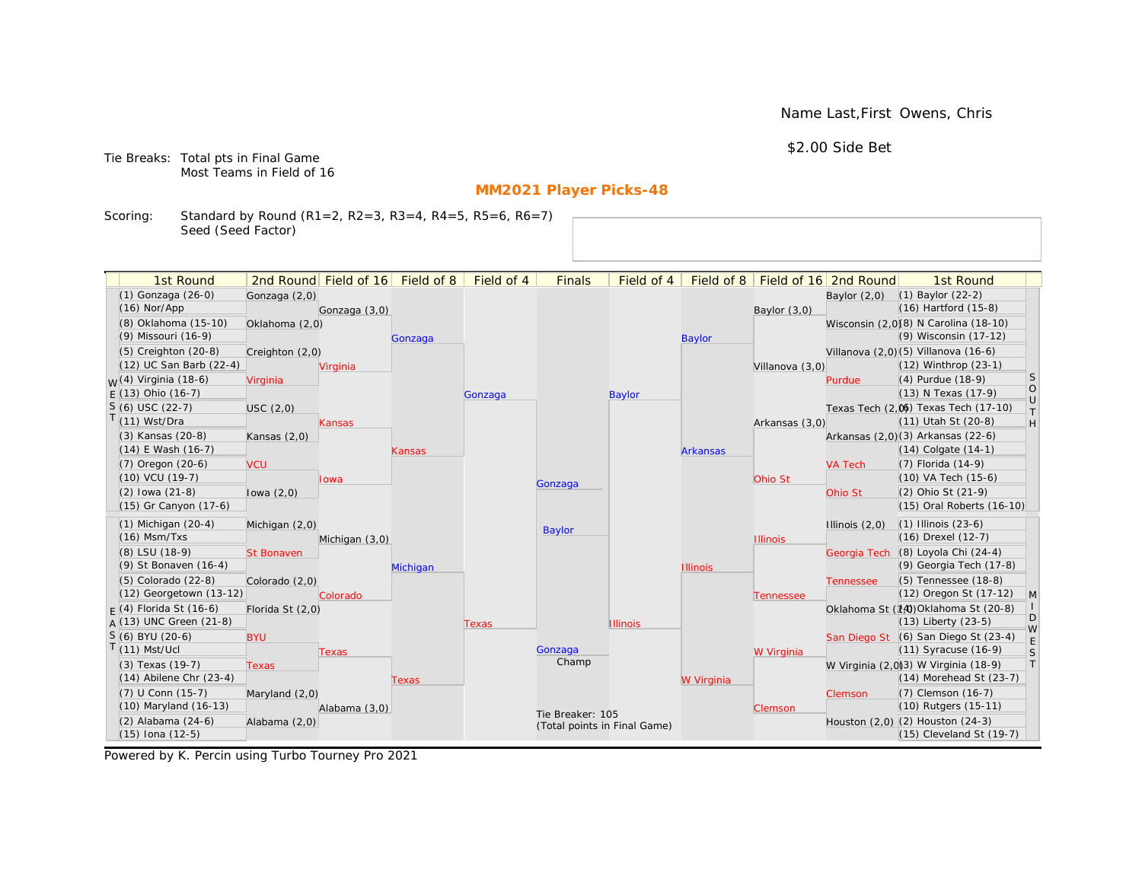Name Last,First Owens, Chris

\$2.00 Side Bet

Tie Breaks: Total pts in Final Game Most Teams in Field of 16

# **MM2021 Player Picks-48**

Scoring: Standard by Round (R1=2, R2=3, R3=4, R4=5, R5=6, R6=7) Seed (Seed Factor)

| 1st Round                                       |                   | 2nd Round Field of 16 | Field of 8 | Field of 4 | <b>Finals</b>                | Field of 4      | Field of 8      |                 | Field of 16 2nd Round | 1st Round                                                           |                                                                   |
|-------------------------------------------------|-------------------|-----------------------|------------|------------|------------------------------|-----------------|-----------------|-----------------|-----------------------|---------------------------------------------------------------------|-------------------------------------------------------------------|
| (1) Gonzaga (26-0)                              | Gonzaga (2,0)     |                       |            |            |                              |                 |                 |                 | Baylor $(2,0)$        | $(1)$ Baylor $(22-2)$                                               |                                                                   |
| $(16)$ Nor/App                                  |                   | Gonzaga (3,0)         |            |            |                              |                 |                 | Baylor (3,0)    |                       | $(16)$ Hartford $(15-8)$                                            |                                                                   |
| (8) Oklahoma (15-10)                            | Oklahoma (2,0)    |                       |            |            |                              |                 |                 |                 |                       | Wisconsin (2,0)(8) N Carolina (18-10)                               |                                                                   |
| (9) Missouri (16-9)                             |                   |                       | Gonzaga    |            |                              |                 | <b>Baylor</b>   |                 |                       | (9) Wisconsin (17-12)                                               |                                                                   |
| (5) Creighton (20-8)                            | Creighton (2,0)   |                       |            |            |                              |                 |                 |                 |                       | Villanova (2,0) (5) Villanova (16-6)                                |                                                                   |
| (12) UC San Barb (22-4)                         |                   | Virginia              |            |            |                              |                 |                 | Villanova (3,0) |                       | (12) Winthrop (23-1)                                                |                                                                   |
| <sub>W</sub> (4) Virginia (18-6)                | Virginia          |                       |            |            |                              |                 |                 |                 | Purdue                | (4) Purdue (18-9)                                                   | <sub>S</sub>                                                      |
| $E(13)$ Ohio (16-7)                             |                   |                       |            | Gonzaga    |                              | <b>Baylor</b>   |                 |                 |                       | (13) N Texas (17-9)                                                 | $\circ$<br>$\cup$                                                 |
| $S(6)$ USC (22-7)                               | USC(2,0)          |                       |            |            |                              |                 |                 |                 |                       | Texas Tech (2,0) Texas Tech (17-10)                                 | $\top$                                                            |
| $T(11)$ Wst/Dra                                 |                   | Kansas                |            |            |                              |                 |                 | Arkansas (3,0)  |                       | (11) Utah St (20-8)                                                 | $\mathsf{H}% _{\mathsf{H}}^{\ast}=\mathsf{H}_{\mathsf{H}}^{\ast}$ |
| (3) Kansas (20-8)                               | Kansas $(2,0)$    |                       |            |            |                              |                 |                 |                 |                       | Arkansas (2,0)(3) Arkansas (22-6)                                   |                                                                   |
| $(14)$ E Wash $(16-7)$                          |                   |                       | Kansas     |            |                              |                 | <b>Arkansas</b> |                 |                       | $(14)$ Colgate $(14-1)$                                             |                                                                   |
| $(7)$ Oregon $(20-6)$                           | <b>VCU</b>        |                       |            |            |                              |                 |                 |                 | <b>VA Tech</b>        | $(7)$ Florida $(14-9)$                                              |                                                                   |
| $(10)$ VCU $(19-7)$                             |                   | lowa                  |            |            | Gonzaga                      |                 |                 | Ohio St         |                       | $(10)$ VA Tech $(15-6)$                                             |                                                                   |
| $(2)$ lowa $(21-8)$                             | lowa $(2,0)$      |                       |            |            |                              |                 |                 |                 | Ohio St               | (2) Ohio St (21-9)                                                  |                                                                   |
| (15) Gr Canyon (17-6)                           |                   |                       |            |            |                              |                 |                 |                 |                       | (15) Oral Roberts (16-10)                                           |                                                                   |
| $(1)$ Michigan $(20-4)$                         | Michigan (2,0)    |                       |            |            | <b>Baylor</b>                |                 |                 |                 | Illinois $(2,0)$      | $(1)$ Illinois $(23-6)$                                             |                                                                   |
| $(16)$ Msm/Txs                                  |                   | Michigan (3,0)        |            |            |                              |                 |                 | <b>Illinois</b> |                       | (16) Drexel (12-7)                                                  |                                                                   |
| (8) LSU (18-9)                                  | <b>St Bonaven</b> |                       |            |            |                              |                 |                 |                 | Georgia Tech          | (8) Loyola Chi (24-4)                                               |                                                                   |
| (9) St Bonaven (16-4)                           |                   |                       | Michigan   |            |                              |                 | <b>Illinois</b> |                 |                       | (9) Georgia Tech (17-8)                                             |                                                                   |
| (5) Colorado (22-8)                             | Colorado (2,0)    |                       |            |            |                              |                 |                 |                 | <b>Tennessee</b>      | (5) Tennessee (18-8)                                                |                                                                   |
| (12) Georgetown (13-12)                         |                   | Colorado              |            |            |                              |                 |                 | Tennessee       |                       | (12) Oregon St (17-12)                                              | M                                                                 |
| $F(4)$ Florida St (16-6)                        | Florida St (2,0)  |                       |            |            |                              |                 |                 |                 |                       | Oklahoma St (14) Oklahoma St (20-8)                                 | D                                                                 |
| $A(13)$ UNC Green (21-8)                        |                   |                       |            | Texas      |                              | <b>Illinois</b> |                 |                 |                       | $(13)$ Liberty $(23-5)$                                             | W                                                                 |
| S (6) BYU (20-6)                                | <b>BYU</b>        |                       |            |            |                              |                 |                 |                 |                       | San Diego St (6) San Diego St (23-4)                                | E                                                                 |
| $T(11)$ Mst/Ucl                                 |                   | Texas                 |            |            | Gonzaga<br>Champ             |                 |                 | W Virginia      |                       | $(11)$ Syracuse $(16-9)$                                            | S                                                                 |
| (3) Texas (19-7)<br>$(14)$ Abilene Chr $(23-4)$ | <b>Texas</b>      |                       |            |            |                              |                 |                 |                 |                       | W Virginia (2,0)3) W Virginia (18-9)<br>$(14)$ Morehead St $(23-7)$ | T                                                                 |
|                                                 |                   |                       | Texas      |            |                              |                 | W Virginia      |                 |                       |                                                                     |                                                                   |
| (7) U Conn (15-7)<br>(10) Maryland (16-13)      | Maryland (2,0)    |                       |            |            |                              |                 |                 |                 | Clemson               | (7) Clemson (16-7)<br>(10) Rutgers (15-11)                          |                                                                   |
| (2) Alabama (24-6)                              | Alabama (2,0)     | Alabama (3,0)         |            |            | Tie Breaker: 105             |                 |                 | Clemson         |                       | Houston (2,0) (2) Houston (24-3)                                    |                                                                   |
| $(15)$ Iona $(12-5)$                            |                   |                       |            |            | (Total points in Final Game) |                 |                 |                 |                       | $(15)$ Cleveland St $(19-7)$                                        |                                                                   |
|                                                 |                   |                       |            |            |                              |                 |                 |                 |                       |                                                                     |                                                                   |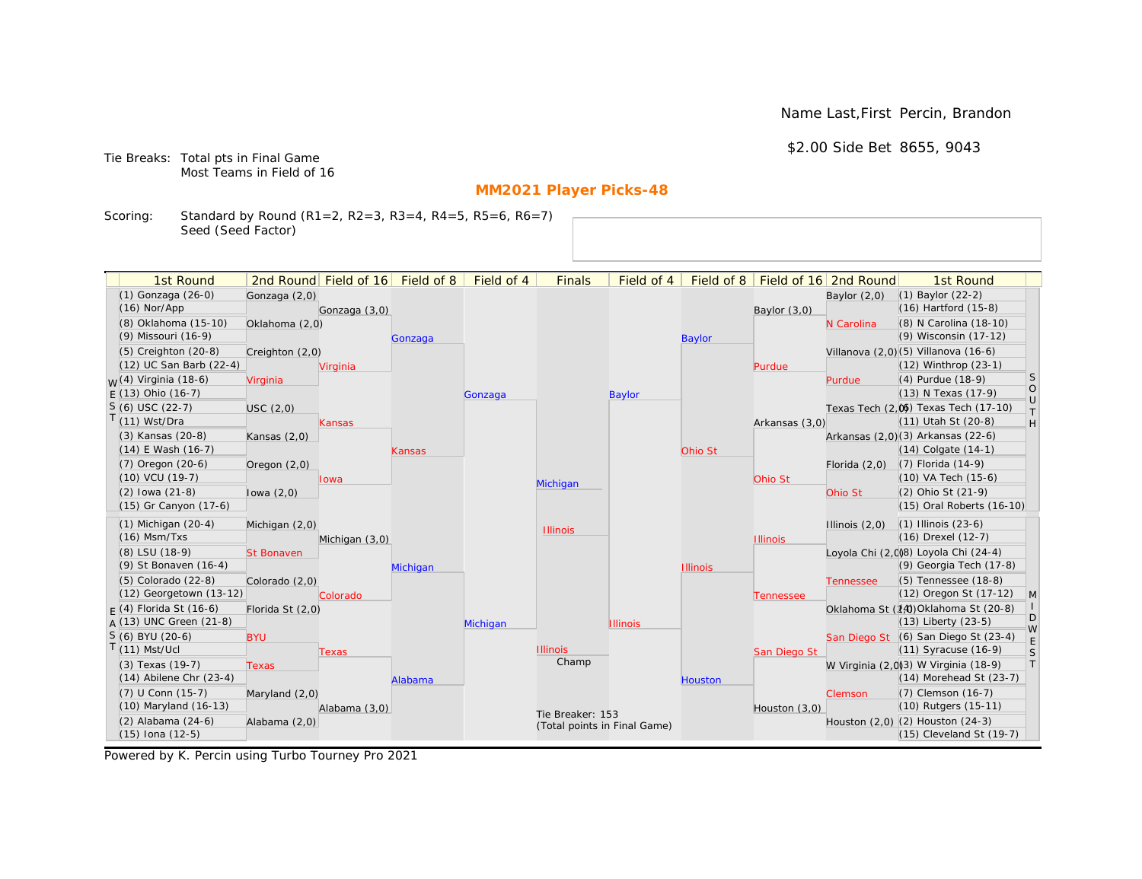Name Last,First Percin, Brandon

\$2.00 Side Bet 8655, 9043

Tie Breaks: Total pts in Final Game Most Teams in Field of 16

# **MM2021 Player Picks-48**

Scoring: Standard by Round (R1=2, R2=3, R3=4, R4=5, R5=6, R6=7) Seed (Seed Factor)

| 1st Round                                       |                   | 2nd Round Field of 16 Field of 8 |          | Field of 4 | <b>Finals</b>                | Field of 4      |                 |                 | Field of 8   Field of 16 2nd Round | 1st Round                                                       |                                                                   |
|-------------------------------------------------|-------------------|----------------------------------|----------|------------|------------------------------|-----------------|-----------------|-----------------|------------------------------------|-----------------------------------------------------------------|-------------------------------------------------------------------|
| (1) Gonzaga (26-0)                              | Gonzaga (2,0)     |                                  |          |            |                              |                 |                 |                 | Baylor $(2,0)$                     | $(1)$ Baylor $(22-2)$                                           |                                                                   |
| $(16)$ Nor/App                                  |                   | Gonzaga (3,0)                    |          |            |                              |                 |                 | Baylor $(3,0)$  |                                    | $(16)$ Hartford $(15-8)$                                        |                                                                   |
| (8) Oklahoma (15-10)                            | Oklahoma (2,0)    |                                  |          |            |                              |                 |                 |                 | N Carolina                         | (8) N Carolina (18-10)                                          |                                                                   |
| (9) Missouri (16-9)                             |                   |                                  | Gonzaga  |            |                              |                 | <b>Baylor</b>   |                 |                                    | (9) Wisconsin (17-12)                                           |                                                                   |
| (5) Creighton (20-8)                            | Creighton (2,0)   |                                  |          |            |                              |                 |                 |                 |                                    | Villanova (2,0) (5) Villanova (16-6)                            |                                                                   |
| (12) UC San Barb (22-4)                         |                   | Virginia                         |          |            |                              |                 |                 | Purdue          |                                    | (12) Winthrop (23-1)                                            |                                                                   |
| <sub>W</sub> (4) Virginia (18-6)                | Virginia          |                                  |          |            |                              |                 |                 |                 | Purdue                             | (4) Purdue (18-9)                                               | <sub>S</sub>                                                      |
| $E(13)$ Ohio (16-7)                             |                   |                                  |          | Gonzaga    |                              | <b>Baylor</b>   |                 |                 |                                    | (13) N Texas (17-9)                                             | $\circ$<br>$\cup$                                                 |
| $S(6)$ USC (22-7)                               | USC(2,0)          |                                  |          |            |                              |                 |                 |                 |                                    | Texas Tech (2,0) Texas Tech (17-10)                             | $\top$                                                            |
| $T(11)$ Wst/Dra                                 |                   | <b>Kansas</b>                    |          |            |                              |                 |                 | Arkansas (3,0)  |                                    | (11) Utah St (20-8)                                             | $\mathsf{H}% _{\mathsf{H}}^{\ast}=\mathsf{H}_{\mathsf{H}}^{\ast}$ |
| (3) Kansas (20-8)                               | Kansas (2,0)      |                                  |          |            |                              |                 |                 |                 |                                    | Arkansas (2,0)(3) Arkansas (22-6)                               |                                                                   |
| (14) E Wash (16-7)                              |                   |                                  | Kansas   |            |                              |                 | Ohio St         |                 |                                    | $(14)$ Colgate $(14-1)$                                         |                                                                   |
| (7) Oregon (20-6)                               | Oregon $(2,0)$    |                                  |          |            |                              |                 |                 |                 | Florida $(2,0)$                    | (7) Florida (14-9)                                              |                                                                   |
| $(10)$ VCU $(19-7)$                             |                   | lowa                             |          |            | Michigan                     |                 |                 | Ohio St         |                                    | (10) VA Tech (15-6)                                             |                                                                   |
| $(2)$ lowa $(21-8)$                             | lowa $(2,0)$      |                                  |          |            |                              |                 |                 |                 | Ohio St                            | (2) Ohio St (21-9)                                              |                                                                   |
| (15) Gr Canyon (17-6)                           |                   |                                  |          |            |                              |                 |                 |                 |                                    | (15) Oral Roberts (16-10)                                       |                                                                   |
| $(1)$ Michigan $(20-4)$                         | Michigan (2,0)    |                                  |          |            | <b>Illinois</b>              |                 |                 |                 | Illinois $(2,0)$                   | $(1)$ Illinois $(23-6)$                                         |                                                                   |
| $(16)$ Msm/Txs                                  |                   | Michigan (3,0)                   |          |            |                              |                 |                 | <b>Illinois</b> |                                    | (16) Drexel (12-7)                                              |                                                                   |
| (8) LSU (18-9)                                  | <b>St Bonaven</b> |                                  |          |            |                              |                 |                 |                 |                                    | Loyola Chi (2,0)8) Loyola Chi (24-4)                            |                                                                   |
| (9) St Bonaven (16-4)                           |                   |                                  | Michigan |            |                              |                 | <b>Illinois</b> |                 |                                    | (9) Georgia Tech (17-8)                                         |                                                                   |
| (5) Colorado (22-8)                             | Colorado (2,0)    |                                  |          |            |                              |                 |                 |                 | <b>Tennessee</b>                   | (5) Tennessee (18-8)                                            |                                                                   |
| (12) Georgetown (13-12)                         |                   | Colorado                         |          |            |                              |                 |                 | Tennessee       |                                    | (12) Oregon St (17-12)                                          | M                                                                 |
| $F(4)$ Florida St (16-6)                        | Florida St (2,0)  |                                  |          |            |                              |                 |                 |                 |                                    | Oklahoma St (14) Oklahoma St (20-8)                             | D                                                                 |
| $A(13)$ UNC Green (21-8)                        |                   |                                  |          | Michigan   |                              | <b>Illinois</b> |                 |                 |                                    | $(13)$ Liberty $(23-5)$                                         | W                                                                 |
| $S(6)$ BYU (20-6)                               | <b>BYU</b>        |                                  |          |            | <b>Illinois</b>              |                 |                 |                 |                                    | San Diego St (6) San Diego St (23-4)                            | E                                                                 |
| $T(11)$ Mst/Ucl                                 |                   | Texas                            |          |            | Champ                        |                 |                 | San Diego St    |                                    | (11) Syracuse (16-9)                                            | $\mathsf S$<br> T                                                 |
| (3) Texas (19-7)<br>$(14)$ Abilene Chr $(23-4)$ | <b>Texas</b>      |                                  |          |            |                              |                 |                 |                 |                                    | W Virginia (2,0)3) W Virginia (18-9)<br>(14) Morehead St (23-7) |                                                                   |
| (7) U Conn (15-7)                               |                   |                                  | Alabama  |            |                              |                 | <b>Houston</b>  |                 |                                    | (7) Clemson (16-7)                                              |                                                                   |
| (10) Maryland (16-13)                           | Maryland (2,0)    | Alabama (3,0)                    |          |            |                              |                 |                 | Houston (3,0)   | Clemson                            | (10) Rutgers (15-11)                                            |                                                                   |
| (2) Alabama (24-6)                              | Alabama (2,0)     |                                  |          |            | Tie Breaker: 153             |                 |                 |                 |                                    | Houston (2,0) (2) Houston (24-3)                                |                                                                   |
| (15) Iona (12-5)                                |                   |                                  |          |            | (Total points in Final Game) |                 |                 |                 |                                    | (15) Cleveland St (19-7)                                        |                                                                   |
|                                                 |                   |                                  |          |            |                              |                 |                 |                 |                                    |                                                                 |                                                                   |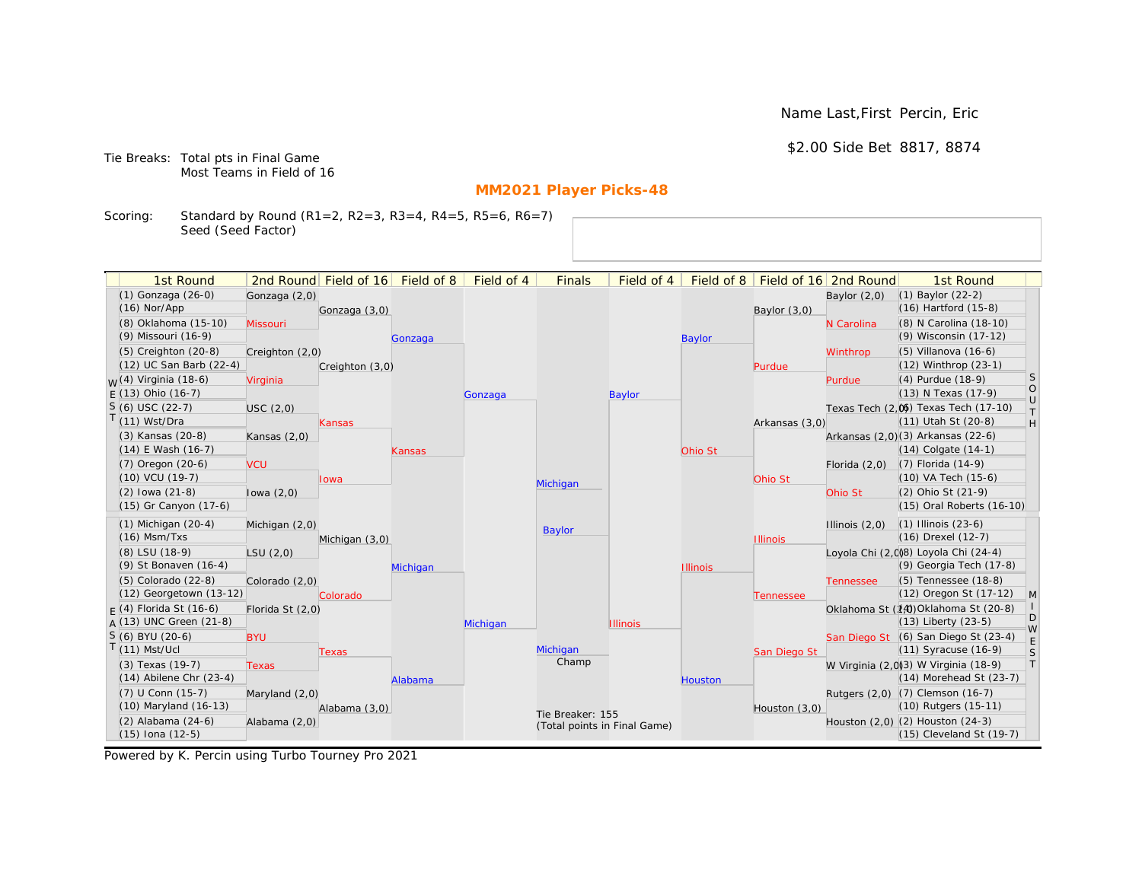Name Last,First Percin, Eric

\$2.00 Side Bet 8817, 8874

Tie Breaks: Total pts in Final Game Most Teams in Field of 16

# **MM2021 Player Picks-48**

Scoring: Standard by Round (R1=2, R2=3, R3=4, R4=5, R5=6, R6=7) Seed (Seed Factor)

| 1st Round                   |                  | 2nd Round Field of 16 | Field of 8 | Field of 4 | <b>Finals</b>                | Field of 4      | Field of 8      |                 | Field of 16 2nd Round | 1st Round                            |              |
|-----------------------------|------------------|-----------------------|------------|------------|------------------------------|-----------------|-----------------|-----------------|-----------------------|--------------------------------------|--------------|
| (1) Gonzaga (26-0)          | Gonzaga (2,0)    |                       |            |            |                              |                 |                 |                 | Baylor $(2,0)$        | (1) Baylor (22-2)                    |              |
| $(16)$ Nor/App              |                  | Gonzaga (3,0)         |            |            |                              |                 |                 | Baylor (3,0)    |                       | $(16)$ Hartford $(15-8)$             |              |
| (8) Oklahoma (15-10)        | Missouri         |                       |            |            |                              |                 |                 |                 | N Carolina            | (8) N Carolina (18-10)               |              |
| (9) Missouri (16-9)         |                  |                       | Gonzaga    |            |                              |                 | <b>Baylor</b>   |                 |                       | (9) Wisconsin (17-12)                |              |
| $(5)$ Creighton $(20-8)$    | Creighton (2,0)  |                       |            |            |                              |                 |                 |                 | Winthrop              | $(5)$ Villanova $(16-6)$             |              |
| (12) UC San Barb (22-4)     |                  | Creighton (3,0)       |            |            |                              |                 |                 | Purdue          |                       | (12) Winthrop (23-1)                 |              |
| $M(4)$ Virginia (18-6)      | Virginia         |                       |            |            |                              |                 |                 |                 | Purdue                | (4) Purdue (18-9)                    | <sub>S</sub> |
| $F(13)$ Ohio (16-7)         |                  |                       |            | Gonzaga    |                              | Baylor          |                 |                 |                       | (13) N Texas (17-9)                  | $\rm _U^O$   |
| $S(6)$ USC (22-7)           | USC(2,0)         |                       |            |            |                              |                 |                 |                 |                       | Texas Tech (2,0) Texas Tech (17-10)  | $\top$       |
| $T(11)$ Wst/Dra             |                  | Kansas                |            |            |                              |                 |                 | Arkansas (3,0)  |                       | (11) Utah St (20-8)                  | H            |
| (3) Kansas (20-8)           | Kansas $(2,0)$   |                       |            |            |                              |                 |                 |                 |                       | Arkansas (2,0)(3) Arkansas (22-6)    |              |
| (14) E Wash (16-7)          |                  |                       | Kansas     |            |                              |                 | Ohio St         |                 |                       | $(14)$ Colgate $(14-1)$              |              |
| (7) Oregon (20-6)           | <b>VCU</b>       |                       |            |            |                              |                 |                 |                 | Florida $(2,0)$       | $(7)$ Florida $(14-9)$               |              |
| $(10)$ VCU $(19-7)$         |                  | Iowa                  |            |            | Michigan                     |                 |                 | Ohio St         |                       | (10) VA Tech (15-6)                  |              |
| $(2)$ lowa $(21-8)$         | lowa $(2,0)$     |                       |            |            |                              |                 |                 |                 | Ohio St               | (2) Ohio St (21-9)                   |              |
| (15) Gr Canyon (17-6)       |                  |                       |            |            |                              |                 |                 |                 |                       | (15) Oral Roberts (16-10)            |              |
| $(1)$ Michigan $(20-4)$     | Michigan (2,0)   |                       |            |            | <b>Baylor</b>                |                 |                 |                 | Illinois $(2,0)$      | $(1)$ Illinois $(23-6)$              |              |
| $(16)$ Msm/Txs              |                  | Michigan (3,0)        |            |            |                              |                 |                 | <b>Illinois</b> |                       | (16) Drexel (12-7)                   |              |
| (8) LSU (18-9)              | LSU(2,0)         |                       |            |            |                              |                 |                 |                 |                       | Loyola Chi (2,008) Loyola Chi (24-4) |              |
| (9) St Bonaven (16-4)       |                  |                       | Michigan   |            |                              |                 | <b>Illinois</b> |                 |                       | (9) Georgia Tech (17-8)              |              |
| (5) Colorado (22-8)         | Colorado (2,0)   |                       |            |            |                              |                 |                 |                 | <b>Tennessee</b>      | (5) Tennessee (18-8)                 |              |
| (12) Georgetown (13-12)     |                  | Colorado              |            |            |                              |                 |                 | Tennessee       |                       | (12) Oregon St (17-12)               | M            |
| $F(4)$ Florida St (16-6)    | Florida St (2,0) |                       |            |            |                              |                 |                 |                 |                       | Oklahoma St (14) Oklahoma St (20-8)  | D            |
| A (13) UNC Green (21-8)     |                  |                       |            | Michigan   |                              | <b>Illinois</b> |                 |                 |                       | $(13)$ Liberty $(23-5)$              | W            |
| S (6) BYU (20-6)            | <b>BYU</b>       |                       |            |            |                              |                 |                 |                 |                       | San Diego St (6) San Diego St (23-4) | E            |
| $T(11)$ Mst/Ucl             |                  | <b>Texas</b>          |            |            | Michigan<br>Champ            |                 |                 | San Diego St    |                       | $(11)$ Syracuse $(16-9)$             | S            |
| (3) Texas (19-7)            | Texas            |                       |            |            |                              |                 |                 |                 |                       | W Virginia (2,0)3) W Virginia (18-9) | T            |
| $(14)$ Abilene Chr $(23-4)$ |                  |                       | Alabama    |            |                              |                 | <b>Houston</b>  |                 |                       | (14) Morehead St (23-7)              |              |
| (7) U Conn (15-7)           | Maryland (2,0)   |                       |            |            |                              |                 |                 |                 |                       | Rutgers (2,0) (7) Clemson (16-7)     |              |
| (10) Maryland (16-13)       |                  | Alabama (3,0)         |            |            | Tie Breaker: 155             |                 |                 | Houston (3,0)   |                       | (10) Rutgers (15-11)                 |              |
| $(2)$ Alabama $(24-6)$      | Alabama (2,0)    |                       |            |            | (Total points in Final Game) |                 |                 |                 |                       | Houston (2,0) (2) Houston (24-3)     |              |
| $(15)$ Iona $(12-5)$        |                  |                       |            |            |                              |                 |                 |                 |                       | (15) Cleveland St (19-7)             |              |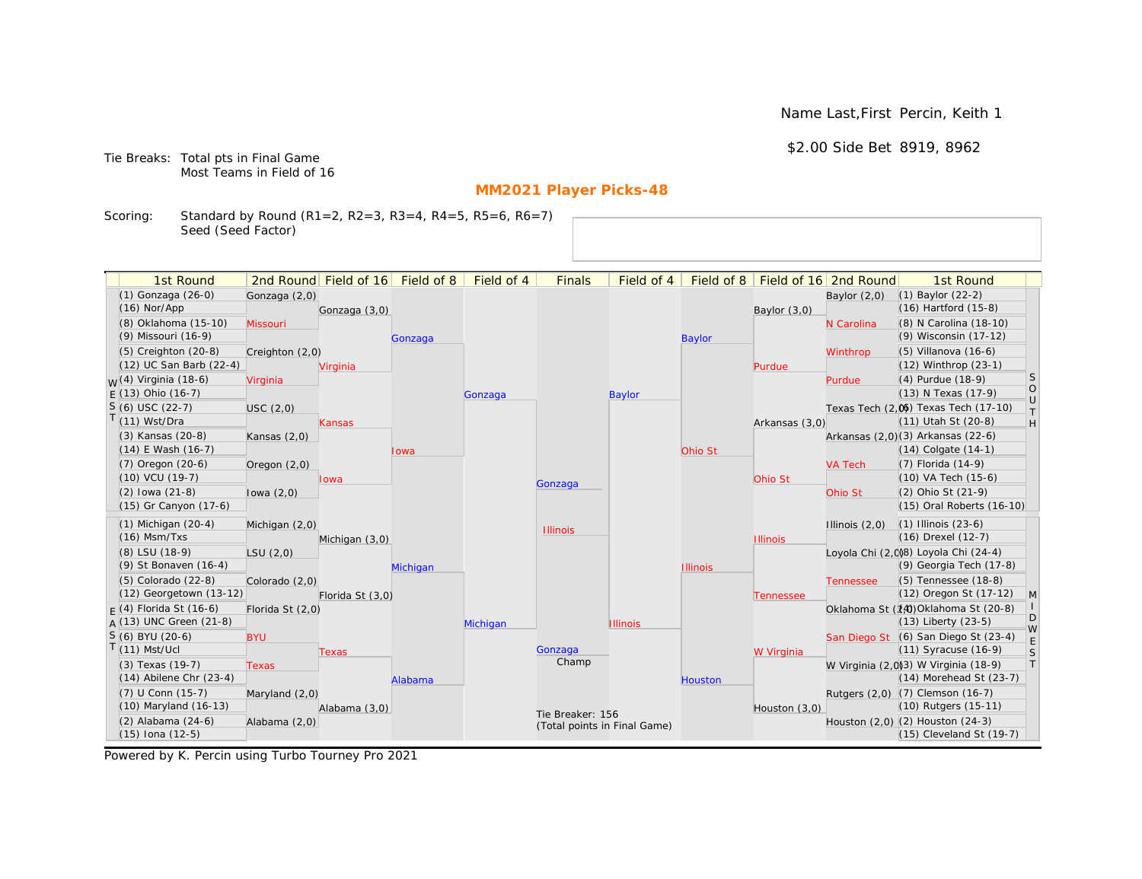Name Last,First Percin, Keith 1

\$2.00 Side Bet 8919, 8962

Tie Breaks: Total pts in Final Game Most Teams in Field of 16

# **MM2021 Player Picks-48**

Scoring: Standard by Round (R1=2, R2=3, R3=4, R4=5, R5=6, R6=7) Seed (Seed Factor)

| 1st Round                        |                  | 2nd Round Field of 16 | Field of 8 | Field of 4 | <b>Finals</b>    | Field of 4                   | Field of 8      |                 | Field of 16 2nd Round | 1st Round                            |                   |
|----------------------------------|------------------|-----------------------|------------|------------|------------------|------------------------------|-----------------|-----------------|-----------------------|--------------------------------------|-------------------|
| (1) Gonzaga (26-0)               | Gonzaga (2,0)    |                       |            |            |                  |                              |                 |                 | Baylor $(2,0)$        | $(1)$ Baylor $(22-2)$                |                   |
| $(16)$ Nor/App                   |                  | Gonzaga (3,0)         |            |            |                  |                              |                 | Baylor $(3,0)$  |                       | (16) Hartford (15-8)                 |                   |
| (8) Oklahoma (15-10)             | Missouri         |                       |            |            |                  |                              |                 |                 | N Carolina            | (8) N Carolina (18-10)               |                   |
| (9) Missouri (16-9)              |                  |                       | Gonzaga    |            |                  |                              | <b>Baylor</b>   |                 |                       | (9) Wisconsin (17-12)                |                   |
| (5) Creighton (20-8)             | Creighton (2,0)  |                       |            |            |                  |                              |                 |                 | Winthrop              | (5) Villanova (16-6)                 |                   |
| (12) UC San Barb (22-4)          |                  | Virginia              |            |            |                  |                              |                 | Purdue          |                       | (12) Winthrop (23-1)                 |                   |
| <sub>W</sub> (4) Virginia (18-6) | Virginia         |                       |            |            |                  |                              |                 |                 | Purdue                | (4) Purdue (18-9)                    | S                 |
| $E(13)$ Ohio (16-7)              |                  |                       |            | Gonzaga    |                  | Baylor                       |                 |                 |                       | (13) N Texas (17-9)                  | $\circ$<br>$\cup$ |
| $S(6)$ USC (22-7)                | USC(2,0)         |                       |            |            |                  |                              |                 |                 |                       | Texas Tech (2,0) Texas Tech (17-10)  | $\top$            |
| T(11) Wst/Dra                    |                  | Kansas                |            |            |                  |                              |                 | Arkansas (3,0)  |                       | (11) Utah St (20-8)                  | H                 |
| (3) Kansas (20-8)                | Kansas $(2,0)$   |                       |            |            |                  |                              |                 |                 |                       | Arkansas (2,0)(3) Arkansas (22-6)    |                   |
| $(14)$ E Wash $(16-7)$           |                  |                       | lowa       |            |                  |                              | Ohio St         |                 |                       | $(14)$ Colgate $(14-1)$              |                   |
| (7) Oregon (20-6)                | Oregon $(2,0)$   |                       |            |            |                  |                              |                 |                 | <b>VA Tech</b>        | (7) Florida (14-9)                   |                   |
| (10) VCU (19-7)                  |                  | lowa                  |            |            | Gonzaga          |                              |                 | Ohio St         |                       | (10) VA Tech (15-6)                  |                   |
| $(2)$ lowa $(21-8)$              | lowa $(2,0)$     |                       |            |            |                  |                              |                 |                 | Ohio St               | (2) Ohio St (21-9)                   |                   |
| (15) Gr Canyon (17-6)            |                  |                       |            |            |                  |                              |                 |                 |                       | (15) Oral Roberts (16-10)            |                   |
| $(1)$ Michigan $(20-4)$          | Michigan (2,0)   |                       |            |            | <b>Illinois</b>  |                              |                 |                 | Illinois $(2,0)$      | $(1)$ Illinois $(23-6)$              |                   |
| $(16)$ Msm/Txs                   |                  | Michigan (3,0)        |            |            |                  |                              |                 | <b>Illinois</b> |                       | (16) Drexel (12-7)                   |                   |
| (8) LSU (18-9)                   | LSU(2,0)         |                       |            |            |                  |                              |                 |                 |                       | Loyola Chi (2,0)8) Loyola Chi (24-4) |                   |
| (9) St Bonaven (16-4)            |                  |                       | Michigan   |            |                  |                              | <b>Illinois</b> |                 |                       | (9) Georgia Tech (17-8)              |                   |
| $(5)$ Colorado $(22-8)$          | Colorado (2,0)   |                       |            |            |                  |                              |                 |                 | <b>Tennessee</b>      | (5) Tennessee (18-8)                 |                   |
| (12) Georgetown (13-12)          |                  | Florida St (3,0)      |            |            |                  |                              |                 | Tennessee       |                       | (12) Oregon St (17-12)               | $\mathsf{M}$      |
| $F(4)$ Florida St (16-6)         | Florida St (2,0) |                       |            |            |                  |                              |                 |                 |                       | Oklahoma St (14) Oklahoma St (20-8)  | D                 |
| $A(13)$ UNC Green (21-8)         |                  |                       |            | Michigan   |                  | <b>Illinois</b>              |                 |                 |                       | (13) Liberty (23-5)                  | W                 |
| S (6) BYU (20-6)                 | <b>BYU</b>       |                       |            |            |                  |                              |                 |                 |                       | San Diego St (6) San Diego St (23-4) | E                 |
| $T(11)$ Mst/Ucl                  |                  | Texas                 |            |            | Gonzaga<br>Champ |                              |                 | W Virginia      |                       | (11) Syracuse (16-9)                 | S                 |
| (3) Texas (19-7)                 | <b>Texas</b>     |                       |            |            |                  |                              |                 |                 |                       | W Virginia (2,0)3) W Virginia (18-9) | T                 |
| $(14)$ Abilene Chr $(23-4)$      |                  |                       | Alabama    |            |                  |                              | Houston         |                 |                       | (14) Morehead St (23-7)              |                   |
| (7) U Conn (15-7)                | Maryland $(2,0)$ |                       |            |            |                  |                              |                 |                 |                       | Rutgers (2,0) (7) Clemson (16-7)     |                   |
| (10) Maryland (16-13)            |                  | Alabama (3,0)         |            |            | Tie Breaker: 156 |                              |                 | Houston (3,0)   |                       | (10) Rutgers (15-11)                 |                   |
| (2) Alabama (24-6)               | Alabama (2,0)    |                       |            |            |                  | (Total points in Final Game) |                 |                 |                       | Houston (2,0) (2) Houston (24-3)     |                   |
| $(15)$ Iona $(12-5)$             |                  |                       |            |            |                  |                              |                 |                 |                       | $(15)$ Cleveland St $(19-7)$         |                   |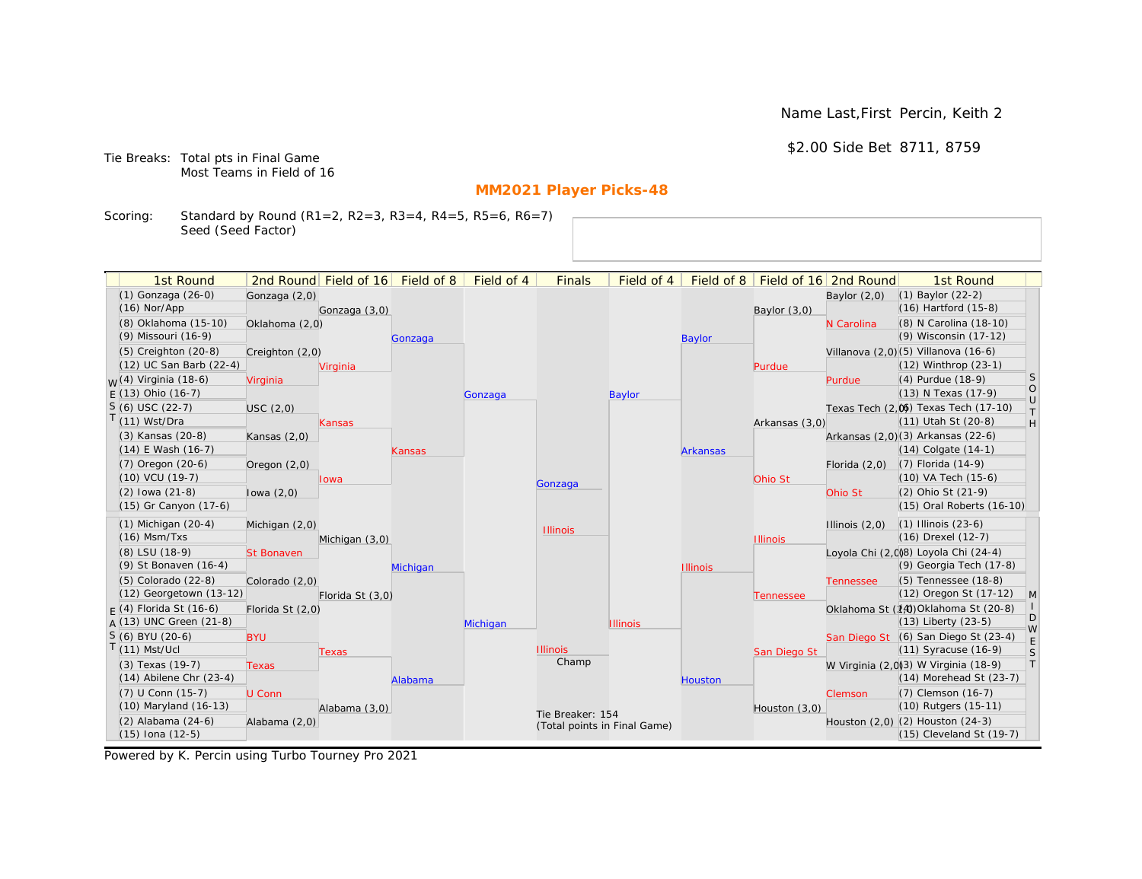Name Last,First Percin, Keith 2

\$2.00 Side Bet 8711, 8759

Tie Breaks: Total pts in Final Game Most Teams in Field of 16

# **MM2021 Player Picks-48**

Scoring: Standard by Round (R1=2, R2=3, R3=4, R4=5, R5=6, R6=7) Seed (Seed Factor)

| 1st Round                        |                   | 2nd Round Field of 16 | Field of 8 | Field of 4 | <b>Finals</b>                | Field of 4      | Field of 8      |                 | Field of 16 2nd Round | 1st Round                            |                   |
|----------------------------------|-------------------|-----------------------|------------|------------|------------------------------|-----------------|-----------------|-----------------|-----------------------|--------------------------------------|-------------------|
| (1) Gonzaga (26-0)               | Gonzaga (2,0)     |                       |            |            |                              |                 |                 |                 | Baylor $(2,0)$        | $(1)$ Baylor $(22-2)$                |                   |
| $(16)$ Nor/App                   |                   | Gonzaga (3,0)         |            |            |                              |                 |                 | Baylor (3,0)    |                       | $(16)$ Hartford $(15-8)$             |                   |
| (8) Oklahoma (15-10)             | Oklahoma (2,0)    |                       |            |            |                              |                 |                 |                 | N Carolina            | (8) N Carolina (18-10)               |                   |
| (9) Missouri (16-9)              |                   |                       | Gonzaga    |            |                              |                 | <b>Baylor</b>   |                 |                       | (9) Wisconsin (17-12)                |                   |
| (5) Creighton (20-8)             | Creighton (2,0)   |                       |            |            |                              |                 |                 |                 |                       | Villanova (2,0)(5) Villanova (16-6)  |                   |
| (12) UC San Barb (22-4)          |                   | Virginia              |            |            |                              |                 |                 | Purdue          |                       | (12) Winthrop (23-1)                 |                   |
| <sub>W</sub> (4) Virginia (18-6) | Virginia          |                       |            |            |                              |                 |                 |                 | Purdue                | (4) Purdue (18-9)                    | <sub>S</sub>      |
| $E(13)$ Ohio (16-7)              |                   |                       |            | Gonzaga    |                              | Baylor          |                 |                 |                       | (13) N Texas (17-9)                  | $\circ$<br>$\cup$ |
| $S(6)$ USC (22-7)                | USC(2,0)          |                       |            |            |                              |                 |                 |                 |                       | Texas Tech (2,0) Texas Tech (17-10)  | $\top$            |
| T(11) Wst/Dra                    |                   | Kansas                |            |            |                              |                 |                 | Arkansas (3,0)  |                       | (11) Utah St (20-8)                  | H                 |
| (3) Kansas (20-8)                | Kansas $(2,0)$    |                       |            |            |                              |                 |                 |                 |                       | Arkansas (2,0)(3) Arkansas (22-6)    |                   |
| $(14)$ E Wash $(16-7)$           |                   |                       | Kansas     |            |                              |                 | <b>Arkansas</b> |                 |                       | $(14)$ Colgate $(14-1)$              |                   |
| (7) Oregon (20-6)                | Oregon $(2,0)$    |                       |            |            |                              |                 |                 |                 | Florida $(2,0)$       | (7) Florida (14-9)                   |                   |
| (10) VCU (19-7)                  |                   | lowa                  |            |            | Gonzaga                      |                 |                 | Ohio St         |                       | (10) VA Tech (15-6)                  |                   |
| $(2)$ lowa $(21-8)$              | lowa $(2,0)$      |                       |            |            |                              |                 |                 |                 | Ohio St               | (2) Ohio St (21-9)                   |                   |
| (15) Gr Canyon (17-6)            |                   |                       |            |            |                              |                 |                 |                 |                       | (15) Oral Roberts (16-10)            |                   |
| $(1)$ Michigan $(20-4)$          | Michigan (2,0)    |                       |            |            | <b>Illinois</b>              |                 |                 |                 | Illinois $(2,0)$      | $(1)$ Illinois $(23-6)$              |                   |
| $(16)$ Msm/Txs                   |                   | Michigan (3,0)        |            |            |                              |                 |                 | <b>Illinois</b> |                       | (16) Drexel (12-7)                   |                   |
| (8) LSU (18-9)                   | <b>St Bonaven</b> |                       |            |            |                              |                 |                 |                 |                       | Loyola Chi (2,0)8) Loyola Chi (24-4) |                   |
| (9) St Bonaven (16-4)            |                   |                       | Michigan   |            |                              |                 | <b>Illinois</b> |                 |                       | (9) Georgia Tech (17-8)              |                   |
| (5) Colorado (22-8)              | Colorado (2,0)    |                       |            |            |                              |                 |                 |                 | <b>Tennessee</b>      | (5) Tennessee (18-8)                 |                   |
| (12) Georgetown (13-12)          |                   | Florida St (3,0)      |            |            |                              |                 |                 | Tennessee       |                       | (12) Oregon St (17-12)               | M                 |
| $F(4)$ Florida St (16-6)         | Florida St (2,0)  |                       |            |            |                              |                 |                 |                 |                       | Oklahoma St (14) Oklahoma St (20-8)  | D                 |
| $A(13)$ UNC Green (21-8)         |                   |                       |            | Michigan   |                              | <b>Illinois</b> |                 |                 |                       | $(13)$ Liberty $(23-5)$              | W                 |
| S (6) BYU (20-6)                 | <b>BYU</b>        |                       |            |            |                              |                 |                 |                 |                       | San Diego St (6) San Diego St (23-4) | E                 |
| $T(11)$ Mst/Ucl                  |                   | Texas                 |            |            | <b>Illinois</b><br>Champ     |                 |                 | San Diego St    |                       | $(11)$ Syracuse $(16-9)$             | S                 |
| (3) Texas (19-7)                 | <b>Texas</b>      |                       |            |            |                              |                 |                 |                 |                       | W Virginia (2,0)3) W Virginia (18-9) | T                 |
| $(14)$ Abilene Chr $(23-4)$      |                   |                       | Alabama    |            |                              |                 | <b>Houston</b>  |                 |                       | (14) Morehead St (23-7)              |                   |
| (7) U Conn (15-7)                | U Conn            |                       |            |            |                              |                 |                 |                 | Clemson               | (7) Clemson (16-7)                   |                   |
| (10) Maryland (16-13)            |                   | Alabama (3,0)         |            |            | Tie Breaker: 154             |                 |                 | Houston (3,0)   |                       | (10) Rutgers (15-11)                 |                   |
| (2) Alabama (24-6)               | Alabama (2,0)     |                       |            |            | (Total points in Final Game) |                 |                 |                 |                       | Houston (2,0) (2) Houston (24-3)     |                   |
| $(15)$ Iona $(12-5)$             |                   |                       |            |            |                              |                 |                 |                 |                       | (15) Cleveland St (19-7)             |                   |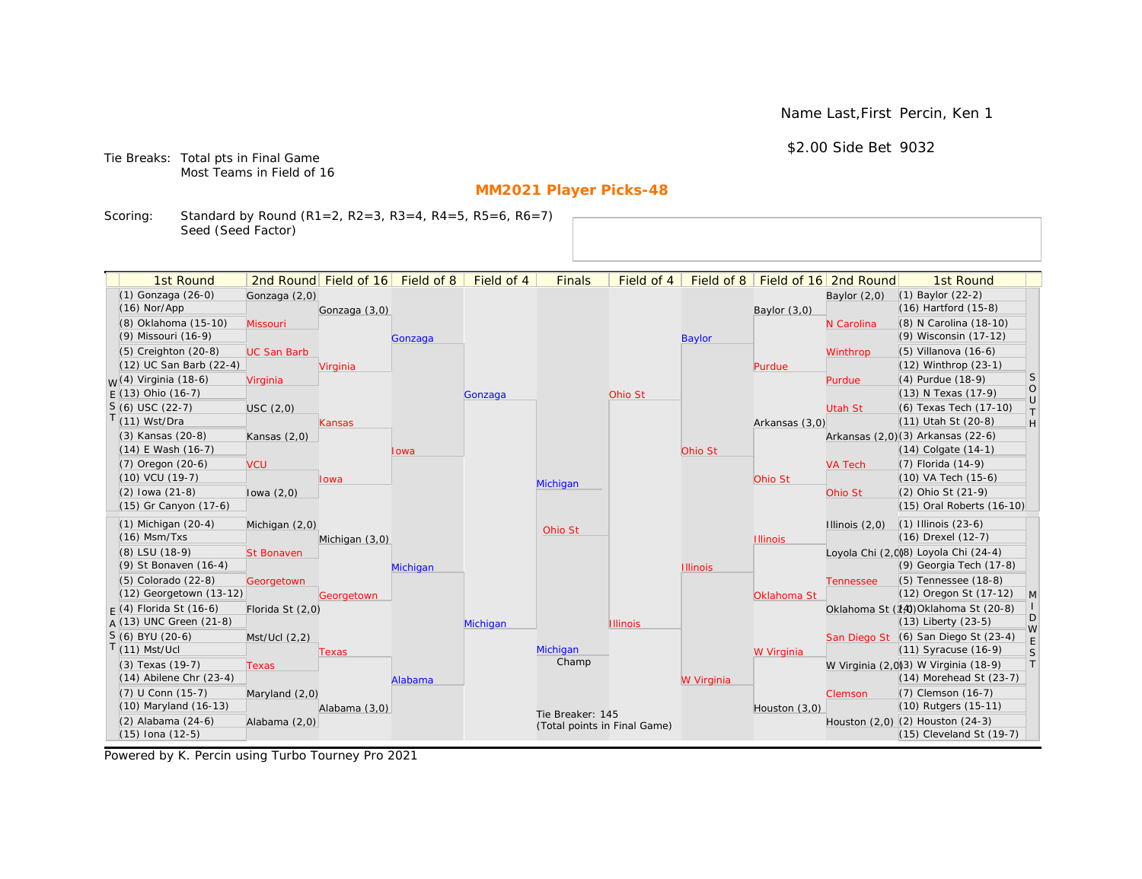Name Last,First Percin, Ken 1

\$2.00 Side Bet 9032

Tie Breaks: Total pts in Final Game Most Teams in Field of 16

# **MM2021 Player Picks-48**

Scoring: Standard by Round (R1=2, R2=3, R3=4, R4=5, R5=6, R6=7) Seed (Seed Factor)

| 1st Round                        |                    | 2nd Round Field of 16 Field of 8 |          | Field of 4 | <b>Finals</b>                | Field of 4      | Field of 8      |                 | Field of 16 2nd Round | 1st Round                            |                  |
|----------------------------------|--------------------|----------------------------------|----------|------------|------------------------------|-----------------|-----------------|-----------------|-----------------------|--------------------------------------|------------------|
| (1) Gonzaga (26-0)               |                    |                                  |          |            |                              |                 |                 |                 |                       | (1) Baylor (22-2)                    |                  |
| $(16)$ Nor/App                   | Gonzaga (2,0)      |                                  |          |            |                              |                 |                 |                 | Baylor $(2,0)$        | (16) Hartford (15-8)                 |                  |
| (8) Oklahoma (15-10)             | Missouri           | Gonzaga (3,0)                    |          |            |                              |                 |                 | Baylor $(3,0)$  | N Carolina            | (8) N Carolina (18-10)               |                  |
| (9) Missouri (16-9)              |                    |                                  | Gonzaga  |            |                              |                 | <b>Baylor</b>   |                 |                       | (9) Wisconsin (17-12)                |                  |
| (5) Creighton (20-8)             | <b>UC San Barb</b> |                                  |          |            |                              |                 |                 |                 | Winthrop              | (5) Villanova (16-6)                 |                  |
| (12) UC San Barb (22-4)          |                    | Virginia                         |          |            |                              |                 |                 | Purdue          |                       | (12) Winthrop (23-1)                 |                  |
| <sub>W</sub> (4) Virginia (18-6) | Virginia           |                                  |          |            |                              |                 |                 |                 | Purdue                | (4) Purdue (18-9)                    | S                |
| $E(13)$ Ohio (16-7)              |                    |                                  |          | Gonzaga    |                              | Ohio St         |                 |                 |                       | (13) N Texas (17-9)                  | $\circ$          |
| $S(6)$ USC (22-7)                | USC(2,0)           |                                  |          |            |                              |                 |                 |                 | Utah St               | (6) Texas Tech (17-10)               | $\cup$<br>$\top$ |
| $T(11)$ Wst/Dra                  |                    | Kansas                           |          |            |                              |                 |                 | Arkansas (3,0)  |                       | (11) Utah St (20-8)                  | H                |
| (3) Kansas (20-8)                | Kansas $(2,0)$     |                                  |          |            |                              |                 |                 |                 |                       | Arkansas (2,0)(3) Arkansas (22-6)    |                  |
| $(14)$ E Wash $(16-7)$           |                    |                                  | lowa     |            |                              |                 | Ohio St         |                 |                       | $(14)$ Colgate $(14-1)$              |                  |
| (7) Oregon (20-6)                | <b>VCU</b>         |                                  |          |            |                              |                 |                 |                 | <b>VA Tech</b>        | (7) Florida (14-9)                   |                  |
| (10) VCU (19-7)                  |                    | lowa                             |          |            | Michigan                     |                 |                 | Ohio St         |                       | (10) VA Tech (15-6)                  |                  |
| $(2)$ lowa $(21-8)$              | lowa $(2,0)$       |                                  |          |            |                              |                 |                 |                 | Ohio St               | (2) Ohio St (21-9)                   |                  |
| (15) Gr Canyon (17-6)            |                    |                                  |          |            |                              |                 |                 |                 |                       | (15) Oral Roberts (16-10)            |                  |
| $(1)$ Michigan $(20-4)$          | Michigan (2,0)     |                                  |          |            |                              |                 |                 |                 | Illinois $(2,0)$      | $(1)$ Illinois $(23-6)$              |                  |
| $(16)$ Msm/Txs                   |                    | Michigan (3,0)                   |          |            | Ohio St                      |                 |                 | <b>Illinois</b> |                       | (16) Drexel (12-7)                   |                  |
| (8) LSU (18-9)                   | <b>St Bonaven</b>  |                                  |          |            |                              |                 |                 |                 |                       | Loyola Chi (2,0)8) Loyola Chi (24-4) |                  |
| (9) St Bonaven (16-4)            |                    |                                  | Michigan |            |                              |                 | <b>Illinois</b> |                 |                       | (9) Georgia Tech (17-8)              |                  |
| (5) Colorado (22-8)              | Georgetown         |                                  |          |            |                              |                 |                 |                 | <b>Tennessee</b>      | (5) Tennessee (18-8)                 |                  |
| (12) Georgetown (13-12)          |                    | Georgetown                       |          |            |                              |                 |                 | Oklahoma St     |                       | (12) Oregon St (17-12)               | $\mathsf{M}$     |
| $F(4)$ Florida St (16-6)         | Florida St (2,0)   |                                  |          |            |                              |                 |                 |                 |                       | Oklahoma St (14) Oklahoma St (20-8)  |                  |
| $A(13)$ UNC Green (21-8)         |                    |                                  |          | Michigan   |                              | <b>Illinois</b> |                 |                 |                       | (13) Liberty (23-5)                  | D<br>W           |
| S (6) BYU (20-6)                 | Mst/Ucl (2,2)      |                                  |          |            |                              |                 |                 |                 |                       | San Diego St (6) San Diego St (23-4) | E                |
| $T(11)$ Mst/Ucl                  |                    | Texas                            |          |            | Michigan                     |                 |                 | W Virginia      |                       | (11) Syracuse (16-9)                 | S                |
| (3) Texas (19-7)                 | <b>Texas</b>       |                                  |          |            | Champ                        |                 |                 |                 |                       | W Virginia (2,0)3) W Virginia (18-9) | $\top$           |
| $(14)$ Abilene Chr $(23-4)$      |                    |                                  | Alabama  |            |                              |                 | W Virginia      |                 |                       | $(14)$ Morehead St $(23-7)$          |                  |
| (7) U Conn (15-7)                | Maryland $(2,0)$   |                                  |          |            |                              |                 |                 |                 | Clemson               | (7) Clemson (16-7)                   |                  |
| (10) Maryland (16-13)            |                    | Alabama (3,0)                    |          |            | Tie Breaker: 145             |                 |                 | Houston (3,0)   |                       | (10) Rutgers (15-11)                 |                  |
| $(2)$ Alabama $(24-6)$           | Alabama (2,0)      |                                  |          |            | (Total points in Final Game) |                 |                 |                 |                       | Houston (2,0) (2) Houston (24-3)     |                  |
| $(15)$ Iona $(12-5)$             |                    |                                  |          |            |                              |                 |                 |                 |                       | (15) Cleveland St (19-7)             |                  |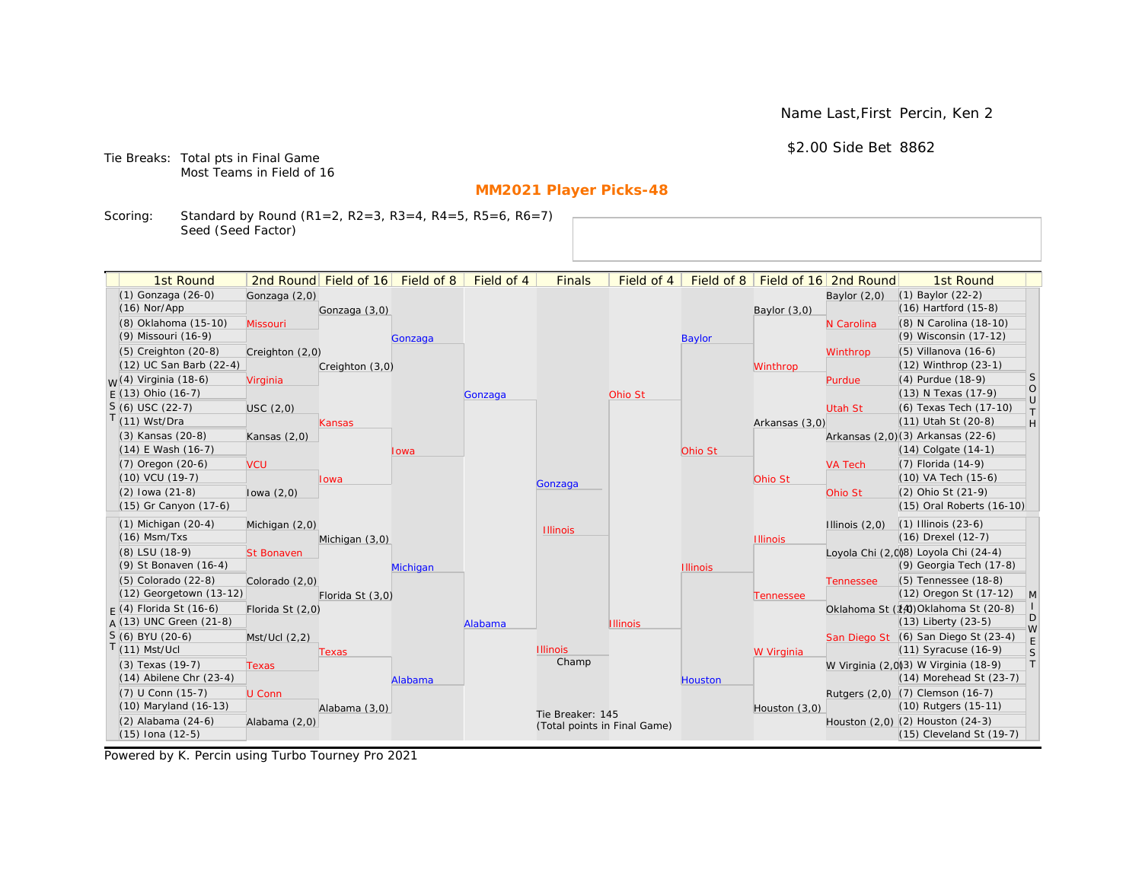Name Last,First Percin, Ken 2

\$2.00 Side Bet 8862

Tie Breaks: Total pts in Final Game Most Teams in Field of 16

# **MM2021 Player Picks-48**

Scoring: Standard by Round (R1=2, R2=3, R3=4, R4=5, R5=6, R6=7) Seed (Seed Factor)

| 1st Round                        |                   | 2nd Round Field of 16 | Field of 8 | Field of 4 | <b>Finals</b>                | Field of 4      | Field of 8      |                 | Field of 16 2nd Round | 1st Round                            |                   |
|----------------------------------|-------------------|-----------------------|------------|------------|------------------------------|-----------------|-----------------|-----------------|-----------------------|--------------------------------------|-------------------|
| (1) Gonzaga (26-0)               | Gonzaga (2,0)     |                       |            |            |                              |                 |                 |                 | Baylor $(2,0)$        | $(1)$ Baylor $(22-2)$                |                   |
| $(16)$ Nor/App                   |                   | Gonzaga (3,0)         |            |            |                              |                 |                 | Baylor $(3,0)$  |                       | (16) Hartford (15-8)                 |                   |
| (8) Oklahoma (15-10)             | Missouri          |                       |            |            |                              |                 |                 |                 | N Carolina            | (8) N Carolina (18-10)               |                   |
| (9) Missouri (16-9)              |                   |                       | Gonzaga    |            |                              |                 | <b>Baylor</b>   |                 |                       | (9) Wisconsin (17-12)                |                   |
| (5) Creighton (20-8)             | Creighton (2,0)   |                       |            |            |                              |                 |                 |                 | Winthrop              | (5) Villanova (16-6)                 |                   |
| (12) UC San Barb (22-4)          |                   | Creighton (3,0)       |            |            |                              |                 |                 | Winthrop        |                       | (12) Winthrop (23-1)                 |                   |
| <sub>W</sub> (4) Virginia (18-6) | Virginia          |                       |            |            |                              |                 |                 |                 | Purdue                | (4) Purdue (18-9)                    | S                 |
| $E(13)$ Ohio (16-7)              |                   |                       |            | Gonzaga    |                              | Ohio St         |                 |                 |                       | (13) N Texas (17-9)                  | $\circ$<br>$\cup$ |
| $S(6)$ USC (22-7)                | USC(2,0)          |                       |            |            |                              |                 |                 |                 | Utah St               | (6) Texas Tech (17-10)               | $\top$            |
| T(11) Wst/Dra                    |                   | Kansas                |            |            |                              |                 |                 | Arkansas (3,0)  |                       | (11) Utah St (20-8)                  | H                 |
| (3) Kansas (20-8)                | Kansas $(2,0)$    |                       |            |            |                              |                 |                 |                 |                       | Arkansas (2,0)(3) Arkansas (22-6)    |                   |
| $(14)$ E Wash $(16-7)$           |                   |                       | lowa       |            |                              |                 | Ohio St         |                 |                       | $(14)$ Colgate $(14-1)$              |                   |
| (7) Oregon (20-6)                | <b>VCU</b>        |                       |            |            |                              |                 |                 |                 | <b>VA Tech</b>        | (7) Florida (14-9)                   |                   |
| (10) VCU (19-7)                  |                   | <b>lowa</b>           |            |            | Gonzaga                      |                 |                 | Ohio St         |                       | (10) VA Tech (15-6)                  |                   |
| $(2)$ lowa $(21-8)$              | lowa $(2,0)$      |                       |            |            |                              |                 |                 |                 | Ohio St               | (2) Ohio St (21-9)                   |                   |
| (15) Gr Canyon (17-6)            |                   |                       |            |            |                              |                 |                 |                 |                       | (15) Oral Roberts (16-10)            |                   |
| $(1)$ Michigan $(20-4)$          | Michigan (2,0)    |                       |            |            | <b>Illinois</b>              |                 |                 |                 | Illinois $(2,0)$      | $(1)$ Illinois $(23-6)$              |                   |
| $(16)$ Msm/Txs                   |                   | Michigan (3,0)        |            |            |                              |                 |                 | <b>Illinois</b> |                       | (16) Drexel (12-7)                   |                   |
| (8) LSU (18-9)                   | <b>St Bonaven</b> |                       |            |            |                              |                 |                 |                 |                       | Loyola Chi (2,0)8) Loyola Chi (24-4) |                   |
| (9) St Bonaven (16-4)            |                   |                       | Michigan   |            |                              |                 | <b>Illinois</b> |                 |                       | (9) Georgia Tech (17-8)              |                   |
| $(5)$ Colorado $(22-8)$          | Colorado (2,0)    |                       |            |            |                              |                 |                 |                 | <b>Tennessee</b>      | (5) Tennessee (18-8)                 |                   |
| (12) Georgetown (13-12)          |                   | Florida St (3,0)      |            |            |                              |                 |                 | Tennessee       |                       | (12) Oregon St (17-12)               | $\mathsf{M}$      |
| $F(4)$ Florida St (16-6)         | Florida St (2,0)  |                       |            |            |                              |                 |                 |                 |                       | Oklahoma St (14) Oklahoma St (20-8)  | D                 |
| $A(13)$ UNC Green (21-8)         |                   |                       |            | Alabama    |                              | <b>Illinois</b> |                 |                 |                       | (13) Liberty (23-5)                  | W                 |
| S (6) BYU (20-6)                 | Mst/Ucl (2,2)     |                       |            |            |                              |                 |                 |                 |                       | San Diego St (6) San Diego St (23-4) | E                 |
| $T(11)$ Mst/Ucl                  |                   | Texas                 |            |            | <b>Illinois</b><br>Champ     |                 |                 | W Virginia      |                       | (11) Syracuse (16-9)                 | S                 |
| (3) Texas (19-7)                 | <b>Texas</b>      |                       |            |            |                              |                 |                 |                 |                       | W Virginia (2,0)3) W Virginia (18-9) | T                 |
| $(14)$ Abilene Chr $(23-4)$      |                   |                       | Alabama    |            |                              |                 | Houston         |                 |                       | (14) Morehead St (23-7)              |                   |
| (7) U Conn (15-7)                | U Conn            |                       |            |            |                              |                 |                 |                 |                       | Rutgers (2,0) (7) Clemson (16-7)     |                   |
| (10) Maryland (16-13)            |                   | Alabama (3,0)         |            |            | Tie Breaker: 145             |                 |                 | Houston (3,0)   |                       | (10) Rutgers (15-11)                 |                   |
| $(2)$ Alabama $(24-6)$           | Alabama (2,0)     |                       |            |            | (Total points in Final Game) |                 |                 |                 |                       | Houston (2,0) (2) Houston (24-3)     |                   |
| $(15)$ Iona $(12-5)$             |                   |                       |            |            |                              |                 |                 |                 |                       | $(15)$ Cleveland St $(19-7)$         |                   |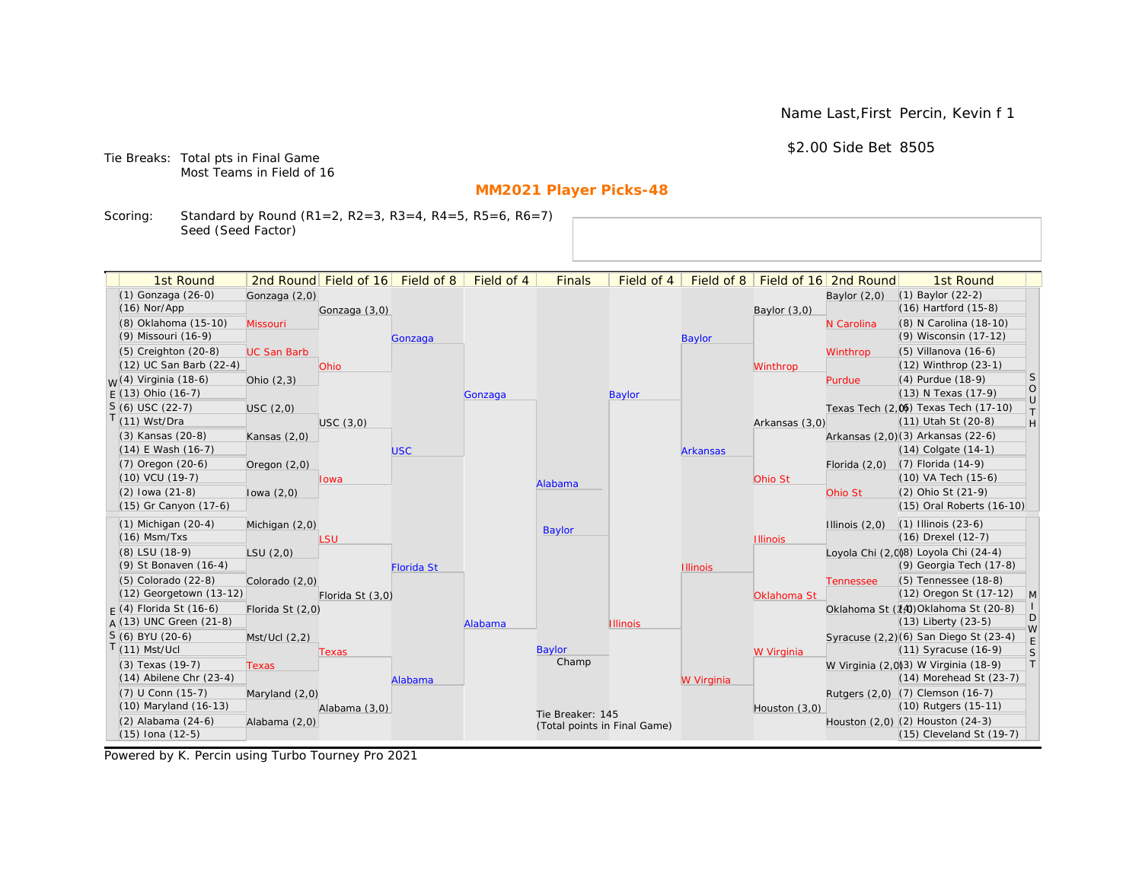Name Last,First Percin, Kevin f 1

\$2.00 Side Bet 8505

Tie Breaks: Total pts in Final Game Most Teams in Field of 16

# **MM2021 Player Picks-48**

Scoring: Standard by Round (R1=2, R2=3, R3=4, R4=5, R5=6, R6=7) Seed (Seed Factor)

| 2nd Round Field of 16 Field of 8<br>Field of 8   Field of 16   2nd Round<br>(1) Gonzaga (26-0)<br>(1) Baylor (22-2)<br>Gonzaga (2,0)<br>Baylor $(2,0)$<br>$(16)$ Hartford $(15-8)$<br>$(16)$ Nor/App<br>Gonzaga (3,0)<br>Baylor $(3,0)$<br>(8) Oklahoma (15-10)<br>(8) N Carolina (18-10)<br>Missouri<br>N Carolina<br>(9) Wisconsin (17-12)<br>(9) Missouri (16-9)<br><b>Baylor</b><br>Gonzaga<br>$(5)$ Creighton $(20-8)$<br>(5) Villanova (16-6)<br><b>UC San Barb</b><br>Winthrop<br>(12) UC San Barb (22-4)<br>$(12)$ Winthrop $(23-1)$<br>Ohio<br>Winthrop<br><b>S</b><br><sub>M</sub> (4) Virginia (18-6)<br>(4) Purdue (18-9)<br>Ohio $(2,3)$<br>Purdue<br>$\bigcirc$<br>(13) N Texas (17-9)<br>$E(13)$ Ohio (16-7)<br>Gonzaga<br><b>Baylor</b><br>$\cup$<br>$S(6)$ USC (22-7)<br>Texas Tech (2.06) Texas Tech (17-10)<br>USC(2,0)<br>$\top$<br>$T(11)$ Wst/Dra<br>(11) Utah St (20-8)<br>H<br>USC(3,0)<br>Arkansas (3,0)<br>Arkansas (2,0)(3) Arkansas (22-6)<br>(3) Kansas (20-8)<br>Kansas $(2,0)$<br>$(14)$ E Wash $(16-7)$<br>$(14)$ Colgate $(14-1)$<br><b>USC</b><br><b>Arkansas</b><br>(7) Oregon (20-6)<br>$(7)$ Florida $(14-9)$<br>Florida $(2,0)$<br>Oregon $(2,0)$<br>$(10)$ VCU $(19-7)$<br>$(10)$ VA Tech $(15-6)$<br>Ohio St<br>lowa<br>Alabama<br>(2) Ohio St (21-9)<br>$(2)$ lowa $(21-8)$<br>lowa $(2,0)$<br>Ohio St<br>(15) Gr Canyon (17-6)<br>(15) Oral Roberts (16-10)<br>$(1)$ Michigan $(20-4)$<br>$(1)$ Illinois $(23-6)$<br>Illinois $(2,0)$<br>Michigan (2,0)<br>Baylor<br>$(16)$ Msm/Txs<br>(16) Drexel (12-7)<br><b>LSU</b><br><b>Illinois</b><br>(8) LSU (18-9)<br>Loyola Chi (2,008) Loyola Chi (24-4)<br>LSU(2,0)<br>(9) St Bonaven (16-4)<br>(9) Georgia Tech (17-8)<br><b>Florida St</b><br><b>Illinois</b><br>(5) Tennessee (18-8)<br>(5) Colorado (22-8)<br>Colorado (2,0)<br><b>Tennessee</b><br>(12) Georgetown (13-12)<br>(12) Oregon St (17-12)<br>M<br>Florida St (3,0)<br>Oklahoma St<br>$F(4)$ Florida St (16-6)<br>Oklahoma St (14) Oklahoma St (20-8)<br>Florida St (2,0)<br>D<br>A (13) UNC Green (21-8)<br>$(13)$ Liberty $(23-5)$<br><b>Illinois</b><br>Alabama<br>W<br>S (6) BYU (20-6)<br>Syracuse (2,2)(6) San Diego St (23-4)<br>Mst/Ucl(2,2)<br>E<br>$(11)$ Mst/Ucl<br>Baylor<br>$(11)$ Syracuse $(16-9)$<br>$\mathsf S$<br>W Virginia<br>Texas<br>Champ<br> T <br>(3) Texas (19-7)<br>W Virginia (2,0)3) W Virginia (18-9)<br><b>Texas</b><br>$(14)$ Abilene Chr $(23-4)$<br>(14) Morehead St (23-7)<br>W Virginia<br>Alabama<br>Rutgers (2,0) (7) Clemson (16-7)<br>(7) U Conn (15-7)<br>Maryland (2,0)<br>(10) Maryland (16-13)<br>(10) Rutgers (15-11)<br>Alabama (3,0)<br>Houston (3,0)<br>Tie Breaker: 145<br>(2) Alabama (24-6)<br>Houston (2,0) (2) Houston (24-3)<br>Alabama (2,0)<br>(Total points in Final Game) | 1st Round            |  | Field of 4 | <b>Finals</b> | Field of 4 |  | 1st Round                |  |
|-------------------------------------------------------------------------------------------------------------------------------------------------------------------------------------------------------------------------------------------------------------------------------------------------------------------------------------------------------------------------------------------------------------------------------------------------------------------------------------------------------------------------------------------------------------------------------------------------------------------------------------------------------------------------------------------------------------------------------------------------------------------------------------------------------------------------------------------------------------------------------------------------------------------------------------------------------------------------------------------------------------------------------------------------------------------------------------------------------------------------------------------------------------------------------------------------------------------------------------------------------------------------------------------------------------------------------------------------------------------------------------------------------------------------------------------------------------------------------------------------------------------------------------------------------------------------------------------------------------------------------------------------------------------------------------------------------------------------------------------------------------------------------------------------------------------------------------------------------------------------------------------------------------------------------------------------------------------------------------------------------------------------------------------------------------------------------------------------------------------------------------------------------------------------------------------------------------------------------------------------------------------------------------------------------------------------------------------------------------------------------------------------------------------------------------------------------------------------------------------------------------------------------------------------------------------------------------------------------------------------------------------------------------------------------------------------------------------------------------------------------------------------------------------|----------------------|--|------------|---------------|------------|--|--------------------------|--|
|                                                                                                                                                                                                                                                                                                                                                                                                                                                                                                                                                                                                                                                                                                                                                                                                                                                                                                                                                                                                                                                                                                                                                                                                                                                                                                                                                                                                                                                                                                                                                                                                                                                                                                                                                                                                                                                                                                                                                                                                                                                                                                                                                                                                                                                                                                                                                                                                                                                                                                                                                                                                                                                                                                                                                                                           |                      |  |            |               |            |  |                          |  |
|                                                                                                                                                                                                                                                                                                                                                                                                                                                                                                                                                                                                                                                                                                                                                                                                                                                                                                                                                                                                                                                                                                                                                                                                                                                                                                                                                                                                                                                                                                                                                                                                                                                                                                                                                                                                                                                                                                                                                                                                                                                                                                                                                                                                                                                                                                                                                                                                                                                                                                                                                                                                                                                                                                                                                                                           |                      |  |            |               |            |  |                          |  |
|                                                                                                                                                                                                                                                                                                                                                                                                                                                                                                                                                                                                                                                                                                                                                                                                                                                                                                                                                                                                                                                                                                                                                                                                                                                                                                                                                                                                                                                                                                                                                                                                                                                                                                                                                                                                                                                                                                                                                                                                                                                                                                                                                                                                                                                                                                                                                                                                                                                                                                                                                                                                                                                                                                                                                                                           |                      |  |            |               |            |  |                          |  |
|                                                                                                                                                                                                                                                                                                                                                                                                                                                                                                                                                                                                                                                                                                                                                                                                                                                                                                                                                                                                                                                                                                                                                                                                                                                                                                                                                                                                                                                                                                                                                                                                                                                                                                                                                                                                                                                                                                                                                                                                                                                                                                                                                                                                                                                                                                                                                                                                                                                                                                                                                                                                                                                                                                                                                                                           |                      |  |            |               |            |  |                          |  |
|                                                                                                                                                                                                                                                                                                                                                                                                                                                                                                                                                                                                                                                                                                                                                                                                                                                                                                                                                                                                                                                                                                                                                                                                                                                                                                                                                                                                                                                                                                                                                                                                                                                                                                                                                                                                                                                                                                                                                                                                                                                                                                                                                                                                                                                                                                                                                                                                                                                                                                                                                                                                                                                                                                                                                                                           |                      |  |            |               |            |  |                          |  |
|                                                                                                                                                                                                                                                                                                                                                                                                                                                                                                                                                                                                                                                                                                                                                                                                                                                                                                                                                                                                                                                                                                                                                                                                                                                                                                                                                                                                                                                                                                                                                                                                                                                                                                                                                                                                                                                                                                                                                                                                                                                                                                                                                                                                                                                                                                                                                                                                                                                                                                                                                                                                                                                                                                                                                                                           |                      |  |            |               |            |  |                          |  |
|                                                                                                                                                                                                                                                                                                                                                                                                                                                                                                                                                                                                                                                                                                                                                                                                                                                                                                                                                                                                                                                                                                                                                                                                                                                                                                                                                                                                                                                                                                                                                                                                                                                                                                                                                                                                                                                                                                                                                                                                                                                                                                                                                                                                                                                                                                                                                                                                                                                                                                                                                                                                                                                                                                                                                                                           |                      |  |            |               |            |  |                          |  |
|                                                                                                                                                                                                                                                                                                                                                                                                                                                                                                                                                                                                                                                                                                                                                                                                                                                                                                                                                                                                                                                                                                                                                                                                                                                                                                                                                                                                                                                                                                                                                                                                                                                                                                                                                                                                                                                                                                                                                                                                                                                                                                                                                                                                                                                                                                                                                                                                                                                                                                                                                                                                                                                                                                                                                                                           |                      |  |            |               |            |  |                          |  |
|                                                                                                                                                                                                                                                                                                                                                                                                                                                                                                                                                                                                                                                                                                                                                                                                                                                                                                                                                                                                                                                                                                                                                                                                                                                                                                                                                                                                                                                                                                                                                                                                                                                                                                                                                                                                                                                                                                                                                                                                                                                                                                                                                                                                                                                                                                                                                                                                                                                                                                                                                                                                                                                                                                                                                                                           |                      |  |            |               |            |  |                          |  |
|                                                                                                                                                                                                                                                                                                                                                                                                                                                                                                                                                                                                                                                                                                                                                                                                                                                                                                                                                                                                                                                                                                                                                                                                                                                                                                                                                                                                                                                                                                                                                                                                                                                                                                                                                                                                                                                                                                                                                                                                                                                                                                                                                                                                                                                                                                                                                                                                                                                                                                                                                                                                                                                                                                                                                                                           |                      |  |            |               |            |  |                          |  |
|                                                                                                                                                                                                                                                                                                                                                                                                                                                                                                                                                                                                                                                                                                                                                                                                                                                                                                                                                                                                                                                                                                                                                                                                                                                                                                                                                                                                                                                                                                                                                                                                                                                                                                                                                                                                                                                                                                                                                                                                                                                                                                                                                                                                                                                                                                                                                                                                                                                                                                                                                                                                                                                                                                                                                                                           |                      |  |            |               |            |  |                          |  |
|                                                                                                                                                                                                                                                                                                                                                                                                                                                                                                                                                                                                                                                                                                                                                                                                                                                                                                                                                                                                                                                                                                                                                                                                                                                                                                                                                                                                                                                                                                                                                                                                                                                                                                                                                                                                                                                                                                                                                                                                                                                                                                                                                                                                                                                                                                                                                                                                                                                                                                                                                                                                                                                                                                                                                                                           |                      |  |            |               |            |  |                          |  |
|                                                                                                                                                                                                                                                                                                                                                                                                                                                                                                                                                                                                                                                                                                                                                                                                                                                                                                                                                                                                                                                                                                                                                                                                                                                                                                                                                                                                                                                                                                                                                                                                                                                                                                                                                                                                                                                                                                                                                                                                                                                                                                                                                                                                                                                                                                                                                                                                                                                                                                                                                                                                                                                                                                                                                                                           |                      |  |            |               |            |  |                          |  |
|                                                                                                                                                                                                                                                                                                                                                                                                                                                                                                                                                                                                                                                                                                                                                                                                                                                                                                                                                                                                                                                                                                                                                                                                                                                                                                                                                                                                                                                                                                                                                                                                                                                                                                                                                                                                                                                                                                                                                                                                                                                                                                                                                                                                                                                                                                                                                                                                                                                                                                                                                                                                                                                                                                                                                                                           |                      |  |            |               |            |  |                          |  |
|                                                                                                                                                                                                                                                                                                                                                                                                                                                                                                                                                                                                                                                                                                                                                                                                                                                                                                                                                                                                                                                                                                                                                                                                                                                                                                                                                                                                                                                                                                                                                                                                                                                                                                                                                                                                                                                                                                                                                                                                                                                                                                                                                                                                                                                                                                                                                                                                                                                                                                                                                                                                                                                                                                                                                                                           |                      |  |            |               |            |  |                          |  |
|                                                                                                                                                                                                                                                                                                                                                                                                                                                                                                                                                                                                                                                                                                                                                                                                                                                                                                                                                                                                                                                                                                                                                                                                                                                                                                                                                                                                                                                                                                                                                                                                                                                                                                                                                                                                                                                                                                                                                                                                                                                                                                                                                                                                                                                                                                                                                                                                                                                                                                                                                                                                                                                                                                                                                                                           |                      |  |            |               |            |  |                          |  |
|                                                                                                                                                                                                                                                                                                                                                                                                                                                                                                                                                                                                                                                                                                                                                                                                                                                                                                                                                                                                                                                                                                                                                                                                                                                                                                                                                                                                                                                                                                                                                                                                                                                                                                                                                                                                                                                                                                                                                                                                                                                                                                                                                                                                                                                                                                                                                                                                                                                                                                                                                                                                                                                                                                                                                                                           |                      |  |            |               |            |  |                          |  |
|                                                                                                                                                                                                                                                                                                                                                                                                                                                                                                                                                                                                                                                                                                                                                                                                                                                                                                                                                                                                                                                                                                                                                                                                                                                                                                                                                                                                                                                                                                                                                                                                                                                                                                                                                                                                                                                                                                                                                                                                                                                                                                                                                                                                                                                                                                                                                                                                                                                                                                                                                                                                                                                                                                                                                                                           |                      |  |            |               |            |  |                          |  |
|                                                                                                                                                                                                                                                                                                                                                                                                                                                                                                                                                                                                                                                                                                                                                                                                                                                                                                                                                                                                                                                                                                                                                                                                                                                                                                                                                                                                                                                                                                                                                                                                                                                                                                                                                                                                                                                                                                                                                                                                                                                                                                                                                                                                                                                                                                                                                                                                                                                                                                                                                                                                                                                                                                                                                                                           |                      |  |            |               |            |  |                          |  |
|                                                                                                                                                                                                                                                                                                                                                                                                                                                                                                                                                                                                                                                                                                                                                                                                                                                                                                                                                                                                                                                                                                                                                                                                                                                                                                                                                                                                                                                                                                                                                                                                                                                                                                                                                                                                                                                                                                                                                                                                                                                                                                                                                                                                                                                                                                                                                                                                                                                                                                                                                                                                                                                                                                                                                                                           |                      |  |            |               |            |  |                          |  |
|                                                                                                                                                                                                                                                                                                                                                                                                                                                                                                                                                                                                                                                                                                                                                                                                                                                                                                                                                                                                                                                                                                                                                                                                                                                                                                                                                                                                                                                                                                                                                                                                                                                                                                                                                                                                                                                                                                                                                                                                                                                                                                                                                                                                                                                                                                                                                                                                                                                                                                                                                                                                                                                                                                                                                                                           |                      |  |            |               |            |  |                          |  |
|                                                                                                                                                                                                                                                                                                                                                                                                                                                                                                                                                                                                                                                                                                                                                                                                                                                                                                                                                                                                                                                                                                                                                                                                                                                                                                                                                                                                                                                                                                                                                                                                                                                                                                                                                                                                                                                                                                                                                                                                                                                                                                                                                                                                                                                                                                                                                                                                                                                                                                                                                                                                                                                                                                                                                                                           |                      |  |            |               |            |  |                          |  |
|                                                                                                                                                                                                                                                                                                                                                                                                                                                                                                                                                                                                                                                                                                                                                                                                                                                                                                                                                                                                                                                                                                                                                                                                                                                                                                                                                                                                                                                                                                                                                                                                                                                                                                                                                                                                                                                                                                                                                                                                                                                                                                                                                                                                                                                                                                                                                                                                                                                                                                                                                                                                                                                                                                                                                                                           |                      |  |            |               |            |  |                          |  |
|                                                                                                                                                                                                                                                                                                                                                                                                                                                                                                                                                                                                                                                                                                                                                                                                                                                                                                                                                                                                                                                                                                                                                                                                                                                                                                                                                                                                                                                                                                                                                                                                                                                                                                                                                                                                                                                                                                                                                                                                                                                                                                                                                                                                                                                                                                                                                                                                                                                                                                                                                                                                                                                                                                                                                                                           |                      |  |            |               |            |  |                          |  |
|                                                                                                                                                                                                                                                                                                                                                                                                                                                                                                                                                                                                                                                                                                                                                                                                                                                                                                                                                                                                                                                                                                                                                                                                                                                                                                                                                                                                                                                                                                                                                                                                                                                                                                                                                                                                                                                                                                                                                                                                                                                                                                                                                                                                                                                                                                                                                                                                                                                                                                                                                                                                                                                                                                                                                                                           |                      |  |            |               |            |  |                          |  |
|                                                                                                                                                                                                                                                                                                                                                                                                                                                                                                                                                                                                                                                                                                                                                                                                                                                                                                                                                                                                                                                                                                                                                                                                                                                                                                                                                                                                                                                                                                                                                                                                                                                                                                                                                                                                                                                                                                                                                                                                                                                                                                                                                                                                                                                                                                                                                                                                                                                                                                                                                                                                                                                                                                                                                                                           |                      |  |            |               |            |  |                          |  |
|                                                                                                                                                                                                                                                                                                                                                                                                                                                                                                                                                                                                                                                                                                                                                                                                                                                                                                                                                                                                                                                                                                                                                                                                                                                                                                                                                                                                                                                                                                                                                                                                                                                                                                                                                                                                                                                                                                                                                                                                                                                                                                                                                                                                                                                                                                                                                                                                                                                                                                                                                                                                                                                                                                                                                                                           |                      |  |            |               |            |  |                          |  |
|                                                                                                                                                                                                                                                                                                                                                                                                                                                                                                                                                                                                                                                                                                                                                                                                                                                                                                                                                                                                                                                                                                                                                                                                                                                                                                                                                                                                                                                                                                                                                                                                                                                                                                                                                                                                                                                                                                                                                                                                                                                                                                                                                                                                                                                                                                                                                                                                                                                                                                                                                                                                                                                                                                                                                                                           |                      |  |            |               |            |  |                          |  |
|                                                                                                                                                                                                                                                                                                                                                                                                                                                                                                                                                                                                                                                                                                                                                                                                                                                                                                                                                                                                                                                                                                                                                                                                                                                                                                                                                                                                                                                                                                                                                                                                                                                                                                                                                                                                                                                                                                                                                                                                                                                                                                                                                                                                                                                                                                                                                                                                                                                                                                                                                                                                                                                                                                                                                                                           |                      |  |            |               |            |  |                          |  |
|                                                                                                                                                                                                                                                                                                                                                                                                                                                                                                                                                                                                                                                                                                                                                                                                                                                                                                                                                                                                                                                                                                                                                                                                                                                                                                                                                                                                                                                                                                                                                                                                                                                                                                                                                                                                                                                                                                                                                                                                                                                                                                                                                                                                                                                                                                                                                                                                                                                                                                                                                                                                                                                                                                                                                                                           |                      |  |            |               |            |  |                          |  |
|                                                                                                                                                                                                                                                                                                                                                                                                                                                                                                                                                                                                                                                                                                                                                                                                                                                                                                                                                                                                                                                                                                                                                                                                                                                                                                                                                                                                                                                                                                                                                                                                                                                                                                                                                                                                                                                                                                                                                                                                                                                                                                                                                                                                                                                                                                                                                                                                                                                                                                                                                                                                                                                                                                                                                                                           | $(15)$ Iona $(12-5)$ |  |            |               |            |  | (15) Cleveland St (19-7) |  |

Powered by K. Percin using Turbo Tourney Pro 2021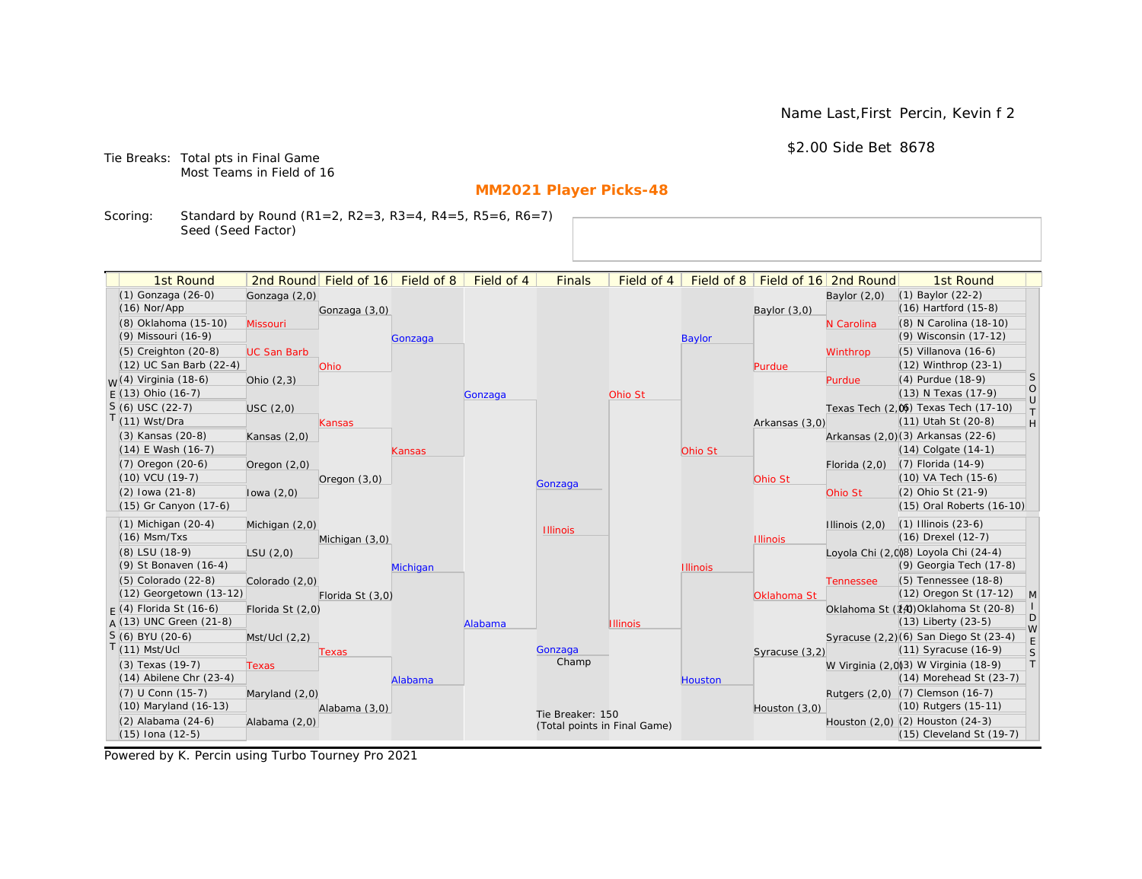Name Last,First Percin, Kevin f 2

\$2.00 Side Bet 8678

Tie Breaks: Total pts in Final Game Most Teams in Field of 16

# **MM2021 Player Picks-48**

Scoring: Standard by Round (R1=2, R2=3, R3=4, R4=5, R5=6, R6=7) Seed (Seed Factor)

| 1st Round                                       |                    | 2nd Round Field of 16 | Field of 8 | Field of 4 | <b>Finals</b>                | Field of 4      | Field of 8      |                 | Field of 16 2nd Round | 1st Round                                                        |                                                                   |
|-------------------------------------------------|--------------------|-----------------------|------------|------------|------------------------------|-----------------|-----------------|-----------------|-----------------------|------------------------------------------------------------------|-------------------------------------------------------------------|
| (1) Gonzaga (26-0)                              | Gonzaga (2,0)      |                       |            |            |                              |                 |                 |                 | Baylor $(2,0)$        | $(1)$ Baylor $(22-2)$                                            |                                                                   |
| $(16)$ Nor/App                                  |                    | Gonzaga (3,0)         |            |            |                              |                 |                 | Baylor $(3,0)$  |                       | $(16)$ Hartford $(15-8)$                                         |                                                                   |
| (8) Oklahoma (15-10)                            | Missouri           |                       |            |            |                              |                 |                 |                 | N Carolina            | (8) N Carolina (18-10)                                           |                                                                   |
| (9) Missouri (16-9)                             |                    |                       | Gonzaga    |            |                              |                 | <b>Baylor</b>   |                 |                       | (9) Wisconsin (17-12)                                            |                                                                   |
| (5) Creighton (20-8)                            | <b>UC San Barb</b> |                       |            |            |                              |                 |                 |                 | Winthrop              | $(5)$ Villanova $(16-6)$                                         |                                                                   |
| (12) UC San Barb (22-4)                         |                    | <b>Ohio</b>           |            |            |                              |                 |                 | Purdue          |                       | (12) Winthrop (23-1)                                             |                                                                   |
| $W(4)$ Virginia (18-6)                          | Ohio $(2,3)$       |                       |            |            |                              |                 |                 |                 | Purdue                | (4) Purdue (18-9)                                                | <sub>S</sub>                                                      |
| $E(13)$ Ohio (16-7)                             |                    |                       |            | Gonzaga    |                              | Ohio St         |                 |                 |                       | (13) N Texas (17-9)                                              | $\bigcirc$<br>$\cup$                                              |
| $S(6)$ USC (22-7)                               | USC(2,0)           |                       |            |            |                              |                 |                 |                 |                       | Texas Tech (2,0) Texas Tech (17-10)                              | $\top$                                                            |
| $T(11)$ Wst/Dra                                 |                    | Kansas                |            |            |                              |                 |                 | Arkansas (3,0)  |                       | (11) Utah St (20-8)                                              | $\mathsf{H}% _{\mathsf{H}}^{\ast}=\mathsf{H}_{\mathsf{H}}^{\ast}$ |
| (3) Kansas (20-8)                               | Kansas $(2,0)$     |                       |            |            |                              |                 |                 |                 |                       | Arkansas (2,0)(3) Arkansas (22-6)                                |                                                                   |
| $(14)$ E Wash $(16-7)$                          |                    |                       | Kansas     |            |                              |                 | Ohio St         |                 |                       | $(14)$ Colgate $(14-1)$                                          |                                                                   |
| $(7)$ Oregon $(20-6)$                           | Oregon (2,0)       |                       |            |            |                              |                 |                 |                 | Florida $(2,0)$       | $(7)$ Florida $(14-9)$                                           |                                                                   |
| $(10)$ VCU $(19-7)$                             |                    | Oregon $(3,0)$        |            |            | Gonzaga                      |                 |                 | Ohio St         |                       | (10) VA Tech (15-6)                                              |                                                                   |
| $(2)$ lowa $(21-8)$                             | lowa $(2,0)$       |                       |            |            |                              |                 |                 |                 | Ohio St               | (2) Ohio St (21-9)                                               |                                                                   |
| (15) Gr Canyon (17-6)                           |                    |                       |            |            |                              |                 |                 |                 |                       | (15) Oral Roberts (16-10)                                        |                                                                   |
| $(1)$ Michigan $(20-4)$                         | Michigan (2,0)     |                       |            |            | <b>Illinois</b>              |                 |                 |                 | Illinois $(2,0)$      | $(1)$ Illinois $(23-6)$                                          |                                                                   |
| $(16)$ Msm/Txs                                  |                    | Michigan (3,0)        |            |            |                              |                 |                 | <b>Illinois</b> |                       | (16) Drexel (12-7)                                               |                                                                   |
| (8) LSU (18-9)                                  | LSU(2,0)           |                       |            |            |                              |                 |                 |                 |                       | Loyola Chi (2,008) Loyola Chi (24-4)                             |                                                                   |
| (9) St Bonaven (16-4)                           |                    |                       | Michigan   |            |                              |                 | <b>Illinois</b> |                 |                       | (9) Georgia Tech (17-8)                                          |                                                                   |
| (5) Colorado (22-8)                             | Colorado (2,0)     |                       |            |            |                              |                 |                 |                 | <b>Tennessee</b>      | (5) Tennessee (18-8)                                             |                                                                   |
| (12) Georgetown (13-12)                         |                    | Florida St (3,0)      |            |            |                              |                 |                 | Oklahoma St     |                       | (12) Oregon St (17-12)                                           | M                                                                 |
| $F(4)$ Florida St (16-6)                        | Florida St (2,0)   |                       |            |            |                              |                 |                 |                 |                       | Oklahoma St (14) Oklahoma St (20-8)                              | D                                                                 |
| $A(13)$ UNC Green (21-8)                        |                    |                       |            | Alabama    |                              | <b>Illinois</b> |                 |                 |                       | $(13)$ Liberty $(23-5)$                                          | W                                                                 |
| S (6) BYU (20-6)<br>$T(11)$ Mst/Ucl             | Mst/Ucl (2,2)      |                       |            |            |                              |                 |                 |                 |                       | Syracuse (2,2)(6) San Diego St (23-4)                            | E                                                                 |
|                                                 |                    | Texas                 |            |            | Gonzaga<br>Champ             |                 |                 | Syracuse (3,2)  |                       | (11) Syracuse (16-9)                                             | S<br> T                                                           |
| (3) Texas (19-7)<br>$(14)$ Abilene Chr $(23-4)$ | <b>Texas</b>       |                       |            |            |                              |                 |                 |                 |                       | W Virginia (2,0)(3) W Virginia (18-9)<br>(14) Morehead St (23-7) |                                                                   |
| (7) U Conn (15-7)                               |                    |                       | Alabama    |            |                              |                 | <b>Houston</b>  |                 |                       | Rutgers (2,0) (7) Clemson (16-7)                                 |                                                                   |
| (10) Maryland (16-13)                           | Maryland (2,0)     | Alabama (3,0)         |            |            |                              |                 |                 | Houston $(3,0)$ |                       | (10) Rutgers (15-11)                                             |                                                                   |
| $(2)$ Alabama $(24-6)$                          | Alabama (2,0)      |                       |            |            | Tie Breaker: 150             |                 |                 |                 |                       | Houston (2,0) (2) Houston (24-3)                                 |                                                                   |
| $(15)$ Iona $(12-5)$                            |                    |                       |            |            | (Total points in Final Game) |                 |                 |                 |                       | $(15)$ Cleveland St $(19-7)$                                     |                                                                   |
|                                                 |                    |                       |            |            |                              |                 |                 |                 |                       |                                                                  |                                                                   |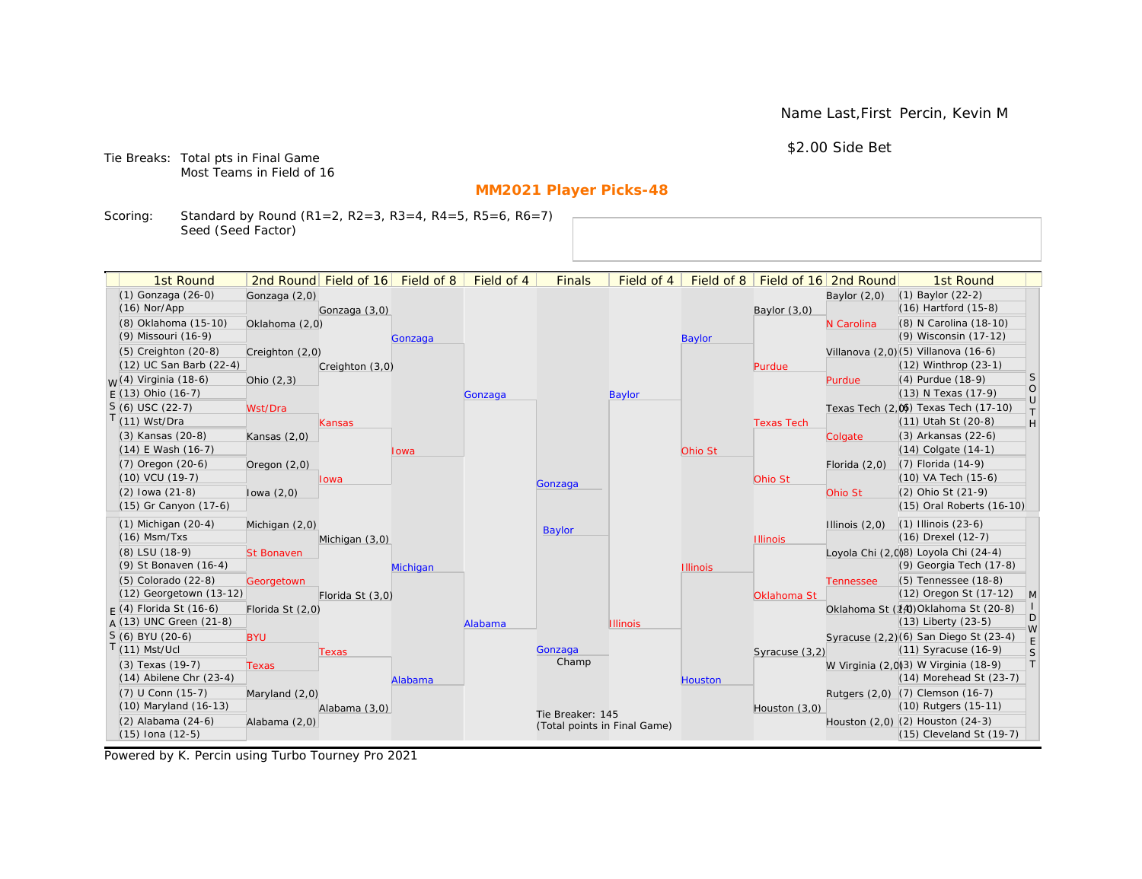Name Last,First Percin, Kevin M

\$2.00 Side Bet

Tie Breaks: Total pts in Final Game Most Teams in Field of 16

# **MM2021 Player Picks-48**

Scoring: Standard by Round (R1=2, R2=3, R3=4, R4=5, R5=6, R6=7) Seed (Seed Factor)

| 1st Round                        |                   | 2nd Round Field of 16 | Field of 8 | Field of 4 | <b>Finals</b>                | Field of 4      | Field of 8      |                   | Field of 16 2nd Round | 1st Round                                                    |                   |
|----------------------------------|-------------------|-----------------------|------------|------------|------------------------------|-----------------|-----------------|-------------------|-----------------------|--------------------------------------------------------------|-------------------|
| (1) Gonzaga (26-0)               | Gonzaga (2,0)     |                       |            |            |                              |                 |                 |                   | Baylor $(2,0)$        | $(1)$ Baylor $(22-2)$                                        |                   |
| $(16)$ Nor/App                   |                   | Gonzaga (3,0)         |            |            |                              |                 |                 | Baylor (3,0)      |                       | $(16)$ Hartford $(15-8)$                                     |                   |
| (8) Oklahoma (15-10)             | Oklahoma (2,0)    |                       |            |            |                              |                 |                 |                   | N Carolina            | (8) N Carolina (18-10)                                       |                   |
| (9) Missouri (16-9)              |                   |                       | Gonzaga    |            |                              |                 | <b>Baylor</b>   |                   |                       | (9) Wisconsin (17-12)                                        |                   |
| $(5)$ Creighton $(20-8)$         | Creighton (2,0)   |                       |            |            |                              |                 |                 |                   |                       | Villanova (2,0)(5) Villanova (16-6)                          |                   |
| (12) UC San Barb (22-4)          |                   | Creighton (3,0)       |            |            |                              |                 |                 | Purdue            |                       | (12) Winthrop (23-1)                                         |                   |
| <sub>W</sub> (4) Virginia (18-6) | Ohio $(2,3)$      |                       |            |            |                              |                 |                 |                   | Purdue                | (4) Purdue (18-9)                                            | <sub>S</sub>      |
| $E(13)$ Ohio (16-7)              |                   |                       |            | Gonzaga    |                              | Baylor          |                 |                   |                       | (13) N Texas (17-9)                                          | $\circ$<br>$\cup$ |
| $S(6)$ USC (22-7)                | Wst/Dra           |                       |            |            |                              |                 |                 |                   |                       | Texas Tech (2,0) Texas Tech (17-10)                          | $\top$            |
| T(11) Wst/Dra                    |                   | Kansas                |            |            |                              |                 |                 | <b>Texas Tech</b> |                       | (11) Utah St (20-8)                                          | H                 |
| (3) Kansas (20-8)                | Kansas $(2,0)$    |                       |            |            |                              |                 |                 |                   | Colgate               | (3) Arkansas (22-6)                                          |                   |
| $(14)$ E Wash $(16-7)$           |                   |                       | Iowa       |            |                              |                 | Ohio St         |                   |                       | $(14)$ Colgate $(14-1)$                                      |                   |
| (7) Oregon (20-6)                | Oregon $(2,0)$    |                       |            |            |                              |                 |                 |                   | Florida $(2,0)$       | $(7)$ Florida $(14-9)$                                       |                   |
| (10) VCU (19-7)                  |                   | lowa                  |            |            | Gonzaga                      |                 |                 | Ohio St           |                       | (10) VA Tech (15-6)                                          |                   |
| $(2)$ lowa $(21-8)$              | lowa $(2,0)$      |                       |            |            |                              |                 |                 |                   | Ohio St               | (2) Ohio St (21-9)                                           |                   |
| (15) Gr Canyon (17-6)            |                   |                       |            |            |                              |                 |                 |                   |                       | (15) Oral Roberts (16-10)                                    |                   |
| $(1)$ Michigan $(20-4)$          | Michigan (2,0)    |                       |            |            | <b>Baylor</b>                |                 |                 |                   | Illinois $(2,0)$      | $(1)$ Illinois $(23-6)$                                      |                   |
| $(16)$ Msm/Txs                   |                   | Michigan (3,0)        |            |            |                              |                 |                 | <b>Illinois</b>   |                       | (16) Drexel (12-7)                                           |                   |
| (8) LSU (18-9)                   | <b>St Bonaven</b> |                       |            |            |                              |                 |                 |                   |                       | Loyola Chi (2,0)8) Loyola Chi (24-4)                         |                   |
| (9) St Bonaven (16-4)            |                   |                       | Michigan   |            |                              |                 | <b>Illinois</b> |                   |                       | (9) Georgia Tech (17-8)                                      |                   |
| (5) Colorado (22-8)              | Georgetown        |                       |            |            |                              |                 |                 |                   | <b>Tennessee</b>      | (5) Tennessee (18-8)                                         |                   |
| (12) Georgetown (13-12)          |                   | Florida St (3,0)      |            |            |                              |                 |                 | Oklahoma St       |                       | (12) Oregon St (17-12)                                       | M                 |
| $F(4)$ Florida St (16-6)         | Florida St (2,0)  |                       |            |            |                              |                 |                 |                   |                       | Oklahoma St (14) Oklahoma St (20-8)                          | D                 |
| $A(13)$ UNC Green (21-8)         |                   |                       |            | Alabama    |                              | <b>Illinois</b> |                 |                   |                       | $(13)$ Liberty $(23-5)$                                      | W                 |
| S (6) BYU (20-6)                 | <b>BYU</b>        |                       |            |            |                              |                 |                 |                   |                       | Syracuse (2,2)(6) San Diego St (23-4)                        | E                 |
| $T(11)$ Mst/Ucl                  |                   | Texas                 |            |            | Gonzaga<br>Champ             |                 |                 | Syracuse (3,2)    |                       | $(11)$ Syracuse $(16-9)$                                     | S                 |
| (3) Texas (19-7)                 | <b>Texas</b>      |                       |            |            |                              |                 |                 |                   |                       | W Virginia (2,0)(3) W Virginia (18-9)                        | T                 |
| $(14)$ Abilene Chr $(23-4)$      |                   |                       | Alabama    |            |                              |                 | <b>Houston</b>  |                   |                       | (14) Morehead St (23-7)                                      |                   |
| (7) U Conn (15-7)                | Maryland (2,0)    |                       |            |            |                              |                 |                 |                   |                       | Rutgers (2,0) (7) Clemson (16-7)                             |                   |
| (10) Maryland (16-13)            |                   | Alabama (3,0)         |            |            | Tie Breaker: 145             |                 |                 | Houston $(3,0)$   |                       | (10) Rutgers (15-11)                                         |                   |
| (2) Alabama (24-6)               | Alabama (2,0)     |                       |            |            | (Total points in Final Game) |                 |                 |                   |                       | Houston (2,0) (2) Houston (24-3)<br>(15) Cleveland St (19-7) |                   |
| (15) Iona (12-5)                 |                   |                       |            |            |                              |                 |                 |                   |                       |                                                              |                   |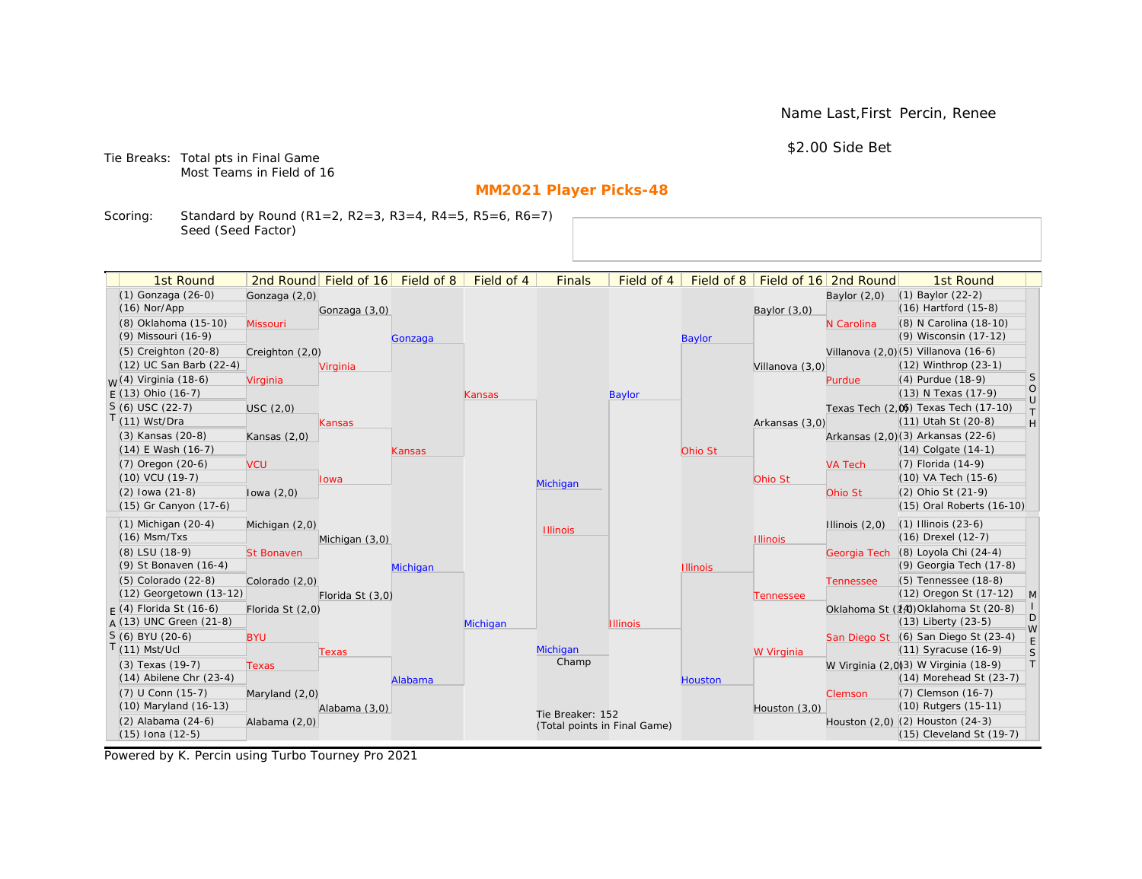Name Last,First Percin, Renee

\$2.00 Side Bet

Tie Breaks: Total pts in Final Game Most Teams in Field of 16

# **MM2021 Player Picks-48**

Scoring: Standard by Round (R1=2, R2=3, R3=4, R4=5, R5=6, R6=7) Seed (Seed Factor)

| 1st Round                   |                   | 2nd Round Field of 16 | Field of 8 | Field of 4 | <b>Finals</b>                | Field of 4      | Field of 8      |                 | Field of 16 2nd Round | 1st Round                            |                   |
|-----------------------------|-------------------|-----------------------|------------|------------|------------------------------|-----------------|-----------------|-----------------|-----------------------|--------------------------------------|-------------------|
| (1) Gonzaga (26-0)          | Gonzaga (2,0)     |                       |            |            |                              |                 |                 |                 | Baylor $(2,0)$        | $(1)$ Baylor $(22-2)$                |                   |
| $(16)$ Nor/App              |                   | Gonzaga (3,0)         |            |            |                              |                 |                 | Baylor (3,0)    |                       | $(16)$ Hartford $(15-8)$             |                   |
| (8) Oklahoma (15-10)        | Missouri          |                       |            |            |                              |                 |                 |                 | N Carolina            | (8) N Carolina (18-10)               |                   |
| (9) Missouri (16-9)         |                   |                       | Gonzaga    |            |                              |                 | <b>Baylor</b>   |                 |                       | (9) Wisconsin (17-12)                |                   |
| (5) Creighton (20-8)        | Creighton (2,0)   |                       |            |            |                              |                 |                 |                 |                       | Villanova (2,0)(5) Villanova (16-6)  |                   |
| (12) UC San Barb (22-4)     |                   | Virginia              |            |            |                              |                 |                 | Villanova (3,0) |                       | $(12)$ Winthrop $(23-1)$             |                   |
| $M(4)$ Virginia (18-6)      | Virginia          |                       |            |            |                              |                 |                 |                 | Purdue                | (4) Purdue (18-9)                    | <sub>S</sub>      |
| $F(13)$ Ohio (16-7)         |                   |                       |            | Kansas     |                              | Baylor          |                 |                 |                       | (13) N Texas (17-9)                  | $\circ$<br>$\cup$ |
| $S(6)$ USC (22-7)           | USC(2,0)          |                       |            |            |                              |                 |                 |                 |                       | Texas Tech (2.06) Texas Tech (17-10) | $\top$            |
| $T(11)$ Wst/Dra             |                   | Kansas                |            |            |                              |                 |                 | Arkansas (3,0)  |                       | (11) Utah St (20-8)                  | H                 |
| (3) Kansas (20-8)           | Kansas $(2,0)$    |                       |            |            |                              |                 |                 |                 |                       | Arkansas (2,0)(3) Arkansas (22-6)    |                   |
| (14) E Wash (16-7)          |                   |                       | Kansas     |            |                              |                 | Ohio St         |                 |                       | $(14)$ Colgate $(14-1)$              |                   |
| (7) Oregon (20-6)           | <b>VCU</b>        |                       |            |            |                              |                 |                 |                 | <b>VA Tech</b>        | (7) Florida (14-9)                   |                   |
| (10) VCU (19-7)             |                   | Iowa                  |            |            | Michigan                     |                 |                 | Ohio St         |                       | (10) VA Tech (15-6)                  |                   |
| $(2)$ lowa $(21-8)$         | lowa $(2,0)$      |                       |            |            |                              |                 |                 |                 | Ohio St               | (2) Ohio St (21-9)                   |                   |
| (15) Gr Canyon (17-6)       |                   |                       |            |            |                              |                 |                 |                 |                       | (15) Oral Roberts (16-10)            |                   |
| $(1)$ Michigan $(20-4)$     | Michigan (2,0)    |                       |            |            |                              |                 |                 |                 | Illinois $(2,0)$      | $(1)$ Illinois $(23-6)$              |                   |
| $(16)$ Msm/Txs              |                   | Michigan (3,0)        |            |            | <b>Illinois</b>              |                 |                 | <b>Illinois</b> |                       | (16) Drexel (12-7)                   |                   |
| (8) LSU (18-9)              | <b>St Bonaven</b> |                       |            |            |                              |                 |                 |                 |                       | Georgia Tech (8) Loyola Chi (24-4)   |                   |
| (9) St Bonaven (16-4)       |                   |                       | Michigan   |            |                              |                 | <b>Illinois</b> |                 |                       | (9) Georgia Tech (17-8)              |                   |
| (5) Colorado (22-8)         | Colorado (2,0)    |                       |            |            |                              |                 |                 |                 | <b>Tennessee</b>      | (5) Tennessee (18-8)                 |                   |
| (12) Georgetown (13-12)     |                   | Florida St (3,0)      |            |            |                              |                 |                 | Tennessee       |                       | (12) Oregon St (17-12)               | $\mathsf{M}$      |
| $F(4)$ Florida St (16-6)    | Florida St (2,0)  |                       |            |            |                              |                 |                 |                 |                       | Oklahoma St (14) Oklahoma St (20-8)  |                   |
| $A(13)$ UNC Green (21-8)    |                   |                       |            | Michigan   |                              | <b>Illinois</b> |                 |                 |                       | $(13)$ Liberty $(23-5)$              | D<br>W            |
| S (6) BYU (20-6)            | <b>BYU</b>        |                       |            |            |                              |                 |                 |                 |                       | San Diego St (6) San Diego St (23-4) | E                 |
| $T(11)$ Mst/Ucl             |                   | Texas                 |            |            | Michigan                     |                 |                 | W Virginia      |                       | $(11)$ Syracuse $(16-9)$             | S                 |
| (3) Texas (19-7)            | <b>Texas</b>      |                       |            |            | Champ                        |                 |                 |                 |                       | W Virginia (2,0)3) W Virginia (18-9) | T                 |
| $(14)$ Abilene Chr $(23-4)$ |                   |                       | Alabama    |            |                              |                 | <b>Houston</b>  |                 |                       | (14) Morehead St (23-7)              |                   |
| $(7)$ U Conn $(15-7)$       | Maryland (2,0)    |                       |            |            |                              |                 |                 |                 | Clemson               | (7) Clemson (16-7)                   |                   |
| (10) Maryland (16-13)       |                   | Alabama (3,0)         |            |            | Tie Breaker: 152             |                 |                 | Houston $(3,0)$ |                       | (10) Rutgers (15-11)                 |                   |
| (2) Alabama (24-6)          | Alabama (2,0)     |                       |            |            | (Total points in Final Game) |                 |                 |                 |                       | Houston (2,0) (2) Houston (24-3)     |                   |
| $(15)$ Iona $(12-5)$        |                   |                       |            |            |                              |                 |                 |                 |                       | (15) Cleveland St (19-7)             |                   |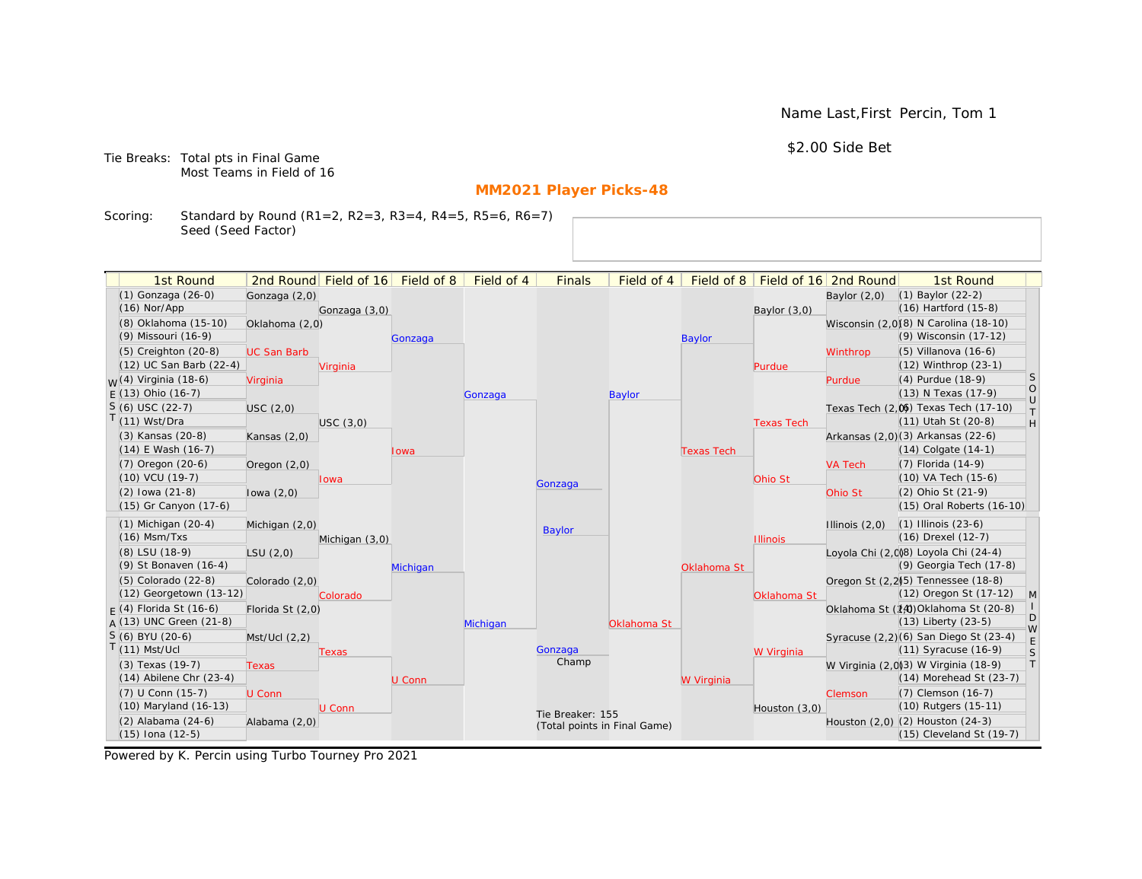Name Last,First Percin, Tom 1

\$2.00 Side Bet

Tie Breaks: Total pts in Final Game Most Teams in Field of 16

# **MM2021 Player Picks-48**

Scoring: Standard by Round (R1=2, R2=3, R3=4, R4=5, R5=6, R6=7) Seed (Seed Factor)

| 1st Round                                       |                    | 2nd Round Field of 16 Field of 8 |          | Field of 4 | <b>Finals</b>                | Field of 4    |                   |                   | Field of 8   Field of 16   2nd Round | 1st Round                                                           |                                                                   |
|-------------------------------------------------|--------------------|----------------------------------|----------|------------|------------------------------|---------------|-------------------|-------------------|--------------------------------------|---------------------------------------------------------------------|-------------------------------------------------------------------|
| (1) Gonzaga (26-0)                              | Gonzaga (2,0)      |                                  |          |            |                              |               |                   |                   | Baylor $(2,0)$                       | $(1)$ Baylor $(22-2)$                                               |                                                                   |
| $(16)$ Nor/App                                  |                    | Gonzaga (3,0)                    |          |            |                              |               |                   | Baylor (3,0)      |                                      | (16) Hartford (15-8)                                                |                                                                   |
| (8) Oklahoma (15-10)                            | Oklahoma (2,0)     |                                  |          |            |                              |               |                   |                   |                                      | Wisconsin (2,0)(8) N Carolina (18-10)                               |                                                                   |
| (9) Missouri (16-9)                             |                    |                                  | Gonzaga  |            |                              |               | <b>Baylor</b>     |                   |                                      | (9) Wisconsin (17-12)                                               |                                                                   |
| $(5)$ Creighton $(20-8)$                        | <b>UC San Barb</b> |                                  |          |            |                              |               |                   |                   | Winthrop                             | $(5)$ Villanova $(16-6)$                                            |                                                                   |
| (12) UC San Barb (22-4)                         |                    | Virginia                         |          |            |                              |               |                   | Purdue            |                                      | (12) Winthrop (23-1)                                                |                                                                   |
| $W(4)$ Virginia (18-6)                          | Virginia           |                                  |          |            |                              |               |                   |                   | Purdue                               | (4) Purdue (18-9)                                                   | S                                                                 |
| $E(13)$ Ohio (16-7)                             |                    |                                  |          | Gonzaga    |                              | <b>Baylor</b> |                   |                   |                                      | (13) N Texas (17-9)                                                 | $\circ$<br>$\cup$                                                 |
| $S(6)$ USC (22-7)                               | USC(2,0)           |                                  |          |            |                              |               |                   |                   |                                      | Texas Tech (2,0) Texas Tech (17-10)                                 | $\top$                                                            |
| $T(11)$ Wst/Dra                                 |                    | USC(3,0)                         |          |            |                              |               |                   | <b>Texas Tech</b> |                                      | (11) Utah St (20-8)                                                 | $\mathsf{H}% _{\mathsf{H}}^{\ast}=\mathsf{H}_{\mathsf{H}}^{\ast}$ |
| (3) Kansas (20-8)                               | Kansas $(2,0)$     |                                  |          |            |                              |               |                   |                   |                                      | Arkansas (2,0)(3) Arkansas (22-6)                                   |                                                                   |
| (14) E Wash (16-7)                              |                    |                                  | Iowa     |            |                              |               | <b>Texas Tech</b> |                   |                                      | $(14)$ Colgate $(14-1)$                                             |                                                                   |
| $(7)$ Oregon $(20-6)$                           | Oregon $(2,0)$     |                                  |          |            |                              |               |                   |                   | <b>VA Tech</b>                       | (7) Florida (14-9)                                                  |                                                                   |
| $(10)$ VCU $(19-7)$                             |                    | Iowa                             |          |            | Gonzaga                      |               |                   | Ohio St           |                                      | (10) VA Tech (15-6)                                                 |                                                                   |
| $(2)$ lowa $(21-8)$                             | lowa $(2,0)$       |                                  |          |            |                              |               |                   |                   | Ohio St                              | (2) Ohio St (21-9)                                                  |                                                                   |
| (15) Gr Canyon (17-6)                           |                    |                                  |          |            |                              |               |                   |                   |                                      | (15) Oral Roberts (16-10)                                           |                                                                   |
| $(1)$ Michigan $(20-4)$                         | Michigan (2,0)     |                                  |          |            | <b>Baylor</b>                |               |                   |                   | Illinois $(2,0)$                     | $(1)$ Illinois $(23-6)$                                             |                                                                   |
| $(16)$ Msm/Txs                                  |                    | Michigan (3,0)                   |          |            |                              |               |                   | <b>Illinois</b>   |                                      | (16) Drexel (12-7)                                                  |                                                                   |
| (8) LSU (18-9)                                  | LSU(2,0)           |                                  |          |            |                              |               |                   |                   |                                      | Loyola Chi (2,008) Loyola Chi (24-4)                                |                                                                   |
| (9) St Bonaven (16-4)                           |                    |                                  | Michigan |            |                              |               | Oklahoma St       |                   |                                      | (9) Georgia Tech (17-8)                                             |                                                                   |
| (5) Colorado (22-8)                             | Colorado (2,0)     |                                  |          |            |                              |               |                   |                   |                                      | Oregon St (2,2) <sup>5</sup> ) Tennessee (18-8)                     |                                                                   |
| (12) Georgetown (13-12)                         |                    | Colorado                         |          |            |                              |               |                   | Oklahoma St       |                                      | (12) Oregon St (17-12)                                              | M                                                                 |
| $F(4)$ Florida St (16-6)                        | Florida St (2,0)   |                                  |          |            |                              |               |                   |                   |                                      | Oklahoma St (14) Oklahoma St (20-8)                                 | D                                                                 |
| $A(13)$ UNC Green (21-8)                        |                    |                                  |          | Michigan   |                              | Oklahoma St   |                   |                   |                                      | $(13)$ Liberty $(23-5)$                                             | W                                                                 |
| S (6) BYU (20-6)                                | Mst/Ucl(2,2)       |                                  |          |            |                              |               |                   |                   |                                      | Syracuse (2,2)(6) San Diego St (23-4)                               | E                                                                 |
| $T(11)$ Mst/Ucl                                 |                    | Texas                            |          |            | Gonzaga<br>Champ             |               |                   | W Virginia        |                                      | $(11)$ Syracuse $(16-9)$                                            | S                                                                 |
| (3) Texas (19-7)<br>$(14)$ Abilene Chr $(23-4)$ | <b>Texas</b>       |                                  |          |            |                              |               |                   |                   |                                      | W Virginia (2,0)3) W Virginia (18-9)<br>$(14)$ Morehead St $(23-7)$ | T                                                                 |
| (7) U Conn (15-7)                               |                    |                                  | U Conn   |            |                              |               | W Virginia        |                   |                                      |                                                                     |                                                                   |
| (10) Maryland (16-13)                           | U Conn             | U Conn                           |          |            |                              |               |                   |                   | Clemson                              | (7) Clemson (16-7)<br>(10) Rutgers (15-11)                          |                                                                   |
| (2) Alabama (24-6)                              | Alabama (2,0)      |                                  |          |            | Tie Breaker: 155             |               |                   | Houston $(3,0)$   |                                      | Houston (2,0) (2) Houston (24-3)                                    |                                                                   |
| $(15)$ Iona $(12-5)$                            |                    |                                  |          |            | (Total points in Final Game) |               |                   |                   |                                      | (15) Cleveland St (19-7)                                            |                                                                   |
|                                                 |                    |                                  |          |            |                              |               |                   |                   |                                      |                                                                     |                                                                   |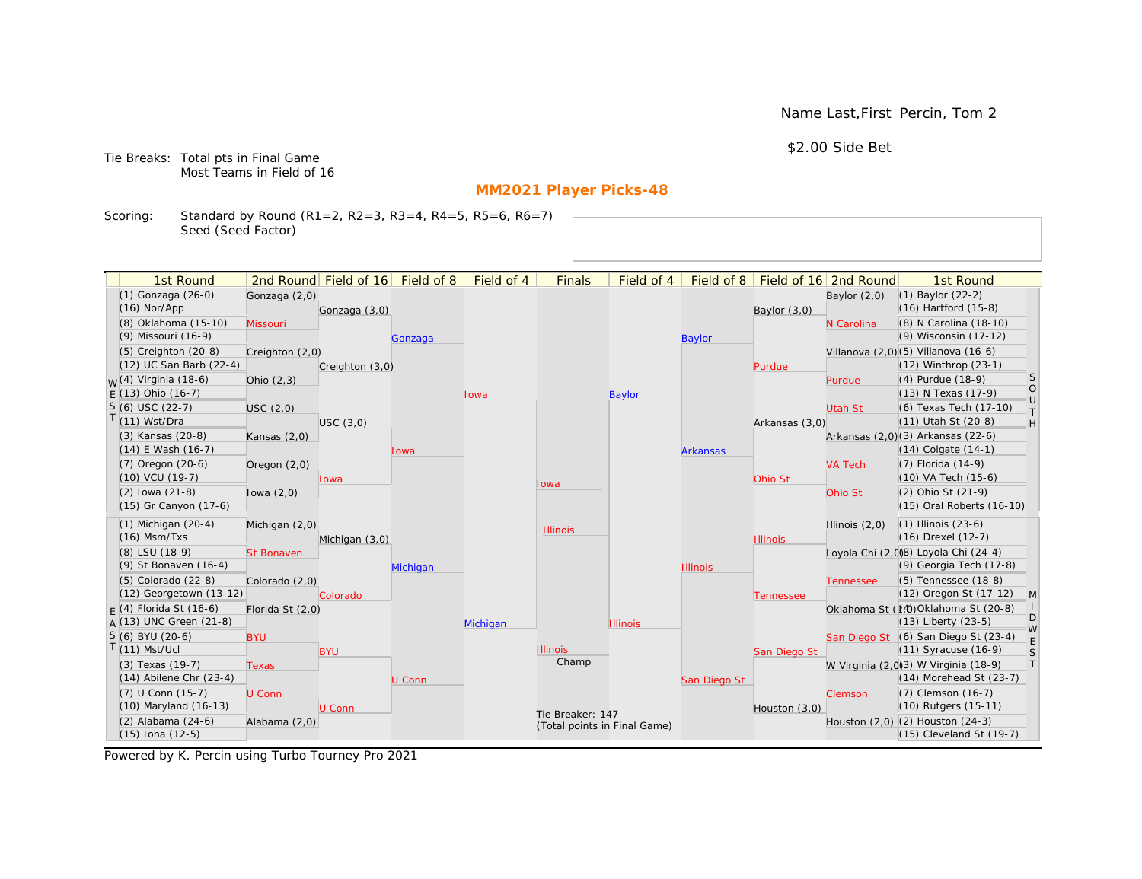Name Last,First Percin, Tom 2

\$2.00 Side Bet

Tie Breaks: Total pts in Final Game Most Teams in Field of 16

# **MM2021 Player Picks-48**

Scoring: Standard by Round (R1=2, R2=3, R3=4, R4=5, R5=6, R6=7) Seed (Seed Factor)

| 1st Round                        |                   | 2nd Round Field of 16 | Field of 8 | Field of 4 | <b>Finals</b>                | Field of 4      | Field of $8$    |                 | Field of 16 2nd Round | 1st Round                            |                   |
|----------------------------------|-------------------|-----------------------|------------|------------|------------------------------|-----------------|-----------------|-----------------|-----------------------|--------------------------------------|-------------------|
| (1) Gonzaga (26-0)               | Gonzaga (2,0)     |                       |            |            |                              |                 |                 |                 | Baylor $(2,0)$        | $(1)$ Baylor $(22-2)$                |                   |
| $(16)$ Nor/App                   |                   | Gonzaga (3,0)         |            |            |                              |                 |                 | Baylor (3,0)    |                       | $(16)$ Hartford $(15-8)$             |                   |
| (8) Oklahoma (15-10)             | Missouri          |                       |            |            |                              |                 |                 |                 | N Carolina            | (8) N Carolina (18-10)               |                   |
| (9) Missouri (16-9)              |                   |                       | Gonzaga    |            |                              |                 | <b>Baylor</b>   |                 |                       | (9) Wisconsin (17-12)                |                   |
| (5) Creighton (20-8)             | Creighton (2,0)   |                       |            |            |                              |                 |                 |                 |                       | Villanova (2,0)(5) Villanova (16-6)  |                   |
| (12) UC San Barb (22-4)          |                   | Creighton (3,0)       |            |            |                              |                 |                 | Purdue          |                       | (12) Winthrop (23-1)                 |                   |
| <sub>W</sub> (4) Virginia (18-6) | Ohio $(2,3)$      |                       |            |            |                              |                 |                 |                 | Purdue                | (4) Purdue (18-9)                    | <sub>S</sub>      |
| $E(13)$ Ohio (16-7)              |                   |                       |            | Iowa       |                              | <b>Baylor</b>   |                 |                 |                       | (13) N Texas (17-9)                  | $\circ$<br>$\cup$ |
| $S(6)$ USC (22-7)                | USC (2,0)         |                       |            |            |                              |                 |                 |                 | <b>Utah St</b>        | (6) Texas Tech (17-10)               | $\top$            |
| $T(11)$ Wst/Dra                  |                   | USC(3,0)              |            |            |                              |                 |                 | Arkansas (3,0)  |                       | (11) Utah St (20-8)                  | H                 |
| (3) Kansas (20-8)                | Kansas $(2,0)$    |                       |            |            |                              |                 |                 |                 |                       | Arkansas (2,0)(3) Arkansas (22-6)    |                   |
| $(14)$ E Wash $(16-7)$           |                   |                       | Iowa       |            |                              |                 | <b>Arkansas</b> |                 |                       | $(14)$ Colgate $(14-1)$              |                   |
| $(7)$ Oregon $(20-6)$            | Oregon $(2,0)$    |                       |            |            |                              |                 |                 |                 | <b>VA Tech</b>        | $(7)$ Florida $(14-9)$               |                   |
| $(10)$ VCU $(19-7)$              |                   | lowa                  |            |            | lowa                         |                 |                 | Ohio St         |                       | (10) VA Tech (15-6)                  |                   |
| $(2)$ lowa $(21-8)$              | lowa $(2,0)$      |                       |            |            |                              |                 |                 |                 | Ohio St               | (2) Ohio St (21-9)                   |                   |
| (15) Gr Canyon (17-6)            |                   |                       |            |            |                              |                 |                 |                 |                       | (15) Oral Roberts (16-10)            |                   |
| $(1)$ Michigan $(20-4)$          | Michigan (2,0)    |                       |            |            | <b>Illinois</b>              |                 |                 |                 | Illinois $(2,0)$      | $(1)$ Illinois $(23-6)$              |                   |
| $(16)$ Msm/Txs                   |                   | Michigan (3,0)        |            |            |                              |                 |                 | <b>Illinois</b> |                       | (16) Drexel (12-7)                   |                   |
| (8) LSU (18-9)                   | <b>St Bonaven</b> |                       |            |            |                              |                 |                 |                 |                       | Loyola Chi (2,0)8) Loyola Chi (24-4) |                   |
| (9) St Bonaven (16-4)            |                   |                       | Michigan   |            |                              |                 | <b>Illinois</b> |                 |                       | (9) Georgia Tech (17-8)              |                   |
| (5) Colorado (22-8)              | Colorado (2,0)    |                       |            |            |                              |                 |                 |                 | <b>Tennessee</b>      | (5) Tennessee (18-8)                 |                   |
| (12) Georgetown (13-12)          |                   | Colorado              |            |            |                              |                 |                 | Tennessee       |                       | (12) Oregon St (17-12)               | M                 |
| $F(4)$ Florida St (16-6)         | Florida St (2,0)  |                       |            |            |                              |                 |                 |                 |                       | Oklahoma St (14) Oklahoma St (20-8)  | D                 |
| $A(13)$ UNC Green (21-8)         |                   |                       |            | Michigan   |                              | <b>Illinois</b> |                 |                 |                       | $(13)$ Liberty $(23-5)$              | W                 |
| S (6) BYU (20-6)                 | <b>BYU</b>        |                       |            |            |                              |                 |                 |                 |                       | San Diego St (6) San Diego St (23-4) | E                 |
| $T(11)$ Mst/Ucl                  |                   | <b>BYU</b>            |            |            | <b>Illinois</b><br>Champ     |                 |                 | San Diego St    |                       | (11) Syracuse (16-9)                 | S                 |
| (3) Texas (19-7)                 | <b>Texas</b>      |                       |            |            |                              |                 |                 |                 |                       | W Virginia (2,0)3) W Virginia (18-9) | T                 |
| $(14)$ Abilene Chr $(23-4)$      |                   |                       | U Conn     |            |                              |                 | San Diego St    |                 |                       | $(14)$ Morehead St $(23-7)$          |                   |
| (7) U Conn (15-7)                | U Conn            |                       |            |            |                              |                 |                 |                 | Clemson               | (7) Clemson (16-7)                   |                   |
| (10) Maryland (16-13)            |                   | U Conn                |            |            | Tie Breaker: 147             |                 |                 | Houston $(3,0)$ |                       | (10) Rutgers (15-11)                 |                   |
| (2) Alabama (24-6)               | Alabama (2,0)     |                       |            |            | (Total points in Final Game) |                 |                 |                 |                       | Houston (2,0) (2) Houston (24-3)     |                   |
| $(15)$ Iona $(12-5)$             |                   |                       |            |            |                              |                 |                 |                 |                       | (15) Cleveland St (19-7)             |                   |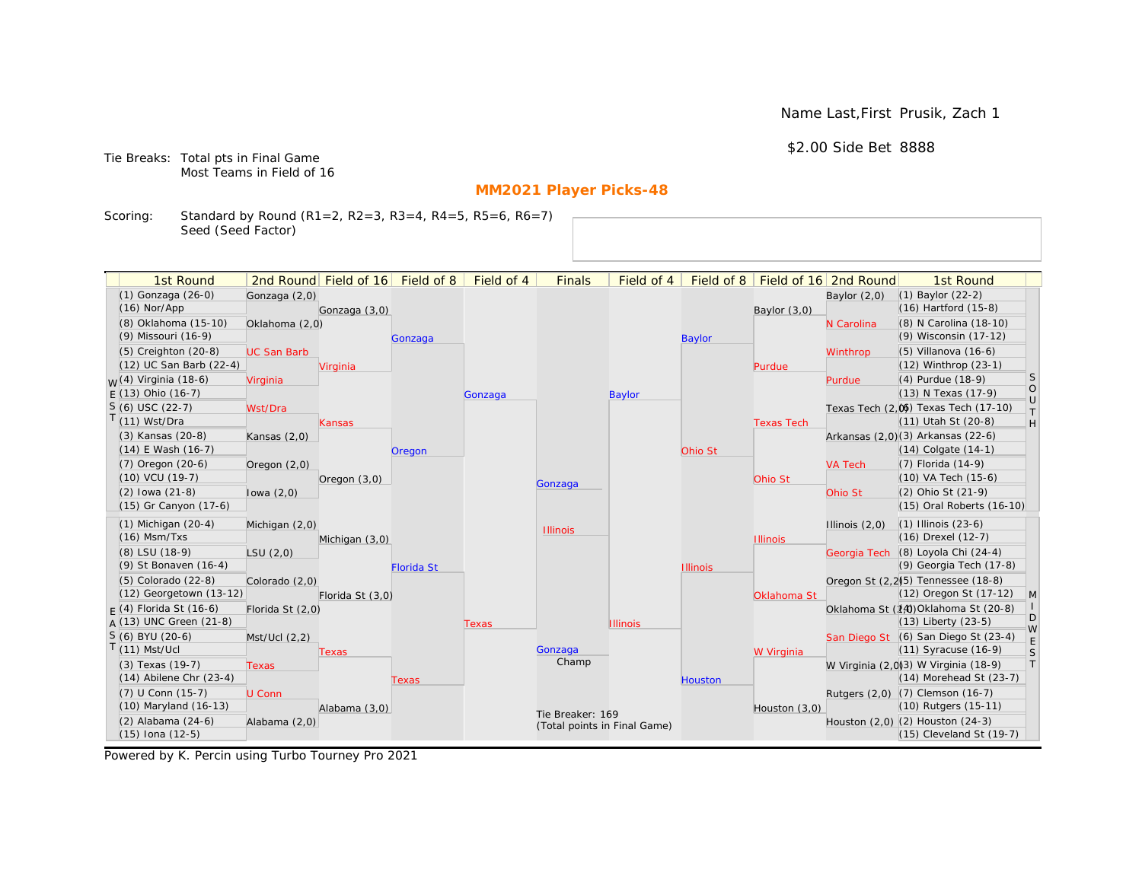Name Last,First Prusik, Zach 1

## \$2.00 Side Bet 8888

Tie Breaks: Total pts in Final Game Most Teams in Field of 16

# **MM2021 Player Picks-48**

Scoring: Standard by Round (R1=2, R2=3, R3=4, R4=5, R5=6, R6=7) Seed (Seed Factor)

| 1st Round                                       |                    | 2nd Round Field of 16 Field of 8 |                   | Field of 4 | <b>Finals</b>                | Field of 4      |                 |                   | Field of 8   Field of 16 2nd Round | 1st Round                                                        |                                                                   |
|-------------------------------------------------|--------------------|----------------------------------|-------------------|------------|------------------------------|-----------------|-----------------|-------------------|------------------------------------|------------------------------------------------------------------|-------------------------------------------------------------------|
| (1) Gonzaga (26-0)                              | Gonzaga (2,0)      |                                  |                   |            |                              |                 |                 |                   | Baylor $(2,0)$                     | $(1)$ Baylor $(22-2)$                                            |                                                                   |
| $(16)$ Nor/App                                  |                    | Gonzaga (3,0)                    |                   |            |                              |                 |                 | Baylor $(3,0)$    |                                    | $(16)$ Hartford $(15-8)$                                         |                                                                   |
| (8) Oklahoma (15-10)                            | Oklahoma (2,0)     |                                  |                   |            |                              |                 |                 |                   | N Carolina                         | (8) N Carolina (18-10)                                           |                                                                   |
| (9) Missouri (16-9)                             |                    |                                  | Gonzaga           |            |                              |                 | <b>Baylor</b>   |                   |                                    | (9) Wisconsin (17-12)                                            |                                                                   |
| (5) Creighton (20-8)                            | <b>UC San Barb</b> |                                  |                   |            |                              |                 |                 |                   | Winthrop                           | $(5)$ Villanova $(16-6)$                                         |                                                                   |
| (12) UC San Barb (22-4)                         |                    | Virginia                         |                   |            |                              |                 |                 | Purdue            |                                    | (12) Winthrop (23-1)                                             |                                                                   |
| <sub>W</sub> (4) Virginia (18-6)                | Virginia           |                                  |                   |            |                              |                 |                 |                   | Purdue                             | (4) Purdue (18-9)                                                | <b>S</b>                                                          |
| $E(13)$ Ohio (16-7)                             |                    |                                  |                   | Gonzaga    |                              | <b>Baylor</b>   |                 |                   |                                    | (13) N Texas (17-9)                                              | $\circ$<br>$\cup$                                                 |
| $S(6)$ USC (22-7)                               | Wst/Dra            |                                  |                   |            |                              |                 |                 |                   |                                    | Texas Tech (2,0) Texas Tech (17-10)                              | $\top$                                                            |
| $T(11)$ Wst/Dra                                 |                    | Kansas                           |                   |            |                              |                 |                 | <b>Texas Tech</b> |                                    | (11) Utah St (20-8)                                              | $\mathsf{H}% _{\mathsf{H}}^{\ast}=\mathsf{H}_{\mathsf{H}}^{\ast}$ |
| (3) Kansas (20-8)                               | Kansas $(2,0)$     |                                  |                   |            |                              |                 |                 |                   |                                    | Arkansas (2,0)(3) Arkansas (22-6)                                |                                                                   |
| (14) E Wash (16-7)                              |                    |                                  | Oregon            |            |                              |                 | Ohio St         |                   |                                    | $(14)$ Colgate $(14-1)$                                          |                                                                   |
| $(7)$ Oregon $(20-6)$                           | Oregon (2,0)       |                                  |                   |            |                              |                 |                 |                   | <b>VA Tech</b>                     | (7) Florida (14-9)                                               |                                                                   |
| $(10)$ VCU $(19-7)$                             |                    | Oregon $(3,0)$                   |                   |            | Gonzaga                      |                 |                 | Ohio St           |                                    | (10) VA Tech (15-6)                                              |                                                                   |
| $(2)$ lowa $(21-8)$                             | lowa $(2,0)$       |                                  |                   |            |                              |                 |                 |                   | Ohio St                            | (2) Ohio St (21-9)                                               |                                                                   |
| (15) Gr Canyon (17-6)                           |                    |                                  |                   |            |                              |                 |                 |                   |                                    | (15) Oral Roberts (16-10)                                        |                                                                   |
| $(1)$ Michigan $(20-4)$                         | Michigan (2,0)     |                                  |                   |            | <b>Illinois</b>              |                 |                 |                   | Illinois $(2,0)$                   | $(1)$ Illinois $(23-6)$                                          |                                                                   |
| $(16)$ Msm/Txs                                  |                    | Michigan (3,0)                   |                   |            |                              |                 |                 | <b>Illinois</b>   |                                    | (16) Drexel (12-7)                                               |                                                                   |
| (8) LSU (18-9)                                  | LSU(2,0)           |                                  |                   |            |                              |                 |                 |                   |                                    | Georgia Tech (8) Loyola Chi (24-4)                               |                                                                   |
| (9) St Bonaven (16-4)                           |                    |                                  | <b>Florida St</b> |            |                              |                 | <b>Illinois</b> |                   |                                    | (9) Georgia Tech (17-8)                                          |                                                                   |
| (5) Colorado (22-8)                             | Colorado (2,0)     |                                  |                   |            |                              |                 |                 |                   |                                    | Oregon St (2,2) <sup>5</sup> ) Tennessee (18-8)                  |                                                                   |
| (12) Georgetown (13-12)                         |                    | Florida St (3,0)                 |                   |            |                              |                 |                 | Oklahoma St       |                                    | (12) Oregon St (17-12)                                           | M                                                                 |
| $F(4)$ Florida St (16-6)                        | Florida St (2,0)   |                                  |                   |            |                              |                 |                 |                   |                                    | Oklahoma St (14) Oklahoma St (20-8)                              | D                                                                 |
| $A(13)$ UNC Green (21-8)                        |                    |                                  |                   | Texas      |                              | <b>Illinois</b> |                 |                   |                                    | $(13)$ Liberty $(23-5)$                                          | W                                                                 |
| $S(6)$ BYU (20-6)<br>$T(11)$ Mst/Ucl            | Mst/Ucl(2,2)       |                                  |                   |            | Gonzaga                      |                 |                 |                   |                                    | San Diego St (6) San Diego St (23-4)<br>(11) Syracuse (16-9)     | $\mathsf E$                                                       |
|                                                 |                    | Texas                            |                   |            | Champ                        |                 |                 | W Virginia        |                                    |                                                                  | $\mathsf S$<br> T                                                 |
| (3) Texas (19-7)<br>$(14)$ Abilene Chr $(23-4)$ | <b>Texas</b>       |                                  |                   |            |                              |                 |                 |                   |                                    | W Virginia (2,0)(3) W Virginia (18-9)<br>(14) Morehead St (23-7) |                                                                   |
| (7) U Conn (15-7)                               | U Conn             |                                  | Texas             |            |                              |                 | <b>Houston</b>  |                   |                                    | Rutgers (2,0) (7) Clemson (16-7)                                 |                                                                   |
| (10) Maryland (16-13)                           |                    | Alabama (3,0)                    |                   |            |                              |                 |                 | Houston (3,0)     |                                    | (10) Rutgers (15-11)                                             |                                                                   |
| (2) Alabama (24-6)                              | Alabama (2,0)      |                                  |                   |            | Tie Breaker: 169             |                 |                 |                   |                                    | Houston (2,0) (2) Houston (24-3)                                 |                                                                   |
| (15) Iona (12-5)                                |                    |                                  |                   |            | (Total points in Final Game) |                 |                 |                   |                                    | (15) Cleveland St (19-7)                                         |                                                                   |
|                                                 |                    |                                  |                   |            |                              |                 |                 |                   |                                    |                                                                  |                                                                   |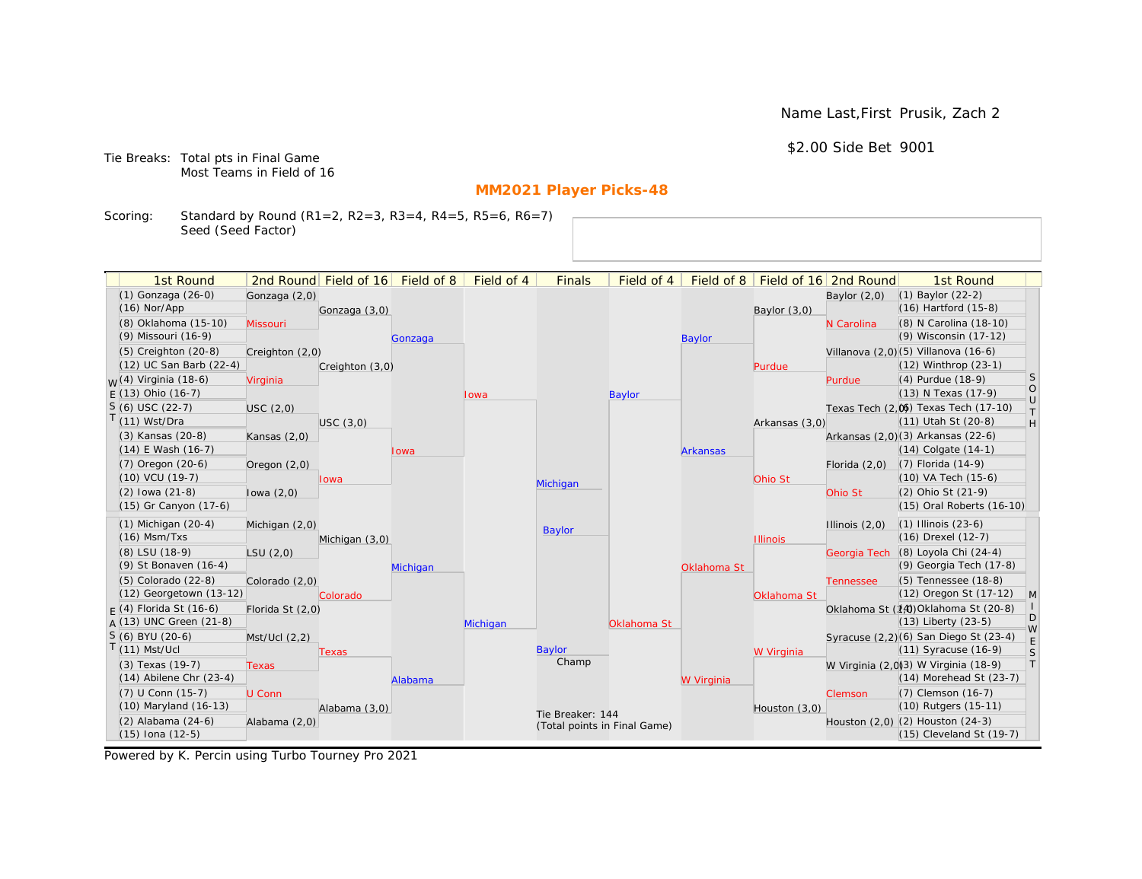Name Last,First Prusik, Zach 2

\$2.00 Side Bet 9001

Tie Breaks: Total pts in Final Game Most Teams in Field of 16

# **MM2021 Player Picks-48**

Scoring: Standard by Round (R1=2, R2=3, R3=4, R4=5, R5=6, R6=7) Seed (Seed Factor)

| 1st Round                   |                  | 2nd Round Field of 16 | Field of 8 | Field of 4 | <b>Finals</b>                | Field of 4    | Field of 8      |                 | Field of 16 2nd Round | 1st Round                             |                   |
|-----------------------------|------------------|-----------------------|------------|------------|------------------------------|---------------|-----------------|-----------------|-----------------------|---------------------------------------|-------------------|
| (1) Gonzaga (26-0)          | Gonzaga (2,0)    |                       |            |            |                              |               |                 |                 | Baylor $(2,0)$        | $(1)$ Baylor $(22-2)$                 |                   |
| $(16)$ Nor/App              |                  | Gonzaga (3,0)         |            |            |                              |               |                 | Baylor $(3,0)$  |                       | (16) Hartford (15-8)                  |                   |
| (8) Oklahoma (15-10)        | Missouri         |                       |            |            |                              |               |                 |                 | N Carolina            | (8) N Carolina (18-10)                |                   |
| (9) Missouri (16-9)         |                  |                       | Gonzaga    |            |                              |               | <b>Baylor</b>   |                 |                       | (9) Wisconsin (17-12)                 |                   |
| $(5)$ Creighton $(20-8)$    | Creighton (2,0)  |                       |            |            |                              |               |                 |                 |                       | Villanova (2,0)(5) Villanova (16-6)   |                   |
| (12) UC San Barb (22-4)     |                  | Creighton (3,0)       |            |            |                              |               |                 | Purdue          |                       | (12) Winthrop (23-1)                  |                   |
| $M(4)$ Virginia (18-6)      | Virginia         |                       |            |            |                              |               |                 |                 | Purdue                | (4) Purdue (18-9)                     | <sub>S</sub>      |
| $F(13)$ Ohio (16-7)         |                  |                       |            | Iowa       |                              | <b>Baylor</b> |                 |                 |                       | (13) N Texas (17-9)                   | $\circ$<br>$\cup$ |
| $S(6)$ USC (22-7)           | USC(2,0)         |                       |            |            |                              |               |                 |                 |                       | Texas Tech (2.06) Texas Tech (17-10)  | $\top$            |
| $T(11)$ Wst/Dra             |                  | USC(3,0)              |            |            |                              |               |                 | Arkansas (3,0)  |                       | (11) Utah St (20-8)                   | H                 |
| (3) Kansas (20-8)           | Kansas $(2,0)$   |                       |            |            |                              |               |                 |                 |                       | Arkansas (2,0)(3) Arkansas (22-6)     |                   |
| $(14)$ E Wash $(16-7)$      |                  |                       | Iowa       |            |                              |               | <b>Arkansas</b> |                 |                       | (14) Colgate (14-1)                   |                   |
| (7) Oregon (20-6)           | Oregon $(2,0)$   |                       |            |            |                              |               |                 |                 | Florida $(2,0)$       | (7) Florida (14-9)                    |                   |
| (10) VCU (19-7)             |                  | lowa                  |            |            | Michigan                     |               |                 | Ohio St         |                       | (10) VA Tech (15-6)                   |                   |
| $(2)$ lowa $(21-8)$         | lowa $(2,0)$     |                       |            |            |                              |               |                 |                 | Ohio St               | (2) Ohio St (21-9)                    |                   |
| (15) Gr Canyon (17-6)       |                  |                       |            |            |                              |               |                 |                 |                       | (15) Oral Roberts (16-10)             |                   |
| $(1)$ Michigan $(20-4)$     | Michigan (2,0)   |                       |            |            | <b>Baylor</b>                |               |                 |                 | Illinois $(2,0)$      | $(1)$ Illinois $(23-6)$               |                   |
| $(16)$ Msm/Txs              |                  | Michigan (3,0)        |            |            |                              |               |                 | <b>Illinois</b> |                       | (16) Drexel (12-7)                    |                   |
| (8) LSU (18-9)              | LSU(2,0)         |                       |            |            |                              |               |                 |                 | Georgia Tech          | (8) Loyola Chi (24-4)                 |                   |
| (9) St Bonaven (16-4)       |                  |                       | Michigan   |            |                              |               | Oklahoma St     |                 |                       | (9) Georgia Tech (17-8)               |                   |
| $(5)$ Colorado $(22-8)$     | Colorado (2,0)   |                       |            |            |                              |               |                 |                 | <b>Tennessee</b>      | (5) Tennessee (18-8)                  |                   |
| (12) Georgetown (13-12)     |                  | Colorado              |            |            |                              |               |                 | Oklahoma St     |                       | (12) Oregon St (17-12)                | $\mathsf{M}$      |
| $F(4)$ Florida St (16-6)    | Florida St (2,0) |                       |            |            |                              |               |                 |                 |                       | Oklahoma St (14) Oklahoma St (20-8)   | D                 |
| A (13) UNC Green (21-8)     |                  |                       |            | Michigan   |                              | Oklahoma St   |                 |                 |                       | (13) Liberty (23-5)                   | W                 |
| S (6) BYU (20-6)            | Mst/Ucl (2,2)    |                       |            |            |                              |               |                 |                 |                       | Syracuse (2,2)(6) San Diego St (23-4) | E                 |
| $T(11)$ Mst/Ucl             |                  | Texas                 |            |            | Baylor<br>Champ              |               |                 | W Virginia      |                       | (11) Syracuse (16-9)                  | S                 |
| (3) Texas (19-7)            | <b>Texas</b>     |                       |            |            |                              |               |                 |                 |                       | W Virginia (2,0)3) W Virginia (18-9)  | $\top$            |
| $(14)$ Abilene Chr $(23-4)$ |                  |                       | Alabama    |            |                              |               | W Virginia      |                 |                       | (14) Morehead St (23-7)               |                   |
| (7) U Conn (15-7)           | U Conn           |                       |            |            |                              |               |                 |                 | Clemson               | (7) Clemson (16-7)                    |                   |
| (10) Maryland (16-13)       |                  | Alabama (3,0)         |            |            | Tie Breaker: 144             |               |                 | Houston (3,0)   |                       | (10) Rutgers (15-11)                  |                   |
| $(2)$ Alabama $(24-6)$      | Alabama (2,0)    |                       |            |            | (Total points in Final Game) |               |                 |                 |                       | Houston (2,0) (2) Houston (24-3)      |                   |
| $(15)$ Iona $(12-5)$        |                  |                       |            |            |                              |               |                 |                 |                       | (15) Cleveland St (19-7)              |                   |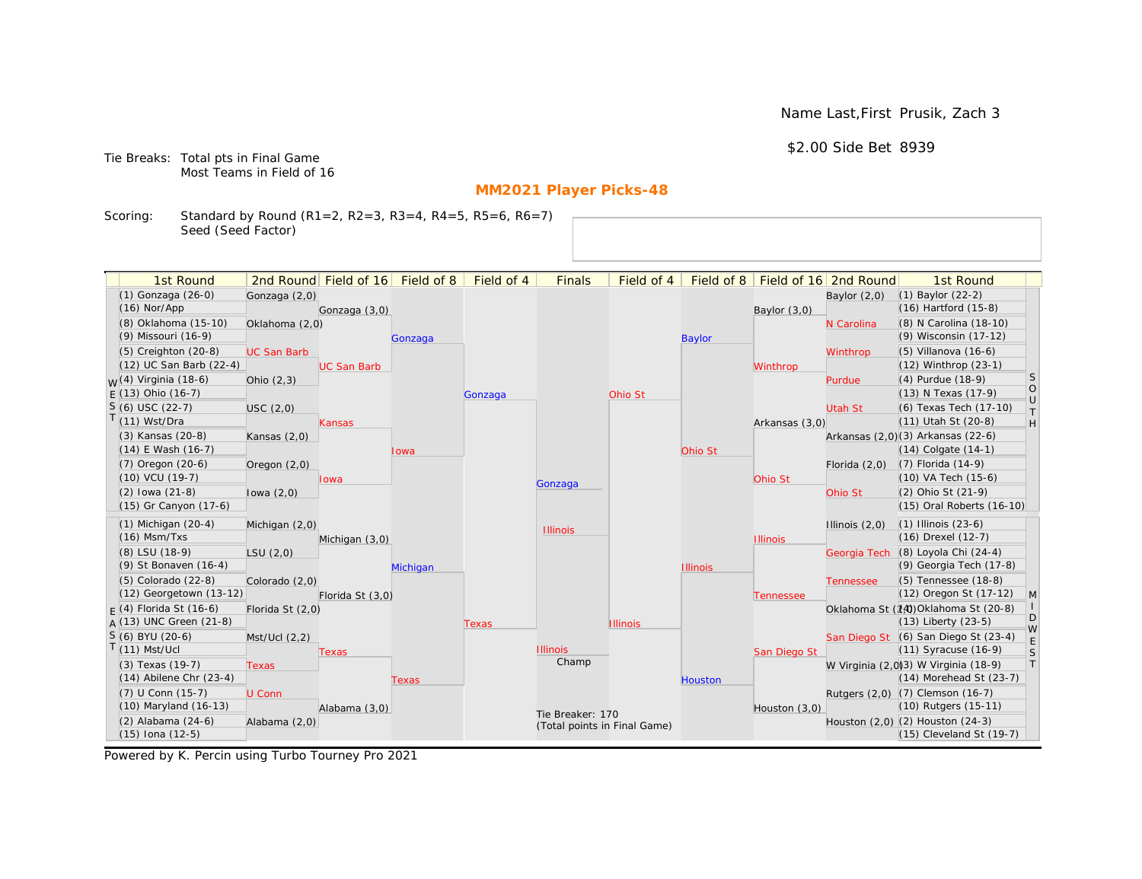Name Last,First Prusik, Zach 3

\$2.00 Side Bet 8939

Tie Breaks: Total pts in Final Game Most Teams in Field of 16

# **MM2021 Player Picks-48**

Scoring: Standard by Round (R1=2, R2=3, R3=4, R4=5, R5=6, R6=7) Seed (Seed Factor)

| 1st Round                         |                    | 2nd Round Field of 16 Field of 8 |          | Field of 4 | <b>Finals</b>                | Field of 4      |                 |                 | Field of 8   Field of 16   2nd Round | 1st Round                                                        |                                                                   |
|-----------------------------------|--------------------|----------------------------------|----------|------------|------------------------------|-----------------|-----------------|-----------------|--------------------------------------|------------------------------------------------------------------|-------------------------------------------------------------------|
| (1) Gonzaga (26-0)                | Gonzaga (2,0)      |                                  |          |            |                              |                 |                 |                 | Baylor $(2,0)$                       | $(1)$ Baylor $(22-2)$                                            |                                                                   |
| $(16)$ Nor/App                    |                    | Gonzaga (3,0)                    |          |            |                              |                 |                 | Baylor $(3,0)$  |                                      | $(16)$ Hartford $(15-8)$                                         |                                                                   |
| (8) Oklahoma (15-10)              | Oklahoma (2,0)     |                                  |          |            |                              |                 |                 |                 | N Carolina                           | (8) N Carolina (18-10)                                           |                                                                   |
| (9) Missouri (16-9)               |                    |                                  | Gonzaga  |            |                              |                 | <b>Baylor</b>   |                 |                                      | (9) Wisconsin (17-12)                                            |                                                                   |
| $(5)$ Creighton $(20-8)$          | <b>UC San Barb</b> |                                  |          |            |                              |                 |                 |                 | Winthrop                             | $(5)$ Villanova $(16-6)$                                         |                                                                   |
| (12) UC San Barb (22-4)           |                    | <b>UC San Barb</b>               |          |            |                              |                 |                 | Winthrop        |                                      | (12) Winthrop (23-1)                                             |                                                                   |
| <sub>M</sub> /(4) Virginia (18-6) | Ohio $(2,3)$       |                                  |          |            |                              |                 |                 |                 | Purdue                               | (4) Purdue (18-9)                                                | <b>S</b>                                                          |
| $E(13)$ Ohio (16-7)               |                    |                                  |          | Gonzaga    |                              | Ohio St         |                 |                 |                                      | (13) N Texas (17-9)                                              | $\circ$                                                           |
| $S(6)$ USC (22-7)                 | USC(2,0)           |                                  |          |            |                              |                 |                 |                 | <b>Utah St</b>                       | (6) Texas Tech (17-10)                                           | $\cup$<br>$\top$                                                  |
| $T(11)$ Wst/Dra                   |                    | <b>Kansas</b>                    |          |            |                              |                 |                 | Arkansas (3,0)  |                                      | (11) Utah St (20-8)                                              | $\mathsf{H}% _{\mathsf{H}}^{\ast}=\mathsf{H}_{\mathsf{H}}^{\ast}$ |
| (3) Kansas (20-8)                 | Kansas $(2,0)$     |                                  |          |            |                              |                 |                 |                 |                                      | Arkansas (2,0)(3) Arkansas (22-6)                                |                                                                   |
| (14) E Wash (16-7)                |                    |                                  | lowa     |            |                              |                 | Ohio St         |                 |                                      | $(14)$ Colgate $(14-1)$                                          |                                                                   |
| (7) Oregon (20-6)                 | Oregon $(2,0)$     |                                  |          |            |                              |                 |                 |                 | Florida $(2,0)$                      | (7) Florida (14-9)                                               |                                                                   |
| $(10)$ VCU $(19-7)$               |                    | Iowa                             |          |            | Gonzaga                      |                 |                 | Ohio St         |                                      | (10) VA Tech (15-6)                                              |                                                                   |
| $(2)$ lowa $(21-8)$               | lowa $(2,0)$       |                                  |          |            |                              |                 |                 |                 | Ohio St                              | (2) Ohio St (21-9)                                               |                                                                   |
| (15) Gr Canyon (17-6)             |                    |                                  |          |            |                              |                 |                 |                 |                                      | (15) Oral Roberts (16-10)                                        |                                                                   |
| $(1)$ Michigan $(20-4)$           | Michigan (2,0)     |                                  |          |            | <b>Illinois</b>              |                 |                 |                 | Illinois $(2,0)$                     | $(1)$ Illinois $(23-6)$                                          |                                                                   |
| $(16)$ Msm/Txs                    |                    | Michigan (3,0)                   |          |            |                              |                 |                 | <b>Illinois</b> |                                      | (16) Drexel (12-7)                                               |                                                                   |
| (8) LSU (18-9)                    | LSU(2,0)           |                                  |          |            |                              |                 |                 |                 | Georgia Tech                         | (8) Loyola Chi (24-4)                                            |                                                                   |
| (9) St Bonaven (16-4)             |                    |                                  | Michigan |            |                              |                 | <b>Illinois</b> |                 |                                      | (9) Georgia Tech (17-8)                                          |                                                                   |
| (5) Colorado (22-8)               | Colorado (2,0)     |                                  |          |            |                              |                 |                 |                 | <b>Tennessee</b>                     | (5) Tennessee (18-8)                                             |                                                                   |
| (12) Georgetown (13-12)           |                    | Florida St (3,0)                 |          |            |                              |                 |                 | Tennessee       |                                      | (12) Oregon St (17-12)                                           | $\mathsf{M}$                                                      |
| $F(4)$ Florida St (16-6)          | Florida St (2,0)   |                                  |          |            |                              |                 |                 |                 |                                      | Oklahoma St (14) Oklahoma St (20-8)                              | D                                                                 |
| A (13) UNC Green (21-8)           |                    |                                  |          | Texas      |                              | <b>Illinois</b> |                 |                 |                                      | $(13)$ Liberty $(23-5)$                                          | W                                                                 |
| S (6) BYU (20-6)                  | Mst/Ucl(2,2)       |                                  |          |            |                              |                 |                 |                 |                                      | San Diego St (6) San Diego St (23-4)                             | E                                                                 |
| $(11)$ Mst/Ucl                    |                    | Texas                            |          |            | <b>Illinois</b><br>Champ     |                 |                 | San Diego St    |                                      | $(11)$ Syracuse $(16-9)$                                         | S                                                                 |
| (3) Texas (19-7)                  | <b>Texas</b>       |                                  |          |            |                              |                 |                 |                 |                                      | W Virginia (2,0)(3) W Virginia (18-9)                            | T                                                                 |
| $(14)$ Abilene Chr $(23-4)$       |                    |                                  | Texas    |            |                              |                 | <b>Houston</b>  |                 |                                      | $(14)$ Morehead St $(23-7)$                                      |                                                                   |
| (7) U Conn (15-7)                 | U Conn             |                                  |          |            |                              |                 |                 |                 |                                      | Rutgers (2,0) (7) Clemson (16-7)                                 |                                                                   |
| $(10)$ Maryland $(16-13)$         |                    | Alabama (3,0)                    |          |            | Tie Breaker: 170             |                 |                 | Houston $(3,0)$ |                                      | (10) Rutgers (15-11)                                             |                                                                   |
| (2) Alabama (24-6)                | Alabama (2,0)      |                                  |          |            | (Total points in Final Game) |                 |                 |                 |                                      | Houston (2,0) (2) Houston (24-3)<br>$(15)$ Cleveland St $(19-7)$ |                                                                   |
| (15) Iona (12-5)                  |                    |                                  |          |            |                              |                 |                 |                 |                                      |                                                                  |                                                                   |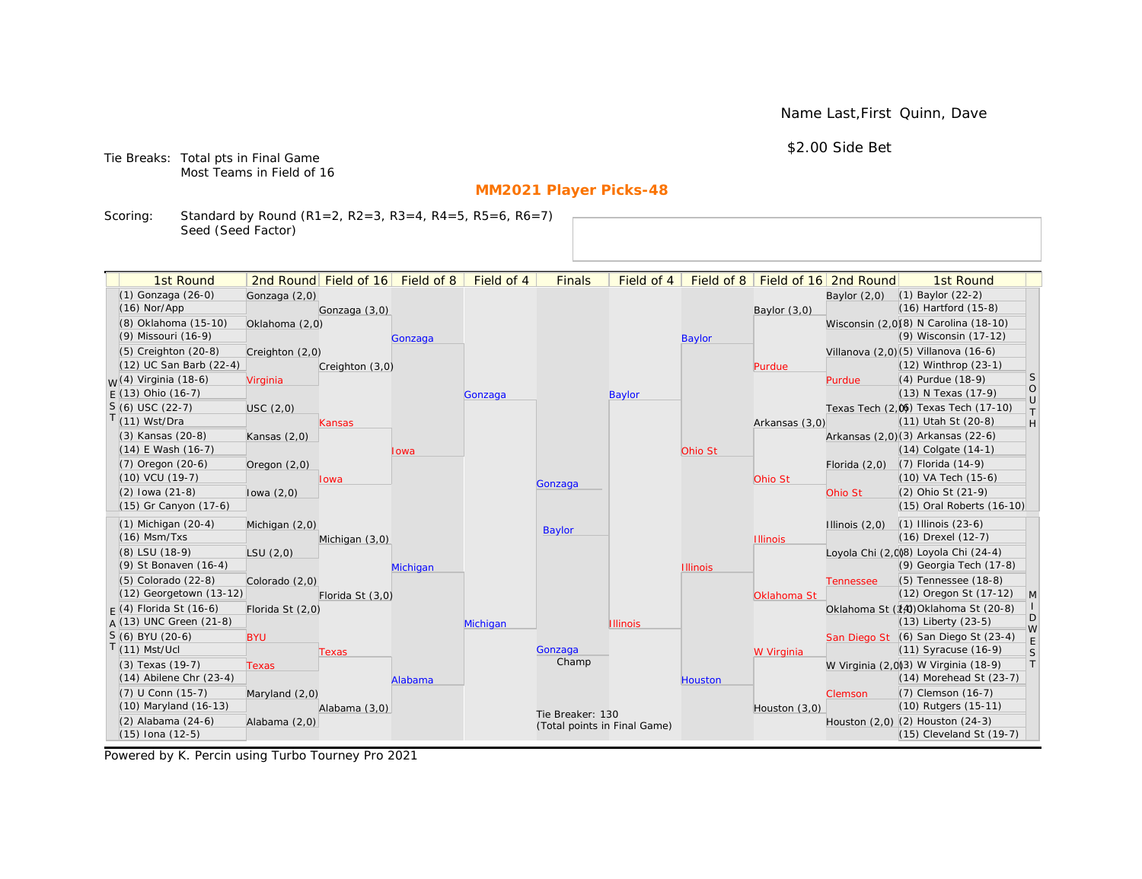Name Last,First Quinn, Dave

\$2.00 Side Bet

Tie Breaks: Total pts in Final Game Most Teams in Field of 16

# **MM2021 Player Picks-48**

Scoring: Standard by Round (R1=2, R2=3, R3=4, R4=5, R5=6, R6=7) Seed (Seed Factor)

| 1st Round                        |                  | 2nd Round Field of 16 | Field of 8 | Field of 4 | <b>Finals</b>                | Field of 4      | Field of 8      |                 | Field of 16 2nd Round | 1st Round                             |                   |
|----------------------------------|------------------|-----------------------|------------|------------|------------------------------|-----------------|-----------------|-----------------|-----------------------|---------------------------------------|-------------------|
| (1) Gonzaga (26-0)               | Gonzaga (2,0)    |                       |            |            |                              |                 |                 |                 | Baylor $(2,0)$        | $(1)$ Baylor $(22-2)$                 |                   |
| $(16)$ Nor/App                   |                  | Gonzaga (3,0)         |            |            |                              |                 |                 | Baylor (3,0)    |                       | $(16)$ Hartford $(15-8)$              |                   |
| (8) Oklahoma (15-10)             | Oklahoma (2,0)   |                       |            |            |                              |                 |                 |                 |                       | Wisconsin (2,0)(8) N Carolina (18-10) |                   |
| (9) Missouri (16-9)              |                  |                       | Gonzaga    |            |                              |                 | <b>Baylor</b>   |                 |                       | (9) Wisconsin (17-12)                 |                   |
| (5) Creighton (20-8)             | Creighton (2,0)  |                       |            |            |                              |                 |                 |                 |                       | Villanova (2,0)(5) Villanova (16-6)   |                   |
| (12) UC San Barb (22-4)          |                  | Creighton (3,0)       |            |            |                              |                 |                 | Purdue          |                       | (12) Winthrop (23-1)                  |                   |
| <sub>W</sub> (4) Virginia (18-6) | Virginia         |                       |            |            |                              |                 |                 |                 | Purdue                | (4) Purdue (18-9)                     | <b>S</b>          |
| $E(13)$ Ohio (16-7)              |                  |                       |            | Gonzaga    |                              | <b>Baylor</b>   |                 |                 |                       | (13) N Texas (17-9)                   | $\circ$<br>$\cup$ |
| $S(6)$ USC (22-7)                | USC(2,0)         |                       |            |            |                              |                 |                 |                 |                       | Texas Tech (2,0) Texas Tech (17-10)   | $\top$            |
| T(11) Wst/Dra                    |                  | Kansas                |            |            |                              |                 |                 | Arkansas (3,0)  |                       | (11) Utah St (20-8)                   | H                 |
| (3) Kansas (20-8)                | Kansas $(2,0)$   |                       |            |            |                              |                 |                 |                 |                       | Arkansas (2,0)(3) Arkansas (22-6)     |                   |
| $(14)$ E Wash $(16-7)$           |                  |                       | Iowa       |            |                              |                 | Ohio St         |                 |                       | $(14)$ Colgate $(14-1)$               |                   |
| (7) Oregon (20-6)                | Oregon $(2,0)$   |                       |            |            |                              |                 |                 |                 | Florida $(2,0)$       | $(7)$ Florida $(14-9)$                |                   |
| (10) VCU (19-7)                  |                  | lowa                  |            |            | Gonzaga                      |                 |                 | Ohio St         |                       | (10) VA Tech (15-6)                   |                   |
| $(2)$ lowa $(21-8)$              | lowa $(2,0)$     |                       |            |            |                              |                 |                 |                 | Ohio St               | (2) Ohio St (21-9)                    |                   |
| (15) Gr Canyon (17-6)            |                  |                       |            |            |                              |                 |                 |                 |                       | (15) Oral Roberts (16-10)             |                   |
| $(1)$ Michigan $(20-4)$          | Michigan (2,0)   |                       |            |            | <b>Baylor</b>                |                 |                 |                 | Illinois $(2,0)$      | $(1)$ Illinois $(23-6)$               |                   |
| $(16)$ Msm/Txs                   |                  | Michigan (3,0)        |            |            |                              |                 |                 | <b>Illinois</b> |                       | (16) Drexel (12-7)                    |                   |
| (8) LSU (18-9)                   | LSU(2,0)         |                       |            |            |                              |                 |                 |                 |                       | Loyola Chi (2,0)8) Loyola Chi (24-4)  |                   |
| (9) St Bonaven (16-4)            |                  |                       | Michigan   |            |                              |                 | <b>Illinois</b> |                 |                       | (9) Georgia Tech (17-8)               |                   |
| (5) Colorado (22-8)              | Colorado (2,0)   |                       |            |            |                              |                 |                 |                 | <b>Tennessee</b>      | (5) Tennessee (18-8)                  |                   |
| (12) Georgetown (13-12)          |                  | Florida St (3,0)      |            |            |                              |                 |                 | Oklahoma St     |                       | (12) Oregon St (17-12)                | M                 |
| $F(4)$ Florida St (16-6)         | Florida St (2,0) |                       |            |            |                              |                 |                 |                 |                       | Oklahoma St (14) Oklahoma St (20-8)   | D                 |
| $A(13)$ UNC Green (21-8)         |                  |                       |            | Michigan   |                              | <b>Illinois</b> |                 |                 |                       | $(13)$ Liberty $(23-5)$               | W                 |
| S (6) BYU (20-6)                 | <b>BYU</b>       |                       |            |            |                              |                 |                 |                 |                       | San Diego St (6) San Diego St (23-4)  | E                 |
| $T(11)$ Mst/Ucl                  |                  | Texas                 |            |            | Gonzaga<br>Champ             |                 |                 | W Virginia      |                       | $(11)$ Syracuse $(16-9)$              | S                 |
| (3) Texas (19-7)                 | <b>Texas</b>     |                       |            |            |                              |                 |                 |                 |                       | W Virginia (2,0)3) W Virginia (18-9)  | T                 |
| $(14)$ Abilene Chr $(23-4)$      |                  |                       | Alabama    |            |                              |                 | <b>Houston</b>  |                 |                       | (14) Morehead St (23-7)               |                   |
| (7) U Conn (15-7)                | Maryland (2,0)   |                       |            |            |                              |                 |                 |                 | Clemson               | (7) Clemson (16-7)                    |                   |
| (10) Maryland (16-13)            |                  | Alabama (3,0)         |            |            | Tie Breaker: 130             |                 |                 | Houston $(3,0)$ |                       | (10) Rutgers (15-11)                  |                   |
| (2) Alabama (24-6)               | Alabama (2,0)    |                       |            |            | (Total points in Final Game) |                 |                 |                 |                       | Houston (2,0) (2) Houston (24-3)      |                   |
| $(15)$ Iona $(12-5)$             |                  |                       |            |            |                              |                 |                 |                 |                       | (15) Cleveland St (19-7)              |                   |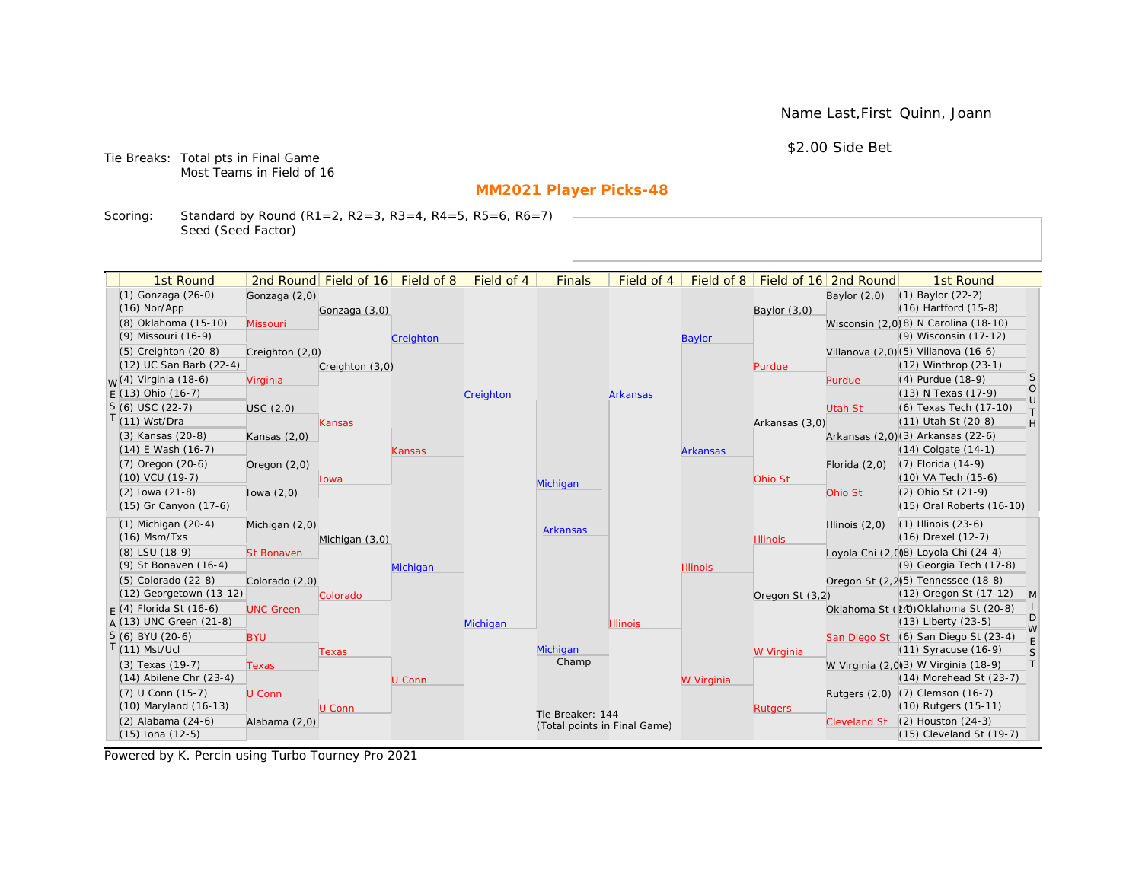Name Last,First Quinn, Joann

\$2.00 Side Bet

Tie Breaks: Total pts in Final Game Most Teams in Field of 16

# **MM2021 Player Picks-48**

Scoring: Standard by Round (R1=2, R2=3, R3=4, R4=5, R5=6, R6=7) Seed (Seed Factor)

| 1st Round                   |                   | 2nd Round Field of 16 | Field of 8 | Field of 4 | <b>Finals</b>                | Field of 4      | Field of 8      |                 | Field of 16 2nd Round | 1st Round                                       |                   |
|-----------------------------|-------------------|-----------------------|------------|------------|------------------------------|-----------------|-----------------|-----------------|-----------------------|-------------------------------------------------|-------------------|
| (1) Gonzaga (26-0)          | Gonzaga (2,0)     |                       |            |            |                              |                 |                 |                 | Baylor $(2,0)$        | $(1)$ Baylor $(22-2)$                           |                   |
| $(16)$ Nor/App              |                   | Gonzaga (3,0)         |            |            |                              |                 |                 | Baylor $(3,0)$  |                       | (16) Hartford (15-8)                            |                   |
| (8) Oklahoma (15-10)        | Missouri          |                       |            |            |                              |                 |                 |                 |                       | Wisconsin (2,0)(8) N Carolina (18-10)           |                   |
| (9) Missouri (16-9)         |                   |                       | Creighton  |            |                              |                 | <b>Baylor</b>   |                 |                       | (9) Wisconsin (17-12)                           |                   |
| (5) Creighton (20-8)        | Creighton (2,0)   |                       |            |            |                              |                 |                 |                 |                       | Villanova (2,0)(5) Villanova (16-6)             |                   |
| (12) UC San Barb (22-4)     |                   | Creighton (3,0)       |            |            |                              |                 |                 | Purdue          |                       | (12) Winthrop (23-1)                            |                   |
| $M(4)$ Virginia (18-6)      | Virginia          |                       |            |            |                              |                 |                 |                 | Purdue                | (4) Purdue (18-9)                               | <sub>S</sub>      |
| $F(13)$ Ohio (16-7)         |                   |                       |            | Creighton  |                              | <b>Arkansas</b> |                 |                 |                       | (13) N Texas (17-9)                             | $\circ$<br>$\cup$ |
| $S(6)$ USC (22-7)           | USC(2,0)          |                       |            |            |                              |                 |                 |                 | Utah St               | (6) Texas Tech (17-10)                          | T                 |
| $T(11)$ Wst/Dra             |                   | Kansas                |            |            |                              |                 |                 | Arkansas (3,0)  |                       | (11) Utah St (20-8)                             | H                 |
| (3) Kansas (20-8)           | Kansas $(2,0)$    |                       |            |            |                              |                 |                 |                 |                       | Arkansas (2,0)(3) Arkansas (22-6)               |                   |
| $(14)$ E Wash $(16-7)$      |                   |                       | Kansas     |            |                              |                 | <b>Arkansas</b> |                 |                       | (14) Colgate (14-1)                             |                   |
| (7) Oregon (20-6)           | Oregon $(2,0)$    |                       |            |            |                              |                 |                 |                 | Florida $(2,0)$       | (7) Florida (14-9)                              |                   |
| (10) VCU (19-7)             |                   | lowa                  |            |            | Michigan                     |                 |                 | Ohio St         |                       | (10) VA Tech (15-6)                             |                   |
| $(2)$ lowa $(21-8)$         | lowa $(2,0)$      |                       |            |            |                              |                 |                 |                 | Ohio St               | (2) Ohio St (21-9)                              |                   |
| (15) Gr Canyon (17-6)       |                   |                       |            |            |                              |                 |                 |                 |                       | (15) Oral Roberts (16-10)                       |                   |
| $(1)$ Michigan $(20-4)$     | Michigan (2,0)    |                       |            |            | <b>Arkansas</b>              |                 |                 |                 | Illinois $(2,0)$      | $(1)$ Illinois $(23-6)$                         |                   |
| $(16)$ Msm/Txs              |                   | Michigan (3,0)        |            |            |                              |                 |                 | <b>Illinois</b> |                       | (16) Drexel (12-7)                              |                   |
| (8) LSU (18-9)              | <b>St Bonaven</b> |                       |            |            |                              |                 |                 |                 |                       | Loyola Chi (2,0)8) Loyola Chi (24-4)            |                   |
| (9) St Bonaven (16-4)       |                   |                       | Michigan   |            |                              |                 | <b>Illinois</b> |                 |                       | (9) Georgia Tech (17-8)                         |                   |
| $(5)$ Colorado $(22-8)$     | Colorado (2,0)    |                       |            |            |                              |                 |                 |                 |                       | Oregon St (2,2) <sup>(5)</sup> Tennessee (18-8) |                   |
| (12) Georgetown (13-12)     |                   | Colorado              |            |            |                              |                 |                 | Oregon St (3,2) |                       | (12) Oregon St (17-12)                          | $\mathsf{M}$      |
| $F(4)$ Florida St (16-6)    | <b>UNC Green</b>  |                       |            |            |                              |                 |                 |                 |                       | Oklahoma St (14) Oklahoma St (20-8)             | D                 |
| A (13) UNC Green (21-8)     |                   |                       |            | Michigan   |                              | <b>Illinois</b> |                 |                 |                       | (13) Liberty (23-5)                             | W                 |
| S (6) BYU (20-6)            | <b>BYU</b>        |                       |            |            |                              |                 |                 |                 |                       | San Diego St (6) San Diego St (23-4)            | E                 |
| $T(11)$ Mst/Ucl             |                   | <b>Texas</b>          |            |            | Michigan<br>Champ            |                 |                 | W Virginia      |                       | $(11)$ Syracuse $(16-9)$                        | S                 |
| (3) Texas (19-7)            | <b>Texas</b>      |                       |            |            |                              |                 |                 |                 |                       | W Virginia (2,0)3) W Virginia (18-9)            | $\top$            |
| $(14)$ Abilene Chr $(23-4)$ |                   |                       | U Conn     |            |                              |                 | W Virginia      |                 |                       | (14) Morehead St (23-7)                         |                   |
| (7) U Conn (15-7)           | U Conn            |                       |            |            |                              |                 |                 |                 |                       | Rutgers (2,0) (7) Clemson (16-7)                |                   |
| (10) Maryland (16-13)       |                   | U Conn                |            |            | Tie Breaker: 144             |                 |                 | <b>Rutgers</b>  |                       | (10) Rutgers (15-11)                            |                   |
| (2) Alabama (24-6)          | Alabama (2,0)     |                       |            |            | (Total points in Final Game) |                 |                 |                 | <b>Cleveland St</b>   | $(2)$ Houston $(24-3)$                          |                   |
| $(15)$ Iona $(12-5)$        |                   |                       |            |            |                              |                 |                 |                 |                       | (15) Cleveland St (19-7)                        |                   |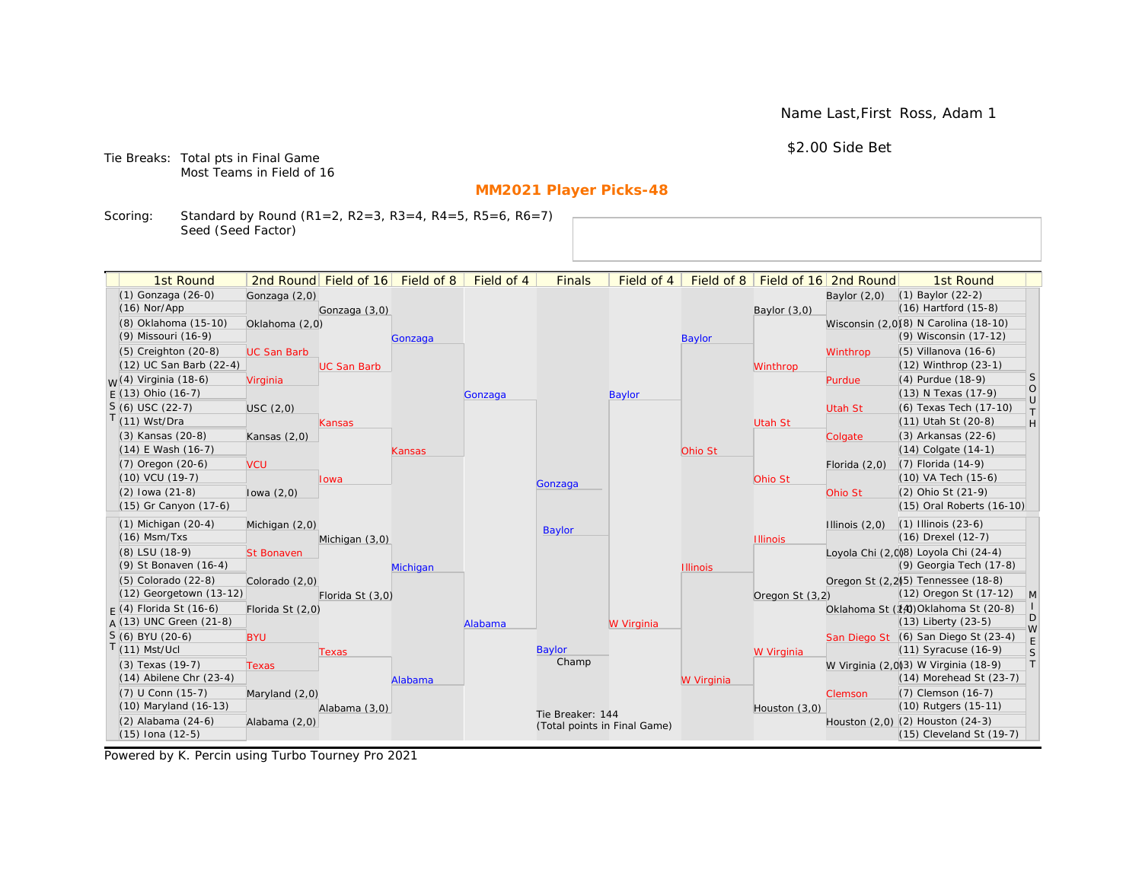Name Last,First Ross, Adam 1

\$2.00 Side Bet

Tie Breaks: Total pts in Final Game Most Teams in Field of 16

# **MM2021 Player Picks-48**

Scoring: Standard by Round (R1=2, R2=3, R3=4, R4=5, R5=6, R6=7) Seed (Seed Factor)

| 1st Round                              |                    | 2nd Round Field of 16 | Field of 8 | Field of 4 | <b>Finals</b>                | Field of 4    | Field of 8      |                 | Field of 16 2nd Round | 1st Round                                                          |                   |
|----------------------------------------|--------------------|-----------------------|------------|------------|------------------------------|---------------|-----------------|-----------------|-----------------------|--------------------------------------------------------------------|-------------------|
| (1) Gonzaga (26-0)                     | Gonzaga (2,0)      |                       |            |            |                              |               |                 |                 | Baylor $(2,0)$        | $(1)$ Baylor $(22-2)$                                              |                   |
| $(16)$ Nor/App                         |                    | Gonzaga (3,0)         |            |            |                              |               |                 | Baylor (3,0)    |                       | $(16)$ Hartford $(15-8)$                                           |                   |
| (8) Oklahoma (15-10)                   | Oklahoma (2,0)     |                       |            |            |                              |               |                 |                 |                       | Wisconsin (2,0)(8) N Carolina (18-10)                              |                   |
| (9) Missouri (16-9)                    |                    |                       | Gonzaga    |            |                              |               | <b>Baylor</b>   |                 |                       | (9) Wisconsin (17-12)                                              |                   |
| (5) Creighton (20-8)                   | <b>UC San Barb</b> |                       |            |            |                              |               |                 |                 | Winthrop              | (5) Villanova (16-6)                                               |                   |
| (12) UC San Barb (22-4)                |                    | <b>UC San Barb</b>    |            |            |                              |               |                 | Winthrop        |                       | $(12)$ Winthrop $(23-1)$                                           |                   |
| $M(4)$ Virginia (18-6)                 | Virginia           |                       |            |            |                              |               |                 |                 | Purdue                | (4) Purdue (18-9)                                                  | <sub>S</sub>      |
| $F(13)$ Ohio (16-7)                    |                    |                       |            | Gonzaga    |                              | <b>Baylor</b> |                 |                 |                       | (13) N Texas (17-9)                                                | $\circ$<br>$\cup$ |
| $S(6)$ USC (22-7)                      | USC(2,0)           |                       |            |            |                              |               |                 |                 | <b>Utah St</b>        | (6) Texas Tech (17-10)                                             | $\top$            |
| T(11) Wst/Dra                          |                    | Kansas                |            |            |                              |               |                 | Utah St         |                       | (11) Utah St (20-8)                                                | H                 |
| (3) Kansas (20-8)                      | Kansas $(2,0)$     |                       |            |            |                              |               |                 |                 | Colgate               | (3) Arkansas (22-6)                                                |                   |
| $(14)$ E Wash $(16-7)$                 |                    |                       | Kansas     |            |                              |               | Ohio St         |                 |                       | $(14)$ Colgate $(14-1)$                                            |                   |
| (7) Oregon (20-6)                      | <b>VCU</b>         |                       |            |            |                              |               |                 |                 | Florida $(2,0)$       | (7) Florida (14-9)                                                 |                   |
| (10) VCU (19-7)                        |                    | Iowa                  |            |            | Gonzaga                      |               |                 | Ohio St         |                       | (10) VA Tech (15-6)                                                |                   |
| $(2)$ lowa $(21-8)$                    | lowa $(2,0)$       |                       |            |            |                              |               |                 |                 | Ohio St               | (2) Ohio St (21-9)                                                 |                   |
| (15) Gr Canyon (17-6)                  |                    |                       |            |            |                              |               |                 |                 |                       | (15) Oral Roberts (16-10)                                          |                   |
| $(1)$ Michigan $(20-4)$                | Michigan (2,0)     |                       |            |            | <b>Baylor</b>                |               |                 |                 | Illinois $(2,0)$      | $(1)$ Illinois $(23-6)$                                            |                   |
| $(16)$ Msm/Txs                         |                    | Michigan (3,0)        |            |            |                              |               |                 | <b>Illinois</b> |                       | (16) Drexel (12-7)                                                 |                   |
| (8) LSU (18-9)                         | <b>St Bonaven</b>  |                       |            |            |                              |               |                 |                 |                       | Loyola Chi (2,0)8) Loyola Chi (24-4)                               |                   |
| (9) St Bonaven (16-4)                  |                    |                       | Michigan   |            |                              |               | <b>Illinois</b> |                 |                       | (9) Georgia Tech (17-8)                                            |                   |
| (5) Colorado (22-8)                    | Colorado (2,0)     |                       |            |            |                              |               |                 |                 |                       | Oregon St (2,2)(5) Tennessee (18-8)                                |                   |
| (12) Georgetown (13-12)                |                    | Florida St (3,0)      |            |            |                              |               |                 | Oregon St (3,2) |                       | (12) Oregon St (17-12)                                             | $\mathsf{M}$      |
| $F(4)$ Florida St (16-6)               | Florida St (2,0)   |                       |            |            |                              |               |                 |                 |                       | Oklahoma St (14)Oklahoma St (20-8)                                 | D                 |
| $A(13)$ UNC Green (21-8)               |                    |                       |            | Alabama    |                              | W Virginia    |                 |                 |                       | $(13)$ Liberty $(23-5)$                                            | W                 |
| S (6) BYU (20-6)                       | <b>BYU</b>         |                       |            |            |                              |               |                 |                 |                       | San Diego St (6) San Diego St (23-4)                               | E                 |
| $T(11)$ Mst/Ucl                        |                    | Texas                 |            |            | Baylor<br>Champ              |               |                 | W Virginia      |                       | $(11)$ Syracuse $(16-9)$                                           | S                 |
| (3) Texas (19-7)                       | <b>Texas</b>       |                       |            |            |                              |               |                 |                 |                       | W Virginia (2,0)3) W Virginia (18-9)                               | T                 |
| $(14)$ Abilene Chr $(23-4)$            |                    |                       | Alabama    |            |                              |               | W Virginia      |                 |                       | (14) Morehead St (23-7)                                            |                   |
| $(7)$ U Conn $(15-7)$                  | Maryland (2,0)     |                       |            |            |                              |               |                 |                 | Clemson               | (7) Clemson (16-7)                                                 |                   |
| (10) Maryland (16-13)                  |                    | Alabama (3,0)         |            |            | Tie Breaker: 144             |               |                 | Houston (3,0)   |                       | (10) Rutgers (15-11)                                               |                   |
| (2) Alabama (24-6)<br>(15) Iona (12-5) | Alabama (2,0)      |                       |            |            | (Total points in Final Game) |               |                 |                 |                       | Houston $(2,0)$ $(2)$ Houston $(24-3)$<br>(15) Cleveland St (19-7) |                   |
|                                        |                    |                       |            |            |                              |               |                 |                 |                       |                                                                    |                   |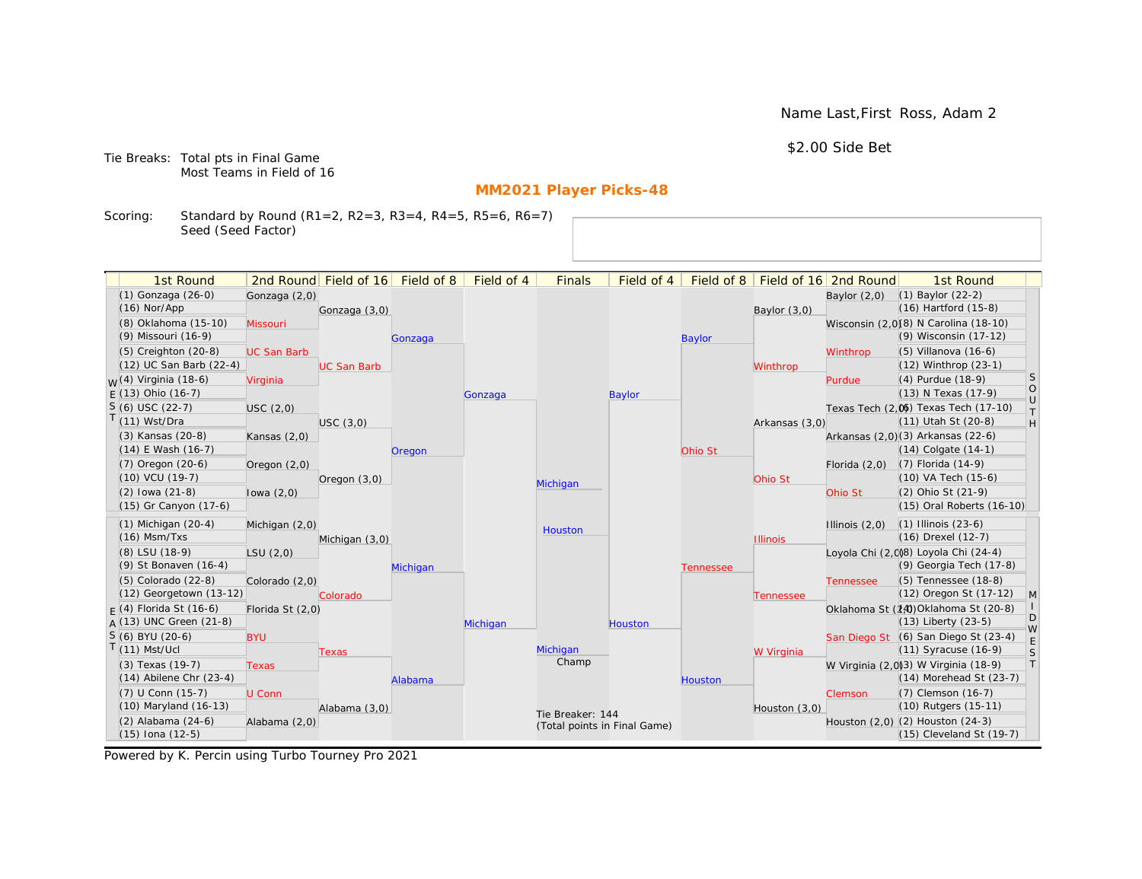Name Last,First Ross, Adam 2

\$2.00 Side Bet

Tie Breaks: Total pts in Final Game Most Teams in Field of 16

# **MM2021 Player Picks-48**

Scoring: Standard by Round (R1=2, R2=3, R3=4, R4=5, R5=6, R6=7) Seed (Seed Factor)

| 1st Round                                       |                    | 2nd Round Field of 16 | Field of 8 | Field of 4 | <b>Finals</b>                | Field of 4    | Field of $8$     |                 | Field of 16 2nd Round | 1st Round                                                        |                   |
|-------------------------------------------------|--------------------|-----------------------|------------|------------|------------------------------|---------------|------------------|-----------------|-----------------------|------------------------------------------------------------------|-------------------|
| (1) Gonzaga (26-0)                              | Gonzaga (2,0)      |                       |            |            |                              |               |                  |                 | Baylor $(2,0)$        | $(1)$ Baylor $(22-2)$                                            |                   |
| $(16)$ Nor/App                                  |                    | Gonzaga (3,0)         |            |            |                              |               |                  | Baylor $(3,0)$  |                       | $(16)$ Hartford $(15-8)$                                         |                   |
| (8) Oklahoma (15-10)                            | Missouri           |                       |            |            |                              |               |                  |                 |                       | Wisconsin (2,0)(8) N Carolina (18-10)                            |                   |
| (9) Missouri (16-9)                             |                    |                       | Gonzaga    |            |                              |               | <b>Baylor</b>    |                 |                       | (9) Wisconsin (17-12)                                            |                   |
| (5) Creighton (20-8)                            | <b>UC San Barb</b> |                       |            |            |                              |               |                  |                 | Winthrop              | $(5)$ Villanova $(16-6)$                                         |                   |
| (12) UC San Barb (22-4)                         |                    | <b>UC San Barb</b>    |            |            |                              |               |                  | Winthrop        |                       | $(12)$ Winthrop $(23-1)$                                         |                   |
| <sub>M</sub> /(4) Virginia (18-6)               | Virginia           |                       |            |            |                              |               |                  |                 | Purdue                | (4) Purdue (18-9)                                                | <sub>S</sub>      |
| $F(13)$ Ohio (16-7)                             |                    |                       |            | Gonzaga    |                              | <b>Baylor</b> |                  |                 |                       | (13) N Texas (17-9)                                              | $\circ$<br>$\cup$ |
| $S(6)$ USC (22-7)                               | USC (2,0)          |                       |            |            |                              |               |                  |                 |                       | Texas Tech (2.06) Texas Tech (17-10)                             | $\top$            |
| $T(11)$ Wst/Dra                                 |                    | USC(3,0)              |            |            |                              |               |                  | Arkansas (3,0)  |                       | (11) Utah St (20-8)                                              | H                 |
| (3) Kansas (20-8)                               | Kansas $(2,0)$     |                       |            |            |                              |               |                  |                 |                       | Arkansas (2,0)(3) Arkansas (22-6)                                |                   |
| $(14)$ E Wash $(16-7)$                          |                    |                       | Oregon     |            |                              |               | Ohio St          |                 |                       | $(14)$ Colgate $(14-1)$                                          |                   |
| $(7)$ Oregon $(20-6)$                           | Oregon $(2,0)$     |                       |            |            |                              |               |                  |                 | Florida $(2,0)$       | (7) Florida (14-9)                                               |                   |
| (10) VCU (19-7)                                 |                    | Oregon $(3,0)$        |            |            | Michigan                     |               |                  | Ohio St         |                       | (10) VA Tech (15-6)                                              |                   |
| $(2)$ lowa $(21-8)$                             | lowa $(2,0)$       |                       |            |            |                              |               |                  |                 | Ohio St               | (2) Ohio St (21-9)                                               |                   |
| (15) Gr Canyon (17-6)                           |                    |                       |            |            |                              |               |                  |                 |                       | (15) Oral Roberts (16-10)                                        |                   |
| $(1)$ Michigan $(20-4)$                         | Michigan (2,0)     |                       |            |            | Houston                      |               |                  |                 | Illinois $(2,0)$      | $(1)$ Illinois $(23-6)$                                          |                   |
| $(16)$ Msm/Txs                                  |                    | Michigan (3,0)        |            |            |                              |               |                  | <b>Illinois</b> |                       | (16) Drexel (12-7)                                               |                   |
| (8) LSU (18-9)                                  | LSU(2,0)           |                       |            |            |                              |               |                  |                 |                       | Loyola Chi (2,008) Loyola Chi (24-4)                             |                   |
| (9) St Bonaven (16-4)                           |                    |                       | Michigan   |            |                              |               | <b>Tennessee</b> |                 |                       | (9) Georgia Tech (17-8)                                          |                   |
| (5) Colorado (22-8)                             | Colorado (2,0)     |                       |            |            |                              |               |                  |                 | <b>Tennessee</b>      | (5) Tennessee (18-8)                                             |                   |
| (12) Georgetown (13-12)                         |                    | Colorado              |            |            |                              |               |                  | Tennessee       |                       | (12) Oregon St (17-12)                                           | M                 |
| $F(4)$ Florida St (16-6)                        | Florida St (2,0)   |                       |            |            |                              |               |                  |                 |                       | Oklahoma St (14) Oklahoma St (20-8)                              | D                 |
| $A(13)$ UNC Green (21-8)                        |                    |                       |            | Michigan   |                              | Houston       |                  |                 |                       | $(13)$ Liberty $(23-5)$                                          | W                 |
| $S(6)$ BYU (20-6)                               | <b>BYU</b>         |                       |            |            |                              |               |                  |                 |                       | San Diego St (6) San Diego St (23-4)                             | $\mathsf E$       |
| $T(11)$ Mst/Ucl                                 |                    | <b>Texas</b>          |            |            | Michigan<br>Champ            |               |                  | W Virginia      |                       | $(11)$ Syracuse $(16-9)$                                         | S                 |
| (3) Texas (19-7)<br>$(14)$ Abilene Chr $(23-4)$ | <b>Texas</b>       |                       |            |            |                              |               |                  |                 |                       | W Virginia (2,0)(3) W Virginia (18-9)<br>(14) Morehead St (23-7) | T                 |
|                                                 |                    |                       | Alabama    |            |                              |               | <b>Houston</b>   |                 |                       |                                                                  |                   |
| (7) U Conn (15-7)<br>(10) Maryland (16-13)      | U Conn             |                       |            |            |                              |               |                  |                 | Clemson               | (7) Clemson (16-7)<br>(10) Rutgers (15-11)                       |                   |
| (2) Alabama (24-6)                              |                    | Alabama (3,0)         |            |            | Tie Breaker: 144             |               |                  | Houston (3,0)   |                       | Houston (2,0) (2) Houston (24-3)                                 |                   |
| $(15)$ Iona $(12-5)$                            | Alabama (2,0)      |                       |            |            | (Total points in Final Game) |               |                  |                 |                       | (15) Cleveland St (19-7)                                         |                   |
|                                                 |                    |                       |            |            |                              |               |                  |                 |                       |                                                                  |                   |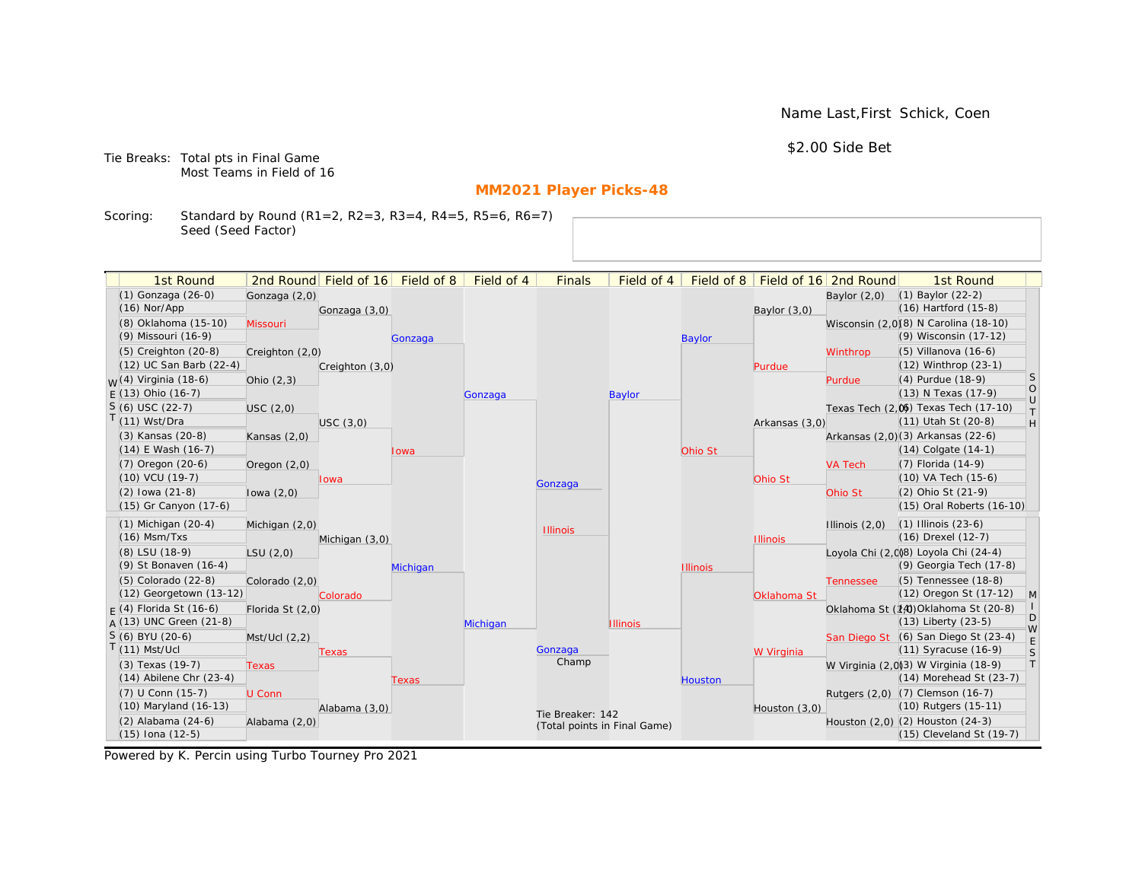Name Last,First Schick, Coen

\$2.00 Side Bet

Tie Breaks: Total pts in Final Game Most Teams in Field of 16

# **MM2021 Player Picks-48**

Scoring: Standard by Round (R1=2, R2=3, R3=4, R4=5, R5=6, R6=7) Seed (Seed Factor)

| 1st Round                                  |                  | 2nd Round Field of 16 | Field of 8 | Field of 4 | <b>Finals</b>                | Field of 4      | Field of $8$    |                 | Field of 16 2nd Round | 1st Round                                                    |                   |
|--------------------------------------------|------------------|-----------------------|------------|------------|------------------------------|-----------------|-----------------|-----------------|-----------------------|--------------------------------------------------------------|-------------------|
| (1) Gonzaga (26-0)                         | Gonzaga (2,0)    |                       |            |            |                              |                 |                 |                 | Baylor $(2,0)$        | $(1)$ Baylor $(22-2)$                                        |                   |
| $(16)$ Nor/App                             |                  | Gonzaga (3,0)         |            |            |                              |                 |                 | Baylor $(3,0)$  |                       | $(16)$ Hartford $(15-8)$                                     |                   |
| (8) Oklahoma (15-10)                       | Missouri         |                       |            |            |                              |                 |                 |                 |                       | Wisconsin (2,0)(8) N Carolina (18-10)                        |                   |
| (9) Missouri (16-9)                        |                  |                       | Gonzaga    |            |                              |                 | <b>Baylor</b>   |                 |                       | (9) Wisconsin (17-12)                                        |                   |
| (5) Creighton (20-8)                       | Creighton (2,0)  |                       |            |            |                              |                 |                 |                 | Winthrop              | $(5)$ Villanova $(16-6)$                                     |                   |
| (12) UC San Barb (22-4)                    |                  | Creighton (3,0)       |            |            |                              |                 |                 | Purdue          |                       | $(12)$ Winthrop $(23-1)$                                     |                   |
| <sub>M</sub> /(4) Virginia (18-6)          | Ohio $(2,3)$     |                       |            |            |                              |                 |                 |                 | Purdue                | (4) Purdue (18-9)                                            | <sub>S</sub>      |
| $F(13)$ Ohio (16-7)                        |                  |                       |            | Gonzaga    |                              | <b>Baylor</b>   |                 |                 |                       | (13) N Texas (17-9)                                          | $\circ$<br>$\cup$ |
| $S(6)$ USC (22-7)                          | USC(2,0)         |                       |            |            |                              |                 |                 |                 |                       | Texas Tech (2.06) Texas Tech (17-10)                         | $\top$            |
| $T(11)$ Wst/Dra                            |                  | USC(3,0)              |            |            |                              |                 |                 | Arkansas (3,0)  |                       | (11) Utah St (20-8)                                          | H                 |
| (3) Kansas (20-8)                          | Kansas $(2,0)$   |                       |            |            |                              |                 |                 |                 |                       | Arkansas (2,0)(3) Arkansas (22-6)                            |                   |
| $(14)$ E Wash $(16-7)$                     |                  |                       | Iowa       |            |                              |                 | Ohio St         |                 |                       | $(14)$ Colgate $(14-1)$                                      |                   |
| $(7)$ Oregon $(20-6)$                      | Oregon $(2,0)$   |                       |            |            |                              |                 |                 |                 | <b>VA Tech</b>        | (7) Florida (14-9)                                           |                   |
| (10) VCU (19-7)                            |                  | lowa                  |            |            | Gonzaga                      |                 |                 | Ohio St         |                       | (10) VA Tech (15-6)                                          |                   |
| $(2)$ lowa $(21-8)$                        | lowa $(2,0)$     |                       |            |            |                              |                 |                 |                 | Ohio St               | (2) Ohio St (21-9)                                           |                   |
| (15) Gr Canyon (17-6)                      |                  |                       |            |            |                              |                 |                 |                 |                       | (15) Oral Roberts (16-10)                                    |                   |
| $(1)$ Michigan $(20-4)$                    | Michigan (2,0)   |                       |            |            | <b>Illinois</b>              |                 |                 |                 | Illinois $(2,0)$      | $(1)$ Illinois $(23-6)$                                      |                   |
| $(16)$ Msm/Txs                             |                  | Michigan (3,0)        |            |            |                              |                 |                 | <b>Illinois</b> |                       | (16) Drexel (12-7)                                           |                   |
| (8) LSU (18-9)                             | LSU(2,0)         |                       |            |            |                              |                 |                 |                 |                       | Loyola Chi (2,008) Loyola Chi (24-4)                         |                   |
| (9) St Bonaven (16-4)                      |                  |                       | Michigan   |            |                              |                 | <b>Illinois</b> |                 |                       | (9) Georgia Tech (17-8)                                      |                   |
| (5) Colorado (22-8)                        | Colorado (2,0)   |                       |            |            |                              |                 |                 |                 | <b>Tennessee</b>      | (5) Tennessee (18-8)                                         |                   |
| (12) Georgetown (13-12)                    |                  | Colorado              |            |            |                              |                 |                 | Oklahoma St     |                       | (12) Oregon St (17-12)                                       | M                 |
| $F(4)$ Florida St (16-6)                   | Florida St (2,0) |                       |            |            |                              |                 |                 |                 |                       | Oklahoma St (14) Oklahoma St (20-8)                          | D                 |
| $A(13)$ UNC Green (21-8)                   |                  |                       |            | Michigan   |                              | <b>Illinois</b> |                 |                 |                       | $(13)$ Liberty $(23-5)$                                      | W                 |
| S (6) BYU (20-6)                           | Mst/Ucl(2,2)     |                       |            |            |                              |                 |                 |                 |                       | San Diego St (6) San Diego St (23-4)                         | $\mathsf E$       |
| $T(11)$ Mst/Ucl                            |                  | Texas                 |            |            | Gonzaga<br>Champ             |                 |                 | W Virginia      |                       | $(11)$ Syracuse $(16-9)$                                     | S                 |
| (3) Texas (19-7)                           | Texas            |                       |            |            |                              |                 |                 |                 |                       | W Virginia (2,0)(3) W Virginia (18-9)                        | T                 |
| $(14)$ Abilene Chr $(23-4)$                |                  |                       | Texas      |            |                              |                 | <b>Houston</b>  |                 |                       | (14) Morehead St (23-7)                                      |                   |
| (7) U Conn (15-7)<br>(10) Maryland (16-13) | U Conn           |                       |            |            |                              |                 |                 |                 |                       | Rutgers (2,0) (7) Clemson (16-7)<br>(10) Rutgers (15-11)     |                   |
|                                            |                  | Alabama (3,0)         |            |            | Tie Breaker: 142             |                 |                 | Houston (3,0)   |                       |                                                              |                   |
| (2) Alabama (24-6)<br>$(15)$ Iona $(12-5)$ | Alabama (2,0)    |                       |            |            | (Total points in Final Game) |                 |                 |                 |                       | Houston (2,0) (2) Houston (24-3)<br>(15) Cleveland St (19-7) |                   |
|                                            |                  |                       |            |            |                              |                 |                 |                 |                       |                                                              |                   |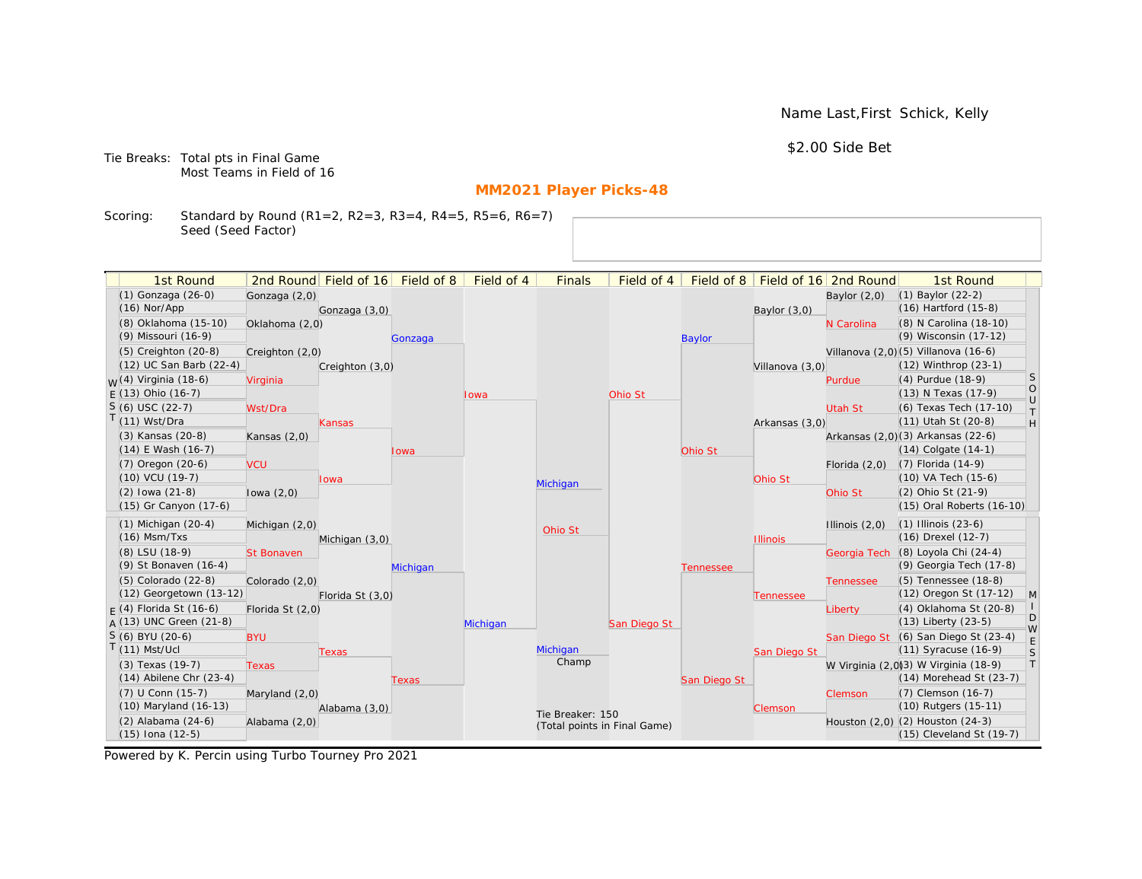Name Last,First Schick, Kelly

\$2.00 Side Bet

Tie Breaks: Total pts in Final Game Most Teams in Field of 16

# **MM2021 Player Picks-48**

Scoring: Standard by Round (R1=2, R2=3, R3=4, R4=5, R5=6, R6=7) Seed (Seed Factor)

| 1st Round                        |                   | 2nd Round Field of 16 Field of 8 |          | Field of 4 | <b>Finals</b>                | Field of 4   |                  |                 | Field of 8   Field of 16 2nd Round | 1st Round                            |                   |
|----------------------------------|-------------------|----------------------------------|----------|------------|------------------------------|--------------|------------------|-----------------|------------------------------------|--------------------------------------|-------------------|
| (1) Gonzaga (26-0)               | Gonzaga (2,0)     |                                  |          |            |                              |              |                  |                 | Baylor $(2,0)$                     | (1) Baylor (22-2)                    |                   |
| $(16)$ Nor/App                   |                   | Gonzaga (3,0)                    |          |            |                              |              |                  | Baylor $(3,0)$  |                                    | (16) Hartford (15-8)                 |                   |
| (8) Oklahoma (15-10)             | Oklahoma (2,0)    |                                  |          |            |                              |              |                  |                 | N Carolina                         | (8) N Carolina (18-10)               |                   |
| (9) Missouri (16-9)              |                   |                                  | Gonzaga  |            |                              |              | <b>Baylor</b>    |                 |                                    | (9) Wisconsin (17-12)                |                   |
| $(5)$ Creighton $(20-8)$         | Creighton (2,0)   |                                  |          |            |                              |              |                  |                 |                                    | Villanova (2,0)(5) Villanova (16-6)  |                   |
| (12) UC San Barb (22-4)          |                   | Creighton (3,0)                  |          |            |                              |              |                  | Villanova (3,0) |                                    | (12) Winthrop (23-1)                 |                   |
| <sub>W</sub> (4) Virginia (18-6) | Virginia          |                                  |          |            |                              |              |                  |                 | Purdue                             | $(4)$ Purdue $(18-9)$                | S                 |
| $E(13)$ Ohio (16-7)              |                   |                                  |          | Iowa       |                              | Ohio St      |                  |                 |                                    | (13) N Texas (17-9)                  | $\circ$<br>$\cup$ |
| $S(6)$ USC (22-7)                | Wst/Dra           |                                  |          |            |                              |              |                  |                 | Utah St                            | (6) Texas Tech (17-10)               | $\top$            |
| (11) Wst/Dra                     |                   | <b>Kansas</b>                    |          |            |                              |              |                  | Arkansas (3,0)  |                                    | (11) Utah St (20-8)                  | H                 |
| (3) Kansas (20-8)                | Kansas $(2,0)$    |                                  |          |            |                              |              |                  |                 |                                    | Arkansas (2,0)(3) Arkansas (22-6)    |                   |
| (14) E Wash (16-7)               |                   |                                  | owa      |            |                              |              | Ohio St          |                 |                                    | $(14)$ Colgate $(14-1)$              |                   |
| (7) Oregon (20-6)                | <b>VCU</b>        |                                  |          |            |                              |              |                  |                 | Florida $(2,0)$                    | (7) Florida (14-9)                   |                   |
| (10) VCU (19-7)                  |                   | Iowa                             |          |            | Michigan                     |              |                  | Ohio St         |                                    | (10) VA Tech (15-6)                  |                   |
| $(2)$ lowa $(21-8)$              | lowa $(2,0)$      |                                  |          |            |                              |              |                  |                 | Ohio St                            | (2) Ohio St (21-9)                   |                   |
| (15) Gr Canyon (17-6)            |                   |                                  |          |            |                              |              |                  |                 |                                    | (15) Oral Roberts (16-10)            |                   |
| $(1)$ Michigan $(20-4)$          | Michigan (2,0)    |                                  |          |            | Ohio St                      |              |                  |                 | Illinois $(2,0)$                   | $(1)$ Illinois $(23-6)$              |                   |
| $(16)$ Msm/Txs                   |                   | Michigan (3,0)                   |          |            |                              |              |                  | <b>Illinois</b> |                                    | (16) Drexel (12-7)                   |                   |
| (8) LSU (18-9)                   | <b>St Bonaven</b> |                                  |          |            |                              |              |                  |                 | Georgia Tech                       | (8) Loyola Chi (24-4)                |                   |
| (9) St Bonaven (16-4)            |                   |                                  | Michigan |            |                              |              | <b>Tennessee</b> |                 |                                    | (9) Georgia Tech (17-8)              |                   |
| (5) Colorado (22-8)              | Colorado (2,0)    |                                  |          |            |                              |              |                  |                 | <b>Tennessee</b>                   | (5) Tennessee (18-8)                 |                   |
| (12) Georgetown (13-12)          |                   | Florida St (3,0)                 |          |            |                              |              |                  | Tennessee       |                                    | (12) Oregon St (17-12)               | $\mathsf{M}$      |
| $F(4)$ Florida St (16-6)         | Florida St (2,0)  |                                  |          |            |                              |              |                  |                 | Liberty                            | (4) Oklahoma St (20-8)               |                   |
| A (13) UNC Green (21-8)          |                   |                                  |          | Michigan   |                              | San Diego St |                  |                 |                                    | $(13)$ Liberty $(23-5)$              | D<br>W            |
| $S(6)$ BYU (20-6)                | <b>BYU</b>        |                                  |          |            |                              |              |                  |                 |                                    | San Diego St (6) San Diego St (23-4) | E                 |
| $(11)$ Mst/Ucl                   |                   | Texas                            |          |            | Michigan                     |              |                  | San Diego St    |                                    | (11) Syracuse (16-9)                 | S                 |
| (3) Texas (19-7)                 | <b>Texas</b>      |                                  |          |            | Champ                        |              |                  |                 |                                    | W Virginia (2,0)3) W Virginia (18-9) | $\top$            |
| $(14)$ Abilene Chr $(23-4)$      |                   |                                  | Texas    |            |                              |              | San Diego St     |                 |                                    | $(14)$ Morehead St $(23-7)$          |                   |
| (7) U Conn (15-7)                | Maryland (2,0)    |                                  |          |            |                              |              |                  |                 | Clemson                            | (7) Clemson (16-7)                   |                   |
| (10) Maryland (16-13)            |                   | Alabama (3,0)                    |          |            | Tie Breaker: 150             |              |                  | Clemson         |                                    | (10) Rutgers (15-11)                 |                   |
| (2) Alabama (24-6)               | Alabama (2,0)     |                                  |          |            | (Total points in Final Game) |              |                  |                 |                                    | Houston (2,0) (2) Houston (24-3)     |                   |
| (15) Iona (12-5)                 |                   |                                  |          |            |                              |              |                  |                 |                                    | (15) Cleveland St (19-7)             |                   |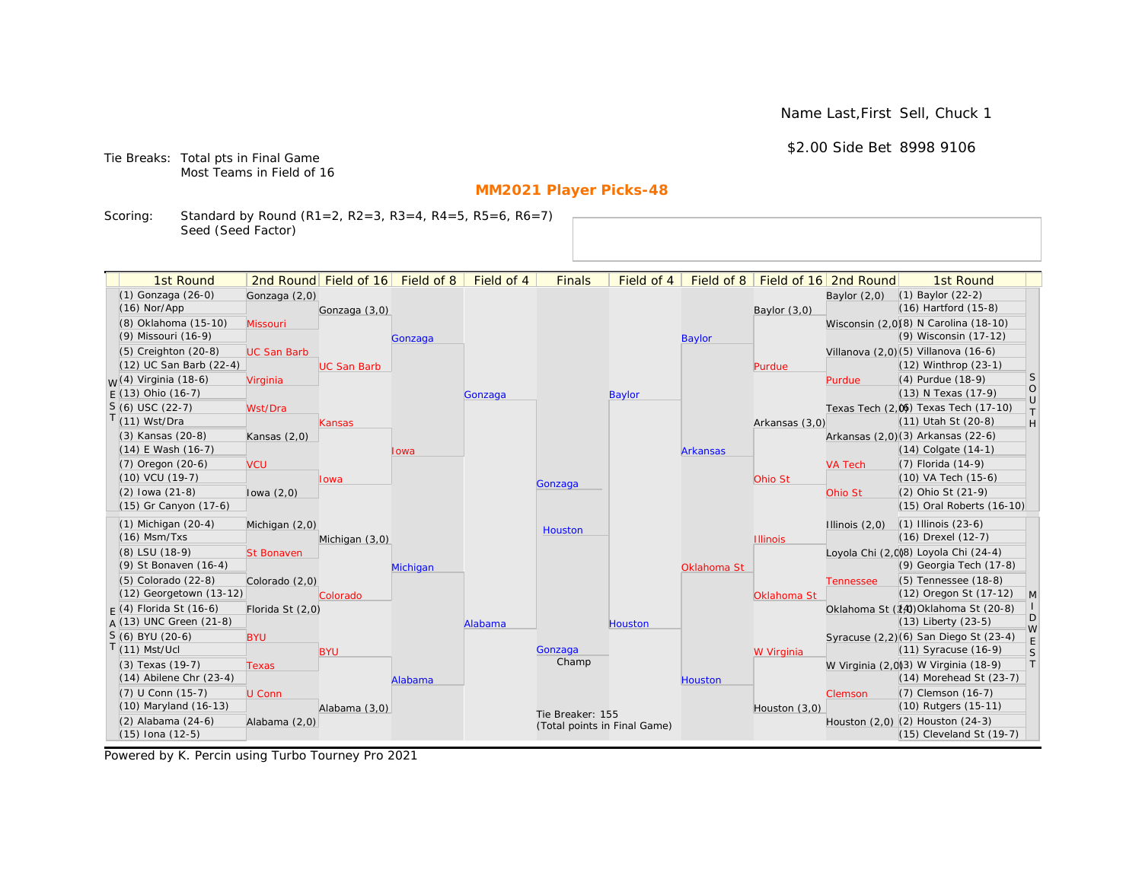Name Last,First Sell, Chuck 1

\$2.00 Side Bet 8998 9106

Tie Breaks: Total pts in Final Game Most Teams in Field of 16

# **MM2021 Player Picks-48**

Scoring: Standard by Round (R1=2, R2=3, R3=4, R4=5, R5=6, R6=7) Seed (Seed Factor)

| 1st Round                                       |                    | 2nd Round Field of 16 | Field of 8 | Field of 4 | <b>Finals</b>                | Field of 4    | Field of 8      |                 | Field of 16 2nd Round | 1st Round                                                           |                                                                   |
|-------------------------------------------------|--------------------|-----------------------|------------|------------|------------------------------|---------------|-----------------|-----------------|-----------------------|---------------------------------------------------------------------|-------------------------------------------------------------------|
| (1) Gonzaga (26-0)                              | Gonzaga (2,0)      |                       |            |            |                              |               |                 |                 | Baylor $(2,0)$        | $(1)$ Baylor $(22-2)$                                               |                                                                   |
| $(16)$ Nor/App                                  |                    | Gonzaga (3,0)         |            |            |                              |               |                 | Baylor (3,0)    |                       | $(16)$ Hartford $(15-8)$                                            |                                                                   |
| (8) Oklahoma (15-10)                            | Missouri           |                       |            |            |                              |               |                 |                 |                       | Wisconsin (2,0)(8) N Carolina (18-10)                               |                                                                   |
| (9) Missouri (16-9)                             |                    |                       | Gonzaga    |            |                              |               | <b>Baylor</b>   |                 |                       | (9) Wisconsin (17-12)                                               |                                                                   |
| (5) Creighton (20-8)                            | <b>UC San Barb</b> |                       |            |            |                              |               |                 |                 |                       | Villanova (2,0)(5) Villanova (16-6)                                 |                                                                   |
| (12) UC San Barb (22-4)                         |                    | <b>UC San Barb</b>    |            |            |                              |               |                 | Purdue          |                       | (12) Winthrop (23-1)                                                |                                                                   |
| <sub>W</sub> (4) Virginia (18-6)                | Virginia           |                       |            |            |                              |               |                 |                 | Purdue                | (4) Purdue (18-9)                                                   | <b>S</b>                                                          |
| $E(13)$ Ohio (16-7)                             |                    |                       |            | Gonzaga    |                              | <b>Baylor</b> |                 |                 |                       | (13) N Texas (17-9)                                                 | $\circ$<br>$\cup$                                                 |
| $S(6)$ USC (22-7)                               | Wst/Dra            |                       |            |            |                              |               |                 |                 |                       | Texas Tech (2,0) Texas Tech (17-10)                                 | $\top$                                                            |
| $T(11)$ Wst/Dra                                 |                    | Kansas                |            |            |                              |               |                 | Arkansas (3,0)  |                       | (11) Utah St (20-8)                                                 | $\mathsf{H}% _{\mathsf{H}}^{\ast}=\mathsf{H}_{\mathsf{H}}^{\ast}$ |
| (3) Kansas (20-8)                               | Kansas $(2,0)$     |                       |            |            |                              |               |                 |                 |                       | Arkansas (2,0)(3) Arkansas (22-6)                                   |                                                                   |
| $(14)$ E Wash $(16-7)$                          |                    |                       | Iowa       |            |                              |               | <b>Arkansas</b> |                 |                       | $(14)$ Colgate $(14-1)$                                             |                                                                   |
| $(7)$ Oregon $(20-6)$                           | <b>VCU</b>         |                       |            |            |                              |               |                 |                 | <b>VA Tech</b>        | $(7)$ Florida $(14-9)$                                              |                                                                   |
| $(10)$ VCU $(19-7)$                             |                    | lowa                  |            |            | Gonzaga                      |               |                 | Ohio St         |                       | $(10)$ VA Tech $(15-6)$                                             |                                                                   |
| $(2)$ lowa $(21-8)$                             | lowa $(2,0)$       |                       |            |            |                              |               |                 |                 | Ohio St               | (2) Ohio St (21-9)                                                  |                                                                   |
| (15) Gr Canyon (17-6)                           |                    |                       |            |            |                              |               |                 |                 |                       | (15) Oral Roberts (16-10)                                           |                                                                   |
| $(1)$ Michigan $(20-4)$                         | Michigan (2,0)     |                       |            |            | Houston                      |               |                 |                 | Illinois $(2,0)$      | $(1)$ Illinois $(23-6)$                                             |                                                                   |
| $(16)$ Msm/Txs                                  |                    | Michigan (3,0)        |            |            |                              |               |                 | <b>Illinois</b> |                       | (16) Drexel (12-7)                                                  |                                                                   |
| (8) LSU (18-9)                                  | <b>St Bonaven</b>  |                       |            |            |                              |               |                 |                 |                       | Loyola Chi (2,0)8) Loyola Chi (24-4)                                |                                                                   |
| (9) St Bonaven (16-4)                           |                    |                       | Michigan   |            |                              |               | Oklahoma St     |                 |                       | (9) Georgia Tech (17-8)                                             |                                                                   |
| (5) Colorado (22-8)                             | Colorado (2,0)     |                       |            |            |                              |               |                 |                 | <b>Tennessee</b>      | (5) Tennessee (18-8)                                                |                                                                   |
| (12) Georgetown (13-12)                         |                    | Colorado              |            |            |                              |               |                 | Oklahoma St     |                       | (12) Oregon St (17-12)                                              | M                                                                 |
| $F(4)$ Florida St (16-6)                        | Florida St (2,0)   |                       |            |            |                              |               |                 |                 |                       | Oklahoma St (14) Oklahoma St (20-8)                                 | D                                                                 |
| $A(13)$ UNC Green (21-8)                        |                    |                       |            | Alabama    |                              | Houston       |                 |                 |                       | $(13)$ Liberty $(23-5)$                                             | W                                                                 |
| S (6) BYU (20-6)<br>$T(11)$ Mst/Ucl             | <b>BYU</b>         |                       |            |            |                              |               |                 |                 |                       | Syracuse (2,2)(6) San Diego St (23-4)                               | E                                                                 |
|                                                 |                    | <b>BYU</b>            |            |            | Gonzaga<br>Champ             |               |                 | W Virginia      |                       | $(11)$ Syracuse $(16-9)$                                            | S<br> T                                                           |
| (3) Texas (19-7)<br>$(14)$ Abilene Chr $(23-4)$ | <b>Texas</b>       |                       |            |            |                              |               |                 |                 |                       | W Virginia (2,0)3) W Virginia (18-9)<br>$(14)$ Morehead St $(23-7)$ |                                                                   |
| (7) U Conn (15-7)                               |                    |                       | Alabama    |            |                              |               | <b>Houston</b>  |                 |                       | (7) Clemson (16-7)                                                  |                                                                   |
| (10) Maryland (16-13)                           | U Conn             |                       |            |            |                              |               |                 |                 | Clemson               | (10) Rutgers (15-11)                                                |                                                                   |
| (2) Alabama (24-6)                              | Alabama (2,0)      | Alabama (3,0)         |            |            | Tie Breaker: 155             |               |                 | Houston $(3,0)$ |                       | Houston (2,0) (2) Houston (24-3)                                    |                                                                   |
| $(15)$ Iona $(12-5)$                            |                    |                       |            |            | (Total points in Final Game) |               |                 |                 |                       | (15) Cleveland St (19-7)                                            |                                                                   |
|                                                 |                    |                       |            |            |                              |               |                 |                 |                       |                                                                     |                                                                   |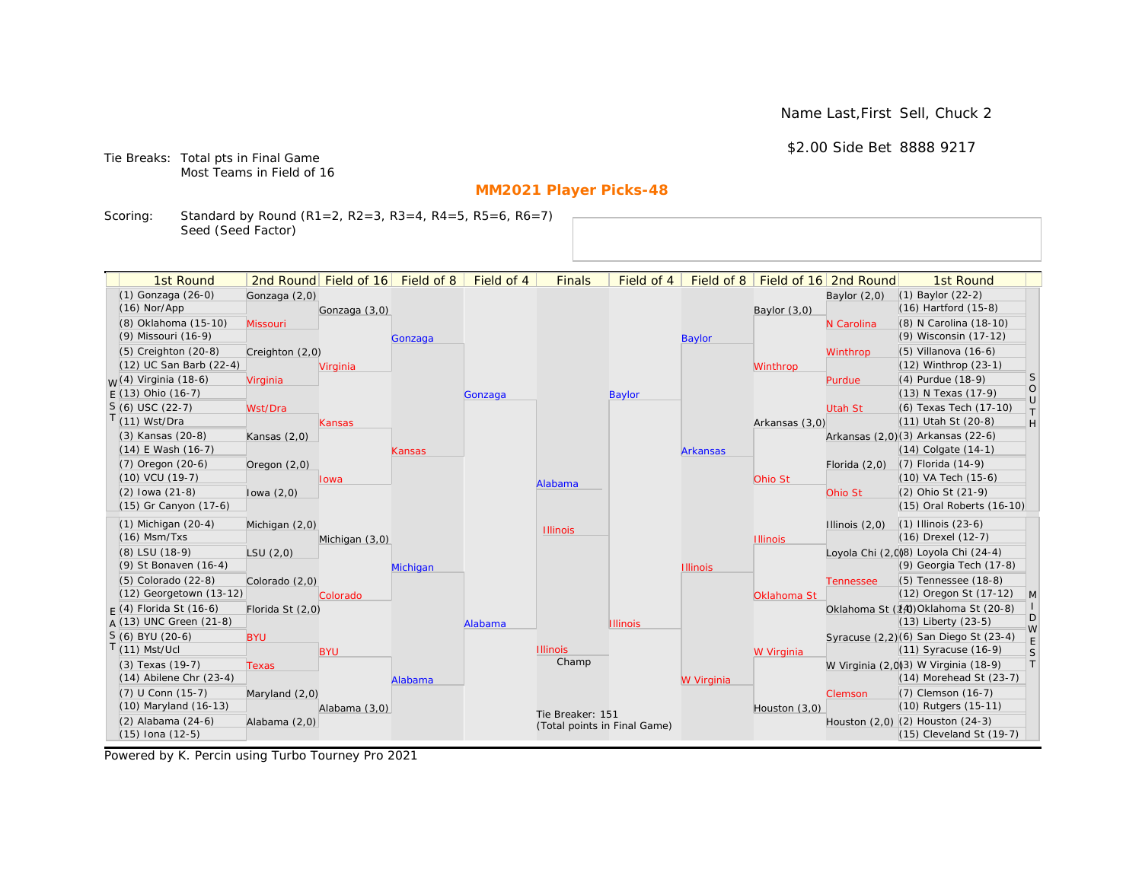Name Last,First Sell, Chuck 2

\$2.00 Side Bet 8888 9217

Tie Breaks: Total pts in Final Game Most Teams in Field of 16

# **MM2021 Player Picks-48**

Scoring: Standard by Round (R1=2, R2=3, R3=4, R4=5, R5=6, R6=7) Seed (Seed Factor)

| 1st Round                                       |                  | 2nd Round Field of 16 Field of 8 |          | Field of 4 | <b>Finals</b>                | Field of 4      | Field of 8      |                 | Field of 16 2nd Round | 1st Round                                       |              |
|-------------------------------------------------|------------------|----------------------------------|----------|------------|------------------------------|-----------------|-----------------|-----------------|-----------------------|-------------------------------------------------|--------------|
| (1) Gonzaga (26-0)<br>$(16)$ Nor/App            | Gonzaga (2,0)    |                                  |          |            |                              |                 |                 |                 | Baylor $(2,0)$        | (1) Baylor (22-2)<br>(16) Hartford (15-8)       |              |
|                                                 |                  | Gonzaga (3,0)                    |          |            |                              |                 |                 | Baylor $(3,0)$  |                       |                                                 |              |
| (8) Oklahoma (15-10)                            | Missouri         |                                  |          |            |                              |                 |                 |                 | N Carolina            | (8) N Carolina (18-10)<br>(9) Wisconsin (17-12) |              |
| (9) Missouri (16-9)                             |                  |                                  | Gonzaga  |            |                              |                 | <b>Baylor</b>   |                 |                       |                                                 |              |
| (5) Creighton (20-8)<br>(12) UC San Barb (22-4) | Creighton (2,0)  |                                  |          |            |                              |                 |                 |                 | Winthrop              | (5) Villanova (16-6)                            |              |
|                                                 |                  | Virginia                         |          |            |                              |                 |                 | Winthrop        |                       | (12) Winthrop (23-1)                            | S            |
| <sub>W</sub> (4) Virginia (18-6)                | Virginia         |                                  |          |            |                              |                 |                 |                 | Purdue                | (4) Purdue (18-9)                               | $\circ$      |
| $E(13)$ Ohio (16-7)                             |                  |                                  |          | Gonzaga    |                              | <b>Baylor</b>   |                 |                 |                       | (13) N Texas (17-9)                             | $\cup$       |
| $S(6)$ USC (22-7)                               | Wst/Dra          |                                  |          |            |                              |                 |                 |                 | Utah St               | (6) Texas Tech (17-10)                          | $\top$       |
| $T(11)$ Wst/Dra                                 |                  | Kansas                           |          |            |                              |                 |                 | Arkansas (3,0)  |                       | (11) Utah St (20-8)                             | H            |
| (3) Kansas (20-8)                               | Kansas $(2,0)$   |                                  |          |            |                              |                 |                 |                 |                       | Arkansas (2,0)(3) Arkansas (22-6)               |              |
| $(14)$ E Wash $(16-7)$                          |                  |                                  | Kansas   |            |                              |                 | <b>Arkansas</b> |                 |                       | $(14)$ Colgate $(14-1)$                         |              |
| $(7)$ Oregon $(20-6)$                           | Oregon $(2,0)$   |                                  |          |            |                              |                 |                 |                 | Florida $(2,0)$       | $(7)$ Florida $(14-9)$                          |              |
| $(10)$ VCU $(19-7)$                             |                  | lowa                             |          |            | Alabama                      |                 |                 | Ohio St         |                       | (10) VA Tech (15-6)                             |              |
| $(2)$ lowa $(21-8)$                             | lowa $(2,0)$     |                                  |          |            |                              |                 |                 |                 | Ohio St               | (2) Ohio St (21-9)                              |              |
| (15) Gr Canyon (17-6)                           |                  |                                  |          |            |                              |                 |                 |                 |                       | (15) Oral Roberts (16-10)                       |              |
| $(1)$ Michigan $(20-4)$                         | Michigan (2,0)   |                                  |          |            | <b>Illinois</b>              |                 |                 |                 | Illinois $(2,0)$      | $(1)$ Illinois $(23-6)$                         |              |
| $(16)$ Msm/Txs                                  |                  | Michigan (3,0)                   |          |            |                              |                 |                 | <b>Illinois</b> |                       | (16) Drexel (12-7)                              |              |
| (8) LSU (18-9)                                  | LSU(2,0)         |                                  |          |            |                              |                 |                 |                 |                       | Loyola Chi (2,0)8) Loyola Chi (24-4)            |              |
| (9) St Bonaven (16-4)                           |                  |                                  | Michigan |            |                              |                 | <b>Illinois</b> |                 |                       | (9) Georgia Tech (17-8)                         |              |
| (5) Colorado (22-8)                             | Colorado (2,0)   |                                  |          |            |                              |                 |                 |                 | <b>Tennessee</b>      | (5) Tennessee (18-8)                            |              |
| (12) Georgetown (13-12)                         |                  | Colorado                         |          |            |                              |                 |                 | Oklahoma St     |                       | (12) Oregon St (17-12)                          | $\mathsf{M}$ |
| $F(4)$ Florida St (16-6)                        | Florida St (2,0) |                                  |          |            |                              |                 |                 |                 |                       | Oklahoma St (14) Oklahoma St (20-8)             | D            |
| $A(13)$ UNC Green (21-8)                        |                  |                                  |          | Alabama    |                              | <b>Illinois</b> |                 |                 |                       | (13) Liberty (23-5)                             | W            |
| S (6) BYU (20-6)                                | <b>BYU</b>       |                                  |          |            |                              |                 |                 |                 |                       | Syracuse (2,2)(6) San Diego St (23-4)           | $\mathsf E$  |
| $T(11)$ Mst/Ucl                                 |                  | <b>BYU</b>                       |          |            | <b>Illinois</b>              |                 |                 | W Virginia      |                       | (11) Syracuse (16-9)                            | S            |
| (3) Texas (19-7)                                | <b>Texas</b>     |                                  |          |            | Champ                        |                 |                 |                 |                       | W Virginia (2,0)3) W Virginia (18-9)            | $\top$       |
| $(14)$ Abilene Chr $(23-4)$                     |                  |                                  | Alabama  |            |                              |                 | W Virginia      |                 |                       | $(14)$ Morehead St $(23-7)$                     |              |
| (7) U Conn (15-7)                               | Maryland $(2,0)$ |                                  |          |            |                              |                 |                 |                 | Clemson               | (7) Clemson (16-7)                              |              |
| (10) Maryland (16-13)                           |                  | Alabama (3,0)                    |          |            | Tie Breaker: 151             |                 |                 | Houston (3,0)   |                       | (10) Rutgers (15-11)                            |              |
| $(2)$ Alabama $(24-6)$                          | Alabama (2,0)    |                                  |          |            | (Total points in Final Game) |                 |                 |                 |                       | Houston (2,0) (2) Houston (24-3)                |              |
| $(15)$ Iona $(12-5)$                            |                  |                                  |          |            |                              |                 |                 |                 |                       | (15) Cleveland St (19-7)                        |              |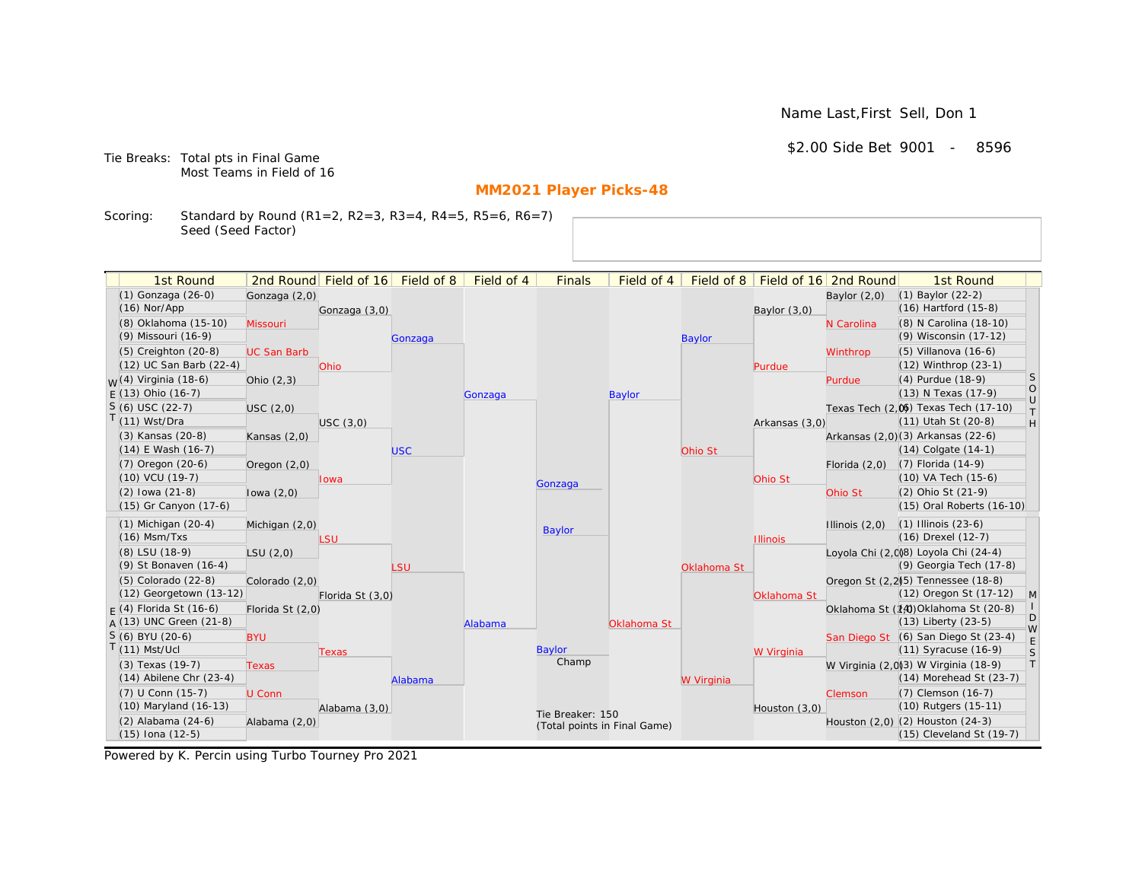Name Last,First Sell, Don 1

\$2.00 Side Bet 9001 - 8596

Tie Breaks: Total pts in Final Game Most Teams in Field of 16

# **MM2021 Player Picks-48**

Scoring: Standard by Round (R1=2, R2=3, R3=4, R4=5, R5=6, R6=7) Seed (Seed Factor)

| 2nd Round Field of 16 Field of 8<br>Field of 16 2nd Round<br>(1) Gonzaga (26-0)<br>(1) Baylor (22-2)<br>Gonzaga (2,0)<br>Baylor $(2,0)$<br>(16) Hartford (15-8)<br>$(16)$ Nor/App<br>Gonzaga (3,0)<br>Baylor $(3,0)$<br>(8) Oklahoma (15-10)<br>(8) N Carolina (18-10)<br>Missouri<br>N Carolina<br>(9) Wisconsin (17-12)<br>(9) Missouri (16-9)<br><b>Baylor</b><br>Gonzaga<br>(5) Creighton (20-8)<br>(5) Villanova (16-6)<br><b>UC San Barb</b><br>Winthrop<br>(12) UC San Barb (22-4)<br>(12) Winthrop (23-1)<br><b>Ohio</b><br>Purdue<br>S<br>$W(4)$ Virginia (18-6)<br>(4) Purdue (18-9)<br>Ohio $(2,3)$<br>Purdue<br>$\circ$<br>(13) N Texas (17-9)<br>$E(13)$ Ohio (16-7)<br><b>Baylor</b><br>Gonzaga<br>$\cup$<br>$S(6)$ USC (22-7)<br>Texas Tech (2,0) Texas Tech (17-10)<br>USC (2,0)<br>$\top$<br>$T(11)$ Wst/Dra<br>(11) Utah St (20-8)<br>H<br>USC(3,0)<br>Arkansas (3,0)<br>(3) Kansas (20-8)<br>Arkansas (2,0)(3) Arkansas (22-6)<br>Kansas $(2,0)$<br>$(14)$ E Wash $(16-7)$<br>$(14)$ Colgate $(14-1)$<br><b>USC</b><br>Ohio St<br>$(7)$ Oregon $(20-6)$<br>$(7)$ Florida $(14-9)$<br>Oregon $(2,0)$<br>Florida $(2,0)$<br>(10) VA Tech (15-6)<br>$(10)$ VCU $(19-7)$<br>Ohio St<br>lowa<br>Gonzaga<br>(2) Ohio St (21-9)<br>$(2)$ lowa $(21-8)$<br>Ohio St<br>lowa $(2,0)$<br>(15) Gr Canyon (17-6)<br>(15) Oral Roberts (16-10)<br>$(1)$ Michigan $(20-4)$<br>$(1)$ Illinois $(23-6)$<br>Illinois $(2,0)$<br>Michigan (2,0)<br>Baylor<br>$(16)$ Msm/Txs<br>(16) Drexel (12-7)<br>LSU<br><b>Illinois</b><br>Loyola Chi (2,0)8) Loyola Chi (24-4)<br>(8) LSU (18-9)<br>LSU(2,0)<br>(9) Georgia Tech (17-8)<br>(9) St Bonaven (16-4)<br>LSU<br>Oklahoma St<br>(5) Colorado (22-8)<br>Oregon St (2,2)(5) Tennessee (18-8)<br>Colorado (2,0)<br>(12) Georgetown (13-12)<br>(12) Oregon St (17-12)<br>$\mathsf{M}$<br>Florida St (3,0)<br>Oklahoma St<br>Oklahoma St (14) Oklahoma St (20-8)<br>$F(4)$ Florida St (16-6)<br>Florida St (2,0)<br>D<br>$A(13)$ UNC Green (21-8)<br>(13) Liberty (23-5)<br>Oklahoma St<br>Alabama<br>W<br>S (6) BYU (20-6)<br>San Diego St (6) San Diego St (23-4)<br><b>BYU</b><br>$\mathsf E$<br>$T(11)$ Mst/Ucl<br>Baylor<br>(11) Syracuse (16-9)<br>S<br>W Virginia<br>Texas<br>Champ<br>$\top$<br>W Virginia (2,0)3) W Virginia (18-9)<br>(3) Texas (19-7)<br><b>Texas</b><br>$(14)$ Abilene Chr $(23-4)$<br>$(14)$ Morehead St $(23-7)$<br>W Virginia<br>Alabama<br>(7) U Conn (15-7)<br>(7) Clemson (16-7)<br>U Conn<br>Clemson<br>(10) Maryland (16-13)<br>(10) Rutgers (15-11)<br>Alabama (3,0)<br>Houston (3,0)<br>Tie Breaker: 150<br>$(2)$ Alabama $(24-6)$<br>Houston (2,0) (2) Houston (24-3)<br>Alabama (2,0)<br>(Total points in Final Game)<br>$(15)$ Iona $(12-5)$<br>(15) Cleveland St (19-7) | 1st Round |  | Field of 4 | <b>Finals</b> | Field of 4 | Field of 8 |  | 1st Round |  |
|-------------------------------------------------------------------------------------------------------------------------------------------------------------------------------------------------------------------------------------------------------------------------------------------------------------------------------------------------------------------------------------------------------------------------------------------------------------------------------------------------------------------------------------------------------------------------------------------------------------------------------------------------------------------------------------------------------------------------------------------------------------------------------------------------------------------------------------------------------------------------------------------------------------------------------------------------------------------------------------------------------------------------------------------------------------------------------------------------------------------------------------------------------------------------------------------------------------------------------------------------------------------------------------------------------------------------------------------------------------------------------------------------------------------------------------------------------------------------------------------------------------------------------------------------------------------------------------------------------------------------------------------------------------------------------------------------------------------------------------------------------------------------------------------------------------------------------------------------------------------------------------------------------------------------------------------------------------------------------------------------------------------------------------------------------------------------------------------------------------------------------------------------------------------------------------------------------------------------------------------------------------------------------------------------------------------------------------------------------------------------------------------------------------------------------------------------------------------------------------------------------------------------------------------------------------------------------------------------------------------------------------------------------------------------------------------------------------------------------------------------------------|-----------|--|------------|---------------|------------|------------|--|-----------|--|
|                                                                                                                                                                                                                                                                                                                                                                                                                                                                                                                                                                                                                                                                                                                                                                                                                                                                                                                                                                                                                                                                                                                                                                                                                                                                                                                                                                                                                                                                                                                                                                                                                                                                                                                                                                                                                                                                                                                                                                                                                                                                                                                                                                                                                                                                                                                                                                                                                                                                                                                                                                                                                                                                                                                                                             |           |  |            |               |            |            |  |           |  |
|                                                                                                                                                                                                                                                                                                                                                                                                                                                                                                                                                                                                                                                                                                                                                                                                                                                                                                                                                                                                                                                                                                                                                                                                                                                                                                                                                                                                                                                                                                                                                                                                                                                                                                                                                                                                                                                                                                                                                                                                                                                                                                                                                                                                                                                                                                                                                                                                                                                                                                                                                                                                                                                                                                                                                             |           |  |            |               |            |            |  |           |  |
|                                                                                                                                                                                                                                                                                                                                                                                                                                                                                                                                                                                                                                                                                                                                                                                                                                                                                                                                                                                                                                                                                                                                                                                                                                                                                                                                                                                                                                                                                                                                                                                                                                                                                                                                                                                                                                                                                                                                                                                                                                                                                                                                                                                                                                                                                                                                                                                                                                                                                                                                                                                                                                                                                                                                                             |           |  |            |               |            |            |  |           |  |
|                                                                                                                                                                                                                                                                                                                                                                                                                                                                                                                                                                                                                                                                                                                                                                                                                                                                                                                                                                                                                                                                                                                                                                                                                                                                                                                                                                                                                                                                                                                                                                                                                                                                                                                                                                                                                                                                                                                                                                                                                                                                                                                                                                                                                                                                                                                                                                                                                                                                                                                                                                                                                                                                                                                                                             |           |  |            |               |            |            |  |           |  |
|                                                                                                                                                                                                                                                                                                                                                                                                                                                                                                                                                                                                                                                                                                                                                                                                                                                                                                                                                                                                                                                                                                                                                                                                                                                                                                                                                                                                                                                                                                                                                                                                                                                                                                                                                                                                                                                                                                                                                                                                                                                                                                                                                                                                                                                                                                                                                                                                                                                                                                                                                                                                                                                                                                                                                             |           |  |            |               |            |            |  |           |  |
|                                                                                                                                                                                                                                                                                                                                                                                                                                                                                                                                                                                                                                                                                                                                                                                                                                                                                                                                                                                                                                                                                                                                                                                                                                                                                                                                                                                                                                                                                                                                                                                                                                                                                                                                                                                                                                                                                                                                                                                                                                                                                                                                                                                                                                                                                                                                                                                                                                                                                                                                                                                                                                                                                                                                                             |           |  |            |               |            |            |  |           |  |
|                                                                                                                                                                                                                                                                                                                                                                                                                                                                                                                                                                                                                                                                                                                                                                                                                                                                                                                                                                                                                                                                                                                                                                                                                                                                                                                                                                                                                                                                                                                                                                                                                                                                                                                                                                                                                                                                                                                                                                                                                                                                                                                                                                                                                                                                                                                                                                                                                                                                                                                                                                                                                                                                                                                                                             |           |  |            |               |            |            |  |           |  |
|                                                                                                                                                                                                                                                                                                                                                                                                                                                                                                                                                                                                                                                                                                                                                                                                                                                                                                                                                                                                                                                                                                                                                                                                                                                                                                                                                                                                                                                                                                                                                                                                                                                                                                                                                                                                                                                                                                                                                                                                                                                                                                                                                                                                                                                                                                                                                                                                                                                                                                                                                                                                                                                                                                                                                             |           |  |            |               |            |            |  |           |  |
|                                                                                                                                                                                                                                                                                                                                                                                                                                                                                                                                                                                                                                                                                                                                                                                                                                                                                                                                                                                                                                                                                                                                                                                                                                                                                                                                                                                                                                                                                                                                                                                                                                                                                                                                                                                                                                                                                                                                                                                                                                                                                                                                                                                                                                                                                                                                                                                                                                                                                                                                                                                                                                                                                                                                                             |           |  |            |               |            |            |  |           |  |
|                                                                                                                                                                                                                                                                                                                                                                                                                                                                                                                                                                                                                                                                                                                                                                                                                                                                                                                                                                                                                                                                                                                                                                                                                                                                                                                                                                                                                                                                                                                                                                                                                                                                                                                                                                                                                                                                                                                                                                                                                                                                                                                                                                                                                                                                                                                                                                                                                                                                                                                                                                                                                                                                                                                                                             |           |  |            |               |            |            |  |           |  |
|                                                                                                                                                                                                                                                                                                                                                                                                                                                                                                                                                                                                                                                                                                                                                                                                                                                                                                                                                                                                                                                                                                                                                                                                                                                                                                                                                                                                                                                                                                                                                                                                                                                                                                                                                                                                                                                                                                                                                                                                                                                                                                                                                                                                                                                                                                                                                                                                                                                                                                                                                                                                                                                                                                                                                             |           |  |            |               |            |            |  |           |  |
|                                                                                                                                                                                                                                                                                                                                                                                                                                                                                                                                                                                                                                                                                                                                                                                                                                                                                                                                                                                                                                                                                                                                                                                                                                                                                                                                                                                                                                                                                                                                                                                                                                                                                                                                                                                                                                                                                                                                                                                                                                                                                                                                                                                                                                                                                                                                                                                                                                                                                                                                                                                                                                                                                                                                                             |           |  |            |               |            |            |  |           |  |
|                                                                                                                                                                                                                                                                                                                                                                                                                                                                                                                                                                                                                                                                                                                                                                                                                                                                                                                                                                                                                                                                                                                                                                                                                                                                                                                                                                                                                                                                                                                                                                                                                                                                                                                                                                                                                                                                                                                                                                                                                                                                                                                                                                                                                                                                                                                                                                                                                                                                                                                                                                                                                                                                                                                                                             |           |  |            |               |            |            |  |           |  |
|                                                                                                                                                                                                                                                                                                                                                                                                                                                                                                                                                                                                                                                                                                                                                                                                                                                                                                                                                                                                                                                                                                                                                                                                                                                                                                                                                                                                                                                                                                                                                                                                                                                                                                                                                                                                                                                                                                                                                                                                                                                                                                                                                                                                                                                                                                                                                                                                                                                                                                                                                                                                                                                                                                                                                             |           |  |            |               |            |            |  |           |  |
|                                                                                                                                                                                                                                                                                                                                                                                                                                                                                                                                                                                                                                                                                                                                                                                                                                                                                                                                                                                                                                                                                                                                                                                                                                                                                                                                                                                                                                                                                                                                                                                                                                                                                                                                                                                                                                                                                                                                                                                                                                                                                                                                                                                                                                                                                                                                                                                                                                                                                                                                                                                                                                                                                                                                                             |           |  |            |               |            |            |  |           |  |
|                                                                                                                                                                                                                                                                                                                                                                                                                                                                                                                                                                                                                                                                                                                                                                                                                                                                                                                                                                                                                                                                                                                                                                                                                                                                                                                                                                                                                                                                                                                                                                                                                                                                                                                                                                                                                                                                                                                                                                                                                                                                                                                                                                                                                                                                                                                                                                                                                                                                                                                                                                                                                                                                                                                                                             |           |  |            |               |            |            |  |           |  |
|                                                                                                                                                                                                                                                                                                                                                                                                                                                                                                                                                                                                                                                                                                                                                                                                                                                                                                                                                                                                                                                                                                                                                                                                                                                                                                                                                                                                                                                                                                                                                                                                                                                                                                                                                                                                                                                                                                                                                                                                                                                                                                                                                                                                                                                                                                                                                                                                                                                                                                                                                                                                                                                                                                                                                             |           |  |            |               |            |            |  |           |  |
|                                                                                                                                                                                                                                                                                                                                                                                                                                                                                                                                                                                                                                                                                                                                                                                                                                                                                                                                                                                                                                                                                                                                                                                                                                                                                                                                                                                                                                                                                                                                                                                                                                                                                                                                                                                                                                                                                                                                                                                                                                                                                                                                                                                                                                                                                                                                                                                                                                                                                                                                                                                                                                                                                                                                                             |           |  |            |               |            |            |  |           |  |
|                                                                                                                                                                                                                                                                                                                                                                                                                                                                                                                                                                                                                                                                                                                                                                                                                                                                                                                                                                                                                                                                                                                                                                                                                                                                                                                                                                                                                                                                                                                                                                                                                                                                                                                                                                                                                                                                                                                                                                                                                                                                                                                                                                                                                                                                                                                                                                                                                                                                                                                                                                                                                                                                                                                                                             |           |  |            |               |            |            |  |           |  |
|                                                                                                                                                                                                                                                                                                                                                                                                                                                                                                                                                                                                                                                                                                                                                                                                                                                                                                                                                                                                                                                                                                                                                                                                                                                                                                                                                                                                                                                                                                                                                                                                                                                                                                                                                                                                                                                                                                                                                                                                                                                                                                                                                                                                                                                                                                                                                                                                                                                                                                                                                                                                                                                                                                                                                             |           |  |            |               |            |            |  |           |  |
|                                                                                                                                                                                                                                                                                                                                                                                                                                                                                                                                                                                                                                                                                                                                                                                                                                                                                                                                                                                                                                                                                                                                                                                                                                                                                                                                                                                                                                                                                                                                                                                                                                                                                                                                                                                                                                                                                                                                                                                                                                                                                                                                                                                                                                                                                                                                                                                                                                                                                                                                                                                                                                                                                                                                                             |           |  |            |               |            |            |  |           |  |
|                                                                                                                                                                                                                                                                                                                                                                                                                                                                                                                                                                                                                                                                                                                                                                                                                                                                                                                                                                                                                                                                                                                                                                                                                                                                                                                                                                                                                                                                                                                                                                                                                                                                                                                                                                                                                                                                                                                                                                                                                                                                                                                                                                                                                                                                                                                                                                                                                                                                                                                                                                                                                                                                                                                                                             |           |  |            |               |            |            |  |           |  |
|                                                                                                                                                                                                                                                                                                                                                                                                                                                                                                                                                                                                                                                                                                                                                                                                                                                                                                                                                                                                                                                                                                                                                                                                                                                                                                                                                                                                                                                                                                                                                                                                                                                                                                                                                                                                                                                                                                                                                                                                                                                                                                                                                                                                                                                                                                                                                                                                                                                                                                                                                                                                                                                                                                                                                             |           |  |            |               |            |            |  |           |  |
|                                                                                                                                                                                                                                                                                                                                                                                                                                                                                                                                                                                                                                                                                                                                                                                                                                                                                                                                                                                                                                                                                                                                                                                                                                                                                                                                                                                                                                                                                                                                                                                                                                                                                                                                                                                                                                                                                                                                                                                                                                                                                                                                                                                                                                                                                                                                                                                                                                                                                                                                                                                                                                                                                                                                                             |           |  |            |               |            |            |  |           |  |
|                                                                                                                                                                                                                                                                                                                                                                                                                                                                                                                                                                                                                                                                                                                                                                                                                                                                                                                                                                                                                                                                                                                                                                                                                                                                                                                                                                                                                                                                                                                                                                                                                                                                                                                                                                                                                                                                                                                                                                                                                                                                                                                                                                                                                                                                                                                                                                                                                                                                                                                                                                                                                                                                                                                                                             |           |  |            |               |            |            |  |           |  |
|                                                                                                                                                                                                                                                                                                                                                                                                                                                                                                                                                                                                                                                                                                                                                                                                                                                                                                                                                                                                                                                                                                                                                                                                                                                                                                                                                                                                                                                                                                                                                                                                                                                                                                                                                                                                                                                                                                                                                                                                                                                                                                                                                                                                                                                                                                                                                                                                                                                                                                                                                                                                                                                                                                                                                             |           |  |            |               |            |            |  |           |  |
|                                                                                                                                                                                                                                                                                                                                                                                                                                                                                                                                                                                                                                                                                                                                                                                                                                                                                                                                                                                                                                                                                                                                                                                                                                                                                                                                                                                                                                                                                                                                                                                                                                                                                                                                                                                                                                                                                                                                                                                                                                                                                                                                                                                                                                                                                                                                                                                                                                                                                                                                                                                                                                                                                                                                                             |           |  |            |               |            |            |  |           |  |
|                                                                                                                                                                                                                                                                                                                                                                                                                                                                                                                                                                                                                                                                                                                                                                                                                                                                                                                                                                                                                                                                                                                                                                                                                                                                                                                                                                                                                                                                                                                                                                                                                                                                                                                                                                                                                                                                                                                                                                                                                                                                                                                                                                                                                                                                                                                                                                                                                                                                                                                                                                                                                                                                                                                                                             |           |  |            |               |            |            |  |           |  |
|                                                                                                                                                                                                                                                                                                                                                                                                                                                                                                                                                                                                                                                                                                                                                                                                                                                                                                                                                                                                                                                                                                                                                                                                                                                                                                                                                                                                                                                                                                                                                                                                                                                                                                                                                                                                                                                                                                                                                                                                                                                                                                                                                                                                                                                                                                                                                                                                                                                                                                                                                                                                                                                                                                                                                             |           |  |            |               |            |            |  |           |  |
|                                                                                                                                                                                                                                                                                                                                                                                                                                                                                                                                                                                                                                                                                                                                                                                                                                                                                                                                                                                                                                                                                                                                                                                                                                                                                                                                                                                                                                                                                                                                                                                                                                                                                                                                                                                                                                                                                                                                                                                                                                                                                                                                                                                                                                                                                                                                                                                                                                                                                                                                                                                                                                                                                                                                                             |           |  |            |               |            |            |  |           |  |
|                                                                                                                                                                                                                                                                                                                                                                                                                                                                                                                                                                                                                                                                                                                                                                                                                                                                                                                                                                                                                                                                                                                                                                                                                                                                                                                                                                                                                                                                                                                                                                                                                                                                                                                                                                                                                                                                                                                                                                                                                                                                                                                                                                                                                                                                                                                                                                                                                                                                                                                                                                                                                                                                                                                                                             |           |  |            |               |            |            |  |           |  |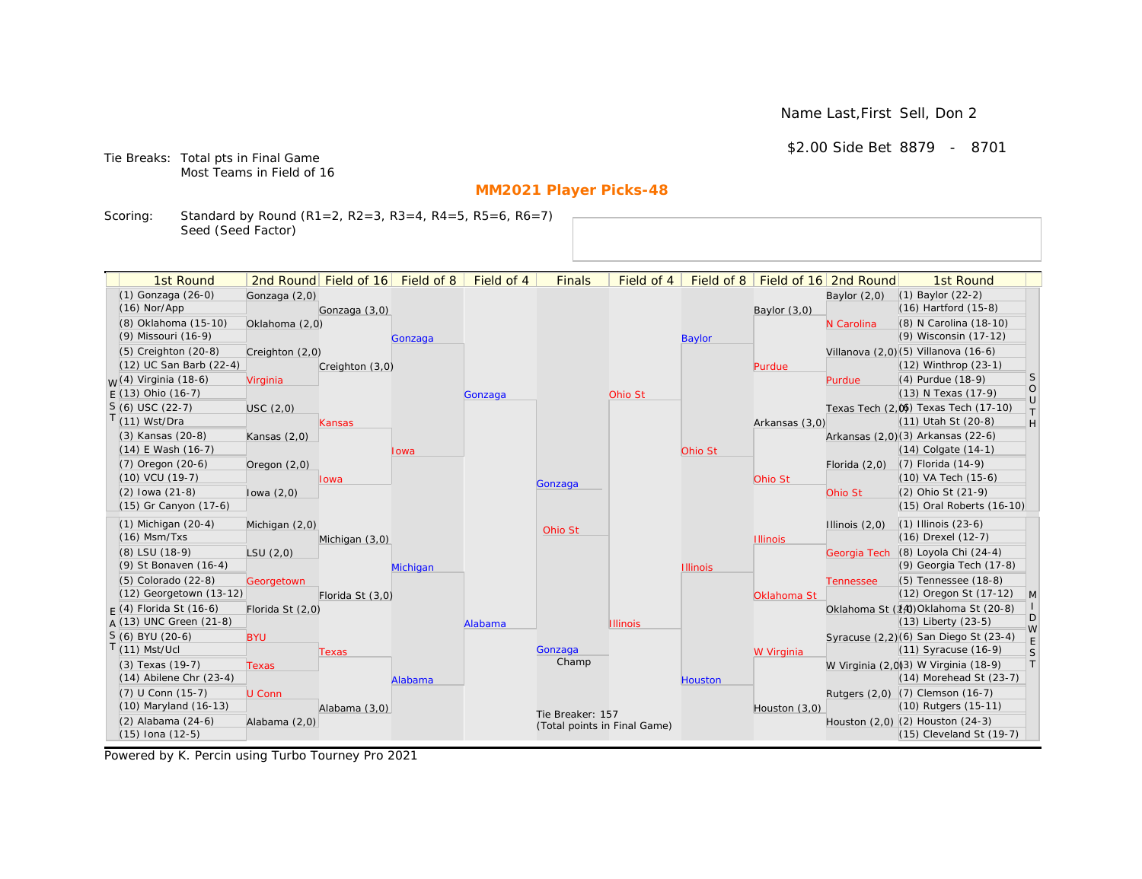Name Last,First Sell, Don 2

\$2.00 Side Bet 8879 - 8701

Tie Breaks: Total pts in Final Game Most Teams in Field of 16

# **MM2021 Player Picks-48**

Scoring: Standard by Round (R1=2, R2=3, R3=4, R4=5, R5=6, R6=7) Seed (Seed Factor)

| (1) Gonzaga (26-0)<br>$(1)$ Baylor $(22-2)$<br>Gonzaga (2,0)<br>Baylor $(2,0)$<br>$(16)$ Hartford $(15-8)$<br>$(16)$ Nor/App<br>Gonzaga (3,0)<br>Baylor $(3,0)$<br>(8) Oklahoma (15-10)<br>(8) N Carolina (18-10)<br>Oklahoma (2,0)<br>N Carolina<br>(9) Wisconsin (17-12)<br>(9) Missouri (16-9)<br><b>Baylor</b><br>Gonzaga<br>Villanova (2,0) (5) Villanova (16-6)<br>(5) Creighton (20-8)<br>Creighton (2,0)<br>(12) UC San Barb (22-4)<br>$(12)$ Winthrop $(23-1)$<br>Creighton (3,0)<br>Purdue<br><sub>S</sub><br><sub>M</sub> /(4) Virginia (18-6)<br>(4) Purdue (18-9)<br>Virginia<br>Purdue<br>$\circ$<br>$F(13)$ Ohio (16-7)<br>(13) N Texas (17-9)<br>Ohio St<br>Gonzaga<br>$\cup$<br>$S(6)$ USC (22-7)<br>Texas Tech (2.06) Texas Tech (17-10)<br>USC(2,0)<br>$\top$<br>$T(11)$ Wst/Dra<br>(11) Utah St (20-8)<br>H<br>Arkansas (3,0)<br>Kansas<br>Arkansas (2,0)(3) Arkansas (22-6)<br>(3) Kansas (20-8)<br>Kansas $(2,0)$<br>$(14)$ E Wash $(16-7)$<br>$(14)$ Colgate $(14-1)$<br>Ohio St<br>Iowa<br>(7) Florida (14-9)<br>$(7)$ Oregon $(20-6)$<br>Florida $(2,0)$<br>Oregon $(2,0)$<br>(10) VCU (19-7)<br>(10) VA Tech (15-6)<br>Ohio St<br>lowa<br>Gonzaga<br>$(2)$ lowa $(21-8)$<br>(2) Ohio St (21-9)<br>Ohio St<br>lowa $(2,0)$<br>(15) Gr Canyon (17-6)<br>(15) Oral Roberts (16-10)<br>$(1)$ Michigan $(20-4)$<br>$(1)$ Illinois $(23-6)$<br>Michigan (2,0)<br>Illinois $(2,0)$<br>Ohio St<br>$(16)$ Msm/Txs<br>(16) Drexel (12-7)<br>Michigan (3,0)<br><b>Illinois</b><br>(8) Loyola Chi (24-4)<br>(8) LSU (18-9)<br>Georgia Tech<br>LSU(2,0)<br>(9) Georgia Tech (17-8)<br>(9) St Bonaven (16-4)<br><b>Illinois</b><br>Michigan<br>(5) Tennessee (18-8)<br>(5) Colorado (22-8)<br>Georgetown<br><b>Tennessee</b><br>(12) Georgetown (13-12)<br>(12) Oregon St (17-12)<br>M<br>Florida St (3,0)<br>Oklahoma St<br>$F(4)$ Florida St (16-6)<br>Oklahoma St (14) Oklahoma St (20-8)<br>Florida St (2,0)<br>D<br>$A(13)$ UNC Green (21-8)<br>$(13)$ Liberty $(23-5)$<br>Alabama<br><b>Illinois</b><br>W<br>$S(6)$ BYU (20-6)<br>Syracuse (2,2)(6) San Diego St (23-4)<br><b>BYU</b><br>$\mathsf E$<br>$T(11)$ Mst/Ucl<br>(11) Syracuse (16-9)<br>Gonzaga<br>S<br>W Virginia<br>Texas<br>Champ<br> T <br>W Virginia (2,0)(3) W Virginia (18-9)<br>(3) Texas (19-7)<br><b>Texas</b><br>$(14)$ Abilene Chr $(23-4)$<br>(14) Morehead St (23-7)<br>Alabama<br><b>Houston</b><br>(7) U Conn (15-7)<br>Rutgers (2,0) (7) Clemson (16-7)<br>U Conn<br>(10) Maryland (16-13)<br>(10) Rutgers (15-11)<br>Alabama (3,0)<br>Houston (3,0)<br>Tie Breaker: 157<br>Houston (2,0) (2) Houston (24-3)<br>(2) Alabama (24-6)<br>Alabama (2,0)<br>(Total points in Final Game) | 1st Round            | 2nd Round Field of 16 | Field of 8 | Field of 4 | <b>Finals</b> | Field of 4 | Field of 8 | Field of 16 2nd Round | 1st Round                |  |
|-----------------------------------------------------------------------------------------------------------------------------------------------------------------------------------------------------------------------------------------------------------------------------------------------------------------------------------------------------------------------------------------------------------------------------------------------------------------------------------------------------------------------------------------------------------------------------------------------------------------------------------------------------------------------------------------------------------------------------------------------------------------------------------------------------------------------------------------------------------------------------------------------------------------------------------------------------------------------------------------------------------------------------------------------------------------------------------------------------------------------------------------------------------------------------------------------------------------------------------------------------------------------------------------------------------------------------------------------------------------------------------------------------------------------------------------------------------------------------------------------------------------------------------------------------------------------------------------------------------------------------------------------------------------------------------------------------------------------------------------------------------------------------------------------------------------------------------------------------------------------------------------------------------------------------------------------------------------------------------------------------------------------------------------------------------------------------------------------------------------------------------------------------------------------------------------------------------------------------------------------------------------------------------------------------------------------------------------------------------------------------------------------------------------------------------------------------------------------------------------------------------------------------------------------------------------------------------------------------------------------------------------------------------------------------------|----------------------|-----------------------|------------|------------|---------------|------------|------------|-----------------------|--------------------------|--|
|                                                                                                                                                                                                                                                                                                                                                                                                                                                                                                                                                                                                                                                                                                                                                                                                                                                                                                                                                                                                                                                                                                                                                                                                                                                                                                                                                                                                                                                                                                                                                                                                                                                                                                                                                                                                                                                                                                                                                                                                                                                                                                                                                                                                                                                                                                                                                                                                                                                                                                                                                                                                                                                                                   |                      |                       |            |            |               |            |            |                       |                          |  |
|                                                                                                                                                                                                                                                                                                                                                                                                                                                                                                                                                                                                                                                                                                                                                                                                                                                                                                                                                                                                                                                                                                                                                                                                                                                                                                                                                                                                                                                                                                                                                                                                                                                                                                                                                                                                                                                                                                                                                                                                                                                                                                                                                                                                                                                                                                                                                                                                                                                                                                                                                                                                                                                                                   |                      |                       |            |            |               |            |            |                       |                          |  |
|                                                                                                                                                                                                                                                                                                                                                                                                                                                                                                                                                                                                                                                                                                                                                                                                                                                                                                                                                                                                                                                                                                                                                                                                                                                                                                                                                                                                                                                                                                                                                                                                                                                                                                                                                                                                                                                                                                                                                                                                                                                                                                                                                                                                                                                                                                                                                                                                                                                                                                                                                                                                                                                                                   |                      |                       |            |            |               |            |            |                       |                          |  |
|                                                                                                                                                                                                                                                                                                                                                                                                                                                                                                                                                                                                                                                                                                                                                                                                                                                                                                                                                                                                                                                                                                                                                                                                                                                                                                                                                                                                                                                                                                                                                                                                                                                                                                                                                                                                                                                                                                                                                                                                                                                                                                                                                                                                                                                                                                                                                                                                                                                                                                                                                                                                                                                                                   |                      |                       |            |            |               |            |            |                       |                          |  |
|                                                                                                                                                                                                                                                                                                                                                                                                                                                                                                                                                                                                                                                                                                                                                                                                                                                                                                                                                                                                                                                                                                                                                                                                                                                                                                                                                                                                                                                                                                                                                                                                                                                                                                                                                                                                                                                                                                                                                                                                                                                                                                                                                                                                                                                                                                                                                                                                                                                                                                                                                                                                                                                                                   |                      |                       |            |            |               |            |            |                       |                          |  |
|                                                                                                                                                                                                                                                                                                                                                                                                                                                                                                                                                                                                                                                                                                                                                                                                                                                                                                                                                                                                                                                                                                                                                                                                                                                                                                                                                                                                                                                                                                                                                                                                                                                                                                                                                                                                                                                                                                                                                                                                                                                                                                                                                                                                                                                                                                                                                                                                                                                                                                                                                                                                                                                                                   |                      |                       |            |            |               |            |            |                       |                          |  |
|                                                                                                                                                                                                                                                                                                                                                                                                                                                                                                                                                                                                                                                                                                                                                                                                                                                                                                                                                                                                                                                                                                                                                                                                                                                                                                                                                                                                                                                                                                                                                                                                                                                                                                                                                                                                                                                                                                                                                                                                                                                                                                                                                                                                                                                                                                                                                                                                                                                                                                                                                                                                                                                                                   |                      |                       |            |            |               |            |            |                       |                          |  |
|                                                                                                                                                                                                                                                                                                                                                                                                                                                                                                                                                                                                                                                                                                                                                                                                                                                                                                                                                                                                                                                                                                                                                                                                                                                                                                                                                                                                                                                                                                                                                                                                                                                                                                                                                                                                                                                                                                                                                                                                                                                                                                                                                                                                                                                                                                                                                                                                                                                                                                                                                                                                                                                                                   |                      |                       |            |            |               |            |            |                       |                          |  |
|                                                                                                                                                                                                                                                                                                                                                                                                                                                                                                                                                                                                                                                                                                                                                                                                                                                                                                                                                                                                                                                                                                                                                                                                                                                                                                                                                                                                                                                                                                                                                                                                                                                                                                                                                                                                                                                                                                                                                                                                                                                                                                                                                                                                                                                                                                                                                                                                                                                                                                                                                                                                                                                                                   |                      |                       |            |            |               |            |            |                       |                          |  |
|                                                                                                                                                                                                                                                                                                                                                                                                                                                                                                                                                                                                                                                                                                                                                                                                                                                                                                                                                                                                                                                                                                                                                                                                                                                                                                                                                                                                                                                                                                                                                                                                                                                                                                                                                                                                                                                                                                                                                                                                                                                                                                                                                                                                                                                                                                                                                                                                                                                                                                                                                                                                                                                                                   |                      |                       |            |            |               |            |            |                       |                          |  |
|                                                                                                                                                                                                                                                                                                                                                                                                                                                                                                                                                                                                                                                                                                                                                                                                                                                                                                                                                                                                                                                                                                                                                                                                                                                                                                                                                                                                                                                                                                                                                                                                                                                                                                                                                                                                                                                                                                                                                                                                                                                                                                                                                                                                                                                                                                                                                                                                                                                                                                                                                                                                                                                                                   |                      |                       |            |            |               |            |            |                       |                          |  |
|                                                                                                                                                                                                                                                                                                                                                                                                                                                                                                                                                                                                                                                                                                                                                                                                                                                                                                                                                                                                                                                                                                                                                                                                                                                                                                                                                                                                                                                                                                                                                                                                                                                                                                                                                                                                                                                                                                                                                                                                                                                                                                                                                                                                                                                                                                                                                                                                                                                                                                                                                                                                                                                                                   |                      |                       |            |            |               |            |            |                       |                          |  |
|                                                                                                                                                                                                                                                                                                                                                                                                                                                                                                                                                                                                                                                                                                                                                                                                                                                                                                                                                                                                                                                                                                                                                                                                                                                                                                                                                                                                                                                                                                                                                                                                                                                                                                                                                                                                                                                                                                                                                                                                                                                                                                                                                                                                                                                                                                                                                                                                                                                                                                                                                                                                                                                                                   |                      |                       |            |            |               |            |            |                       |                          |  |
|                                                                                                                                                                                                                                                                                                                                                                                                                                                                                                                                                                                                                                                                                                                                                                                                                                                                                                                                                                                                                                                                                                                                                                                                                                                                                                                                                                                                                                                                                                                                                                                                                                                                                                                                                                                                                                                                                                                                                                                                                                                                                                                                                                                                                                                                                                                                                                                                                                                                                                                                                                                                                                                                                   |                      |                       |            |            |               |            |            |                       |                          |  |
|                                                                                                                                                                                                                                                                                                                                                                                                                                                                                                                                                                                                                                                                                                                                                                                                                                                                                                                                                                                                                                                                                                                                                                                                                                                                                                                                                                                                                                                                                                                                                                                                                                                                                                                                                                                                                                                                                                                                                                                                                                                                                                                                                                                                                                                                                                                                                                                                                                                                                                                                                                                                                                                                                   |                      |                       |            |            |               |            |            |                       |                          |  |
|                                                                                                                                                                                                                                                                                                                                                                                                                                                                                                                                                                                                                                                                                                                                                                                                                                                                                                                                                                                                                                                                                                                                                                                                                                                                                                                                                                                                                                                                                                                                                                                                                                                                                                                                                                                                                                                                                                                                                                                                                                                                                                                                                                                                                                                                                                                                                                                                                                                                                                                                                                                                                                                                                   |                      |                       |            |            |               |            |            |                       |                          |  |
|                                                                                                                                                                                                                                                                                                                                                                                                                                                                                                                                                                                                                                                                                                                                                                                                                                                                                                                                                                                                                                                                                                                                                                                                                                                                                                                                                                                                                                                                                                                                                                                                                                                                                                                                                                                                                                                                                                                                                                                                                                                                                                                                                                                                                                                                                                                                                                                                                                                                                                                                                                                                                                                                                   |                      |                       |            |            |               |            |            |                       |                          |  |
|                                                                                                                                                                                                                                                                                                                                                                                                                                                                                                                                                                                                                                                                                                                                                                                                                                                                                                                                                                                                                                                                                                                                                                                                                                                                                                                                                                                                                                                                                                                                                                                                                                                                                                                                                                                                                                                                                                                                                                                                                                                                                                                                                                                                                                                                                                                                                                                                                                                                                                                                                                                                                                                                                   |                      |                       |            |            |               |            |            |                       |                          |  |
|                                                                                                                                                                                                                                                                                                                                                                                                                                                                                                                                                                                                                                                                                                                                                                                                                                                                                                                                                                                                                                                                                                                                                                                                                                                                                                                                                                                                                                                                                                                                                                                                                                                                                                                                                                                                                                                                                                                                                                                                                                                                                                                                                                                                                                                                                                                                                                                                                                                                                                                                                                                                                                                                                   |                      |                       |            |            |               |            |            |                       |                          |  |
|                                                                                                                                                                                                                                                                                                                                                                                                                                                                                                                                                                                                                                                                                                                                                                                                                                                                                                                                                                                                                                                                                                                                                                                                                                                                                                                                                                                                                                                                                                                                                                                                                                                                                                                                                                                                                                                                                                                                                                                                                                                                                                                                                                                                                                                                                                                                                                                                                                                                                                                                                                                                                                                                                   |                      |                       |            |            |               |            |            |                       |                          |  |
|                                                                                                                                                                                                                                                                                                                                                                                                                                                                                                                                                                                                                                                                                                                                                                                                                                                                                                                                                                                                                                                                                                                                                                                                                                                                                                                                                                                                                                                                                                                                                                                                                                                                                                                                                                                                                                                                                                                                                                                                                                                                                                                                                                                                                                                                                                                                                                                                                                                                                                                                                                                                                                                                                   |                      |                       |            |            |               |            |            |                       |                          |  |
|                                                                                                                                                                                                                                                                                                                                                                                                                                                                                                                                                                                                                                                                                                                                                                                                                                                                                                                                                                                                                                                                                                                                                                                                                                                                                                                                                                                                                                                                                                                                                                                                                                                                                                                                                                                                                                                                                                                                                                                                                                                                                                                                                                                                                                                                                                                                                                                                                                                                                                                                                                                                                                                                                   |                      |                       |            |            |               |            |            |                       |                          |  |
|                                                                                                                                                                                                                                                                                                                                                                                                                                                                                                                                                                                                                                                                                                                                                                                                                                                                                                                                                                                                                                                                                                                                                                                                                                                                                                                                                                                                                                                                                                                                                                                                                                                                                                                                                                                                                                                                                                                                                                                                                                                                                                                                                                                                                                                                                                                                                                                                                                                                                                                                                                                                                                                                                   |                      |                       |            |            |               |            |            |                       |                          |  |
|                                                                                                                                                                                                                                                                                                                                                                                                                                                                                                                                                                                                                                                                                                                                                                                                                                                                                                                                                                                                                                                                                                                                                                                                                                                                                                                                                                                                                                                                                                                                                                                                                                                                                                                                                                                                                                                                                                                                                                                                                                                                                                                                                                                                                                                                                                                                                                                                                                                                                                                                                                                                                                                                                   |                      |                       |            |            |               |            |            |                       |                          |  |
|                                                                                                                                                                                                                                                                                                                                                                                                                                                                                                                                                                                                                                                                                                                                                                                                                                                                                                                                                                                                                                                                                                                                                                                                                                                                                                                                                                                                                                                                                                                                                                                                                                                                                                                                                                                                                                                                                                                                                                                                                                                                                                                                                                                                                                                                                                                                                                                                                                                                                                                                                                                                                                                                                   |                      |                       |            |            |               |            |            |                       |                          |  |
|                                                                                                                                                                                                                                                                                                                                                                                                                                                                                                                                                                                                                                                                                                                                                                                                                                                                                                                                                                                                                                                                                                                                                                                                                                                                                                                                                                                                                                                                                                                                                                                                                                                                                                                                                                                                                                                                                                                                                                                                                                                                                                                                                                                                                                                                                                                                                                                                                                                                                                                                                                                                                                                                                   |                      |                       |            |            |               |            |            |                       |                          |  |
|                                                                                                                                                                                                                                                                                                                                                                                                                                                                                                                                                                                                                                                                                                                                                                                                                                                                                                                                                                                                                                                                                                                                                                                                                                                                                                                                                                                                                                                                                                                                                                                                                                                                                                                                                                                                                                                                                                                                                                                                                                                                                                                                                                                                                                                                                                                                                                                                                                                                                                                                                                                                                                                                                   |                      |                       |            |            |               |            |            |                       |                          |  |
|                                                                                                                                                                                                                                                                                                                                                                                                                                                                                                                                                                                                                                                                                                                                                                                                                                                                                                                                                                                                                                                                                                                                                                                                                                                                                                                                                                                                                                                                                                                                                                                                                                                                                                                                                                                                                                                                                                                                                                                                                                                                                                                                                                                                                                                                                                                                                                                                                                                                                                                                                                                                                                                                                   |                      |                       |            |            |               |            |            |                       |                          |  |
|                                                                                                                                                                                                                                                                                                                                                                                                                                                                                                                                                                                                                                                                                                                                                                                                                                                                                                                                                                                                                                                                                                                                                                                                                                                                                                                                                                                                                                                                                                                                                                                                                                                                                                                                                                                                                                                                                                                                                                                                                                                                                                                                                                                                                                                                                                                                                                                                                                                                                                                                                                                                                                                                                   |                      |                       |            |            |               |            |            |                       |                          |  |
|                                                                                                                                                                                                                                                                                                                                                                                                                                                                                                                                                                                                                                                                                                                                                                                                                                                                                                                                                                                                                                                                                                                                                                                                                                                                                                                                                                                                                                                                                                                                                                                                                                                                                                                                                                                                                                                                                                                                                                                                                                                                                                                                                                                                                                                                                                                                                                                                                                                                                                                                                                                                                                                                                   |                      |                       |            |            |               |            |            |                       |                          |  |
|                                                                                                                                                                                                                                                                                                                                                                                                                                                                                                                                                                                                                                                                                                                                                                                                                                                                                                                                                                                                                                                                                                                                                                                                                                                                                                                                                                                                                                                                                                                                                                                                                                                                                                                                                                                                                                                                                                                                                                                                                                                                                                                                                                                                                                                                                                                                                                                                                                                                                                                                                                                                                                                                                   | $(15)$ Iona $(12-5)$ |                       |            |            |               |            |            |                       | (15) Cleveland St (19-7) |  |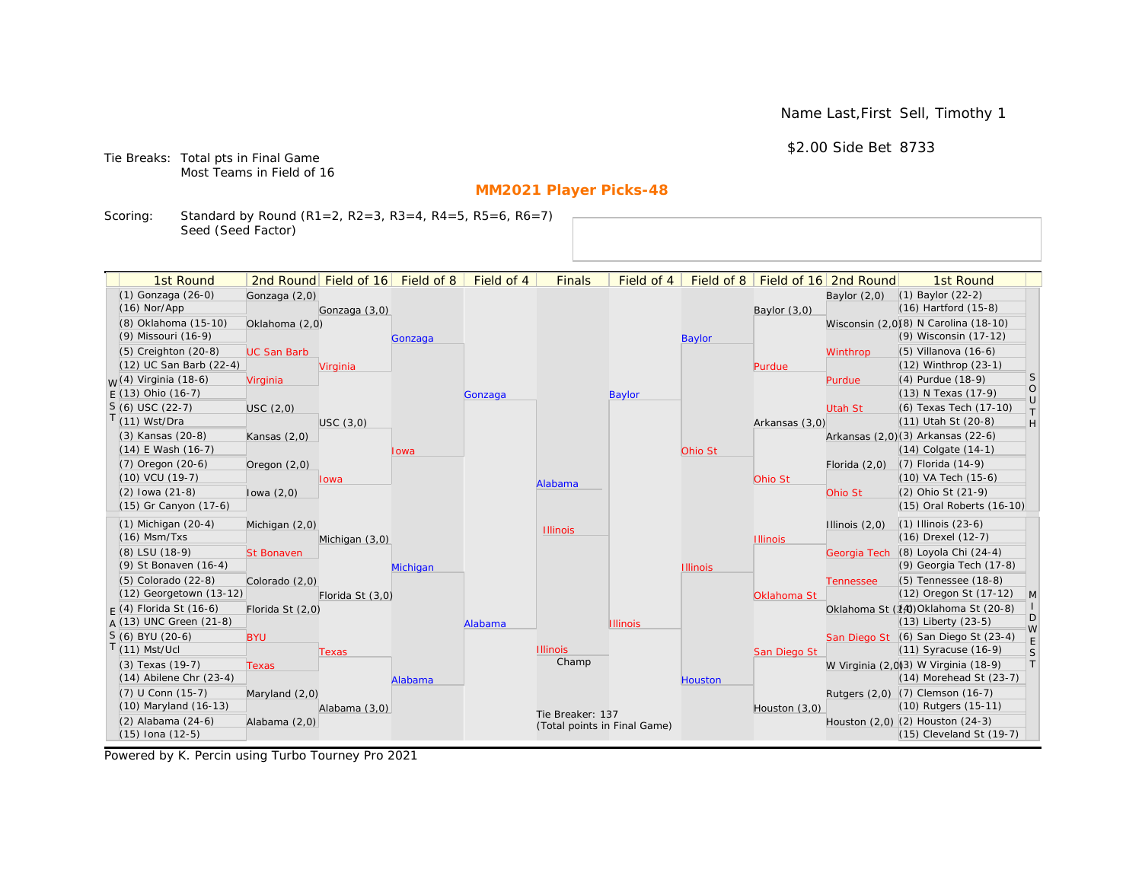\$2.00 Side Bet 8733

Tie Breaks: Total pts in Final Game Most Teams in Field of 16

# **MM2021 Player Picks-48**

Scoring: Standard by Round (R1=2, R2=3, R3=4, R4=5, R5=6, R6=7) Seed (Seed Factor)

| 1st Round                                      |                    | 2nd Round Field of 16 Field of 8 |          | Field of 4 | <b>Finals</b>                | Field of 4      |                 |                 | Field of 8   Field of 16   2nd Round | 1st Round                                                        |                                                                   |
|------------------------------------------------|--------------------|----------------------------------|----------|------------|------------------------------|-----------------|-----------------|-----------------|--------------------------------------|------------------------------------------------------------------|-------------------------------------------------------------------|
| (1) Gonzaga (26-0)                             | Gonzaga (2,0)      |                                  |          |            |                              |                 |                 |                 | Baylor $(2,0)$                       | $(1)$ Baylor $(22-2)$                                            |                                                                   |
| $(16)$ Nor/App                                 |                    | Gonzaga (3,0)                    |          |            |                              |                 |                 | Baylor $(3,0)$  |                                      | $(16)$ Hartford $(15-8)$                                         |                                                                   |
| (8) Oklahoma (15-10)                           | Oklahoma (2,0)     |                                  |          |            |                              |                 |                 |                 |                                      | Wisconsin (2,0)(8) N Carolina (18-10)                            |                                                                   |
| (9) Missouri (16-9)                            |                    |                                  | Gonzaga  |            |                              |                 | <b>Baylor</b>   |                 |                                      | (9) Wisconsin (17-12)                                            |                                                                   |
| $(5)$ Creighton $(20-8)$                       | <b>UC San Barb</b> |                                  |          |            |                              |                 |                 |                 | Winthrop                             | $(5)$ Villanova $(16-6)$                                         |                                                                   |
| (12) UC San Barb (22-4)                        |                    | Virginia                         |          |            |                              |                 |                 | Purdue          |                                      | (12) Winthrop (23-1)                                             |                                                                   |
| <sub>M</sub> /(4) Virginia (18-6)              | Virginia           |                                  |          |            |                              |                 |                 |                 | Purdue                               | (4) Purdue (18-9)                                                | <b>S</b>                                                          |
| $E(13)$ Ohio (16-7)                            |                    |                                  |          | Gonzaga    |                              | <b>Baylor</b>   |                 |                 |                                      | (13) N Texas (17-9)                                              | $\circ$                                                           |
| $S(6)$ USC (22-7)                              | USC(2,0)           |                                  |          |            |                              |                 |                 |                 | <b>Utah St</b>                       | (6) Texas Tech (17-10)                                           | $\cup$<br>$\top$                                                  |
| $(11)$ Wst/Dra                                 |                    | USC(3,0)                         |          |            |                              |                 |                 | Arkansas (3,0)  |                                      | $(11)$ Utah St $(20-8)$                                          | $\mathsf{H}% _{\mathsf{H}}^{\ast}=\mathsf{H}_{\mathsf{H}}^{\ast}$ |
| (3) Kansas (20-8)                              | Kansas $(2,0)$     |                                  |          |            |                              |                 |                 |                 |                                      | Arkansas (2,0)(3) Arkansas (22-6)                                |                                                                   |
| $(14)$ E Wash $(16-7)$                         |                    |                                  | Iowa     |            |                              |                 | Ohio St         |                 |                                      | $(14)$ Colgate $(14-1)$                                          |                                                                   |
| (7) Oregon (20-6)                              | Oregon $(2,0)$     |                                  |          |            |                              |                 |                 |                 | Florida $(2,0)$                      | (7) Florida (14-9)                                               |                                                                   |
| $(10)$ VCU $(19-7)$                            |                    | Iowa                             |          |            | Alabama                      |                 |                 | Ohio St         |                                      | (10) VA Tech (15-6)                                              |                                                                   |
| $(2)$ lowa $(21-8)$                            | lowa $(2,0)$       |                                  |          |            |                              |                 |                 |                 | Ohio St                              | (2) Ohio St (21-9)                                               |                                                                   |
| (15) Gr Canyon (17-6)                          |                    |                                  |          |            |                              |                 |                 |                 |                                      | (15) Oral Roberts (16-10)                                        |                                                                   |
| $(1)$ Michigan $(20-4)$                        | Michigan (2,0)     |                                  |          |            | <b>Illinois</b>              |                 |                 |                 | Illinois $(2,0)$                     | $(1)$ Illinois $(23-6)$                                          |                                                                   |
| $(16)$ Msm/Txs                                 |                    | Michigan (3,0)                   |          |            |                              |                 |                 | <b>Illinois</b> |                                      | (16) Drexel (12-7)                                               |                                                                   |
| (8) LSU (18-9)                                 | <b>St Bonaven</b>  |                                  |          |            |                              |                 |                 |                 | Georgia Tech                         | (8) Loyola Chi (24-4)                                            |                                                                   |
| (9) St Bonaven (16-4)                          |                    |                                  | Michigan |            |                              |                 | <b>Illinois</b> |                 |                                      | (9) Georgia Tech (17-8)                                          |                                                                   |
| (5) Colorado (22-8)                            | Colorado (2,0)     |                                  |          |            |                              |                 |                 |                 | <b>Tennessee</b>                     | (5) Tennessee (18-8)                                             |                                                                   |
| (12) Georgetown (13-12)                        |                    | Florida St (3,0)                 |          |            |                              |                 |                 | Oklahoma St     |                                      | (12) Oregon St (17-12)                                           | M                                                                 |
| $F(4)$ Florida St (16-6)                       | Florida St (2,0)   |                                  |          |            |                              |                 |                 |                 |                                      | Oklahoma St (14) Oklahoma St (20-8)                              | D                                                                 |
| A (13) UNC Green (21-8)                        |                    |                                  |          | Alabama    |                              | <b>Illinois</b> |                 |                 |                                      | $(13)$ Liberty $(23-5)$                                          | W                                                                 |
| S (6) BYU (20-6)                               | <b>BYU</b>         |                                  |          |            |                              |                 |                 |                 |                                      | San Diego St (6) San Diego St (23-4)                             | E                                                                 |
| $(11)$ Mst/Ucl                                 |                    | Texas                            |          |            | <b>Illinois</b><br>Champ     |                 |                 | San Diego St    |                                      | $(11)$ Syracuse $(16-9)$                                         | S                                                                 |
| (3) Texas (19-7)                               | <b>Texas</b>       |                                  |          |            |                              |                 |                 |                 |                                      | W Virginia (2,0)(3) W Virginia (18-9)                            | T                                                                 |
| $(14)$ Abilene Chr $(23-4)$                    |                    |                                  | Alabama  |            |                              |                 | <b>Houston</b>  |                 |                                      | $(14)$ Morehead St $(23-7)$                                      |                                                                   |
| (7) U Conn (15-7)<br>$(10)$ Maryland $(16-13)$ | Maryland (2,0)     |                                  |          |            |                              |                 |                 |                 |                                      | Rutgers (2,0) (7) Clemson (16-7)<br>(10) Rutgers (15-11)         |                                                                   |
|                                                |                    | Alabama (3,0)                    |          |            | Tie Breaker: 137             |                 |                 | Houston $(3,0)$ |                                      |                                                                  |                                                                   |
| (2) Alabama (24-6)<br>(15) Iona (12-5)         | Alabama (2,0)      |                                  |          |            | (Total points in Final Game) |                 |                 |                 |                                      | Houston (2,0) (2) Houston (24-3)<br>$(15)$ Cleveland St $(19-7)$ |                                                                   |
|                                                |                    |                                  |          |            |                              |                 |                 |                 |                                      |                                                                  |                                                                   |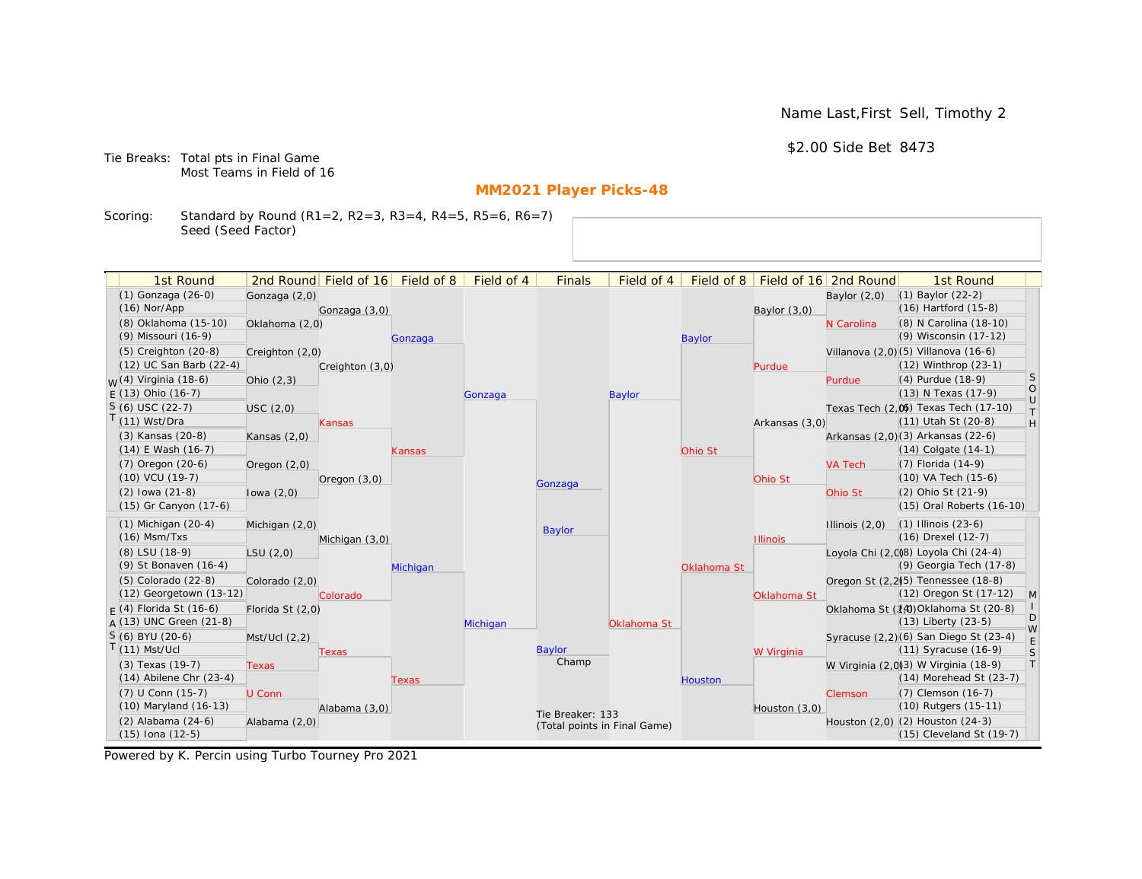\$2.00 Side Bet 8473

Tie Breaks: Total pts in Final Game Most Teams in Field of 16

# **MM2021 Player Picks-48**

Scoring: Standard by Round (R1=2, R2=3, R3=4, R4=5, R5=6, R6=7) Seed (Seed Factor)

| 1st Round                        |                  | 2nd Round Field of 16 | Field of 8 | Field of 4 | <b>Finals</b>                | Field of 4  | Field of 8     |                 | Field of 16 2nd Round | 1st Round                             |                   |
|----------------------------------|------------------|-----------------------|------------|------------|------------------------------|-------------|----------------|-----------------|-----------------------|---------------------------------------|-------------------|
| (1) Gonzaga (26-0)               | Gonzaga (2,0)    |                       |            |            |                              |             |                |                 | Baylor $(2,0)$        | $(1)$ Baylor $(22-2)$                 |                   |
| $(16)$ Nor/App                   |                  | Gonzaga (3,0)         |            |            |                              |             |                | Baylor $(3,0)$  |                       | (16) Hartford (15-8)                  |                   |
| (8) Oklahoma (15-10)             | Oklahoma (2,0)   |                       |            |            |                              |             |                |                 | N Carolina            | (8) N Carolina (18-10)                |                   |
| (9) Missouri (16-9)              |                  |                       | Gonzaga    |            |                              |             | <b>Baylor</b>  |                 |                       | (9) Wisconsin (17-12)                 |                   |
| (5) Creighton (20-8)             | Creighton (2,0)  |                       |            |            |                              |             |                |                 |                       | Villanova (2,0)(5) Villanova (16-6)   |                   |
| (12) UC San Barb (22-4)          |                  | Creighton (3,0)       |            |            |                              |             |                | Purdue          |                       | (12) Winthrop (23-1)                  |                   |
| <sub>W</sub> (4) Virginia (18-6) | Ohio $(2,3)$     |                       |            |            |                              |             |                |                 | Purdue                | (4) Purdue (18-9)                     | S                 |
| $E(13)$ Ohio (16-7)              |                  |                       |            | Gonzaga    |                              | Baylor      |                |                 |                       | (13) N Texas (17-9)                   | $\circ$<br>$\cup$ |
| $S(6)$ USC (22-7)                | USC(2,0)         |                       |            |            |                              |             |                |                 |                       | Texas Tech (2,0) Texas Tech (17-10)   | $\top$            |
| $T(11)$ Wst/Dra                  |                  | Kansas                |            |            |                              |             |                | Arkansas (3,0)  |                       | (11) Utah St (20-8)                   | H                 |
| (3) Kansas (20-8)                | Kansas $(2,0)$   |                       |            |            |                              |             |                |                 |                       | Arkansas (2,0)(3) Arkansas (22-6)     |                   |
| $(14)$ E Wash $(16-7)$           |                  |                       | Kansas     |            |                              |             | Ohio St        |                 |                       | $(14)$ Colgate $(14-1)$               |                   |
| (7) Oregon (20-6)                | Oregon $(2,0)$   |                       |            |            |                              |             |                |                 | <b>VA Tech</b>        | (7) Florida (14-9)                    |                   |
| (10) VCU (19-7)                  |                  | Oregon (3,0)          |            |            | Gonzaga                      |             |                | Ohio St         |                       | (10) VA Tech (15-6)                   |                   |
| $(2)$ lowa $(21-8)$              | lowa $(2,0)$     |                       |            |            |                              |             |                |                 | Ohio St               | (2) Ohio St (21-9)                    |                   |
| (15) Gr Canyon (17-6)            |                  |                       |            |            |                              |             |                |                 |                       | (15) Oral Roberts (16-10)             |                   |
| $(1)$ Michigan $(20-4)$          | Michigan (2,0)   |                       |            |            | Baylor                       |             |                |                 | Illinois $(2,0)$      | $(1)$ Illinois $(23-6)$               |                   |
| $(16)$ Msm/Txs                   |                  | Michigan (3,0)        |            |            |                              |             |                | <b>Illinois</b> |                       | (16) Drexel (12-7)                    |                   |
| (8) LSU (18-9)                   | LSU(2,0)         |                       |            |            |                              |             |                |                 |                       | Lovola Chi (2.008) Loyola Chi (24-4)  |                   |
| (9) St Bonaven (16-4)            |                  |                       | Michigan   |            |                              |             | Oklahoma St    |                 |                       | (9) Georgia Tech (17-8)               |                   |
| (5) Colorado (22-8)              | Colorado (2,0)   |                       |            |            |                              |             |                |                 |                       | Oregon St (2,2)[5] Tennessee (18-8)   |                   |
| (12) Georgetown (13-12)          |                  | Colorado              |            |            |                              |             |                | Oklahoma St     |                       | (12) Oregon St (17-12)                | $\mathsf{M}$      |
| $F(4)$ Florida St (16-6)         | Florida St (2,0) |                       |            |            |                              |             |                |                 |                       | Oklahoma St (14) Oklahoma St (20-8)   | D                 |
| A (13) UNC Green (21-8)          |                  |                       |            | Michigan   |                              | Oklahoma St |                |                 |                       | $(13)$ Liberty $(23-5)$               | W                 |
| $S(6)$ BYU (20-6)                | Mst/Ucl(2,2)     |                       |            |            |                              |             |                |                 |                       | Syracuse (2,2)(6) San Diego St (23-4) | $\mathsf E$       |
| $T(11)$ Mst/Ucl                  |                  | Texas                 |            |            | Baylor                       |             |                | W Virginia      |                       | (11) Syracuse (16-9)                  | $\mathsf{S}$      |
| (3) Texas (19-7)                 | <b>Texas</b>     |                       |            |            | Champ                        |             |                |                 |                       | W Virginia (2,0)(3) W Virginia (18-9) | $\top$            |
| $(14)$ Abilene Chr $(23-4)$      |                  |                       | Texas      |            |                              |             | <b>Houston</b> |                 |                       | (14) Morehead St (23-7)               |                   |
| (7) U Conn (15-7)                | U Conn           |                       |            |            |                              |             |                |                 | <b>Clemson</b>        | (7) Clemson (16-7)                    |                   |
| (10) Maryland (16-13)            |                  | Alabama (3,0)         |            |            | Tie Breaker: 133             |             |                | Houston (3,0)   |                       | (10) Rutgers (15-11)                  |                   |
| (2) Alabama (24-6)               | Alabama (2,0)    |                       |            |            | (Total points in Final Game) |             |                |                 |                       | Houston (2,0) (2) Houston (24-3)      |                   |
| $(15)$ Iona $(12-5)$             |                  |                       |            |            |                              |             |                |                 |                       | (15) Cleveland St (19-7)              |                   |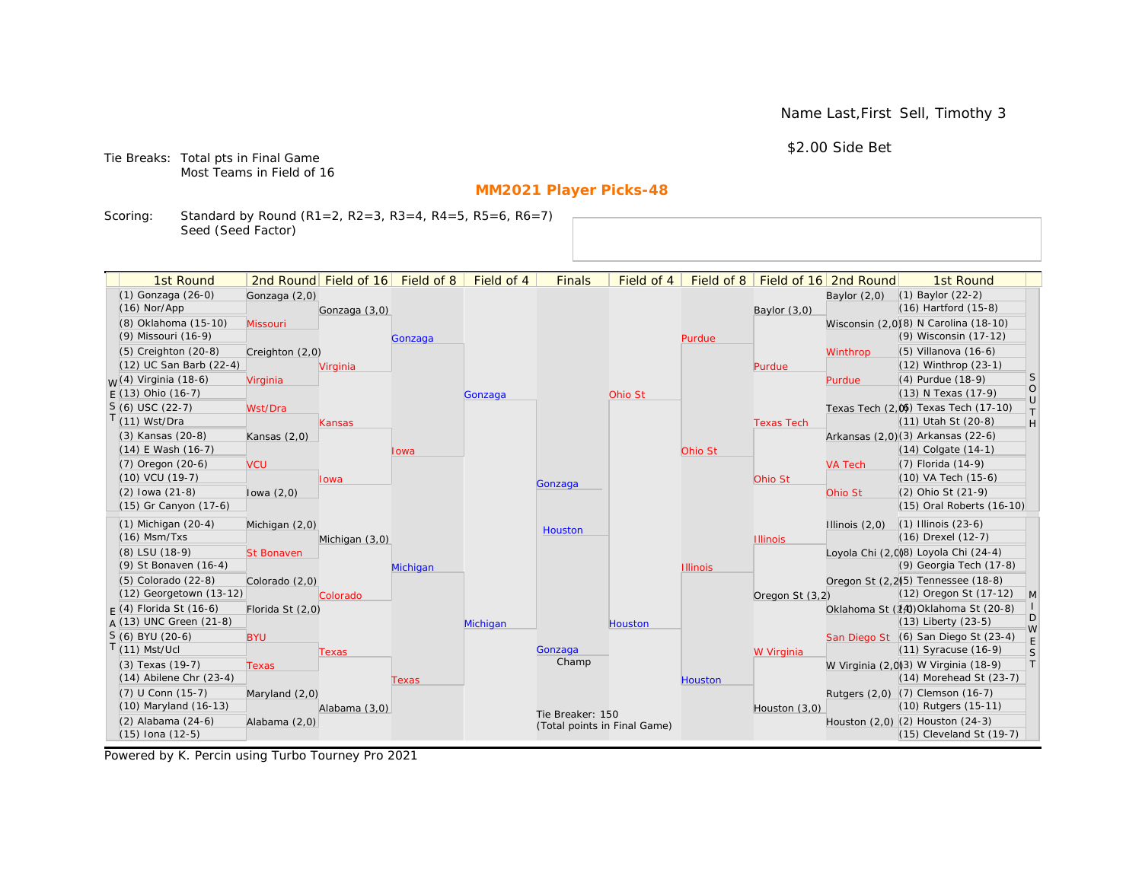\$2.00 Side Bet

Tie Breaks: Total pts in Final Game Most Teams in Field of 16

# **MM2021 Player Picks-48**

Scoring: Standard by Round (R1=2, R2=3, R3=4, R4=5, R5=6, R6=7) Seed (Seed Factor)

|                                      |                   |                                  |          | Field of 4 |                              |                |                 |                   |                                      |                                                 |                                                                             |
|--------------------------------------|-------------------|----------------------------------|----------|------------|------------------------------|----------------|-----------------|-------------------|--------------------------------------|-------------------------------------------------|-----------------------------------------------------------------------------|
| 1st Round                            |                   | 2nd Round Field of 16 Field of 8 |          |            | <b>Finals</b>                | Field of 4     |                 |                   | Field of 8   Field of 16   2nd Round | 1st Round                                       |                                                                             |
| (1) Gonzaga (26-0)<br>$(16)$ Nor/App | Gonzaga (2,0)     |                                  |          |            |                              |                |                 |                   | Baylor $(2,0)$                       | $(1)$ Baylor $(22-2)$<br>(16) Hartford (15-8)   |                                                                             |
| (8) Oklahoma (15-10)                 |                   | Gonzaga (3,0)                    |          |            |                              |                |                 | Baylor $(3,0)$    |                                      | Wisconsin (2,0)(8) N Carolina (18-10)           |                                                                             |
| (9) Missouri (16-9)                  | Missouri          |                                  |          |            |                              |                |                 |                   |                                      | (9) Wisconsin (17-12)                           |                                                                             |
| $(5)$ Creighton $(20-8)$             |                   |                                  | Gonzaga  |            |                              |                | Purdue          |                   |                                      | $(5)$ Villanova $(16-6)$                        |                                                                             |
| (12) UC San Barb (22-4)              | Creighton (2,0)   |                                  |          |            |                              |                |                 |                   | Winthrop                             | (12) Winthrop (23-1)                            |                                                                             |
| <sub>M</sub> /(4) Virginia (18-6)    | Virginia          | Virginia                         |          |            |                              |                |                 | Purdue            | Purdue                               | (4) Purdue (18-9)                               | <b>S</b>                                                                    |
| $E(13)$ Ohio (16-7)                  |                   |                                  |          | Gonzaga    |                              | Ohio St        |                 |                   |                                      | (13) N Texas (17-9)                             | $\circ$                                                                     |
| $S(6)$ USC (22-7)                    | Wst/Dra           |                                  |          |            |                              |                |                 |                   |                                      | Texas Tech (2,0) Texas Tech (17-10)             | $\cup$                                                                      |
| $(11)$ Wst/Dra                       |                   | Kansas                           |          |            |                              |                |                 | <b>Texas Tech</b> |                                      | (11) Utah St (20-8)                             | $\top$<br>$\mathsf{H}% _{\mathsf{H}}^{\ast}=\mathsf{H}_{\mathsf{H}}^{\ast}$ |
| (3) Kansas (20-8)                    | Kansas $(2,0)$    |                                  |          |            |                              |                |                 |                   |                                      | Arkansas (2,0)(3) Arkansas (22-6)               |                                                                             |
| (14) E Wash (16-7)                   |                   |                                  | lowa     |            |                              |                | Ohio St         |                   |                                      | $(14)$ Colgate $(14-1)$                         |                                                                             |
| (7) Oregon (20-6)                    | <b>VCU</b>        |                                  |          |            |                              |                |                 |                   | <b>VA Tech</b>                       | $(7)$ Florida $(14-9)$                          |                                                                             |
| $(10)$ VCU $(19-7)$                  |                   | Iowa                             |          |            |                              |                |                 | Ohio St           |                                      | (10) VA Tech (15-6)                             |                                                                             |
| $(2)$ lowa $(21-8)$                  | lowa $(2,0)$      |                                  |          |            | Gonzaga                      |                |                 |                   | Ohio St                              | (2) Ohio St (21-9)                              |                                                                             |
| (15) Gr Canyon (17-6)                |                   |                                  |          |            |                              |                |                 |                   |                                      | (15) Oral Roberts (16-10)                       |                                                                             |
| $(1)$ Michigan $(20-4)$              | Michigan (2,0)    |                                  |          |            |                              |                |                 |                   | Illinois $(2,0)$                     | $(1)$ Illinois $(23-6)$                         |                                                                             |
| $(16)$ Msm/Txs                       |                   | Michigan (3,0)                   |          |            | Houston                      |                |                 | <b>Illinois</b>   |                                      | (16) Drexel (12-7)                              |                                                                             |
| (8) LSU (18-9)                       | <b>St Bonaven</b> |                                  |          |            |                              |                |                 |                   |                                      | Loyola Chi (2,008) Loyola Chi (24-4)            |                                                                             |
| (9) St Bonaven (16-4)                |                   |                                  | Michigan |            |                              |                | <b>Illinois</b> |                   |                                      | (9) Georgia Tech (17-8)                         |                                                                             |
| (5) Colorado (22-8)                  | Colorado (2,0)    |                                  |          |            |                              |                |                 |                   |                                      | Oregon St (2,2) <sup>5</sup> ) Tennessee (18-8) |                                                                             |
| (12) Georgetown (13-12)              |                   | Colorado                         |          |            |                              |                |                 | Oregon St (3,2)   |                                      | (12) Oregon St (17-12)                          | M                                                                           |
| $F(4)$ Florida St (16-6)             | Florida St (2,0)  |                                  |          |            |                              |                |                 |                   |                                      | Oklahoma St (14) Oklahoma St (20-8)             |                                                                             |
| A (13) UNC Green (21-8)              |                   |                                  |          | Michigan   |                              | <b>Houston</b> |                 |                   |                                      | $(13)$ Liberty $(23-5)$                         | D<br>W                                                                      |
| S (6) BYU (20-6)                     | <b>BYU</b>        |                                  |          |            |                              |                |                 |                   |                                      | San Diego St (6) San Diego St (23-4)            | E                                                                           |
| $(11)$ Mst/Ucl                       |                   | Texas                            |          |            | Gonzaga                      |                |                 | W Virginia        |                                      | $(11)$ Syracuse $(16-9)$                        | S                                                                           |
| (3) Texas (19-7)                     | <b>Texas</b>      |                                  |          |            | Champ                        |                |                 |                   |                                      | W Virginia (2,0)(3) W Virginia (18-9)           | T                                                                           |
| $(14)$ Abilene Chr $(23-4)$          |                   |                                  | Texas    |            |                              |                | <b>Houston</b>  |                   |                                      | $(14)$ Morehead St $(23-7)$                     |                                                                             |
| (7) U Conn (15-7)                    | Maryland (2,0)    |                                  |          |            |                              |                |                 |                   |                                      | Rutgers (2,0) (7) Clemson (16-7)                |                                                                             |
| $(10)$ Maryland $(16-13)$            |                   | Alabama (3,0)                    |          |            | Tie Breaker: 150             |                |                 | Houston $(3,0)$   |                                      | (10) Rutgers (15-11)                            |                                                                             |
| (2) Alabama (24-6)                   | Alabama (2,0)     |                                  |          |            | (Total points in Final Game) |                |                 |                   |                                      | Houston (2,0) (2) Houston (24-3)                |                                                                             |
| (15) Iona (12-5)                     |                   |                                  |          |            |                              |                |                 |                   |                                      | $(15)$ Cleveland St $(19-7)$                    |                                                                             |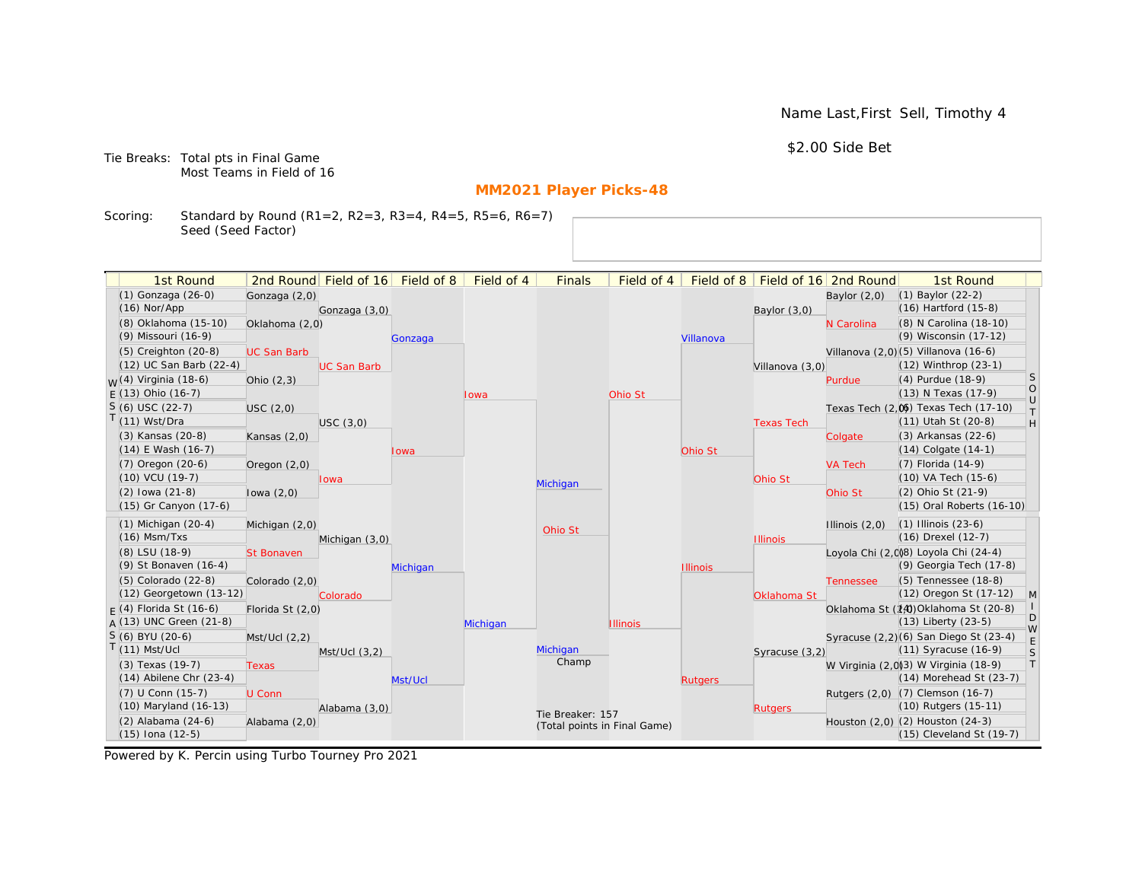\$2.00 Side Bet

Tie Breaks: Total pts in Final Game Most Teams in Field of 16

# **MM2021 Player Picks-48**

Scoring: Standard by Round (R1=2, R2=3, R3=4, R4=5, R5=6, R6=7) Seed (Seed Factor)

| 1st Round                            |                    | 2nd Round Field of 16 Field of 8 |          | Field of 4 |                              | Field of 4      |                 | Field of 8   Field of 16   2nd Round |                  | 1st Round                                 |              |
|--------------------------------------|--------------------|----------------------------------|----------|------------|------------------------------|-----------------|-----------------|--------------------------------------|------------------|-------------------------------------------|--------------|
|                                      |                    |                                  |          |            | <b>Finals</b>                |                 |                 |                                      |                  |                                           |              |
| (1) Gonzaga (26-0)<br>$(16)$ Nor/App | Gonzaga (2,0)      |                                  |          |            |                              |                 |                 |                                      | Baylor $(2,0)$   | (1) Baylor (22-2)<br>(16) Hartford (15-8) |              |
| (8) Oklahoma (15-10)                 |                    | Gonzaga (3,0)                    |          |            |                              |                 |                 | Baylor $(3,0)$                       |                  | (8) N Carolina (18-10)                    |              |
| (9) Missouri (16-9)                  | Oklahoma (2,0)     |                                  |          |            |                              |                 |                 |                                      | N Carolina       | (9) Wisconsin (17-12)                     |              |
| $(5)$ Creighton $(20-8)$             |                    |                                  | Gonzaga  |            |                              |                 | Villanova       |                                      |                  | Villanova (2,0) (5) Villanova (16-6)      |              |
| (12) UC San Barb (22-4)              | <b>UC San Barb</b> | <b>UC San Barb</b>               |          |            |                              |                 |                 | Villanova (3,0)                      |                  | (12) Winthrop (23-1)                      |              |
| $W(4)$ Virginia (18-6)               | Ohio $(2,3)$       |                                  |          |            |                              |                 |                 |                                      | Purdue           | (4) Purdue (18-9)                         | S            |
| $E(13)$ Ohio (16-7)                  |                    |                                  |          | Iowa       |                              | Ohio St         |                 |                                      |                  | (13) N Texas (17-9)                       | $\circ$      |
| $S(6)$ USC (22-7)                    | USC(2,0)           |                                  |          |            |                              |                 |                 |                                      |                  | Texas Tech (2,0) Texas Tech (17-10)       | $\cup$       |
| T(11) Wst/Dra                        |                    | USC(3,0)                         |          |            |                              |                 |                 | <b>Texas Tech</b>                    |                  | (11) Utah St (20-8)                       | $\top$<br>H  |
| (3) Kansas (20-8)                    | Kansas $(2,0)$     |                                  |          |            |                              |                 |                 |                                      | Colgate          | (3) Arkansas (22-6)                       |              |
| $(14)$ E Wash $(16-7)$               |                    |                                  | Iowa     |            |                              |                 | Ohio St         |                                      |                  | $(14)$ Colgate $(14-1)$                   |              |
| $(7)$ Oregon $(20-6)$                | Oregon $(2,0)$     |                                  |          |            |                              |                 |                 |                                      | <b>VA Tech</b>   | (7) Florida (14-9)                        |              |
| $(10)$ VCU $(19-7)$                  |                    | Iowa                             |          |            |                              |                 |                 | Ohio St                              |                  | (10) VA Tech (15-6)                       |              |
| $(2)$ lowa $(21-8)$                  | lowa $(2,0)$       |                                  |          |            | Michigan                     |                 |                 |                                      | Ohio St          | (2) Ohio St (21-9)                        |              |
| (15) Gr Canyon (17-6)                |                    |                                  |          |            |                              |                 |                 |                                      |                  | (15) Oral Roberts (16-10)                 |              |
| $(1)$ Michigan $(20-4)$              | Michigan (2,0)     |                                  |          |            |                              |                 |                 |                                      | Illinois $(2,0)$ | $(1)$ Illinois $(23-6)$                   |              |
| $(16)$ Msm/Txs                       |                    | Michigan (3,0)                   |          |            | Ohio St                      |                 |                 | <b>Illinois</b>                      |                  | (16) Drexel (12-7)                        |              |
| (8) LSU (18-9)                       | <b>St Bonaven</b>  |                                  |          |            |                              |                 |                 |                                      |                  | Loyola Chi (2,008) Loyola Chi (24-4)      |              |
| (9) St Bonaven (16-4)                |                    |                                  | Michigan |            |                              |                 | <b>Illinois</b> |                                      |                  | (9) Georgia Tech (17-8)                   |              |
| $(5)$ Colorado $(22-8)$              | Colorado (2,0)     |                                  |          |            |                              |                 |                 |                                      | <b>Tennessee</b> | (5) Tennessee (18-8)                      |              |
| (12) Georgetown (13-12)              |                    | Colorado                         |          |            |                              |                 |                 | Oklahoma St                          |                  | (12) Oregon St (17-12)                    | $\mathsf{M}$ |
| $F(4)$ Florida St (16-6)             | Florida St (2,0)   |                                  |          |            |                              |                 |                 |                                      |                  | Oklahoma St (14) Oklahoma St (20-8)       | $\mathbf{L}$ |
| $A(13)$ UNC Green (21-8)             |                    |                                  |          | Michigan   |                              | <b>Illinois</b> |                 |                                      |                  | (13) Liberty (23-5)                       | D<br>W       |
| S (6) BYU (20-6)                     | Mst/Ucl(2,2)       |                                  |          |            |                              |                 |                 |                                      |                  | Syracuse (2,2)(6) San Diego St (23-4)     | E            |
| $T(11)$ Mst/Ucl                      |                    | $Mst/Ucl$ $(3,2)$                |          |            | Michigan                     |                 |                 | Syracuse (3,2)                       |                  | (11) Syracuse (16-9)                      | S            |
| (3) Texas (19-7)                     | <b>Texas</b>       |                                  |          |            | Champ                        |                 |                 |                                      |                  | W Virginia (2,0)(3) W Virginia (18-9)     | $\top$       |
| $(14)$ Abilene Chr $(23-4)$          |                    |                                  | Mst/Ucl  |            |                              |                 | <b>Rutgers</b>  |                                      |                  | $(14)$ Morehead St $(23-7)$               |              |
| (7) U Conn (15-7)                    | U Conn             |                                  |          |            |                              |                 |                 |                                      |                  | Rutgers (2,0) (7) Clemson (16-7)          |              |
| (10) Maryland (16-13)                |                    | Alabama (3,0)                    |          |            | Tie Breaker: 157             |                 |                 | <b>Rutgers</b>                       |                  | (10) Rutgers (15-11)                      |              |
| $(2)$ Alabama $(24-6)$               | Alabama (2,0)      |                                  |          |            | (Total points in Final Game) |                 |                 |                                      |                  | Houston (2,0) (2) Houston (24-3)          |              |
| $(15)$ Iona $(12-5)$                 |                    |                                  |          |            |                              |                 |                 |                                      |                  | $(15)$ Cleveland St $(19-7)$              |              |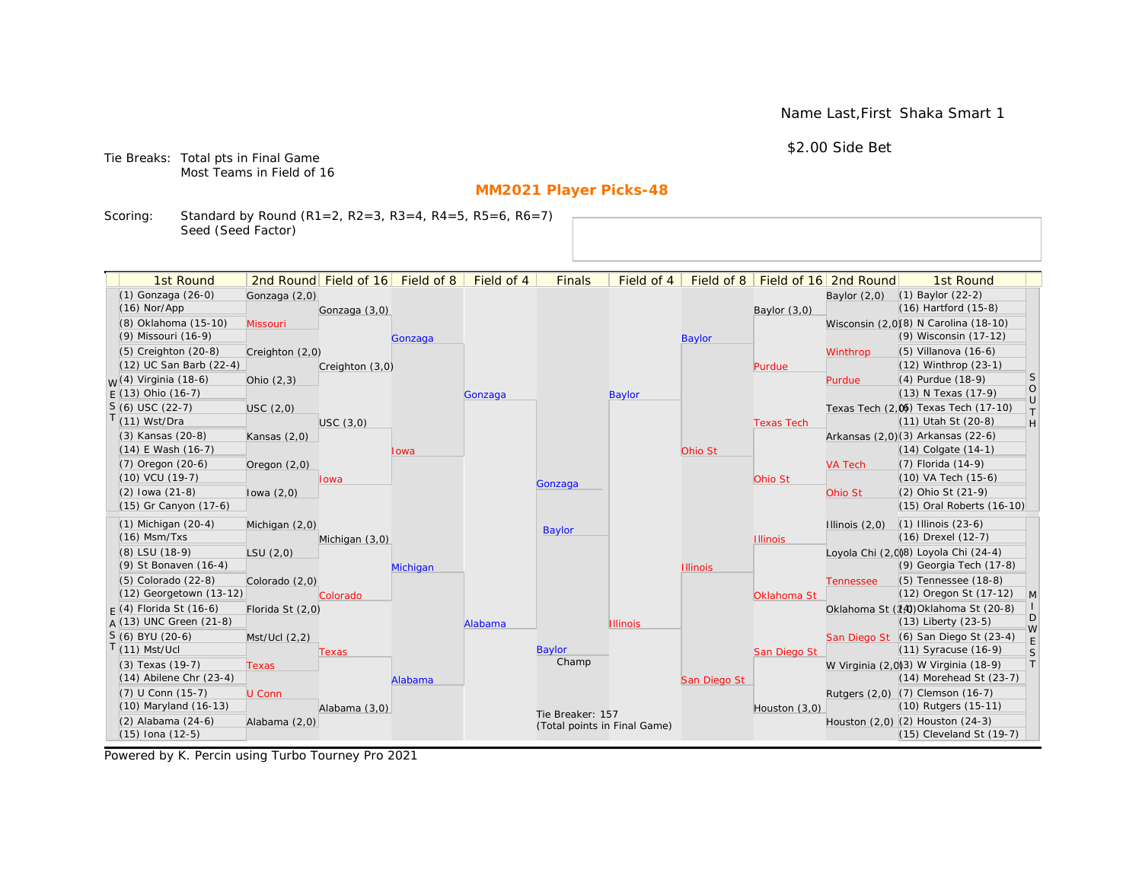Name Last,First Shaka Smart 1

\$2.00 Side Bet

Tie Breaks: Total pts in Final Game Most Teams in Field of 16

# **MM2021 Player Picks-48**

Scoring: Standard by Round (R1=2, R2=3, R3=4, R4=5, R5=6, R6=7) Seed (Seed Factor)

| (1) Gonzaga (26-0)<br>$(1)$ Baylor $(22-2)$<br>Gonzaga (2,0)<br>Baylor $(2,0)$<br>$(16)$ Hartford $(15-8)$<br>$(16)$ Nor/App<br>Gonzaga (3,0)<br>Baylor (3,0)<br>(8) Oklahoma (15-10)<br>Wisconsin (2,0)(8) N Carolina (18-10)<br>Missouri<br>(9) Wisconsin (17-12)<br>(9) Missouri (16-9)<br><b>Baylor</b><br>Gonzaga<br>(5) Creighton (20-8)<br>$(5)$ Villanova $(16-6)$<br>Winthrop<br>Creighton (2,0)<br>(12) UC San Barb (22-4)<br>(12) Winthrop (23-1)<br>Creighton (3,0)<br>Purdue<br><b>S</b><br>(4) Purdue (18-9)<br>$W(4)$ Virginia (18-6)<br>Ohio $(2,3)$<br>Purdue<br>$\circ$<br>(13) N Texas (17-9)<br>$E(13)$ Ohio (16-7)<br><b>Baylor</b><br>Gonzaga<br>$\cup$<br>$S(6)$ USC (22-7)<br>Texas Tech (2,0) Texas Tech (17-10)<br>USC (2,0)<br>$\top$<br>$T(11)$ Wst/Dra<br>(11) Utah St (20-8)<br>$\mathsf{H}% _{\mathsf{H}}^{\ast}=\mathsf{H}_{\mathsf{H}}^{\ast}$<br>USC(3,0)<br><b>Texas Tech</b><br>(3) Kansas (20-8)<br>Arkansas (2,0)(3) Arkansas (22-6)<br>Kansas $(2,0)$<br>$(14)$ E Wash $(16-7)$<br>$(14)$ Colgate $(14-1)$<br>Ohio St<br>Iowa<br>$(7)$ Oregon $(20-6)$<br>$(7)$ Florida $(14-9)$<br>Oregon $(2,0)$<br><b>VA Tech</b><br>$(10)$ VCU $(19-7)$<br>$(10)$ VA Tech $(15-6)$<br>Ohio St<br>lowa<br>Gonzaga<br>(2) Ohio St (21-9)<br>$(2)$ lowa $(21-8)$<br>lowa $(2,0)$<br>Ohio St<br>(15) Gr Canyon (17-6)<br>(15) Oral Roberts (16-10)<br>$(1)$ Michigan $(20-4)$<br>$(1)$ Illinois $(23-6)$<br>Illinois $(2,0)$<br>Michigan (2,0)<br><b>Baylor</b><br>$(16)$ Msm/Txs<br>(16) Drexel (12-7)<br>Michigan (3,0)<br><b>Illinois</b><br>Loyola Chi (2,0)8) Loyola Chi (24-4)<br>(8) LSU (18-9)<br>LSU(2,0)<br>(9) Georgia Tech (17-8)<br>(9) St Bonaven (16-4)<br><b>Illinois</b><br>Michigan<br>(5) Colorado (22-8)<br>(5) Tennessee (18-8)<br>Colorado (2,0)<br><b>Tennessee</b><br>(12) Georgetown (13-12)<br>(12) Oregon St (17-12)<br>M<br>Oklahoma St<br>Colorado<br>Oklahoma St (14) Oklahoma St (20-8)<br>$F(4)$ Florida St (16-6)<br>Florida St (2,0)<br>D<br>$A(13)$ UNC Green (21-8)<br>$(13)$ Liberty $(23-5)$<br>Alabama<br><b>Illinois</b><br>W<br>S (6) BYU (20-6)<br>San Diego St (6) San Diego St (23-4)<br>Mst/Ucl (2,2)<br>E<br>$T(11)$ Mst/Ucl<br>Baylor<br>(11) Syracuse (16-9)<br>S<br>San Diego St<br>Texas<br>Champ<br> T <br>W Virginia (2,0)(3) W Virginia (18-9)<br>(3) Texas (19-7)<br><b>Texas</b><br>$(14)$ Abilene Chr $(23-4)$<br>(14) Morehead St (23-7)<br>San Diego St<br>Alabama<br>(7) U Conn (15-7)<br>Rutgers (2,0) (7) Clemson (16-7)<br>U Conn<br>(10) Maryland (16-13)<br>(10) Rutgers (15-11)<br>Alabama (3,0)<br>Houston $(3,0)$<br>Tie Breaker: 157<br>(2) Alabama (24-6)<br>Houston (2,0) (2) Houston (24-3)<br>Alabama (2,0)<br>(Total points in Final Game) | 1st Round            | 2nd Round Field of 16 | Field of 8 | Field of 4 | <b>Finals</b> | Field of 4 | Field of 8 | Field of 16 2nd Round | 1st Round                |  |
|--------------------------------------------------------------------------------------------------------------------------------------------------------------------------------------------------------------------------------------------------------------------------------------------------------------------------------------------------------------------------------------------------------------------------------------------------------------------------------------------------------------------------------------------------------------------------------------------------------------------------------------------------------------------------------------------------------------------------------------------------------------------------------------------------------------------------------------------------------------------------------------------------------------------------------------------------------------------------------------------------------------------------------------------------------------------------------------------------------------------------------------------------------------------------------------------------------------------------------------------------------------------------------------------------------------------------------------------------------------------------------------------------------------------------------------------------------------------------------------------------------------------------------------------------------------------------------------------------------------------------------------------------------------------------------------------------------------------------------------------------------------------------------------------------------------------------------------------------------------------------------------------------------------------------------------------------------------------------------------------------------------------------------------------------------------------------------------------------------------------------------------------------------------------------------------------------------------------------------------------------------------------------------------------------------------------------------------------------------------------------------------------------------------------------------------------------------------------------------------------------------------------------------------------------------------------------------------------------------------------------------------------------------------------------------------------------------------------------------------------|----------------------|-----------------------|------------|------------|---------------|------------|------------|-----------------------|--------------------------|--|
|                                                                                                                                                                                                                                                                                                                                                                                                                                                                                                                                                                                                                                                                                                                                                                                                                                                                                                                                                                                                                                                                                                                                                                                                                                                                                                                                                                                                                                                                                                                                                                                                                                                                                                                                                                                                                                                                                                                                                                                                                                                                                                                                                                                                                                                                                                                                                                                                                                                                                                                                                                                                                                                                                                                                            |                      |                       |            |            |               |            |            |                       |                          |  |
|                                                                                                                                                                                                                                                                                                                                                                                                                                                                                                                                                                                                                                                                                                                                                                                                                                                                                                                                                                                                                                                                                                                                                                                                                                                                                                                                                                                                                                                                                                                                                                                                                                                                                                                                                                                                                                                                                                                                                                                                                                                                                                                                                                                                                                                                                                                                                                                                                                                                                                                                                                                                                                                                                                                                            |                      |                       |            |            |               |            |            |                       |                          |  |
|                                                                                                                                                                                                                                                                                                                                                                                                                                                                                                                                                                                                                                                                                                                                                                                                                                                                                                                                                                                                                                                                                                                                                                                                                                                                                                                                                                                                                                                                                                                                                                                                                                                                                                                                                                                                                                                                                                                                                                                                                                                                                                                                                                                                                                                                                                                                                                                                                                                                                                                                                                                                                                                                                                                                            |                      |                       |            |            |               |            |            |                       |                          |  |
|                                                                                                                                                                                                                                                                                                                                                                                                                                                                                                                                                                                                                                                                                                                                                                                                                                                                                                                                                                                                                                                                                                                                                                                                                                                                                                                                                                                                                                                                                                                                                                                                                                                                                                                                                                                                                                                                                                                                                                                                                                                                                                                                                                                                                                                                                                                                                                                                                                                                                                                                                                                                                                                                                                                                            |                      |                       |            |            |               |            |            |                       |                          |  |
|                                                                                                                                                                                                                                                                                                                                                                                                                                                                                                                                                                                                                                                                                                                                                                                                                                                                                                                                                                                                                                                                                                                                                                                                                                                                                                                                                                                                                                                                                                                                                                                                                                                                                                                                                                                                                                                                                                                                                                                                                                                                                                                                                                                                                                                                                                                                                                                                                                                                                                                                                                                                                                                                                                                                            |                      |                       |            |            |               |            |            |                       |                          |  |
|                                                                                                                                                                                                                                                                                                                                                                                                                                                                                                                                                                                                                                                                                                                                                                                                                                                                                                                                                                                                                                                                                                                                                                                                                                                                                                                                                                                                                                                                                                                                                                                                                                                                                                                                                                                                                                                                                                                                                                                                                                                                                                                                                                                                                                                                                                                                                                                                                                                                                                                                                                                                                                                                                                                                            |                      |                       |            |            |               |            |            |                       |                          |  |
|                                                                                                                                                                                                                                                                                                                                                                                                                                                                                                                                                                                                                                                                                                                                                                                                                                                                                                                                                                                                                                                                                                                                                                                                                                                                                                                                                                                                                                                                                                                                                                                                                                                                                                                                                                                                                                                                                                                                                                                                                                                                                                                                                                                                                                                                                                                                                                                                                                                                                                                                                                                                                                                                                                                                            |                      |                       |            |            |               |            |            |                       |                          |  |
|                                                                                                                                                                                                                                                                                                                                                                                                                                                                                                                                                                                                                                                                                                                                                                                                                                                                                                                                                                                                                                                                                                                                                                                                                                                                                                                                                                                                                                                                                                                                                                                                                                                                                                                                                                                                                                                                                                                                                                                                                                                                                                                                                                                                                                                                                                                                                                                                                                                                                                                                                                                                                                                                                                                                            |                      |                       |            |            |               |            |            |                       |                          |  |
|                                                                                                                                                                                                                                                                                                                                                                                                                                                                                                                                                                                                                                                                                                                                                                                                                                                                                                                                                                                                                                                                                                                                                                                                                                                                                                                                                                                                                                                                                                                                                                                                                                                                                                                                                                                                                                                                                                                                                                                                                                                                                                                                                                                                                                                                                                                                                                                                                                                                                                                                                                                                                                                                                                                                            |                      |                       |            |            |               |            |            |                       |                          |  |
|                                                                                                                                                                                                                                                                                                                                                                                                                                                                                                                                                                                                                                                                                                                                                                                                                                                                                                                                                                                                                                                                                                                                                                                                                                                                                                                                                                                                                                                                                                                                                                                                                                                                                                                                                                                                                                                                                                                                                                                                                                                                                                                                                                                                                                                                                                                                                                                                                                                                                                                                                                                                                                                                                                                                            |                      |                       |            |            |               |            |            |                       |                          |  |
|                                                                                                                                                                                                                                                                                                                                                                                                                                                                                                                                                                                                                                                                                                                                                                                                                                                                                                                                                                                                                                                                                                                                                                                                                                                                                                                                                                                                                                                                                                                                                                                                                                                                                                                                                                                                                                                                                                                                                                                                                                                                                                                                                                                                                                                                                                                                                                                                                                                                                                                                                                                                                                                                                                                                            |                      |                       |            |            |               |            |            |                       |                          |  |
|                                                                                                                                                                                                                                                                                                                                                                                                                                                                                                                                                                                                                                                                                                                                                                                                                                                                                                                                                                                                                                                                                                                                                                                                                                                                                                                                                                                                                                                                                                                                                                                                                                                                                                                                                                                                                                                                                                                                                                                                                                                                                                                                                                                                                                                                                                                                                                                                                                                                                                                                                                                                                                                                                                                                            |                      |                       |            |            |               |            |            |                       |                          |  |
|                                                                                                                                                                                                                                                                                                                                                                                                                                                                                                                                                                                                                                                                                                                                                                                                                                                                                                                                                                                                                                                                                                                                                                                                                                                                                                                                                                                                                                                                                                                                                                                                                                                                                                                                                                                                                                                                                                                                                                                                                                                                                                                                                                                                                                                                                                                                                                                                                                                                                                                                                                                                                                                                                                                                            |                      |                       |            |            |               |            |            |                       |                          |  |
|                                                                                                                                                                                                                                                                                                                                                                                                                                                                                                                                                                                                                                                                                                                                                                                                                                                                                                                                                                                                                                                                                                                                                                                                                                                                                                                                                                                                                                                                                                                                                                                                                                                                                                                                                                                                                                                                                                                                                                                                                                                                                                                                                                                                                                                                                                                                                                                                                                                                                                                                                                                                                                                                                                                                            |                      |                       |            |            |               |            |            |                       |                          |  |
|                                                                                                                                                                                                                                                                                                                                                                                                                                                                                                                                                                                                                                                                                                                                                                                                                                                                                                                                                                                                                                                                                                                                                                                                                                                                                                                                                                                                                                                                                                                                                                                                                                                                                                                                                                                                                                                                                                                                                                                                                                                                                                                                                                                                                                                                                                                                                                                                                                                                                                                                                                                                                                                                                                                                            |                      |                       |            |            |               |            |            |                       |                          |  |
|                                                                                                                                                                                                                                                                                                                                                                                                                                                                                                                                                                                                                                                                                                                                                                                                                                                                                                                                                                                                                                                                                                                                                                                                                                                                                                                                                                                                                                                                                                                                                                                                                                                                                                                                                                                                                                                                                                                                                                                                                                                                                                                                                                                                                                                                                                                                                                                                                                                                                                                                                                                                                                                                                                                                            |                      |                       |            |            |               |            |            |                       |                          |  |
|                                                                                                                                                                                                                                                                                                                                                                                                                                                                                                                                                                                                                                                                                                                                                                                                                                                                                                                                                                                                                                                                                                                                                                                                                                                                                                                                                                                                                                                                                                                                                                                                                                                                                                                                                                                                                                                                                                                                                                                                                                                                                                                                                                                                                                                                                                                                                                                                                                                                                                                                                                                                                                                                                                                                            |                      |                       |            |            |               |            |            |                       |                          |  |
|                                                                                                                                                                                                                                                                                                                                                                                                                                                                                                                                                                                                                                                                                                                                                                                                                                                                                                                                                                                                                                                                                                                                                                                                                                                                                                                                                                                                                                                                                                                                                                                                                                                                                                                                                                                                                                                                                                                                                                                                                                                                                                                                                                                                                                                                                                                                                                                                                                                                                                                                                                                                                                                                                                                                            |                      |                       |            |            |               |            |            |                       |                          |  |
|                                                                                                                                                                                                                                                                                                                                                                                                                                                                                                                                                                                                                                                                                                                                                                                                                                                                                                                                                                                                                                                                                                                                                                                                                                                                                                                                                                                                                                                                                                                                                                                                                                                                                                                                                                                                                                                                                                                                                                                                                                                                                                                                                                                                                                                                                                                                                                                                                                                                                                                                                                                                                                                                                                                                            |                      |                       |            |            |               |            |            |                       |                          |  |
|                                                                                                                                                                                                                                                                                                                                                                                                                                                                                                                                                                                                                                                                                                                                                                                                                                                                                                                                                                                                                                                                                                                                                                                                                                                                                                                                                                                                                                                                                                                                                                                                                                                                                                                                                                                                                                                                                                                                                                                                                                                                                                                                                                                                                                                                                                                                                                                                                                                                                                                                                                                                                                                                                                                                            |                      |                       |            |            |               |            |            |                       |                          |  |
|                                                                                                                                                                                                                                                                                                                                                                                                                                                                                                                                                                                                                                                                                                                                                                                                                                                                                                                                                                                                                                                                                                                                                                                                                                                                                                                                                                                                                                                                                                                                                                                                                                                                                                                                                                                                                                                                                                                                                                                                                                                                                                                                                                                                                                                                                                                                                                                                                                                                                                                                                                                                                                                                                                                                            |                      |                       |            |            |               |            |            |                       |                          |  |
|                                                                                                                                                                                                                                                                                                                                                                                                                                                                                                                                                                                                                                                                                                                                                                                                                                                                                                                                                                                                                                                                                                                                                                                                                                                                                                                                                                                                                                                                                                                                                                                                                                                                                                                                                                                                                                                                                                                                                                                                                                                                                                                                                                                                                                                                                                                                                                                                                                                                                                                                                                                                                                                                                                                                            |                      |                       |            |            |               |            |            |                       |                          |  |
|                                                                                                                                                                                                                                                                                                                                                                                                                                                                                                                                                                                                                                                                                                                                                                                                                                                                                                                                                                                                                                                                                                                                                                                                                                                                                                                                                                                                                                                                                                                                                                                                                                                                                                                                                                                                                                                                                                                                                                                                                                                                                                                                                                                                                                                                                                                                                                                                                                                                                                                                                                                                                                                                                                                                            |                      |                       |            |            |               |            |            |                       |                          |  |
|                                                                                                                                                                                                                                                                                                                                                                                                                                                                                                                                                                                                                                                                                                                                                                                                                                                                                                                                                                                                                                                                                                                                                                                                                                                                                                                                                                                                                                                                                                                                                                                                                                                                                                                                                                                                                                                                                                                                                                                                                                                                                                                                                                                                                                                                                                                                                                                                                                                                                                                                                                                                                                                                                                                                            |                      |                       |            |            |               |            |            |                       |                          |  |
|                                                                                                                                                                                                                                                                                                                                                                                                                                                                                                                                                                                                                                                                                                                                                                                                                                                                                                                                                                                                                                                                                                                                                                                                                                                                                                                                                                                                                                                                                                                                                                                                                                                                                                                                                                                                                                                                                                                                                                                                                                                                                                                                                                                                                                                                                                                                                                                                                                                                                                                                                                                                                                                                                                                                            |                      |                       |            |            |               |            |            |                       |                          |  |
|                                                                                                                                                                                                                                                                                                                                                                                                                                                                                                                                                                                                                                                                                                                                                                                                                                                                                                                                                                                                                                                                                                                                                                                                                                                                                                                                                                                                                                                                                                                                                                                                                                                                                                                                                                                                                                                                                                                                                                                                                                                                                                                                                                                                                                                                                                                                                                                                                                                                                                                                                                                                                                                                                                                                            |                      |                       |            |            |               |            |            |                       |                          |  |
|                                                                                                                                                                                                                                                                                                                                                                                                                                                                                                                                                                                                                                                                                                                                                                                                                                                                                                                                                                                                                                                                                                                                                                                                                                                                                                                                                                                                                                                                                                                                                                                                                                                                                                                                                                                                                                                                                                                                                                                                                                                                                                                                                                                                                                                                                                                                                                                                                                                                                                                                                                                                                                                                                                                                            |                      |                       |            |            |               |            |            |                       |                          |  |
|                                                                                                                                                                                                                                                                                                                                                                                                                                                                                                                                                                                                                                                                                                                                                                                                                                                                                                                                                                                                                                                                                                                                                                                                                                                                                                                                                                                                                                                                                                                                                                                                                                                                                                                                                                                                                                                                                                                                                                                                                                                                                                                                                                                                                                                                                                                                                                                                                                                                                                                                                                                                                                                                                                                                            |                      |                       |            |            |               |            |            |                       |                          |  |
|                                                                                                                                                                                                                                                                                                                                                                                                                                                                                                                                                                                                                                                                                                                                                                                                                                                                                                                                                                                                                                                                                                                                                                                                                                                                                                                                                                                                                                                                                                                                                                                                                                                                                                                                                                                                                                                                                                                                                                                                                                                                                                                                                                                                                                                                                                                                                                                                                                                                                                                                                                                                                                                                                                                                            |                      |                       |            |            |               |            |            |                       |                          |  |
|                                                                                                                                                                                                                                                                                                                                                                                                                                                                                                                                                                                                                                                                                                                                                                                                                                                                                                                                                                                                                                                                                                                                                                                                                                                                                                                                                                                                                                                                                                                                                                                                                                                                                                                                                                                                                                                                                                                                                                                                                                                                                                                                                                                                                                                                                                                                                                                                                                                                                                                                                                                                                                                                                                                                            |                      |                       |            |            |               |            |            |                       |                          |  |
|                                                                                                                                                                                                                                                                                                                                                                                                                                                                                                                                                                                                                                                                                                                                                                                                                                                                                                                                                                                                                                                                                                                                                                                                                                                                                                                                                                                                                                                                                                                                                                                                                                                                                                                                                                                                                                                                                                                                                                                                                                                                                                                                                                                                                                                                                                                                                                                                                                                                                                                                                                                                                                                                                                                                            | $(15)$ Iona $(12-5)$ |                       |            |            |               |            |            |                       | (15) Cleveland St (19-7) |  |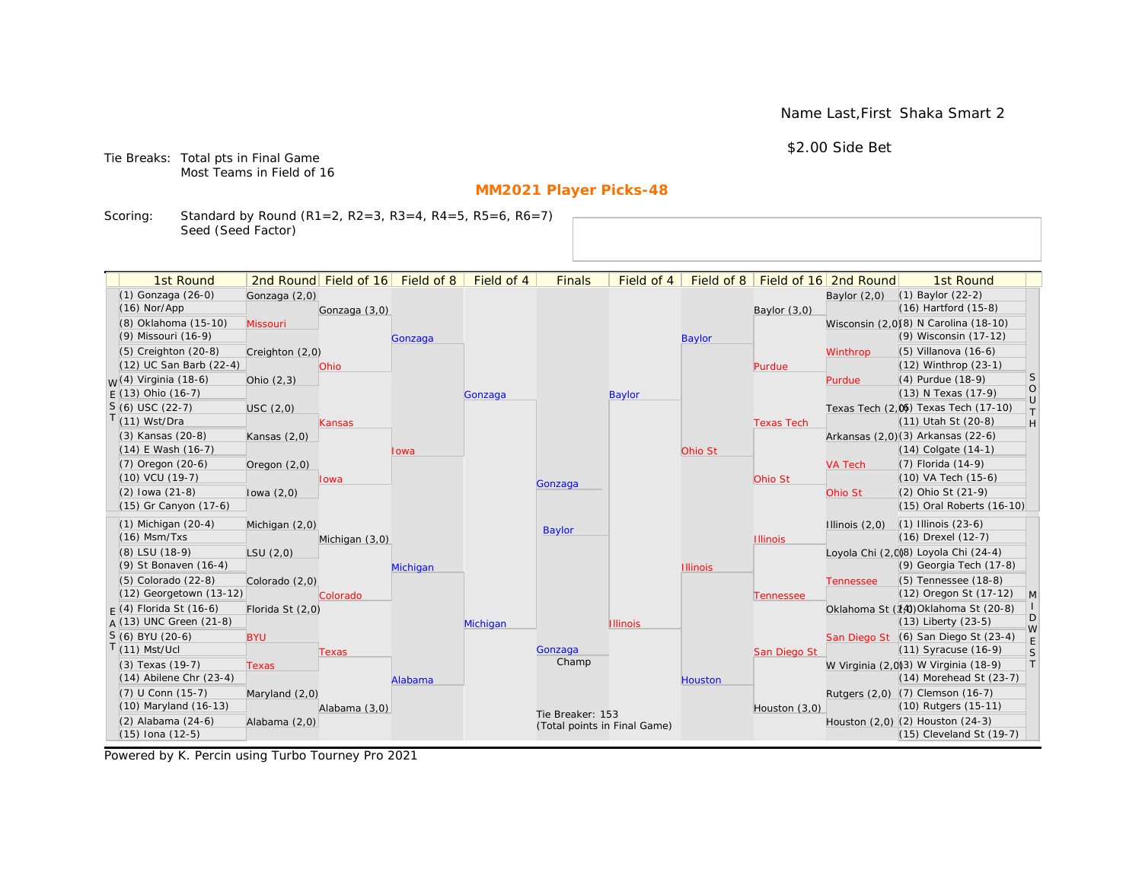Name Last,First Shaka Smart 2

\$2.00 Side Bet

Tie Breaks: Total pts in Final Game Most Teams in Field of 16

# **MM2021 Player Picks-48**

Scoring: Standard by Round (R1=2, R2=3, R3=4, R4=5, R5=6, R6=7) Seed (Seed Factor)

| 1st Round                         |                  | 2nd Round Field of 16 Field of 8 |          | Field of 4 | <b>Finals</b>                | Field of 4      | Field of 8      |                   | Field of 16 2nd Round | 1st Round                             |                   |
|-----------------------------------|------------------|----------------------------------|----------|------------|------------------------------|-----------------|-----------------|-------------------|-----------------------|---------------------------------------|-------------------|
| (1) Gonzaga (26-0)                | Gonzaga (2,0)    |                                  |          |            |                              |                 |                 |                   | Baylor $(2,0)$        | $(1)$ Baylor $(22-2)$                 |                   |
| $(16)$ Nor/App                    |                  | Gonzaga (3,0)                    |          |            |                              |                 |                 | Baylor $(3,0)$    |                       | (16) Hartford (15-8)                  |                   |
| (8) Oklahoma (15-10)              | Missouri         |                                  |          |            |                              |                 |                 |                   |                       | Wisconsin (2,0)(8) N Carolina (18-10) |                   |
| (9) Missouri (16-9)               |                  |                                  | Gonzaga  |            |                              |                 | <b>Baylor</b>   |                   |                       | (9) Wisconsin (17-12)                 |                   |
| (5) Creighton (20-8)              | Creighton (2,0)  |                                  |          |            |                              |                 |                 |                   | Winthrop              | $(5)$ Villanova $(16-6)$              |                   |
| (12) UC San Barb (22-4)           |                  | <b>Ohio</b>                      |          |            |                              |                 |                 | Purdue            |                       | (12) Winthrop (23-1)                  |                   |
| <sub>M</sub> /(4) Virginia (18-6) | Ohio $(2,3)$     |                                  |          |            |                              |                 |                 |                   | Purdue                | (4) Purdue (18-9)                     | <sub>S</sub>      |
| $F(13)$ Ohio (16-7)               |                  |                                  |          | Gonzaga    |                              | Baylor          |                 |                   |                       | (13) N Texas (17-9)                   | $\circ$<br>$\cup$ |
| $S(6)$ USC (22-7)                 | USC(2,0)         |                                  |          |            |                              |                 |                 |                   |                       | Texas Tech (2.06) Texas Tech (17-10)  | T.                |
| $(11)$ Wst/Dra                    |                  | <b>Kansas</b>                    |          |            |                              |                 |                 | <b>Texas Tech</b> |                       | (11) Utah St (20-8)                   | H                 |
| (3) Kansas (20-8)                 | Kansas $(2,0)$   |                                  |          |            |                              |                 |                 |                   |                       | Arkansas (2,0)(3) Arkansas (22-6)     |                   |
| (14) E Wash (16-7)                |                  |                                  | lowa     |            |                              |                 | Ohio St         |                   |                       | $(14)$ Colgate $(14-1)$               |                   |
| (7) Oregon (20-6)                 | Oregon $(2,0)$   |                                  |          |            |                              |                 |                 |                   | <b>VA Tech</b>        | (7) Florida (14-9)                    |                   |
| (10) VCU (19-7)                   |                  | lowa                             |          |            | Gonzaga                      |                 |                 | Ohio St           |                       | (10) VA Tech (15-6)                   |                   |
| $(2)$ lowa $(21-8)$               | lowa $(2,0)$     |                                  |          |            |                              |                 |                 |                   | Ohio St               | (2) Ohio St (21-9)                    |                   |
| (15) Gr Canyon (17-6)             |                  |                                  |          |            |                              |                 |                 |                   |                       | (15) Oral Roberts (16-10)             |                   |
| $(1)$ Michigan $(20-4)$           | Michigan $(2,0)$ |                                  |          |            |                              |                 |                 |                   | Illinois $(2,0)$      | $(1)$ Illinois $(23-6)$               |                   |
| $(16)$ Msm/Txs                    |                  | Michigan (3,0)                   |          |            | <b>Baylor</b>                |                 |                 | <b>Illinois</b>   |                       | (16) Drexel (12-7)                    |                   |
| (8) LSU (18-9)                    | LSU(2,0)         |                                  |          |            |                              |                 |                 |                   |                       | Loyola Chi (2,008) Loyola Chi (24-4)  |                   |
| (9) St Bonaven (16-4)             |                  |                                  | Michigan |            |                              |                 | <b>Illinois</b> |                   |                       | (9) Georgia Tech (17-8)               |                   |
| (5) Colorado (22-8)               | Colorado (2,0)   |                                  |          |            |                              |                 |                 |                   | <b>Tennessee</b>      | (5) Tennessee (18-8)                  |                   |
| (12) Georgetown (13-12)           |                  | Colorado                         |          |            |                              |                 |                 | Tennessee         |                       | (12) Oregon St (17-12)                | $\mathsf{M}$      |
| $F(4)$ Florida St (16-6)          | Florida St (2,0) |                                  |          |            |                              |                 |                 |                   |                       | Oklahoma St (14) Oklahoma St (20-8)   |                   |
| $A(13)$ UNC Green (21-8)          |                  |                                  |          | Michigan   |                              | <b>Illinois</b> |                 |                   |                       | $(13)$ Liberty $(23-5)$               | D<br>W            |
| $S(6)$ BYU (20-6)                 | <b>BYU</b>       |                                  |          |            |                              |                 |                 |                   |                       | San Diego St (6) San Diego St (23-4)  | $\mathsf E$       |
| $(11)$ Mst/Ucl                    |                  | <b>Texas</b>                     |          |            | Gonzaga                      |                 |                 | San Diego St      |                       | (11) Syracuse (16-9)                  | S                 |
| (3) Texas (19-7)                  | <b>Texas</b>     |                                  |          |            | Champ                        |                 |                 |                   |                       | W Virginia (2,0)(3) W Virginia (18-9) | T                 |
| $(14)$ Abilene Chr $(23-4)$       |                  |                                  | Alabama  |            |                              |                 | <b>Houston</b>  |                   |                       | (14) Morehead St (23-7)               |                   |
| (7) U Conn (15-7)                 | Maryland (2,0)   |                                  |          |            |                              |                 |                 |                   |                       | Rutgers (2,0) (7) Clemson (16-7)      |                   |
| (10) Maryland (16-13)             |                  | Alabama (3,0)                    |          |            | Tie Breaker: 153             |                 |                 | Houston $(3,0)$   |                       | (10) Rutgers (15-11)                  |                   |
| (2) Alabama (24-6)                | Alabama (2,0)    |                                  |          |            | (Total points in Final Game) |                 |                 |                   |                       | Houston (2,0) (2) Houston (24-3)      |                   |
| (15) Iona (12-5)                  |                  |                                  |          |            |                              |                 |                 |                   |                       | (15) Cleveland St (19-7)              |                   |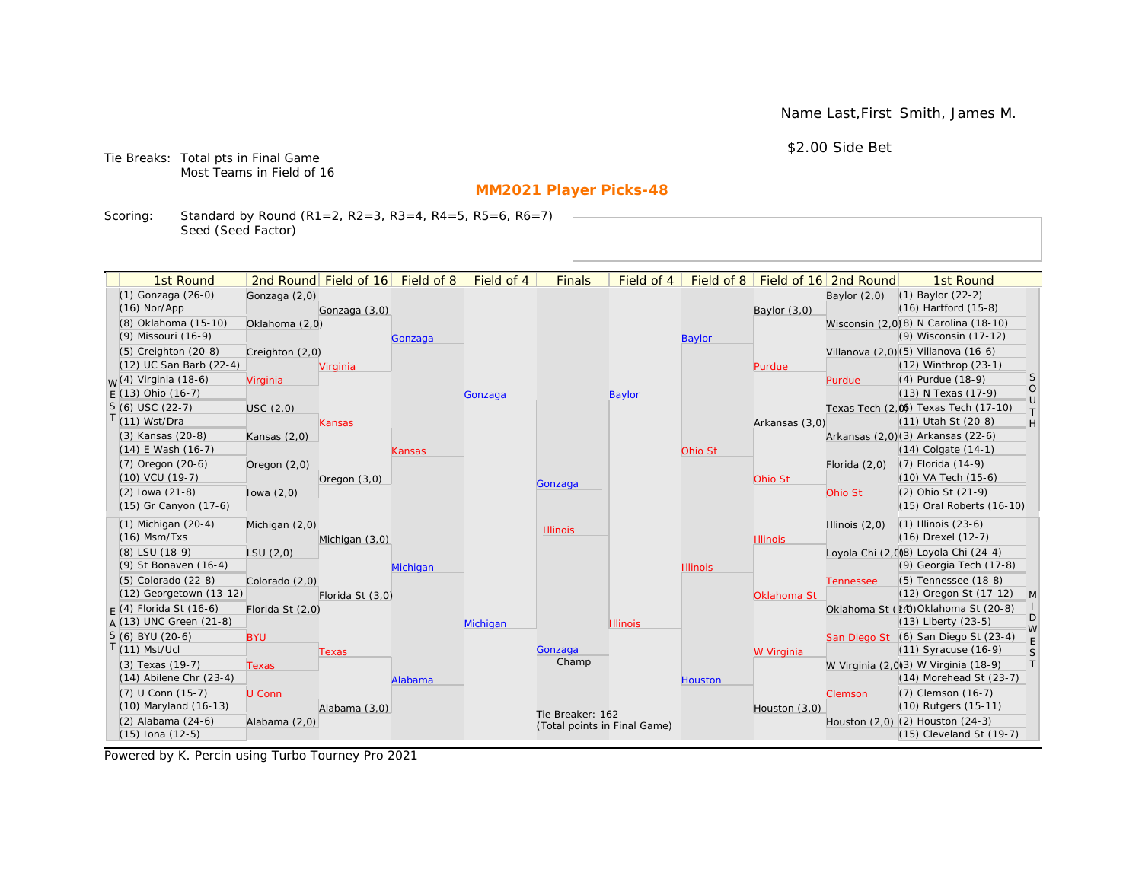Name Last,First Smith, James M.

\$2.00 Side Bet

Tie Breaks: Total pts in Final Game Most Teams in Field of 16

# **MM2021 Player Picks-48**

Scoring: Standard by Round (R1=2, R2=3, R3=4, R4=5, R5=6, R6=7) Seed (Seed Factor)

| 1st Round                                       |                  | 2nd Round Field of 16 | Field of 8 | Field of 4 | <b>Finals</b>                | Field of 4      | Field of 8      |                 | Field of 16 2nd Round | 1st Round                                                           |                                                                   |
|-------------------------------------------------|------------------|-----------------------|------------|------------|------------------------------|-----------------|-----------------|-----------------|-----------------------|---------------------------------------------------------------------|-------------------------------------------------------------------|
| (1) Gonzaga (26-0)                              | Gonzaga (2,0)    |                       |            |            |                              |                 |                 |                 | Baylor $(2,0)$        | $(1)$ Baylor $(22-2)$                                               |                                                                   |
| $(16)$ Nor/App                                  |                  | Gonzaga (3,0)         |            |            |                              |                 |                 | Baylor (3,0)    |                       | $(16)$ Hartford $(15-8)$                                            |                                                                   |
| (8) Oklahoma (15-10)                            | Oklahoma (2,0)   |                       |            |            |                              |                 |                 |                 |                       | Wisconsin (2,0)(8) N Carolina (18-10)                               |                                                                   |
| (9) Missouri (16-9)                             |                  |                       | Gonzaga    |            |                              |                 | <b>Baylor</b>   |                 |                       | (9) Wisconsin (17-12)                                               |                                                                   |
| (5) Creighton (20-8)                            | Creighton (2,0)  |                       |            |            |                              |                 |                 |                 |                       | Villanova (2,0)(5) Villanova (16-6)                                 |                                                                   |
| (12) UC San Barb (22-4)                         |                  | Virginia              |            |            |                              |                 |                 | Purdue          |                       | (12) Winthrop (23-1)                                                |                                                                   |
| <sub>W</sub> (4) Virginia (18-6)                | Virginia         |                       |            |            |                              |                 |                 |                 | Purdue                | (4) Purdue (18-9)                                                   | <b>S</b>                                                          |
| $E(13)$ Ohio (16-7)                             |                  |                       |            | Gonzaga    |                              | <b>Baylor</b>   |                 |                 |                       | (13) N Texas (17-9)                                                 | $\circ$<br>$\cup$                                                 |
| $S(6)$ USC (22-7)                               | USC(2,0)         |                       |            |            |                              |                 |                 |                 |                       | Texas Tech (2,0) Texas Tech (17-10)                                 | $\top$                                                            |
| $T(11)$ Wst/Dra                                 |                  | Kansas                |            |            |                              |                 |                 | Arkansas (3,0)  |                       | (11) Utah St (20-8)                                                 | $\mathsf{H}% _{\mathsf{H}}^{\ast}=\mathsf{H}_{\mathsf{H}}^{\ast}$ |
| (3) Kansas (20-8)                               | Kansas $(2,0)$   |                       |            |            |                              |                 |                 |                 |                       | Arkansas (2,0)(3) Arkansas (22-6)                                   |                                                                   |
| $(14)$ E Wash $(16-7)$                          |                  |                       | Kansas     |            |                              |                 | Ohio St         |                 |                       | $(14)$ Colgate $(14-1)$                                             |                                                                   |
| $(7)$ Oregon $(20-6)$                           | Oregon (2,0)     |                       |            |            |                              |                 |                 |                 | Florida $(2,0)$       | $(7)$ Florida $(14-9)$                                              |                                                                   |
| $(10)$ VCU $(19-7)$                             |                  | Oregon $(3,0)$        |            |            | Gonzaga                      |                 |                 | Ohio St         |                       | (10) VA Tech (15-6)                                                 |                                                                   |
| $(2)$ lowa $(21-8)$                             | lowa $(2,0)$     |                       |            |            |                              |                 |                 |                 | Ohio St               | (2) Ohio St (21-9)                                                  |                                                                   |
| (15) Gr Canyon (17-6)                           |                  |                       |            |            |                              |                 |                 |                 |                       | (15) Oral Roberts (16-10)                                           |                                                                   |
| $(1)$ Michigan $(20-4)$                         | Michigan (2,0)   |                       |            |            | <b>Illinois</b>              |                 |                 |                 | Illinois $(2,0)$      | $(1)$ Illinois $(23-6)$                                             |                                                                   |
| $(16)$ Msm/Txs                                  |                  | Michigan (3,0)        |            |            |                              |                 |                 | <b>Illinois</b> |                       | (16) Drexel (12-7)                                                  |                                                                   |
| (8) LSU (18-9)                                  | LSU(2,0)         |                       |            |            |                              |                 |                 |                 |                       | Loyola Chi (2,008) Loyola Chi (24-4)                                |                                                                   |
| (9) St Bonaven (16-4)                           |                  |                       | Michigan   |            |                              |                 | <b>Illinois</b> |                 |                       | (9) Georgia Tech (17-8)                                             |                                                                   |
| (5) Colorado (22-8)                             | Colorado (2,0)   |                       |            |            |                              |                 |                 |                 | <b>Tennessee</b>      | (5) Tennessee (18-8)                                                |                                                                   |
| (12) Georgetown (13-12)                         |                  | Florida St (3,0)      |            |            |                              |                 |                 | Oklahoma St     |                       | (12) Oregon St (17-12)                                              | M                                                                 |
| $F(4)$ Florida St (16-6)                        | Florida St (2,0) |                       |            |            |                              |                 |                 |                 |                       | Oklahoma St (14) Oklahoma St (20-8)                                 | D                                                                 |
| $A(13)$ UNC Green (21-8)                        |                  |                       |            | Michigan   |                              | <b>Illinois</b> |                 |                 |                       | $(13)$ Liberty $(23-5)$                                             | W                                                                 |
| S (6) BYU (20-6)<br>$T(11)$ Mst/Ucl             | <b>BYU</b>       |                       |            |            |                              |                 |                 |                 |                       | San Diego St (6) San Diego St (23-4)                                | E                                                                 |
|                                                 |                  | Texas                 |            |            | Gonzaga<br>Champ             |                 |                 | W Virginia      |                       | $(11)$ Syracuse $(16-9)$                                            | S<br> T                                                           |
| (3) Texas (19-7)<br>$(14)$ Abilene Chr $(23-4)$ | <b>Texas</b>     |                       |            |            |                              |                 |                 |                 |                       | W Virginia (2,0)3) W Virginia (18-9)<br>$(14)$ Morehead St $(23-7)$ |                                                                   |
|                                                 |                  |                       | Alabama    |            |                              |                 | <b>Houston</b>  |                 |                       |                                                                     |                                                                   |
| (7) U Conn (15-7)<br>(10) Maryland (16-13)      | U Conn           |                       |            |            |                              |                 |                 |                 | Clemson               | (7) Clemson (16-7)<br>(10) Rutgers (15-11)                          |                                                                   |
| (2) Alabama (24-6)                              | Alabama (2,0)    | Alabama (3,0)         |            |            | Tie Breaker: 162             |                 |                 | Houston $(3,0)$ |                       | Houston (2,0) (2) Houston (24-3)                                    |                                                                   |
| (15) Iona (12-5)                                |                  |                       |            |            | (Total points in Final Game) |                 |                 |                 |                       | (15) Cleveland St (19-7)                                            |                                                                   |
|                                                 |                  |                       |            |            |                              |                 |                 |                 |                       |                                                                     |                                                                   |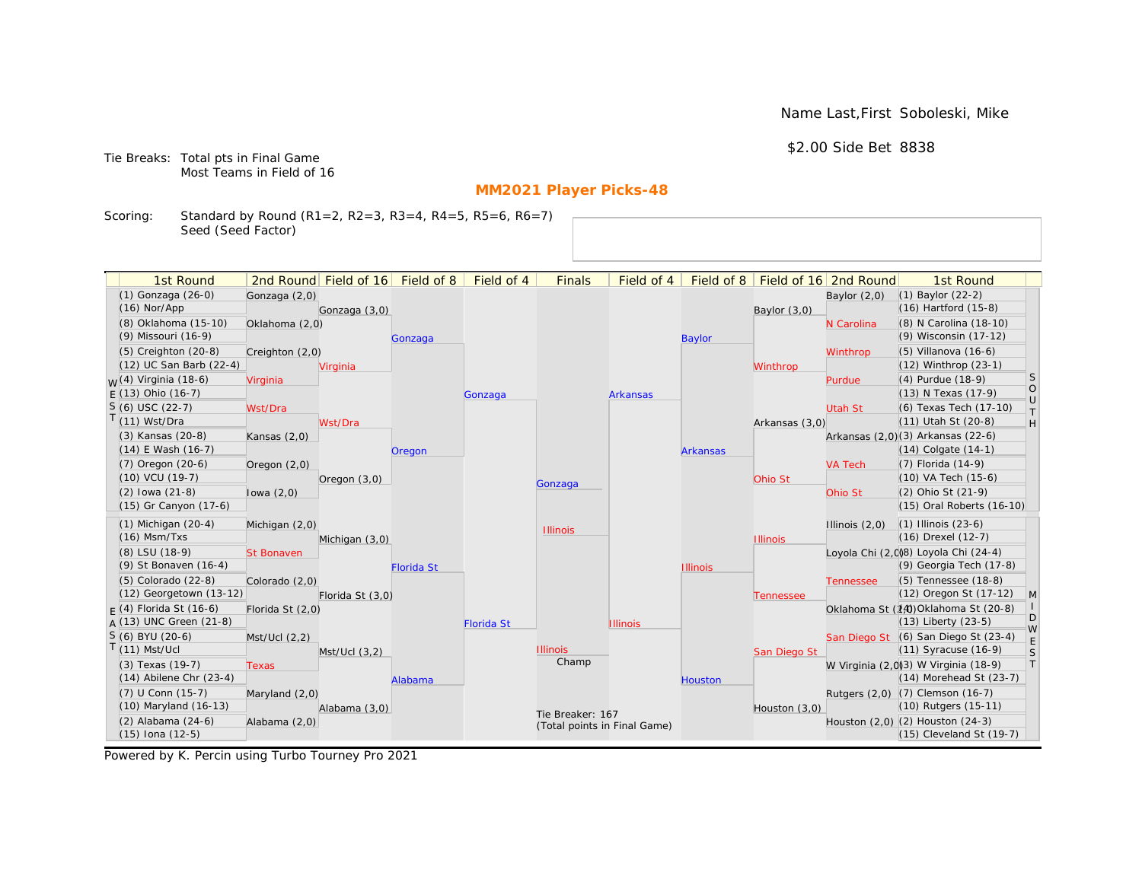Name Last,First Soboleski, Mike

\$2.00 Side Bet 8838

Tie Breaks: Total pts in Final Game Most Teams in Field of 16

# **MM2021 Player Picks-48**

Scoring: Standard by Round (R1=2, R2=3, R3=4, R4=5, R5=6, R6=7) Seed (Seed Factor)

| 1st Round                        |                   | 2nd Round Field of 16 | Field of 8        | Field of 4        | <b>Finals</b>                | Field of 4      | Field of 8      |                 | Field of 16 2nd Round | 1st Round                             |                   |
|----------------------------------|-------------------|-----------------------|-------------------|-------------------|------------------------------|-----------------|-----------------|-----------------|-----------------------|---------------------------------------|-------------------|
| (1) Gonzaga (26-0)               | Gonzaga (2,0)     |                       |                   |                   |                              |                 |                 |                 | Baylor $(2,0)$        | $(1)$ Baylor $(22-2)$                 |                   |
| $(16)$ Nor/App                   |                   | Gonzaga (3,0)         |                   |                   |                              |                 |                 | Baylor $(3,0)$  |                       | $(16)$ Hartford $(15-8)$              |                   |
| (8) Oklahoma (15-10)             | Oklahoma (2,0)    |                       |                   |                   |                              |                 |                 |                 | N Carolina            | (8) N Carolina (18-10)                |                   |
| (9) Missouri (16-9)              |                   |                       | Gonzaga           |                   |                              |                 | <b>Baylor</b>   |                 |                       | (9) Wisconsin (17-12)                 |                   |
| (5) Creighton (20-8)             | Creighton (2,0)   |                       |                   |                   |                              |                 |                 |                 | Winthrop              | $(5)$ Villanova $(16-6)$              |                   |
| (12) UC San Barb (22-4)          |                   | Virginia              |                   |                   |                              |                 |                 | Winthrop        |                       | (12) Winthrop (23-1)                  |                   |
| <sub>W</sub> (4) Virginia (18-6) | Virginia          |                       |                   |                   |                              |                 |                 |                 | Purdue                | (4) Purdue (18-9)                     | <b>S</b>          |
| $E(13)$ Ohio (16-7)              |                   |                       |                   | Gonzaga           |                              | <b>Arkansas</b> |                 |                 |                       | (13) N Texas (17-9)                   | $\circ$<br>$\cup$ |
| $S(6)$ USC (22-7)                | Wst/Dra           |                       |                   |                   |                              |                 |                 |                 | <b>Utah St</b>        | (6) Texas Tech (17-10)                | $\top$            |
| $T(11)$ Wst/Dra                  |                   | Wst/Dra               |                   |                   |                              |                 |                 | Arkansas (3,0)  |                       | (11) Utah St (20-8)                   | H                 |
| (3) Kansas (20-8)                | Kansas $(2,0)$    |                       |                   |                   |                              |                 |                 |                 |                       | Arkansas (2,0)(3) Arkansas (22-6)     |                   |
| $(14)$ E Wash $(16-7)$           |                   |                       | Oregon            |                   |                              |                 | <b>Arkansas</b> |                 |                       | $(14)$ Colgate $(14-1)$               |                   |
| $(7)$ Oregon $(20-6)$            | Oregon (2,0)      |                       |                   |                   |                              |                 |                 |                 | <b>VA Tech</b>        | $(7)$ Florida $(14-9)$                |                   |
| $(10)$ VCU $(19-7)$              |                   | Oregon $(3,0)$        |                   |                   | Gonzaga                      |                 |                 | Ohio St         |                       | $(10)$ VA Tech $(15-6)$               |                   |
| $(2)$ lowa $(21-8)$              | lowa $(2,0)$      |                       |                   |                   |                              |                 |                 |                 | Ohio St               | (2) Ohio St (21-9)                    |                   |
| (15) Gr Canyon (17-6)            |                   |                       |                   |                   |                              |                 |                 |                 |                       | (15) Oral Roberts (16-10)             |                   |
| $(1)$ Michigan $(20-4)$          | Michigan (2,0)    |                       |                   |                   | <b>Illinois</b>              |                 |                 |                 | Illinois $(2,0)$      | $(1)$ Illinois $(23-6)$               |                   |
| $(16)$ Msm/Txs                   |                   | Michigan (3,0)        |                   |                   |                              |                 |                 | <b>Illinois</b> |                       | (16) Drexel (12-7)                    |                   |
| (8) LSU (18-9)                   | <b>St Bonaven</b> |                       |                   |                   |                              |                 |                 |                 |                       | Loyola Chi (2,0)8) Loyola Chi (24-4)  |                   |
| (9) St Bonaven (16-4)            |                   |                       | <b>Florida St</b> |                   |                              |                 | <b>Illinois</b> |                 |                       | (9) Georgia Tech (17-8)               |                   |
| (5) Colorado (22-8)              | Colorado (2,0)    |                       |                   |                   |                              |                 |                 |                 | <b>Tennessee</b>      | (5) Tennessee (18-8)                  |                   |
| (12) Georgetown (13-12)          |                   | Florida St (3,0)      |                   |                   |                              |                 |                 | Tennessee       |                       | (12) Oregon St (17-12)                | M                 |
| $F(4)$ Florida St (16-6)         | Florida St (2,0)  |                       |                   |                   |                              |                 |                 |                 |                       | Oklahoma St (14) Oklahoma St (20-8)   | D                 |
| $A(13)$ UNC Green (21-8)         |                   |                       |                   | <b>Florida St</b> |                              | <b>Illinois</b> |                 |                 |                       | $(13)$ Liberty $(23-5)$               | W                 |
| S (6) BYU (20-6)                 | Mst/Ucl (2,2)     |                       |                   |                   |                              |                 |                 |                 |                       | San Diego St (6) San Diego St (23-4)  | E                 |
| $T(11)$ Mst/Ucl                  |                   | Mst/Ucl(3,2)          |                   |                   | <b>Illinois</b><br>Champ     |                 |                 | San Diego St    |                       | (11) Syracuse (16-9)                  | S                 |
| (3) Texas (19-7)                 | <b>Texas</b>      |                       |                   |                   |                              |                 |                 |                 |                       | W Virginia (2,0)(3) W Virginia (18-9) | T                 |
| $(14)$ Abilene Chr $(23-4)$      |                   |                       | Alabama           |                   |                              |                 | <b>Houston</b>  |                 |                       | (14) Morehead St (23-7)               |                   |
| (7) U Conn (15-7)                | Maryland (2,0)    |                       |                   |                   |                              |                 |                 |                 |                       | Rutgers (2,0) (7) Clemson (16-7)      |                   |
| (10) Maryland (16-13)            |                   | Alabama (3,0)         |                   |                   | Tie Breaker: 167             |                 |                 | Houston $(3,0)$ |                       | (10) Rutgers (15-11)                  |                   |
| $(2)$ Alabama $(24-6)$           | Alabama (2,0)     |                       |                   |                   | (Total points in Final Game) |                 |                 |                 |                       | Houston (2,0) (2) Houston (24-3)      |                   |
| (15) Iona (12-5)                 |                   |                       |                   |                   |                              |                 |                 |                 |                       | (15) Cleveland St (19-7)              |                   |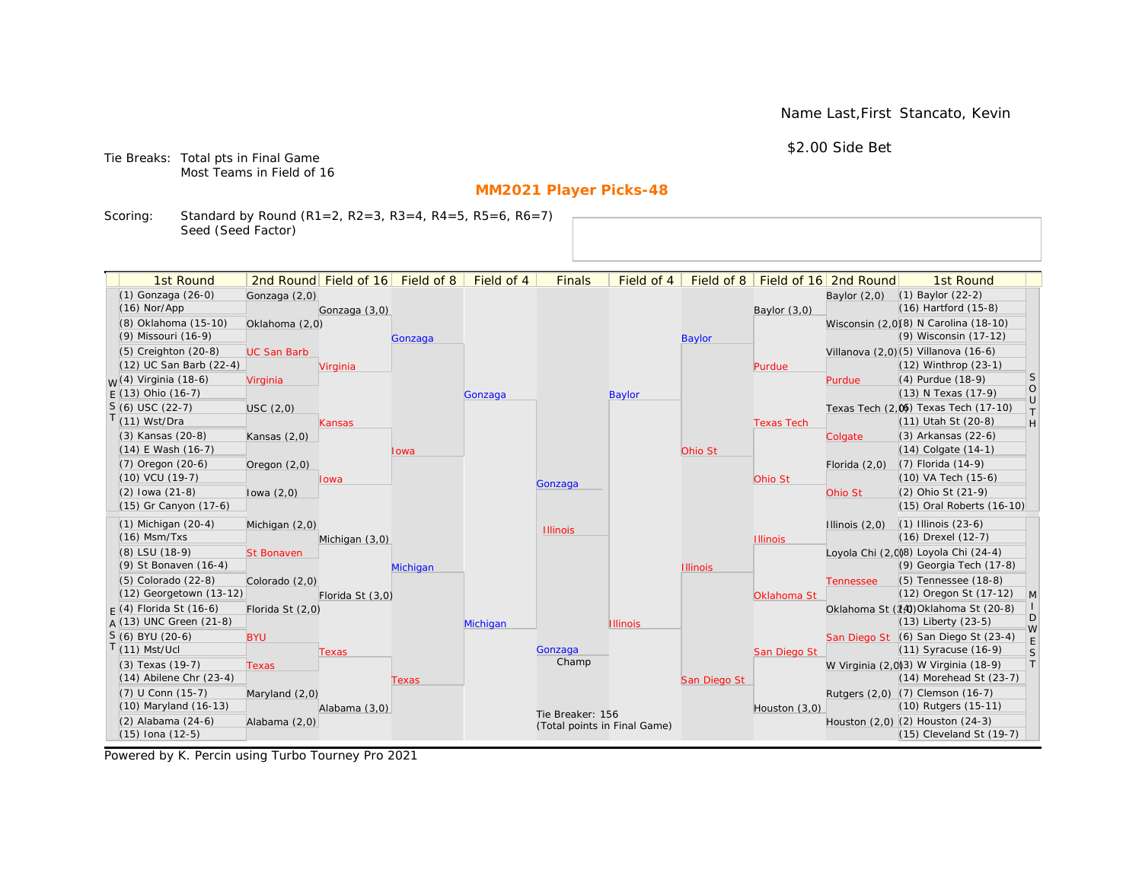Name Last,First Stancato, Kevin

\$2.00 Side Bet

Tie Breaks: Total pts in Final Game Most Teams in Field of 16

# **MM2021 Player Picks-48**

Scoring: Standard by Round (R1=2, R2=3, R3=4, R4=5, R5=6, R6=7) Seed (Seed Factor)

| 1st Round                                            |                    | 2nd Round Field of 16 | Field of 8 | Field of 4 | <b>Finals</b>                                    | Field of 4      | Field of 8      |                   | Field of 16 2nd Round | 1st Round                                                      |                                                                   |
|------------------------------------------------------|--------------------|-----------------------|------------|------------|--------------------------------------------------|-----------------|-----------------|-------------------|-----------------------|----------------------------------------------------------------|-------------------------------------------------------------------|
| (1) Gonzaga (26-0)                                   | Gonzaga (2,0)      |                       |            |            |                                                  |                 |                 |                   | Baylor $(2,0)$        | $(1)$ Baylor $(22-2)$                                          |                                                                   |
| $(16)$ Nor/App                                       |                    | Gonzaga (3,0)         |            |            |                                                  |                 |                 | Baylor (3,0)      |                       | $(16)$ Hartford $(15-8)$                                       |                                                                   |
| (8) Oklahoma (15-10)                                 | Oklahoma (2,0)     |                       |            |            |                                                  |                 |                 |                   |                       | Wisconsin (2,0)(8) N Carolina (18-10)                          |                                                                   |
| (9) Missouri (16-9)                                  |                    |                       | Gonzaga    |            |                                                  |                 | <b>Baylor</b>   |                   |                       | (9) Wisconsin (17-12)                                          |                                                                   |
| (5) Creighton (20-8)                                 | <b>UC San Barb</b> |                       |            |            |                                                  |                 |                 |                   |                       | Villanova (2,0)(5) Villanova (16-6)                            |                                                                   |
| (12) UC San Barb (22-4)                              |                    | Virginia              |            |            |                                                  |                 |                 | Purdue            |                       | (12) Winthrop (23-1)                                           |                                                                   |
| <sub>W</sub> (4) Virginia (18-6)                     | Virginia           |                       |            |            |                                                  |                 |                 |                   | Purdue                | (4) Purdue (18-9)                                              | <b>S</b>                                                          |
| $E(13)$ Ohio (16-7)                                  |                    |                       |            | Gonzaga    |                                                  | <b>Baylor</b>   |                 |                   |                       | (13) N Texas (17-9)                                            | $\circ$<br>$\cup$                                                 |
| $S(6)$ USC (22-7)                                    | USC(2,0)           |                       |            |            |                                                  |                 |                 |                   |                       | Texas Tech (2,0) Texas Tech (17-10)                            | $\top$                                                            |
| $T(11)$ Wst/Dra                                      |                    | Kansas                |            |            |                                                  |                 |                 | <b>Texas Tech</b> |                       | (11) Utah St (20-8)                                            | $\mathsf{H}% _{\mathsf{H}}^{\ast}=\mathsf{H}_{\mathsf{H}}^{\ast}$ |
| (3) Kansas (20-8)                                    | Kansas $(2,0)$     |                       |            |            |                                                  |                 |                 |                   | Colgate               | (3) Arkansas (22-6)                                            |                                                                   |
| $(14)$ E Wash $(16-7)$                               |                    |                       | Iowa       |            |                                                  |                 | Ohio St         |                   |                       | $(14)$ Colgate $(14-1)$                                        |                                                                   |
| (7) Oregon (20-6)                                    | Oregon $(2,0)$     |                       |            |            |                                                  |                 |                 |                   | Florida $(2,0)$       | $(7)$ Florida $(14-9)$                                         |                                                                   |
| $(10)$ VCU $(19-7)$                                  |                    | lowa                  |            |            | Gonzaga                                          |                 |                 | Ohio St           |                       | $(10)$ VA Tech $(15-6)$                                        |                                                                   |
| $(2)$ lowa $(21-8)$                                  | lowa $(2,0)$       |                       |            |            |                                                  |                 |                 |                   | Ohio St               | (2) Ohio St (21-9)                                             |                                                                   |
| (15) Gr Canyon (17-6)                                |                    |                       |            |            |                                                  |                 |                 |                   |                       | (15) Oral Roberts (16-10)                                      |                                                                   |
| $(1)$ Michigan $(20-4)$                              | Michigan (2,0)     |                       |            |            | <b>Illinois</b>                                  |                 |                 |                   | Illinois $(2,0)$      | $(1)$ Illinois $(23-6)$                                        |                                                                   |
| $(16)$ Msm/Txs                                       |                    | Michigan (3,0)        |            |            |                                                  |                 |                 | <b>Illinois</b>   |                       | (16) Drexel (12-7)                                             |                                                                   |
| (8) LSU (18-9)                                       | <b>St Bonaven</b>  |                       |            |            |                                                  |                 |                 |                   |                       | Loyola Chi (2,0)8) Loyola Chi (24-4)                           |                                                                   |
| (9) St Bonaven (16-4)                                |                    |                       | Michigan   |            |                                                  |                 | <b>Illinois</b> |                   |                       | (9) Georgia Tech (17-8)                                        |                                                                   |
| (5) Colorado (22-8)                                  | Colorado (2,0)     |                       |            |            |                                                  |                 |                 |                   | <b>Tennessee</b>      | (5) Tennessee (18-8)                                           |                                                                   |
| (12) Georgetown (13-12)                              |                    | Florida St (3,0)      |            |            |                                                  |                 |                 | Oklahoma St       |                       | (12) Oregon St (17-12)                                         | M                                                                 |
| $F(4)$ Florida St (16-6)<br>$A(13)$ UNC Green (21-8) | Florida St (2,0)   |                       |            |            |                                                  |                 |                 |                   |                       | Oklahoma St (14) Oklahoma St (20-8)<br>$(13)$ Liberty $(23-5)$ | D                                                                 |
| S (6) BYU (20-6)                                     |                    |                       |            | Michigan   |                                                  | <b>Illinois</b> |                 |                   |                       | San Diego St (6) San Diego St (23-4)                           | W                                                                 |
| $T(11)$ Mst/Ucl                                      | <b>BYU</b>         | Texas                 |            |            | Gonzaga                                          |                 |                 | San Diego St      |                       | (11) Syracuse (16-9)                                           | E<br>S                                                            |
| (3) Texas (19-7)                                     | <b>Texas</b>       |                       |            |            | Champ                                            |                 |                 |                   |                       | W Virginia (2,0)(3) W Virginia (18-9)                          | T                                                                 |
| $(14)$ Abilene Chr $(23-4)$                          |                    |                       | Texas      |            |                                                  |                 | San Diego St    |                   |                       | (14) Morehead St (23-7)                                        |                                                                   |
| (7) U Conn (15-7)                                    | Maryland (2,0)     |                       |            |            |                                                  |                 |                 |                   |                       | Rutgers (2,0) (7) Clemson (16-7)                               |                                                                   |
| (10) Maryland (16-13)                                |                    | Alabama (3,0)         |            |            |                                                  |                 |                 | Houston $(3,0)$   |                       | (10) Rutgers (15-11)                                           |                                                                   |
| $(2)$ Alabama $(24-6)$                               | Alabama (2,0)      |                       |            |            | Tie Breaker: 156<br>(Total points in Final Game) |                 |                 |                   |                       | Houston (2,0) (2) Houston (24-3)                               |                                                                   |
| (15) Iona (12-5)                                     |                    |                       |            |            |                                                  |                 |                 |                   |                       | $(15)$ Cleveland St $(19-7)$                                   |                                                                   |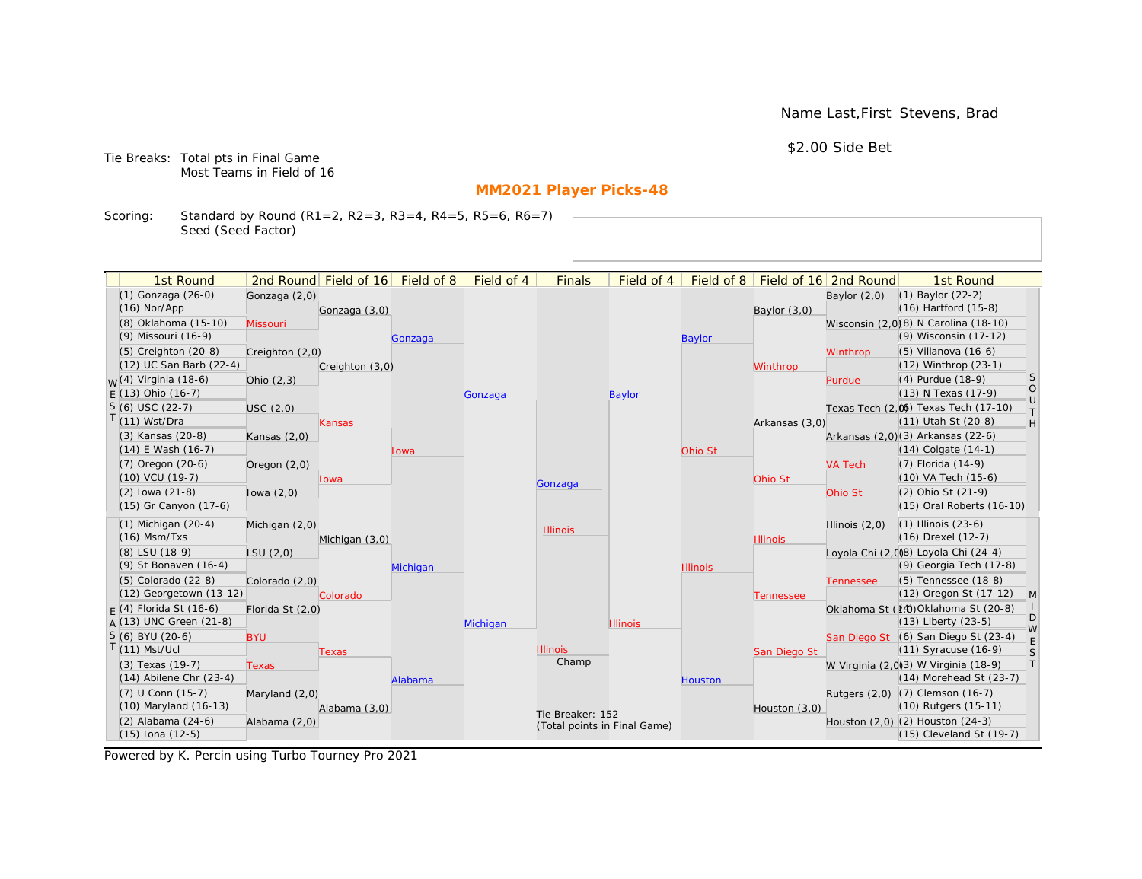Name Last,First Stevens, Brad

\$2.00 Side Bet

Tie Breaks: Total pts in Final Game Most Teams in Field of 16

# **MM2021 Player Picks-48**

Scoring: Standard by Round (R1=2, R2=3, R3=4, R4=5, R5=6, R6=7) Seed (Seed Factor)

| 1st Round                   |                  | 2nd Round Field of 16 | Field of 8 | Field of 4 | <b>Finals</b>                | Field of 4      | Field of 8      |                 | Field of 16 2nd Round | 1st Round                                                          |                   |
|-----------------------------|------------------|-----------------------|------------|------------|------------------------------|-----------------|-----------------|-----------------|-----------------------|--------------------------------------------------------------------|-------------------|
| (1) Gonzaga (26-0)          | Gonzaga (2,0)    |                       |            |            |                              |                 |                 |                 | Baylor $(2,0)$        | $(1)$ Baylor $(22-2)$                                              |                   |
| $(16)$ Nor/App              |                  | Gonzaga (3,0)         |            |            |                              |                 |                 | Baylor $(3,0)$  |                       | (16) Hartford (15-8)                                               |                   |
| (8) Oklahoma (15-10)        | Missouri         |                       |            |            |                              |                 |                 |                 |                       | Wisconsin (2,0)(8) N Carolina (18-10)                              |                   |
| (9) Missouri (16-9)         |                  |                       | Gonzaga    |            |                              |                 | <b>Baylor</b>   |                 |                       | (9) Wisconsin (17-12)                                              |                   |
| $(5)$ Creighton $(20-8)$    | Creighton (2,0)  |                       |            |            |                              |                 |                 |                 | Winthrop              | (5) Villanova (16-6)                                               |                   |
| (12) UC San Barb (22-4)     |                  | Creighton (3,0)       |            |            |                              |                 |                 | Winthrop        |                       | (12) Winthrop (23-1)                                               |                   |
| $M(4)$ Virginia (18-6)      | Ohio $(2,3)$     |                       |            |            |                              |                 |                 |                 | Purdue                | (4) Purdue (18-9)                                                  | <sub>S</sub>      |
| $F(13)$ Ohio (16-7)         |                  |                       |            | Gonzaga    |                              | <b>Baylor</b>   |                 |                 |                       | (13) N Texas (17-9)                                                | $\circ$<br>$\cup$ |
| $S(6)$ USC (22-7)           | USC(2,0)         |                       |            |            |                              |                 |                 |                 |                       | Texas Tech (2,0) Texas Tech (17-10)                                | $\top$            |
| $T(11)$ Wst/Dra             |                  | Kansas                |            |            |                              |                 |                 | Arkansas (3,0)  |                       | (11) Utah St (20-8)                                                | H                 |
| (3) Kansas (20-8)           | Kansas $(2,0)$   |                       |            |            |                              |                 |                 |                 |                       | Arkansas (2,0)(3) Arkansas (22-6)                                  |                   |
| $(14)$ E Wash $(16-7)$      |                  |                       | lowa       |            |                              |                 | Ohio St         |                 |                       | (14) Colgate (14-1)                                                |                   |
| (7) Oregon (20-6)           | Oregon $(2,0)$   |                       |            |            |                              |                 |                 |                 | <b>VA Tech</b>        | (7) Florida (14-9)                                                 |                   |
| (10) VCU (19-7)             |                  | lowa                  |            |            | Gonzaga                      |                 |                 | Ohio St         |                       | (10) VA Tech (15-6)                                                |                   |
| $(2)$ lowa $(21-8)$         | lowa $(2,0)$     |                       |            |            |                              |                 |                 |                 | Ohio St               | (2) Ohio St (21-9)                                                 |                   |
| (15) Gr Canyon (17-6)       |                  |                       |            |            |                              |                 |                 |                 |                       | (15) Oral Roberts (16-10)                                          |                   |
| $(1)$ Michigan $(20-4)$     | Michigan (2,0)   |                       |            |            | <b>Illinois</b>              |                 |                 |                 | Illinois $(2,0)$      | $(1)$ Illinois $(23-6)$                                            |                   |
| $(16)$ Msm/Txs              |                  | Michigan (3,0)        |            |            |                              |                 |                 | <b>Illinois</b> |                       | (16) Drexel (12-7)                                                 |                   |
| (8) LSU (18-9)              | LSU(2,0)         |                       |            |            |                              |                 |                 |                 |                       | Loyola Chi (2,008) Loyola Chi (24-4)                               |                   |
| (9) St Bonaven (16-4)       |                  |                       | Michigan   |            |                              |                 | <b>Illinois</b> |                 |                       | (9) Georgia Tech (17-8)                                            |                   |
| $(5)$ Colorado $(22-8)$     | Colorado (2,0)   |                       |            |            |                              |                 |                 |                 | <b>Tennessee</b>      | (5) Tennessee (18-8)                                               |                   |
| (12) Georgetown (13-12)     |                  | Colorado              |            |            |                              |                 |                 | Tennessee       |                       | (12) Oregon St (17-12)                                             | $\mathsf{M}$      |
| $F(4)$ Florida St (16-6)    | Florida St (2,0) |                       |            |            |                              |                 |                 |                 |                       | Oklahoma St (14) Oklahoma St (20-8)                                | D                 |
| A (13) UNC Green (21-8)     |                  |                       |            | Michigan   |                              | <b>Illinois</b> |                 |                 |                       | (13) Liberty (23-5)                                                | W                 |
| S (6) BYU (20-6)            | <b>BYU</b>       |                       |            |            |                              |                 |                 |                 |                       | San Diego St (6) San Diego St (23-4)                               | E                 |
| $T(11)$ Mst/Ucl             |                  | <b>Texas</b>          |            |            | <b>Illinois</b><br>Champ     |                 |                 | San Diego St    |                       | (11) Syracuse (16-9)                                               | S                 |
| (3) Texas (19-7)            | <b>Texas</b>     |                       |            |            |                              |                 |                 |                 |                       | W Virginia (2,0)3) W Virginia (18-9)                               | $\top$            |
| $(14)$ Abilene Chr $(23-4)$ |                  |                       | Alabama    |            |                              |                 | Houston         |                 |                       | (14) Morehead St (23-7)                                            |                   |
| (7) U Conn (15-7)           | Maryland $(2,0)$ |                       |            |            |                              |                 |                 |                 |                       | Rutgers (2,0) (7) Clemson (16-7)                                   |                   |
| (10) Maryland (16-13)       |                  | Alabama (3,0)         |            |            | Tie Breaker: 152             |                 |                 | Houston (3,0)   |                       | (10) Rutgers (15-11)                                               |                   |
| $(2)$ Alabama $(24-6)$      | Alabama (2,0)    |                       |            |            | (Total points in Final Game) |                 |                 |                 |                       | Houston $(2,0)$ $(2)$ Houston $(24-3)$<br>(15) Cleveland St (19-7) |                   |
| $(15)$ Iona $(12-5)$        |                  |                       |            |            |                              |                 |                 |                 |                       |                                                                    |                   |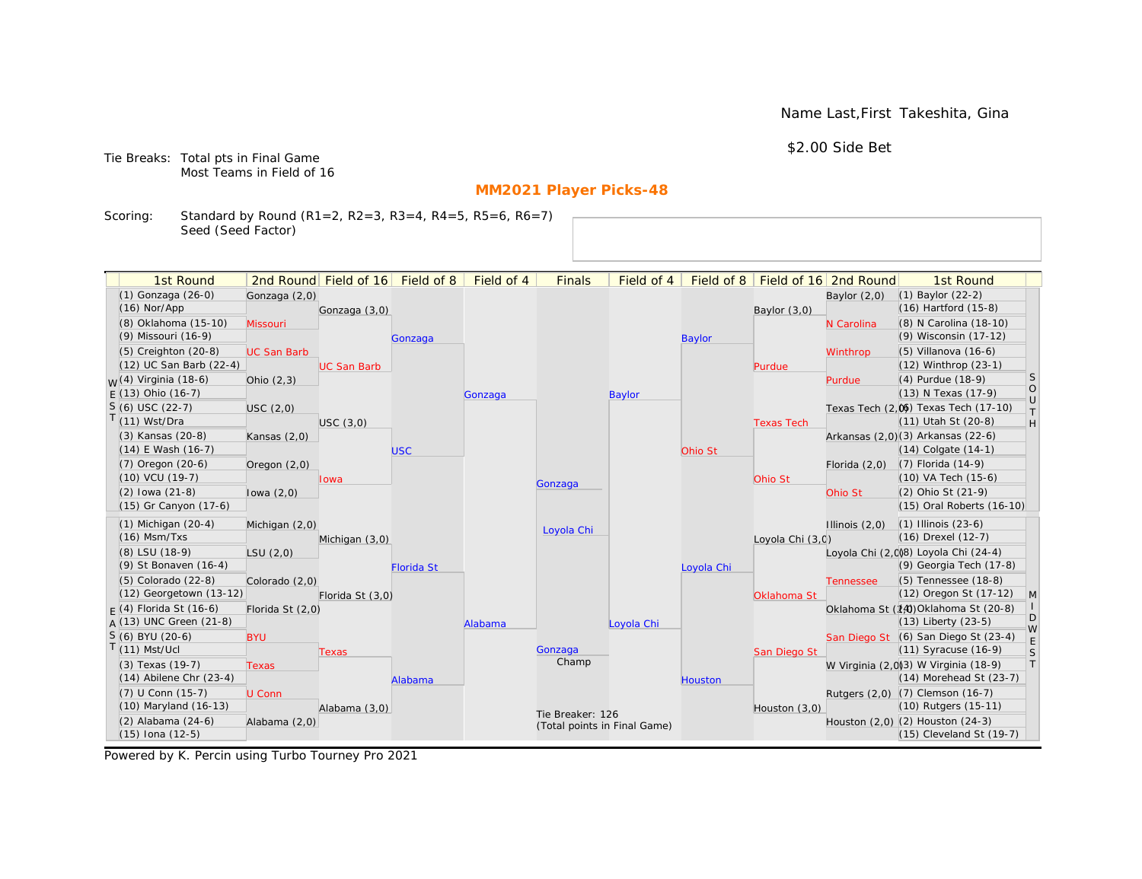Name Last,First Takeshita, Gina

\$2.00 Side Bet

Tie Breaks: Total pts in Final Game Most Teams in Field of 16

# **MM2021 Player Picks-48**

Scoring: Standard by Round (R1=2, R2=3, R3=4, R4=5, R5=6, R6=7) Seed (Seed Factor)

| 1st Round                   |                    | 2nd Round Field of 16 | Field of 8        | Field of 4 | <b>Finals</b>                | Field of 4    | Field of 8    |                   | Field of 16 2nd Round | 1st Round                            |                   |
|-----------------------------|--------------------|-----------------------|-------------------|------------|------------------------------|---------------|---------------|-------------------|-----------------------|--------------------------------------|-------------------|
| (1) Gonzaga (26-0)          | Gonzaga (2,0)      |                       |                   |            |                              |               |               |                   | Baylor $(2,0)$        | $(1)$ Baylor $(22-2)$                |                   |
| $(16)$ Nor/App              |                    | Gonzaga (3,0)         |                   |            |                              |               |               | Baylor $(3,0)$    |                       | (16) Hartford (15-8)                 |                   |
| (8) Oklahoma (15-10)        | Missouri           |                       |                   |            |                              |               |               |                   | N Carolina            | (8) N Carolina (18-10)               |                   |
| (9) Missouri (16-9)         |                    |                       | Gonzaga           |            |                              |               | <b>Baylor</b> |                   |                       | (9) Wisconsin (17-12)                |                   |
| $(5)$ Creighton $(20-8)$    | <b>UC San Barb</b> |                       |                   |            |                              |               |               |                   | Winthrop              | (5) Villanova (16-6)                 |                   |
| (12) UC San Barb (22-4)     |                    | <b>UC San Barb</b>    |                   |            |                              |               |               | Purdue            |                       | (12) Winthrop (23-1)                 |                   |
| $M(4)$ Virginia (18-6)      | Ohio $(2,3)$       |                       |                   |            |                              |               |               |                   | Purdue                | (4) Purdue (18-9)                    | <sub>S</sub>      |
| $F(13)$ Ohio (16-7)         |                    |                       |                   | Gonzaga    |                              | <b>Baylor</b> |               |                   |                       | (13) N Texas (17-9)                  | $\circ$<br>$\cup$ |
| $S(6)$ USC (22-7)           | USC(2,0)           |                       |                   |            |                              |               |               |                   |                       | Texas Tech (2.06) Texas Tech (17-10) | $\top$            |
| T(11) Wst/Dra               |                    | USC(3,0)              |                   |            |                              |               |               | <b>Texas Tech</b> |                       | (11) Utah St (20-8)                  | H                 |
| (3) Kansas (20-8)           | Kansas $(2,0)$     |                       |                   |            |                              |               |               |                   |                       | Arkansas (2,0)(3) Arkansas (22-6)    |                   |
| $(14)$ E Wash $(16-7)$      |                    |                       | <b>USC</b>        |            |                              |               | Ohio St       |                   |                       | (14) Colgate (14-1)                  |                   |
| (7) Oregon (20-6)           | Oregon $(2,0)$     |                       |                   |            |                              |               |               |                   | Florida $(2,0)$       | (7) Florida (14-9)                   |                   |
| (10) VCU (19-7)             |                    | lowa                  |                   |            | Gonzaga                      |               |               | Ohio St           |                       | (10) VA Tech (15-6)                  |                   |
| $(2)$ lowa $(21-8)$         | lowa $(2,0)$       |                       |                   |            |                              |               |               |                   | Ohio St               | (2) Ohio St (21-9)                   |                   |
| (15) Gr Canyon (17-6)       |                    |                       |                   |            |                              |               |               |                   |                       | (15) Oral Roberts (16-10)            |                   |
| $(1)$ Michigan $(20-4)$     | Michigan (2,0)     |                       |                   |            | Loyola Chi                   |               |               |                   | Illinois $(2,0)$      | $(1)$ Illinois $(23-6)$              |                   |
| $(16)$ Msm/Txs              |                    | Michigan (3,0)        |                   |            |                              |               |               | Loyola Chi (3,0)  |                       | (16) Drexel (12-7)                   |                   |
| (8) LSU (18-9)              | LSU(2,0)           |                       |                   |            |                              |               |               |                   |                       | Loyola Chi (2,008) Loyola Chi (24-4) |                   |
| (9) St Bonaven (16-4)       |                    |                       | <b>Florida St</b> |            |                              |               | Loyola Chi    |                   |                       | (9) Georgia Tech (17-8)              |                   |
| $(5)$ Colorado $(22-8)$     | Colorado (2,0)     |                       |                   |            |                              |               |               |                   | <b>Tennessee</b>      | (5) Tennessee (18-8)                 |                   |
| (12) Georgetown (13-12)     |                    | Florida St (3,0)      |                   |            |                              |               |               | Oklahoma St       |                       | (12) Oregon St (17-12)               | $\mathsf{M}$      |
| $F(4)$ Florida St (16-6)    | Florida St (2,0)   |                       |                   |            |                              |               |               |                   |                       | Oklahoma St (14) Oklahoma St (20-8)  | D                 |
| $A(13)$ UNC Green (21-8)    |                    |                       |                   | Alabama    |                              | Loyola Chi    |               |                   |                       | (13) Liberty (23-5)                  | W                 |
| S (6) BYU (20-6)            | <b>BYU</b>         |                       |                   |            |                              |               |               |                   |                       | San Diego St (6) San Diego St (23-4) | E                 |
| $T(11)$ Mst/Ucl             |                    | <b>Texas</b>          |                   |            | Gonzaga                      |               |               | San Diego St      |                       | (11) Syracuse (16-9)                 | S                 |
| (3) Texas (19-7)            | <b>Texas</b>       |                       |                   |            | Champ                        |               |               |                   |                       | W Virginia (2,0)3) W Virginia (18-9) | $\top$            |
| $(14)$ Abilene Chr $(23-4)$ |                    |                       | Alabama           |            |                              |               | Houston       |                   |                       | (14) Morehead St (23-7)              |                   |
| (7) U Conn (15-7)           | U Conn             |                       |                   |            |                              |               |               |                   |                       | Rutgers (2,0) (7) Clemson (16-7)     |                   |
| (10) Maryland (16-13)       |                    | Alabama (3,0)         |                   |            | Tie Breaker: 126             |               |               | Houston (3,0)     |                       | (10) Rutgers (15-11)                 |                   |
| $(2)$ Alabama $(24-6)$      | Alabama (2,0)      |                       |                   |            | (Total points in Final Game) |               |               |                   |                       | Houston (2,0) (2) Houston (24-3)     |                   |
| $(15)$ Iona $(12-5)$        |                    |                       |                   |            |                              |               |               |                   |                       | (15) Cleveland St (19-7)             |                   |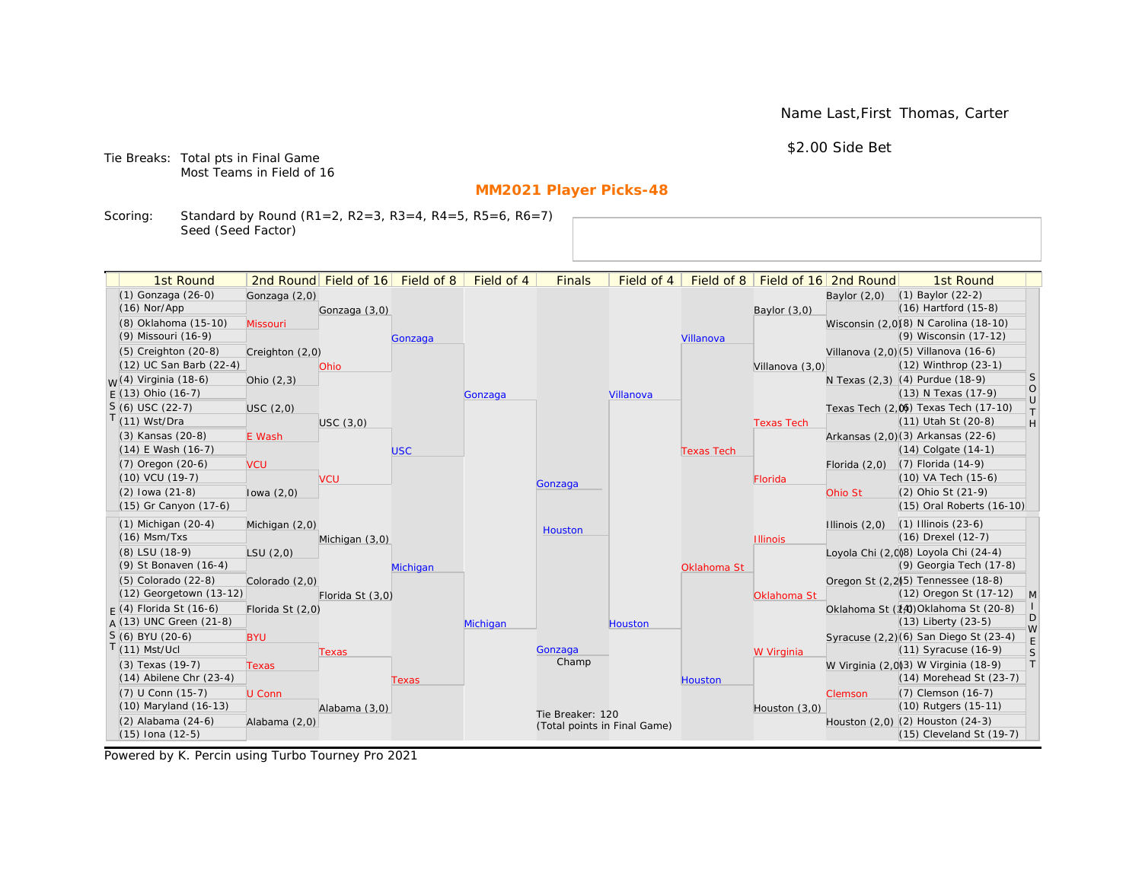Name Last,First Thomas, Carter

\$2.00 Side Bet

Tie Breaks: Total pts in Final Game Most Teams in Field of 16

# **MM2021 Player Picks-48**

Scoring: Standard by Round (R1=2, R2=3, R3=4, R4=5, R5=6, R6=7) Seed (Seed Factor)

| 1st Round                                  |                  | 2nd Round Field of 16 | Field of 8 | Field of 4 | <b>Finals</b>                | Field of 4 | Field of 8        |                   | Field of 16 2nd Round | 1st Round                                                    |                                                                   |
|--------------------------------------------|------------------|-----------------------|------------|------------|------------------------------|------------|-------------------|-------------------|-----------------------|--------------------------------------------------------------|-------------------------------------------------------------------|
| (1) Gonzaga (26-0)                         | Gonzaga (2,0)    |                       |            |            |                              |            |                   |                   | Baylor $(2,0)$        | $(1)$ Baylor $(22-2)$                                        |                                                                   |
| $(16)$ Nor/App                             |                  | Gonzaga (3,0)         |            |            |                              |            |                   | Baylor (3,0)      |                       | $(16)$ Hartford $(15-8)$                                     |                                                                   |
| (8) Oklahoma (15-10)                       | Missouri         |                       |            |            |                              |            |                   |                   |                       | Wisconsin (2,0)(8) N Carolina (18-10)                        |                                                                   |
| (9) Missouri (16-9)                        |                  |                       | Gonzaga    |            |                              |            | Villanova         |                   |                       | (9) Wisconsin (17-12)                                        |                                                                   |
| (5) Creighton (20-8)                       | Creighton (2,0)  |                       |            |            |                              |            |                   |                   |                       | Villanova (2,0) (5) Villanova (16-6)                         |                                                                   |
| (12) UC San Barb (22-4)                    |                  | Ohio                  |            |            |                              |            |                   | Villanova (3,0)   |                       | (12) Winthrop (23-1)                                         |                                                                   |
| <sub>W</sub> (4) Virginia (18-6)           | Ohio $(2,3)$     |                       |            |            |                              |            |                   |                   |                       | N Texas (2,3) (4) Purdue (18-9)                              | <sub>S</sub>                                                      |
| $E(13)$ Ohio (16-7)                        |                  |                       |            | Gonzaga    |                              | Villanova  |                   |                   |                       | (13) N Texas (17-9)                                          | $\bigcirc$<br>$\cup$                                              |
| $S(6)$ USC (22-7)                          | USC (2,0)        |                       |            |            |                              |            |                   |                   |                       | Texas Tech (2,0) Texas Tech (17-10)                          | $\top$                                                            |
| $T(11)$ Wst/Dra                            |                  | USC(3,0)              |            |            |                              |            |                   | <b>Texas Tech</b> |                       | (11) Utah St (20-8)                                          | $\mathsf{H}% _{\mathsf{H}}^{\ast}=\mathsf{H}_{\mathsf{H}}^{\ast}$ |
| (3) Kansas (20-8)                          | E Wash           |                       |            |            |                              |            |                   |                   |                       | Arkansas (2,0)(3) Arkansas (22-6)                            |                                                                   |
| $(14)$ E Wash $(16-7)$                     |                  |                       | <b>USC</b> |            |                              |            | <b>Texas Tech</b> |                   |                       | $(14)$ Colgate $(14-1)$                                      |                                                                   |
| $(7)$ Oregon $(20-6)$                      | <b>VCU</b>       |                       |            |            |                              |            |                   |                   | Florida $(2,0)$       | $(7)$ Florida $(14-9)$                                       |                                                                   |
| $(10)$ VCU $(19-7)$                        |                  | <b>VCU</b>            |            |            | Gonzaga                      |            |                   | Florida           |                       | (10) VA Tech (15-6)                                          |                                                                   |
| $(2)$ lowa $(21-8)$                        | lowa $(2,0)$     |                       |            |            |                              |            |                   |                   | Ohio St               | (2) Ohio St (21-9)                                           |                                                                   |
| (15) Gr Canyon (17-6)                      |                  |                       |            |            |                              |            |                   |                   |                       | (15) Oral Roberts (16-10)                                    |                                                                   |
| $(1)$ Michigan $(20-4)$                    | Michigan (2,0)   |                       |            |            | Houston                      |            |                   |                   | Illinois $(2,0)$      | $(1)$ Illinois $(23-6)$                                      |                                                                   |
| $(16)$ Msm/Txs                             |                  | Michigan (3,0)        |            |            |                              |            |                   | <b>Illinois</b>   |                       | $(16)$ Drexel $(12-7)$                                       |                                                                   |
| (8) LSU (18-9)                             | LSU(2,0)         |                       |            |            |                              |            |                   |                   |                       | Loyola Chi (2,008) Loyola Chi (24-4)                         |                                                                   |
| (9) St Bonaven (16-4)                      |                  |                       | Michigan   |            |                              |            | Oklahoma St       |                   |                       | (9) Georgia Tech (17-8)                                      |                                                                   |
| (5) Colorado (22-8)                        | Colorado (2,0)   |                       |            |            |                              |            |                   |                   |                       | Oregon St (2.2) <sup>5</sup> ) Tennessee (18-8)              |                                                                   |
| (12) Georgetown (13-12)                    |                  | Florida St (3,0)      |            |            |                              |            |                   | Oklahoma St       |                       | (12) Oregon St (17-12)                                       | M                                                                 |
| $F(4)$ Florida St (16-6)                   | Florida St (2,0) |                       |            |            |                              |            |                   |                   |                       | Oklahoma St (14) Oklahoma St (20-8)                          | D                                                                 |
| $A(13)$ UNC Green (21-8)                   |                  |                       |            | Michigan   |                              | Houston    |                   |                   |                       | $(13)$ Liberty $(23-5)$                                      | W                                                                 |
| S (6) BYU (20-6)                           | <b>BYU</b>       |                       |            |            |                              |            |                   |                   |                       | Syracuse (2,2)(6) San Diego St (23-4)                        | E                                                                 |
| $T(11)$ Mst/Ucl                            |                  | Texas                 |            |            | Gonzaga<br>Champ             |            |                   | W Virginia        |                       | $(11)$ Syracuse $(16-9)$                                     | S                                                                 |
| (3) Texas (19-7)                           | <b>Texas</b>     |                       |            |            |                              |            |                   |                   |                       | W Virginia (2,0)3) W Virginia (18-9)                         | T                                                                 |
| $(14)$ Abilene Chr $(23-4)$                |                  |                       | Texas      |            |                              |            | <b>Houston</b>    |                   |                       | $(14)$ Morehead St $(23-7)$                                  |                                                                   |
| (7) U Conn (15-7)<br>(10) Maryland (16-13) | U Conn           |                       |            |            |                              |            |                   |                   | Clemson               | (7) Clemson (16-7)<br>(10) Rutgers (15-11)                   |                                                                   |
|                                            |                  | Alabama (3,0)         |            |            | Tie Breaker: 120             |            |                   | Houston $(3,0)$   |                       |                                                              |                                                                   |
| (2) Alabama (24-6)<br>$(15)$ Iona $(12-5)$ | Alabama (2,0)    |                       |            |            | (Total points in Final Game) |            |                   |                   |                       | Houston (2,0) (2) Houston (24-3)<br>(15) Cleveland St (19-7) |                                                                   |
|                                            |                  |                       |            |            |                              |            |                   |                   |                       |                                                              |                                                                   |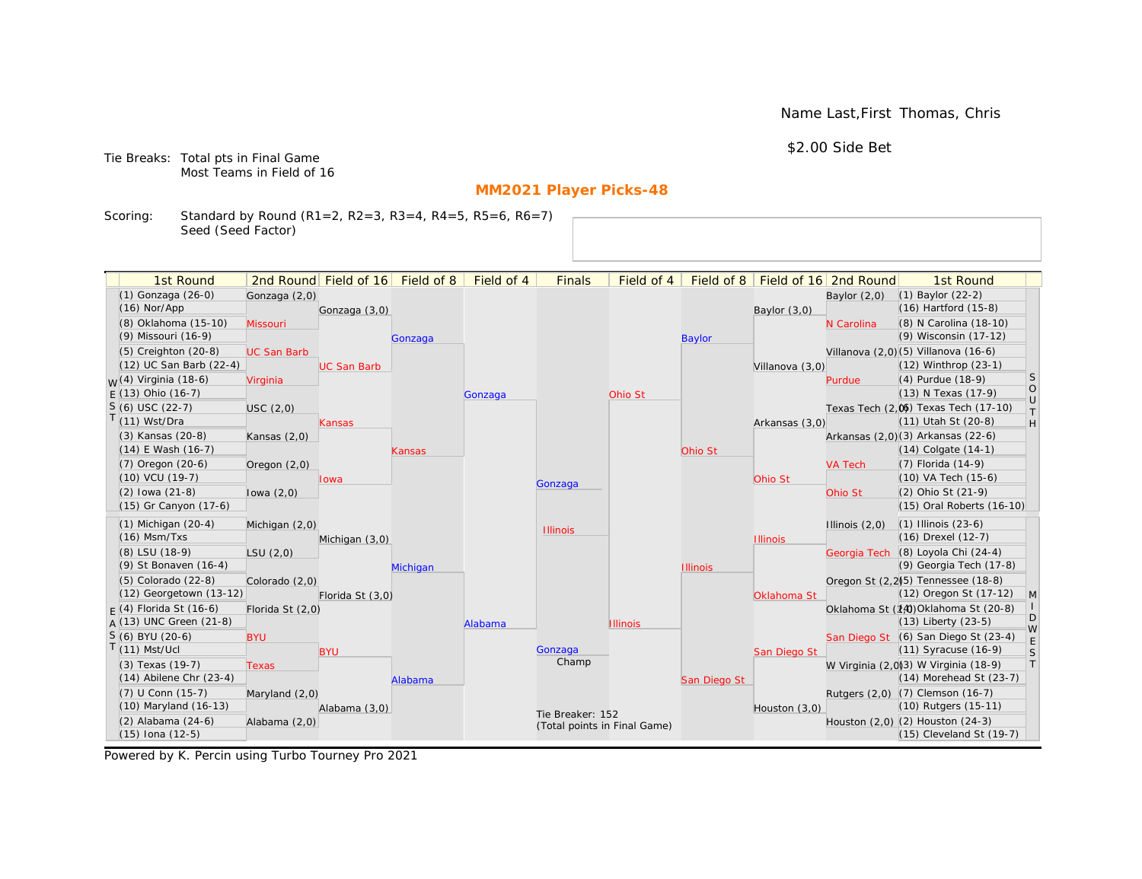Name Last,First Thomas, Chris

\$2.00 Side Bet

Tie Breaks: Total pts in Final Game Most Teams in Field of 16

# **MM2021 Player Picks-48**

Scoring: Standard by Round (R1=2, R2=3, R3=4, R4=5, R5=6, R6=7) Seed (Seed Factor)

| 1st Round                                  |                    | 2nd Round Field of 16 | Field of 8 | Field of 4 | <b>Finals</b>    | Field of 4                   | Field of 8      |                 | Field of 16 2nd Round | 1st Round                                                        |                                      |
|--------------------------------------------|--------------------|-----------------------|------------|------------|------------------|------------------------------|-----------------|-----------------|-----------------------|------------------------------------------------------------------|--------------------------------------|
| (1) Gonzaga (26-0)                         | Gonzaga (2,0)      |                       |            |            |                  |                              |                 |                 | Baylor $(2,0)$        | $(1)$ Baylor $(22-2)$                                            |                                      |
| $(16)$ Nor/App                             |                    | Gonzaga (3,0)         |            |            |                  |                              |                 | Baylor $(3,0)$  |                       | (16) Hartford (15-8)                                             |                                      |
| (8) Oklahoma (15-10)                       | Missouri           |                       |            |            |                  |                              |                 |                 | N Carolina            | (8) N Carolina (18-10)                                           |                                      |
| (9) Missouri (16-9)                        |                    |                       | Gonzaga    |            |                  |                              | <b>Baylor</b>   |                 |                       | (9) Wisconsin (17-12)                                            |                                      |
| $(5)$ Creighton $(20-8)$                   | <b>UC San Barb</b> |                       |            |            |                  |                              |                 |                 |                       | Villanova (2,0) (5) Villanova (16-6)                             |                                      |
| (12) UC San Barb (22-4)                    |                    | <b>UC San Barb</b>    |            |            |                  |                              |                 | Villanova (3,0) |                       | (12) Winthrop (23-1)                                             |                                      |
| <sub>W</sub> (4) Virginia (18-6)           | Virginia           |                       |            |            |                  |                              |                 |                 | Purdue                | (4) Purdue (18-9)                                                | S                                    |
| $E(13)$ Ohio (16-7)                        |                    |                       |            | Gonzaga    |                  | Ohio St                      |                 |                 |                       | (13) N Texas (17-9)                                              | $\begin{matrix} 0 \\ U \end{matrix}$ |
| $S(6)$ USC (22-7)                          | USC(2,0)           |                       |            |            |                  |                              |                 |                 |                       | Texas Tech (2,0) Texas Tech (17-10)                              | $\top$                               |
| T(11) Wst/Dra                              |                    | <b>Kansas</b>         |            |            |                  |                              |                 | Arkansas (3,0)  |                       | (11) Utah St (20-8)                                              | H                                    |
| (3) Kansas (20-8)                          | Kansas $(2,0)$     |                       |            |            |                  |                              |                 |                 |                       | Arkansas (2,0)(3) Arkansas (22-6)                                |                                      |
| $(14)$ E Wash $(16-7)$                     |                    |                       | Kansas     |            |                  |                              | Ohio St         |                 |                       | $(14)$ Colgate $(14-1)$                                          |                                      |
| $(7)$ Oregon $(20-6)$                      | Oregon $(2,0)$     |                       |            |            |                  |                              |                 |                 | <b>VA Tech</b>        | (7) Florida (14-9)                                               |                                      |
| (10) VCU (19-7)                            |                    | lowa                  |            |            | Gonzaga          |                              |                 | Ohio St         |                       | (10) VA Tech (15-6)                                              |                                      |
| $(2)$ lowa $(21-8)$                        | lowa $(2,0)$       |                       |            |            |                  |                              |                 |                 | Ohio St               | (2) Ohio St (21-9)                                               |                                      |
| (15) Gr Canyon (17-6)                      |                    |                       |            |            |                  |                              |                 |                 |                       | (15) Oral Roberts (16-10)                                        |                                      |
| $(1)$ Michigan $(20-4)$                    | Michigan (2,0)     |                       |            |            | <b>Illinois</b>  |                              |                 |                 | Illinois $(2,0)$      | $(1)$ Illinois $(23-6)$                                          |                                      |
| $(16)$ Msm/Txs                             |                    | Michigan (3,0)        |            |            |                  |                              |                 | <b>Illinois</b> |                       | (16) Drexel (12-7)                                               |                                      |
| (8) LSU (18-9)                             | LSU(2,0)           |                       |            |            |                  |                              |                 |                 |                       | Georgia Tech (8) Loyola Chi (24-4)                               |                                      |
| (9) St Bonaven (16-4)                      |                    |                       | Michigan   |            |                  |                              | <b>Illinois</b> |                 |                       | (9) Georgia Tech (17-8)                                          |                                      |
| $(5)$ Colorado $(22-8)$                    | Colorado (2,0)     |                       |            |            |                  |                              |                 |                 |                       | Oregon St (2,2) <sup>(5)</sup> Tennessee (18-8)                  |                                      |
| (12) Georgetown (13-12)                    |                    | Florida St (3,0)      |            |            |                  |                              |                 | Oklahoma St     |                       | (12) Oregon St (17-12)                                           | $\mathsf{M}$                         |
| $F(4)$ Florida St (16-6)                   | Florida St (2,0)   |                       |            |            |                  |                              |                 |                 |                       | Oklahoma St (14) Oklahoma St (20-8)                              | D                                    |
| $A(13)$ UNC Green (21-8)                   |                    |                       |            | Alabama    |                  | <b>Illinois</b>              |                 |                 |                       | (13) Liberty (23-5)                                              | W                                    |
| S (6) BYU (20-6)                           | <b>BYU</b>         |                       |            |            |                  |                              |                 |                 |                       | San Diego St (6) San Diego St (23-4)                             | E                                    |
| $T(11)$ Mst/Ucl                            |                    | <b>BYU</b>            |            |            | Gonzaga<br>Champ |                              |                 | San Diego St    |                       | (11) Syracuse (16-9)                                             | S                                    |
| (3) Texas (19-7)                           | <b>Texas</b>       |                       |            |            |                  |                              |                 |                 |                       | W Virginia (2,0)3) W Virginia (18-9)                             | T                                    |
| $(14)$ Abilene Chr $(23-4)$                |                    |                       | Alabama    |            |                  |                              | San Diego St    |                 |                       | (14) Morehead St (23-7)                                          |                                      |
| (7) U Conn (15-7)<br>(10) Maryland (16-13) | Maryland $(2,0)$   |                       |            |            |                  |                              |                 |                 |                       | Rutgers (2,0) (7) Clemson (16-7)<br>(10) Rutgers (15-11)         |                                      |
| $(2)$ Alabama $(24-6)$                     |                    | Alabama (3,0)         |            |            | Tie Breaker: 152 |                              |                 | Houston (3,0)   |                       |                                                                  |                                      |
| $(15)$ Iona $(12-5)$                       | Alabama (2,0)      |                       |            |            |                  | (Total points in Final Game) |                 |                 |                       | Houston (2,0) (2) Houston (24-3)<br>$(15)$ Cleveland St $(19-7)$ |                                      |
|                                            |                    |                       |            |            |                  |                              |                 |                 |                       |                                                                  |                                      |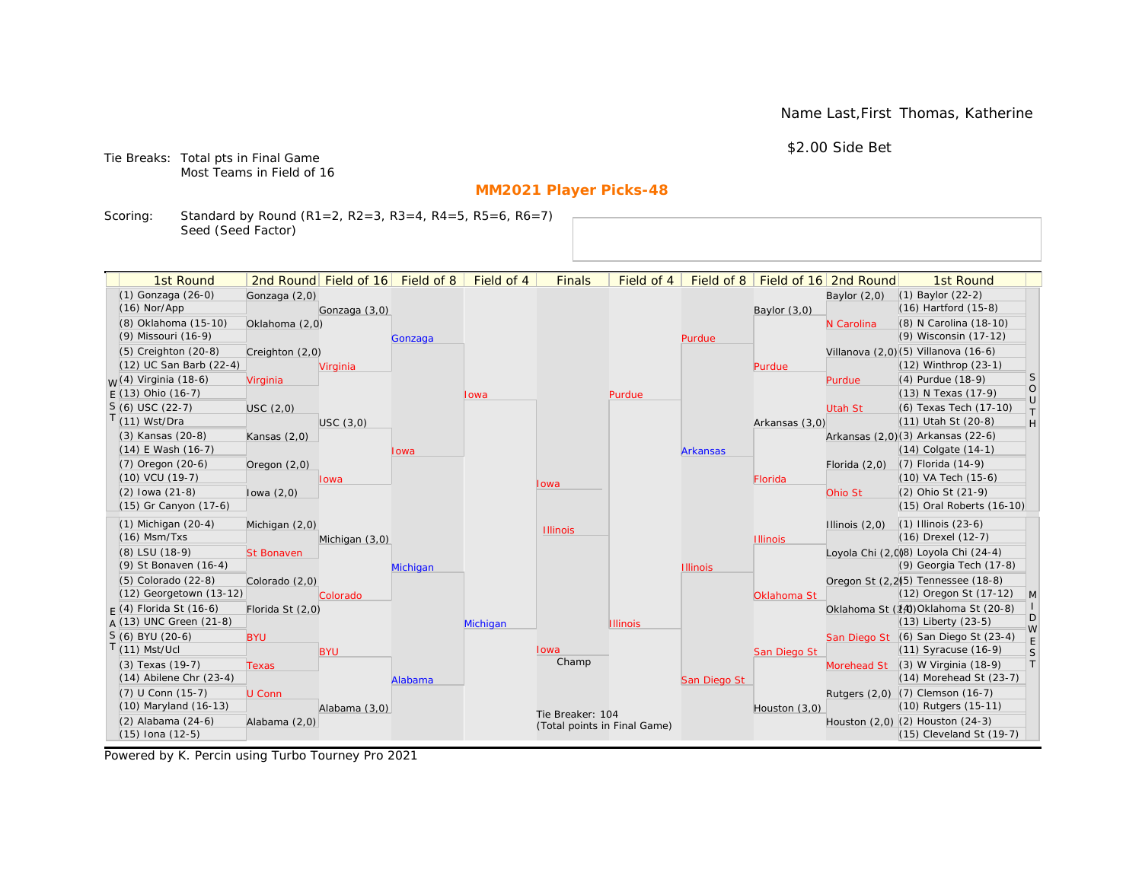Name Last,First Thomas, Katherine

\$2.00 Side Bet

Tie Breaks: Total pts in Final Game Most Teams in Field of 16

# **MM2021 Player Picks-48**

Scoring: Standard by Round (R1=2, R2=3, R3=4, R4=5, R5=6, R6=7) Seed (Seed Factor)

| 2nd Round Field of 16 Field of 8<br>Field of 16 2nd Round<br>(1) Gonzaga (26-0)<br>(1) Baylor (22-2)<br>Gonzaga (2,0)<br>Baylor $(2,0)$<br>(16) Hartford (15-8)<br>$(16)$ Nor/App<br>Gonzaga (3,0)<br>Baylor $(3,0)$<br>(8) Oklahoma (15-10)<br>(8) N Carolina (18-10)<br>Oklahoma (2,0)<br>N Carolina<br>(9) Wisconsin (17-12)<br>(9) Missouri (16-9)<br>Purdue<br>Gonzaga<br>(5) Creighton (20-8)<br>Villanova (2,0) (5) Villanova (16-6)<br>Creighton (2,0)<br>(12) UC San Barb (22-4)<br>(12) Winthrop (23-1)<br>Virginia<br>Purdue<br>S<br><sub>W</sub> (4) Virginia (18-6)<br>(4) Purdue (18-9)<br>Virginia<br>Purdue<br>$\circ$<br>$E(13)$ Ohio (16-7)<br>(13) N Texas (17-9)<br>Purdue<br>Iowa<br>$\cup$<br>$S(6)$ USC (22-7)<br>(6) Texas Tech (17-10)<br>USC(2,0)<br>Utah St<br>$\top$<br>$T(11)$ Wst/Dra<br>(11) Utah St (20-8)<br>H<br>USC(3,0)<br>Arkansas (3,0)<br>(3) Kansas (20-8)<br>Arkansas (2,0)(3) Arkansas (22-6)<br>Kansas $(2,0)$<br>$(14)$ E Wash $(16-7)$<br>$(14)$ Colgate $(14-1)$<br><b>Arkansas</b><br>Iowa<br>$(7)$ Oregon $(20-6)$<br>$(7)$ Florida $(14-9)$<br>Oregon $(2,0)$<br>Florida $(2,0)$<br>(10) VA Tech (15-6)<br>$(10)$ VCU $(19-7)$<br>Florida<br>lowa<br>Iowa<br>(2) Ohio St (21-9)<br>$(2)$ lowa $(21-8)$<br>lowa $(2,0)$<br>Ohio St<br>(15) Gr Canyon (17-6)<br>(15) Oral Roberts (16-10)<br>$(1)$ Michigan $(20-4)$<br>$(1)$ Illinois $(23-6)$<br>Illinois $(2,0)$<br>Michigan (2,0)<br><b>Illinois</b><br>$(16)$ Msm/Txs<br>(16) Drexel (12-7)<br>Michigan (3,0)<br><b>Illinois</b><br>Loyola Chi (2,0)8) Loyola Chi (24-4)<br>(8) LSU (18-9)<br><b>St Bonaven</b><br>(9) Georgia Tech (17-8)<br>(9) St Bonaven (16-4)<br>Michigan<br><b>Illinois</b><br>(5) Colorado (22-8)<br>Oregon St (2,2)(5) Tennessee (18-8)<br>Colorado (2,0)<br>(12) Georgetown (13-12)<br>(12) Oregon St (17-12)<br>$\mathsf{M}$<br>Colorado<br>Oklahoma St<br>Oklahoma St (14) Oklahoma St (20-8)<br>$F(4)$ Florida St (16-6)<br>Florida St (2,0)<br>D<br>$A(13)$ UNC Green (21-8)<br>(13) Liberty (23-5)<br>Michigan<br><b>Illinois</b><br>W<br>S (6) BYU (20-6)<br>San Diego St (6) San Diego St (23-4)<br><b>BYU</b><br>$\mathsf E$<br>$T(11)$ Mst/Ucl<br>(11) Syracuse (16-9)<br>Iowa<br><b>BYU</b><br>S<br>San Diego St<br>Champ<br> T <br>(3) Texas (19-7)<br>(3) W Virginia (18-9)<br>Morehead St<br><b>Texas</b><br>$(14)$ Abilene Chr $(23-4)$<br>(14) Morehead St (23-7)<br>San Diego St<br>Alabama<br>(7) U Conn (15-7)<br>Rutgers (2,0) (7) Clemson (16-7)<br>U Conn<br>(10) Maryland (16-13)<br>(10) Rutgers (15-11)<br>Alabama (3,0)<br>Houston (3,0)<br>Tie Breaker: 104<br>$(2)$ Alabama $(24-6)$<br>Houston (2,0) (2) Houston (24-3)<br>Alabama (2,0)<br>(Total points in Final Game)<br>$(15)$ Iona $(12-5)$<br>$(15)$ Cleveland St $(19-7)$ | 1st Round |  | Field of 4 | <b>Finals</b> | Field of 4 | Field of 8 |  | 1st Round |  |
|--------------------------------------------------------------------------------------------------------------------------------------------------------------------------------------------------------------------------------------------------------------------------------------------------------------------------------------------------------------------------------------------------------------------------------------------------------------------------------------------------------------------------------------------------------------------------------------------------------------------------------------------------------------------------------------------------------------------------------------------------------------------------------------------------------------------------------------------------------------------------------------------------------------------------------------------------------------------------------------------------------------------------------------------------------------------------------------------------------------------------------------------------------------------------------------------------------------------------------------------------------------------------------------------------------------------------------------------------------------------------------------------------------------------------------------------------------------------------------------------------------------------------------------------------------------------------------------------------------------------------------------------------------------------------------------------------------------------------------------------------------------------------------------------------------------------------------------------------------------------------------------------------------------------------------------------------------------------------------------------------------------------------------------------------------------------------------------------------------------------------------------------------------------------------------------------------------------------------------------------------------------------------------------------------------------------------------------------------------------------------------------------------------------------------------------------------------------------------------------------------------------------------------------------------------------------------------------------------------------------------------------------------------------------------------------------------------------------------------------------------------------------------------------------|-----------|--|------------|---------------|------------|------------|--|-----------|--|
|                                                                                                                                                                                                                                                                                                                                                                                                                                                                                                                                                                                                                                                                                                                                                                                                                                                                                                                                                                                                                                                                                                                                                                                                                                                                                                                                                                                                                                                                                                                                                                                                                                                                                                                                                                                                                                                                                                                                                                                                                                                                                                                                                                                                                                                                                                                                                                                                                                                                                                                                                                                                                                                                                                                                                                                            |           |  |            |               |            |            |  |           |  |
|                                                                                                                                                                                                                                                                                                                                                                                                                                                                                                                                                                                                                                                                                                                                                                                                                                                                                                                                                                                                                                                                                                                                                                                                                                                                                                                                                                                                                                                                                                                                                                                                                                                                                                                                                                                                                                                                                                                                                                                                                                                                                                                                                                                                                                                                                                                                                                                                                                                                                                                                                                                                                                                                                                                                                                                            |           |  |            |               |            |            |  |           |  |
|                                                                                                                                                                                                                                                                                                                                                                                                                                                                                                                                                                                                                                                                                                                                                                                                                                                                                                                                                                                                                                                                                                                                                                                                                                                                                                                                                                                                                                                                                                                                                                                                                                                                                                                                                                                                                                                                                                                                                                                                                                                                                                                                                                                                                                                                                                                                                                                                                                                                                                                                                                                                                                                                                                                                                                                            |           |  |            |               |            |            |  |           |  |
|                                                                                                                                                                                                                                                                                                                                                                                                                                                                                                                                                                                                                                                                                                                                                                                                                                                                                                                                                                                                                                                                                                                                                                                                                                                                                                                                                                                                                                                                                                                                                                                                                                                                                                                                                                                                                                                                                                                                                                                                                                                                                                                                                                                                                                                                                                                                                                                                                                                                                                                                                                                                                                                                                                                                                                                            |           |  |            |               |            |            |  |           |  |
|                                                                                                                                                                                                                                                                                                                                                                                                                                                                                                                                                                                                                                                                                                                                                                                                                                                                                                                                                                                                                                                                                                                                                                                                                                                                                                                                                                                                                                                                                                                                                                                                                                                                                                                                                                                                                                                                                                                                                                                                                                                                                                                                                                                                                                                                                                                                                                                                                                                                                                                                                                                                                                                                                                                                                                                            |           |  |            |               |            |            |  |           |  |
|                                                                                                                                                                                                                                                                                                                                                                                                                                                                                                                                                                                                                                                                                                                                                                                                                                                                                                                                                                                                                                                                                                                                                                                                                                                                                                                                                                                                                                                                                                                                                                                                                                                                                                                                                                                                                                                                                                                                                                                                                                                                                                                                                                                                                                                                                                                                                                                                                                                                                                                                                                                                                                                                                                                                                                                            |           |  |            |               |            |            |  |           |  |
|                                                                                                                                                                                                                                                                                                                                                                                                                                                                                                                                                                                                                                                                                                                                                                                                                                                                                                                                                                                                                                                                                                                                                                                                                                                                                                                                                                                                                                                                                                                                                                                                                                                                                                                                                                                                                                                                                                                                                                                                                                                                                                                                                                                                                                                                                                                                                                                                                                                                                                                                                                                                                                                                                                                                                                                            |           |  |            |               |            |            |  |           |  |
|                                                                                                                                                                                                                                                                                                                                                                                                                                                                                                                                                                                                                                                                                                                                                                                                                                                                                                                                                                                                                                                                                                                                                                                                                                                                                                                                                                                                                                                                                                                                                                                                                                                                                                                                                                                                                                                                                                                                                                                                                                                                                                                                                                                                                                                                                                                                                                                                                                                                                                                                                                                                                                                                                                                                                                                            |           |  |            |               |            |            |  |           |  |
|                                                                                                                                                                                                                                                                                                                                                                                                                                                                                                                                                                                                                                                                                                                                                                                                                                                                                                                                                                                                                                                                                                                                                                                                                                                                                                                                                                                                                                                                                                                                                                                                                                                                                                                                                                                                                                                                                                                                                                                                                                                                                                                                                                                                                                                                                                                                                                                                                                                                                                                                                                                                                                                                                                                                                                                            |           |  |            |               |            |            |  |           |  |
|                                                                                                                                                                                                                                                                                                                                                                                                                                                                                                                                                                                                                                                                                                                                                                                                                                                                                                                                                                                                                                                                                                                                                                                                                                                                                                                                                                                                                                                                                                                                                                                                                                                                                                                                                                                                                                                                                                                                                                                                                                                                                                                                                                                                                                                                                                                                                                                                                                                                                                                                                                                                                                                                                                                                                                                            |           |  |            |               |            |            |  |           |  |
|                                                                                                                                                                                                                                                                                                                                                                                                                                                                                                                                                                                                                                                                                                                                                                                                                                                                                                                                                                                                                                                                                                                                                                                                                                                                                                                                                                                                                                                                                                                                                                                                                                                                                                                                                                                                                                                                                                                                                                                                                                                                                                                                                                                                                                                                                                                                                                                                                                                                                                                                                                                                                                                                                                                                                                                            |           |  |            |               |            |            |  |           |  |
|                                                                                                                                                                                                                                                                                                                                                                                                                                                                                                                                                                                                                                                                                                                                                                                                                                                                                                                                                                                                                                                                                                                                                                                                                                                                                                                                                                                                                                                                                                                                                                                                                                                                                                                                                                                                                                                                                                                                                                                                                                                                                                                                                                                                                                                                                                                                                                                                                                                                                                                                                                                                                                                                                                                                                                                            |           |  |            |               |            |            |  |           |  |
|                                                                                                                                                                                                                                                                                                                                                                                                                                                                                                                                                                                                                                                                                                                                                                                                                                                                                                                                                                                                                                                                                                                                                                                                                                                                                                                                                                                                                                                                                                                                                                                                                                                                                                                                                                                                                                                                                                                                                                                                                                                                                                                                                                                                                                                                                                                                                                                                                                                                                                                                                                                                                                                                                                                                                                                            |           |  |            |               |            |            |  |           |  |
|                                                                                                                                                                                                                                                                                                                                                                                                                                                                                                                                                                                                                                                                                                                                                                                                                                                                                                                                                                                                                                                                                                                                                                                                                                                                                                                                                                                                                                                                                                                                                                                                                                                                                                                                                                                                                                                                                                                                                                                                                                                                                                                                                                                                                                                                                                                                                                                                                                                                                                                                                                                                                                                                                                                                                                                            |           |  |            |               |            |            |  |           |  |
|                                                                                                                                                                                                                                                                                                                                                                                                                                                                                                                                                                                                                                                                                                                                                                                                                                                                                                                                                                                                                                                                                                                                                                                                                                                                                                                                                                                                                                                                                                                                                                                                                                                                                                                                                                                                                                                                                                                                                                                                                                                                                                                                                                                                                                                                                                                                                                                                                                                                                                                                                                                                                                                                                                                                                                                            |           |  |            |               |            |            |  |           |  |
|                                                                                                                                                                                                                                                                                                                                                                                                                                                                                                                                                                                                                                                                                                                                                                                                                                                                                                                                                                                                                                                                                                                                                                                                                                                                                                                                                                                                                                                                                                                                                                                                                                                                                                                                                                                                                                                                                                                                                                                                                                                                                                                                                                                                                                                                                                                                                                                                                                                                                                                                                                                                                                                                                                                                                                                            |           |  |            |               |            |            |  |           |  |
|                                                                                                                                                                                                                                                                                                                                                                                                                                                                                                                                                                                                                                                                                                                                                                                                                                                                                                                                                                                                                                                                                                                                                                                                                                                                                                                                                                                                                                                                                                                                                                                                                                                                                                                                                                                                                                                                                                                                                                                                                                                                                                                                                                                                                                                                                                                                                                                                                                                                                                                                                                                                                                                                                                                                                                                            |           |  |            |               |            |            |  |           |  |
|                                                                                                                                                                                                                                                                                                                                                                                                                                                                                                                                                                                                                                                                                                                                                                                                                                                                                                                                                                                                                                                                                                                                                                                                                                                                                                                                                                                                                                                                                                                                                                                                                                                                                                                                                                                                                                                                                                                                                                                                                                                                                                                                                                                                                                                                                                                                                                                                                                                                                                                                                                                                                                                                                                                                                                                            |           |  |            |               |            |            |  |           |  |
|                                                                                                                                                                                                                                                                                                                                                                                                                                                                                                                                                                                                                                                                                                                                                                                                                                                                                                                                                                                                                                                                                                                                                                                                                                                                                                                                                                                                                                                                                                                                                                                                                                                                                                                                                                                                                                                                                                                                                                                                                                                                                                                                                                                                                                                                                                                                                                                                                                                                                                                                                                                                                                                                                                                                                                                            |           |  |            |               |            |            |  |           |  |
|                                                                                                                                                                                                                                                                                                                                                                                                                                                                                                                                                                                                                                                                                                                                                                                                                                                                                                                                                                                                                                                                                                                                                                                                                                                                                                                                                                                                                                                                                                                                                                                                                                                                                                                                                                                                                                                                                                                                                                                                                                                                                                                                                                                                                                                                                                                                                                                                                                                                                                                                                                                                                                                                                                                                                                                            |           |  |            |               |            |            |  |           |  |
|                                                                                                                                                                                                                                                                                                                                                                                                                                                                                                                                                                                                                                                                                                                                                                                                                                                                                                                                                                                                                                                                                                                                                                                                                                                                                                                                                                                                                                                                                                                                                                                                                                                                                                                                                                                                                                                                                                                                                                                                                                                                                                                                                                                                                                                                                                                                                                                                                                                                                                                                                                                                                                                                                                                                                                                            |           |  |            |               |            |            |  |           |  |
|                                                                                                                                                                                                                                                                                                                                                                                                                                                                                                                                                                                                                                                                                                                                                                                                                                                                                                                                                                                                                                                                                                                                                                                                                                                                                                                                                                                                                                                                                                                                                                                                                                                                                                                                                                                                                                                                                                                                                                                                                                                                                                                                                                                                                                                                                                                                                                                                                                                                                                                                                                                                                                                                                                                                                                                            |           |  |            |               |            |            |  |           |  |
|                                                                                                                                                                                                                                                                                                                                                                                                                                                                                                                                                                                                                                                                                                                                                                                                                                                                                                                                                                                                                                                                                                                                                                                                                                                                                                                                                                                                                                                                                                                                                                                                                                                                                                                                                                                                                                                                                                                                                                                                                                                                                                                                                                                                                                                                                                                                                                                                                                                                                                                                                                                                                                                                                                                                                                                            |           |  |            |               |            |            |  |           |  |
|                                                                                                                                                                                                                                                                                                                                                                                                                                                                                                                                                                                                                                                                                                                                                                                                                                                                                                                                                                                                                                                                                                                                                                                                                                                                                                                                                                                                                                                                                                                                                                                                                                                                                                                                                                                                                                                                                                                                                                                                                                                                                                                                                                                                                                                                                                                                                                                                                                                                                                                                                                                                                                                                                                                                                                                            |           |  |            |               |            |            |  |           |  |
|                                                                                                                                                                                                                                                                                                                                                                                                                                                                                                                                                                                                                                                                                                                                                                                                                                                                                                                                                                                                                                                                                                                                                                                                                                                                                                                                                                                                                                                                                                                                                                                                                                                                                                                                                                                                                                                                                                                                                                                                                                                                                                                                                                                                                                                                                                                                                                                                                                                                                                                                                                                                                                                                                                                                                                                            |           |  |            |               |            |            |  |           |  |
|                                                                                                                                                                                                                                                                                                                                                                                                                                                                                                                                                                                                                                                                                                                                                                                                                                                                                                                                                                                                                                                                                                                                                                                                                                                                                                                                                                                                                                                                                                                                                                                                                                                                                                                                                                                                                                                                                                                                                                                                                                                                                                                                                                                                                                                                                                                                                                                                                                                                                                                                                                                                                                                                                                                                                                                            |           |  |            |               |            |            |  |           |  |
|                                                                                                                                                                                                                                                                                                                                                                                                                                                                                                                                                                                                                                                                                                                                                                                                                                                                                                                                                                                                                                                                                                                                                                                                                                                                                                                                                                                                                                                                                                                                                                                                                                                                                                                                                                                                                                                                                                                                                                                                                                                                                                                                                                                                                                                                                                                                                                                                                                                                                                                                                                                                                                                                                                                                                                                            |           |  |            |               |            |            |  |           |  |
|                                                                                                                                                                                                                                                                                                                                                                                                                                                                                                                                                                                                                                                                                                                                                                                                                                                                                                                                                                                                                                                                                                                                                                                                                                                                                                                                                                                                                                                                                                                                                                                                                                                                                                                                                                                                                                                                                                                                                                                                                                                                                                                                                                                                                                                                                                                                                                                                                                                                                                                                                                                                                                                                                                                                                                                            |           |  |            |               |            |            |  |           |  |
|                                                                                                                                                                                                                                                                                                                                                                                                                                                                                                                                                                                                                                                                                                                                                                                                                                                                                                                                                                                                                                                                                                                                                                                                                                                                                                                                                                                                                                                                                                                                                                                                                                                                                                                                                                                                                                                                                                                                                                                                                                                                                                                                                                                                                                                                                                                                                                                                                                                                                                                                                                                                                                                                                                                                                                                            |           |  |            |               |            |            |  |           |  |
|                                                                                                                                                                                                                                                                                                                                                                                                                                                                                                                                                                                                                                                                                                                                                                                                                                                                                                                                                                                                                                                                                                                                                                                                                                                                                                                                                                                                                                                                                                                                                                                                                                                                                                                                                                                                                                                                                                                                                                                                                                                                                                                                                                                                                                                                                                                                                                                                                                                                                                                                                                                                                                                                                                                                                                                            |           |  |            |               |            |            |  |           |  |
|                                                                                                                                                                                                                                                                                                                                                                                                                                                                                                                                                                                                                                                                                                                                                                                                                                                                                                                                                                                                                                                                                                                                                                                                                                                                                                                                                                                                                                                                                                                                                                                                                                                                                                                                                                                                                                                                                                                                                                                                                                                                                                                                                                                                                                                                                                                                                                                                                                                                                                                                                                                                                                                                                                                                                                                            |           |  |            |               |            |            |  |           |  |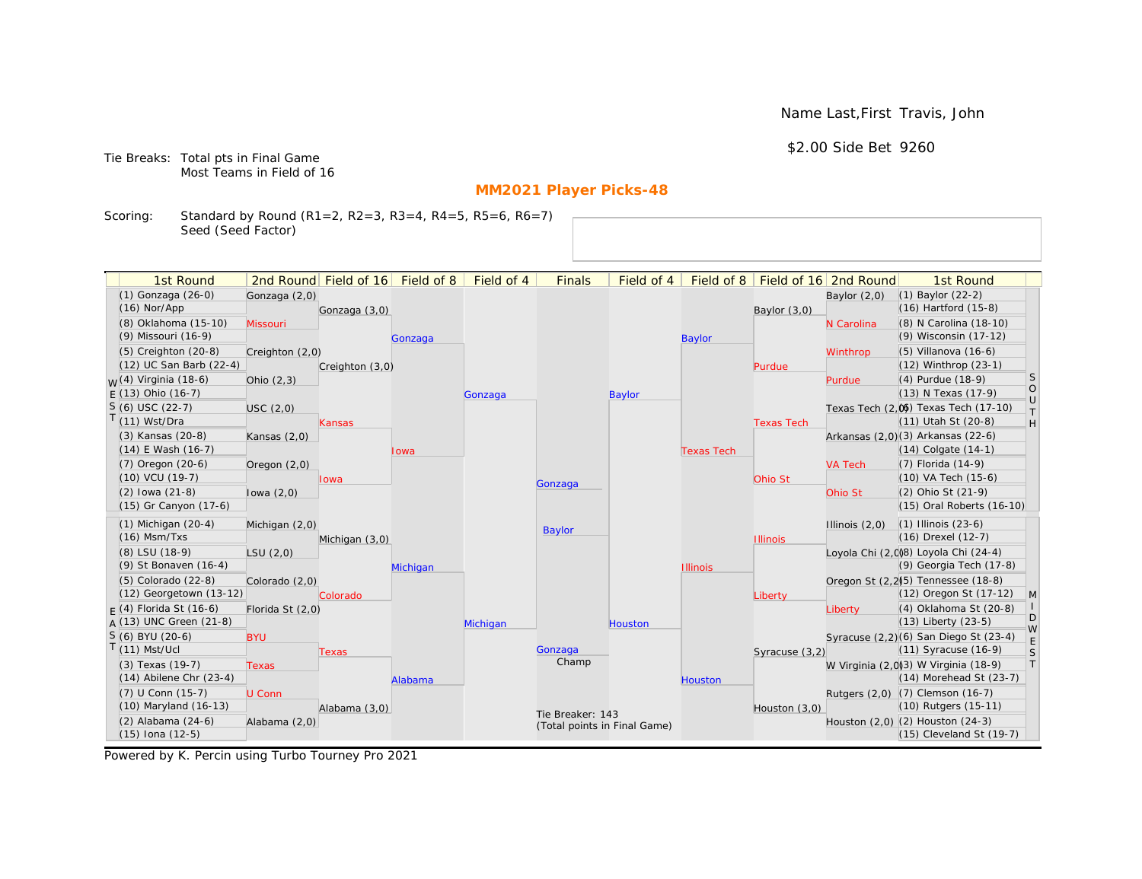Name Last,First Travis, John

\$2.00 Side Bet 9260

Tie Breaks: Total pts in Final Game Most Teams in Field of 16

# **MM2021 Player Picks-48**

Scoring: Standard by Round (R1=2, R2=3, R3=4, R4=5, R5=6, R6=7) Seed (Seed Factor)

| 1st Round                   |                  | 2nd Round Field of 16 | Field of 8 | Field of 4 | <b>Finals</b>                | Field of 4    | Field of 8        |                   | Field of 16 2nd Round | 1st Round                                       |                   |
|-----------------------------|------------------|-----------------------|------------|------------|------------------------------|---------------|-------------------|-------------------|-----------------------|-------------------------------------------------|-------------------|
| (1) Gonzaga (26-0)          | Gonzaga (2,0)    |                       |            |            |                              |               |                   |                   | Baylor $(2,0)$        | $(1)$ Baylor $(22-2)$                           |                   |
| $(16)$ Nor/App              |                  | Gonzaga (3,0)         |            |            |                              |               |                   | Baylor (3,0)      |                       | $(16)$ Hartford $(15-8)$                        |                   |
| (8) Oklahoma (15-10)        | Missouri         |                       |            |            |                              |               |                   |                   | N Carolina            | (8) N Carolina (18-10)                          |                   |
| (9) Missouri (16-9)         |                  |                       | Gonzaga    |            |                              |               | <b>Baylor</b>     |                   |                       | (9) Wisconsin (17-12)                           |                   |
| $(5)$ Creighton $(20-8)$    | Creighton (2,0)  |                       |            |            |                              |               |                   |                   | Winthrop              | $(5)$ Villanova $(16-6)$                        |                   |
| (12) UC San Barb (22-4)     |                  | Creighton (3,0)       |            |            |                              |               |                   | Purdue            |                       | (12) Winthrop (23-1)                            |                   |
| $M(4)$ Virginia (18-6)      | Ohio $(2,3)$     |                       |            |            |                              |               |                   |                   | Purdue                | (4) Purdue (18-9)                               | <sub>S</sub>      |
| $F(13)$ Ohio (16-7)         |                  |                       |            | Gonzaga    |                              | <b>Baylor</b> |                   |                   |                       | (13) N Texas (17-9)                             | $\circ$<br>$\cup$ |
| $S(6)$ USC (22-7)           | USC(2,0)         |                       |            |            |                              |               |                   |                   |                       | Texas Tech (2,0) Texas Tech (17-10)             | $\top$            |
| T(11) Wst/Dra               |                  | Kansas                |            |            |                              |               |                   | <b>Texas Tech</b> |                       | $(11)$ Utah St $(20-8)$                         | H                 |
| (3) Kansas (20-8)           | Kansas $(2,0)$   |                       |            |            |                              |               |                   |                   |                       | Arkansas (2,0)(3) Arkansas (22-6)               |                   |
| $(14)$ E Wash $(16-7)$      |                  |                       | Iowa       |            |                              |               | <b>Texas Tech</b> |                   |                       | $(14)$ Colgate $(14-1)$                         |                   |
| (7) Oregon (20-6)           | Oregon $(2,0)$   |                       |            |            |                              |               |                   |                   | <b>VA Tech</b>        | $(7)$ Florida $(14-9)$                          |                   |
| (10) VCU (19-7)             |                  | lowa                  |            |            | Gonzaga                      |               |                   | Ohio St           |                       | (10) VA Tech (15-6)                             |                   |
| $(2)$ lowa $(21-8)$         | lowa $(2,0)$     |                       |            |            |                              |               |                   |                   | Ohio St               | (2) Ohio St (21-9)                              |                   |
| (15) Gr Canyon (17-6)       |                  |                       |            |            |                              |               |                   |                   |                       | (15) Oral Roberts (16-10)                       |                   |
| $(1)$ Michigan $(20-4)$     | Michigan (2,0)   |                       |            |            | <b>Baylor</b>                |               |                   |                   | Illinois $(2,0)$      | $(1)$ Illinois $(23-6)$                         |                   |
| $(16)$ Msm/Txs              |                  | Michigan (3,0)        |            |            |                              |               |                   | <b>Illinois</b>   |                       | (16) Drexel (12-7)                              |                   |
| (8) LSU (18-9)              | LSU(2,0)         |                       |            |            |                              |               |                   |                   |                       | Loyola Chi (2,0)8) Loyola Chi (24-4)            |                   |
| (9) St Bonaven (16-4)       |                  |                       | Michigan   |            |                              |               | <b>Illinois</b>   |                   |                       | (9) Georgia Tech (17-8)                         |                   |
| $(5)$ Colorado $(22-8)$     | Colorado (2,0)   |                       |            |            |                              |               |                   |                   |                       | Oregon St (2,2) <sup>(5)</sup> Tennessee (18-8) |                   |
| (12) Georgetown (13-12)     |                  | Colorado              |            |            |                              |               |                   | Liberty           |                       | (12) Oregon St (17-12)                          | M                 |
| $F(4)$ Florida St (16-6)    | Florida St (2,0) |                       |            |            |                              |               |                   |                   | Liberty               | (4) Oklahoma St (20-8)                          | D                 |
| A (13) UNC Green (21-8)     |                  |                       |            | Michigan   |                              | Houston       |                   |                   |                       | $(13)$ Liberty $(23-5)$                         | W                 |
| S (6) BYU (20-6)            | <b>BYU</b>       |                       |            |            |                              |               |                   |                   |                       | Syracuse (2,2)(6) San Diego St (23-4)           | E                 |
| $T(11)$ Mst/Ucl             |                  | <b>Texas</b>          |            |            | Gonzaga<br>Champ             |               |                   | Syracuse (3,2)    |                       | (11) Syracuse (16-9)                            | S                 |
| (3) Texas (19-7)            | <b>Texas</b>     |                       |            |            |                              |               |                   |                   |                       | W Virginia (2,0)(3) W Virginia (18-9)           | T                 |
| $(14)$ Abilene Chr $(23-4)$ |                  |                       | Alabama    |            |                              |               | <b>Houston</b>    |                   |                       | (14) Morehead St (23-7)                         |                   |
| (7) U Conn (15-7)           | U Conn           |                       |            |            |                              |               |                   |                   |                       | Rutgers (2,0) (7) Clemson (16-7)                |                   |
| (10) Maryland (16-13)       |                  | Alabama (3,0)         |            |            | Tie Breaker: 143             |               |                   | Houston $(3,0)$   |                       | (10) Rutgers (15-11)                            |                   |
| $(2)$ Alabama $(24-6)$      | Alabama (2,0)    |                       |            |            | (Total points in Final Game) |               |                   |                   |                       | Houston (2,0) (2) Houston (24-3)                |                   |
| $(15)$ Iona $(12-5)$        |                  |                       |            |            |                              |               |                   |                   |                       | (15) Cleveland St (19-7)                        |                   |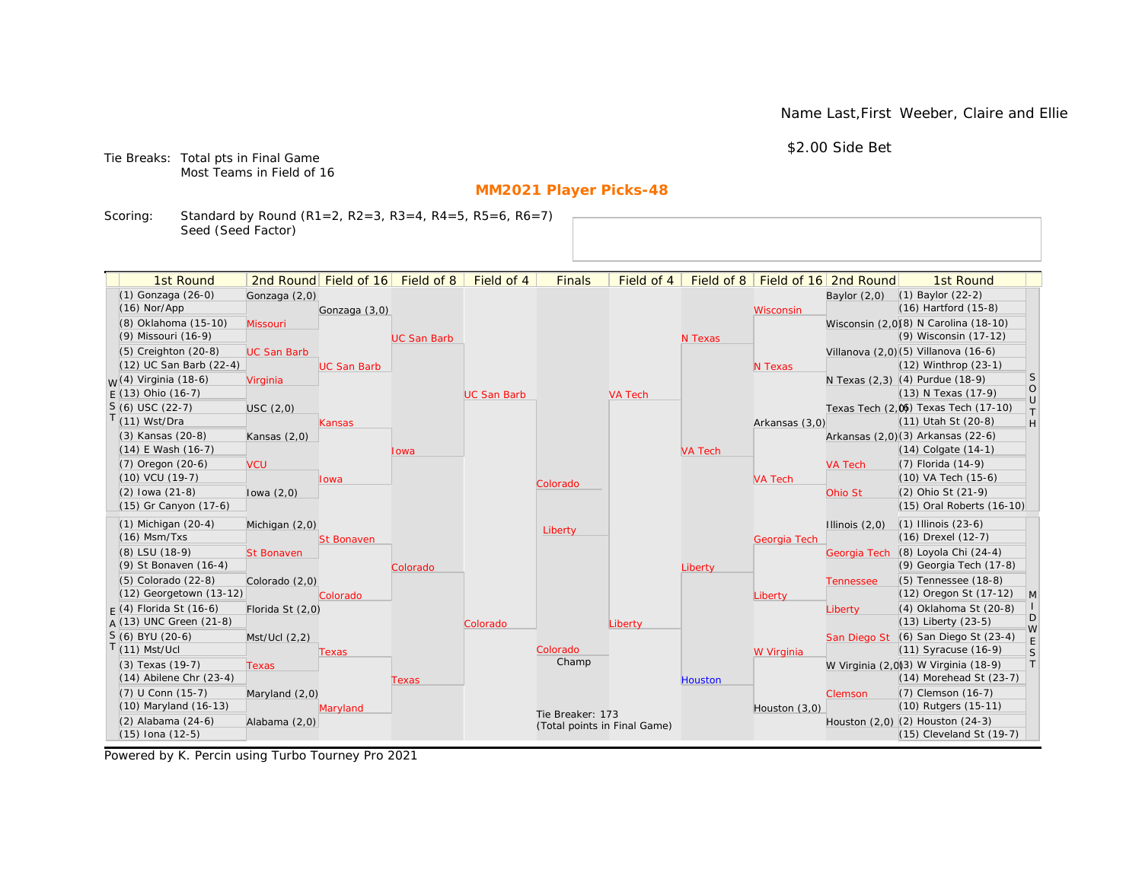Name Last,First Weeber, Claire and Ellie

\$2.00 Side Bet

Tie Breaks: Total pts in Final Game Most Teams in Field of 16

# **MM2021 Player Picks-48**

Scoring: Standard by Round (R1=2, R2=3, R3=4, R4=5, R5=6, R6=7) Seed (Seed Factor)

| 1st Round                        |                    | 2nd Round Field of 16 Field of 8 |                    | Field of 4         | <b>Finals</b>                | Field of 4     | Field of $8$   |                | Field of 16 2nd Round | 1st Round                             |                   |
|----------------------------------|--------------------|----------------------------------|--------------------|--------------------|------------------------------|----------------|----------------|----------------|-----------------------|---------------------------------------|-------------------|
| (1) Gonzaga (26-0)               | Gonzaga (2,0)      |                                  |                    |                    |                              |                |                |                | Baylor $(2,0)$        | $(1)$ Baylor $(22-2)$                 |                   |
| $(16)$ Nor/App                   |                    | Gonzaga (3,0)                    |                    |                    |                              |                |                | Wisconsin      |                       | (16) Hartford (15-8)                  |                   |
| (8) Oklahoma (15-10)             | Missouri           |                                  |                    |                    |                              |                |                |                |                       | Wisconsin (2,0)(8) N Carolina (18-10) |                   |
| (9) Missouri (16-9)              |                    |                                  | <b>UC San Barb</b> |                    |                              |                | <b>N</b> Texas |                |                       | (9) Wisconsin (17-12)                 |                   |
| (5) Creighton (20-8)             | <b>UC San Barb</b> |                                  |                    |                    |                              |                |                |                |                       | Villanova (2,0) (5) Villanova (16-6)  |                   |
| (12) UC San Barb (22-4)          |                    | <b>UC San Barb</b>               |                    |                    |                              |                |                | N Texas        |                       | (12) Winthrop (23-1)                  |                   |
| <sub>M</sub> (4) Virginia (18-6) | Virginia           |                                  |                    |                    |                              |                |                |                |                       | N Texas (2,3) (4) Purdue (18-9)       | S                 |
| $E(13)$ Ohio (16-7)              |                    |                                  |                    | <b>UC San Barb</b> |                              | <b>VA Tech</b> |                |                |                       | (13) N Texas (17-9)                   | $\circ$<br>$\cup$ |
| $S(6)$ USC (22-7)                | USC(2,0)           |                                  |                    |                    |                              |                |                |                |                       | Texas Tech (2,0) Texas Tech (17-10)   | T.                |
| $T(11)$ Wst/Dra                  |                    | Kansas                           |                    |                    |                              |                |                | Arkansas (3,0) |                       | (11) Utah St (20-8)                   | H                 |
| (3) Kansas (20-8)                | Kansas $(2,0)$     |                                  |                    |                    |                              |                |                |                |                       | Arkansas (2,0)(3) Arkansas (22-6)     |                   |
| $(14)$ E Wash $(16-7)$           |                    |                                  | Iowa               |                    |                              |                | <b>VA Tech</b> |                |                       | $(14)$ Colgate $(14-1)$               |                   |
| (7) Oregon (20-6)                | <b>VCU</b>         |                                  |                    |                    |                              |                |                |                | <b>VA Tech</b>        | (7) Florida (14-9)                    |                   |
| (10) VCU (19-7)                  |                    | lowa                             |                    |                    | Colorado                     |                |                | <b>VA Tech</b> |                       | (10) VA Tech (15-6)                   |                   |
| $(2)$ lowa $(21-8)$              | lowa $(2,0)$       |                                  |                    |                    |                              |                |                |                | Ohio St               | (2) Ohio St (21-9)                    |                   |
| (15) Gr Canyon (17-6)            |                    |                                  |                    |                    |                              |                |                |                |                       | (15) Oral Roberts (16-10)             |                   |
| $(1)$ Michigan $(20-4)$          | Michigan (2,0)     |                                  |                    |                    |                              |                |                |                | Illinois $(2,0)$      | $(1)$ Illinois $(23-6)$               |                   |
| $(16)$ Msm/Txs                   |                    | <b>St Bonaven</b>                |                    |                    | Liberty                      |                |                | Georgia Tech   |                       | (16) Drexel (12-7)                    |                   |
| (8) LSU (18-9)                   | <b>St Bonaven</b>  |                                  |                    |                    |                              |                |                |                | Georgia Tech          | (8) Loyola Chi (24-4)                 |                   |
| (9) St Bonaven (16-4)            |                    |                                  | Colorado           |                    |                              |                | Liberty        |                |                       | (9) Georgia Tech (17-8)               |                   |
| (5) Colorado (22-8)              | Colorado (2,0)     |                                  |                    |                    |                              |                |                |                | <b>Tennessee</b>      | (5) Tennessee (18-8)                  |                   |
| (12) Georgetown (13-12)          |                    | Colorado                         |                    |                    |                              |                |                | Liberty        |                       | (12) Oregon St (17-12)                | $\mathsf{M}$      |
| $F(4)$ Florida St (16-6)         | Florida St (2,0)   |                                  |                    |                    |                              |                |                |                | Liberty               | (4) Oklahoma St (20-8)                |                   |
| $A(13)$ UNC Green (21-8)         |                    |                                  |                    | Colorado           |                              | Liberty        |                |                |                       | (13) Liberty (23-5)                   | D<br>W            |
| $S(6)$ BYU (20-6)                | Mst/Ucl (2,2)      |                                  |                    |                    |                              |                |                |                | San Diego St          | (6) San Diego St (23-4)               |                   |
| $(11)$ Mst/Ucl                   |                    | Texas                            |                    |                    | Colorado                     |                |                | W Virginia     |                       | (11) Syracuse (16-9)                  | S                 |
| (3) Texas (19-7)                 | <b>Texas</b>       |                                  |                    |                    | Champ                        |                |                |                |                       | W Virginia (2,0)(3) W Virginia (18-9) | $\top$            |
| $(14)$ Abilene Chr $(23-4)$      |                    |                                  | <b>Texas</b>       |                    |                              |                | <b>Houston</b> |                |                       | (14) Morehead St (23-7)               |                   |
| (7) U Conn (15-7)                | Maryland (2,0)     |                                  |                    |                    |                              |                |                |                | Clemson               | (7) Clemson (16-7)                    |                   |
| $(10)$ Maryland $(16-13)$        |                    | Maryland                         |                    |                    | Tie Breaker: 173             |                |                | Houston (3,0)  |                       | (10) Rutgers (15-11)                  |                   |
| (2) Alabama (24-6)               | Alabama (2,0)      |                                  |                    |                    | (Total points in Final Game) |                |                |                |                       | Houston (2,0) (2) Houston (24-3)      |                   |
| (15) Iona (12-5)                 |                    |                                  |                    |                    |                              |                |                |                |                       | (15) Cleveland St (19-7)              |                   |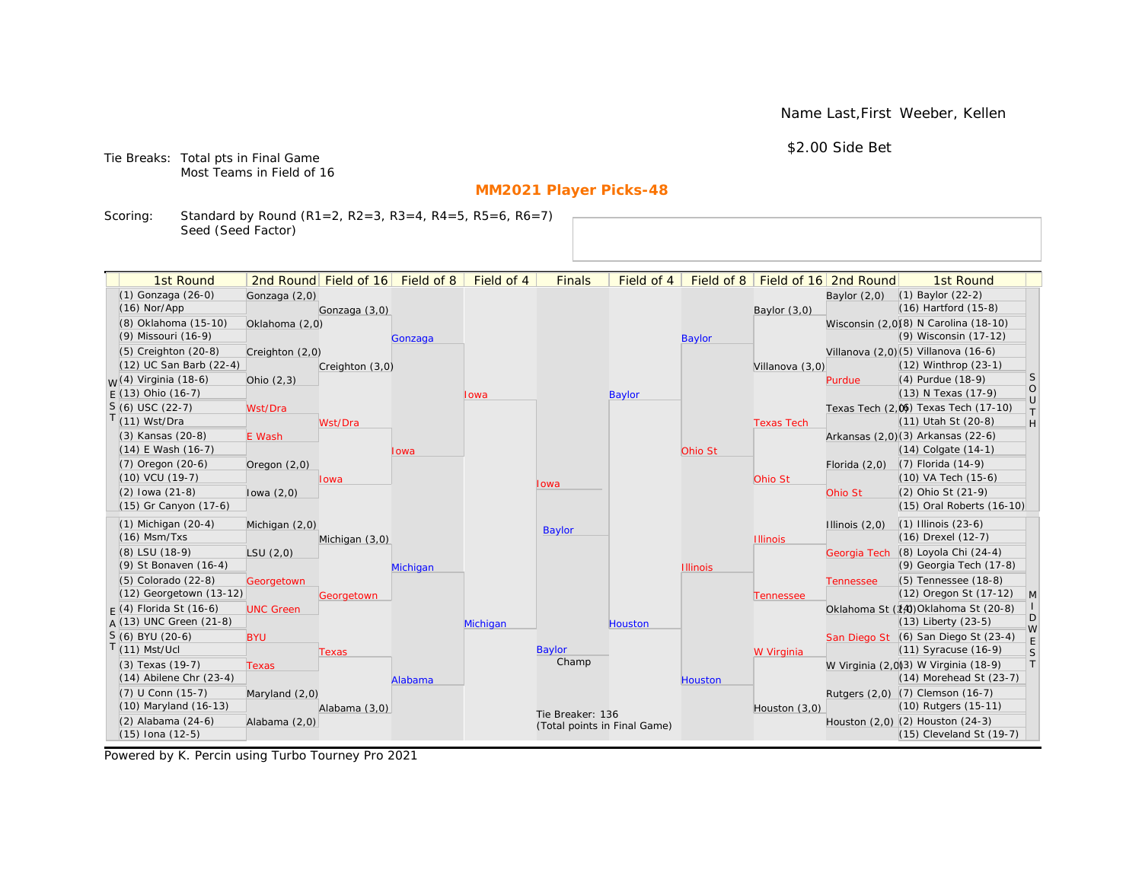Name Last,First Weeber, Kellen

\$2.00 Side Bet

Tie Breaks: Total pts in Final Game Most Teams in Field of 16

# **MM2021 Player Picks-48**

Scoring: Standard by Round (R1=2, R2=3, R3=4, R4=5, R5=6, R6=7) Seed (Seed Factor)

| 1st Round                                       |                  | 2nd Round Field of 16 | Field of 8 | Field of 4 | <b>Finals</b>                | Field of 4    | Field of $8$    |                   | Field of 16 2nd Round | 1st Round                                                        |                                                                   |
|-------------------------------------------------|------------------|-----------------------|------------|------------|------------------------------|---------------|-----------------|-------------------|-----------------------|------------------------------------------------------------------|-------------------------------------------------------------------|
| (1) Gonzaga (26-0)                              | Gonzaga (2,0)    |                       |            |            |                              |               |                 |                   | Baylor $(2,0)$        | $(1)$ Baylor $(22-2)$                                            |                                                                   |
| $(16)$ Nor/App                                  |                  | Gonzaga (3,0)         |            |            |                              |               |                 | Baylor (3,0)      |                       | $(16)$ Hartford $(15-8)$                                         |                                                                   |
| (8) Oklahoma (15-10)                            | Oklahoma (2,0)   |                       |            |            |                              |               |                 |                   |                       | Wisconsin (2,0)(8) N Carolina (18-10)                            |                                                                   |
| (9) Missouri (16-9)                             |                  |                       | Gonzaga    |            |                              |               | <b>Baylor</b>   |                   |                       | (9) Wisconsin (17-12)                                            |                                                                   |
| (5) Creighton (20-8)                            | Creighton (2,0)  |                       |            |            |                              |               |                 |                   |                       | Villanova (2,0) (5) Villanova (16-6)                             |                                                                   |
| (12) UC San Barb (22-4)                         |                  | Creighton (3,0)       |            |            |                              |               |                 | Villanova (3,0)   |                       | (12) Winthrop (23-1)                                             |                                                                   |
| $W(4)$ Virginia (18-6)                          | Ohio $(2,3)$     |                       |            |            |                              |               |                 |                   | Purdue                | (4) Purdue (18-9)                                                | <sub>S</sub>                                                      |
| $E(13)$ Ohio (16-7)                             |                  |                       |            | Iowa       |                              | <b>Baylor</b> |                 |                   |                       | (13) N Texas (17-9)                                              | $\circ$<br>$\cup$                                                 |
| $S(6)$ USC (22-7)                               | Wst/Dra          |                       |            |            |                              |               |                 |                   |                       | Texas Tech (2,0) Texas Tech (17-10)                              | $\top$                                                            |
| $T(11)$ Wst/Dra                                 |                  | Wst/Dra               |            |            |                              |               |                 | <b>Texas Tech</b> |                       | (11) Utah St (20-8)                                              | $\mathsf{H}% _{\mathsf{H}}^{\ast}=\mathsf{H}_{\mathsf{H}}^{\ast}$ |
| (3) Kansas (20-8)                               | E Wash           |                       |            |            |                              |               |                 |                   |                       | Arkansas (2,0)(3) Arkansas (22-6)                                |                                                                   |
| $(14)$ E Wash $(16-7)$                          |                  |                       | Iowa       |            |                              |               | Ohio St         |                   |                       | $(14)$ Colgate $(14-1)$                                          |                                                                   |
| $(7)$ Oregon $(20-6)$                           | Oregon $(2,0)$   |                       |            |            |                              |               |                 |                   | Florida $(2,0)$       | $(7)$ Florida $(14-9)$                                           |                                                                   |
| $(10)$ VCU $(19-7)$                             |                  | lowa                  |            |            | lowa                         |               |                 | Ohio St           |                       | (10) VA Tech (15-6)                                              |                                                                   |
| $(2)$ lowa $(21-8)$                             | lowa $(2,0)$     |                       |            |            |                              |               |                 |                   | Ohio St               | (2) Ohio St (21-9)                                               |                                                                   |
| (15) Gr Canyon (17-6)                           |                  |                       |            |            |                              |               |                 |                   |                       | (15) Oral Roberts (16-10)                                        |                                                                   |
| $(1)$ Michigan $(20-4)$                         | Michigan (2,0)   |                       |            |            | <b>Baylor</b>                |               |                 |                   | Illinois $(2,0)$      | $(1)$ Illinois $(23-6)$                                          |                                                                   |
| $(16)$ Msm/Txs                                  |                  | Michigan (3,0)        |            |            |                              |               |                 | <b>Illinois</b>   |                       | (16) Drexel (12-7)                                               |                                                                   |
| (8) LSU (18-9)                                  | LSU(2,0)         |                       |            |            |                              |               |                 |                   |                       | Georgia Tech (8) Loyola Chi (24-4)                               |                                                                   |
| (9) St Bonaven (16-4)                           |                  |                       | Michigan   |            |                              |               | <b>Illinois</b> |                   |                       | (9) Georgia Tech (17-8)                                          |                                                                   |
| (5) Colorado (22-8)                             | Georgetown       |                       |            |            |                              |               |                 |                   | <b>Tennessee</b>      | (5) Tennessee (18-8)                                             |                                                                   |
| (12) Georgetown (13-12)                         |                  | Georgetown            |            |            |                              |               |                 | Tennessee         |                       | (12) Oregon St (17-12)                                           | M                                                                 |
| $F(4)$ Florida St (16-6)                        | <b>UNC Green</b> |                       |            |            |                              |               |                 |                   |                       | Oklahoma St (14) Oklahoma St (20-8)                              | D                                                                 |
| $A(13)$ UNC Green (21-8)                        |                  |                       |            | Michigan   |                              | Houston       |                 |                   |                       | $(13)$ Liberty $(23-5)$                                          | W                                                                 |
| S (6) BYU (20-6)                                | <b>BYU</b>       |                       |            |            |                              |               |                 |                   |                       | San Diego St (6) San Diego St (23-4)                             | E                                                                 |
| $T(11)$ Mst/Ucl                                 |                  | Texas                 |            |            | Baylor<br>Champ              |               |                 | W Virginia        |                       | $(11)$ Syracuse $(16-9)$                                         | S<br> T                                                           |
| (3) Texas (19-7)<br>$(14)$ Abilene Chr $(23-4)$ | <b>Texas</b>     |                       |            |            |                              |               |                 |                   |                       | W Virginia (2,0)(3) W Virginia (18-9)<br>(14) Morehead St (23-7) |                                                                   |
|                                                 |                  |                       | Alabama    |            |                              |               | <b>Houston</b>  |                   |                       |                                                                  |                                                                   |
| (7) U Conn (15-7)<br>(10) Maryland (16-13)      | Maryland (2,0)   |                       |            |            |                              |               |                 |                   |                       | Rutgers (2,0) (7) Clemson (16-7)<br>(10) Rutgers (15-11)         |                                                                   |
| $(2)$ Alabama $(24-6)$                          |                  | Alabama (3,0)         |            |            | Tie Breaker: 136             |               |                 | Houston $(3,0)$   |                       | Houston (2,0) (2) Houston (24-3)                                 |                                                                   |
| (15) Iona (12-5)                                | Alabama (2,0)    |                       |            |            | (Total points in Final Game) |               |                 |                   |                       | $(15)$ Cleveland St $(19-7)$                                     |                                                                   |
|                                                 |                  |                       |            |            |                              |               |                 |                   |                       |                                                                  |                                                                   |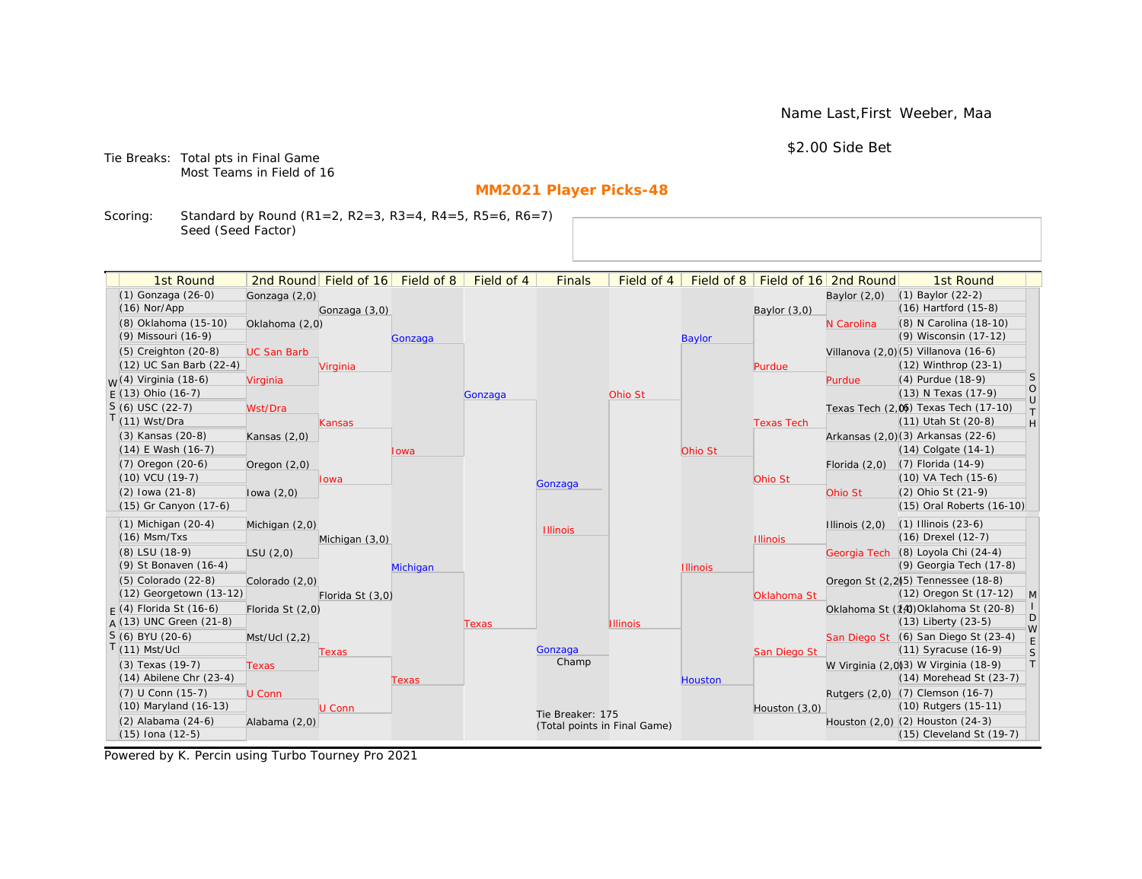Name Last,First Weeber, Maa

\$2.00 Side Bet

Tie Breaks: Total pts in Final Game Most Teams in Field of 16

# **MM2021 Player Picks-48**

Scoring: Standard by Round (R1=2, R2=3, R3=4, R4=5, R5=6, R6=7) Seed (Seed Factor)

| 1st Round                         |                    | 2nd Round Field of 16 Field of 8 |                 | Field of 4 | <b>Finals</b>                | Field of 4      | Field of 8      |                   | Field of 16 2nd Round | 1st Round                                       |              |
|-----------------------------------|--------------------|----------------------------------|-----------------|------------|------------------------------|-----------------|-----------------|-------------------|-----------------------|-------------------------------------------------|--------------|
| (1) Gonzaga (26-0)                | Gonzaga (2,0)      |                                  |                 |            |                              |                 |                 |                   | Baylor $(2,0)$        | $(1)$ Baylor $(22-2)$                           |              |
| $(16)$ Nor/App                    |                    | Gonzaga (3,0)                    |                 |            |                              |                 |                 | Baylor $(3,0)$    |                       | $(16)$ Hartford $(15-8)$                        |              |
| (8) Oklahoma (15-10)              | Oklahoma (2,0)     |                                  |                 |            |                              |                 |                 |                   | N Carolina            | (8) N Carolina (18-10)                          |              |
| (9) Missouri (16-9)               |                    |                                  | Gonzaga         |            |                              |                 | <b>Baylor</b>   |                   |                       | (9) Wisconsin (17-12)                           |              |
| (5) Creighton (20-8)              | <b>UC San Barb</b> |                                  |                 |            |                              |                 |                 |                   |                       | Villanova (2,0)(5) Villanova (16-6)             |              |
| (12) UC San Barb (22-4)           |                    | Virginia                         |                 |            |                              |                 |                 | Purdue            |                       | $(12)$ Winthrop $(23-1)$                        | <sub>S</sub> |
| <sub>M</sub> /(4) Virginia (18-6) | Virginia           |                                  |                 |            |                              |                 |                 |                   | Purdue                | (4) Purdue (18-9)                               | $\circ$      |
| $F(13)$ Ohio (16-7)               |                    |                                  |                 | Gonzaga    |                              | Ohio St         |                 |                   |                       | (13) N Texas (17-9)                             | $\cup$       |
| $S(6)$ USC (22-7)                 | Wst/Dra            |                                  |                 |            |                              |                 |                 |                   |                       | Texas Tech (2,0) Texas Tech (17-10)             | T.           |
| T(11) Wst/Dra                     |                    | Kansas                           |                 |            |                              |                 |                 | <b>Texas Tech</b> |                       | (11) Utah St (20-8)                             | H            |
| (3) Kansas (20-8)                 | Kansas $(2,0)$     |                                  |                 |            |                              |                 |                 |                   |                       | Arkansas (2,0)(3) Arkansas (22-6)               |              |
| $(14)$ E Wash $(16-7)$            |                    |                                  | Iowa            |            |                              |                 | Ohio St         |                   |                       | $(14)$ Colgate $(14-1)$                         |              |
| (7) Oregon (20-6)                 | Oregon $(2,0)$     |                                  |                 |            |                              |                 |                 |                   | Florida $(2,0)$       | (7) Florida (14-9)                              |              |
| (10) VCU (19-7)                   |                    | <b>Iowa</b>                      |                 |            | Gonzaga                      |                 |                 | Ohio St           |                       | (10) VA Tech (15-6)                             |              |
| $(2)$ lowa $(21-8)$               | lowa $(2,0)$       |                                  |                 |            |                              |                 |                 |                   | Ohio St               | (2) Ohio St (21-9)                              |              |
| (15) Gr Canyon (17-6)             |                    |                                  |                 |            |                              |                 |                 |                   |                       | (15) Oral Roberts (16-10)                       |              |
| $(1)$ Michigan $(20-4)$           | Michigan (2,0)     |                                  |                 |            | <b>Illinois</b>              |                 |                 |                   | Illinois $(2,0)$      | $(1)$ Illinois $(23-6)$                         |              |
| $(16)$ Msm/Txs                    |                    | Michigan (3,0)                   |                 |            |                              |                 |                 | <b>Illinois</b>   |                       | (16) Drexel (12-7)                              |              |
| (8) LSU (18-9)                    | LSU(2,0)           |                                  |                 |            |                              |                 |                 |                   |                       | Georgia Tech (8) Loyola Chi (24-4)              |              |
| (9) St Bonaven (16-4)             |                    |                                  | <b>Michigan</b> |            |                              |                 | <b>Illinois</b> |                   |                       | (9) Georgia Tech (17-8)                         |              |
| (5) Colorado (22-8)               | Colorado (2,0)     |                                  |                 |            |                              |                 |                 |                   |                       | Oregon St (2.2) <sup>5</sup> ) Tennessee (18-8) |              |
| (12) Georgetown (13-12)           |                    | Florida St (3,0)                 |                 |            |                              |                 |                 | Oklahoma St       |                       | (12) Oregon St (17-12)                          | $\mathsf{M}$ |
| $F(4)$ Florida St (16-6)          | Florida St (2,0)   |                                  |                 |            |                              |                 |                 |                   |                       | Oklahoma St (14) Oklahoma St (20-8)             | D            |
| $A(13)$ UNC Green (21-8)          |                    |                                  |                 | Texas      |                              | <b>Illinois</b> |                 |                   |                       | (13) Liberty (23-5)                             | W            |
| $S(6)$ BYU (20-6)                 | Mst/Ucl(2,2)       |                                  |                 |            |                              |                 |                 |                   |                       | San Diego St (6) San Diego St (23-4)            | $\mathsf E$  |
| $T(11)$ Mst/Ucl                   |                    | Texas                            |                 |            | Gonzaga                      |                 |                 | San Diego St      |                       | (11) Syracuse (16-9)                            | S            |
| (3) Texas (19-7)                  | Texas              |                                  |                 |            | Champ                        |                 |                 |                   |                       | W Virginia (2,0)(3) W Virginia (18-9)           | T            |
| $(14)$ Abilene Chr $(23-4)$       |                    |                                  | Texas           |            |                              |                 | Houston         |                   |                       | (14) Morehead St (23-7)                         |              |
| (7) U Conn (15-7)                 | U Conn             |                                  |                 |            |                              |                 |                 |                   |                       | Rutgers (2,0) (7) Clemson (16-7)                |              |
| (10) Maryland (16-13)             |                    | U Conn                           |                 |            | Tie Breaker: 175             |                 |                 | Houston (3,0)     |                       | (10) Rutgers (15-11)                            |              |
| (2) Alabama (24-6)                | Alabama (2,0)      |                                  |                 |            | (Total points in Final Game) |                 |                 |                   |                       | Houston (2,0) (2) Houston (24-3)                |              |
| $(15)$ Iona $(12-5)$              |                    |                                  |                 |            |                              |                 |                 |                   |                       | (15) Cleveland St (19-7)                        |              |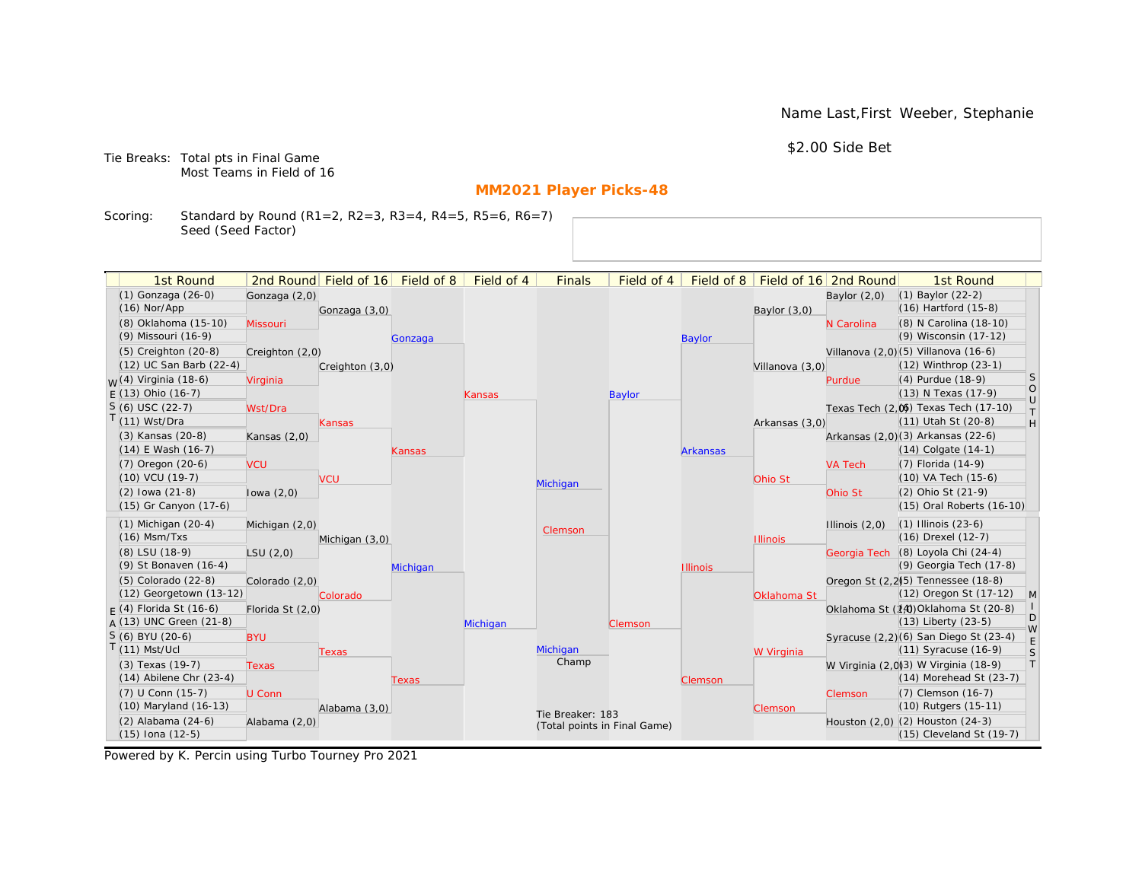Name Last,First Weeber, Stephanie

\$2.00 Side Bet

Tie Breaks: Total pts in Final Game Most Teams in Field of 16

# **MM2021 Player Picks-48**

Scoring: Standard by Round (R1=2, R2=3, R3=4, R4=5, R5=6, R6=7) Seed (Seed Factor)

| 1st Round                   |                  | 2nd Round Field of 16 | Field of 8 | Field of 4 | <b>Finals</b>    | Field of 4                   | Field of 8      |                 | Field of 16 2nd Round | 1st Round                                       |                                      |
|-----------------------------|------------------|-----------------------|------------|------------|------------------|------------------------------|-----------------|-----------------|-----------------------|-------------------------------------------------|--------------------------------------|
| (1) Gonzaga (26-0)          | Gonzaga (2,0)    |                       |            |            |                  |                              |                 |                 | Baylor $(2,0)$        | $(1)$ Baylor $(22-2)$                           |                                      |
| $(16)$ Nor/App              |                  | Gonzaga (3,0)         |            |            |                  |                              |                 | Baylor (3,0)    |                       | (16) Hartford (15-8)                            |                                      |
| (8) Oklahoma (15-10)        | Missouri         |                       |            |            |                  |                              |                 |                 | N Carolina            | (8) N Carolina (18-10)                          |                                      |
| (9) Missouri (16-9)         |                  |                       | Gonzaga    |            |                  |                              | <b>Baylor</b>   |                 |                       | (9) Wisconsin (17-12)                           |                                      |
| $(5)$ Creighton $(20-8)$    | Creighton (2,0)  |                       |            |            |                  |                              |                 |                 |                       | Villanova (2,0) (5) Villanova (16-6)            |                                      |
| (12) UC San Barb (22-4)     |                  | Creighton (3,0)       |            |            |                  |                              |                 | Villanova (3,0) |                       | (12) Winthrop (23-1)                            |                                      |
| $M(4)$ Virginia (18-6)      | Virginia         |                       |            |            |                  |                              |                 |                 | Purdue                | (4) Purdue (18-9)                               | S                                    |
| $F(13)$ Ohio (16-7)         |                  |                       |            | Kansas     |                  | Baylor                       |                 |                 |                       | (13) N Texas (17-9)                             | $\begin{matrix} 0 \\ U \end{matrix}$ |
| $S(6)$ USC (22-7)           | Wst/Dra          |                       |            |            |                  |                              |                 |                 |                       | Texas Tech (2,0) Texas Tech (17-10)             | $\top$                               |
| T(11) Wst/Dra               |                  | Kansas                |            |            |                  |                              |                 | Arkansas (3,0)  |                       | (11) Utah St (20-8)                             | H                                    |
| (3) Kansas (20-8)           | Kansas $(2,0)$   |                       |            |            |                  |                              |                 |                 |                       | Arkansas (2,0)(3) Arkansas (22-6)               |                                      |
| $(14)$ E Wash $(16-7)$      |                  |                       | Kansas     |            |                  |                              | <b>Arkansas</b> |                 |                       | $(14)$ Colgate $(14-1)$                         |                                      |
| $(7)$ Oregon $(20-6)$       | <b>VCU</b>       |                       |            |            |                  |                              |                 |                 | <b>VA Tech</b>        | (7) Florida (14-9)                              |                                      |
| $(10)$ VCU $(19-7)$         |                  | <b>VCU</b>            |            |            | Michigan         |                              |                 | Ohio St         |                       | (10) VA Tech (15-6)                             |                                      |
| $(2)$ lowa $(21-8)$         | lowa $(2,0)$     |                       |            |            |                  |                              |                 |                 | Ohio St               | (2) Ohio St (21-9)                              |                                      |
| (15) Gr Canyon (17-6)       |                  |                       |            |            |                  |                              |                 |                 |                       | (15) Oral Roberts (16-10)                       |                                      |
| $(1)$ Michigan $(20-4)$     | Michigan (2,0)   |                       |            |            | Clemson          |                              |                 |                 | Illinois $(2,0)$      | $(1)$ Illinois $(23-6)$                         |                                      |
| $(16)$ Msm/Txs              |                  | Michigan (3,0)        |            |            |                  |                              |                 | <b>Illinois</b> |                       | (16) Drexel (12-7)                              |                                      |
| (8) LSU (18-9)              | LSU(2,0)         |                       |            |            |                  |                              |                 |                 |                       | Georgia Tech (8) Loyola Chi (24-4)              |                                      |
| (9) St Bonaven (16-4)       |                  |                       | Michigan   |            |                  |                              | <b>Illinois</b> |                 |                       | (9) Georgia Tech (17-8)                         |                                      |
| (5) Colorado (22-8)         | Colorado (2,0)   |                       |            |            |                  |                              |                 |                 |                       | Oregon St (2.2) <sup>5</sup> ) Tennessee (18-8) |                                      |
| (12) Georgetown (13-12)     |                  | Colorado              |            |            |                  |                              |                 | Oklahoma St     |                       | (12) Oregon St (17-12)                          | $\mathsf{M}$                         |
| $F(4)$ Florida St (16-6)    | Florida St (2,0) |                       |            |            |                  |                              |                 |                 |                       | Oklahoma St (14) Oklahoma St (20-8)             | D                                    |
| $A(13)$ UNC Green (21-8)    |                  |                       |            | Michigan   |                  | Clemson                      |                 |                 |                       | (13) Liberty (23-5)                             | W                                    |
| S (6) BYU (20-6)            | <b>BYU</b>       |                       |            |            |                  |                              |                 |                 |                       | Syracuse (2,2)(6) San Diego St (23-4)           | $\mathsf E$                          |
| $T(11)$ Mst/Ucl             |                  | <b>Texas</b>          |            |            | Michigan         |                              |                 | W Virginia      |                       | (11) Syracuse (16-9)                            | S                                    |
| (3) Texas (19-7)            | <b>Texas</b>     |                       |            |            | Champ            |                              |                 |                 |                       | W Virginia (2,0)3) W Virginia (18-9)            | $\top$                               |
| $(14)$ Abilene Chr $(23-4)$ |                  |                       | Texas      |            |                  |                              | Clemson         |                 |                       | (14) Morehead St (23-7)                         |                                      |
| (7) U Conn (15-7)           | U Conn           |                       |            |            |                  |                              |                 |                 | Clemson               | (7) Clemson (16-7)                              |                                      |
| (10) Maryland (16-13)       |                  | Alabama (3,0)         |            |            | Tie Breaker: 183 |                              |                 | Clemson         |                       | (10) Rutgers (15-11)                            |                                      |
| (2) Alabama (24-6)          | Alabama (2,0)    |                       |            |            |                  | (Total points in Final Game) |                 |                 |                       | Houston (2,0) (2) Houston (24-3)                |                                      |
| $(15)$ Iona $(12-5)$        |                  |                       |            |            |                  |                              |                 |                 |                       | (15) Cleveland St (19-7)                        |                                      |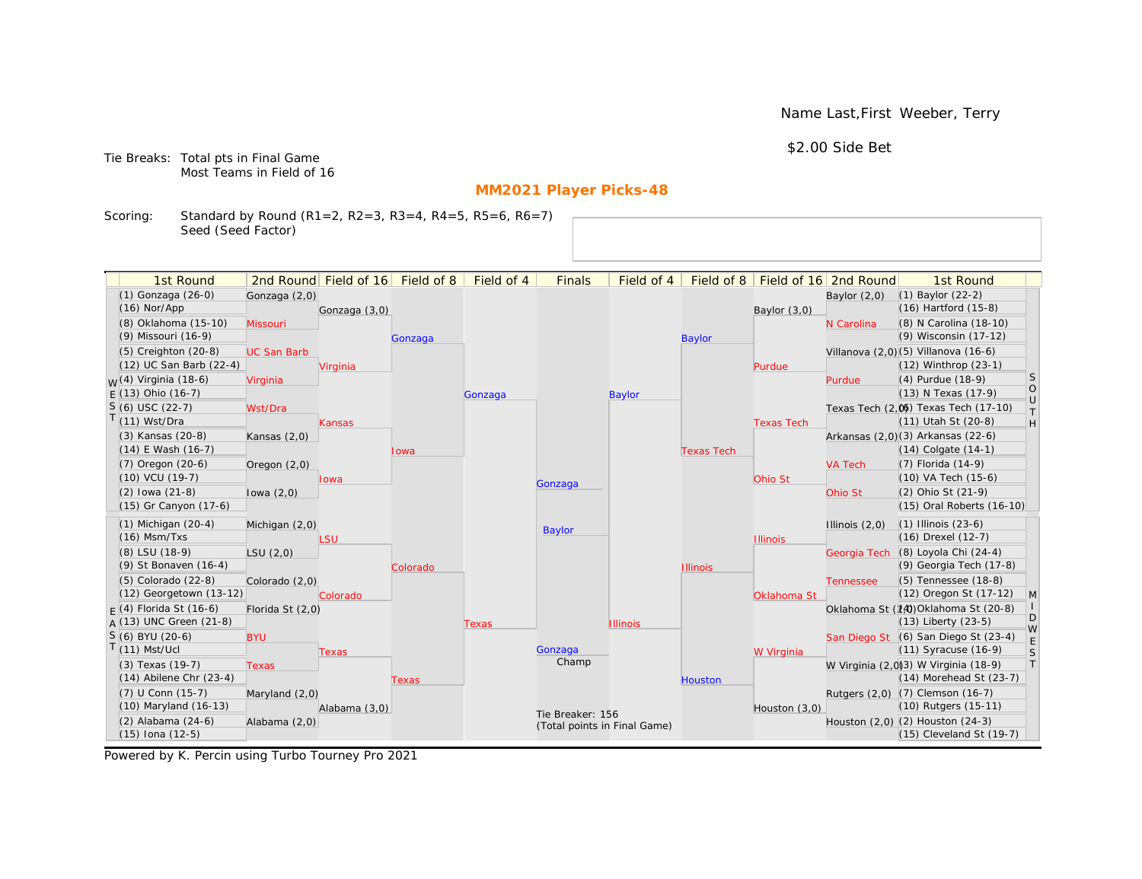Name Last,First Weeber, Terry

\$2.00 Side Bet

Tie Breaks: Total pts in Final Game Most Teams in Field of 16

# **MM2021 Player Picks-48**

Scoring: Standard by Round (R1=2, R2=3, R3=4, R4=5, R5=6, R6=7) Seed (Seed Factor)

| (1) Gonzaga (26-0)<br>$(1)$ Baylor $(22-2)$<br>Gonzaga (2,0)<br>Baylor $(2,0)$<br>$(16)$ Hartford $(15-8)$<br>$(16)$ Nor/App<br>Gonzaga (3,0)<br>Baylor $(3,0)$<br>(8) Oklahoma (15-10)<br>(8) N Carolina (18-10)<br>Missouri<br>N Carolina<br>(9) Wisconsin (17-12)<br>(9) Missouri (16-9)<br><b>Baylor</b><br>Gonzaga<br>Villanova (2,0) (5) Villanova (16-6)<br>(5) Creighton (20-8)<br><b>UC San Barb</b><br>(12) UC San Barb (22-4)<br>$(12)$ Winthrop $(23-1)$<br>Virginia<br>Purdue<br><sub>S</sub><br><sub>M</sub> /(4) Virginia (18-6)<br>(4) Purdue (18-9)<br>Virginia<br>Purdue<br>$\circ$<br>$F(13)$ Ohio (16-7)<br>(13) N Texas (17-9)<br>Gonzaga<br><b>Baylor</b><br>$\cup$<br>$S(6)$ USC (22-7)<br>Texas Tech (2,0) Texas Tech (17-10)<br>Wst/Dra<br>$\top$<br>$T(11)$ Wst/Dra<br>(11) Utah St (20-8)<br>H<br><b>Texas Tech</b><br>Kansas<br>Arkansas (2,0)(3) Arkansas (22-6)<br>(3) Kansas (20-8)<br>Kansas $(2,0)$<br>$(14)$ E Wash $(16-7)$<br>$(14)$ Colgate $(14-1)$<br><b>Texas Tech</b><br>Iowa<br>(7) Oregon (20-6)<br>(7) Florida (14-9)<br><b>VA Tech</b><br>Oregon $(2,0)$<br>(10) VCU (19-7)<br>(10) VA Tech (15-6)<br>Ohio St<br>lowa<br>Gonzaga<br>$(2)$ lowa $(21-8)$<br>(2) Ohio St (21-9)<br>Ohio St<br>lowa $(2,0)$<br>(15) Gr Canyon (17-6)<br>(15) Oral Roberts (16-10)<br>$(1)$ Michigan $(20-4)$<br>$(1)$ Illinois $(23-6)$<br>Michigan (2,0)<br>Illinois $(2,0)$<br><b>Baylor</b><br>$(16)$ Msm/Txs<br>(16) Drexel (12-7)<br>LSU<br><b>Illinois</b><br>(8) Loyola Chi (24-4)<br>(8) LSU (18-9)<br>Georgia Tech<br>LSU(2,0)<br>(9) Georgia Tech (17-8)<br>(9) St Bonaven (16-4)<br><b>Illinois</b><br>Colorado<br>(5) Tennessee (18-8)<br>(5) Colorado (22-8)<br>Colorado (2,0)<br><b>Tennessee</b><br>(12) Georgetown (13-12)<br>(12) Oregon St (17-12)<br>M<br>Oklahoma St<br>Colorado<br>Oklahoma St (14) Oklahoma St (20-8)<br>$F(4)$ Florida St (16-6)<br>Florida St (2,0)<br>D<br>$A(13)$ UNC Green (21-8)<br>$(13)$ Liberty $(23-5)$<br><b>Illinois</b><br>Texas<br>W<br>$S(6)$ BYU (20-6)<br>San Diego St (6) San Diego St (23-4)<br><b>BYU</b><br>$\mathsf E$<br>$T(11)$ Mst/Ucl<br>$(11)$ Syracuse $(16-9)$<br>Gonzaga<br>S<br>W Virginia<br>Texas<br>Champ<br> T <br>W Virginia (2,0)(3) W Virginia (18-9)<br>(3) Texas (19-7)<br><b>Texas</b><br>$(14)$ Abilene Chr $(23-4)$<br>(14) Morehead St (23-7)<br>Texas<br><b>Houston</b><br>(7) U Conn (15-7)<br>Rutgers (2,0) (7) Clemson (16-7)<br>Maryland (2,0)<br>(10) Maryland (16-13)<br>(10) Rutgers (15-11)<br>Alabama (3,0)<br>Houston (3,0)<br>Tie Breaker: 156<br>(2) Alabama (24-6)<br>Alabama (2,0)<br>Houston (2,0) (2) Houston (24-3)<br>(Total points in Final Game)<br>$(15)$ Iona $(12-5)$<br>(15) Cleveland St (19-7) | 1st Round | 2nd Round Field of 16 | Field of 8 | Field of 4 | <b>Finals</b> | Field of 4 | Field of 8 | Field of 16 2nd Round | 1st Round |  |
|---------------------------------------------------------------------------------------------------------------------------------------------------------------------------------------------------------------------------------------------------------------------------------------------------------------------------------------------------------------------------------------------------------------------------------------------------------------------------------------------------------------------------------------------------------------------------------------------------------------------------------------------------------------------------------------------------------------------------------------------------------------------------------------------------------------------------------------------------------------------------------------------------------------------------------------------------------------------------------------------------------------------------------------------------------------------------------------------------------------------------------------------------------------------------------------------------------------------------------------------------------------------------------------------------------------------------------------------------------------------------------------------------------------------------------------------------------------------------------------------------------------------------------------------------------------------------------------------------------------------------------------------------------------------------------------------------------------------------------------------------------------------------------------------------------------------------------------------------------------------------------------------------------------------------------------------------------------------------------------------------------------------------------------------------------------------------------------------------------------------------------------------------------------------------------------------------------------------------------------------------------------------------------------------------------------------------------------------------------------------------------------------------------------------------------------------------------------------------------------------------------------------------------------------------------------------------------------------------------------------------------------------------------------------------------------------------------------------------------------|-----------|-----------------------|------------|------------|---------------|------------|------------|-----------------------|-----------|--|
|                                                                                                                                                                                                                                                                                                                                                                                                                                                                                                                                                                                                                                                                                                                                                                                                                                                                                                                                                                                                                                                                                                                                                                                                                                                                                                                                                                                                                                                                                                                                                                                                                                                                                                                                                                                                                                                                                                                                                                                                                                                                                                                                                                                                                                                                                                                                                                                                                                                                                                                                                                                                                                                                                                                                       |           |                       |            |            |               |            |            |                       |           |  |
|                                                                                                                                                                                                                                                                                                                                                                                                                                                                                                                                                                                                                                                                                                                                                                                                                                                                                                                                                                                                                                                                                                                                                                                                                                                                                                                                                                                                                                                                                                                                                                                                                                                                                                                                                                                                                                                                                                                                                                                                                                                                                                                                                                                                                                                                                                                                                                                                                                                                                                                                                                                                                                                                                                                                       |           |                       |            |            |               |            |            |                       |           |  |
|                                                                                                                                                                                                                                                                                                                                                                                                                                                                                                                                                                                                                                                                                                                                                                                                                                                                                                                                                                                                                                                                                                                                                                                                                                                                                                                                                                                                                                                                                                                                                                                                                                                                                                                                                                                                                                                                                                                                                                                                                                                                                                                                                                                                                                                                                                                                                                                                                                                                                                                                                                                                                                                                                                                                       |           |                       |            |            |               |            |            |                       |           |  |
|                                                                                                                                                                                                                                                                                                                                                                                                                                                                                                                                                                                                                                                                                                                                                                                                                                                                                                                                                                                                                                                                                                                                                                                                                                                                                                                                                                                                                                                                                                                                                                                                                                                                                                                                                                                                                                                                                                                                                                                                                                                                                                                                                                                                                                                                                                                                                                                                                                                                                                                                                                                                                                                                                                                                       |           |                       |            |            |               |            |            |                       |           |  |
|                                                                                                                                                                                                                                                                                                                                                                                                                                                                                                                                                                                                                                                                                                                                                                                                                                                                                                                                                                                                                                                                                                                                                                                                                                                                                                                                                                                                                                                                                                                                                                                                                                                                                                                                                                                                                                                                                                                                                                                                                                                                                                                                                                                                                                                                                                                                                                                                                                                                                                                                                                                                                                                                                                                                       |           |                       |            |            |               |            |            |                       |           |  |
|                                                                                                                                                                                                                                                                                                                                                                                                                                                                                                                                                                                                                                                                                                                                                                                                                                                                                                                                                                                                                                                                                                                                                                                                                                                                                                                                                                                                                                                                                                                                                                                                                                                                                                                                                                                                                                                                                                                                                                                                                                                                                                                                                                                                                                                                                                                                                                                                                                                                                                                                                                                                                                                                                                                                       |           |                       |            |            |               |            |            |                       |           |  |
|                                                                                                                                                                                                                                                                                                                                                                                                                                                                                                                                                                                                                                                                                                                                                                                                                                                                                                                                                                                                                                                                                                                                                                                                                                                                                                                                                                                                                                                                                                                                                                                                                                                                                                                                                                                                                                                                                                                                                                                                                                                                                                                                                                                                                                                                                                                                                                                                                                                                                                                                                                                                                                                                                                                                       |           |                       |            |            |               |            |            |                       |           |  |
|                                                                                                                                                                                                                                                                                                                                                                                                                                                                                                                                                                                                                                                                                                                                                                                                                                                                                                                                                                                                                                                                                                                                                                                                                                                                                                                                                                                                                                                                                                                                                                                                                                                                                                                                                                                                                                                                                                                                                                                                                                                                                                                                                                                                                                                                                                                                                                                                                                                                                                                                                                                                                                                                                                                                       |           |                       |            |            |               |            |            |                       |           |  |
|                                                                                                                                                                                                                                                                                                                                                                                                                                                                                                                                                                                                                                                                                                                                                                                                                                                                                                                                                                                                                                                                                                                                                                                                                                                                                                                                                                                                                                                                                                                                                                                                                                                                                                                                                                                                                                                                                                                                                                                                                                                                                                                                                                                                                                                                                                                                                                                                                                                                                                                                                                                                                                                                                                                                       |           |                       |            |            |               |            |            |                       |           |  |
|                                                                                                                                                                                                                                                                                                                                                                                                                                                                                                                                                                                                                                                                                                                                                                                                                                                                                                                                                                                                                                                                                                                                                                                                                                                                                                                                                                                                                                                                                                                                                                                                                                                                                                                                                                                                                                                                                                                                                                                                                                                                                                                                                                                                                                                                                                                                                                                                                                                                                                                                                                                                                                                                                                                                       |           |                       |            |            |               |            |            |                       |           |  |
|                                                                                                                                                                                                                                                                                                                                                                                                                                                                                                                                                                                                                                                                                                                                                                                                                                                                                                                                                                                                                                                                                                                                                                                                                                                                                                                                                                                                                                                                                                                                                                                                                                                                                                                                                                                                                                                                                                                                                                                                                                                                                                                                                                                                                                                                                                                                                                                                                                                                                                                                                                                                                                                                                                                                       |           |                       |            |            |               |            |            |                       |           |  |
|                                                                                                                                                                                                                                                                                                                                                                                                                                                                                                                                                                                                                                                                                                                                                                                                                                                                                                                                                                                                                                                                                                                                                                                                                                                                                                                                                                                                                                                                                                                                                                                                                                                                                                                                                                                                                                                                                                                                                                                                                                                                                                                                                                                                                                                                                                                                                                                                                                                                                                                                                                                                                                                                                                                                       |           |                       |            |            |               |            |            |                       |           |  |
|                                                                                                                                                                                                                                                                                                                                                                                                                                                                                                                                                                                                                                                                                                                                                                                                                                                                                                                                                                                                                                                                                                                                                                                                                                                                                                                                                                                                                                                                                                                                                                                                                                                                                                                                                                                                                                                                                                                                                                                                                                                                                                                                                                                                                                                                                                                                                                                                                                                                                                                                                                                                                                                                                                                                       |           |                       |            |            |               |            |            |                       |           |  |
|                                                                                                                                                                                                                                                                                                                                                                                                                                                                                                                                                                                                                                                                                                                                                                                                                                                                                                                                                                                                                                                                                                                                                                                                                                                                                                                                                                                                                                                                                                                                                                                                                                                                                                                                                                                                                                                                                                                                                                                                                                                                                                                                                                                                                                                                                                                                                                                                                                                                                                                                                                                                                                                                                                                                       |           |                       |            |            |               |            |            |                       |           |  |
|                                                                                                                                                                                                                                                                                                                                                                                                                                                                                                                                                                                                                                                                                                                                                                                                                                                                                                                                                                                                                                                                                                                                                                                                                                                                                                                                                                                                                                                                                                                                                                                                                                                                                                                                                                                                                                                                                                                                                                                                                                                                                                                                                                                                                                                                                                                                                                                                                                                                                                                                                                                                                                                                                                                                       |           |                       |            |            |               |            |            |                       |           |  |
|                                                                                                                                                                                                                                                                                                                                                                                                                                                                                                                                                                                                                                                                                                                                                                                                                                                                                                                                                                                                                                                                                                                                                                                                                                                                                                                                                                                                                                                                                                                                                                                                                                                                                                                                                                                                                                                                                                                                                                                                                                                                                                                                                                                                                                                                                                                                                                                                                                                                                                                                                                                                                                                                                                                                       |           |                       |            |            |               |            |            |                       |           |  |
|                                                                                                                                                                                                                                                                                                                                                                                                                                                                                                                                                                                                                                                                                                                                                                                                                                                                                                                                                                                                                                                                                                                                                                                                                                                                                                                                                                                                                                                                                                                                                                                                                                                                                                                                                                                                                                                                                                                                                                                                                                                                                                                                                                                                                                                                                                                                                                                                                                                                                                                                                                                                                                                                                                                                       |           |                       |            |            |               |            |            |                       |           |  |
|                                                                                                                                                                                                                                                                                                                                                                                                                                                                                                                                                                                                                                                                                                                                                                                                                                                                                                                                                                                                                                                                                                                                                                                                                                                                                                                                                                                                                                                                                                                                                                                                                                                                                                                                                                                                                                                                                                                                                                                                                                                                                                                                                                                                                                                                                                                                                                                                                                                                                                                                                                                                                                                                                                                                       |           |                       |            |            |               |            |            |                       |           |  |
|                                                                                                                                                                                                                                                                                                                                                                                                                                                                                                                                                                                                                                                                                                                                                                                                                                                                                                                                                                                                                                                                                                                                                                                                                                                                                                                                                                                                                                                                                                                                                                                                                                                                                                                                                                                                                                                                                                                                                                                                                                                                                                                                                                                                                                                                                                                                                                                                                                                                                                                                                                                                                                                                                                                                       |           |                       |            |            |               |            |            |                       |           |  |
|                                                                                                                                                                                                                                                                                                                                                                                                                                                                                                                                                                                                                                                                                                                                                                                                                                                                                                                                                                                                                                                                                                                                                                                                                                                                                                                                                                                                                                                                                                                                                                                                                                                                                                                                                                                                                                                                                                                                                                                                                                                                                                                                                                                                                                                                                                                                                                                                                                                                                                                                                                                                                                                                                                                                       |           |                       |            |            |               |            |            |                       |           |  |
|                                                                                                                                                                                                                                                                                                                                                                                                                                                                                                                                                                                                                                                                                                                                                                                                                                                                                                                                                                                                                                                                                                                                                                                                                                                                                                                                                                                                                                                                                                                                                                                                                                                                                                                                                                                                                                                                                                                                                                                                                                                                                                                                                                                                                                                                                                                                                                                                                                                                                                                                                                                                                                                                                                                                       |           |                       |            |            |               |            |            |                       |           |  |
|                                                                                                                                                                                                                                                                                                                                                                                                                                                                                                                                                                                                                                                                                                                                                                                                                                                                                                                                                                                                                                                                                                                                                                                                                                                                                                                                                                                                                                                                                                                                                                                                                                                                                                                                                                                                                                                                                                                                                                                                                                                                                                                                                                                                                                                                                                                                                                                                                                                                                                                                                                                                                                                                                                                                       |           |                       |            |            |               |            |            |                       |           |  |
|                                                                                                                                                                                                                                                                                                                                                                                                                                                                                                                                                                                                                                                                                                                                                                                                                                                                                                                                                                                                                                                                                                                                                                                                                                                                                                                                                                                                                                                                                                                                                                                                                                                                                                                                                                                                                                                                                                                                                                                                                                                                                                                                                                                                                                                                                                                                                                                                                                                                                                                                                                                                                                                                                                                                       |           |                       |            |            |               |            |            |                       |           |  |
|                                                                                                                                                                                                                                                                                                                                                                                                                                                                                                                                                                                                                                                                                                                                                                                                                                                                                                                                                                                                                                                                                                                                                                                                                                                                                                                                                                                                                                                                                                                                                                                                                                                                                                                                                                                                                                                                                                                                                                                                                                                                                                                                                                                                                                                                                                                                                                                                                                                                                                                                                                                                                                                                                                                                       |           |                       |            |            |               |            |            |                       |           |  |
|                                                                                                                                                                                                                                                                                                                                                                                                                                                                                                                                                                                                                                                                                                                                                                                                                                                                                                                                                                                                                                                                                                                                                                                                                                                                                                                                                                                                                                                                                                                                                                                                                                                                                                                                                                                                                                                                                                                                                                                                                                                                                                                                                                                                                                                                                                                                                                                                                                                                                                                                                                                                                                                                                                                                       |           |                       |            |            |               |            |            |                       |           |  |
|                                                                                                                                                                                                                                                                                                                                                                                                                                                                                                                                                                                                                                                                                                                                                                                                                                                                                                                                                                                                                                                                                                                                                                                                                                                                                                                                                                                                                                                                                                                                                                                                                                                                                                                                                                                                                                                                                                                                                                                                                                                                                                                                                                                                                                                                                                                                                                                                                                                                                                                                                                                                                                                                                                                                       |           |                       |            |            |               |            |            |                       |           |  |
|                                                                                                                                                                                                                                                                                                                                                                                                                                                                                                                                                                                                                                                                                                                                                                                                                                                                                                                                                                                                                                                                                                                                                                                                                                                                                                                                                                                                                                                                                                                                                                                                                                                                                                                                                                                                                                                                                                                                                                                                                                                                                                                                                                                                                                                                                                                                                                                                                                                                                                                                                                                                                                                                                                                                       |           |                       |            |            |               |            |            |                       |           |  |
|                                                                                                                                                                                                                                                                                                                                                                                                                                                                                                                                                                                                                                                                                                                                                                                                                                                                                                                                                                                                                                                                                                                                                                                                                                                                                                                                                                                                                                                                                                                                                                                                                                                                                                                                                                                                                                                                                                                                                                                                                                                                                                                                                                                                                                                                                                                                                                                                                                                                                                                                                                                                                                                                                                                                       |           |                       |            |            |               |            |            |                       |           |  |
|                                                                                                                                                                                                                                                                                                                                                                                                                                                                                                                                                                                                                                                                                                                                                                                                                                                                                                                                                                                                                                                                                                                                                                                                                                                                                                                                                                                                                                                                                                                                                                                                                                                                                                                                                                                                                                                                                                                                                                                                                                                                                                                                                                                                                                                                                                                                                                                                                                                                                                                                                                                                                                                                                                                                       |           |                       |            |            |               |            |            |                       |           |  |
|                                                                                                                                                                                                                                                                                                                                                                                                                                                                                                                                                                                                                                                                                                                                                                                                                                                                                                                                                                                                                                                                                                                                                                                                                                                                                                                                                                                                                                                                                                                                                                                                                                                                                                                                                                                                                                                                                                                                                                                                                                                                                                                                                                                                                                                                                                                                                                                                                                                                                                                                                                                                                                                                                                                                       |           |                       |            |            |               |            |            |                       |           |  |
|                                                                                                                                                                                                                                                                                                                                                                                                                                                                                                                                                                                                                                                                                                                                                                                                                                                                                                                                                                                                                                                                                                                                                                                                                                                                                                                                                                                                                                                                                                                                                                                                                                                                                                                                                                                                                                                                                                                                                                                                                                                                                                                                                                                                                                                                                                                                                                                                                                                                                                                                                                                                                                                                                                                                       |           |                       |            |            |               |            |            |                       |           |  |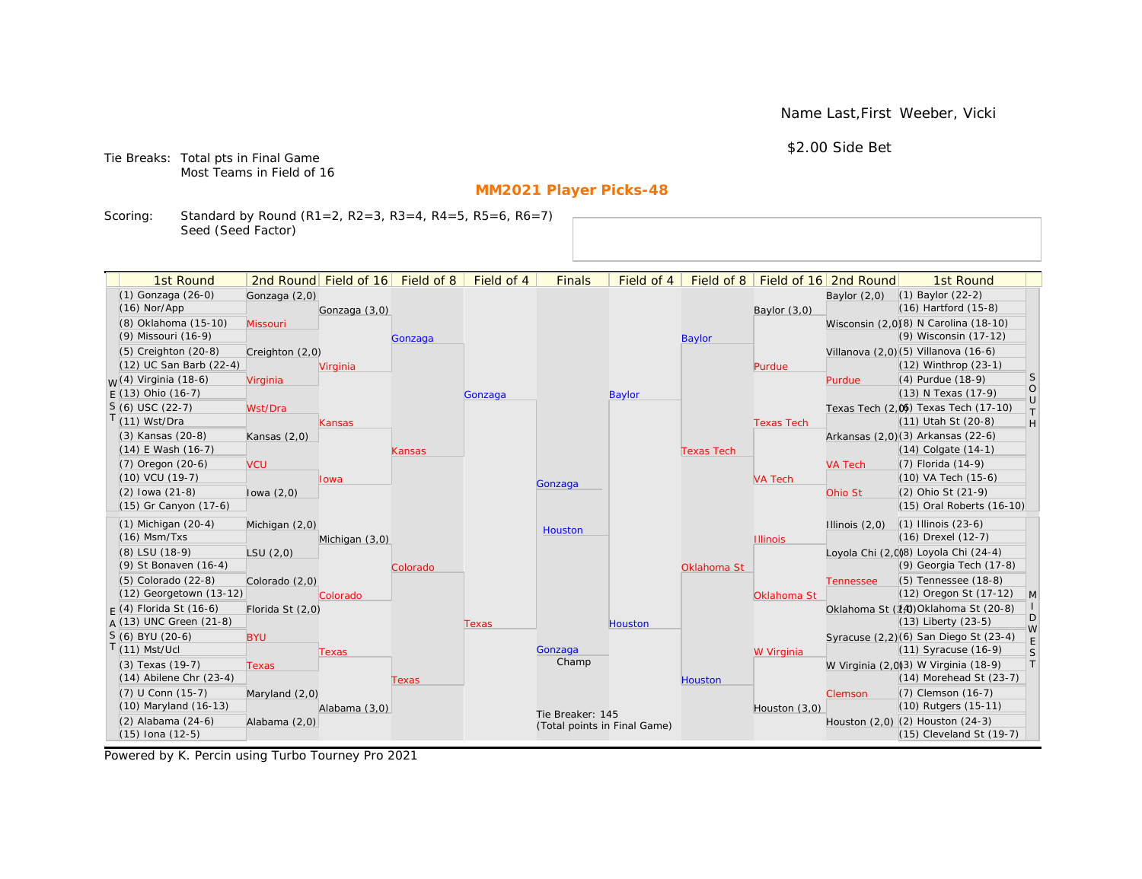Name Last,First Weeber, Vicki

\$2.00 Side Bet

Tie Breaks: Total pts in Final Game Most Teams in Field of 16

# **MM2021 Player Picks-48**

Scoring: Standard by Round (R1=2, R2=3, R3=4, R4=5, R5=6, R6=7) Seed (Seed Factor)

| 1st Round                              |                  | 2nd Round Field of 16 Field of 8 |          | Field of 4 | <b>Finals</b>                | Field of 4    | Field of 8        |                   | Field of 16 2nd Round | 1st Round                                                    |                                                                   |
|----------------------------------------|------------------|----------------------------------|----------|------------|------------------------------|---------------|-------------------|-------------------|-----------------------|--------------------------------------------------------------|-------------------------------------------------------------------|
| (1) Gonzaga (26-0)                     | Gonzaga (2,0)    |                                  |          |            |                              |               |                   |                   | Baylor $(2,0)$        | $(1)$ Baylor $(22-2)$                                        |                                                                   |
| $(16)$ Nor/App                         |                  | Gonzaga (3,0)                    |          |            |                              |               |                   | Baylor $(3,0)$    |                       | $(16)$ Hartford $(15-8)$                                     |                                                                   |
| (8) Oklahoma (15-10)                   | Missouri         |                                  |          |            |                              |               |                   |                   |                       | Wisconsin (2,0)(8) N Carolina (18-10)                        |                                                                   |
| (9) Missouri (16-9)                    |                  |                                  | Gonzaga  |            |                              |               | <b>Baylor</b>     |                   |                       | (9) Wisconsin (17-12)                                        |                                                                   |
| $(5)$ Creighton $(20-8)$               | Creighton (2,0)  |                                  |          |            |                              |               |                   |                   |                       | Villanova (2,0)(5) Villanova (16-6)                          |                                                                   |
| (12) UC San Barb (22-4)                |                  | Virginia                         |          |            |                              |               |                   | Purdue            |                       | (12) Winthrop (23-1)                                         |                                                                   |
| <sub>M</sub> /(4) Virginia (18-6)      | Virginia         |                                  |          |            |                              |               |                   |                   | Purdue                | (4) Purdue (18-9)                                            | <sub>S</sub>                                                      |
| $E(13)$ Ohio (16-7)                    |                  |                                  |          | Gonzaga    |                              | <b>Baylor</b> |                   |                   |                       | (13) N Texas (17-9)                                          | $\bigcirc$                                                        |
| $S(6)$ USC (22-7)                      | Wst/Dra          |                                  |          |            |                              |               |                   |                   |                       | Texas Tech (2,0) Texas Tech (17-10)                          | $\cup$<br>$\top$                                                  |
| $(11)$ Wst/Dra                         |                  | Kansas                           |          |            |                              |               |                   | <b>Texas Tech</b> |                       | (11) Utah St (20-8)                                          | $\mathsf{H}% _{\mathsf{H}}^{\ast}=\mathsf{H}_{\mathsf{H}}^{\ast}$ |
| (3) Kansas (20-8)                      | Kansas $(2,0)$   |                                  |          |            |                              |               |                   |                   |                       | Arkansas (2,0)(3) Arkansas (22-6)                            |                                                                   |
| (14) E Wash (16-7)                     |                  |                                  | Kansas   |            |                              |               | <b>Texas Tech</b> |                   |                       | $(14)$ Colgate $(14-1)$                                      |                                                                   |
| $(7)$ Oregon $(20-6)$                  | <b>VCU</b>       |                                  |          |            |                              |               |                   |                   | <b>VA Tech</b>        | $(7)$ Florida $(14-9)$                                       |                                                                   |
| $(10)$ VCU $(19-7)$                    |                  | Iowa                             |          |            | Gonzaga                      |               |                   | <b>VA Tech</b>    |                       | $(10)$ VA Tech $(15-6)$                                      |                                                                   |
| $(2)$ lowa $(21-8)$                    | lowa $(2,0)$     |                                  |          |            |                              |               |                   |                   | Ohio St               | (2) Ohio St (21-9)                                           |                                                                   |
| (15) Gr Canyon (17-6)                  |                  |                                  |          |            |                              |               |                   |                   |                       | (15) Oral Roberts (16-10)                                    |                                                                   |
| $(1)$ Michigan $(20-4)$                | Michigan (2,0)   |                                  |          |            | Houston                      |               |                   |                   | Illinois $(2,0)$      | $(1)$ Illinois $(23-6)$                                      |                                                                   |
| $(16)$ Msm/Txs                         |                  | Michigan (3,0)                   |          |            |                              |               |                   | <b>Illinois</b>   |                       | $(16)$ Drexel $(12-7)$                                       |                                                                   |
| (8) LSU (18-9)                         | LSU(2,0)         |                                  |          |            |                              |               |                   |                   |                       | Loyola Chi (2,0)8) Loyola Chi (24-4)                         |                                                                   |
| (9) St Bonaven (16-4)                  |                  |                                  | Colorado |            |                              |               | Oklahoma St       |                   |                       | (9) Georgia Tech (17-8)                                      |                                                                   |
| (5) Colorado (22-8)                    | Colorado (2,0)   |                                  |          |            |                              |               |                   |                   | <b>Tennessee</b>      | (5) Tennessee (18-8)                                         |                                                                   |
| $(12)$ Georgetown $(13-12)$            |                  | Colorado                         |          |            |                              |               |                   | Oklahoma St       |                       | (12) Oregon St (17-12)                                       | M                                                                 |
| $F(4)$ Florida St (16-6)               | Florida St (2,0) |                                  |          |            |                              |               |                   |                   |                       | Oklahoma St (14) Oklahoma St (20-8)                          | D                                                                 |
| $A(13)$ UNC Green (21-8)               |                  |                                  |          | Texas      |                              | Houston       |                   |                   |                       | $(13)$ Liberty $(23-5)$                                      | W                                                                 |
| S (6) BYU (20-6)                       | <b>BYU</b>       |                                  |          |            |                              |               |                   |                   |                       | Syracuse (2,2)(6) San Diego St (23-4)                        | E                                                                 |
| $(11)$ Mst/Ucl                         |                  | Texas                            |          |            | Gonzaga<br>Champ             |               |                   | W Virginia        |                       | $(11)$ Syracuse $(16-9)$                                     | S                                                                 |
| (3) Texas (19-7)                       | <b>Texas</b>     |                                  |          |            |                              |               |                   |                   |                       | W Virginia (2,0)3) W Virginia (18-9)                         | T                                                                 |
| $(14)$ Abilene Chr $(23-4)$            |                  |                                  | Texas    |            |                              |               | <b>Houston</b>    |                   |                       | $(14)$ Morehead St $(23-7)$                                  |                                                                   |
| (7) U Conn (15-7)                      | Maryland (2,0)   |                                  |          |            |                              |               |                   |                   | Clemson               | (7) Clemson (16-7)                                           |                                                                   |
| (10) Maryland (16-13)                  |                  | Alabama (3,0)                    |          |            | Tie Breaker: 145             |               |                   | Houston $(3,0)$   |                       | (10) Rutgers (15-11)                                         |                                                                   |
| (2) Alabama (24-6)<br>(15) Iona (12-5) | Alabama (2,0)    |                                  |          |            | (Total points in Final Game) |               |                   |                   |                       | Houston (2,0) (2) Houston (24-3)<br>(15) Cleveland St (19-7) |                                                                   |
|                                        |                  |                                  |          |            |                              |               |                   |                   |                       |                                                              |                                                                   |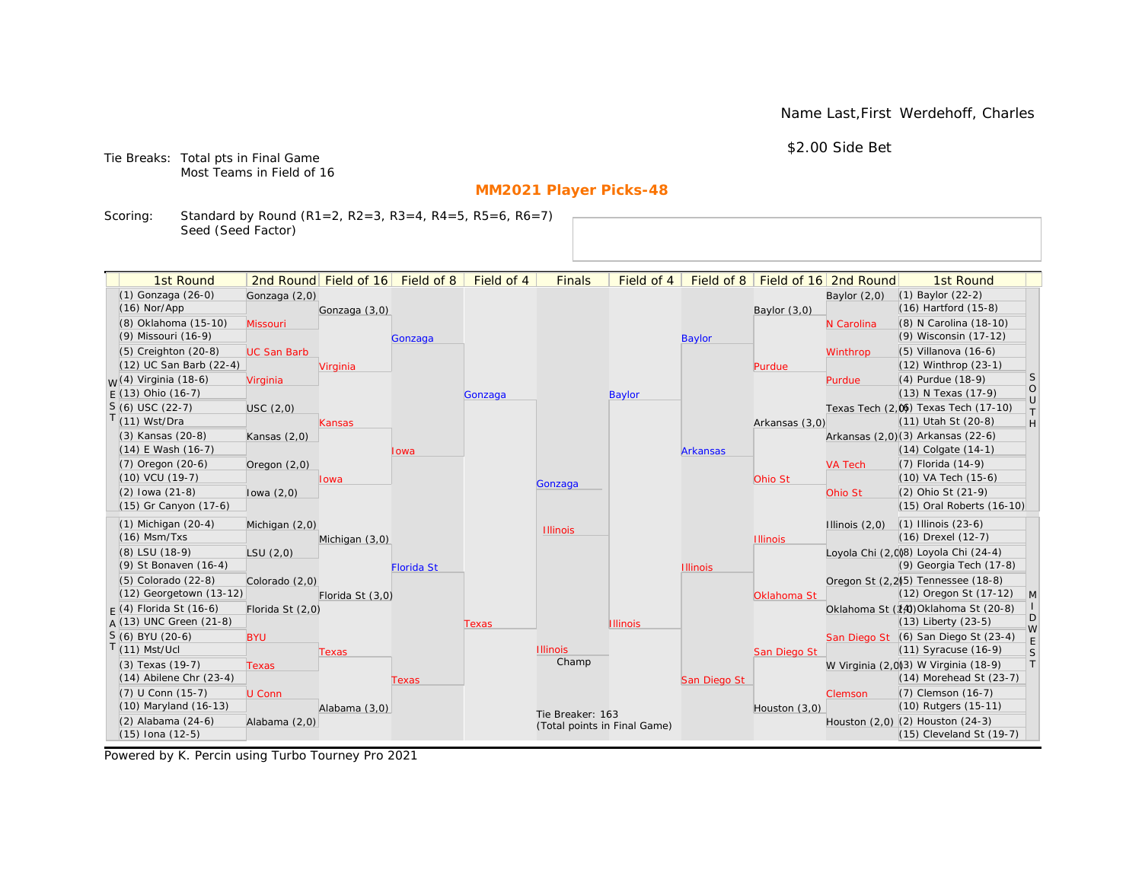Name Last,First Werdehoff, Charles

\$2.00 Side Bet

Tie Breaks: Total pts in Final Game Most Teams in Field of 16

# **MM2021 Player Picks-48**

Scoring: Standard by Round (R1=2, R2=3, R3=4, R4=5, R5=6, R6=7) Seed (Seed Factor)

| 1st Round                         |                    | 2nd Round Field of 16 | Field of 8        | Field of 4 | <b>Finals</b>                | Field of 4      | Field of 8      |                 | Field of 16 2nd Round | 1st Round                                       |                   |
|-----------------------------------|--------------------|-----------------------|-------------------|------------|------------------------------|-----------------|-----------------|-----------------|-----------------------|-------------------------------------------------|-------------------|
| (1) Gonzaga (26-0)                | Gonzaga (2,0)      |                       |                   |            |                              |                 |                 |                 | Baylor $(2,0)$        | (1) Baylor (22-2)                               |                   |
| $(16)$ Nor/App                    |                    | Gonzaga (3,0)         |                   |            |                              |                 |                 | Baylor $(3,0)$  |                       | (16) Hartford (15-8)                            |                   |
| (8) Oklahoma (15-10)              | Missouri           |                       |                   |            |                              |                 |                 |                 | N Carolina            | (8) N Carolina (18-10)                          |                   |
| (9) Missouri (16-9)               |                    |                       | Gonzaga           |            |                              |                 | <b>Baylor</b>   |                 |                       | (9) Wisconsin (17-12)                           |                   |
| (5) Creighton (20-8)              | <b>UC San Barb</b> |                       |                   |            |                              |                 |                 |                 | Winthrop              | (5) Villanova (16-6)                            |                   |
| (12) UC San Barb (22-4)           |                    | Virginia              |                   |            |                              |                 |                 | Purdue          |                       | (12) Winthrop (23-1)                            |                   |
| <sub>M</sub> /(4) Virginia (18-6) | Virginia           |                       |                   |            |                              |                 |                 |                 | Purdue                | (4) Purdue (18-9)                               | <sub>S</sub>      |
| $E(13)$ Ohio (16-7)               |                    |                       |                   | Gonzaga    |                              | <b>Baylor</b>   |                 |                 |                       | (13) N Texas (17-9)                             | $\circ$<br>$\cup$ |
| $S(6)$ USC (22-7)                 | USC(2,0)           |                       |                   |            |                              |                 |                 |                 |                       | Texas Tech (2,0) Texas Tech (17-10)             | T                 |
| $(11)$ Wst/Dra                    |                    | Kansas                |                   |            |                              |                 |                 | Arkansas (3,0)  |                       | (11) Utah St (20-8)                             | H                 |
| (3) Kansas (20-8)                 | Kansas $(2,0)$     |                       |                   |            |                              |                 |                 |                 |                       | Arkansas (2,0)(3) Arkansas (22-6)               |                   |
| $(14)$ E Wash $(16-7)$            |                    |                       | Iowa              |            |                              |                 | <b>Arkansas</b> |                 |                       | (14) Colgate (14-1)                             |                   |
| (7) Oregon (20-6)                 | Oregon $(2,0)$     |                       |                   |            |                              |                 |                 |                 | <b>VA Tech</b>        | (7) Florida (14-9)                              |                   |
| $(10)$ VCU $(19-7)$               |                    | Iowa                  |                   |            | Gonzaga                      |                 |                 | Ohio St         |                       | (10) VA Tech (15-6)                             |                   |
| $(2)$ lowa $(21-8)$               | lowa $(2,0)$       |                       |                   |            |                              |                 |                 |                 | Ohio St               | (2) Ohio St (21-9)                              |                   |
| (15) Gr Canyon (17-6)             |                    |                       |                   |            |                              |                 |                 |                 |                       | (15) Oral Roberts (16-10)                       |                   |
| $(1)$ Michigan $(20-4)$           | Michigan (2,0)     |                       |                   |            | <b>Illinois</b>              |                 |                 |                 | Illinois $(2,0)$      | $(1)$ Illinois $(23-6)$                         |                   |
| $(16)$ Msm/Txs                    |                    | Michigan (3,0)        |                   |            |                              |                 |                 | <b>Illinois</b> |                       | (16) Drexel (12-7)                              |                   |
| (8) LSU (18-9)                    | LSU(2,0)           |                       |                   |            |                              |                 |                 |                 |                       | Loyola Chi (2,008) Loyola Chi (24-4)            |                   |
| (9) St Bonaven (16-4)             |                    |                       | <b>Florida St</b> |            |                              |                 | <b>Illinois</b> |                 |                       | (9) Georgia Tech (17-8)                         |                   |
| (5) Colorado (22-8)               | Colorado (2,0)     |                       |                   |            |                              |                 |                 |                 |                       | Oregon St (2.2) <sup>5</sup> ) Tennessee (18-8) |                   |
| $(12)$ Georgetown $(13-12)$       |                    | Florida St (3,0)      |                   |            |                              |                 |                 | Oklahoma St     |                       | (12) Oregon St (17-12)                          | $\mathsf{M}$      |
| $F(4)$ Florida St (16-6)          | Florida St (2,0)   |                       |                   |            |                              |                 |                 |                 |                       | Oklahoma St (14) Oklahoma St (20-8)             |                   |
| $A(13)$ UNC Green (21-8)          |                    |                       |                   | Texas      |                              | <b>Illinois</b> |                 |                 |                       | (13) Liberty (23-5)                             | D<br>W            |
| $S(6)$ BYU (20-6)                 | <b>BYU</b>         |                       |                   |            |                              |                 |                 |                 |                       | San Diego St (6) San Diego St (23-4)            |                   |
| $(11)$ Mst/Ucl                    |                    | Texas                 |                   |            | <b>Illinois</b>              |                 |                 | San Diego St    |                       | (11) Syracuse (16-9)                            | $\mathsf S$       |
| (3) Texas (19-7)                  | <b>Texas</b>       |                       |                   |            | Champ                        |                 |                 |                 |                       | W Virginia (2,0)3) W Virginia (18-9)            | $\top$            |
| $(14)$ Abilene Chr $(23-4)$       |                    |                       | Texas             |            |                              |                 | San Diego St    |                 |                       | $(14)$ Morehead St $(23-7)$                     |                   |
| (7) U Conn (15-7)                 | U Conn             |                       |                   |            |                              |                 |                 |                 | Clemson               | (7) Clemson (16-7)                              |                   |
| (10) Maryland (16-13)             |                    | Alabama (3,0)         |                   |            | Tie Breaker: 163             |                 |                 | Houston (3,0)   |                       | (10) Rutgers (15-11)                            |                   |
| (2) Alabama (24-6)                | Alabama (2,0)      |                       |                   |            | (Total points in Final Game) |                 |                 |                 |                       | Houston (2,0) (2) Houston (24-3)                |                   |
| (15) Iona (12-5)                  |                    |                       |                   |            |                              |                 |                 |                 |                       | (15) Cleveland St (19-7)                        |                   |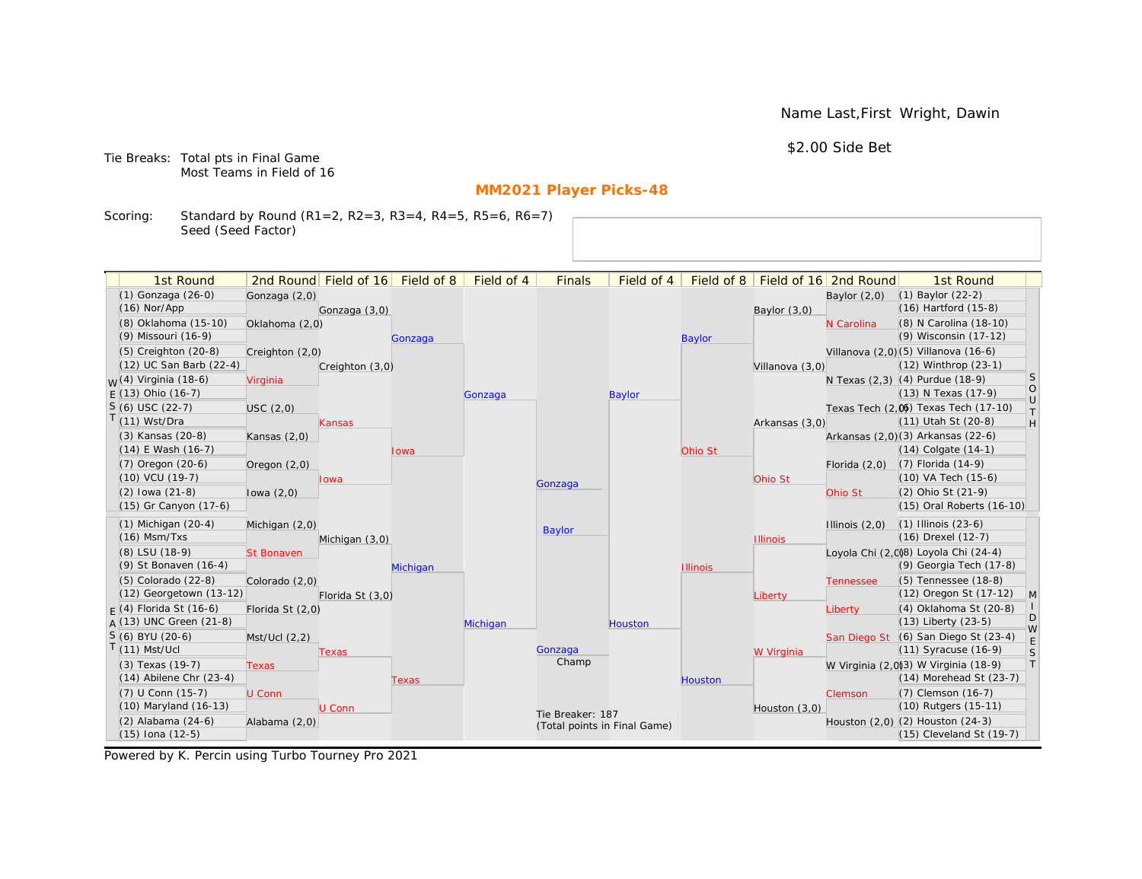Name Last,First Wright, Dawin

\$2.00 Side Bet

Tie Breaks: Total pts in Final Game Most Teams in Field of 16

# **MM2021 Player Picks-48**

Scoring: Standard by Round (R1=2, R2=3, R3=4, R4=5, R5=6, R6=7) Seed (Seed Factor)

| 1st Round                                       |                   | 2nd Round Field of 16 Field of 8 |          | Field of 4 | <b>Finals</b>                | Field of 4    | Field of 8      |                 | Field of 16 2nd Round | 1st Round                                                       |                   |
|-------------------------------------------------|-------------------|----------------------------------|----------|------------|------------------------------|---------------|-----------------|-----------------|-----------------------|-----------------------------------------------------------------|-------------------|
| (1) Gonzaga (26-0)                              | Gonzaga (2,0)     |                                  |          |            |                              |               |                 |                 | Baylor $(2,0)$        | $(1)$ Baylor $(22-2)$                                           |                   |
| $(16)$ Nor/App                                  |                   | Gonzaga (3,0)                    |          |            |                              |               |                 | Baylor $(3,0)$  |                       | $(16)$ Hartford $(15-8)$                                        |                   |
| (8) Oklahoma (15-10)                            | Oklahoma (2,0)    |                                  |          |            |                              |               |                 |                 | N Carolina            | (8) N Carolina (18-10)                                          |                   |
| (9) Missouri (16-9)                             |                   |                                  | Gonzaga  |            |                              |               | <b>Baylor</b>   |                 |                       | (9) Wisconsin (17-12)                                           |                   |
| $(5)$ Creighton $(20-8)$                        | Creighton (2,0)   |                                  |          |            |                              |               |                 |                 |                       | Villanova (2,0)(5) Villanova (16-6)                             |                   |
| (12) UC San Barb (22-4)                         |                   | Creighton (3,0)                  |          |            |                              |               |                 | Villanova (3,0) |                       | (12) Winthrop (23-1)                                            |                   |
| <sub>W</sub> (4) Virginia (18-6)                | Virginia          |                                  |          |            |                              |               |                 |                 |                       | N Texas (2,3) (4) Purdue (18-9)                                 | <sub>S</sub>      |
| $E(13)$ Ohio (16-7)                             |                   |                                  |          | Gonzaga    |                              | <b>Baylor</b> |                 |                 |                       | (13) N Texas (17-9)                                             | $\circ$<br>$\cup$ |
| $S(6)$ USC (22-7)                               | USC(2,0)          |                                  |          |            |                              |               |                 |                 |                       | Texas Tech (2,0) Texas Tech (17-10)                             | $\top$            |
| $T(11)$ Wst/Dra                                 |                   | <b>Kansas</b>                    |          |            |                              |               |                 | Arkansas (3,0)  |                       | (11) Utah St (20-8)                                             | H                 |
| (3) Kansas (20-8)                               | Kansas $(2,0)$    |                                  |          |            |                              |               |                 |                 |                       | Arkansas (2,0)(3) Arkansas (22-6)                               |                   |
| $(14)$ E Wash $(16-7)$                          |                   |                                  | lowa     |            |                              |               | Ohio St         |                 |                       | $(14)$ Colgate $(14-1)$                                         |                   |
| $(7)$ Oregon $(20-6)$                           | Oregon $(2,0)$    |                                  |          |            |                              |               |                 |                 | Florida $(2,0)$       | $(7)$ Florida $(14-9)$                                          |                   |
| (10) VCU (19-7)                                 |                   | lowa                             |          |            | Gonzaga                      |               |                 | Ohio St         |                       | (10) VA Tech (15-6)                                             |                   |
| $(2)$ lowa $(21-8)$                             | lowa $(2,0)$      |                                  |          |            |                              |               |                 |                 | Ohio St               | (2) Ohio St (21-9)                                              |                   |
| (15) Gr Canyon (17-6)                           |                   |                                  |          |            |                              |               |                 |                 |                       | (15) Oral Roberts (16-10)                                       |                   |
| $(1)$ Michigan $(20-4)$                         | Michigan (2,0)    |                                  |          |            | Baylor                       |               |                 |                 | Illinois $(2,0)$      | $(1)$ Illinois $(23-6)$                                         |                   |
| $(16)$ Msm/Txs                                  |                   | Michigan (3,0)                   |          |            |                              |               |                 | <b>Illinois</b> |                       | (16) Drexel (12-7)                                              |                   |
| (8) LSU (18-9)                                  | <b>St Bonaven</b> |                                  |          |            |                              |               |                 |                 |                       | Loyola Chi (2,0)8) Loyola Chi (24-4)                            |                   |
| (9) St Bonaven (16-4)                           |                   |                                  | Michigan |            |                              |               | <b>Illinois</b> |                 |                       | (9) Georgia Tech (17-8)                                         |                   |
| (5) Colorado (22-8)                             | Colorado (2,0)    |                                  |          |            |                              |               |                 |                 | <b>Tennessee</b>      | (5) Tennessee (18-8)                                            |                   |
| (12) Georgetown (13-12)                         |                   | Florida St (3,0)                 |          |            |                              |               |                 | Liberty         |                       | (12) Oregon St (17-12)                                          | $\mathsf{M}$      |
| $F(4)$ Florida St (16-6)                        | Florida St (2,0)  |                                  |          |            |                              |               |                 |                 | Liberty               | (4) Oklahoma St (20-8)                                          | D                 |
| $A(13)$ UNC Green (21-8)                        |                   |                                  |          | Michigan   |                              | Houston       |                 |                 |                       | $(13)$ Liberty $(23-5)$                                         | W                 |
| $S(6)$ BYU (20-6)<br>$T(11)$ Mst/Ucl            | Mst/Ucl (2,2)     |                                  |          |            | Gonzaga                      |               |                 |                 |                       | San Diego St (6) San Diego St (23-4)<br>(11) Syracuse (16-9)    | E                 |
|                                                 |                   | Texas                            |          |            | Champ                        |               |                 | W Virginia      |                       |                                                                 | $\mathsf S$<br> T |
| (3) Texas (19-7)<br>$(14)$ Abilene Chr $(23-4)$ | <b>Texas</b>      |                                  |          |            |                              |               |                 |                 |                       | W Virginia (2,0)3) W Virginia (18-9)<br>(14) Morehead St (23-7) |                   |
| (7) U Conn (15-7)                               | U Conn            |                                  | Texas    |            |                              |               | <b>Houston</b>  |                 |                       | (7) Clemson (16-7)                                              |                   |
| (10) Maryland (16-13)                           |                   | U Conn                           |          |            |                              |               |                 | Houston (3,0)   | Clemson               | (10) Rutgers (15-11)                                            |                   |
| (2) Alabama (24-6)                              | Alabama (2,0)     |                                  |          |            | Tie Breaker: 187             |               |                 |                 |                       | Houston (2,0) (2) Houston (24-3)                                |                   |
| (15) Iona (12-5)                                |                   |                                  |          |            | (Total points in Final Game) |               |                 |                 |                       | (15) Cleveland St (19-7)                                        |                   |
|                                                 |                   |                                  |          |            |                              |               |                 |                 |                       |                                                                 |                   |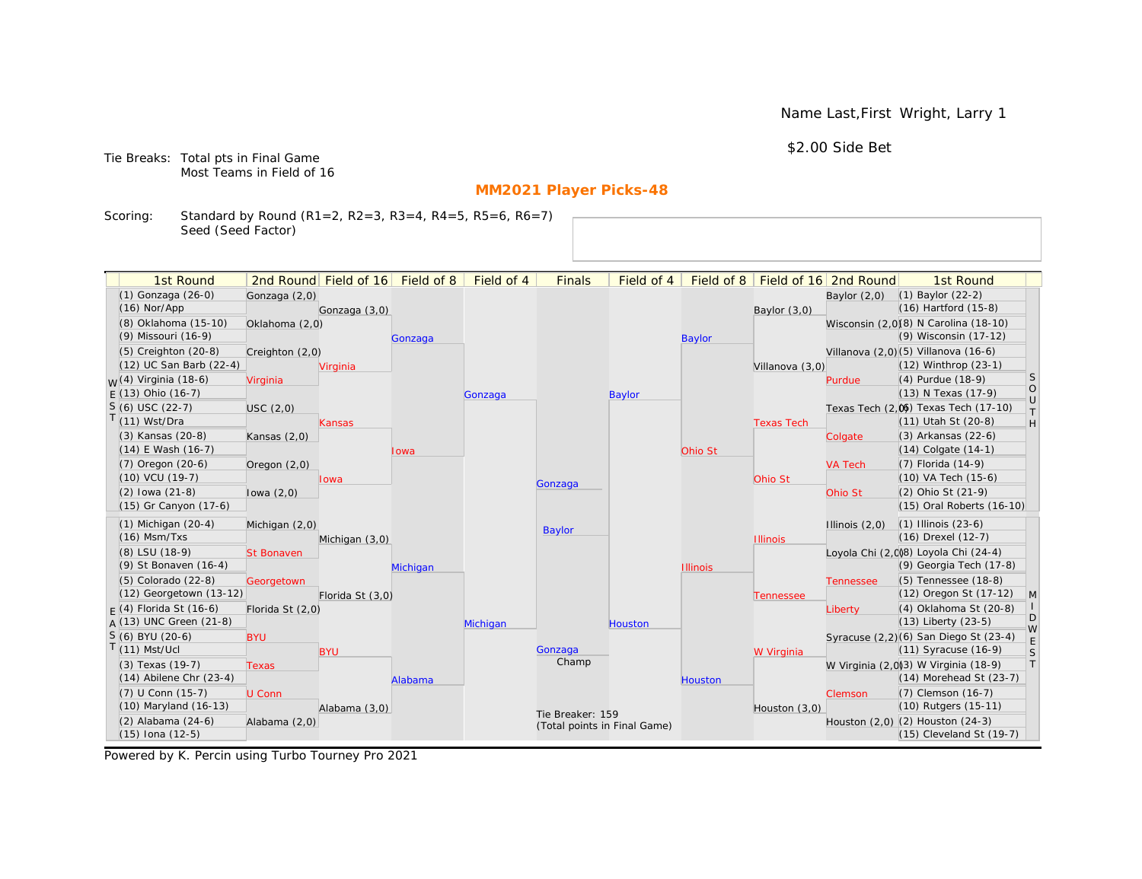Name Last,First Wright, Larry 1

\$2.00 Side Bet

Tie Breaks: Total pts in Final Game Most Teams in Field of 16

# **MM2021 Player Picks-48**

Scoring: Standard by Round (R1=2, R2=3, R3=4, R4=5, R5=6, R6=7) Seed (Seed Factor)

| (1) Gonzaga (26-0)<br>$(1)$ Baylor $(22-2)$<br>Gonzaga (2,0)<br>Baylor $(2,0)$<br>$(16)$ Hartford $(15-8)$<br>$(16)$ Nor/App<br>Gonzaga (3,0)<br>Baylor $(3,0)$<br>(8) Oklahoma (15-10)<br>Wisconsin (2,0)(8) N Carolina (18-10)<br>Oklahoma (2,0)<br>(9) Wisconsin (17-12)<br>(9) Missouri (16-9)<br><b>Baylor</b><br>Gonzaga<br>Villanova (2,0) (5) Villanova (16-6)<br>$(5)$ Creighton $(20-8)$<br>Creighton (2,0)<br>(12) UC San Barb (22-4)<br>(12) Winthrop (23-1)<br>Virginia<br>Villanova (3,0)<br>S<br>$W(4)$ Virginia (18-6)<br>(4) Purdue (18-9)<br>Purdue<br>Virginia<br>$\circ$<br>$E(13)$ Ohio (16-7)<br>(13) N Texas (17-9)<br><b>Baylor</b><br>Gonzaga<br>$\cup$<br>$S(6)$ USC (22-7)<br>Texas Tech (2,0) Texas Tech (17-10)<br>USC(2,0)<br>$\top$<br>$T(11)$ Wst/Dra<br>(11) Utah St (20-8)<br>$\mathsf{H}% _{\mathsf{H}}^{\ast}=\mathsf{H}_{\mathsf{H}}^{\ast}$<br><b>Texas Tech</b><br>Kansas<br>(3) Arkansas (22-6)<br>(3) Kansas (20-8)<br>Kansas $(2,0)$<br>Colgate<br>(14) E Wash (16-7)<br>$(14)$ Colgate $(14-1)$<br>Ohio St<br>Iowa<br>(7) Oregon (20-6)<br>(7) Florida (14-9)<br><b>VA Tech</b><br>Oregon $(2,0)$<br>(10) VA Tech (15-6)<br>$(10)$ VCU $(19-7)$<br>Ohio St<br><b>Iowa</b><br>Gonzaga<br>$(2)$ lowa $(21-8)$<br>(2) Ohio St (21-9)<br>Ohio St<br>lowa $(2,0)$<br>(15) Gr Canyon (17-6)<br>(15) Oral Roberts (16-10)<br>$(1)$ Michigan $(20-4)$<br>$(1)$ Illinois $(23-6)$<br>Michigan (2,0)<br>Illinois $(2,0)$<br><b>Baylor</b><br>$(16)$ Msm/Txs<br>(16) Drexel (12-7)<br>Michigan (3,0)<br><b>Illinois</b><br>(8) LSU (18-9)<br>Loyola Chi (2,008) Loyola Chi (24-4)<br><b>St Bonaven</b><br>(9) Georgia Tech (17-8)<br>(9) St Bonaven (16-4)<br>Michigan<br><b>Illinois</b><br>(5) Tennessee (18-8)<br>(5) Colorado (22-8)<br>Georgetown<br><b>Tennessee</b><br>(12) Georgetown (13-12)<br>(12) Oregon St (17-12)<br>$\mathsf{M}$<br>Florida St (3,0)<br>Tennessee<br>$F(4)$ Florida St (16-6)<br>(4) Oklahoma St (20-8)<br>Florida St (2,0)<br>Liberty<br>D<br>$A(13)$ UNC Green (21-8)<br>$(13)$ Liberty $(23-5)$<br>Michigan<br>Houston<br>W<br>S (6) BYU (20-6)<br>Syracuse (2,2)(6) San Diego St (23-4)<br><b>BYU</b><br>E<br>$T(11)$ Mst/Ucl<br>Gonzaga<br>(11) Syracuse (16-9)<br>$\mathsf S$<br><b>BYU</b><br>W Virginia<br>Champ<br> T <br>W Virginia (2,0)(3) W Virginia (18-9)<br>(3) Texas (19-7)<br><b>Texas</b><br>$(14)$ Abilene Chr $(23-4)$<br>$(14)$ Morehead St $(23-7)$<br>Alabama<br><b>Houston</b><br>$(7)$ U Conn $(15-7)$<br>(7) Clemson (16-7)<br>U Conn<br>Clemson<br>(10) Maryland (16-13)<br>(10) Rutgers (15-11)<br>Alabama (3,0)<br>Houston (3,0)<br>Tie Breaker: 159<br>(2) Alabama (24-6)<br>Houston (2,0) (2) Houston (24-3)<br>Alabama (2,0)<br>(Total points in Final Game)<br>$(15)$ Iona $(12-5)$<br>(15) Cleveland St (19-7) | 1st Round | 2nd Round Field of 16 Field of 8 | Field of 4 | <b>Finals</b> | Field of 4 |  | Field of 8   Field of 16   2nd Round | 1st Round |  |
|------------------------------------------------------------------------------------------------------------------------------------------------------------------------------------------------------------------------------------------------------------------------------------------------------------------------------------------------------------------------------------------------------------------------------------------------------------------------------------------------------------------------------------------------------------------------------------------------------------------------------------------------------------------------------------------------------------------------------------------------------------------------------------------------------------------------------------------------------------------------------------------------------------------------------------------------------------------------------------------------------------------------------------------------------------------------------------------------------------------------------------------------------------------------------------------------------------------------------------------------------------------------------------------------------------------------------------------------------------------------------------------------------------------------------------------------------------------------------------------------------------------------------------------------------------------------------------------------------------------------------------------------------------------------------------------------------------------------------------------------------------------------------------------------------------------------------------------------------------------------------------------------------------------------------------------------------------------------------------------------------------------------------------------------------------------------------------------------------------------------------------------------------------------------------------------------------------------------------------------------------------------------------------------------------------------------------------------------------------------------------------------------------------------------------------------------------------------------------------------------------------------------------------------------------------------------------------------------------------------------------------------------------------------------------------------------------------------------------------------------------------------------------------------------------------------|-----------|----------------------------------|------------|---------------|------------|--|--------------------------------------|-----------|--|
|                                                                                                                                                                                                                                                                                                                                                                                                                                                                                                                                                                                                                                                                                                                                                                                                                                                                                                                                                                                                                                                                                                                                                                                                                                                                                                                                                                                                                                                                                                                                                                                                                                                                                                                                                                                                                                                                                                                                                                                                                                                                                                                                                                                                                                                                                                                                                                                                                                                                                                                                                                                                                                                                                                                                                                                                                  |           |                                  |            |               |            |  |                                      |           |  |
|                                                                                                                                                                                                                                                                                                                                                                                                                                                                                                                                                                                                                                                                                                                                                                                                                                                                                                                                                                                                                                                                                                                                                                                                                                                                                                                                                                                                                                                                                                                                                                                                                                                                                                                                                                                                                                                                                                                                                                                                                                                                                                                                                                                                                                                                                                                                                                                                                                                                                                                                                                                                                                                                                                                                                                                                                  |           |                                  |            |               |            |  |                                      |           |  |
|                                                                                                                                                                                                                                                                                                                                                                                                                                                                                                                                                                                                                                                                                                                                                                                                                                                                                                                                                                                                                                                                                                                                                                                                                                                                                                                                                                                                                                                                                                                                                                                                                                                                                                                                                                                                                                                                                                                                                                                                                                                                                                                                                                                                                                                                                                                                                                                                                                                                                                                                                                                                                                                                                                                                                                                                                  |           |                                  |            |               |            |  |                                      |           |  |
|                                                                                                                                                                                                                                                                                                                                                                                                                                                                                                                                                                                                                                                                                                                                                                                                                                                                                                                                                                                                                                                                                                                                                                                                                                                                                                                                                                                                                                                                                                                                                                                                                                                                                                                                                                                                                                                                                                                                                                                                                                                                                                                                                                                                                                                                                                                                                                                                                                                                                                                                                                                                                                                                                                                                                                                                                  |           |                                  |            |               |            |  |                                      |           |  |
|                                                                                                                                                                                                                                                                                                                                                                                                                                                                                                                                                                                                                                                                                                                                                                                                                                                                                                                                                                                                                                                                                                                                                                                                                                                                                                                                                                                                                                                                                                                                                                                                                                                                                                                                                                                                                                                                                                                                                                                                                                                                                                                                                                                                                                                                                                                                                                                                                                                                                                                                                                                                                                                                                                                                                                                                                  |           |                                  |            |               |            |  |                                      |           |  |
|                                                                                                                                                                                                                                                                                                                                                                                                                                                                                                                                                                                                                                                                                                                                                                                                                                                                                                                                                                                                                                                                                                                                                                                                                                                                                                                                                                                                                                                                                                                                                                                                                                                                                                                                                                                                                                                                                                                                                                                                                                                                                                                                                                                                                                                                                                                                                                                                                                                                                                                                                                                                                                                                                                                                                                                                                  |           |                                  |            |               |            |  |                                      |           |  |
|                                                                                                                                                                                                                                                                                                                                                                                                                                                                                                                                                                                                                                                                                                                                                                                                                                                                                                                                                                                                                                                                                                                                                                                                                                                                                                                                                                                                                                                                                                                                                                                                                                                                                                                                                                                                                                                                                                                                                                                                                                                                                                                                                                                                                                                                                                                                                                                                                                                                                                                                                                                                                                                                                                                                                                                                                  |           |                                  |            |               |            |  |                                      |           |  |
|                                                                                                                                                                                                                                                                                                                                                                                                                                                                                                                                                                                                                                                                                                                                                                                                                                                                                                                                                                                                                                                                                                                                                                                                                                                                                                                                                                                                                                                                                                                                                                                                                                                                                                                                                                                                                                                                                                                                                                                                                                                                                                                                                                                                                                                                                                                                                                                                                                                                                                                                                                                                                                                                                                                                                                                                                  |           |                                  |            |               |            |  |                                      |           |  |
|                                                                                                                                                                                                                                                                                                                                                                                                                                                                                                                                                                                                                                                                                                                                                                                                                                                                                                                                                                                                                                                                                                                                                                                                                                                                                                                                                                                                                                                                                                                                                                                                                                                                                                                                                                                                                                                                                                                                                                                                                                                                                                                                                                                                                                                                                                                                                                                                                                                                                                                                                                                                                                                                                                                                                                                                                  |           |                                  |            |               |            |  |                                      |           |  |
|                                                                                                                                                                                                                                                                                                                                                                                                                                                                                                                                                                                                                                                                                                                                                                                                                                                                                                                                                                                                                                                                                                                                                                                                                                                                                                                                                                                                                                                                                                                                                                                                                                                                                                                                                                                                                                                                                                                                                                                                                                                                                                                                                                                                                                                                                                                                                                                                                                                                                                                                                                                                                                                                                                                                                                                                                  |           |                                  |            |               |            |  |                                      |           |  |
|                                                                                                                                                                                                                                                                                                                                                                                                                                                                                                                                                                                                                                                                                                                                                                                                                                                                                                                                                                                                                                                                                                                                                                                                                                                                                                                                                                                                                                                                                                                                                                                                                                                                                                                                                                                                                                                                                                                                                                                                                                                                                                                                                                                                                                                                                                                                                                                                                                                                                                                                                                                                                                                                                                                                                                                                                  |           |                                  |            |               |            |  |                                      |           |  |
|                                                                                                                                                                                                                                                                                                                                                                                                                                                                                                                                                                                                                                                                                                                                                                                                                                                                                                                                                                                                                                                                                                                                                                                                                                                                                                                                                                                                                                                                                                                                                                                                                                                                                                                                                                                                                                                                                                                                                                                                                                                                                                                                                                                                                                                                                                                                                                                                                                                                                                                                                                                                                                                                                                                                                                                                                  |           |                                  |            |               |            |  |                                      |           |  |
|                                                                                                                                                                                                                                                                                                                                                                                                                                                                                                                                                                                                                                                                                                                                                                                                                                                                                                                                                                                                                                                                                                                                                                                                                                                                                                                                                                                                                                                                                                                                                                                                                                                                                                                                                                                                                                                                                                                                                                                                                                                                                                                                                                                                                                                                                                                                                                                                                                                                                                                                                                                                                                                                                                                                                                                                                  |           |                                  |            |               |            |  |                                      |           |  |
|                                                                                                                                                                                                                                                                                                                                                                                                                                                                                                                                                                                                                                                                                                                                                                                                                                                                                                                                                                                                                                                                                                                                                                                                                                                                                                                                                                                                                                                                                                                                                                                                                                                                                                                                                                                                                                                                                                                                                                                                                                                                                                                                                                                                                                                                                                                                                                                                                                                                                                                                                                                                                                                                                                                                                                                                                  |           |                                  |            |               |            |  |                                      |           |  |
|                                                                                                                                                                                                                                                                                                                                                                                                                                                                                                                                                                                                                                                                                                                                                                                                                                                                                                                                                                                                                                                                                                                                                                                                                                                                                                                                                                                                                                                                                                                                                                                                                                                                                                                                                                                                                                                                                                                                                                                                                                                                                                                                                                                                                                                                                                                                                                                                                                                                                                                                                                                                                                                                                                                                                                                                                  |           |                                  |            |               |            |  |                                      |           |  |
|                                                                                                                                                                                                                                                                                                                                                                                                                                                                                                                                                                                                                                                                                                                                                                                                                                                                                                                                                                                                                                                                                                                                                                                                                                                                                                                                                                                                                                                                                                                                                                                                                                                                                                                                                                                                                                                                                                                                                                                                                                                                                                                                                                                                                                                                                                                                                                                                                                                                                                                                                                                                                                                                                                                                                                                                                  |           |                                  |            |               |            |  |                                      |           |  |
|                                                                                                                                                                                                                                                                                                                                                                                                                                                                                                                                                                                                                                                                                                                                                                                                                                                                                                                                                                                                                                                                                                                                                                                                                                                                                                                                                                                                                                                                                                                                                                                                                                                                                                                                                                                                                                                                                                                                                                                                                                                                                                                                                                                                                                                                                                                                                                                                                                                                                                                                                                                                                                                                                                                                                                                                                  |           |                                  |            |               |            |  |                                      |           |  |
|                                                                                                                                                                                                                                                                                                                                                                                                                                                                                                                                                                                                                                                                                                                                                                                                                                                                                                                                                                                                                                                                                                                                                                                                                                                                                                                                                                                                                                                                                                                                                                                                                                                                                                                                                                                                                                                                                                                                                                                                                                                                                                                                                                                                                                                                                                                                                                                                                                                                                                                                                                                                                                                                                                                                                                                                                  |           |                                  |            |               |            |  |                                      |           |  |
|                                                                                                                                                                                                                                                                                                                                                                                                                                                                                                                                                                                                                                                                                                                                                                                                                                                                                                                                                                                                                                                                                                                                                                                                                                                                                                                                                                                                                                                                                                                                                                                                                                                                                                                                                                                                                                                                                                                                                                                                                                                                                                                                                                                                                                                                                                                                                                                                                                                                                                                                                                                                                                                                                                                                                                                                                  |           |                                  |            |               |            |  |                                      |           |  |
|                                                                                                                                                                                                                                                                                                                                                                                                                                                                                                                                                                                                                                                                                                                                                                                                                                                                                                                                                                                                                                                                                                                                                                                                                                                                                                                                                                                                                                                                                                                                                                                                                                                                                                                                                                                                                                                                                                                                                                                                                                                                                                                                                                                                                                                                                                                                                                                                                                                                                                                                                                                                                                                                                                                                                                                                                  |           |                                  |            |               |            |  |                                      |           |  |
|                                                                                                                                                                                                                                                                                                                                                                                                                                                                                                                                                                                                                                                                                                                                                                                                                                                                                                                                                                                                                                                                                                                                                                                                                                                                                                                                                                                                                                                                                                                                                                                                                                                                                                                                                                                                                                                                                                                                                                                                                                                                                                                                                                                                                                                                                                                                                                                                                                                                                                                                                                                                                                                                                                                                                                                                                  |           |                                  |            |               |            |  |                                      |           |  |
|                                                                                                                                                                                                                                                                                                                                                                                                                                                                                                                                                                                                                                                                                                                                                                                                                                                                                                                                                                                                                                                                                                                                                                                                                                                                                                                                                                                                                                                                                                                                                                                                                                                                                                                                                                                                                                                                                                                                                                                                                                                                                                                                                                                                                                                                                                                                                                                                                                                                                                                                                                                                                                                                                                                                                                                                                  |           |                                  |            |               |            |  |                                      |           |  |
|                                                                                                                                                                                                                                                                                                                                                                                                                                                                                                                                                                                                                                                                                                                                                                                                                                                                                                                                                                                                                                                                                                                                                                                                                                                                                                                                                                                                                                                                                                                                                                                                                                                                                                                                                                                                                                                                                                                                                                                                                                                                                                                                                                                                                                                                                                                                                                                                                                                                                                                                                                                                                                                                                                                                                                                                                  |           |                                  |            |               |            |  |                                      |           |  |
|                                                                                                                                                                                                                                                                                                                                                                                                                                                                                                                                                                                                                                                                                                                                                                                                                                                                                                                                                                                                                                                                                                                                                                                                                                                                                                                                                                                                                                                                                                                                                                                                                                                                                                                                                                                                                                                                                                                                                                                                                                                                                                                                                                                                                                                                                                                                                                                                                                                                                                                                                                                                                                                                                                                                                                                                                  |           |                                  |            |               |            |  |                                      |           |  |
|                                                                                                                                                                                                                                                                                                                                                                                                                                                                                                                                                                                                                                                                                                                                                                                                                                                                                                                                                                                                                                                                                                                                                                                                                                                                                                                                                                                                                                                                                                                                                                                                                                                                                                                                                                                                                                                                                                                                                                                                                                                                                                                                                                                                                                                                                                                                                                                                                                                                                                                                                                                                                                                                                                                                                                                                                  |           |                                  |            |               |            |  |                                      |           |  |
|                                                                                                                                                                                                                                                                                                                                                                                                                                                                                                                                                                                                                                                                                                                                                                                                                                                                                                                                                                                                                                                                                                                                                                                                                                                                                                                                                                                                                                                                                                                                                                                                                                                                                                                                                                                                                                                                                                                                                                                                                                                                                                                                                                                                                                                                                                                                                                                                                                                                                                                                                                                                                                                                                                                                                                                                                  |           |                                  |            |               |            |  |                                      |           |  |
|                                                                                                                                                                                                                                                                                                                                                                                                                                                                                                                                                                                                                                                                                                                                                                                                                                                                                                                                                                                                                                                                                                                                                                                                                                                                                                                                                                                                                                                                                                                                                                                                                                                                                                                                                                                                                                                                                                                                                                                                                                                                                                                                                                                                                                                                                                                                                                                                                                                                                                                                                                                                                                                                                                                                                                                                                  |           |                                  |            |               |            |  |                                      |           |  |
|                                                                                                                                                                                                                                                                                                                                                                                                                                                                                                                                                                                                                                                                                                                                                                                                                                                                                                                                                                                                                                                                                                                                                                                                                                                                                                                                                                                                                                                                                                                                                                                                                                                                                                                                                                                                                                                                                                                                                                                                                                                                                                                                                                                                                                                                                                                                                                                                                                                                                                                                                                                                                                                                                                                                                                                                                  |           |                                  |            |               |            |  |                                      |           |  |
|                                                                                                                                                                                                                                                                                                                                                                                                                                                                                                                                                                                                                                                                                                                                                                                                                                                                                                                                                                                                                                                                                                                                                                                                                                                                                                                                                                                                                                                                                                                                                                                                                                                                                                                                                                                                                                                                                                                                                                                                                                                                                                                                                                                                                                                                                                                                                                                                                                                                                                                                                                                                                                                                                                                                                                                                                  |           |                                  |            |               |            |  |                                      |           |  |
|                                                                                                                                                                                                                                                                                                                                                                                                                                                                                                                                                                                                                                                                                                                                                                                                                                                                                                                                                                                                                                                                                                                                                                                                                                                                                                                                                                                                                                                                                                                                                                                                                                                                                                                                                                                                                                                                                                                                                                                                                                                                                                                                                                                                                                                                                                                                                                                                                                                                                                                                                                                                                                                                                                                                                                                                                  |           |                                  |            |               |            |  |                                      |           |  |
|                                                                                                                                                                                                                                                                                                                                                                                                                                                                                                                                                                                                                                                                                                                                                                                                                                                                                                                                                                                                                                                                                                                                                                                                                                                                                                                                                                                                                                                                                                                                                                                                                                                                                                                                                                                                                                                                                                                                                                                                                                                                                                                                                                                                                                                                                                                                                                                                                                                                                                                                                                                                                                                                                                                                                                                                                  |           |                                  |            |               |            |  |                                      |           |  |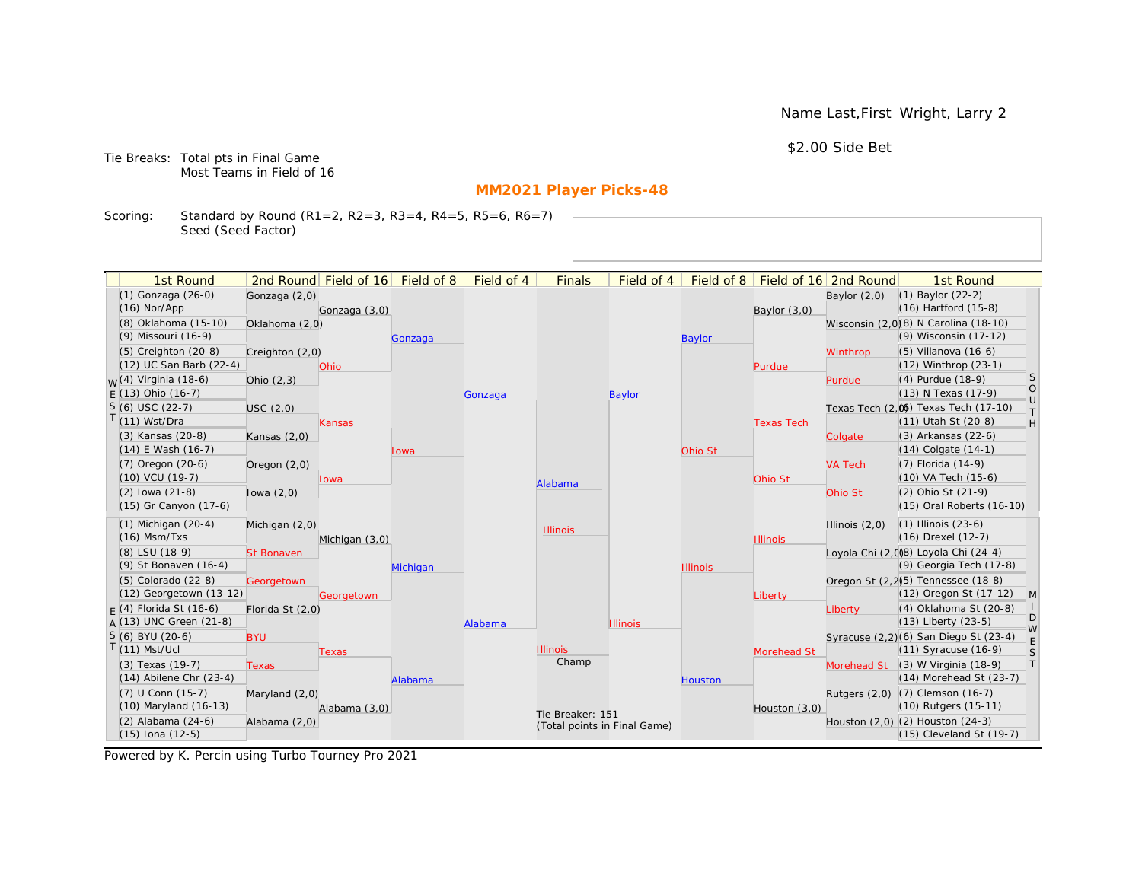Name Last,First Wright, Larry 2

\$2.00 Side Bet

Tie Breaks: Total pts in Final Game Most Teams in Field of 16

# **MM2021 Player Picks-48**

Scoring: Standard by Round (R1=2, R2=3, R3=4, R4=5, R5=6, R6=7) Seed (Seed Factor)

| 1st Round                                       |                   | 2nd Round Field of 16 Field of 8 |          | Field of 4 | <b>Finals</b>                | Field of 4      |                 |                   | Field of 8   Field of 16   2nd Round | 1st Round                                                |                   |
|-------------------------------------------------|-------------------|----------------------------------|----------|------------|------------------------------|-----------------|-----------------|-------------------|--------------------------------------|----------------------------------------------------------|-------------------|
| (1) Gonzaga (26-0)                              | Gonzaga (2,0)     |                                  |          |            |                              |                 |                 |                   | Baylor $(2,0)$                       | $(1)$ Baylor $(22-2)$                                    |                   |
| $(16)$ Nor/App                                  |                   | Gonzaga (3,0)                    |          |            |                              |                 |                 | Baylor $(3,0)$    |                                      | $(16)$ Hartford $(15-8)$                                 |                   |
| (8) Oklahoma (15-10)                            | Oklahoma (2,0)    |                                  |          |            |                              |                 |                 |                   |                                      | Wisconsin (2,0)(8) N Carolina (18-10)                    |                   |
| (9) Missouri (16-9)                             |                   |                                  | Gonzaga  |            |                              |                 | <b>Baylor</b>   |                   |                                      | (9) Wisconsin (17-12)                                    |                   |
| $(5)$ Creighton $(20-8)$                        | Creighton (2,0)   |                                  |          |            |                              |                 |                 |                   | Winthrop                             | $(5)$ Villanova $(16-6)$                                 |                   |
| (12) UC San Barb (22-4)                         |                   | Ohio                             |          |            |                              |                 |                 | Purdue            |                                      | (12) Winthrop (23-1)                                     |                   |
| $W(4)$ Virginia (18-6)                          | Ohio $(2,3)$      |                                  |          |            |                              |                 |                 |                   | Purdue                               | (4) Purdue (18-9)                                        | S                 |
| $E(13)$ Ohio (16-7)                             |                   |                                  |          | Gonzaga    |                              | <b>Baylor</b>   |                 |                   |                                      | (13) N Texas (17-9)                                      | $\circ$<br>$\cup$ |
| $S(6)$ USC (22-7)                               | USC(2,0)          |                                  |          |            |                              |                 |                 |                   |                                      | Texas Tech (2,0) Texas Tech (17-10)                      | $\top$            |
| T(11) Wst/Dra                                   |                   | <b>Kansas</b>                    |          |            |                              |                 |                 | <b>Texas Tech</b> |                                      | (11) Utah St (20-8)                                      | H                 |
| (3) Kansas (20-8)                               | Kansas $(2,0)$    |                                  |          |            |                              |                 |                 |                   | Colgate                              | (3) Arkansas (22-6)                                      |                   |
| (14) E Wash (16-7)                              |                   |                                  | Iowa     |            |                              |                 | Ohio St         |                   |                                      | $(14)$ Colgate $(14-1)$                                  |                   |
| (7) Oregon (20-6)                               | Oregon $(2,0)$    |                                  |          |            |                              |                 |                 |                   | <b>VA Tech</b>                       | (7) Florida (14-9)                                       |                   |
| $(10)$ VCU $(19-7)$                             |                   | <b>Iowa</b>                      |          |            | Alabama                      |                 |                 | Ohio St           |                                      | (10) VA Tech (15-6)                                      |                   |
| $(2)$ lowa $(21-8)$                             | lowa $(2,0)$      |                                  |          |            |                              |                 |                 |                   | Ohio St                              | (2) Ohio St (21-9)                                       |                   |
| (15) Gr Canyon (17-6)                           |                   |                                  |          |            |                              |                 |                 |                   |                                      | (15) Oral Roberts (16-10)                                |                   |
| $(1)$ Michigan $(20-4)$                         | Michigan (2,0)    |                                  |          |            | <b>Illinois</b>              |                 |                 |                   | Illinois $(2,0)$                     | $(1)$ Illinois $(23-6)$                                  |                   |
| $(16)$ Msm/Txs                                  |                   | Michigan (3,0)                   |          |            |                              |                 |                 | <b>Illinois</b>   |                                      | (16) Drexel (12-7)                                       |                   |
| (8) LSU (18-9)                                  | <b>St Bonaven</b> |                                  |          |            |                              |                 |                 |                   |                                      | Loyola Chi (2,008) Loyola Chi (24-4)                     |                   |
| (9) St Bonaven (16-4)                           |                   |                                  | Michigan |            |                              |                 | <b>Illinois</b> |                   |                                      | (9) Georgia Tech (17-8)                                  |                   |
| (5) Colorado (22-8)                             | Georgetown        |                                  |          |            |                              |                 |                 |                   |                                      | Oregon St (2,2) <sup>5</sup> ) Tennessee (18-8)          |                   |
| (12) Georgetown (13-12)                         |                   | Georgetown                       |          |            |                              |                 |                 | Liberty           |                                      | (12) Oregon St (17-12)                                   | $\mathsf{M}$      |
| $F(4)$ Florida St (16-6)                        | Florida St (2,0)  |                                  |          |            |                              |                 |                 |                   | Liberty                              | (4) Oklahoma St (20-8)                                   | D                 |
| $A(13)$ UNC Green (21-8)                        |                   |                                  |          | Alabama    |                              | <b>Illinois</b> |                 |                   |                                      | $(13)$ Liberty $(23-5)$                                  | W                 |
| S (6) BYU (20-6)                                | <b>BYU</b>        |                                  |          |            | <b>Illinois</b>              |                 |                 |                   |                                      | Syracuse (2,2)(6) San Diego St (23-4)                    | E                 |
| $T(11)$ Mst/Ucl                                 |                   | Texas                            |          |            | Champ                        |                 |                 | Morehead St       |                                      | (11) Syracuse (16-9)                                     | S<br> T           |
| (3) Texas (19-7)<br>$(14)$ Abilene Chr $(23-4)$ | <b>Texas</b>      |                                  |          |            |                              |                 |                 |                   | Morehead St                          | $(3)$ W Virginia $(18-9)$<br>$(14)$ Morehead St $(23-7)$ |                   |
| (7) U Conn (15-7)                               |                   |                                  | Alabama  |            |                              |                 | <b>Houston</b>  |                   |                                      | Rutgers (2,0) (7) Clemson (16-7)                         |                   |
| (10) Maryland (16-13)                           | Maryland (2,0)    | Alabama (3,0)                    |          |            |                              |                 |                 |                   |                                      | (10) Rutgers (15-11)                                     |                   |
| $(2)$ Alabama $(24-6)$                          | Alabama (2,0)     |                                  |          |            | Tie Breaker: 151             |                 |                 | Houston (3,0)     |                                      | Houston (2,0) (2) Houston (24-3)                         |                   |
| $(15)$ Iona $(12-5)$                            |                   |                                  |          |            | (Total points in Final Game) |                 |                 |                   |                                      | $(15)$ Cleveland St $(19-7)$                             |                   |
|                                                 |                   |                                  |          |            |                              |                 |                 |                   |                                      |                                                          |                   |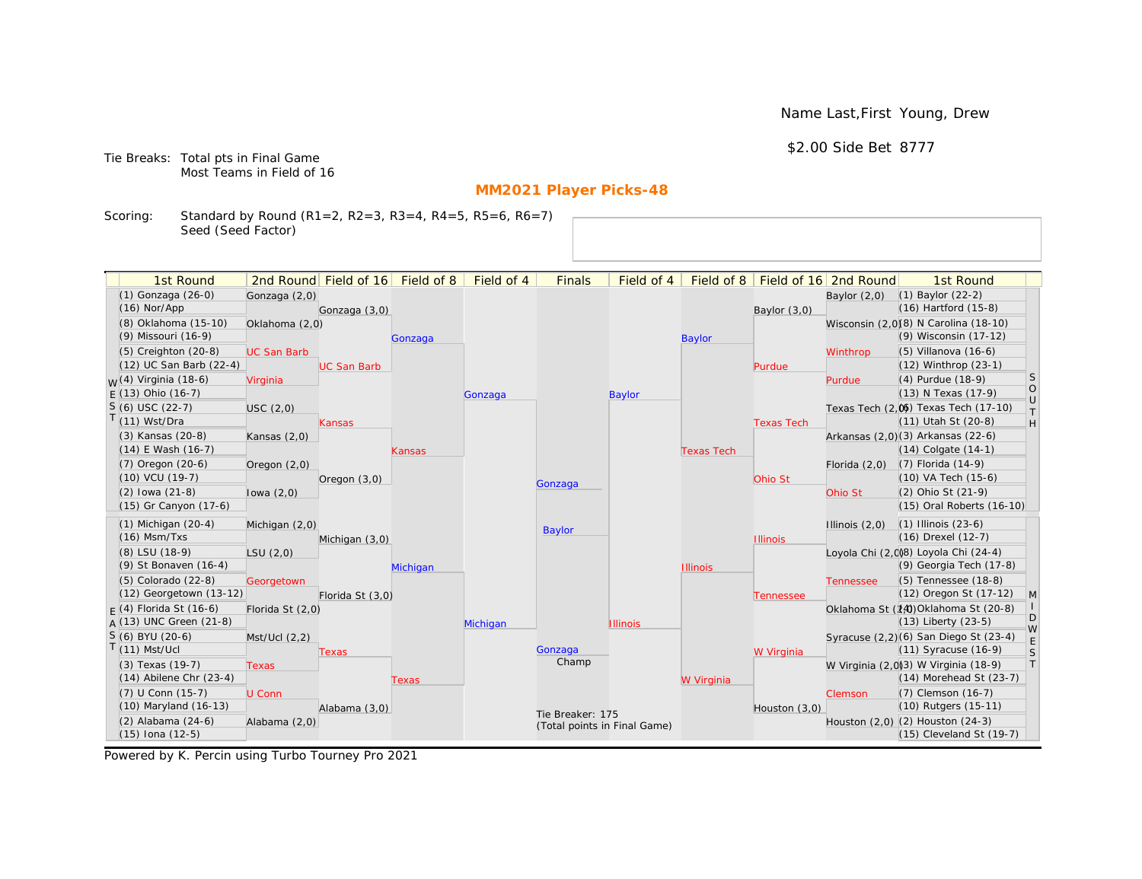Name Last,First Young, Drew

\$2.00 Side Bet 8777

Tie Breaks: Total pts in Final Game Most Teams in Field of 16

# **MM2021 Player Picks-48**

Scoring: Standard by Round (R1=2, R2=3, R3=4, R4=5, R5=6, R6=7) Seed (Seed Factor)

| 1st Round                        |                    | 2nd Round Field of 16 | Field of 8 | Field of 4 | <b>Finals</b>                | Field of 4      | Field of $8$      |                   | Field of 16 2nd Round | 1st Round                                                    |                                                                   |
|----------------------------------|--------------------|-----------------------|------------|------------|------------------------------|-----------------|-------------------|-------------------|-----------------------|--------------------------------------------------------------|-------------------------------------------------------------------|
| (1) Gonzaga (26-0)               | Gonzaga (2,0)      |                       |            |            |                              |                 |                   |                   | Baylor $(2,0)$        | $(1)$ Baylor $(22-2)$                                        |                                                                   |
| $(16)$ Nor/App                   |                    | Gonzaga (3,0)         |            |            |                              |                 |                   | Baylor (3,0)      |                       | $(16)$ Hartford $(15-8)$                                     |                                                                   |
| (8) Oklahoma (15-10)             | Oklahoma (2,0)     |                       |            |            |                              |                 |                   |                   |                       | Wisconsin (2,0)(8) N Carolina (18-10)                        |                                                                   |
| (9) Missouri (16-9)              |                    |                       | Gonzaga    |            |                              |                 | <b>Baylor</b>     |                   |                       | (9) Wisconsin (17-12)                                        |                                                                   |
| (5) Creighton (20-8)             | <b>UC San Barb</b> |                       |            |            |                              |                 |                   |                   | Winthrop              | $(5)$ Villanova $(16-6)$                                     |                                                                   |
| (12) UC San Barb (22-4)          |                    | <b>UC San Barb</b>    |            |            |                              |                 |                   | Purdue            |                       | (12) Winthrop (23-1)                                         |                                                                   |
| <sub>W</sub> (4) Virginia (18-6) | Virginia           |                       |            |            |                              |                 |                   |                   | Purdue                | (4) Purdue (18-9)                                            | <sub>S</sub>                                                      |
| $E(13)$ Ohio (16-7)              |                    |                       |            | Gonzaga    |                              | <b>Baylor</b>   |                   |                   |                       | (13) N Texas (17-9)                                          | $\circ$<br>$\cup$                                                 |
| $S(6)$ USC (22-7)                | USC(2,0)           |                       |            |            |                              |                 |                   |                   |                       | Texas Tech (2,0) Texas Tech (17-10)                          | $\top$                                                            |
| $T(11)$ Wst/Dra                  |                    | Kansas                |            |            |                              |                 |                   | <b>Texas Tech</b> |                       | (11) Utah St (20-8)                                          | $\mathsf{H}% _{\mathsf{H}}^{\ast}=\mathsf{H}_{\mathsf{H}}^{\ast}$ |
| (3) Kansas (20-8)                | Kansas $(2,0)$     |                       |            |            |                              |                 |                   |                   |                       | Arkansas (2,0)(3) Arkansas (22-6)                            |                                                                   |
| $(14)$ E Wash $(16-7)$           |                    |                       | Kansas     |            |                              |                 | <b>Texas Tech</b> |                   |                       | $(14)$ Colgate $(14-1)$                                      |                                                                   |
| $(7)$ Oregon $(20-6)$            | Oregon (2,0)       |                       |            |            |                              |                 |                   |                   | Florida $(2,0)$       | $(7)$ Florida $(14-9)$                                       |                                                                   |
| $(10)$ VCU $(19-7)$              |                    | Oregon $(3,0)$        |            |            | Gonzaga                      |                 |                   | Ohio St           |                       | (10) VA Tech (15-6)                                          |                                                                   |
| $(2)$ lowa $(21-8)$              | lowa $(2,0)$       |                       |            |            |                              |                 |                   |                   | Ohio St               | (2) Ohio St (21-9)                                           |                                                                   |
| (15) Gr Canyon (17-6)            |                    |                       |            |            |                              |                 |                   |                   |                       | (15) Oral Roberts (16-10)                                    |                                                                   |
| $(1)$ Michigan $(20-4)$          | Michigan (2,0)     |                       |            |            | <b>Baylor</b>                |                 |                   |                   | Illinois $(2,0)$      | $(1)$ Illinois $(23-6)$                                      |                                                                   |
| $(16)$ Msm/Txs                   |                    | Michigan (3,0)        |            |            |                              |                 |                   | <b>Illinois</b>   |                       | (16) Drexel (12-7)                                           |                                                                   |
| (8) LSU (18-9)                   | LSU(2,0)           |                       |            |            |                              |                 |                   |                   |                       | Loyola Chi (2,008) Loyola Chi (24-4)                         |                                                                   |
| (9) St Bonaven (16-4)            |                    |                       | Michigan   |            |                              |                 | <b>Illinois</b>   |                   |                       | (9) Georgia Tech (17-8)                                      |                                                                   |
| (5) Colorado (22-8)              | Georgetown         |                       |            |            |                              |                 |                   |                   | <b>Tennessee</b>      | (5) Tennessee (18-8)                                         |                                                                   |
| (12) Georgetown (13-12)          |                    | Florida St (3,0)      |            |            |                              |                 |                   | Tennessee         |                       | (12) Oregon St (17-12)                                       | M                                                                 |
| $F(4)$ Florida St (16-6)         | Florida St (2,0)   |                       |            |            |                              |                 |                   |                   |                       | Oklahoma St (14) Oklahoma St (20-8)                          | D                                                                 |
| $A(13)$ UNC Green (21-8)         |                    |                       |            | Michigan   |                              | <b>Illinois</b> |                   |                   |                       | $(13)$ Liberty $(23-5)$                                      | W                                                                 |
| S (6) BYU (20-6)                 | Mst/Ucl (2,2)      |                       |            |            |                              |                 |                   |                   |                       | Syracuse (2,2)(6) San Diego St (23-4)                        | E                                                                 |
| $T(11)$ Mst/Ucl                  |                    | Texas                 |            |            | Gonzaga<br>Champ             |                 |                   | W Virginia        |                       | $(11)$ Syracuse $(16-9)$                                     | S                                                                 |
| (3) Texas (19-7)                 | <b>Texas</b>       |                       |            |            |                              |                 |                   |                   |                       | W Virginia (2,0)3) W Virginia (18-9)                         | T                                                                 |
| $(14)$ Abilene Chr $(23-4)$      |                    |                       | Texas      |            |                              |                 | W Virginia        |                   |                       | $(14)$ Morehead St $(23-7)$                                  |                                                                   |
| (7) U Conn (15-7)                | U Conn             |                       |            |            |                              |                 |                   |                   | Clemson               | (7) Clemson (16-7)                                           |                                                                   |
| (10) Maryland (16-13)            |                    | Alabama (3,0)         |            |            | Tie Breaker: 175             |                 |                   | Houston (3,0)     |                       | (10) Rutgers (15-11)                                         |                                                                   |
| (2) Alabama (24-6)               | Alabama (2,0)      |                       |            |            | (Total points in Final Game) |                 |                   |                   |                       | Houston (2,0) (2) Houston (24-3)<br>(15) Cleveland St (19-7) |                                                                   |
| $(15)$ Iona $(12-5)$             |                    |                       |            |            |                              |                 |                   |                   |                       |                                                              |                                                                   |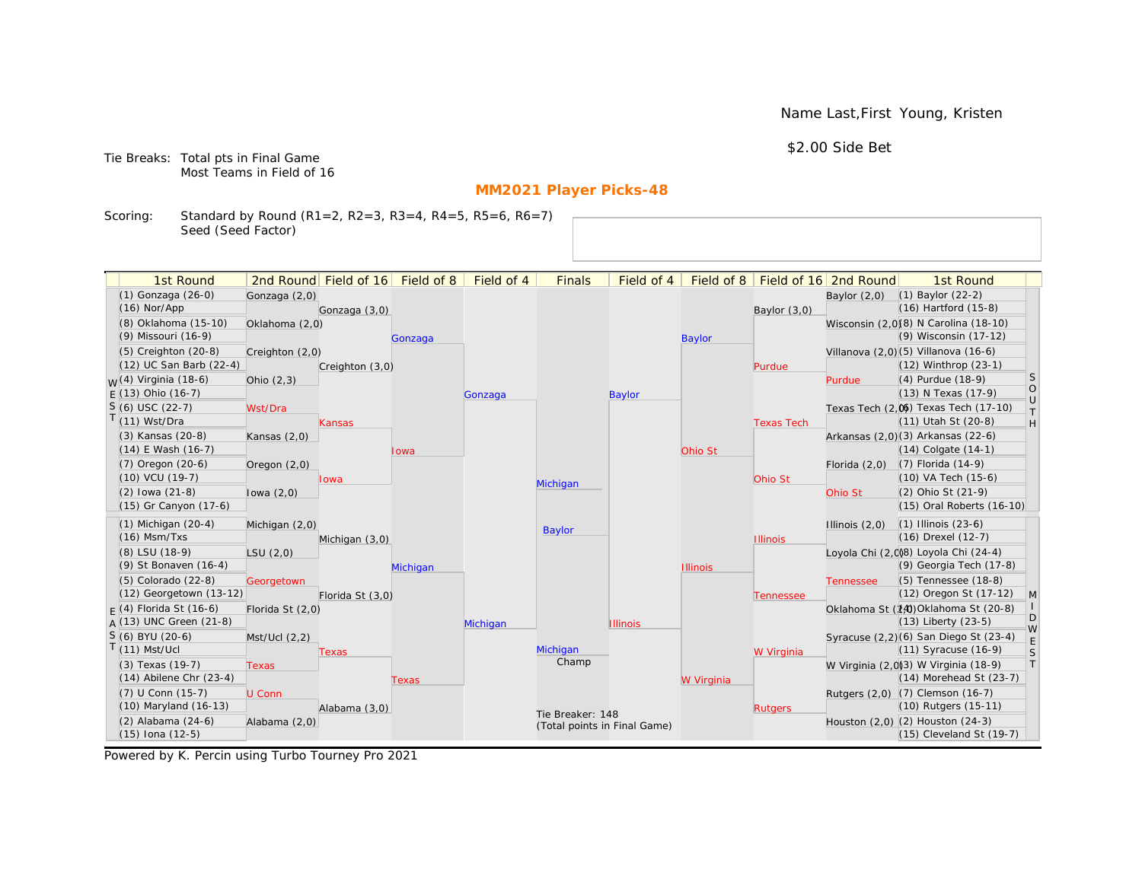Name Last,First Young, Kristen

\$2.00 Side Bet

Tie Breaks: Total pts in Final Game Most Teams in Field of 16

# **MM2021 Player Picks-48**

Scoring: Standard by Round (R1=2, R2=3, R3=4, R4=5, R5=6, R6=7) Seed (Seed Factor)

| 1st Round                        |                  | 2nd Round Field of 16 | Field of 8 | Field of 4                                       | <b>Finals</b> | Field of 4      | Field of 8      |                   | Field of 16 2nd Round            | 1st Round                             |                   |
|----------------------------------|------------------|-----------------------|------------|--------------------------------------------------|---------------|-----------------|-----------------|-------------------|----------------------------------|---------------------------------------|-------------------|
| (1) Gonzaga (26-0)               | Gonzaga (2,0)    |                       |            |                                                  |               |                 |                 |                   | Baylor $(2,0)$                   | $(1)$ Baylor $(22-2)$                 |                   |
| $(16)$ Nor/App                   |                  | Gonzaga (3,0)         |            |                                                  |               |                 |                 | Baylor (3,0)      |                                  | $(16)$ Hartford $(15-8)$              |                   |
| (8) Oklahoma (15-10)             | Oklahoma (2,0)   |                       |            |                                                  |               |                 |                 |                   |                                  | Wisconsin (2,0)(8) N Carolina (18-10) |                   |
| (9) Missouri (16-9)              |                  |                       | Gonzaga    |                                                  |               |                 | <b>Baylor</b>   |                   |                                  | (9) Wisconsin (17-12)                 |                   |
| $(5)$ Creighton $(20-8)$         | Creighton (2,0)  |                       |            |                                                  |               |                 |                 |                   |                                  | Villanova (2,0)(5) Villanova (16-6)   |                   |
| (12) UC San Barb (22-4)          |                  | Creighton (3,0)       |            |                                                  |               |                 |                 | Purdue            |                                  | (12) Winthrop (23-1)                  |                   |
| <sub>W</sub> (4) Virginia (18-6) | Ohio $(2,3)$     |                       |            |                                                  |               |                 |                 |                   | Purdue                           | (4) Purdue (18-9)                     | <sub>S</sub>      |
| $E(13)$ Ohio (16-7)              |                  |                       |            | Gonzaga                                          |               | Baylor          |                 |                   |                                  | (13) N Texas (17-9)                   | $\circ$<br>$\cup$ |
| $S(6)$ USC (22-7)                | Wst/Dra          |                       |            |                                                  |               |                 |                 |                   |                                  | Texas Tech (2,0) Texas Tech (17-10)   | $\top$            |
| T(11) Wst/Dra                    |                  | Kansas                |            |                                                  |               |                 |                 | <b>Texas Tech</b> |                                  | (11) Utah St (20-8)                   | H                 |
| (3) Kansas (20-8)                | Kansas $(2,0)$   |                       |            |                                                  |               |                 |                 |                   |                                  | Arkansas (2,0)(3) Arkansas (22-6)     |                   |
| $(14)$ E Wash $(16-7)$           |                  |                       | Iowa       |                                                  |               |                 | Ohio St         |                   |                                  | $(14)$ Colgate $(14-1)$               |                   |
| $(7)$ Oregon $(20-6)$            | Oregon $(2,0)$   |                       |            |                                                  |               |                 |                 |                   | Florida $(2,0)$                  | $(7)$ Florida $(14-9)$                |                   |
| (10) VCU (19-7)                  |                  | lowa                  |            |                                                  | Michigan      |                 |                 | Ohio St           |                                  | (10) VA Tech (15-6)                   |                   |
| $(2)$ lowa $(21-8)$              | lowa $(2,0)$     |                       |            |                                                  |               |                 |                 |                   | Ohio St                          | (2) Ohio St (21-9)                    |                   |
| (15) Gr Canyon (17-6)            |                  |                       |            |                                                  |               |                 |                 |                   |                                  | (15) Oral Roberts (16-10)             |                   |
| $(1)$ Michigan $(20-4)$          | Michigan (2,0)   |                       |            |                                                  | <b>Baylor</b> |                 |                 |                   | Illinois $(2,0)$                 | $(1)$ Illinois $(23-6)$               |                   |
| $(16)$ Msm/Txs                   |                  | Michigan (3,0)        |            |                                                  |               |                 |                 | <b>Illinois</b>   |                                  | (16) Drexel (12-7)                    |                   |
| (8) LSU (18-9)                   | LSU(2,0)         |                       |            |                                                  |               |                 |                 |                   |                                  | Loyola Chi (2,0)8) Loyola Chi (24-4)  |                   |
| (9) St Bonaven (16-4)            |                  |                       | Michigan   |                                                  |               |                 | <b>Illinois</b> |                   |                                  | (9) Georgia Tech (17-8)               |                   |
| (5) Colorado (22-8)              | Georgetown       |                       |            |                                                  |               |                 |                 |                   | <b>Tennessee</b>                 | (5) Tennessee (18-8)                  |                   |
| (12) Georgetown (13-12)          |                  | Florida St (3,0)      |            |                                                  |               |                 |                 | Tennessee         |                                  | (12) Oregon St (17-12)                | M                 |
| $F(4)$ Florida St (16-6)         | Florida St (2,0) |                       |            |                                                  |               |                 |                 |                   |                                  | Oklahoma St (14) Oklahoma St (20-8)   | D                 |
| $A(13)$ UNC Green (21-8)         |                  |                       |            | Michigan                                         |               | <b>Illinois</b> |                 |                   |                                  | $(13)$ Liberty $(23-5)$               | W                 |
| S (6) BYU (20-6)                 | Mst/Ucl (2,2)    |                       |            |                                                  |               |                 |                 |                   |                                  | Syracuse (2,2)(6) San Diego St (23-4) | E                 |
| $T(11)$ Mst/Ucl                  |                  | Texas                 |            |                                                  | Michigan      |                 |                 | W Virginia        |                                  | $(11)$ Syracuse $(16-9)$              | S                 |
| (3) Texas (19-7)                 | <b>Texas</b>     |                       |            |                                                  | Champ         |                 |                 |                   |                                  | W Virginia (2,0)3) W Virginia (18-9)  | T                 |
| $(14)$ Abilene Chr $(23-4)$      |                  |                       | Texas      |                                                  |               |                 | W Virginia      |                   |                                  | (14) Morehead St (23-7)               |                   |
| (7) U Conn (15-7)                | U Conn           |                       |            |                                                  |               |                 |                 |                   |                                  | Rutgers (2,0) (7) Clemson (16-7)      |                   |
| (10) Maryland (16-13)            |                  | Alabama (3,0)         |            | Tie Breaker: 148<br>(Total points in Final Game) |               |                 | <b>Rutgers</b>  |                   | (10) Rutgers (15-11)             |                                       |                   |
| (2) Alabama (24-6)               | Alabama (2,0)    |                       |            |                                                  |               |                 |                 |                   | Houston (2,0) (2) Houston (24-3) |                                       |                   |
| $(15)$ Iona $(12-5)$             |                  |                       |            |                                                  |               |                 |                 |                   |                                  | (15) Cleveland St (19-7)              |                   |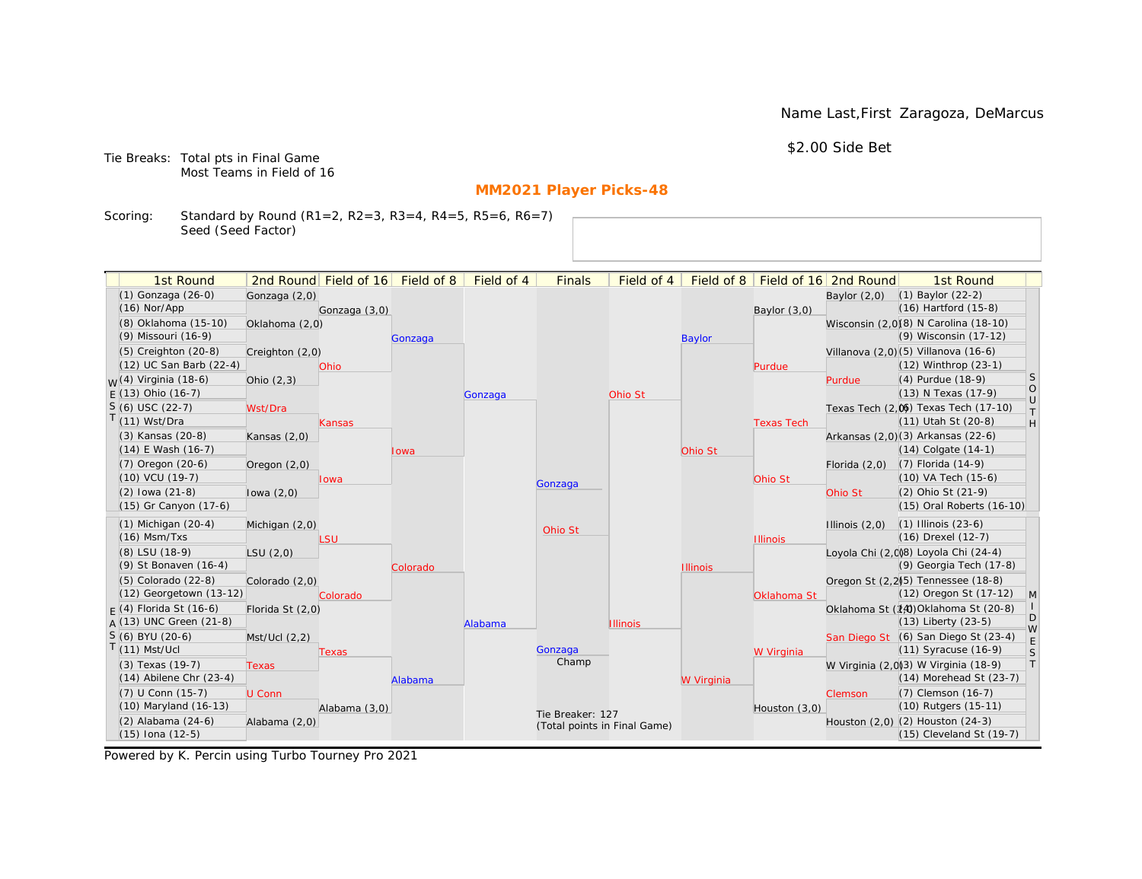Name Last,First Zaragoza, DeMarcus

\$2.00 Side Bet

Tie Breaks: Total pts in Final Game Most Teams in Field of 16

# **MM2021 Player Picks-48**

Scoring: Standard by Round (R1=2, R2=3, R3=4, R4=5, R5=6, R6=7) Seed (Seed Factor)

|  | 1st Round                                    |                  | 2nd Round Field of 16 Field of 8 |          | Field of 4 | <b>Finals</b>                | Field of 4      | Field of 8      |                   | Field of 16 2nd Round | 1st Round                                                       |                   |
|--|----------------------------------------------|------------------|----------------------------------|----------|------------|------------------------------|-----------------|-----------------|-------------------|-----------------------|-----------------------------------------------------------------|-------------------|
|  | (1) Gonzaga (26-0)                           | Gonzaga (2,0)    |                                  |          |            |                              |                 |                 |                   | Baylor $(2,0)$        | (1) Baylor (22-2)                                               |                   |
|  | $(16)$ Nor/App                               |                  | Gonzaga (3,0)                    |          |            |                              |                 |                 | Baylor (3,0)      |                       | $(16)$ Hartford $(15-8)$                                        |                   |
|  | (8) Oklahoma (15-10)                         | Oklahoma (2,0)   |                                  |          |            |                              |                 |                 |                   |                       | Wisconsin (2,0)(8) N Carolina (18-10)                           |                   |
|  | (9) Missouri (16-9)                          |                  |                                  | Gonzaga  |            |                              |                 | <b>Baylor</b>   |                   |                       | (9) Wisconsin (17-12)                                           |                   |
|  | $(5)$ Creighton $(20-8)$                     | Creighton (2,0)  |                                  |          |            |                              |                 |                 |                   |                       | Villanova (2,0) (5) Villanova (16-6)                            |                   |
|  | (12) UC San Barb (22-4)                      |                  | Ohio                             |          |            |                              |                 |                 | Purdue            |                       | (12) Winthrop (23-1)                                            |                   |
|  | <sub>M</sub> /(4) Virginia (18-6)            | Ohio $(2,3)$     |                                  |          |            |                              |                 |                 |                   | Purdue                | (4) Purdue (18-9)                                               | <sub>S</sub>      |
|  | $F(13)$ Ohio (16-7)                          |                  |                                  |          | Gonzaga    |                              | Ohio St         |                 |                   |                       | (13) N Texas (17-9)                                             | $\circ$<br>$\cup$ |
|  | $S(6)$ USC (22-7)                            | Wst/Dra          |                                  |          |            |                              |                 |                 |                   |                       | Texas Tech (2,0) Texas Tech (17-10)                             | $\top$            |
|  | T(11) Wst/Dra                                |                  | Kansas                           |          |            |                              |                 |                 | <b>Texas Tech</b> |                       | (11) Utah St (20-8)                                             | H                 |
|  | (3) Kansas (20-8)                            | Kansas $(2,0)$   |                                  |          |            |                              |                 |                 |                   |                       | Arkansas (2,0)(3) Arkansas (22-6)                               |                   |
|  | (14) E Wash (16-7)                           |                  |                                  | Iowa     |            |                              |                 | Ohio St         |                   |                       | $(14)$ Colgate $(14-1)$                                         |                   |
|  | (7) Oregon (20-6)                            | Oregon $(2,0)$   |                                  |          |            |                              |                 |                 |                   | Florida $(2,0)$       | (7) Florida (14-9)                                              |                   |
|  | $(10)$ VCU $(19-7)$                          |                  | lowa                             |          |            | Gonzaga                      |                 |                 | Ohio St           |                       | (10) VA Tech (15-6)                                             |                   |
|  | $(2)$ lowa $(21-8)$<br>(15) Gr Canyon (17-6) | lowa $(2,0)$     |                                  |          |            |                              |                 |                 |                   | Ohio St               | (2) Ohio St (21-9)<br>(15) Oral Roberts (16-10)                 |                   |
|  |                                              |                  |                                  |          |            |                              |                 |                 |                   |                       |                                                                 |                   |
|  | $(1)$ Michigan $(20-4)$                      | Michigan (2,0)   |                                  |          |            | Ohio St                      |                 |                 |                   | Illinois $(2,0)$      | $(1)$ Illinois $(23-6)$                                         |                   |
|  | $(16)$ Msm/Txs                               |                  | LSU                              |          |            |                              |                 |                 | <b>Illinois</b>   |                       | (16) Drexel (12-7)                                              |                   |
|  | (8) LSU (18-9)<br>(9) St Bonaven (16-4)      | LSU(2,0)         |                                  |          |            |                              |                 |                 |                   |                       | Loyola Chi (2,008) Loyola Chi (24-4)<br>(9) Georgia Tech (17-8) |                   |
|  | (5) Colorado (22-8)                          | Colorado (2,0)   |                                  | Colorado |            |                              |                 | <b>Illinois</b> |                   |                       | Oregon St (2,2)(5) Tennessee (18-8)                             |                   |
|  | (12) Georgetown (13-12)                      |                  | Colorado                         |          |            |                              |                 |                 | Oklahoma St       |                       | (12) Oregon St (17-12)                                          | M                 |
|  | $F(4)$ Florida St (16-6)                     | Florida St (2,0) |                                  |          |            |                              |                 |                 |                   |                       | Oklahoma St (14) Oklahoma St (20-8)                             |                   |
|  | $A(13)$ UNC Green (21-8)                     |                  |                                  |          | Alabama    |                              | <b>Illinois</b> |                 |                   |                       | $(13)$ Liberty $(23-5)$                                         | D                 |
|  | $S(6)$ BYU (20-6)                            | Mst/Ucl (2,2)    |                                  |          |            |                              |                 |                 |                   |                       | San Diego St (6) San Diego St (23-4)                            | W<br>E            |
|  | $T(11)$ Mst/Ucl                              |                  | Texas                            |          |            | Gonzaga                      |                 |                 | W Virginia        |                       | $(11)$ Syracuse $(16-9)$                                        | S                 |
|  | (3) Texas (19-7)                             | <b>Texas</b>     |                                  |          |            | Champ                        |                 |                 |                   |                       | W Virginia (2,0)(3) W Virginia (18-9)                           | T                 |
|  | $(14)$ Abilene Chr $(23-4)$                  |                  |                                  | Alabama  |            |                              |                 | W Virginia      |                   |                       | $(14)$ Morehead St $(23-7)$                                     |                   |
|  | (7) U Conn (15-7)                            | U Conn           |                                  |          |            |                              |                 |                 |                   | Clemson               | (7) Clemson (16-7)                                              |                   |
|  | $(10)$ Maryland $(16-13)$                    |                  | Alabama (3,0)                    |          |            | Tie Breaker: 127             |                 |                 | Houston (3,0)     |                       | (10) Rutgers (15-11)                                            |                   |
|  | (2) Alabama (24-6)                           | Alabama (2,0)    |                                  |          |            | (Total points in Final Game) |                 |                 |                   |                       | Houston (2,0) (2) Houston (24-3)                                |                   |
|  | $(15)$ Iona $(12-5)$                         |                  |                                  |          |            |                              |                 |                 |                   |                       | $(15)$ Cleveland St $(19-7)$                                    |                   |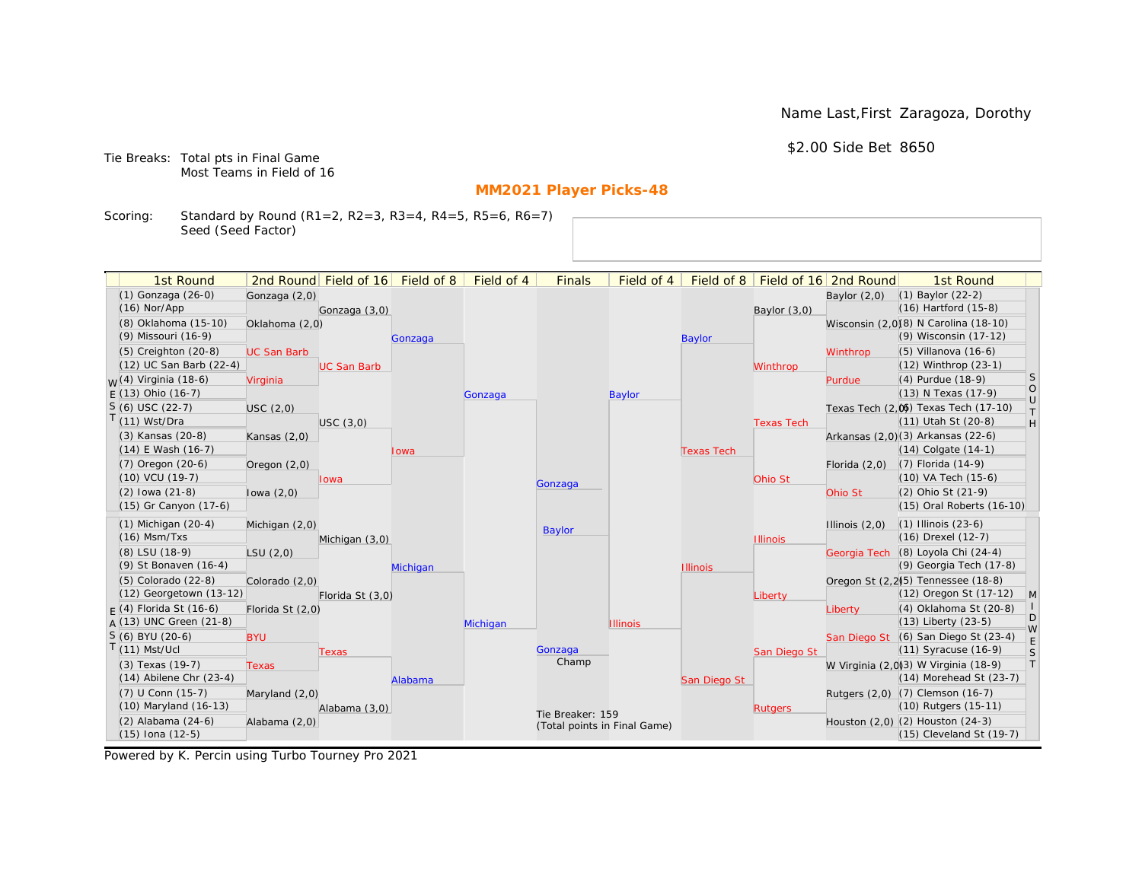Name Last,First Zaragoza, Dorothy

\$2.00 Side Bet 8650

Tie Breaks: Total pts in Final Game Most Teams in Field of 16

# **MM2021 Player Picks-48**

Scoring: Standard by Round (R1=2, R2=3, R3=4, R4=5, R5=6, R6=7) Seed (Seed Factor)

| 1st Round                         |                    | 2nd Round Field of 16 Field of 8 |          | Field of 4 | <b>Finals</b>    | Field of 4                   |                   |                   | Field of 8   Field of 16   2nd Round | 1st Round                                                        |                  |
|-----------------------------------|--------------------|----------------------------------|----------|------------|------------------|------------------------------|-------------------|-------------------|--------------------------------------|------------------------------------------------------------------|------------------|
| (1) Gonzaga (26-0)                |                    |                                  |          |            |                  |                              |                   |                   |                                      | $(1)$ Baylor $(22-2)$                                            |                  |
| $(16)$ Nor/App                    | Gonzaga (2,0)      |                                  |          |            |                  |                              |                   |                   | Baylor $(2,0)$                       | (16) Hartford (15-8)                                             |                  |
| (8) Oklahoma (15-10)              | Oklahoma (2,0)     | Gonzaga (3,0)                    |          |            |                  |                              |                   | Baylor $(3,0)$    |                                      | Wisconsin (2,0)(8) N Carolina (18-10)                            |                  |
| (9) Missouri (16-9)               |                    |                                  |          |            |                  |                              | <b>Baylor</b>     |                   |                                      | (9) Wisconsin (17-12)                                            |                  |
| $(5)$ Creighton $(20-8)$          | <b>UC San Barb</b> |                                  | Gonzaga  |            |                  |                              |                   |                   | Winthrop                             | (5) Villanova (16-6)                                             |                  |
| (12) UC San Barb (22-4)           |                    | <b>UC San Barb</b>               |          |            |                  |                              |                   | Winthrop          |                                      | (12) Winthrop (23-1)                                             |                  |
| <sub>M</sub> /(4) Virginia (18-6) | Virginia           |                                  |          |            |                  |                              |                   |                   | Purdue                               | (4) Purdue (18-9)                                                | S                |
| $E(13)$ Ohio (16-7)               |                    |                                  |          | Gonzaga    |                  | <b>Baylor</b>                |                   |                   |                                      | (13) N Texas (17-9)                                              | $\circ$          |
| $S(6)$ USC (22-7)                 | USC(2,0)           |                                  |          |            |                  |                              |                   |                   |                                      | Texas Tech (2,0) Texas Tech (17-10)                              | $\cup$<br>$\top$ |
| $T(11)$ Wst/Dra                   |                    | USC(3,0)                         |          |            |                  |                              |                   | <b>Texas Tech</b> |                                      | (11) Utah St (20-8)                                              | H                |
| (3) Kansas (20-8)                 | Kansas $(2,0)$     |                                  |          |            |                  |                              |                   |                   |                                      | Arkansas (2,0)(3) Arkansas (22-6)                                |                  |
| $(14)$ E Wash $(16-7)$            |                    |                                  | Iowa     |            |                  |                              | <b>Texas Tech</b> |                   |                                      | $(14)$ Colgate $(14-1)$                                          |                  |
| (7) Oregon (20-6)                 | Oregon $(2,0)$     |                                  |          |            |                  |                              |                   |                   | Florida $(2,0)$                      | (7) Florida (14-9)                                               |                  |
| $(10)$ VCU $(19-7)$               |                    | <b>Iowa</b>                      |          |            | Gonzaga          |                              |                   | Ohio St           |                                      | (10) VA Tech (15-6)                                              |                  |
| $(2)$ lowa $(21-8)$               | lowa $(2,0)$       |                                  |          |            |                  |                              |                   |                   | Ohio St                              | (2) Ohio St (21-9)                                               |                  |
| (15) Gr Canyon (17-6)             |                    |                                  |          |            |                  |                              |                   |                   |                                      | (15) Oral Roberts (16-10)                                        |                  |
| $(1)$ Michigan $(20-4)$           | Michigan (2,0)     |                                  |          |            |                  |                              |                   |                   | Illinois $(2,0)$                     | $(1)$ Illinois $(23-6)$                                          |                  |
| $(16)$ Msm/Txs                    |                    | Michigan (3,0)                   |          |            | Baylor           |                              |                   | <b>Illinois</b>   |                                      | (16) Drexel (12-7)                                               |                  |
| (8) LSU (18-9)                    | LSU(2,0)           |                                  |          |            |                  |                              |                   |                   |                                      | Georgia Tech (8) Loyola Chi (24-4)                               |                  |
| (9) St Bonaven (16-4)             |                    |                                  | Michigan |            |                  |                              | <b>Illinois</b>   |                   |                                      | (9) Georgia Tech (17-8)                                          |                  |
| $(5)$ Colorado $(22-8)$           | Colorado (2,0)     |                                  |          |            |                  |                              |                   |                   |                                      | Oregon St (2,2) <sup>(5)</sup> Tennessee (18-8)                  |                  |
| (12) Georgetown (13-12)           |                    | Florida St (3,0)                 |          |            |                  |                              |                   | Liberty           |                                      | (12) Oregon St (17-12)                                           | $\mathsf{M}$     |
| $F(4)$ Florida St (16-6)          | Florida St (2,0)   |                                  |          |            |                  |                              |                   |                   | Liberty                              | (4) Oklahoma St (20-8)                                           | D                |
| $A(13)$ UNC Green (21-8)          |                    |                                  |          | Michigan   |                  | <b>Illinois</b>              |                   |                   |                                      | $(13)$ Liberty $(23-5)$                                          | W                |
| S (6) BYU (20-6)                  | <b>BYU</b>         |                                  |          |            |                  |                              |                   |                   |                                      | San Diego St (6) San Diego St (23-4)                             | E                |
| $T(11)$ Mst/Ucl                   |                    | Texas                            |          |            | Gonzaga<br>Champ |                              |                   | San Diego St      |                                      | (11) Syracuse (16-9)                                             | S                |
| (3) Texas (19-7)                  | <b>Texas</b>       |                                  |          |            |                  |                              |                   |                   |                                      | W Virginia (2,0)(3) W Virginia (18-9)                            | $\top$           |
| $(14)$ Abilene Chr $(23-4)$       |                    |                                  | Alabama  |            |                  |                              | San Diego St      |                   |                                      | $(14)$ Morehead St $(23-7)$                                      |                  |
| (7) U Conn (15-7)                 | Maryland (2,0)     |                                  |          |            |                  |                              |                   |                   |                                      | Rutgers (2,0) (7) Clemson (16-7)                                 |                  |
| (10) Maryland (16-13)             |                    | Alabama (3,0)                    |          |            | Tie Breaker: 159 |                              |                   | <b>Rutgers</b>    |                                      | (10) Rutgers (15-11)                                             |                  |
| (2) Alabama (24-6)                | Alabama (2,0)      |                                  |          |            |                  | (Total points in Final Game) |                   |                   |                                      | Houston (2,0) (2) Houston (24-3)<br>$(15)$ Cleveland St $(19-7)$ |                  |
| $(15)$ Iona $(12-5)$              |                    |                                  |          |            |                  |                              |                   |                   |                                      |                                                                  |                  |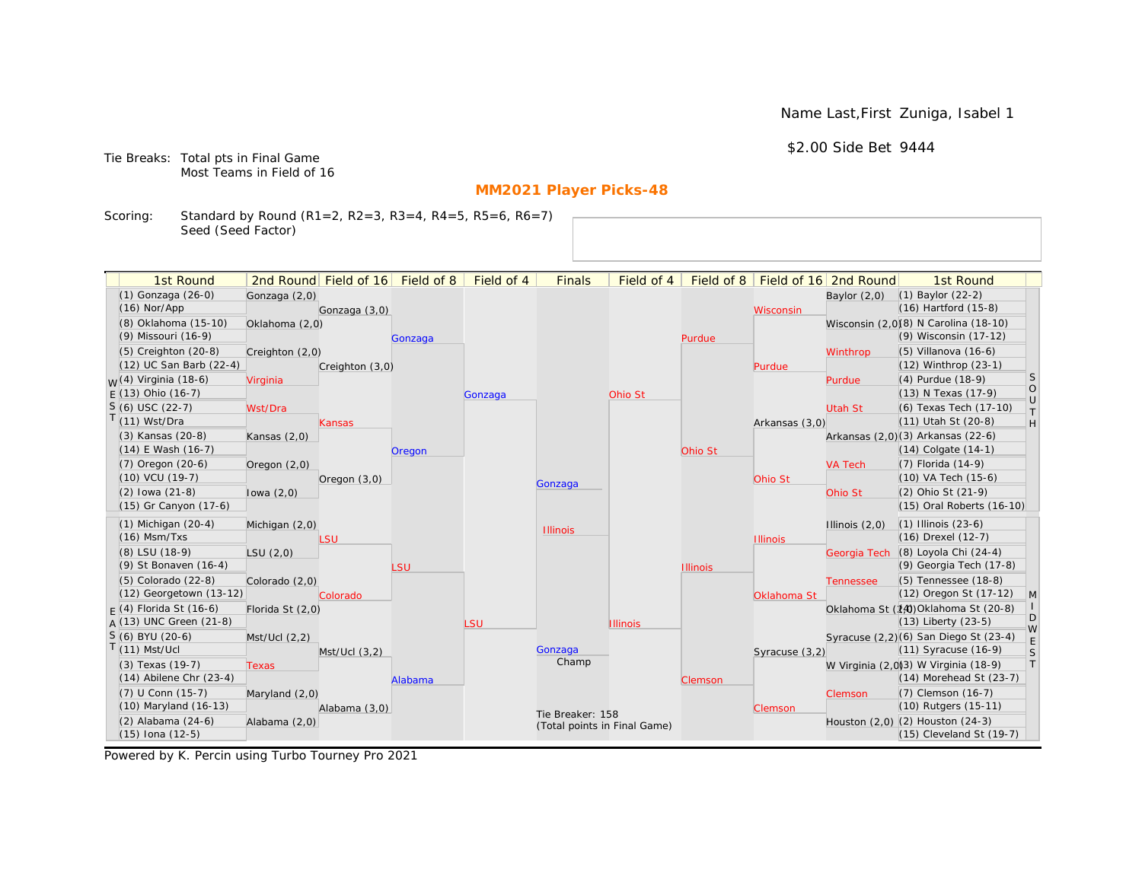Name Last,First Zuniga, Isabel 1

\$2.00 Side Bet 9444

Tie Breaks: Total pts in Final Game Most Teams in Field of 16

# **MM2021 Player Picks-48**

Scoring: Standard by Round (R1=2, R2=3, R3=4, R4=5, R5=6, R6=7) Seed (Seed Factor)

|  | 1st Round                                       |                  | 2nd Round Field of 16 | Field of 8 | Field of 4                   | <b>Finals</b>    | Field of 4      | Field of $8$    |                 | Field of 16 2nd Round    | 1st Round                                                            |                   |
|--|-------------------------------------------------|------------------|-----------------------|------------|------------------------------|------------------|-----------------|-----------------|-----------------|--------------------------|----------------------------------------------------------------------|-------------------|
|  | (1) Gonzaga (26-0)                              | Gonzaga (2,0)    |                       |            |                              |                  |                 |                 |                 | Baylor $(2,0)$           | $(1)$ Baylor $(22-2)$                                                |                   |
|  | $(16)$ Nor/App                                  |                  | Gonzaga (3,0)         |            |                              |                  |                 |                 | Wisconsin       |                          | $(16)$ Hartford $(15-8)$                                             |                   |
|  | (8) Oklahoma (15-10)                            | Oklahoma (2,0)   |                       |            |                              |                  |                 |                 |                 |                          | Wisconsin (2,0)(8) N Carolina (18-10)                                |                   |
|  | (9) Missouri (16-9)                             |                  |                       | Gonzaga    |                              |                  |                 | Purdue          |                 |                          | (9) Wisconsin (17-12)                                                |                   |
|  | $(5)$ Creighton $(20-8)$                        | Creighton (2,0)  |                       |            |                              |                  |                 |                 |                 | Winthrop                 | $(5)$ Villanova $(16-6)$                                             |                   |
|  | (12) UC San Barb (22-4)                         |                  | Creighton (3,0)       |            |                              |                  |                 |                 | Purdue          |                          | $(12)$ Winthrop $(23-1)$                                             |                   |
|  | <sub>M</sub> /(4) Virginia (18-6)               | Virginia         |                       |            |                              |                  |                 |                 |                 | Purdue                   | (4) Purdue (18-9)                                                    | $\vert$ S         |
|  | $F(13)$ Ohio (16-7)                             |                  |                       |            | Gonzaga                      |                  | Ohio St         |                 |                 |                          | (13) N Texas (17-9)                                                  | $\circ$<br>$\cup$ |
|  | $S(6)$ USC (22-7)                               | Wst/Dra          |                       |            |                              |                  |                 |                 |                 | <b>Utah St</b>           | (6) Texas Tech (17-10)                                               | T                 |
|  | $T(11)$ Wst/Dra                                 |                  | Kansas                |            |                              |                  |                 |                 | Arkansas (3,0)  |                          | (11) Utah St (20-8)                                                  | H                 |
|  | (3) Kansas (20-8)                               | Kansas $(2,0)$   |                       |            |                              |                  |                 |                 |                 |                          | Arkansas (2,0)(3) Arkansas (22-6)                                    |                   |
|  | $(14)$ E Wash $(16-7)$                          |                  |                       | Oregon     |                              |                  |                 | Ohio St         |                 |                          | $(14)$ Colgate $(14-1)$                                              |                   |
|  | (7) Oregon (20-6)                               | Oregon $(2,0)$   |                       |            |                              |                  |                 |                 |                 | <b>VA Tech</b>           | (7) Florida (14-9)                                                   |                   |
|  | $(10)$ VCU $(19-7)$                             |                  | Oregon $(3,0)$        |            |                              | Gonzaga          |                 |                 | Ohio St         |                          | (10) VA Tech (15-6)                                                  |                   |
|  | $(2)$ lowa $(21-8)$                             | lowa $(2,0)$     |                       |            |                              |                  |                 |                 |                 | Ohio St                  | (2) Ohio St (21-9)                                                   |                   |
|  | (15) Gr Canyon (17-6)                           |                  |                       |            |                              |                  |                 |                 |                 |                          | (15) Oral Roberts (16-10)                                            |                   |
|  | $(1)$ Michigan $(20-4)$                         | Michigan (2,0)   |                       |            |                              | <b>Illinois</b>  |                 |                 |                 | Illinois $(2,0)$         | $(1)$ Illinois $(23-6)$                                              |                   |
|  | $(16)$ Msm/Txs                                  |                  | LSU                   |            |                              |                  |                 |                 | <b>Illinois</b> |                          | (16) Drexel (12-7)                                                   |                   |
|  | (8) LSU (18-9)                                  | LSU(2,0)         |                       |            |                              |                  |                 |                 |                 | Georgia Tech             | (8) Loyola Chi (24-4)                                                |                   |
|  | (9) St Bonaven (16-4)                           |                  |                       | LSU        |                              |                  |                 | <b>Illinois</b> |                 |                          | (9) Georgia Tech (17-8)                                              |                   |
|  | (5) Colorado (22-8)                             | Colorado (2,0)   |                       |            |                              |                  |                 |                 |                 | <b>Tennessee</b>         | (5) Tennessee (18-8)                                                 |                   |
|  | (12) Georgetown (13-12)                         |                  | Colorado              |            |                              |                  |                 |                 | Oklahoma St     |                          | (12) Oregon St (17-12)                                               | M                 |
|  | $F(4)$ Florida St (16-6)                        | Florida St (2,0) |                       |            |                              |                  |                 |                 |                 |                          | Oklahoma St (14) Oklahoma St (20-8)                                  | D                 |
|  | $A(13)$ UNC Green (21-8)                        |                  |                       |            | <b>LSU</b>                   |                  | <b>Illinois</b> |                 |                 |                          | $(13)$ Liberty $(23-5)$                                              | W                 |
|  | $S(6)$ BYU (20-6)                               | Mst/Ucl (2,2)    |                       |            |                              |                  |                 |                 |                 |                          | Syracuse (2,2)(6) San Diego St (23-4)                                | $\mathsf E$       |
|  | $T(11)$ Mst/Ucl                                 |                  | $Mst/Ucl$ $(3,2)$     |            |                              | Gonzaga<br>Champ |                 |                 | Syracuse (3,2)  |                          | (11) Syracuse (16-9)                                                 | S<br> T           |
|  | (3) Texas (19-7)<br>$(14)$ Abilene Chr $(23-4)$ | Texas            |                       |            |                              |                  |                 |                 |                 |                          | W Virginia (2,0)(3) W Virginia (18-9)<br>$(14)$ Morehead St $(23-7)$ |                   |
|  | (7) U Conn (15-7)                               |                  |                       | Alabama    |                              |                  |                 | Clemson         |                 |                          | (7) Clemson (16-7)                                                   |                   |
|  | (10) Maryland (16-13)                           | Maryland (2,0)   |                       |            |                              |                  |                 |                 |                 | Clemson                  | (10) Rutgers (15-11)                                                 |                   |
|  | (2) Alabama (24-6)                              | Alabama (2,0)    | Alabama (3,0)         |            |                              | Tie Breaker: 158 |                 |                 | Clemson         |                          | Houston (2,0) (2) Houston (24-3)                                     |                   |
|  | $(15)$ Iona $(12-5)$                            |                  |                       |            | (Total points in Final Game) |                  |                 |                 |                 | (15) Cleveland St (19-7) |                                                                      |                   |
|  |                                                 |                  |                       |            |                              |                  |                 |                 |                 |                          |                                                                      |                   |